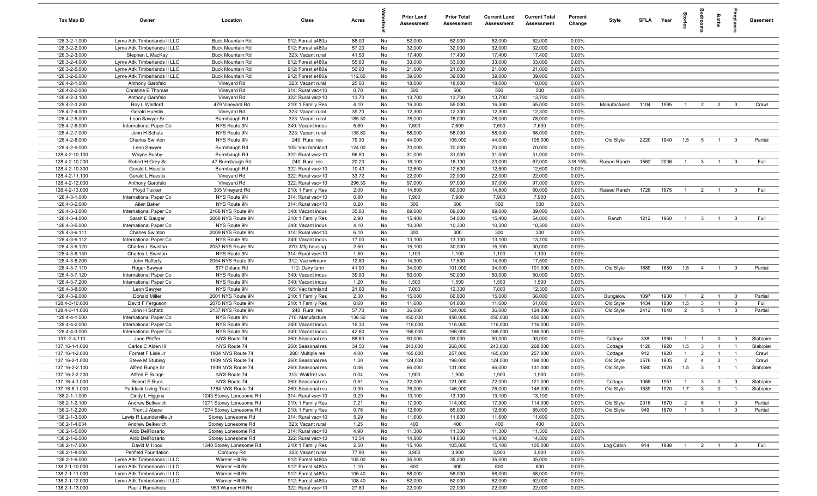| Tax Map ID                      | Owner                                  | Location                                           | Class                                  | Acres         |          | <b>Prior Land</b><br><b>Assessment</b> | <b>Prior Total</b><br>Assessment | <b>Current Land</b><br><b>Assessment</b> | <b>Current Total</b><br>Assessment | Percent<br>Change | Style                  | SFLA         | Year         | par<br>Le                        | groo                           | Baths                            | epla                                   | <b>Basement</b>    |
|---------------------------------|----------------------------------------|----------------------------------------------------|----------------------------------------|---------------|----------|----------------------------------------|----------------------------------|------------------------------------------|------------------------------------|-------------------|------------------------|--------------|--------------|----------------------------------|--------------------------------|----------------------------------|----------------------------------------|--------------------|
| 128.3-2-1.000                   | Lyme Adk Timberlands II LLC            | <b>Buck Mountain Rd</b>                            | 912: Forest s480a                      | 88.00         | No       | 52,000                                 | 52,000                           | 52,000                                   | 52,000                             | 0.00%             |                        |              |              |                                  |                                |                                  |                                        |                    |
| 128.3-2-2.000                   | Lyme Adk Timberlands II LLC            | <b>Buck Mountain Rd</b>                            | 912: Forest s480a                      | 57.20         | No       | 32,000                                 | 32,000                           | 32,000                                   | 32,000                             | 0.00%             |                        |              |              |                                  |                                |                                  |                                        |                    |
| 128.3-2-3.000                   | Stephen L MacKay                       | <b>Buck Mountain Rd</b>                            | 323: Vacant rural                      | 41.50         | No       | 17,400                                 | 17,400                           | 17,400                                   | 17,400                             | 0.00%             |                        |              |              |                                  |                                |                                  |                                        |                    |
| 128.3-2-4.000                   | Lyme Adk Timberlands II LLC            | <b>Buck Mountain Rd</b>                            | 912: Forest s480a                      | 55.60         | No       | 33,000                                 | 33,000                           | 33,000                                   | 33,000                             | 0.00%             |                        |              |              |                                  |                                |                                  |                                        |                    |
| 128.3-2-5.000                   | Lyme Adk Timberlands II LLC            | <b>Buck Mountain Rd</b>                            | 912: Forest s480a                      | 50.00         | No       | 21,000                                 | 21,000                           | 21,000                                   | 21,000                             | 0.00%             |                        |              |              |                                  |                                |                                  |                                        |                    |
| 128.3-2-6.000                   | Lyme Adk Timberlands II LLC            | <b>Buck Mountain Rd</b>                            | 912: Forest s480a                      | 112.60        | No       | 39,000                                 | 39,000                           | 39,000                                   | 39,000                             | 0.00%<br>0.00%    |                        |              |              |                                  |                                |                                  |                                        |                    |
| 128.4-2-1.000<br>128.4-2-2.000  | Anthony Garofalo<br>Christine E Thomas | Vineyard Rd<br>Vineyard Rd                         | 323: Vacant rural<br>314: Rural vac<10 | 25.00<br>0.70 | No<br>No | 18,000<br>500                          | 18,000<br>500                    | 18,000<br>500                            | 18,000<br>500                      | 0.00%             |                        |              |              |                                  |                                |                                  |                                        |                    |
| 128.4-2-3.100                   | Anthony Garofalo                       | Vineyard Rd                                        | 322: Rural vac>10                      | 13.70         | No       | 13,700                                 | 13,700                           | 13,700                                   | 13,700                             | 0.00%             |                        |              |              |                                  |                                |                                  |                                        |                    |
| 128.4-2-3.200                   | Roy L Whitford                         | 479 Vineyard Rd                                    | 210: 1 Family Res                      | 4.10          | No       | 16,300                                 | 55,000                           | 16,300                                   | 55,000                             | 0.00%             | Manufactured           | 1104         | 1995         | $\overline{1}$                   | $\overline{2}$                 | 2                                | $\mathbf{0}$                           | Crawl              |
| 128.4-2-4.000                   | <b>Gerald Huestis</b>                  | Vineyard Rd                                        | 323: Vacant rural                      | 39.70         | No       | 12,300                                 | 12,300                           | 12,300                                   | 12,300                             | 0.00%             |                        |              |              |                                  |                                |                                  |                                        |                    |
| 128.4-2-5.000                   | Leon Sawyer Sr                         | Burmbaugh Rd                                       | 323: Vacant rural                      | 185.30        | No       | 78,000                                 | 78,000                           | 78,000                                   | 78,000                             | 0.00%             |                        |              |              |                                  |                                |                                  |                                        |                    |
| 128.4-2-6.000                   | International Paper Co                 | NYS Route 9N                                       | 340: Vacant indus                      | 5.60          | No       | 7,600                                  | 7,600                            | 7,600                                    | 7,600                              | 0.00%             |                        |              |              |                                  |                                |                                  |                                        |                    |
| 128.4-2-7.000                   | John H Schatz                          | NYS Route 9N                                       | 323: Vacant rural                      | 135.80        | No       | 58,000                                 | 58,000                           | 58,000                                   | 58,000                             | 0.00%             |                        |              |              |                                  |                                |                                  |                                        |                    |
| 128.4-2-8.000                   | <b>Charles Swinton</b>                 | NYS Route 9N                                       | 240: Rural res                         | 79.30         | No       | 44,000                                 | 105,000                          | 44,000                                   | 105,000                            | 0.00%             | Old Style              | 2220         | 1940         | 1.5                              | 5                              | $\overline{1}$                   | $\mathbf 0$                            | Partial            |
| 128.4-2-9.000                   | Leon Sawyer                            | Burmbaugh Rd                                       | 105: Vac farmland                      | 124.00        | No       | 70,000                                 | 70,000                           | 70,000                                   | 70,000                             | 0.00%             |                        |              |              |                                  |                                |                                  |                                        |                    |
| 128.4-2-10.100                  | Wayne Busby                            | Burmbaugh Rd                                       | 322: Rural vac>10                      | 56.50         | No       | 31,000                                 | 31,000                           | 31,000                                   | 31,000                             | 0.00%             |                        |              |              |                                  |                                |                                  |                                        |                    |
| 128.4-2-10.200                  | Robert H Grey Sr                       | 47 Burmbaugh Rd                                    | 240: Rural res                         | 20.20         | No       | 16,100                                 | 16,100                           | 23,000                                   | 67,000                             | 316.15%           | Raised Ranch           | 1562         | 2006         | $\overline{1}$                   | $\mathbf{3}$                   | $\overline{1}$                   | $^{\circ}$                             | Full               |
| 128.4-2-10.300                  | Gerald L Huestis                       | Burmbaugh Rd                                       | 322: Rural vac>10                      | 10.40         | No       | 12,600                                 | 12,600                           | 12,600                                   | 12,600                             | 0.00%             |                        |              |              |                                  |                                |                                  |                                        |                    |
| 128.4-2-11.100                  | Gerald L Huestis                       | Vineyard Rd                                        | 322: Rural vac>10                      | 33.72         | No       | 22,000                                 | 22,000                           | 22,000                                   | 22,000                             | 0.00%             |                        |              |              |                                  |                                |                                  |                                        |                    |
| 128.4-2-12.000                  | Anthony Garofalo<br>Floyd Tucker       | Vineyard Rd                                        | 322: Rural vac>10                      | 296.30        | No       | 97,000                                 | 97,000                           | 97,000                                   | 97,000                             | 0.00%             | Raised Ranch           |              |              | $\overline{1}$                   | $\overline{2}$                 |                                  | $\Omega$                               | Full               |
| 128.4-2-13.000<br>128.4-3-1.000 | International Paper Co                 | 305 Vineyard Rd<br>NYS Route 9N                    | 210: 1 Family Res<br>314: Rural vac<10 | 2.00<br>0.80  | No<br>No | 14,800<br>7,900                        | 60,000<br>7,900                  | 14,800<br>7,900                          | 60,000<br>7,900                    | 0.00%<br>0.00%    |                        | 1728         | 1975         |                                  |                                | $\overline{1}$                   |                                        |                    |
| 128.4-3-2.000                   | Allen Baker                            | NYS Route 9N                                       | 314: Rural vac<10                      | 0.20          | No       | 500                                    | 500                              | 500                                      | 500                                | 0.00%             |                        |              |              |                                  |                                |                                  |                                        |                    |
| 128.4-3-3.000                   | International Paper Co                 | 2168 NYS Route 9N                                  | 340: Vacant indus                      | 35.80         | No       | 89,000                                 | 89,000                           | 89,000                                   | 89,000                             | 0.00%             |                        |              |              |                                  |                                |                                  |                                        |                    |
| 128.4-3-4.000                   | Sarah E Gauger                         | 2068 NYS Route 9N                                  | 210: 1 Family Res                      | 2.90          | No       | 15,400                                 | 54,000                           | 15,400                                   | 54,000                             | 0.00%             | Ranch                  | 1212         | 1960         | $\overline{1}$                   | $\overline{\mathbf{3}}$        | $\overline{1}$                   | $^{\circ}$                             | Full               |
| 128.4-3-5.000                   | International Paper Co                 | NYS Route 9N                                       | 340: Vacant indus                      | 4.10          | No       | 10,300                                 | 10,300                           | 10,300                                   | 10,300                             | 0.00%             |                        |              |              |                                  |                                |                                  |                                        |                    |
| 128.4-3-6.111                   | <b>Charles Swinton</b>                 | 2009 NYS Route 9N                                  | 314: Rural vac<10                      | 6.10          | No       | 300                                    | 300                              | 300                                      | 300                                | 0.00%             |                        |              |              |                                  |                                |                                  |                                        |                    |
| 128.4-3-6.112                   | International Paper Co                 | NYS Route 9N                                       | 340: Vacant indus                      | 17.00         | No       | 13,100                                 | 13,100                           | 13,100                                   | 13,100                             | 0.00%             |                        |              |              |                                  |                                |                                  |                                        |                    |
| 128.4-3-6.120                   | Charles L Swinton                      | 2037 NYS Route 9N                                  | 270: Mfg housing                       | 2.50          | No       | 15,100                                 | 30,000                           | 15,100                                   | 30,000                             | 0.00%             |                        |              |              |                                  |                                |                                  |                                        |                    |
| 128.4-3-6.130                   | Charles L Swinton                      | NYS Route 9N                                       | 314: Rural vac<10                      | 1.50          | No       | 1,100                                  | 1,100                            | 1,100                                    | 1,100                              | 0.00%             |                        |              |              |                                  |                                |                                  |                                        |                    |
| 128.4-3-6.200                   | John Rafferty                          | 2054 NYS Route 9N                                  | 312: Vac w/imprv                       | 12.80         | No       | 14,300                                 | 17,500                           | 14,300                                   | 17,500                             | 0.00%             |                        |              |              |                                  |                                |                                  |                                        |                    |
| 128.4-3-7.110                   | Roger Sawyer                           | 677 Delano Rd                                      | 112: Dairy farm                        | 41.90         | No       | 34,000                                 | 101,000                          | 34,000                                   | 101,000                            | 0.00%             | Old Style              | 1689         | 1880         | 1.5                              | $\overline{4}$                 | $\overline{1}$                   | $\overline{\mathbf{0}}$                | Partial            |
| 128.4-3-7.120                   | International Paper Co                 | NYS Route 9N                                       | 340: Vacant indus                      | 39.80         | No       | 50,000                                 | 50,000                           | 50,000                                   | 50,000                             | 0.00%             |                        |              |              |                                  |                                |                                  |                                        |                    |
| 128.4-3-7.200                   | International Paper Co                 | NYS Route 9N                                       | 340: Vacant indus                      | 1.20          | No       | 1,500                                  | 1,500                            | 1,500                                    | 1,500                              | 0.00%             |                        |              |              |                                  |                                |                                  |                                        |                    |
| 128.4-3-8.000                   | Leon Sawyer                            | NYS Route 9N                                       | 105: Vac farmland                      | 21.60         | No       | 7,000                                  | 12,300                           | 7,000                                    | 12,300                             | 0.00%             |                        |              |              | $\overline{1}$                   |                                |                                  | $\mathbf{0}$                           |                    |
| 128.4-3-9.000<br>128.4-3-10.000 | Donald Miller<br>David F Ferguson      | 2001 NYS Route 9N<br>2075 NYS Route 9N             | 210: 1 Family Res<br>210: 1 Family Res | 2.30<br>0.60  | No<br>No | 15,000<br>11,600                       | 66,000<br>61,000                 | 15,000<br>11,600                         | 66,000<br>61,000                   | 0.00%<br>0.00%    | Bungalow<br>Old Style  | 1097<br>1434 | 1930<br>1880 | 1.5                              | $\overline{2}$<br>$\mathbf{3}$ | $\overline{1}$<br>$\overline{1}$ | $\mathbf 0$                            | Partial<br>Full    |
| 128.4-3-11.000                  | John H Schatz                          | 2137 NYS Route 9N                                  | 240: Rural res                         | 57.70         | No       | 36,000                                 | 124,000                          | 36,000                                   | 124,000                            | 0.00%             | Old Style              | 2412         | 1840         | $\overline{2}$                   | 5                              | $\overline{1}$                   | $\mathbf 0$                            | Partial            |
| 128.4-4-1.000                   | International Paper Co                 | NYS Route 9N                                       | 710: Manufacture                       | 136.50        | Yes      | 450,000                                | 450,000                          | 450,000                                  | 450,000                            | 0.00%             |                        |              |              |                                  |                                |                                  |                                        |                    |
| 128.4-4-2.000                   | International Paper Co                 | NYS Route 9N                                       | 340: Vacant indus                      | 16.30         | Yes      | 116,000                                | 116,000                          | 116,000                                  | 116,000                            | 0.00%             |                        |              |              |                                  |                                |                                  |                                        |                    |
| 128.4-4-3.000                   | International Paper Co                 | NYS Route 9N                                       | 340: Vacant indus                      | 42.60         | Yes      | 166,000                                | 166,000                          | 166,000                                  | 166,000                            | 0.00%             |                        |              |              |                                  |                                |                                  |                                        |                    |
| 137.-2-4.110                    | Jane Pfeffer                           | NYS Route 74                                       | 260: Seasonal res                      | 88.63         | Yes      | 90,000                                 | 93,000                           | 90,000                                   | 93,000                             | 0.00%             | Cottage                | 338          | 1960         | $\overline{1}$                   | $\overline{1}$                 | $\mathbf 0$                      | $\Omega$                               | Slab/pier          |
| 137.16-1-1.000                  | Carlos C Alden III                     | NYS Route 74                                       | 260: Seasonal res                      | 34.50         | Yes      | 243,000                                | 268,000                          | 243,000                                  | 268,000                            | 0.00%             | Cottage                | 1120         | 1920         | 1.5                              | $\mathbf{3}$                   | $\overline{1}$                   |                                        | Slab/pier          |
| 137.16-1-2.000                  | Forrest F Lisle Jr                     | 1904 NYS Route 74                                  | 280: Multiple res                      | 4.00          | Yes      | 165,000                                | 257,000                          | 165,000                                  | 257,000                            | 0.00%             | Cottage                | 912          | 1920         | $\mathbf{1}$                     | $\overline{2}$                 | $\overline{1}$                   |                                        | Crawl              |
| 137.16-2-1.000                  | Steve M Stubing                        | 1939 NYS Route 74                                  | 260: Seasonal res                      | 1.30          | Yes      | 124,000                                | 198,000                          | 124,000                                  | 198,000                            | 0.00%             | Old Style              | 3576         | 1905         | $\overline{2}$                   | $\overline{4}$                 | $\overline{2}$                   | $\overline{1}$                         | Crawl              |
| 137.16-2-2.100                  | Alfred Runge Sr                        | 1939 NYS Route 74                                  | 260: Seasonal res                      | 0.46          | Yes      | 66,000                                 | 131,000                          | 66,000                                   | 131,000                            | 0.00%             | Old Style              | 1580         | 1920         | 1.5                              | $\mathbf{3}$                   | $\overline{1}$                   |                                        | Slab/pier          |
| 137.16-2-2.200                  | Alfred E Runge                         | NYS Route 74                                       | 313: Watrfrnt vac                      | 0.04          | Yes      | 1,900                                  | 1,900                            | 1,900                                    | 1,900                              | 0.00%             |                        |              |              |                                  |                                |                                  |                                        |                    |
| 137.16-4-1.000                  | Robert E Ruck                          | NYS Route 74                                       | 260: Seasonal res                      | 0.51          | Yes      | 72,000                                 | 121,000                          | 72,000                                   | 121,000                            | 0.00%             | Cottage                | 1068         | 1951         | $\overline{1}$                   | $\mathbf{3}$                   | $\mathbf 0$                      | $\overline{0}$                         | Slab/pier          |
| 137.16-5-1.000                  | Paddack Living Trust                   | 1784 NYS Route 74                                  | 260: Seasonal res                      | 0.90          | Yes      | 76,000                                 | 146,000                          | 76,000                                   | 146,000                            | 0.00%             | Old Style              | 1539         | 1920         | 1.7                              | $\mathbf{3}$                   | $\mathbf 0$                      | $\overline{1}$                         | Slab/pier          |
| 138.2-1-1.000                   | Cindy L Higgins                        | 1243 Stoney Lonesome Rd<br>1271 Stoney Lonesome Rd | 314: Rural vac<10                      | 9.29          | No       | 13,100                                 | 13,100                           | 13,100                                   | 13,100                             | 0.00%             |                        |              |              |                                  |                                |                                  |                                        |                    |
| 138.2-1-2.100<br>138.2-1-2.200  | Andrew Belkevich<br>Trent J Abare      | 1274 Stoney Lonesome Rd                            | 210: 1 Family Res<br>210: 1 Family Res | 7.21<br>0.76  | No<br>No | 17,900<br>12,600                       | 114,000<br>85,000                | 17,900<br>12,600                         | 114,000<br>85,000                  | 0.00%<br>0.00%    | Old Style<br>Old Style | 2016<br>949  | 1870<br>1870 | $\overline{2}$<br>$\overline{1}$ | 6<br>3 <sup>3</sup>            | $\overline{1}$<br>$\overline{1}$ | $\overline{\mathbf{0}}$<br>$\mathbf 0$ | Partial<br>Partial |
| 138.2-1-3.000                   | Lewis R Launderville Jr                | Stoney Lonesome Rd                                 | 314: Rural vac<10                      | 5.29          | No       | 11,600                                 | 11,600                           | 11,600                                   | 11,600                             | 0.00%             |                        |              |              |                                  |                                |                                  |                                        |                    |
| 138.2-1-4.034                   | Andrew Belkevich                       | Stoney Lonesome Rd                                 | 323: Vacant rural                      | 1.25          | No       | 400                                    | 400                              | 400                                      | 400                                | 0.00%             |                        |              |              |                                  |                                |                                  |                                        |                    |
| 138.2-1-5.000                   | Aldo DelRosario                        | Stoney Lonesome Rd                                 | 314: Rural vac<10                      | 4.90          | No       | 11,300                                 | 11,300                           | 11,300                                   | 11,300                             | 0.00%             |                        |              |              |                                  |                                |                                  |                                        |                    |
| 138.2-1-6.000                   | Aldo DelRosario                        | Stoney Lonesome Rd                                 | 322: Rural vac>10                      | 13.54         | No       | 14,800                                 | 14,800                           | 14,800                                   | 14,800                             | 0.00%             |                        |              |              |                                  |                                |                                  |                                        |                    |
| 138.2-1-7.000                   | David M Hood                           | 1340 Stoney Lonesome Rd                            | 210: 1 Family Res                      | 2.50          | No       | 15,100                                 | 105,000                          | 15,100                                   | 105,000                            | 0.00%             | Log Cabin              | 914          | 1988         | $\overline{1}$                   | $\overline{2}$                 | $\overline{1}$                   | $\overline{0}$                         | Full               |
| 138.2-1-8.000                   | Penfield Foundation                    | Corduroy Rd                                        | 323: Vacant rural                      | 77.90         | No       | 3,900                                  | 3,900                            | 3,900                                    | 3,900                              | 0.00%             |                        |              |              |                                  |                                |                                  |                                        |                    |
| 138.2-1-9.000                   | Lyme Adk Timberlands II LLC            | Warner Hill Rd                                     | 912: Forest s480a                      | 105.00        | No       | 35,000                                 | 35,000                           | 35,000                                   | 35,000                             | 0.00%             |                        |              |              |                                  |                                |                                  |                                        |                    |
| 138.2-1-10.000                  | Lyme Adk Timberlands II LLC            | Warner Hill Rd                                     | 912: Forest s480a                      | 1.10          | No       | 600                                    | 600                              | 600                                      | 600                                | 0.00%             |                        |              |              |                                  |                                |                                  |                                        |                    |
| 138.2-1-11.000                  | Lyme Adk Timberlands II LLC            | Warner Hill Rd                                     | 912: Forest s480a                      | 106.40        | No       | 58,000                                 | 58,000                           | 58,000                                   | 58,000                             | 0.00%             |                        |              |              |                                  |                                |                                  |                                        |                    |
| 138.2-1-12.000                  | Lyme Adk Timberlands II LLC            | Warner Hill Rd                                     | 912: Forest s480a                      | 108.40        | No       | 52,000                                 | 52,000                           | 52,000                                   | 52,000                             | 0.00%             |                        |              |              |                                  |                                |                                  |                                        |                    |
| 138.2-1-13.000                  | Paul J Ramalhete                       | 953 Warner Hill Rd                                 | 322: Rural vac>10                      | 27.80         | No       | 22,000                                 | 22,000                           | 22,000                                   | 22,000                             | 0.00%             |                        |              |              |                                  |                                |                                  |                                        |                    |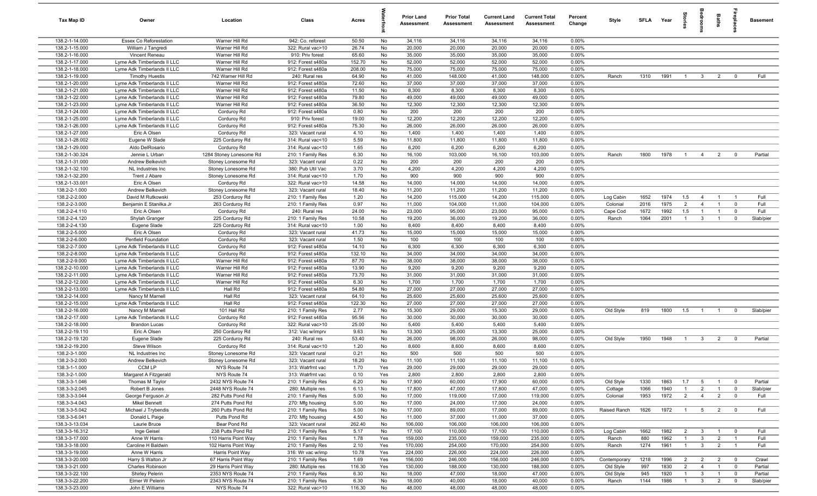| Tax Map ID                       | Owner                                                      | Location                              | Class                                  | Acres           |          | <b>Prior Land</b><br>Assessment | <b>Prior Total</b><br>Assessment | <b>Current Land</b><br><b>Assessment</b> | <b>Current Total</b><br>Assessment | Percent<br>Change | Style        | SFLA Year |      | iorie          | droom                   | Baths          | epla                    | <b>Basement</b> |
|----------------------------------|------------------------------------------------------------|---------------------------------------|----------------------------------------|-----------------|----------|---------------------------------|----------------------------------|------------------------------------------|------------------------------------|-------------------|--------------|-----------|------|----------------|-------------------------|----------------|-------------------------|-----------------|
| 138.2-1-14.000                   | Essex Co Reforestation                                     | Warner Hill Rd                        | 942: Co. reforest                      | 50.50           | No       | 34,116                          | 34,116                           | 34,116                                   | 34,116                             | 0.00%             |              |           |      |                |                         |                |                         |                 |
| 138.2-1-15.000                   | William J Tangredi                                         | Warner Hill Rd                        | 322: Rural vac>10                      | 26.74           | No       | 20,000                          | 20,000                           | 20,000                                   | 20,000                             | 0.00%             |              |           |      |                |                         |                |                         |                 |
| 138.2-1-16.000                   | Vincent Reneau                                             | Warner Hill Rd                        | 910: Priv forest                       | 65.60           | No       | 35,000                          | 35,000                           | 35,000                                   | 35,000                             | 0.00%             |              |           |      |                |                         |                |                         |                 |
| 138.2-1-17.000                   | Lyme Adk Timberlands II LLC                                | Warner Hill Rd                        | 912: Forest s480a                      | 152.70          | No       | 52,000                          | 52,000                           | 52,000                                   | 52,000                             | 0.00%             |              |           |      |                |                         |                |                         |                 |
| 138.2-1-18.000                   | Lyme Adk Timberlands II LLC                                | Warner Hill Rd                        | 912: Forest s480a                      | 208.00          | No       | 75,000                          | 75,000                           | 75,000                                   | 75,000                             | 0.00%             |              |           |      |                |                         |                |                         |                 |
| 138.2-1-19.000                   | <b>Timothy Huestis</b>                                     | 742 Warner Hill Rd                    | 240: Rural res<br>912: Forest s480a    | 64.90           | No<br>No | 41,000                          | 148,000                          | 41,000                                   | 148,000                            | 0.00%<br>0.00%    | Ranch        | 1310      | 1991 | $\overline{1}$ | $\mathbf{3}$            | $\overline{2}$ | $\overline{0}$          | Full            |
| 138.2-1-20.000<br>138.2-1-21.000 | Lyme Adk Timberlands II LLC<br>Lyme Adk Timberlands II LLC | Warner Hill Rd<br>Warner Hill Rd      | 912: Forest s480a                      | 72.60<br>11.50  | No       | 37,000<br>8,300                 | 37,000<br>8,300                  | 37,000<br>8,300                          | 37,000<br>8,300                    | 0.00%             |              |           |      |                |                         |                |                         |                 |
| 138.2-1-22.000                   | Lyme Adk Timberlands II LLC                                | Warner Hill Rd                        | 912: Forest s480a                      | 79.80           | No       | 49,000                          | 49,000                           | 49,000                                   | 49,000                             | 0.00%             |              |           |      |                |                         |                |                         |                 |
| 138.2-1-23.000                   | Lyme Adk Timberlands II LLC                                | Warner Hill Rd                        | 912: Forest s480a                      | 36.50           | No       | 12,300                          | 12,300                           | 12,300                                   | 12,300                             | 0.00%             |              |           |      |                |                         |                |                         |                 |
| 138.2-1-24.000                   | Lyme Adk Timberlands II LLC                                | Corduroy Rd                           | 912: Forest s480a                      | 0.80            | No       | 200                             | 200                              | 200                                      | 200                                | 0.00%             |              |           |      |                |                         |                |                         |                 |
| 138.2-1-25.000                   | Lyme Adk Timberlands II LLC                                | Corduroy Rd                           | 910: Priv forest                       | 19.00           | No       | 12,200                          | 12,200                           | 12,200                                   | 12,200                             | 0.00%             |              |           |      |                |                         |                |                         |                 |
| 138.2-1-26.000                   | Lyme Adk Timberlands II LLC                                | Corduroy Rd                           | 912: Forest s480a                      | 75.30           | No       | 26,000                          | 26,000                           | 26,000                                   | 26,000                             | 0.00%             |              |           |      |                |                         |                |                         |                 |
| 138.2-1-27.000                   | Eric A Olsen                                               | Corduroy Rd                           | 323: Vacant rural                      | 4.10            | No       | 1,400                           | 1,400                            | 1,400                                    | 1,400                              | 0.00%             |              |           |      |                |                         |                |                         |                 |
| 138.2-1-28.002                   | Eugene W Slade                                             | 225 Corduroy Rd                       | 314: Rural vac<10                      | 5.59            | No       | 11,800                          | 11,800                           | 11,800                                   | 11,800                             | 0.00%             |              |           |      |                |                         |                |                         |                 |
| 138.2-1-29.000                   | Aldo DelRosario                                            | Corduroy Rd                           | 314: Rural vac<10                      | 1.65            | No       | 6,200                           | 6,200                            | 6,200                                    | 6,200                              | 0.00%             |              |           |      |                |                         |                |                         |                 |
| 138.2-1-30.324                   | Jennie L Urban                                             | 1284 Stoney Lonesome Rd               | 210: 1 Family Res                      | 6.30            | No       | 16,100                          | 103,000                          | 16,100                                   | 103,000                            | 0.00%             | Ranch        | 1800      | 1978 | $\overline{1}$ | $\overline{4}$          | $\overline{2}$ | $\overline{0}$          | Partial         |
| 138.2-1-31.000                   | Andrew Belkevich                                           | Stoney Lonesome Rd                    | 323: Vacant rural                      | 0.22            | No       | 200                             | 200                              | 200                                      | 200                                | 0.00%             |              |           |      |                |                         |                |                         |                 |
| 138.2-1-32.100                   | NL Industries Inc                                          | Stoney Lonesome Rd                    | 380: Pub Util Vac                      | 3.70            | No       | 4,200                           | 4,200                            | 4,200                                    | 4,200                              | 0.00%             |              |           |      |                |                         |                |                         |                 |
| 138.2-1-32.200                   | Trent J Abare                                              | Stoney Lonesome Rd                    | 314: Rural vac<10                      | 1.70            | No       | 900                             | 900                              | 900                                      | 900                                | 0.00%             |              |           |      |                |                         |                |                         |                 |
| 138.2-1-33.001                   | Eric A Olsen                                               | Corduroy Rd                           | 322: Rural vac>10                      | 14.58           | No       | 14,000                          | 14,000                           | 14,000                                   | 14,000                             | 0.00%             |              |           |      |                |                         |                |                         |                 |
| 138.2-2-1.000<br>138.2-2-2.000   | Andrew Belkevich<br>David M Rutkowski                      | Stoney Lonesome Rd<br>253 Corduroy Rd | 323: Vacant rural<br>210: 1 Family Res | 18.40<br>1.20   | No<br>No | 11,200<br>14,200                | 11,200<br>115,000                | 11,200<br>14,200                         | 11,200<br>115,000                  | 0.00%<br>0.00%    | Log Cabin    | 1652      | 1974 | 1.5            | $\overline{4}$          | $\overline{1}$ | $\overline{1}$          | Full            |
| 138.2-2-3.000                    | Benjamin E Stanilka Jr                                     | 263 Corduroy Rd                       | 210: 1 Family Res                      | 0.97            | No       | 11,000                          | 104,000                          | 11,000                                   | 104,000                            | 0.00%             | Colonial     | 2016      | 1975 | 2              | $\overline{4}$          | $\overline{1}$ | $\overline{0}$          | Full            |
| 138.2-2-4.110                    | Eric A Olsen                                               | Corduroy Rd                           | 240: Rural res                         | 24.00           | No       | 23,000                          | 95,000                           | 23,000                                   | 95,000                             | 0.00%             | Cape Cod     | 1672      | 1992 | 1.5            | $\overline{1}$          | $\overline{1}$ | $\overline{0}$          | Full            |
| 138.2-2-4.120                    | Shylah Granger                                             | 225 Corduroy Rd                       | 210: 1 Family Res                      | 10.58           | No       | 19,200                          | 36,000                           | 19,200                                   | 36,000                             | 0.00%             | Ranch        | 1064      | 2001 | $\overline{1}$ | $\mathbf{3}$            | $\mathbf{1}$   | $\mathbf 0$             | Slab/pier       |
| 138.2-2-4.130                    | Eugene Slade                                               | 225 Corduroy Rd                       | 314: Rural vac<10                      | 1.00            | No       | 8,400                           | 8,400                            | 8,400                                    | 8,400                              | 0.00%             |              |           |      |                |                         |                |                         |                 |
| 138.2-2-5.000                    | Eric A Olsen                                               | Corduroy Rd                           | 323: Vacant rural                      | 41.73           | No       | 15,000                          | 15,000                           | 15,000                                   | 15,000                             | 0.00%             |              |           |      |                |                         |                |                         |                 |
| 138.2-2-6.000                    | Penfield Foundation                                        | Corduroy Rd                           | 323: Vacant rural                      | 1.50            | No       | 100                             | 100                              | 100                                      | 100                                | 0.00%             |              |           |      |                |                         |                |                         |                 |
| 138.2-2-7.000                    | Lyme Adk Timberlands II LLC                                | Corduroy Rd                           | 912: Forest s480a                      | 14.10           | No       | 6,300                           | 6,300                            | 6,300                                    | 6,300                              | 0.00%             |              |           |      |                |                         |                |                         |                 |
| 138.2-2-8.000                    | Lyme Adk Timberlands II LLC                                | Corduroy Rd                           | 912: Forest s480a                      | 132.10          | No       | 34,000                          | 34,000                           | 34,000                                   | 34,000                             | 0.00%             |              |           |      |                |                         |                |                         |                 |
| 138.2-2-9.000                    | Lyme Adk Timberlands II LLC                                | Warner Hill Rd                        | 912: Forest s480a                      | 87.70           | No       | 38,000                          | 38,000                           | 38,000                                   | 38,000                             | 0.00%             |              |           |      |                |                         |                |                         |                 |
| 138.2-2-10.000                   | Lyme Adk Timberlands II LLC                                | Warner Hill Rd                        | 912: Forest s480a                      | 13.90           | No       | 9,200                           | 9,200                            | 9,200                                    | 9,200                              | 0.00%             |              |           |      |                |                         |                |                         |                 |
| 138.2-2-11.000                   | Lyme Adk Timberlands II LLC                                | Warner Hill Rd                        | 912: Forest s480a                      | 73.70           | No       | 31,000                          | 31,000                           | 31,000                                   | 31,000                             | 0.00%             |              |           |      |                |                         |                |                         |                 |
| 138.2-2-12.000                   | Lyme Adk Timberlands II LLC                                | Warner Hill Rd                        | 912: Forest s480a                      | 6.30            | No       | 1,700                           | 1,700                            | 1,700                                    | 1,700                              | 0.00%             |              |           |      |                |                         |                |                         |                 |
| 138.2-2-13.000                   | Lyme Adk Timberlands II LLC                                | Hall Rd                               | 912: Forest s480a                      | 54.80           | No       | 27,000                          | 27,000                           | 27,000                                   | 27,000                             | 0.00%             |              |           |      |                |                         |                |                         |                 |
| 138.2-2-14.000<br>138.2-2-15.000 | Nancy M Marnell<br>Lyme Adk Timberlands II LLC             | Hall Rd<br>Hall Rd                    | 323: Vacant rural<br>912: Forest s480a | 64.10<br>122.30 | No<br>No | 25,600<br>27,000                | 25,600<br>27,000                 | 25,600<br>27,000                         | 25,600<br>27,000                   | 0.00%<br>0.00%    |              |           |      |                |                         |                |                         |                 |
| 138.2-2-16.000                   | Nancy M Marnell                                            | 101 Hall Rd                           | 210: 1 Family Res                      | 2.77            | No       | 15,300                          | 29,000                           | 15,300                                   | 29,000                             | 0.00%             | Old Style    | 819       | 1800 | 1.5            | $\overline{1}$          | $\overline{1}$ | $\overline{0}$          | Slab/pier       |
| 138.2-2-17.000                   | Lyme Adk Timberlands II LLC                                | Corduroy Rd                           | 912: Forest s480a                      | 95.56           | No       | 30,000                          | 30,000                           | 30,000                                   | 30,000                             | 0.00%             |              |           |      |                |                         |                |                         |                 |
| 138.2-2-18.000                   | <b>Brandon Lucas</b>                                       | Corduroy Rd                           | 322: Rural vac>10                      | 25.00           | No       | 5,400                           | 5,400                            | 5,400                                    | 5,400                              | 0.00%             |              |           |      |                |                         |                |                         |                 |
| 138.2-2-19.110                   | Eric A Olsen                                               | 250 Corduroy Rd                       | 312: Vac w/imprv                       | 9.63            | No       | 13,300                          | 25,000                           | 13,300                                   | 25,000                             | 0.00%             |              |           |      |                |                         |                |                         |                 |
| 138.2-2-19.120                   | Eugene Slade                                               | 225 Corduroy Rd                       | 240: Rural res                         | 53.40           | No       | 26,000                          | 98,000                           | 26,000                                   | 98,000                             | 0.00%             | Old Style    | 1950      | 1948 | $\overline{1}$ | $\mathbf{3}$            | $\overline{2}$ | $\overline{0}$          | Partial         |
| 138.2-2-19.200                   | Steve Wilson                                               | Corduroy Rd                           | 314: Rural vac<10                      | 1.20            | No       | 8,600                           | 8,600                            | 8,600                                    | 8,600                              | 0.00%             |              |           |      |                |                         |                |                         |                 |
| 138.2-3-1.000                    | NL Industries Inc                                          | Stoney Lonesome Rd                    | 323: Vacant rural                      | 0.21            | No       | 500                             | 500                              | 500                                      | 500                                | 0.00%             |              |           |      |                |                         |                |                         |                 |
| 138.2-3-2.000                    | Andrew Belkevich                                           | Stoney Lonesome Rd                    | 323: Vacant rural                      | 18.20           | No       | 11,100                          | 11,100                           | 11,100                                   | 11,100                             | 0.00%             |              |           |      |                |                         |                |                         |                 |
| 138.3-1-1.000                    | CCM LP                                                     | NYS Route 74                          | 313: Watrfrnt vac                      | 1.70            | Yes      | 29,000                          | 29,000                           | 29,000                                   | 29,000                             | 0.00%             |              |           |      |                |                         |                |                         |                 |
| 138.3-2-1.000                    | Margaret A Fitzgerald                                      | NYS Route 74                          | 313: Watrfrnt vac                      | 0.10            | Yes      | 2,800                           | 2,800                            | 2,800                                    | 2,800                              | 0.00%             |              |           |      |                |                         |                |                         |                 |
| 138.3-3-1.046                    | Thomas M Taylor                                            | 2432 NYS Route 74                     | 210: 1 Family Res                      | 6.20            | No       | 17,900                          | 60,000                           | 17,900                                   | 60,000                             | 0.00%             | Old Style    | 1330      | 1863 | 1.7            | 5                       | $\overline{1}$ | $\mathbf 0$             | Partial         |
| 138.3-3-2.045                    | Robert B Jones                                             | 2448 NYS Route 74                     | 280: Multiple res                      | 6.13            | No       | 17,800                          | 47,000                           | 17,800                                   | 47,000                             | 0.00%             | Cottage      | 1066      | 1940 | $\overline{1}$ | $\overline{2}$          | $\overline{1}$ | $\overline{0}$          | Slab/pier       |
| 138.3-3-3.044<br>138.3-3-4.043   | George Ferguson Jr                                         | 282 Putts Pond Rd                     | 210: 1 Family Res                      | 5.00            | No       | 17,000<br>17,000                | 119,000                          | 17,000                                   | 119,000                            | 0.00%             | Colonial     | 1953      | 1972 | $\overline{2}$ | $\overline{4}$          | $\overline{2}$ | $\overline{0}$          | Full            |
|                                  | <b>Mikel Bennett</b>                                       | 274 Putts Pond Rd                     | 270: Mfg housing                       | 5.00            | No       |                                 | 24,000                           | 17,000                                   | 24,000                             | 0.00%             |              | 1626      |      |                |                         |                |                         | Full            |
| 138.3-3-5.042<br>138.3-3-6.041   | Michael J Trybendis<br>Donald L Paige                      | 260 Putts Pond Rd<br>Putts Pond Rd    | 210: 1 Family Res<br>270: Mfg housing  | 5.00<br>4.50    | No<br>No | 17,000<br>11,000                | 89,000<br>37,000                 | 17,000<br>11,000                         | 89,000<br>37,000                   | 0.00%<br>0.00%    | Raised Ranch |           | 1972 | $\overline{1}$ |                         | 5 2            | $\overline{\mathbf{0}}$ |                 |
| 138.3-3-13.034                   | Laurie Bruce                                               | Bear Pond Rd                          | 323: Vacant rural                      | 262.40          | No       | 106,000                         | 106,000                          | 106,000                                  | 106,000                            | 0.00%             |              |           |      |                |                         |                |                         |                 |
| 138.3-3-16.312                   | Inge Geisel                                                | 238 Putts Pond Rd                     | 210: 1 Family Res                      | 5.17            | No       | 17,100                          | 110,000                          | 17,100                                   | 110,000                            | 0.00%             | Log Cabin    | 1662      | 1982 | $\overline{2}$ | $\mathbf{3}$            | $\overline{1}$ | $\overline{0}$          | Full            |
| 138.3-3-17.000                   | Anne W Harris                                              | 110 Harris Point Way                  | 210: 1 Family Res                      | 1.78            | Yes      | 159,000                         | 235,000                          | 159,000                                  | 235,000                            | 0.00%             | Ranch        | 880       | 1962 | $\overline{1}$ | $\mathbf{3}$            | $\overline{2}$ | $\overline{1}$          | Full            |
| 138.3-3-18.000                   | Caroline H Baldwin                                         | 102 Harris Point Way                  | 210: 1 Family Res                      | 2.10            | Yes      | 170,000                         | 254,000                          | 170,000                                  | 254,000                            | 0.00%             | Ranch        | 1274      | 1961 | $\overline{1}$ | 3 <sup>3</sup>          | 2              | $\overline{1}$          | Full            |
| 138.3-3-19.000                   | Anne W Harris                                              | Harris Point Way                      | 316: Wr vac w/imp                      | 10.78           | Yes      | 224,000                         | 226,000                          | 224,000                                  | 226,000                            | 0.00%             |              |           |      |                |                         |                |                         |                 |
| 138.3-3-20.000                   | Harry S Walton Jr                                          | 67 Harris Point Way                   | 210: 1 Family Res                      | 1.69            | Yes      | 156,000                         | 246,000                          | 156,000                                  | 246,000                            | 0.00%             | Contemporary | 1218      | 1996 | $\overline{2}$ | $\overline{2}$          | $\overline{2}$ | $\overline{0}$          | Crawl           |
| 138.3-3-21.000                   | Charles Robinson                                           | 29 Harris Point Way                   | 280: Multiple res                      | 116.30          | Yes      | 130,000                         | 188,000                          | 130,000                                  | 188,000                            | 0.00%             | Old Style    | 997       | 1830 | $\overline{2}$ | $\overline{4}$          | $\overline{1}$ | $\overline{0}$          | Partial         |
| 138.3-3-22.100                   | Shirley Pelerin                                            | 2353 NYS Route 74                     | 210: 1 Family Res                      | 6.30            | No       | 18,000                          | 47,000                           | 18,000                                   | 47,000                             | 0.00%             | Old Style    | 945       | 1920 | $\overline{1}$ | $\overline{\mathbf{3}}$ | $\overline{1}$ | $\mathbf 0$             | Partial         |
| 138.3-3-22.200                   | Elmer W Pelerin                                            | 2343 NYS Route 74                     | 210: 1 Family Res                      | 6.30            | No       | 18,000                          | 40,000                           | 18,000                                   | 40,000                             | 0.00%             | Ranch        | 1144      | 1986 | $\overline{1}$ | $\mathbf{3}$            | $\overline{2}$ | $\mathbf 0$             | Slab/pier       |
| 138.3-3-23.000                   | John E Williams                                            | NYS Route 74                          | 322: Rural vac>10                      | 116.30          | No       | 48,000                          | 48,000                           | 48,000                                   | 48,000                             | 0.00%             |              |           |      |                |                         |                |                         |                 |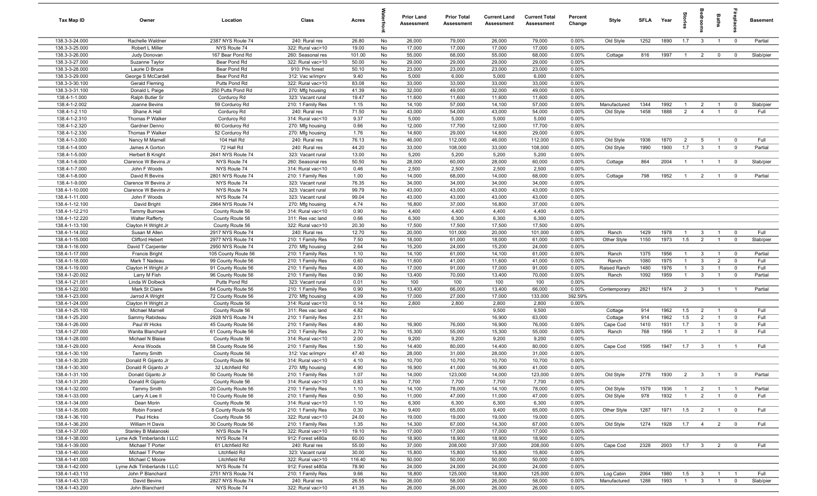| 138.3-3-24.000<br>2387 NYS Route 74<br>26,000<br>79,000<br>Old Style<br>1890<br>1.7<br>Rachelle Waldner<br>240: Rural res<br>26.80<br>No<br>26,000<br>79,000<br>0.00%<br>1252<br>$\mathbf{3}$<br>$\overline{0}$<br>Partial<br>$\overline{1}$<br>138.3-3-25.000<br>17,000<br>17,000<br>Robert L Miller<br>NYS Route 74<br>322: Rural vac>10<br>19.00<br>No<br>17,000<br>17,000<br>0.00%<br>55,000<br>138.3-3-26.000<br>167 Bear Pond Rd<br>260: Seasonal res<br>101.00<br>No<br>68,000<br>55,000<br>68,000<br>0.00%<br>816<br>1997<br>Slab/pier<br>Judy Donovan<br>Cottage<br>$\overline{2}$<br>$\mathbf 0$<br>$\overline{0}$<br>$\overline{1}$<br>138.3-3-27.000<br>50.00<br>29,000<br>Bear Pond Rd<br>322: Rural vac>10<br>No<br>29,000<br>29,000<br>29,000<br>0.00%<br>Suzanne Taylor<br>138.3-3-28.000<br>Laurie D Bruce<br>Bear Pond Rd<br>910: Priv forest<br>50.10<br>23,000<br>23,000<br>23,000<br>23,000<br>0.00%<br>No<br>138.3-3-29.000<br>George S McCardell<br>Bear Pond Rd<br>9.40<br>No<br>5,000<br>6,000<br>5,000<br>6,000<br>0.00%<br>312: Vac w/imprv<br>138.3-3-30.100<br>83.08<br>33,000<br>33,000<br>33,000<br>0.00%<br><b>Gerald Fleming</b><br>Putts Pond Rd<br>322: Rural vac>10<br>No<br>33,000<br>138.3-3-31.100<br>Donald L Paige<br>250 Putts Pond Rd<br>41.39<br>No<br>32,000<br>49,000<br>32,000<br>49,000<br>0.00%<br>270: Mfg housing<br>138.4-1-1.000<br>Ralph Butler Sr<br>Corduroy Rd<br>323: Vacant rural<br>19.47<br>No<br>11,600<br>11,600<br>11,600<br>11,600<br>0.00%<br>138.4-1-2.002<br>Joanne Bevins<br>59 Corduroy Rd<br>210: 1 Family Res<br>1.15<br>No<br>14,100<br>57,000<br>14,100<br>57,000<br>0.00%<br>Manufactured<br>1344<br>1992<br>$\overline{0}$<br>Slab/pier<br>$\overline{1}$<br>$\overline{2}$<br>$\overline{1}$<br>43,000<br>1458<br>1888<br>138.4-1-2.110<br>Shane A Hall<br>Corduroy Rd<br>71.50<br>No<br>54,000<br>43,000<br>54,000<br>0.00%<br>Old Style<br>$\overline{2}$<br>$\mathbf 0$<br>Full<br>240: Rural res<br>$\overline{4}$<br>$\overline{1}$<br>138.4-1-2.310<br>Thomas P Walker<br>Corduroy Rd<br>314: Rural vac<10<br>9.37<br>No<br>5,000<br>5,000<br>5,000<br>5,000<br>0.00%<br>138.4-1-2.320<br>0.66<br>12,000<br>17,700<br>Gardner Denno<br>60 Corduroy Rd<br>270: Mfg housing<br>No<br>12,000<br>17,700<br>0.00%<br>138.4-1-2.330<br>14,600<br>29,000<br>Thomas P Walker<br>52 Corduroy Rd<br>270: Mfg housing<br>1.76<br>No<br>14,600<br>29,000<br>0.00%<br>138.4-1-3.000<br>Nancy M Marnell<br>104 Hall Rd<br>76.13<br>No<br>46,000<br>112,000<br>46,000<br>112,000<br>0.00%<br>Old Style<br>1936<br>1870<br>$\overline{2}$<br>Full<br>240: Rural res<br>5<br>$\mathbf 0$<br>1900<br>138.4-1-4.000<br>72 Hall Rd<br>44.20<br>33,000<br>108,000<br>33,000<br>0.00%<br>Old Style<br>1990<br>1.7<br>$\mathbf{3}$<br>Partial<br>James A Gorton<br>240: Rural res<br>No<br>108,000<br>$\mathbf 0$<br>$\overline{1}$<br>138.4-1-5.000<br>13.00<br>5,200<br>5,200<br>5,200<br>5,200<br>2641 NYS Route 74<br>No<br>0.00%<br>Herbert B Knight<br>323: Vacant rural<br>864<br>Slab/pier<br>138.4-1-6.000<br>Clarence W Bevins Jr<br>NYS Route 74<br>260: Seasonal res<br>50.50<br>No<br>28,000<br>60,000<br>28,000<br>60,000<br>0.00%<br>Cottage<br>2004<br>$\mathbf 0$<br>$\overline{1}$<br>$\overline{1}$<br>138.4-1-7.000<br>NYS Route 74<br>No<br>2,500<br>2,500<br>2,500<br>2,500<br>John F Woods<br>314: Rural vac<10<br>0.46<br>0.00%<br>138.4-1-8.000<br>David R Bevins<br>2801 NYS Route 74<br>210: 1 Family Res<br>1.00<br>No<br>14,000<br>68,000<br>14,000<br>68,000<br>0.00%<br>Cottage<br>798<br>1952<br>$\overline{2}$<br>$\overline{0}$<br>Partial<br>$\overline{1}$<br>$\overline{1}$<br>138.4-1-9.000<br>NYS Route 74<br>34,000<br>34,000<br>0.00%<br>Clarence W Bevins Jr<br>323: Vacant rural<br>76.35<br>No<br>34,000<br>34,000<br>43,000<br>138.4-1-10.000<br>Clarence W Bevins Jr<br>NYS Route 74<br>323: Vacant rural<br>99.79<br>No<br>43,000<br>43,000<br>43,000<br>0.00%<br>138.4-1-11.000<br>John F Woods<br>NYS Route 74<br>99.04<br>No<br>43,000<br>43,000<br>43,000<br>43,000<br>0.00%<br>323: Vacant rural<br>16,800<br>138.4-1-12.100<br>David Bright<br>2964 NYS Route 74<br>4.74<br>No<br>37,000<br>16,800<br>37,000<br>0.00%<br>270: Mfg housing<br>138.4-1-12.210<br><b>Tammy Burrows</b><br>County Route 56<br>314: Rural vac<10<br>0.90<br>No<br>4,400<br>4,400<br>4,400<br>4,400<br>0.00%<br>138.4-1-12.220<br>0.66<br>6,300<br>6,300<br>6,300<br>6,300<br>0.00%<br><b>Walter Rafferty</b><br>County Route 56<br>311: Res vac land<br>No<br>138.4-1-13.100<br>Clayton H Wright Jr<br>County Route 56<br>322: Rural vac>10<br>20.30<br>No<br>17,500<br>17,500<br>17,500<br>17,500<br>0.00%<br>Full<br>138.4-1-14.002<br>Susan M Allen<br>2917 NYS Route 74<br>240: Rural res<br>12.70<br>No<br>20,000<br>101,000<br>20,000<br>101,000<br>0.00%<br>Ranch<br>1429<br>1978<br>$\overline{0}$<br>$\mathbf{3}$<br>$\mathbf{1}$<br>7.50<br>1.5<br>138.4-1-15.000<br>Clifford Hebert<br>2977 NYS Route 74<br>210: 1 Family Res<br>No<br>18,000<br>61,000<br>18,000<br>61,000<br>0.00%<br>Other Style<br>1150<br>1973<br>$\overline{2}$<br>$\overline{0}$<br>Slab/pier<br>$\mathbf{1}$<br>138.4-1-16.000<br>2.64<br>No<br>15,200<br>24,000<br>15,200<br>24,000<br>0.00%<br>David T Carpenter<br>2950 NYS Route 74<br>270: Mfg housing<br>138.4-1-17.000<br>210: 1 Family Res<br>1.10<br>No<br>14,100<br>61,000<br>14,100<br>61,000<br>0.00%<br>1375<br>1956<br>$\mathbf{3}$<br>Partial<br><b>Francis Bright</b><br>105 County Route 56<br>Ranch<br>$\mathbf 0$<br>$\mathbf{1}$<br>$\overline{1}$<br>138.4-1-18.000<br>1080<br>1975<br>$\mathbf{3}$<br>$\overline{2}$<br>Full<br>Mark T Nadeau<br>210: 1 Family Res<br>0.60<br>No<br>11,600<br>41,000<br>11,600<br>41,000<br>0.00%<br>Ranch<br>$\overline{0}$<br>99 County Route 56<br>$\mathbf{1}$<br>138.4-1-19.000<br>Clayton H Wright Jr<br>91 County Route 56<br>4.00<br>No<br>17,000<br>91,000<br>17,000<br>91,000<br>0.00%<br>Raised Ranch<br>1480<br>1976<br>$\mathbf{3}$<br>Full<br>210: 1 Family Res<br>$\overline{1}$<br>$\overline{1}$<br>$\mathbf 0$<br>138.4-1-20.002<br>1092<br>1959<br>Larry M Fish<br>96 County Route 56<br>210: 1 Family Res<br>0.90<br>No<br>13,400<br>70,000<br>13,400<br>70,000<br>0.00%<br>Ranch<br>$\mathbf{3}$<br>$\overline{0}$<br>Partial<br>$\overline{1}$<br>$\overline{1}$<br>138.4-1-21.001<br>100<br>Linda W Dolbeck<br>Putts Pond Rd<br>323: Vacant rural<br>0.01<br>No<br>100<br>100<br>100<br>0.00%<br>138.4-1-22.000<br>2821<br>1974<br>Mark St Claire<br>84 County Route 56<br>210: 1 Family Res<br>0.90<br>No<br>13,400<br>66,000<br>13,400<br>66,000<br>0.00%<br>$\overline{2}$<br>$\mathbf{3}$<br>Partial<br>Contemporary<br>$\overline{1}$<br>$\overline{1}$<br>17,000<br>138.4-1-23.000<br>72 County Route 56<br>4.09<br>No<br>27,000<br>17,000<br>133,000<br>392.59%<br>Jarrod A Wright<br>270: Mfg housing<br>138.4-1-24.000<br>County Route 56<br>0.14<br>2,800<br>2,800<br>2,800<br>2,800<br>0.00%<br>Clayton H Wright Jr<br>314: Rural vac<10<br>No<br>138.4-1-25.100<br>4.82<br>1962<br>Full<br><b>Michael Marnell</b><br>County Route 56<br>311: Res vac land<br>No<br>9,500<br>9,500<br>914<br>1.5<br>$\overline{2}$<br>$\overline{0}$<br>Cottage<br>$\overline{1}$<br>138.4-1-25.200<br>1962<br>Sammy Rabideau<br>2928 NYS Route 74<br>210: 1 Family Res<br>2.51<br>No<br>16,900<br>63,000<br>914<br>1.5<br>$\overline{2}$<br>$\mathbf 0$<br>Full<br>Cottage<br>$\overline{1}$<br>138.4-1-26.000<br>16,900<br>0.00%<br>1931<br>Full<br>Paul W Hicks<br>45 County Route 56<br>210: 1 Family Res<br>4.80<br>No<br>76,000<br>16,900<br>76,000<br>1410<br>1.7<br>$\mathbf{3}$<br>$\mathbf 0$<br>Cape Cod<br>138.4-1-27.000<br>2.70<br>15,300<br>55,000<br>15,300<br>55,000<br>768<br>1956<br>Full<br>61 County Route 56<br>210: 1 Family Res<br>No<br>0.00%<br>Ranch<br>$\overline{2}$<br>Wanita Blanchard<br>$\overline{1}$<br>$\mathbf 0$<br>138.4-1-28.000<br>County Route 56<br>314: Rural vac<10<br>2.00<br>No<br>9,200<br>9,200<br>9,200<br>9,200<br>0.00%<br>Michael N Blaise<br>138.4-1-29.000<br>1595<br>Full<br>58 County Route 56<br>210: 1 Family Res<br>1.50<br>No<br>14,400<br>80,000<br>14,400<br>80,000<br>0.00%<br>1947<br>1.7<br>$\mathbf{3}$<br>Anna Woods<br>Cape Cod<br>$\overline{1}$<br>- 1<br>138.4-1-30.100<br>47.40<br>28,000<br>County Route 56<br>No<br>31,000<br>28,000<br>31,000<br>0.00%<br><b>Tammy Smith</b><br>312: Vac w/imprv<br>4.10<br>10,700<br>0.00%<br>138.4-1-30.200<br>Donald R Gijanto Jr<br>County Route 56<br>314: Rural vac<10<br>No<br>10,700<br>10,700<br>10,700<br>32 Litchfield Rd<br>138.4-1-30.300<br>Donald R Gijanto Jr<br>4.90<br>16,900<br>16,900<br>0.00%<br>270: Mfg housing<br>No<br>41,000<br>41,000<br>123,000<br>Old Style<br>2778<br>2<br>3 <sup>3</sup><br>138.4-1-31.100<br>Donald Gijanto Jr<br>50 County Route 56<br>210: 1 Family Res<br>1.07<br>No<br>14,000<br>14,000<br>123,000<br>0.00%<br>1930<br>$\overline{1}$<br>$\overline{\mathbf{0}}$<br>Partial<br>138.4-1-31.200<br>Donald R Gijanto<br>County Route 56<br>314: Rural vac<10<br>0.83<br>No<br>7,700<br>7,700<br>7,700<br>7,700<br>0.00%<br>138.4-1-32.000<br><b>Tammy Smith</b><br>20 County Route 56<br>210: 1 Family Res<br>1.10<br>No<br>14,100<br>78,000<br>14,100<br>78,000<br>0.00%<br>Old Style<br>1579<br>1936<br>$\overline{2}$<br>Partial<br>$\overline{1}$<br>$\overline{1}$<br>$\overline{1}$<br>138.4-1-33.000<br>47,000<br>47,000<br>Old Style<br>978<br>1932<br>$\overline{2}$<br>Full<br>Larry A Lee II<br>10 County Route 56<br>210: 1 Family Res<br>0.50<br>No<br>11,000<br>11,000<br>0.00%<br>$\overline{1}$<br>$\overline{1}$<br>$\overline{0}$<br>138.4-1-34.000<br>Dean Morin<br>County Route 56<br>314: Rural vac<10<br>1.10<br>No<br>6,300<br>6,300<br>6,300<br>6,300<br>0.00%<br>138.4-1-35.000<br>Robin Forand<br>8 County Route 56<br>210: 1 Family Res<br>0.30<br>No<br>9,400<br>65,000<br>9,400<br>65,000<br>0.00%<br>Other Style<br>1287<br>1971<br>$1.5 \t 2$<br>$\overline{\mathbf{0}}$<br>Full<br>$\overline{1}$<br>138.4-1-36.100<br>Paul Hicks<br>County Route 56<br>322: Rural vac>10<br>24.00<br>No<br>19,000<br>19,000<br>19,000<br>19,000<br>0.00%<br>14,300<br>Full<br>138.4-1-36.200<br>30 County Route 56<br>210: 1 Family Res<br>1.35<br>No<br>67,000<br>14,300<br>67,000<br>0.00%<br>Old Style<br>1274<br>1928<br>$1.7 \t 4$<br>William H Davis<br>$\overline{2}$<br>$\overline{\mathbf{0}}$<br>138.4-1-37.000<br>Stanley B Malanoski<br>NYS Route 74<br>322: Rural vac>10<br>19.10<br>No<br>17,000<br>17,000<br>17,000<br>17,000<br>0.00%<br>18,900<br>18,900<br>0.00%<br>138.4-1-38.000<br>Lyme Adk Timberlands I LLC<br>NYS Route 74<br>912: Forest s480a<br>60.00<br>No<br>18,900<br>18,900<br>61 Litchfield Rd<br>37,000<br>2328<br>Full<br>138.4-1-39.000<br>Michael T Porter<br>240: Rural res<br>55.00<br>No<br>208,000<br>37,000<br>208,000<br>0.00%<br>Cape Cod<br>2003<br>$1.7 \t3$<br>$\overline{2}$<br>$\overline{\mathbf{0}}$<br>138.4-1-40.000<br>Michael T Porter<br>Litchfield Rd<br>323: Vacant rural<br>30.00<br>No<br>15,800<br>15,800<br>15,800<br>15,800<br>0.00%<br>138.4-1-41.000<br>Litchfield Rd<br>50,000<br>50,000<br>0.00%<br>Michael C Moore<br>322: Rural vac>10<br>116.40<br>No<br>50,000<br>50,000<br>138.4-1-42.000<br>Lyme Adk Timberlands I LLC<br>NYS Route 74<br>912: Forest s480a<br>78.90<br>No<br>24,000<br>24,000<br>24,000<br>24,000<br>0.00%<br>138.4-1-43.110<br>John P Blanchard<br>Log Cabin<br>2751 NYS Route 74<br>210: 1 Family Res<br>9.66<br>No<br>18,800<br>125,000<br>18,800<br>125,000<br>0.00%<br>2064<br>1980<br>1.5<br>Full<br>$\mathbf{3}$<br>$\overline{1}$<br>$\overline{1}$<br>1288<br>$\mathbf{3}$<br>138.4-1-43.120<br>26.55<br>26,000<br>58,000<br>26,000<br>58,000<br>0.00%<br>Manufactured<br>1993<br>$\mathbf 0$<br>Slab/pier<br>David Bevins<br>2827 NYS Route 74<br>240: Rural res<br>No<br>$\overline{1}$<br>$\mathbf{1}$ | Tax Map ID     | Owner          | Location     | Class             | Acres |    | <b>Prior Land</b><br>Assessment | <b>Prior Total</b><br>Assessment | <b>Current Land</b><br><b>Assessment</b> | <b>Current Total</b><br>Assessment | Percent<br>Change | Style | SFI A | Year |  | <b>Baths</b> | <b>Basement</b> |
|--------------------------------------------------------------------------------------------------------------------------------------------------------------------------------------------------------------------------------------------------------------------------------------------------------------------------------------------------------------------------------------------------------------------------------------------------------------------------------------------------------------------------------------------------------------------------------------------------------------------------------------------------------------------------------------------------------------------------------------------------------------------------------------------------------------------------------------------------------------------------------------------------------------------------------------------------------------------------------------------------------------------------------------------------------------------------------------------------------------------------------------------------------------------------------------------------------------------------------------------------------------------------------------------------------------------------------------------------------------------------------------------------------------------------------------------------------------------------------------------------------------------------------------------------------------------------------------------------------------------------------------------------------------------------------------------------------------------------------------------------------------------------------------------------------------------------------------------------------------------------------------------------------------------------------------------------------------------------------------------------------------------------------------------------------------------------------------------------------------------------------------------------------------------------------------------------------------------------------------------------------------------------------------------------------------------------------------------------------------------------------------------------------------------------------------------------------------------------------------------------------------------------------------------------------------------------------------------------------------------------------------------------------------------------------------------------------------------------------------------------------------------------------------------------------------------------------------------------------------------------------------------------------------------------------------------------------------------------------------------------------------------------------------------------------------------------------------------------------------------------------------------------------------------------------------------------------------------------------------------------------------------------------------------------------------------------------------------------------------------------------------------------------------------------------------------------------------------------------------------------------------------------------------------------------------------------------------------------------------------------------------------------------------------------------------------------------------------------------------------------------------------------------------------------------------------------------------------------------------------------------------------------------------------------------------------------------------------------------------------------------------------------------------------------------------------------------------------------------------------------------------------------------------------------------------------------------------------------------------------------------------------------------------------------------------------------------------------------------------------------------------------------------------------------------------------------------------------------------------------------------------------------------------------------------------------------------------------------------------------------------------------------------------------------------------------------------------------------------------------------------------------------------------------------------------------------------------------------------------------------------------------------------------------------------------------------------------------------------------------------------------------------------------------------------------------------------------------------------------------------------------------------------------------------------------------------------------------------------------------------------------------------------------------------------------------------------------------------------------------------------------------------------------------------------------------------------------------------------------------------------------------------------------------------------------------------------------------------------------------------------------------------------------------------------------------------------------------------------------------------------------------------------------------------------------------------------------------------------------------------------------------------------------------------------------------------------------------------------------------------------------------------------------------------------------------------------------------------------------------------------------------------------------------------------------------------------------------------------------------------------------------------------------------------------------------------------------------------------------------------------------------------------------------------------------------------------------------------------------------------------------------------------------------------------------------------------------------------------------------------------------------------------------------------------------------------------------------------------------------------------------------------------------------------------------------------------------------------------------------------------------------------------------------------------------------------------------------------------------------------------------------------------------------------------------------------------------------------------------------------------------------------------------------------------------------------------------------------------------------------------------------------------------------------------------------------------------------------------------------------------------------------------------------------------------------------------------------------------------------------------------------------------------------------------------------------------------------------------------------------------------------------------------------------------------------------------------------------------------------------------------------------------------------------------------------------------------------------------------------------------------------------------------------------------------------------------------------------------------------------------------------------------------------------------------------------------------------------------------------------------------------------------------------------------------------------------------------------------------------------------------------------------------------------------------------------------------------------------------------------------------------------------------------------------------------------------------------------------------------------------------------------------------------------------------------------------------------------------------------------------------------------------------------------------------------------------------------------------------------------------------------------------------------------------------------------------------------------------------------------------------------------------------------------------------------------------------------------------------------------------------------------------------------------------------------------------------------------------------------------------------------------------------------------------------------------------------------------------------------------------------------------------------------------------------------------------------------------------------------------------------------------------------------------------------------------------------------------------------------------------------------------------------------------------------------------------------------------------------------------------------------------------------------------------------------------------------------------------------------------------------------------------------------------------------------------------------------------------------------------------------------------------------------------------------------------------------------------------------------------------------------------------------------------------------------------------------------------------------------------------------------------------------------------------------------------------------------------------------------------------------------------------------------------------------------------------------------------------------------------------------------------------------------------------------------------------------------------------------------------------------------------------------------------------------------------------------------------------------------------------------------------------------------------------------------------------------------------------------------------------------------------------------------------------------------------------------------------------------------------------------------------------------------------------------------------------------------------------------------------------------------------------------------------------------------------------------------------------------------------------------------------------------------------------------------------------------------------------------------------------------------------------------------------------------------------------------------------------------------------------------------------------------------------------------------------------------------------------------------------------------------------------------------------------------------------------------------------------------------------------------------------------------------------------------------------------------------------------------------------------------------------------------------------------------------------------------------------------------------------------------------------------------------------------------------------------------------------------------------------|----------------|----------------|--------------|-------------------|-------|----|---------------------------------|----------------------------------|------------------------------------------|------------------------------------|-------------------|-------|-------|------|--|--------------|-----------------|
|                                                                                                                                                                                                                                                                                                                                                                                                                                                                                                                                                                                                                                                                                                                                                                                                                                                                                                                                                                                                                                                                                                                                                                                                                                                                                                                                                                                                                                                                                                                                                                                                                                                                                                                                                                                                                                                                                                                                                                                                                                                                                                                                                                                                                                                                                                                                                                                                                                                                                                                                                                                                                                                                                                                                                                                                                                                                                                                                                                                                                                                                                                                                                                                                                                                                                                                                                                                                                                                                                                                                                                                                                                                                                                                                                                                                                                                                                                                                                                                                                                                                                                                                                                                                                                                                                                                                                                                                                                                                                                                                                                                                                                                                                                                                                                                                                                                                                                                                                                                                                                                                                                                                                                                                                                                                                                                                                                                                                                                                                                                                                                                                                                                                                                                                                                                                                                                                                                                                                                                                                                                                                                                                                                                                                                                                                                                                                                                                                                                                                                                                                                                                                                                                                                                                                                                                                                                                                                                                                                                                                                                                                                                                                                                                                                                                                                                                                                                                                                                                                                                                                                                                                                                                                                                                                                                                                                                                                                                                                                                                                                                                                                                                                                                                                                                                                                                                                                                                                                                                                                                                                                                                                                                                                                                                                                                                                                                                                                                                                                                                                                                                                                                                                                                                                                                                                                                                                                                                                                                                                                                                                                                                                                                                                                                                                                                                                                                                                                                                                                                                                                                                                                                                                                                                                                                                                                                                                                                                                                                                                                                                                                                                                                                                                                                                                                                                                                                                                                                                                                                                                                                                                                                                                                                                                                                                                                                                                                                                                                                                                                                                                                                                                                                                                                                                                                                                                                                                                                                                                                                                  |                |                |              |                   |       |    |                                 |                                  |                                          |                                    |                   |       |       |      |  |              |                 |
|                                                                                                                                                                                                                                                                                                                                                                                                                                                                                                                                                                                                                                                                                                                                                                                                                                                                                                                                                                                                                                                                                                                                                                                                                                                                                                                                                                                                                                                                                                                                                                                                                                                                                                                                                                                                                                                                                                                                                                                                                                                                                                                                                                                                                                                                                                                                                                                                                                                                                                                                                                                                                                                                                                                                                                                                                                                                                                                                                                                                                                                                                                                                                                                                                                                                                                                                                                                                                                                                                                                                                                                                                                                                                                                                                                                                                                                                                                                                                                                                                                                                                                                                                                                                                                                                                                                                                                                                                                                                                                                                                                                                                                                                                                                                                                                                                                                                                                                                                                                                                                                                                                                                                                                                                                                                                                                                                                                                                                                                                                                                                                                                                                                                                                                                                                                                                                                                                                                                                                                                                                                                                                                                                                                                                                                                                                                                                                                                                                                                                                                                                                                                                                                                                                                                                                                                                                                                                                                                                                                                                                                                                                                                                                                                                                                                                                                                                                                                                                                                                                                                                                                                                                                                                                                                                                                                                                                                                                                                                                                                                                                                                                                                                                                                                                                                                                                                                                                                                                                                                                                                                                                                                                                                                                                                                                                                                                                                                                                                                                                                                                                                                                                                                                                                                                                                                                                                                                                                                                                                                                                                                                                                                                                                                                                                                                                                                                                                                                                                                                                                                                                                                                                                                                                                                                                                                                                                                                                                                                                                                                                                                                                                                                                                                                                                                                                                                                                                                                                                                                                                                                                                                                                                                                                                                                                                                                                                                                                                                                                                                                                                                                                                                                                                                                                                                                                                                                                                                                                                                                                                  |                |                |              |                   |       |    |                                 |                                  |                                          |                                    |                   |       |       |      |  |              |                 |
|                                                                                                                                                                                                                                                                                                                                                                                                                                                                                                                                                                                                                                                                                                                                                                                                                                                                                                                                                                                                                                                                                                                                                                                                                                                                                                                                                                                                                                                                                                                                                                                                                                                                                                                                                                                                                                                                                                                                                                                                                                                                                                                                                                                                                                                                                                                                                                                                                                                                                                                                                                                                                                                                                                                                                                                                                                                                                                                                                                                                                                                                                                                                                                                                                                                                                                                                                                                                                                                                                                                                                                                                                                                                                                                                                                                                                                                                                                                                                                                                                                                                                                                                                                                                                                                                                                                                                                                                                                                                                                                                                                                                                                                                                                                                                                                                                                                                                                                                                                                                                                                                                                                                                                                                                                                                                                                                                                                                                                                                                                                                                                                                                                                                                                                                                                                                                                                                                                                                                                                                                                                                                                                                                                                                                                                                                                                                                                                                                                                                                                                                                                                                                                                                                                                                                                                                                                                                                                                                                                                                                                                                                                                                                                                                                                                                                                                                                                                                                                                                                                                                                                                                                                                                                                                                                                                                                                                                                                                                                                                                                                                                                                                                                                                                                                                                                                                                                                                                                                                                                                                                                                                                                                                                                                                                                                                                                                                                                                                                                                                                                                                                                                                                                                                                                                                                                                                                                                                                                                                                                                                                                                                                                                                                                                                                                                                                                                                                                                                                                                                                                                                                                                                                                                                                                                                                                                                                                                                                                                                                                                                                                                                                                                                                                                                                                                                                                                                                                                                                                                                                                                                                                                                                                                                                                                                                                                                                                                                                                                                                                                                                                                                                                                                                                                                                                                                                                                                                                                                                                                                                  |                |                |              |                   |       |    |                                 |                                  |                                          |                                    |                   |       |       |      |  |              |                 |
|                                                                                                                                                                                                                                                                                                                                                                                                                                                                                                                                                                                                                                                                                                                                                                                                                                                                                                                                                                                                                                                                                                                                                                                                                                                                                                                                                                                                                                                                                                                                                                                                                                                                                                                                                                                                                                                                                                                                                                                                                                                                                                                                                                                                                                                                                                                                                                                                                                                                                                                                                                                                                                                                                                                                                                                                                                                                                                                                                                                                                                                                                                                                                                                                                                                                                                                                                                                                                                                                                                                                                                                                                                                                                                                                                                                                                                                                                                                                                                                                                                                                                                                                                                                                                                                                                                                                                                                                                                                                                                                                                                                                                                                                                                                                                                                                                                                                                                                                                                                                                                                                                                                                                                                                                                                                                                                                                                                                                                                                                                                                                                                                                                                                                                                                                                                                                                                                                                                                                                                                                                                                                                                                                                                                                                                                                                                                                                                                                                                                                                                                                                                                                                                                                                                                                                                                                                                                                                                                                                                                                                                                                                                                                                                                                                                                                                                                                                                                                                                                                                                                                                                                                                                                                                                                                                                                                                                                                                                                                                                                                                                                                                                                                                                                                                                                                                                                                                                                                                                                                                                                                                                                                                                                                                                                                                                                                                                                                                                                                                                                                                                                                                                                                                                                                                                                                                                                                                                                                                                                                                                                                                                                                                                                                                                                                                                                                                                                                                                                                                                                                                                                                                                                                                                                                                                                                                                                                                                                                                                                                                                                                                                                                                                                                                                                                                                                                                                                                                                                                                                                                                                                                                                                                                                                                                                                                                                                                                                                                                                                                                                                                                                                                                                                                                                                                                                                                                                                                                                                                                                                  |                |                |              |                   |       |    |                                 |                                  |                                          |                                    |                   |       |       |      |  |              |                 |
|                                                                                                                                                                                                                                                                                                                                                                                                                                                                                                                                                                                                                                                                                                                                                                                                                                                                                                                                                                                                                                                                                                                                                                                                                                                                                                                                                                                                                                                                                                                                                                                                                                                                                                                                                                                                                                                                                                                                                                                                                                                                                                                                                                                                                                                                                                                                                                                                                                                                                                                                                                                                                                                                                                                                                                                                                                                                                                                                                                                                                                                                                                                                                                                                                                                                                                                                                                                                                                                                                                                                                                                                                                                                                                                                                                                                                                                                                                                                                                                                                                                                                                                                                                                                                                                                                                                                                                                                                                                                                                                                                                                                                                                                                                                                                                                                                                                                                                                                                                                                                                                                                                                                                                                                                                                                                                                                                                                                                                                                                                                                                                                                                                                                                                                                                                                                                                                                                                                                                                                                                                                                                                                                                                                                                                                                                                                                                                                                                                                                                                                                                                                                                                                                                                                                                                                                                                                                                                                                                                                                                                                                                                                                                                                                                                                                                                                                                                                                                                                                                                                                                                                                                                                                                                                                                                                                                                                                                                                                                                                                                                                                                                                                                                                                                                                                                                                                                                                                                                                                                                                                                                                                                                                                                                                                                                                                                                                                                                                                                                                                                                                                                                                                                                                                                                                                                                                                                                                                                                                                                                                                                                                                                                                                                                                                                                                                                                                                                                                                                                                                                                                                                                                                                                                                                                                                                                                                                                                                                                                                                                                                                                                                                                                                                                                                                                                                                                                                                                                                                                                                                                                                                                                                                                                                                                                                                                                                                                                                                                                                                                                                                                                                                                                                                                                                                                                                                                                                                                                                                                                                  |                |                |              |                   |       |    |                                 |                                  |                                          |                                    |                   |       |       |      |  |              |                 |
|                                                                                                                                                                                                                                                                                                                                                                                                                                                                                                                                                                                                                                                                                                                                                                                                                                                                                                                                                                                                                                                                                                                                                                                                                                                                                                                                                                                                                                                                                                                                                                                                                                                                                                                                                                                                                                                                                                                                                                                                                                                                                                                                                                                                                                                                                                                                                                                                                                                                                                                                                                                                                                                                                                                                                                                                                                                                                                                                                                                                                                                                                                                                                                                                                                                                                                                                                                                                                                                                                                                                                                                                                                                                                                                                                                                                                                                                                                                                                                                                                                                                                                                                                                                                                                                                                                                                                                                                                                                                                                                                                                                                                                                                                                                                                                                                                                                                                                                                                                                                                                                                                                                                                                                                                                                                                                                                                                                                                                                                                                                                                                                                                                                                                                                                                                                                                                                                                                                                                                                                                                                                                                                                                                                                                                                                                                                                                                                                                                                                                                                                                                                                                                                                                                                                                                                                                                                                                                                                                                                                                                                                                                                                                                                                                                                                                                                                                                                                                                                                                                                                                                                                                                                                                                                                                                                                                                                                                                                                                                                                                                                                                                                                                                                                                                                                                                                                                                                                                                                                                                                                                                                                                                                                                                                                                                                                                                                                                                                                                                                                                                                                                                                                                                                                                                                                                                                                                                                                                                                                                                                                                                                                                                                                                                                                                                                                                                                                                                                                                                                                                                                                                                                                                                                                                                                                                                                                                                                                                                                                                                                                                                                                                                                                                                                                                                                                                                                                                                                                                                                                                                                                                                                                                                                                                                                                                                                                                                                                                                                                                                                                                                                                                                                                                                                                                                                                                                                                                                                                                                                                  |                |                |              |                   |       |    |                                 |                                  |                                          |                                    |                   |       |       |      |  |              |                 |
|                                                                                                                                                                                                                                                                                                                                                                                                                                                                                                                                                                                                                                                                                                                                                                                                                                                                                                                                                                                                                                                                                                                                                                                                                                                                                                                                                                                                                                                                                                                                                                                                                                                                                                                                                                                                                                                                                                                                                                                                                                                                                                                                                                                                                                                                                                                                                                                                                                                                                                                                                                                                                                                                                                                                                                                                                                                                                                                                                                                                                                                                                                                                                                                                                                                                                                                                                                                                                                                                                                                                                                                                                                                                                                                                                                                                                                                                                                                                                                                                                                                                                                                                                                                                                                                                                                                                                                                                                                                                                                                                                                                                                                                                                                                                                                                                                                                                                                                                                                                                                                                                                                                                                                                                                                                                                                                                                                                                                                                                                                                                                                                                                                                                                                                                                                                                                                                                                                                                                                                                                                                                                                                                                                                                                                                                                                                                                                                                                                                                                                                                                                                                                                                                                                                                                                                                                                                                                                                                                                                                                                                                                                                                                                                                                                                                                                                                                                                                                                                                                                                                                                                                                                                                                                                                                                                                                                                                                                                                                                                                                                                                                                                                                                                                                                                                                                                                                                                                                                                                                                                                                                                                                                                                                                                                                                                                                                                                                                                                                                                                                                                                                                                                                                                                                                                                                                                                                                                                                                                                                                                                                                                                                                                                                                                                                                                                                                                                                                                                                                                                                                                                                                                                                                                                                                                                                                                                                                                                                                                                                                                                                                                                                                                                                                                                                                                                                                                                                                                                                                                                                                                                                                                                                                                                                                                                                                                                                                                                                                                                                                                                                                                                                                                                                                                                                                                                                                                                                                                                                                                                  |                |                |              |                   |       |    |                                 |                                  |                                          |                                    |                   |       |       |      |  |              |                 |
|                                                                                                                                                                                                                                                                                                                                                                                                                                                                                                                                                                                                                                                                                                                                                                                                                                                                                                                                                                                                                                                                                                                                                                                                                                                                                                                                                                                                                                                                                                                                                                                                                                                                                                                                                                                                                                                                                                                                                                                                                                                                                                                                                                                                                                                                                                                                                                                                                                                                                                                                                                                                                                                                                                                                                                                                                                                                                                                                                                                                                                                                                                                                                                                                                                                                                                                                                                                                                                                                                                                                                                                                                                                                                                                                                                                                                                                                                                                                                                                                                                                                                                                                                                                                                                                                                                                                                                                                                                                                                                                                                                                                                                                                                                                                                                                                                                                                                                                                                                                                                                                                                                                                                                                                                                                                                                                                                                                                                                                                                                                                                                                                                                                                                                                                                                                                                                                                                                                                                                                                                                                                                                                                                                                                                                                                                                                                                                                                                                                                                                                                                                                                                                                                                                                                                                                                                                                                                                                                                                                                                                                                                                                                                                                                                                                                                                                                                                                                                                                                                                                                                                                                                                                                                                                                                                                                                                                                                                                                                                                                                                                                                                                                                                                                                                                                                                                                                                                                                                                                                                                                                                                                                                                                                                                                                                                                                                                                                                                                                                                                                                                                                                                                                                                                                                                                                                                                                                                                                                                                                                                                                                                                                                                                                                                                                                                                                                                                                                                                                                                                                                                                                                                                                                                                                                                                                                                                                                                                                                                                                                                                                                                                                                                                                                                                                                                                                                                                                                                                                                                                                                                                                                                                                                                                                                                                                                                                                                                                                                                                                                                                                                                                                                                                                                                                                                                                                                                                                                                                                                                                  |                |                |              |                   |       |    |                                 |                                  |                                          |                                    |                   |       |       |      |  |              |                 |
|                                                                                                                                                                                                                                                                                                                                                                                                                                                                                                                                                                                                                                                                                                                                                                                                                                                                                                                                                                                                                                                                                                                                                                                                                                                                                                                                                                                                                                                                                                                                                                                                                                                                                                                                                                                                                                                                                                                                                                                                                                                                                                                                                                                                                                                                                                                                                                                                                                                                                                                                                                                                                                                                                                                                                                                                                                                                                                                                                                                                                                                                                                                                                                                                                                                                                                                                                                                                                                                                                                                                                                                                                                                                                                                                                                                                                                                                                                                                                                                                                                                                                                                                                                                                                                                                                                                                                                                                                                                                                                                                                                                                                                                                                                                                                                                                                                                                                                                                                                                                                                                                                                                                                                                                                                                                                                                                                                                                                                                                                                                                                                                                                                                                                                                                                                                                                                                                                                                                                                                                                                                                                                                                                                                                                                                                                                                                                                                                                                                                                                                                                                                                                                                                                                                                                                                                                                                                                                                                                                                                                                                                                                                                                                                                                                                                                                                                                                                                                                                                                                                                                                                                                                                                                                                                                                                                                                                                                                                                                                                                                                                                                                                                                                                                                                                                                                                                                                                                                                                                                                                                                                                                                                                                                                                                                                                                                                                                                                                                                                                                                                                                                                                                                                                                                                                                                                                                                                                                                                                                                                                                                                                                                                                                                                                                                                                                                                                                                                                                                                                                                                                                                                                                                                                                                                                                                                                                                                                                                                                                                                                                                                                                                                                                                                                                                                                                                                                                                                                                                                                                                                                                                                                                                                                                                                                                                                                                                                                                                                                                                                                                                                                                                                                                                                                                                                                                                                                                                                                                                                                                  |                |                |              |                   |       |    |                                 |                                  |                                          |                                    |                   |       |       |      |  |              |                 |
|                                                                                                                                                                                                                                                                                                                                                                                                                                                                                                                                                                                                                                                                                                                                                                                                                                                                                                                                                                                                                                                                                                                                                                                                                                                                                                                                                                                                                                                                                                                                                                                                                                                                                                                                                                                                                                                                                                                                                                                                                                                                                                                                                                                                                                                                                                                                                                                                                                                                                                                                                                                                                                                                                                                                                                                                                                                                                                                                                                                                                                                                                                                                                                                                                                                                                                                                                                                                                                                                                                                                                                                                                                                                                                                                                                                                                                                                                                                                                                                                                                                                                                                                                                                                                                                                                                                                                                                                                                                                                                                                                                                                                                                                                                                                                                                                                                                                                                                                                                                                                                                                                                                                                                                                                                                                                                                                                                                                                                                                                                                                                                                                                                                                                                                                                                                                                                                                                                                                                                                                                                                                                                                                                                                                                                                                                                                                                                                                                                                                                                                                                                                                                                                                                                                                                                                                                                                                                                                                                                                                                                                                                                                                                                                                                                                                                                                                                                                                                                                                                                                                                                                                                                                                                                                                                                                                                                                                                                                                                                                                                                                                                                                                                                                                                                                                                                                                                                                                                                                                                                                                                                                                                                                                                                                                                                                                                                                                                                                                                                                                                                                                                                                                                                                                                                                                                                                                                                                                                                                                                                                                                                                                                                                                                                                                                                                                                                                                                                                                                                                                                                                                                                                                                                                                                                                                                                                                                                                                                                                                                                                                                                                                                                                                                                                                                                                                                                                                                                                                                                                                                                                                                                                                                                                                                                                                                                                                                                                                                                                                                                                                                                                                                                                                                                                                                                                                                                                                                                                                                                                                  |                |                |              |                   |       |    |                                 |                                  |                                          |                                    |                   |       |       |      |  |              |                 |
|                                                                                                                                                                                                                                                                                                                                                                                                                                                                                                                                                                                                                                                                                                                                                                                                                                                                                                                                                                                                                                                                                                                                                                                                                                                                                                                                                                                                                                                                                                                                                                                                                                                                                                                                                                                                                                                                                                                                                                                                                                                                                                                                                                                                                                                                                                                                                                                                                                                                                                                                                                                                                                                                                                                                                                                                                                                                                                                                                                                                                                                                                                                                                                                                                                                                                                                                                                                                                                                                                                                                                                                                                                                                                                                                                                                                                                                                                                                                                                                                                                                                                                                                                                                                                                                                                                                                                                                                                                                                                                                                                                                                                                                                                                                                                                                                                                                                                                                                                                                                                                                                                                                                                                                                                                                                                                                                                                                                                                                                                                                                                                                                                                                                                                                                                                                                                                                                                                                                                                                                                                                                                                                                                                                                                                                                                                                                                                                                                                                                                                                                                                                                                                                                                                                                                                                                                                                                                                                                                                                                                                                                                                                                                                                                                                                                                                                                                                                                                                                                                                                                                                                                                                                                                                                                                                                                                                                                                                                                                                                                                                                                                                                                                                                                                                                                                                                                                                                                                                                                                                                                                                                                                                                                                                                                                                                                                                                                                                                                                                                                                                                                                                                                                                                                                                                                                                                                                                                                                                                                                                                                                                                                                                                                                                                                                                                                                                                                                                                                                                                                                                                                                                                                                                                                                                                                                                                                                                                                                                                                                                                                                                                                                                                                                                                                                                                                                                                                                                                                                                                                                                                                                                                                                                                                                                                                                                                                                                                                                                                                                                                                                                                                                                                                                                                                                                                                                                                                                                                                                                                                  |                |                |              |                   |       |    |                                 |                                  |                                          |                                    |                   |       |       |      |  |              |                 |
|                                                                                                                                                                                                                                                                                                                                                                                                                                                                                                                                                                                                                                                                                                                                                                                                                                                                                                                                                                                                                                                                                                                                                                                                                                                                                                                                                                                                                                                                                                                                                                                                                                                                                                                                                                                                                                                                                                                                                                                                                                                                                                                                                                                                                                                                                                                                                                                                                                                                                                                                                                                                                                                                                                                                                                                                                                                                                                                                                                                                                                                                                                                                                                                                                                                                                                                                                                                                                                                                                                                                                                                                                                                                                                                                                                                                                                                                                                                                                                                                                                                                                                                                                                                                                                                                                                                                                                                                                                                                                                                                                                                                                                                                                                                                                                                                                                                                                                                                                                                                                                                                                                                                                                                                                                                                                                                                                                                                                                                                                                                                                                                                                                                                                                                                                                                                                                                                                                                                                                                                                                                                                                                                                                                                                                                                                                                                                                                                                                                                                                                                                                                                                                                                                                                                                                                                                                                                                                                                                                                                                                                                                                                                                                                                                                                                                                                                                                                                                                                                                                                                                                                                                                                                                                                                                                                                                                                                                                                                                                                                                                                                                                                                                                                                                                                                                                                                                                                                                                                                                                                                                                                                                                                                                                                                                                                                                                                                                                                                                                                                                                                                                                                                                                                                                                                                                                                                                                                                                                                                                                                                                                                                                                                                                                                                                                                                                                                                                                                                                                                                                                                                                                                                                                                                                                                                                                                                                                                                                                                                                                                                                                                                                                                                                                                                                                                                                                                                                                                                                                                                                                                                                                                                                                                                                                                                                                                                                                                                                                                                                                                                                                                                                                                                                                                                                                                                                                                                                                                                                                                                  |                |                |              |                   |       |    |                                 |                                  |                                          |                                    |                   |       |       |      |  |              |                 |
|                                                                                                                                                                                                                                                                                                                                                                                                                                                                                                                                                                                                                                                                                                                                                                                                                                                                                                                                                                                                                                                                                                                                                                                                                                                                                                                                                                                                                                                                                                                                                                                                                                                                                                                                                                                                                                                                                                                                                                                                                                                                                                                                                                                                                                                                                                                                                                                                                                                                                                                                                                                                                                                                                                                                                                                                                                                                                                                                                                                                                                                                                                                                                                                                                                                                                                                                                                                                                                                                                                                                                                                                                                                                                                                                                                                                                                                                                                                                                                                                                                                                                                                                                                                                                                                                                                                                                                                                                                                                                                                                                                                                                                                                                                                                                                                                                                                                                                                                                                                                                                                                                                                                                                                                                                                                                                                                                                                                                                                                                                                                                                                                                                                                                                                                                                                                                                                                                                                                                                                                                                                                                                                                                                                                                                                                                                                                                                                                                                                                                                                                                                                                                                                                                                                                                                                                                                                                                                                                                                                                                                                                                                                                                                                                                                                                                                                                                                                                                                                                                                                                                                                                                                                                                                                                                                                                                                                                                                                                                                                                                                                                                                                                                                                                                                                                                                                                                                                                                                                                                                                                                                                                                                                                                                                                                                                                                                                                                                                                                                                                                                                                                                                                                                                                                                                                                                                                                                                                                                                                                                                                                                                                                                                                                                                                                                                                                                                                                                                                                                                                                                                                                                                                                                                                                                                                                                                                                                                                                                                                                                                                                                                                                                                                                                                                                                                                                                                                                                                                                                                                                                                                                                                                                                                                                                                                                                                                                                                                                                                                                                                                                                                                                                                                                                                                                                                                                                                                                                                                                                                                  |                |                |              |                   |       |    |                                 |                                  |                                          |                                    |                   |       |       |      |  |              |                 |
|                                                                                                                                                                                                                                                                                                                                                                                                                                                                                                                                                                                                                                                                                                                                                                                                                                                                                                                                                                                                                                                                                                                                                                                                                                                                                                                                                                                                                                                                                                                                                                                                                                                                                                                                                                                                                                                                                                                                                                                                                                                                                                                                                                                                                                                                                                                                                                                                                                                                                                                                                                                                                                                                                                                                                                                                                                                                                                                                                                                                                                                                                                                                                                                                                                                                                                                                                                                                                                                                                                                                                                                                                                                                                                                                                                                                                                                                                                                                                                                                                                                                                                                                                                                                                                                                                                                                                                                                                                                                                                                                                                                                                                                                                                                                                                                                                                                                                                                                                                                                                                                                                                                                                                                                                                                                                                                                                                                                                                                                                                                                                                                                                                                                                                                                                                                                                                                                                                                                                                                                                                                                                                                                                                                                                                                                                                                                                                                                                                                                                                                                                                                                                                                                                                                                                                                                                                                                                                                                                                                                                                                                                                                                                                                                                                                                                                                                                                                                                                                                                                                                                                                                                                                                                                                                                                                                                                                                                                                                                                                                                                                                                                                                                                                                                                                                                                                                                                                                                                                                                                                                                                                                                                                                                                                                                                                                                                                                                                                                                                                                                                                                                                                                                                                                                                                                                                                                                                                                                                                                                                                                                                                                                                                                                                                                                                                                                                                                                                                                                                                                                                                                                                                                                                                                                                                                                                                                                                                                                                                                                                                                                                                                                                                                                                                                                                                                                                                                                                                                                                                                                                                                                                                                                                                                                                                                                                                                                                                                                                                                                                                                                                                                                                                                                                                                                                                                                                                                                                                                                                                                  |                |                |              |                   |       |    |                                 |                                  |                                          |                                    |                   |       |       |      |  |              |                 |
|                                                                                                                                                                                                                                                                                                                                                                                                                                                                                                                                                                                                                                                                                                                                                                                                                                                                                                                                                                                                                                                                                                                                                                                                                                                                                                                                                                                                                                                                                                                                                                                                                                                                                                                                                                                                                                                                                                                                                                                                                                                                                                                                                                                                                                                                                                                                                                                                                                                                                                                                                                                                                                                                                                                                                                                                                                                                                                                                                                                                                                                                                                                                                                                                                                                                                                                                                                                                                                                                                                                                                                                                                                                                                                                                                                                                                                                                                                                                                                                                                                                                                                                                                                                                                                                                                                                                                                                                                                                                                                                                                                                                                                                                                                                                                                                                                                                                                                                                                                                                                                                                                                                                                                                                                                                                                                                                                                                                                                                                                                                                                                                                                                                                                                                                                                                                                                                                                                                                                                                                                                                                                                                                                                                                                                                                                                                                                                                                                                                                                                                                                                                                                                                                                                                                                                                                                                                                                                                                                                                                                                                                                                                                                                                                                                                                                                                                                                                                                                                                                                                                                                                                                                                                                                                                                                                                                                                                                                                                                                                                                                                                                                                                                                                                                                                                                                                                                                                                                                                                                                                                                                                                                                                                                                                                                                                                                                                                                                                                                                                                                                                                                                                                                                                                                                                                                                                                                                                                                                                                                                                                                                                                                                                                                                                                                                                                                                                                                                                                                                                                                                                                                                                                                                                                                                                                                                                                                                                                                                                                                                                                                                                                                                                                                                                                                                                                                                                                                                                                                                                                                                                                                                                                                                                                                                                                                                                                                                                                                                                                                                                                                                                                                                                                                                                                                                                                                                                                                                                                                                                                  |                |                |              |                   |       |    |                                 |                                  |                                          |                                    |                   |       |       |      |  |              |                 |
|                                                                                                                                                                                                                                                                                                                                                                                                                                                                                                                                                                                                                                                                                                                                                                                                                                                                                                                                                                                                                                                                                                                                                                                                                                                                                                                                                                                                                                                                                                                                                                                                                                                                                                                                                                                                                                                                                                                                                                                                                                                                                                                                                                                                                                                                                                                                                                                                                                                                                                                                                                                                                                                                                                                                                                                                                                                                                                                                                                                                                                                                                                                                                                                                                                                                                                                                                                                                                                                                                                                                                                                                                                                                                                                                                                                                                                                                                                                                                                                                                                                                                                                                                                                                                                                                                                                                                                                                                                                                                                                                                                                                                                                                                                                                                                                                                                                                                                                                                                                                                                                                                                                                                                                                                                                                                                                                                                                                                                                                                                                                                                                                                                                                                                                                                                                                                                                                                                                                                                                                                                                                                                                                                                                                                                                                                                                                                                                                                                                                                                                                                                                                                                                                                                                                                                                                                                                                                                                                                                                                                                                                                                                                                                                                                                                                                                                                                                                                                                                                                                                                                                                                                                                                                                                                                                                                                                                                                                                                                                                                                                                                                                                                                                                                                                                                                                                                                                                                                                                                                                                                                                                                                                                                                                                                                                                                                                                                                                                                                                                                                                                                                                                                                                                                                                                                                                                                                                                                                                                                                                                                                                                                                                                                                                                                                                                                                                                                                                                                                                                                                                                                                                                                                                                                                                                                                                                                                                                                                                                                                                                                                                                                                                                                                                                                                                                                                                                                                                                                                                                                                                                                                                                                                                                                                                                                                                                                                                                                                                                                                                                                                                                                                                                                                                                                                                                                                                                                                                                                                                                                  |                |                |              |                   |       |    |                                 |                                  |                                          |                                    |                   |       |       |      |  |              |                 |
|                                                                                                                                                                                                                                                                                                                                                                                                                                                                                                                                                                                                                                                                                                                                                                                                                                                                                                                                                                                                                                                                                                                                                                                                                                                                                                                                                                                                                                                                                                                                                                                                                                                                                                                                                                                                                                                                                                                                                                                                                                                                                                                                                                                                                                                                                                                                                                                                                                                                                                                                                                                                                                                                                                                                                                                                                                                                                                                                                                                                                                                                                                                                                                                                                                                                                                                                                                                                                                                                                                                                                                                                                                                                                                                                                                                                                                                                                                                                                                                                                                                                                                                                                                                                                                                                                                                                                                                                                                                                                                                                                                                                                                                                                                                                                                                                                                                                                                                                                                                                                                                                                                                                                                                                                                                                                                                                                                                                                                                                                                                                                                                                                                                                                                                                                                                                                                                                                                                                                                                                                                                                                                                                                                                                                                                                                                                                                                                                                                                                                                                                                                                                                                                                                                                                                                                                                                                                                                                                                                                                                                                                                                                                                                                                                                                                                                                                                                                                                                                                                                                                                                                                                                                                                                                                                                                                                                                                                                                                                                                                                                                                                                                                                                                                                                                                                                                                                                                                                                                                                                                                                                                                                                                                                                                                                                                                                                                                                                                                                                                                                                                                                                                                                                                                                                                                                                                                                                                                                                                                                                                                                                                                                                                                                                                                                                                                                                                                                                                                                                                                                                                                                                                                                                                                                                                                                                                                                                                                                                                                                                                                                                                                                                                                                                                                                                                                                                                                                                                                                                                                                                                                                                                                                                                                                                                                                                                                                                                                                                                                                                                                                                                                                                                                                                                                                                                                                                                                                                                                                                                                  |                |                |              |                   |       |    |                                 |                                  |                                          |                                    |                   |       |       |      |  |              |                 |
|                                                                                                                                                                                                                                                                                                                                                                                                                                                                                                                                                                                                                                                                                                                                                                                                                                                                                                                                                                                                                                                                                                                                                                                                                                                                                                                                                                                                                                                                                                                                                                                                                                                                                                                                                                                                                                                                                                                                                                                                                                                                                                                                                                                                                                                                                                                                                                                                                                                                                                                                                                                                                                                                                                                                                                                                                                                                                                                                                                                                                                                                                                                                                                                                                                                                                                                                                                                                                                                                                                                                                                                                                                                                                                                                                                                                                                                                                                                                                                                                                                                                                                                                                                                                                                                                                                                                                                                                                                                                                                                                                                                                                                                                                                                                                                                                                                                                                                                                                                                                                                                                                                                                                                                                                                                                                                                                                                                                                                                                                                                                                                                                                                                                                                                                                                                                                                                                                                                                                                                                                                                                                                                                                                                                                                                                                                                                                                                                                                                                                                                                                                                                                                                                                                                                                                                                                                                                                                                                                                                                                                                                                                                                                                                                                                                                                                                                                                                                                                                                                                                                                                                                                                                                                                                                                                                                                                                                                                                                                                                                                                                                                                                                                                                                                                                                                                                                                                                                                                                                                                                                                                                                                                                                                                                                                                                                                                                                                                                                                                                                                                                                                                                                                                                                                                                                                                                                                                                                                                                                                                                                                                                                                                                                                                                                                                                                                                                                                                                                                                                                                                                                                                                                                                                                                                                                                                                                                                                                                                                                                                                                                                                                                                                                                                                                                                                                                                                                                                                                                                                                                                                                                                                                                                                                                                                                                                                                                                                                                                                                                                                                                                                                                                                                                                                                                                                                                                                                                                                                                                                                  |                |                |              |                   |       |    |                                 |                                  |                                          |                                    |                   |       |       |      |  |              |                 |
|                                                                                                                                                                                                                                                                                                                                                                                                                                                                                                                                                                                                                                                                                                                                                                                                                                                                                                                                                                                                                                                                                                                                                                                                                                                                                                                                                                                                                                                                                                                                                                                                                                                                                                                                                                                                                                                                                                                                                                                                                                                                                                                                                                                                                                                                                                                                                                                                                                                                                                                                                                                                                                                                                                                                                                                                                                                                                                                                                                                                                                                                                                                                                                                                                                                                                                                                                                                                                                                                                                                                                                                                                                                                                                                                                                                                                                                                                                                                                                                                                                                                                                                                                                                                                                                                                                                                                                                                                                                                                                                                                                                                                                                                                                                                                                                                                                                                                                                                                                                                                                                                                                                                                                                                                                                                                                                                                                                                                                                                                                                                                                                                                                                                                                                                                                                                                                                                                                                                                                                                                                                                                                                                                                                                                                                                                                                                                                                                                                                                                                                                                                                                                                                                                                                                                                                                                                                                                                                                                                                                                                                                                                                                                                                                                                                                                                                                                                                                                                                                                                                                                                                                                                                                                                                                                                                                                                                                                                                                                                                                                                                                                                                                                                                                                                                                                                                                                                                                                                                                                                                                                                                                                                                                                                                                                                                                                                                                                                                                                                                                                                                                                                                                                                                                                                                                                                                                                                                                                                                                                                                                                                                                                                                                                                                                                                                                                                                                                                                                                                                                                                                                                                                                                                                                                                                                                                                                                                                                                                                                                                                                                                                                                                                                                                                                                                                                                                                                                                                                                                                                                                                                                                                                                                                                                                                                                                                                                                                                                                                                                                                                                                                                                                                                                                                                                                                                                                                                                                                                                                                                  |                |                |              |                   |       |    |                                 |                                  |                                          |                                    |                   |       |       |      |  |              |                 |
|                                                                                                                                                                                                                                                                                                                                                                                                                                                                                                                                                                                                                                                                                                                                                                                                                                                                                                                                                                                                                                                                                                                                                                                                                                                                                                                                                                                                                                                                                                                                                                                                                                                                                                                                                                                                                                                                                                                                                                                                                                                                                                                                                                                                                                                                                                                                                                                                                                                                                                                                                                                                                                                                                                                                                                                                                                                                                                                                                                                                                                                                                                                                                                                                                                                                                                                                                                                                                                                                                                                                                                                                                                                                                                                                                                                                                                                                                                                                                                                                                                                                                                                                                                                                                                                                                                                                                                                                                                                                                                                                                                                                                                                                                                                                                                                                                                                                                                                                                                                                                                                                                                                                                                                                                                                                                                                                                                                                                                                                                                                                                                                                                                                                                                                                                                                                                                                                                                                                                                                                                                                                                                                                                                                                                                                                                                                                                                                                                                                                                                                                                                                                                                                                                                                                                                                                                                                                                                                                                                                                                                                                                                                                                                                                                                                                                                                                                                                                                                                                                                                                                                                                                                                                                                                                                                                                                                                                                                                                                                                                                                                                                                                                                                                                                                                                                                                                                                                                                                                                                                                                                                                                                                                                                                                                                                                                                                                                                                                                                                                                                                                                                                                                                                                                                                                                                                                                                                                                                                                                                                                                                                                                                                                                                                                                                                                                                                                                                                                                                                                                                                                                                                                                                                                                                                                                                                                                                                                                                                                                                                                                                                                                                                                                                                                                                                                                                                                                                                                                                                                                                                                                                                                                                                                                                                                                                                                                                                                                                                                                                                                                                                                                                                                                                                                                                                                                                                                                                                                                                                                                  |                |                |              |                   |       |    |                                 |                                  |                                          |                                    |                   |       |       |      |  |              |                 |
|                                                                                                                                                                                                                                                                                                                                                                                                                                                                                                                                                                                                                                                                                                                                                                                                                                                                                                                                                                                                                                                                                                                                                                                                                                                                                                                                                                                                                                                                                                                                                                                                                                                                                                                                                                                                                                                                                                                                                                                                                                                                                                                                                                                                                                                                                                                                                                                                                                                                                                                                                                                                                                                                                                                                                                                                                                                                                                                                                                                                                                                                                                                                                                                                                                                                                                                                                                                                                                                                                                                                                                                                                                                                                                                                                                                                                                                                                                                                                                                                                                                                                                                                                                                                                                                                                                                                                                                                                                                                                                                                                                                                                                                                                                                                                                                                                                                                                                                                                                                                                                                                                                                                                                                                                                                                                                                                                                                                                                                                                                                                                                                                                                                                                                                                                                                                                                                                                                                                                                                                                                                                                                                                                                                                                                                                                                                                                                                                                                                                                                                                                                                                                                                                                                                                                                                                                                                                                                                                                                                                                                                                                                                                                                                                                                                                                                                                                                                                                                                                                                                                                                                                                                                                                                                                                                                                                                                                                                                                                                                                                                                                                                                                                                                                                                                                                                                                                                                                                                                                                                                                                                                                                                                                                                                                                                                                                                                                                                                                                                                                                                                                                                                                                                                                                                                                                                                                                                                                                                                                                                                                                                                                                                                                                                                                                                                                                                                                                                                                                                                                                                                                                                                                                                                                                                                                                                                                                                                                                                                                                                                                                                                                                                                                                                                                                                                                                                                                                                                                                                                                                                                                                                                                                                                                                                                                                                                                                                                                                                                                                                                                                                                                                                                                                                                                                                                                                                                                                                                                                                                                  |                |                |              |                   |       |    |                                 |                                  |                                          |                                    |                   |       |       |      |  |              |                 |
|                                                                                                                                                                                                                                                                                                                                                                                                                                                                                                                                                                                                                                                                                                                                                                                                                                                                                                                                                                                                                                                                                                                                                                                                                                                                                                                                                                                                                                                                                                                                                                                                                                                                                                                                                                                                                                                                                                                                                                                                                                                                                                                                                                                                                                                                                                                                                                                                                                                                                                                                                                                                                                                                                                                                                                                                                                                                                                                                                                                                                                                                                                                                                                                                                                                                                                                                                                                                                                                                                                                                                                                                                                                                                                                                                                                                                                                                                                                                                                                                                                                                                                                                                                                                                                                                                                                                                                                                                                                                                                                                                                                                                                                                                                                                                                                                                                                                                                                                                                                                                                                                                                                                                                                                                                                                                                                                                                                                                                                                                                                                                                                                                                                                                                                                                                                                                                                                                                                                                                                                                                                                                                                                                                                                                                                                                                                                                                                                                                                                                                                                                                                                                                                                                                                                                                                                                                                                                                                                                                                                                                                                                                                                                                                                                                                                                                                                                                                                                                                                                                                                                                                                                                                                                                                                                                                                                                                                                                                                                                                                                                                                                                                                                                                                                                                                                                                                                                                                                                                                                                                                                                                                                                                                                                                                                                                                                                                                                                                                                                                                                                                                                                                                                                                                                                                                                                                                                                                                                                                                                                                                                                                                                                                                                                                                                                                                                                                                                                                                                                                                                                                                                                                                                                                                                                                                                                                                                                                                                                                                                                                                                                                                                                                                                                                                                                                                                                                                                                                                                                                                                                                                                                                                                                                                                                                                                                                                                                                                                                                                                                                                                                                                                                                                                                                                                                                                                                                                                                                                                                                                  |                |                |              |                   |       |    |                                 |                                  |                                          |                                    |                   |       |       |      |  |              |                 |
|                                                                                                                                                                                                                                                                                                                                                                                                                                                                                                                                                                                                                                                                                                                                                                                                                                                                                                                                                                                                                                                                                                                                                                                                                                                                                                                                                                                                                                                                                                                                                                                                                                                                                                                                                                                                                                                                                                                                                                                                                                                                                                                                                                                                                                                                                                                                                                                                                                                                                                                                                                                                                                                                                                                                                                                                                                                                                                                                                                                                                                                                                                                                                                                                                                                                                                                                                                                                                                                                                                                                                                                                                                                                                                                                                                                                                                                                                                                                                                                                                                                                                                                                                                                                                                                                                                                                                                                                                                                                                                                                                                                                                                                                                                                                                                                                                                                                                                                                                                                                                                                                                                                                                                                                                                                                                                                                                                                                                                                                                                                                                                                                                                                                                                                                                                                                                                                                                                                                                                                                                                                                                                                                                                                                                                                                                                                                                                                                                                                                                                                                                                                                                                                                                                                                                                                                                                                                                                                                                                                                                                                                                                                                                                                                                                                                                                                                                                                                                                                                                                                                                                                                                                                                                                                                                                                                                                                                                                                                                                                                                                                                                                                                                                                                                                                                                                                                                                                                                                                                                                                                                                                                                                                                                                                                                                                                                                                                                                                                                                                                                                                                                                                                                                                                                                                                                                                                                                                                                                                                                                                                                                                                                                                                                                                                                                                                                                                                                                                                                                                                                                                                                                                                                                                                                                                                                                                                                                                                                                                                                                                                                                                                                                                                                                                                                                                                                                                                                                                                                                                                                                                                                                                                                                                                                                                                                                                                                                                                                                                                                                                                                                                                                                                                                                                                                                                                                                                                                                                                                                                                  |                |                |              |                   |       |    |                                 |                                  |                                          |                                    |                   |       |       |      |  |              |                 |
|                                                                                                                                                                                                                                                                                                                                                                                                                                                                                                                                                                                                                                                                                                                                                                                                                                                                                                                                                                                                                                                                                                                                                                                                                                                                                                                                                                                                                                                                                                                                                                                                                                                                                                                                                                                                                                                                                                                                                                                                                                                                                                                                                                                                                                                                                                                                                                                                                                                                                                                                                                                                                                                                                                                                                                                                                                                                                                                                                                                                                                                                                                                                                                                                                                                                                                                                                                                                                                                                                                                                                                                                                                                                                                                                                                                                                                                                                                                                                                                                                                                                                                                                                                                                                                                                                                                                                                                                                                                                                                                                                                                                                                                                                                                                                                                                                                                                                                                                                                                                                                                                                                                                                                                                                                                                                                                                                                                                                                                                                                                                                                                                                                                                                                                                                                                                                                                                                                                                                                                                                                                                                                                                                                                                                                                                                                                                                                                                                                                                                                                                                                                                                                                                                                                                                                                                                                                                                                                                                                                                                                                                                                                                                                                                                                                                                                                                                                                                                                                                                                                                                                                                                                                                                                                                                                                                                                                                                                                                                                                                                                                                                                                                                                                                                                                                                                                                                                                                                                                                                                                                                                                                                                                                                                                                                                                                                                                                                                                                                                                                                                                                                                                                                                                                                                                                                                                                                                                                                                                                                                                                                                                                                                                                                                                                                                                                                                                                                                                                                                                                                                                                                                                                                                                                                                                                                                                                                                                                                                                                                                                                                                                                                                                                                                                                                                                                                                                                                                                                                                                                                                                                                                                                                                                                                                                                                                                                                                                                                                                                                                                                                                                                                                                                                                                                                                                                                                                                                                                                                                                                  |                |                |              |                   |       |    |                                 |                                  |                                          |                                    |                   |       |       |      |  |              |                 |
|                                                                                                                                                                                                                                                                                                                                                                                                                                                                                                                                                                                                                                                                                                                                                                                                                                                                                                                                                                                                                                                                                                                                                                                                                                                                                                                                                                                                                                                                                                                                                                                                                                                                                                                                                                                                                                                                                                                                                                                                                                                                                                                                                                                                                                                                                                                                                                                                                                                                                                                                                                                                                                                                                                                                                                                                                                                                                                                                                                                                                                                                                                                                                                                                                                                                                                                                                                                                                                                                                                                                                                                                                                                                                                                                                                                                                                                                                                                                                                                                                                                                                                                                                                                                                                                                                                                                                                                                                                                                                                                                                                                                                                                                                                                                                                                                                                                                                                                                                                                                                                                                                                                                                                                                                                                                                                                                                                                                                                                                                                                                                                                                                                                                                                                                                                                                                                                                                                                                                                                                                                                                                                                                                                                                                                                                                                                                                                                                                                                                                                                                                                                                                                                                                                                                                                                                                                                                                                                                                                                                                                                                                                                                                                                                                                                                                                                                                                                                                                                                                                                                                                                                                                                                                                                                                                                                                                                                                                                                                                                                                                                                                                                                                                                                                                                                                                                                                                                                                                                                                                                                                                                                                                                                                                                                                                                                                                                                                                                                                                                                                                                                                                                                                                                                                                                                                                                                                                                                                                                                                                                                                                                                                                                                                                                                                                                                                                                                                                                                                                                                                                                                                                                                                                                                                                                                                                                                                                                                                                                                                                                                                                                                                                                                                                                                                                                                                                                                                                                                                                                                                                                                                                                                                                                                                                                                                                                                                                                                                                                                                                                                                                                                                                                                                                                                                                                                                                                                                                                                                                                                  |                |                |              |                   |       |    |                                 |                                  |                                          |                                    |                   |       |       |      |  |              |                 |
|                                                                                                                                                                                                                                                                                                                                                                                                                                                                                                                                                                                                                                                                                                                                                                                                                                                                                                                                                                                                                                                                                                                                                                                                                                                                                                                                                                                                                                                                                                                                                                                                                                                                                                                                                                                                                                                                                                                                                                                                                                                                                                                                                                                                                                                                                                                                                                                                                                                                                                                                                                                                                                                                                                                                                                                                                                                                                                                                                                                                                                                                                                                                                                                                                                                                                                                                                                                                                                                                                                                                                                                                                                                                                                                                                                                                                                                                                                                                                                                                                                                                                                                                                                                                                                                                                                                                                                                                                                                                                                                                                                                                                                                                                                                                                                                                                                                                                                                                                                                                                                                                                                                                                                                                                                                                                                                                                                                                                                                                                                                                                                                                                                                                                                                                                                                                                                                                                                                                                                                                                                                                                                                                                                                                                                                                                                                                                                                                                                                                                                                                                                                                                                                                                                                                                                                                                                                                                                                                                                                                                                                                                                                                                                                                                                                                                                                                                                                                                                                                                                                                                                                                                                                                                                                                                                                                                                                                                                                                                                                                                                                                                                                                                                                                                                                                                                                                                                                                                                                                                                                                                                                                                                                                                                                                                                                                                                                                                                                                                                                                                                                                                                                                                                                                                                                                                                                                                                                                                                                                                                                                                                                                                                                                                                                                                                                                                                                                                                                                                                                                                                                                                                                                                                                                                                                                                                                                                                                                                                                                                                                                                                                                                                                                                                                                                                                                                                                                                                                                                                                                                                                                                                                                                                                                                                                                                                                                                                                                                                                                                                                                                                                                                                                                                                                                                                                                                                                                                                                                                                                                  |                |                |              |                   |       |    |                                 |                                  |                                          |                                    |                   |       |       |      |  |              |                 |
|                                                                                                                                                                                                                                                                                                                                                                                                                                                                                                                                                                                                                                                                                                                                                                                                                                                                                                                                                                                                                                                                                                                                                                                                                                                                                                                                                                                                                                                                                                                                                                                                                                                                                                                                                                                                                                                                                                                                                                                                                                                                                                                                                                                                                                                                                                                                                                                                                                                                                                                                                                                                                                                                                                                                                                                                                                                                                                                                                                                                                                                                                                                                                                                                                                                                                                                                                                                                                                                                                                                                                                                                                                                                                                                                                                                                                                                                                                                                                                                                                                                                                                                                                                                                                                                                                                                                                                                                                                                                                                                                                                                                                                                                                                                                                                                                                                                                                                                                                                                                                                                                                                                                                                                                                                                                                                                                                                                                                                                                                                                                                                                                                                                                                                                                                                                                                                                                                                                                                                                                                                                                                                                                                                                                                                                                                                                                                                                                                                                                                                                                                                                                                                                                                                                                                                                                                                                                                                                                                                                                                                                                                                                                                                                                                                                                                                                                                                                                                                                                                                                                                                                                                                                                                                                                                                                                                                                                                                                                                                                                                                                                                                                                                                                                                                                                                                                                                                                                                                                                                                                                                                                                                                                                                                                                                                                                                                                                                                                                                                                                                                                                                                                                                                                                                                                                                                                                                                                                                                                                                                                                                                                                                                                                                                                                                                                                                                                                                                                                                                                                                                                                                                                                                                                                                                                                                                                                                                                                                                                                                                                                                                                                                                                                                                                                                                                                                                                                                                                                                                                                                                                                                                                                                                                                                                                                                                                                                                                                                                                                                                                                                                                                                                                                                                                                                                                                                                                                                                                                                                                                  |                |                |              |                   |       |    |                                 |                                  |                                          |                                    |                   |       |       |      |  |              |                 |
|                                                                                                                                                                                                                                                                                                                                                                                                                                                                                                                                                                                                                                                                                                                                                                                                                                                                                                                                                                                                                                                                                                                                                                                                                                                                                                                                                                                                                                                                                                                                                                                                                                                                                                                                                                                                                                                                                                                                                                                                                                                                                                                                                                                                                                                                                                                                                                                                                                                                                                                                                                                                                                                                                                                                                                                                                                                                                                                                                                                                                                                                                                                                                                                                                                                                                                                                                                                                                                                                                                                                                                                                                                                                                                                                                                                                                                                                                                                                                                                                                                                                                                                                                                                                                                                                                                                                                                                                                                                                                                                                                                                                                                                                                                                                                                                                                                                                                                                                                                                                                                                                                                                                                                                                                                                                                                                                                                                                                                                                                                                                                                                                                                                                                                                                                                                                                                                                                                                                                                                                                                                                                                                                                                                                                                                                                                                                                                                                                                                                                                                                                                                                                                                                                                                                                                                                                                                                                                                                                                                                                                                                                                                                                                                                                                                                                                                                                                                                                                                                                                                                                                                                                                                                                                                                                                                                                                                                                                                                                                                                                                                                                                                                                                                                                                                                                                                                                                                                                                                                                                                                                                                                                                                                                                                                                                                                                                                                                                                                                                                                                                                                                                                                                                                                                                                                                                                                                                                                                                                                                                                                                                                                                                                                                                                                                                                                                                                                                                                                                                                                                                                                                                                                                                                                                                                                                                                                                                                                                                                                                                                                                                                                                                                                                                                                                                                                                                                                                                                                                                                                                                                                                                                                                                                                                                                                                                                                                                                                                                                                                                                                                                                                                                                                                                                                                                                                                                                                                                                                                                                                  |                |                |              |                   |       |    |                                 |                                  |                                          |                                    |                   |       |       |      |  |              |                 |
|                                                                                                                                                                                                                                                                                                                                                                                                                                                                                                                                                                                                                                                                                                                                                                                                                                                                                                                                                                                                                                                                                                                                                                                                                                                                                                                                                                                                                                                                                                                                                                                                                                                                                                                                                                                                                                                                                                                                                                                                                                                                                                                                                                                                                                                                                                                                                                                                                                                                                                                                                                                                                                                                                                                                                                                                                                                                                                                                                                                                                                                                                                                                                                                                                                                                                                                                                                                                                                                                                                                                                                                                                                                                                                                                                                                                                                                                                                                                                                                                                                                                                                                                                                                                                                                                                                                                                                                                                                                                                                                                                                                                                                                                                                                                                                                                                                                                                                                                                                                                                                                                                                                                                                                                                                                                                                                                                                                                                                                                                                                                                                                                                                                                                                                                                                                                                                                                                                                                                                                                                                                                                                                                                                                                                                                                                                                                                                                                                                                                                                                                                                                                                                                                                                                                                                                                                                                                                                                                                                                                                                                                                                                                                                                                                                                                                                                                                                                                                                                                                                                                                                                                                                                                                                                                                                                                                                                                                                                                                                                                                                                                                                                                                                                                                                                                                                                                                                                                                                                                                                                                                                                                                                                                                                                                                                                                                                                                                                                                                                                                                                                                                                                                                                                                                                                                                                                                                                                                                                                                                                                                                                                                                                                                                                                                                                                                                                                                                                                                                                                                                                                                                                                                                                                                                                                                                                                                                                                                                                                                                                                                                                                                                                                                                                                                                                                                                                                                                                                                                                                                                                                                                                                                                                                                                                                                                                                                                                                                                                                                                                                                                                                                                                                                                                                                                                                                                                                                                                                                                                                                  |                |                |              |                   |       |    |                                 |                                  |                                          |                                    |                   |       |       |      |  |              |                 |
|                                                                                                                                                                                                                                                                                                                                                                                                                                                                                                                                                                                                                                                                                                                                                                                                                                                                                                                                                                                                                                                                                                                                                                                                                                                                                                                                                                                                                                                                                                                                                                                                                                                                                                                                                                                                                                                                                                                                                                                                                                                                                                                                                                                                                                                                                                                                                                                                                                                                                                                                                                                                                                                                                                                                                                                                                                                                                                                                                                                                                                                                                                                                                                                                                                                                                                                                                                                                                                                                                                                                                                                                                                                                                                                                                                                                                                                                                                                                                                                                                                                                                                                                                                                                                                                                                                                                                                                                                                                                                                                                                                                                                                                                                                                                                                                                                                                                                                                                                                                                                                                                                                                                                                                                                                                                                                                                                                                                                                                                                                                                                                                                                                                                                                                                                                                                                                                                                                                                                                                                                                                                                                                                                                                                                                                                                                                                                                                                                                                                                                                                                                                                                                                                                                                                                                                                                                                                                                                                                                                                                                                                                                                                                                                                                                                                                                                                                                                                                                                                                                                                                                                                                                                                                                                                                                                                                                                                                                                                                                                                                                                                                                                                                                                                                                                                                                                                                                                                                                                                                                                                                                                                                                                                                                                                                                                                                                                                                                                                                                                                                                                                                                                                                                                                                                                                                                                                                                                                                                                                                                                                                                                                                                                                                                                                                                                                                                                                                                                                                                                                                                                                                                                                                                                                                                                                                                                                                                                                                                                                                                                                                                                                                                                                                                                                                                                                                                                                                                                                                                                                                                                                                                                                                                                                                                                                                                                                                                                                                                                                                                                                                                                                                                                                                                                                                                                                                                                                                                                                                                                                  |                |                |              |                   |       |    |                                 |                                  |                                          |                                    |                   |       |       |      |  |              |                 |
|                                                                                                                                                                                                                                                                                                                                                                                                                                                                                                                                                                                                                                                                                                                                                                                                                                                                                                                                                                                                                                                                                                                                                                                                                                                                                                                                                                                                                                                                                                                                                                                                                                                                                                                                                                                                                                                                                                                                                                                                                                                                                                                                                                                                                                                                                                                                                                                                                                                                                                                                                                                                                                                                                                                                                                                                                                                                                                                                                                                                                                                                                                                                                                                                                                                                                                                                                                                                                                                                                                                                                                                                                                                                                                                                                                                                                                                                                                                                                                                                                                                                                                                                                                                                                                                                                                                                                                                                                                                                                                                                                                                                                                                                                                                                                                                                                                                                                                                                                                                                                                                                                                                                                                                                                                                                                                                                                                                                                                                                                                                                                                                                                                                                                                                                                                                                                                                                                                                                                                                                                                                                                                                                                                                                                                                                                                                                                                                                                                                                                                                                                                                                                                                                                                                                                                                                                                                                                                                                                                                                                                                                                                                                                                                                                                                                                                                                                                                                                                                                                                                                                                                                                                                                                                                                                                                                                                                                                                                                                                                                                                                                                                                                                                                                                                                                                                                                                                                                                                                                                                                                                                                                                                                                                                                                                                                                                                                                                                                                                                                                                                                                                                                                                                                                                                                                                                                                                                                                                                                                                                                                                                                                                                                                                                                                                                                                                                                                                                                                                                                                                                                                                                                                                                                                                                                                                                                                                                                                                                                                                                                                                                                                                                                                                                                                                                                                                                                                                                                                                                                                                                                                                                                                                                                                                                                                                                                                                                                                                                                                                                                                                                                                                                                                                                                                                                                                                                                                                                                                                                                                  |                |                |              |                   |       |    |                                 |                                  |                                          |                                    |                   |       |       |      |  |              |                 |
|                                                                                                                                                                                                                                                                                                                                                                                                                                                                                                                                                                                                                                                                                                                                                                                                                                                                                                                                                                                                                                                                                                                                                                                                                                                                                                                                                                                                                                                                                                                                                                                                                                                                                                                                                                                                                                                                                                                                                                                                                                                                                                                                                                                                                                                                                                                                                                                                                                                                                                                                                                                                                                                                                                                                                                                                                                                                                                                                                                                                                                                                                                                                                                                                                                                                                                                                                                                                                                                                                                                                                                                                                                                                                                                                                                                                                                                                                                                                                                                                                                                                                                                                                                                                                                                                                                                                                                                                                                                                                                                                                                                                                                                                                                                                                                                                                                                                                                                                                                                                                                                                                                                                                                                                                                                                                                                                                                                                                                                                                                                                                                                                                                                                                                                                                                                                                                                                                                                                                                                                                                                                                                                                                                                                                                                                                                                                                                                                                                                                                                                                                                                                                                                                                                                                                                                                                                                                                                                                                                                                                                                                                                                                                                                                                                                                                                                                                                                                                                                                                                                                                                                                                                                                                                                                                                                                                                                                                                                                                                                                                                                                                                                                                                                                                                                                                                                                                                                                                                                                                                                                                                                                                                                                                                                                                                                                                                                                                                                                                                                                                                                                                                                                                                                                                                                                                                                                                                                                                                                                                                                                                                                                                                                                                                                                                                                                                                                                                                                                                                                                                                                                                                                                                                                                                                                                                                                                                                                                                                                                                                                                                                                                                                                                                                                                                                                                                                                                                                                                                                                                                                                                                                                                                                                                                                                                                                                                                                                                                                                                                                                                                                                                                                                                                                                                                                                                                                                                                                                                                                                                  |                |                |              |                   |       |    |                                 |                                  |                                          |                                    |                   |       |       |      |  |              |                 |
|                                                                                                                                                                                                                                                                                                                                                                                                                                                                                                                                                                                                                                                                                                                                                                                                                                                                                                                                                                                                                                                                                                                                                                                                                                                                                                                                                                                                                                                                                                                                                                                                                                                                                                                                                                                                                                                                                                                                                                                                                                                                                                                                                                                                                                                                                                                                                                                                                                                                                                                                                                                                                                                                                                                                                                                                                                                                                                                                                                                                                                                                                                                                                                                                                                                                                                                                                                                                                                                                                                                                                                                                                                                                                                                                                                                                                                                                                                                                                                                                                                                                                                                                                                                                                                                                                                                                                                                                                                                                                                                                                                                                                                                                                                                                                                                                                                                                                                                                                                                                                                                                                                                                                                                                                                                                                                                                                                                                                                                                                                                                                                                                                                                                                                                                                                                                                                                                                                                                                                                                                                                                                                                                                                                                                                                                                                                                                                                                                                                                                                                                                                                                                                                                                                                                                                                                                                                                                                                                                                                                                                                                                                                                                                                                                                                                                                                                                                                                                                                                                                                                                                                                                                                                                                                                                                                                                                                                                                                                                                                                                                                                                                                                                                                                                                                                                                                                                                                                                                                                                                                                                                                                                                                                                                                                                                                                                                                                                                                                                                                                                                                                                                                                                                                                                                                                                                                                                                                                                                                                                                                                                                                                                                                                                                                                                                                                                                                                                                                                                                                                                                                                                                                                                                                                                                                                                                                                                                                                                                                                                                                                                                                                                                                                                                                                                                                                                                                                                                                                                                                                                                                                                                                                                                                                                                                                                                                                                                                                                                                                                                                                                                                                                                                                                                                                                                                                                                                                                                                                                                                                  |                |                |              |                   |       |    |                                 |                                  |                                          |                                    |                   |       |       |      |  |              |                 |
|                                                                                                                                                                                                                                                                                                                                                                                                                                                                                                                                                                                                                                                                                                                                                                                                                                                                                                                                                                                                                                                                                                                                                                                                                                                                                                                                                                                                                                                                                                                                                                                                                                                                                                                                                                                                                                                                                                                                                                                                                                                                                                                                                                                                                                                                                                                                                                                                                                                                                                                                                                                                                                                                                                                                                                                                                                                                                                                                                                                                                                                                                                                                                                                                                                                                                                                                                                                                                                                                                                                                                                                                                                                                                                                                                                                                                                                                                                                                                                                                                                                                                                                                                                                                                                                                                                                                                                                                                                                                                                                                                                                                                                                                                                                                                                                                                                                                                                                                                                                                                                                                                                                                                                                                                                                                                                                                                                                                                                                                                                                                                                                                                                                                                                                                                                                                                                                                                                                                                                                                                                                                                                                                                                                                                                                                                                                                                                                                                                                                                                                                                                                                                                                                                                                                                                                                                                                                                                                                                                                                                                                                                                                                                                                                                                                                                                                                                                                                                                                                                                                                                                                                                                                                                                                                                                                                                                                                                                                                                                                                                                                                                                                                                                                                                                                                                                                                                                                                                                                                                                                                                                                                                                                                                                                                                                                                                                                                                                                                                                                                                                                                                                                                                                                                                                                                                                                                                                                                                                                                                                                                                                                                                                                                                                                                                                                                                                                                                                                                                                                                                                                                                                                                                                                                                                                                                                                                                                                                                                                                                                                                                                                                                                                                                                                                                                                                                                                                                                                                                                                                                                                                                                                                                                                                                                                                                                                                                                                                                                                                                                                                                                                                                                                                                                                                                                                                                                                                                                                                                                                                  |                |                |              |                   |       |    |                                 |                                  |                                          |                                    |                   |       |       |      |  |              |                 |
|                                                                                                                                                                                                                                                                                                                                                                                                                                                                                                                                                                                                                                                                                                                                                                                                                                                                                                                                                                                                                                                                                                                                                                                                                                                                                                                                                                                                                                                                                                                                                                                                                                                                                                                                                                                                                                                                                                                                                                                                                                                                                                                                                                                                                                                                                                                                                                                                                                                                                                                                                                                                                                                                                                                                                                                                                                                                                                                                                                                                                                                                                                                                                                                                                                                                                                                                                                                                                                                                                                                                                                                                                                                                                                                                                                                                                                                                                                                                                                                                                                                                                                                                                                                                                                                                                                                                                                                                                                                                                                                                                                                                                                                                                                                                                                                                                                                                                                                                                                                                                                                                                                                                                                                                                                                                                                                                                                                                                                                                                                                                                                                                                                                                                                                                                                                                                                                                                                                                                                                                                                                                                                                                                                                                                                                                                                                                                                                                                                                                                                                                                                                                                                                                                                                                                                                                                                                                                                                                                                                                                                                                                                                                                                                                                                                                                                                                                                                                                                                                                                                                                                                                                                                                                                                                                                                                                                                                                                                                                                                                                                                                                                                                                                                                                                                                                                                                                                                                                                                                                                                                                                                                                                                                                                                                                                                                                                                                                                                                                                                                                                                                                                                                                                                                                                                                                                                                                                                                                                                                                                                                                                                                                                                                                                                                                                                                                                                                                                                                                                                                                                                                                                                                                                                                                                                                                                                                                                                                                                                                                                                                                                                                                                                                                                                                                                                                                                                                                                                                                                                                                                                                                                                                                                                                                                                                                                                                                                                                                                                                                                                                                                                                                                                                                                                                                                                                                                                                                                                                                                                                  |                |                |              |                   |       |    |                                 |                                  |                                          |                                    |                   |       |       |      |  |              |                 |
|                                                                                                                                                                                                                                                                                                                                                                                                                                                                                                                                                                                                                                                                                                                                                                                                                                                                                                                                                                                                                                                                                                                                                                                                                                                                                                                                                                                                                                                                                                                                                                                                                                                                                                                                                                                                                                                                                                                                                                                                                                                                                                                                                                                                                                                                                                                                                                                                                                                                                                                                                                                                                                                                                                                                                                                                                                                                                                                                                                                                                                                                                                                                                                                                                                                                                                                                                                                                                                                                                                                                                                                                                                                                                                                                                                                                                                                                                                                                                                                                                                                                                                                                                                                                                                                                                                                                                                                                                                                                                                                                                                                                                                                                                                                                                                                                                                                                                                                                                                                                                                                                                                                                                                                                                                                                                                                                                                                                                                                                                                                                                                                                                                                                                                                                                                                                                                                                                                                                                                                                                                                                                                                                                                                                                                                                                                                                                                                                                                                                                                                                                                                                                                                                                                                                                                                                                                                                                                                                                                                                                                                                                                                                                                                                                                                                                                                                                                                                                                                                                                                                                                                                                                                                                                                                                                                                                                                                                                                                                                                                                                                                                                                                                                                                                                                                                                                                                                                                                                                                                                                                                                                                                                                                                                                                                                                                                                                                                                                                                                                                                                                                                                                                                                                                                                                                                                                                                                                                                                                                                                                                                                                                                                                                                                                                                                                                                                                                                                                                                                                                                                                                                                                                                                                                                                                                                                                                                                                                                                                                                                                                                                                                                                                                                                                                                                                                                                                                                                                                                                                                                                                                                                                                                                                                                                                                                                                                                                                                                                                                                                                                                                                                                                                                                                                                                                                                                                                                                                                                                                                                  |                |                |              |                   |       |    |                                 |                                  |                                          |                                    |                   |       |       |      |  |              |                 |
|                                                                                                                                                                                                                                                                                                                                                                                                                                                                                                                                                                                                                                                                                                                                                                                                                                                                                                                                                                                                                                                                                                                                                                                                                                                                                                                                                                                                                                                                                                                                                                                                                                                                                                                                                                                                                                                                                                                                                                                                                                                                                                                                                                                                                                                                                                                                                                                                                                                                                                                                                                                                                                                                                                                                                                                                                                                                                                                                                                                                                                                                                                                                                                                                                                                                                                                                                                                                                                                                                                                                                                                                                                                                                                                                                                                                                                                                                                                                                                                                                                                                                                                                                                                                                                                                                                                                                                                                                                                                                                                                                                                                                                                                                                                                                                                                                                                                                                                                                                                                                                                                                                                                                                                                                                                                                                                                                                                                                                                                                                                                                                                                                                                                                                                                                                                                                                                                                                                                                                                                                                                                                                                                                                                                                                                                                                                                                                                                                                                                                                                                                                                                                                                                                                                                                                                                                                                                                                                                                                                                                                                                                                                                                                                                                                                                                                                                                                                                                                                                                                                                                                                                                                                                                                                                                                                                                                                                                                                                                                                                                                                                                                                                                                                                                                                                                                                                                                                                                                                                                                                                                                                                                                                                                                                                                                                                                                                                                                                                                                                                                                                                                                                                                                                                                                                                                                                                                                                                                                                                                                                                                                                                                                                                                                                                                                                                                                                                                                                                                                                                                                                                                                                                                                                                                                                                                                                                                                                                                                                                                                                                                                                                                                                                                                                                                                                                                                                                                                                                                                                                                                                                                                                                                                                                                                                                                                                                                                                                                                                                                                                                                                                                                                                                                                                                                                                                                                                                                                                                                                                                  |                |                |              |                   |       |    |                                 |                                  |                                          |                                    |                   |       |       |      |  |              |                 |
|                                                                                                                                                                                                                                                                                                                                                                                                                                                                                                                                                                                                                                                                                                                                                                                                                                                                                                                                                                                                                                                                                                                                                                                                                                                                                                                                                                                                                                                                                                                                                                                                                                                                                                                                                                                                                                                                                                                                                                                                                                                                                                                                                                                                                                                                                                                                                                                                                                                                                                                                                                                                                                                                                                                                                                                                                                                                                                                                                                                                                                                                                                                                                                                                                                                                                                                                                                                                                                                                                                                                                                                                                                                                                                                                                                                                                                                                                                                                                                                                                                                                                                                                                                                                                                                                                                                                                                                                                                                                                                                                                                                                                                                                                                                                                                                                                                                                                                                                                                                                                                                                                                                                                                                                                                                                                                                                                                                                                                                                                                                                                                                                                                                                                                                                                                                                                                                                                                                                                                                                                                                                                                                                                                                                                                                                                                                                                                                                                                                                                                                                                                                                                                                                                                                                                                                                                                                                                                                                                                                                                                                                                                                                                                                                                                                                                                                                                                                                                                                                                                                                                                                                                                                                                                                                                                                                                                                                                                                                                                                                                                                                                                                                                                                                                                                                                                                                                                                                                                                                                                                                                                                                                                                                                                                                                                                                                                                                                                                                                                                                                                                                                                                                                                                                                                                                                                                                                                                                                                                                                                                                                                                                                                                                                                                                                                                                                                                                                                                                                                                                                                                                                                                                                                                                                                                                                                                                                                                                                                                                                                                                                                                                                                                                                                                                                                                                                                                                                                                                                                                                                                                                                                                                                                                                                                                                                                                                                                                                                                                                                                                                                                                                                                                                                                                                                                                                                                                                                                                                                                                                  |                |                |              |                   |       |    |                                 |                                  |                                          |                                    |                   |       |       |      |  |              |                 |
|                                                                                                                                                                                                                                                                                                                                                                                                                                                                                                                                                                                                                                                                                                                                                                                                                                                                                                                                                                                                                                                                                                                                                                                                                                                                                                                                                                                                                                                                                                                                                                                                                                                                                                                                                                                                                                                                                                                                                                                                                                                                                                                                                                                                                                                                                                                                                                                                                                                                                                                                                                                                                                                                                                                                                                                                                                                                                                                                                                                                                                                                                                                                                                                                                                                                                                                                                                                                                                                                                                                                                                                                                                                                                                                                                                                                                                                                                                                                                                                                                                                                                                                                                                                                                                                                                                                                                                                                                                                                                                                                                                                                                                                                                                                                                                                                                                                                                                                                                                                                                                                                                                                                                                                                                                                                                                                                                                                                                                                                                                                                                                                                                                                                                                                                                                                                                                                                                                                                                                                                                                                                                                                                                                                                                                                                                                                                                                                                                                                                                                                                                                                                                                                                                                                                                                                                                                                                                                                                                                                                                                                                                                                                                                                                                                                                                                                                                                                                                                                                                                                                                                                                                                                                                                                                                                                                                                                                                                                                                                                                                                                                                                                                                                                                                                                                                                                                                                                                                                                                                                                                                                                                                                                                                                                                                                                                                                                                                                                                                                                                                                                                                                                                                                                                                                                                                                                                                                                                                                                                                                                                                                                                                                                                                                                                                                                                                                                                                                                                                                                                                                                                                                                                                                                                                                                                                                                                                                                                                                                                                                                                                                                                                                                                                                                                                                                                                                                                                                                                                                                                                                                                                                                                                                                                                                                                                                                                                                                                                                                                                                                                                                                                                                                                                                                                                                                                                                                                                                                                                                                                  |                |                |              |                   |       |    |                                 |                                  |                                          |                                    |                   |       |       |      |  |              |                 |
|                                                                                                                                                                                                                                                                                                                                                                                                                                                                                                                                                                                                                                                                                                                                                                                                                                                                                                                                                                                                                                                                                                                                                                                                                                                                                                                                                                                                                                                                                                                                                                                                                                                                                                                                                                                                                                                                                                                                                                                                                                                                                                                                                                                                                                                                                                                                                                                                                                                                                                                                                                                                                                                                                                                                                                                                                                                                                                                                                                                                                                                                                                                                                                                                                                                                                                                                                                                                                                                                                                                                                                                                                                                                                                                                                                                                                                                                                                                                                                                                                                                                                                                                                                                                                                                                                                                                                                                                                                                                                                                                                                                                                                                                                                                                                                                                                                                                                                                                                                                                                                                                                                                                                                                                                                                                                                                                                                                                                                                                                                                                                                                                                                                                                                                                                                                                                                                                                                                                                                                                                                                                                                                                                                                                                                                                                                                                                                                                                                                                                                                                                                                                                                                                                                                                                                                                                                                                                                                                                                                                                                                                                                                                                                                                                                                                                                                                                                                                                                                                                                                                                                                                                                                                                                                                                                                                                                                                                                                                                                                                                                                                                                                                                                                                                                                                                                                                                                                                                                                                                                                                                                                                                                                                                                                                                                                                                                                                                                                                                                                                                                                                                                                                                                                                                                                                                                                                                                                                                                                                                                                                                                                                                                                                                                                                                                                                                                                                                                                                                                                                                                                                                                                                                                                                                                                                                                                                                                                                                                                                                                                                                                                                                                                                                                                                                                                                                                                                                                                                                                                                                                                                                                                                                                                                                                                                                                                                                                                                                                                                                                                                                                                                                                                                                                                                                                                                                                                                                                                                                                                                  |                |                |              |                   |       |    |                                 |                                  |                                          |                                    |                   |       |       |      |  |              |                 |
|                                                                                                                                                                                                                                                                                                                                                                                                                                                                                                                                                                                                                                                                                                                                                                                                                                                                                                                                                                                                                                                                                                                                                                                                                                                                                                                                                                                                                                                                                                                                                                                                                                                                                                                                                                                                                                                                                                                                                                                                                                                                                                                                                                                                                                                                                                                                                                                                                                                                                                                                                                                                                                                                                                                                                                                                                                                                                                                                                                                                                                                                                                                                                                                                                                                                                                                                                                                                                                                                                                                                                                                                                                                                                                                                                                                                                                                                                                                                                                                                                                                                                                                                                                                                                                                                                                                                                                                                                                                                                                                                                                                                                                                                                                                                                                                                                                                                                                                                                                                                                                                                                                                                                                                                                                                                                                                                                                                                                                                                                                                                                                                                                                                                                                                                                                                                                                                                                                                                                                                                                                                                                                                                                                                                                                                                                                                                                                                                                                                                                                                                                                                                                                                                                                                                                                                                                                                                                                                                                                                                                                                                                                                                                                                                                                                                                                                                                                                                                                                                                                                                                                                                                                                                                                                                                                                                                                                                                                                                                                                                                                                                                                                                                                                                                                                                                                                                                                                                                                                                                                                                                                                                                                                                                                                                                                                                                                                                                                                                                                                                                                                                                                                                                                                                                                                                                                                                                                                                                                                                                                                                                                                                                                                                                                                                                                                                                                                                                                                                                                                                                                                                                                                                                                                                                                                                                                                                                                                                                                                                                                                                                                                                                                                                                                                                                                                                                                                                                                                                                                                                                                                                                                                                                                                                                                                                                                                                                                                                                                                                                                                                                                                                                                                                                                                                                                                                                                                                                                                                                                                                  |                |                |              |                   |       |    |                                 |                                  |                                          |                                    |                   |       |       |      |  |              |                 |
|                                                                                                                                                                                                                                                                                                                                                                                                                                                                                                                                                                                                                                                                                                                                                                                                                                                                                                                                                                                                                                                                                                                                                                                                                                                                                                                                                                                                                                                                                                                                                                                                                                                                                                                                                                                                                                                                                                                                                                                                                                                                                                                                                                                                                                                                                                                                                                                                                                                                                                                                                                                                                                                                                                                                                                                                                                                                                                                                                                                                                                                                                                                                                                                                                                                                                                                                                                                                                                                                                                                                                                                                                                                                                                                                                                                                                                                                                                                                                                                                                                                                                                                                                                                                                                                                                                                                                                                                                                                                                                                                                                                                                                                                                                                                                                                                                                                                                                                                                                                                                                                                                                                                                                                                                                                                                                                                                                                                                                                                                                                                                                                                                                                                                                                                                                                                                                                                                                                                                                                                                                                                                                                                                                                                                                                                                                                                                                                                                                                                                                                                                                                                                                                                                                                                                                                                                                                                                                                                                                                                                                                                                                                                                                                                                                                                                                                                                                                                                                                                                                                                                                                                                                                                                                                                                                                                                                                                                                                                                                                                                                                                                                                                                                                                                                                                                                                                                                                                                                                                                                                                                                                                                                                                                                                                                                                                                                                                                                                                                                                                                                                                                                                                                                                                                                                                                                                                                                                                                                                                                                                                                                                                                                                                                                                                                                                                                                                                                                                                                                                                                                                                                                                                                                                                                                                                                                                                                                                                                                                                                                                                                                                                                                                                                                                                                                                                                                                                                                                                                                                                                                                                                                                                                                                                                                                                                                                                                                                                                                                                                                                                                                                                                                                                                                                                                                                                                                                                                                                                                                                                  |                |                |              |                   |       |    |                                 |                                  |                                          |                                    |                   |       |       |      |  |              |                 |
|                                                                                                                                                                                                                                                                                                                                                                                                                                                                                                                                                                                                                                                                                                                                                                                                                                                                                                                                                                                                                                                                                                                                                                                                                                                                                                                                                                                                                                                                                                                                                                                                                                                                                                                                                                                                                                                                                                                                                                                                                                                                                                                                                                                                                                                                                                                                                                                                                                                                                                                                                                                                                                                                                                                                                                                                                                                                                                                                                                                                                                                                                                                                                                                                                                                                                                                                                                                                                                                                                                                                                                                                                                                                                                                                                                                                                                                                                                                                                                                                                                                                                                                                                                                                                                                                                                                                                                                                                                                                                                                                                                                                                                                                                                                                                                                                                                                                                                                                                                                                                                                                                                                                                                                                                                                                                                                                                                                                                                                                                                                                                                                                                                                                                                                                                                                                                                                                                                                                                                                                                                                                                                                                                                                                                                                                                                                                                                                                                                                                                                                                                                                                                                                                                                                                                                                                                                                                                                                                                                                                                                                                                                                                                                                                                                                                                                                                                                                                                                                                                                                                                                                                                                                                                                                                                                                                                                                                                                                                                                                                                                                                                                                                                                                                                                                                                                                                                                                                                                                                                                                                                                                                                                                                                                                                                                                                                                                                                                                                                                                                                                                                                                                                                                                                                                                                                                                                                                                                                                                                                                                                                                                                                                                                                                                                                                                                                                                                                                                                                                                                                                                                                                                                                                                                                                                                                                                                                                                                                                                                                                                                                                                                                                                                                                                                                                                                                                                                                                                                                                                                                                                                                                                                                                                                                                                                                                                                                                                                                                                                                                                                                                                                                                                                                                                                                                                                                                                                                                                                                                                                  |                |                |              |                   |       |    |                                 |                                  |                                          |                                    |                   |       |       |      |  |              |                 |
|                                                                                                                                                                                                                                                                                                                                                                                                                                                                                                                                                                                                                                                                                                                                                                                                                                                                                                                                                                                                                                                                                                                                                                                                                                                                                                                                                                                                                                                                                                                                                                                                                                                                                                                                                                                                                                                                                                                                                                                                                                                                                                                                                                                                                                                                                                                                                                                                                                                                                                                                                                                                                                                                                                                                                                                                                                                                                                                                                                                                                                                                                                                                                                                                                                                                                                                                                                                                                                                                                                                                                                                                                                                                                                                                                                                                                                                                                                                                                                                                                                                                                                                                                                                                                                                                                                                                                                                                                                                                                                                                                                                                                                                                                                                                                                                                                                                                                                                                                                                                                                                                                                                                                                                                                                                                                                                                                                                                                                                                                                                                                                                                                                                                                                                                                                                                                                                                                                                                                                                                                                                                                                                                                                                                                                                                                                                                                                                                                                                                                                                                                                                                                                                                                                                                                                                                                                                                                                                                                                                                                                                                                                                                                                                                                                                                                                                                                                                                                                                                                                                                                                                                                                                                                                                                                                                                                                                                                                                                                                                                                                                                                                                                                                                                                                                                                                                                                                                                                                                                                                                                                                                                                                                                                                                                                                                                                                                                                                                                                                                                                                                                                                                                                                                                                                                                                                                                                                                                                                                                                                                                                                                                                                                                                                                                                                                                                                                                                                                                                                                                                                                                                                                                                                                                                                                                                                                                                                                                                                                                                                                                                                                                                                                                                                                                                                                                                                                                                                                                                                                                                                                                                                                                                                                                                                                                                                                                                                                                                                                                                                                                                                                                                                                                                                                                                                                                                                                                                                                                                                                                  |                |                |              |                   |       |    |                                 |                                  |                                          |                                    |                   |       |       |      |  |              |                 |
|                                                                                                                                                                                                                                                                                                                                                                                                                                                                                                                                                                                                                                                                                                                                                                                                                                                                                                                                                                                                                                                                                                                                                                                                                                                                                                                                                                                                                                                                                                                                                                                                                                                                                                                                                                                                                                                                                                                                                                                                                                                                                                                                                                                                                                                                                                                                                                                                                                                                                                                                                                                                                                                                                                                                                                                                                                                                                                                                                                                                                                                                                                                                                                                                                                                                                                                                                                                                                                                                                                                                                                                                                                                                                                                                                                                                                                                                                                                                                                                                                                                                                                                                                                                                                                                                                                                                                                                                                                                                                                                                                                                                                                                                                                                                                                                                                                                                                                                                                                                                                                                                                                                                                                                                                                                                                                                                                                                                                                                                                                                                                                                                                                                                                                                                                                                                                                                                                                                                                                                                                                                                                                                                                                                                                                                                                                                                                                                                                                                                                                                                                                                                                                                                                                                                                                                                                                                                                                                                                                                                                                                                                                                                                                                                                                                                                                                                                                                                                                                                                                                                                                                                                                                                                                                                                                                                                                                                                                                                                                                                                                                                                                                                                                                                                                                                                                                                                                                                                                                                                                                                                                                                                                                                                                                                                                                                                                                                                                                                                                                                                                                                                                                                                                                                                                                                                                                                                                                                                                                                                                                                                                                                                                                                                                                                                                                                                                                                                                                                                                                                                                                                                                                                                                                                                                                                                                                                                                                                                                                                                                                                                                                                                                                                                                                                                                                                                                                                                                                                                                                                                                                                                                                                                                                                                                                                                                                                                                                                                                                                                                                                                                                                                                                                                                                                                                                                                                                                                                                                                                                                  |                |                |              |                   |       |    |                                 |                                  |                                          |                                    |                   |       |       |      |  |              |                 |
|                                                                                                                                                                                                                                                                                                                                                                                                                                                                                                                                                                                                                                                                                                                                                                                                                                                                                                                                                                                                                                                                                                                                                                                                                                                                                                                                                                                                                                                                                                                                                                                                                                                                                                                                                                                                                                                                                                                                                                                                                                                                                                                                                                                                                                                                                                                                                                                                                                                                                                                                                                                                                                                                                                                                                                                                                                                                                                                                                                                                                                                                                                                                                                                                                                                                                                                                                                                                                                                                                                                                                                                                                                                                                                                                                                                                                                                                                                                                                                                                                                                                                                                                                                                                                                                                                                                                                                                                                                                                                                                                                                                                                                                                                                                                                                                                                                                                                                                                                                                                                                                                                                                                                                                                                                                                                                                                                                                                                                                                                                                                                                                                                                                                                                                                                                                                                                                                                                                                                                                                                                                                                                                                                                                                                                                                                                                                                                                                                                                                                                                                                                                                                                                                                                                                                                                                                                                                                                                                                                                                                                                                                                                                                                                                                                                                                                                                                                                                                                                                                                                                                                                                                                                                                                                                                                                                                                                                                                                                                                                                                                                                                                                                                                                                                                                                                                                                                                                                                                                                                                                                                                                                                                                                                                                                                                                                                                                                                                                                                                                                                                                                                                                                                                                                                                                                                                                                                                                                                                                                                                                                                                                                                                                                                                                                                                                                                                                                                                                                                                                                                                                                                                                                                                                                                                                                                                                                                                                                                                                                                                                                                                                                                                                                                                                                                                                                                                                                                                                                                                                                                                                                                                                                                                                                                                                                                                                                                                                                                                                                                                                                                                                                                                                                                                                                                                                                                                                                                                                                                                                                  |                |                |              |                   |       |    |                                 |                                  |                                          |                                    |                   |       |       |      |  |              |                 |
|                                                                                                                                                                                                                                                                                                                                                                                                                                                                                                                                                                                                                                                                                                                                                                                                                                                                                                                                                                                                                                                                                                                                                                                                                                                                                                                                                                                                                                                                                                                                                                                                                                                                                                                                                                                                                                                                                                                                                                                                                                                                                                                                                                                                                                                                                                                                                                                                                                                                                                                                                                                                                                                                                                                                                                                                                                                                                                                                                                                                                                                                                                                                                                                                                                                                                                                                                                                                                                                                                                                                                                                                                                                                                                                                                                                                                                                                                                                                                                                                                                                                                                                                                                                                                                                                                                                                                                                                                                                                                                                                                                                                                                                                                                                                                                                                                                                                                                                                                                                                                                                                                                                                                                                                                                                                                                                                                                                                                                                                                                                                                                                                                                                                                                                                                                                                                                                                                                                                                                                                                                                                                                                                                                                                                                                                                                                                                                                                                                                                                                                                                                                                                                                                                                                                                                                                                                                                                                                                                                                                                                                                                                                                                                                                                                                                                                                                                                                                                                                                                                                                                                                                                                                                                                                                                                                                                                                                                                                                                                                                                                                                                                                                                                                                                                                                                                                                                                                                                                                                                                                                                                                                                                                                                                                                                                                                                                                                                                                                                                                                                                                                                                                                                                                                                                                                                                                                                                                                                                                                                                                                                                                                                                                                                                                                                                                                                                                                                                                                                                                                                                                                                                                                                                                                                                                                                                                                                                                                                                                                                                                                                                                                                                                                                                                                                                                                                                                                                                                                                                                                                                                                                                                                                                                                                                                                                                                                                                                                                                                                                                                                                                                                                                                                                                                                                                                                                                                                                                                                                                                                  |                |                |              |                   |       |    |                                 |                                  |                                          |                                    |                   |       |       |      |  |              |                 |
|                                                                                                                                                                                                                                                                                                                                                                                                                                                                                                                                                                                                                                                                                                                                                                                                                                                                                                                                                                                                                                                                                                                                                                                                                                                                                                                                                                                                                                                                                                                                                                                                                                                                                                                                                                                                                                                                                                                                                                                                                                                                                                                                                                                                                                                                                                                                                                                                                                                                                                                                                                                                                                                                                                                                                                                                                                                                                                                                                                                                                                                                                                                                                                                                                                                                                                                                                                                                                                                                                                                                                                                                                                                                                                                                                                                                                                                                                                                                                                                                                                                                                                                                                                                                                                                                                                                                                                                                                                                                                                                                                                                                                                                                                                                                                                                                                                                                                                                                                                                                                                                                                                                                                                                                                                                                                                                                                                                                                                                                                                                                                                                                                                                                                                                                                                                                                                                                                                                                                                                                                                                                                                                                                                                                                                                                                                                                                                                                                                                                                                                                                                                                                                                                                                                                                                                                                                                                                                                                                                                                                                                                                                                                                                                                                                                                                                                                                                                                                                                                                                                                                                                                                                                                                                                                                                                                                                                                                                                                                                                                                                                                                                                                                                                                                                                                                                                                                                                                                                                                                                                                                                                                                                                                                                                                                                                                                                                                                                                                                                                                                                                                                                                                                                                                                                                                                                                                                                                                                                                                                                                                                                                                                                                                                                                                                                                                                                                                                                                                                                                                                                                                                                                                                                                                                                                                                                                                                                                                                                                                                                                                                                                                                                                                                                                                                                                                                                                                                                                                                                                                                                                                                                                                                                                                                                                                                                                                                                                                                                                                                                                                                                                                                                                                                                                                                                                                                                                                                                                                                                                                  |                |                |              |                   |       |    |                                 |                                  |                                          |                                    |                   |       |       |      |  |              |                 |
|                                                                                                                                                                                                                                                                                                                                                                                                                                                                                                                                                                                                                                                                                                                                                                                                                                                                                                                                                                                                                                                                                                                                                                                                                                                                                                                                                                                                                                                                                                                                                                                                                                                                                                                                                                                                                                                                                                                                                                                                                                                                                                                                                                                                                                                                                                                                                                                                                                                                                                                                                                                                                                                                                                                                                                                                                                                                                                                                                                                                                                                                                                                                                                                                                                                                                                                                                                                                                                                                                                                                                                                                                                                                                                                                                                                                                                                                                                                                                                                                                                                                                                                                                                                                                                                                                                                                                                                                                                                                                                                                                                                                                                                                                                                                                                                                                                                                                                                                                                                                                                                                                                                                                                                                                                                                                                                                                                                                                                                                                                                                                                                                                                                                                                                                                                                                                                                                                                                                                                                                                                                                                                                                                                                                                                                                                                                                                                                                                                                                                                                                                                                                                                                                                                                                                                                                                                                                                                                                                                                                                                                                                                                                                                                                                                                                                                                                                                                                                                                                                                                                                                                                                                                                                                                                                                                                                                                                                                                                                                                                                                                                                                                                                                                                                                                                                                                                                                                                                                                                                                                                                                                                                                                                                                                                                                                                                                                                                                                                                                                                                                                                                                                                                                                                                                                                                                                                                                                                                                                                                                                                                                                                                                                                                                                                                                                                                                                                                                                                                                                                                                                                                                                                                                                                                                                                                                                                                                                                                                                                                                                                                                                                                                                                                                                                                                                                                                                                                                                                                                                                                                                                                                                                                                                                                                                                                                                                                                                                                                                                                                                                                                                                                                                                                                                                                                                                                                                                                                                                                                                                  |                |                |              |                   |       |    |                                 |                                  |                                          |                                    |                   |       |       |      |  |              |                 |
|                                                                                                                                                                                                                                                                                                                                                                                                                                                                                                                                                                                                                                                                                                                                                                                                                                                                                                                                                                                                                                                                                                                                                                                                                                                                                                                                                                                                                                                                                                                                                                                                                                                                                                                                                                                                                                                                                                                                                                                                                                                                                                                                                                                                                                                                                                                                                                                                                                                                                                                                                                                                                                                                                                                                                                                                                                                                                                                                                                                                                                                                                                                                                                                                                                                                                                                                                                                                                                                                                                                                                                                                                                                                                                                                                                                                                                                                                                                                                                                                                                                                                                                                                                                                                                                                                                                                                                                                                                                                                                                                                                                                                                                                                                                                                                                                                                                                                                                                                                                                                                                                                                                                                                                                                                                                                                                                                                                                                                                                                                                                                                                                                                                                                                                                                                                                                                                                                                                                                                                                                                                                                                                                                                                                                                                                                                                                                                                                                                                                                                                                                                                                                                                                                                                                                                                                                                                                                                                                                                                                                                                                                                                                                                                                                                                                                                                                                                                                                                                                                                                                                                                                                                                                                                                                                                                                                                                                                                                                                                                                                                                                                                                                                                                                                                                                                                                                                                                                                                                                                                                                                                                                                                                                                                                                                                                                                                                                                                                                                                                                                                                                                                                                                                                                                                                                                                                                                                                                                                                                                                                                                                                                                                                                                                                                                                                                                                                                                                                                                                                                                                                                                                                                                                                                                                                                                                                                                                                                                                                                                                                                                                                                                                                                                                                                                                                                                                                                                                                                                                                                                                                                                                                                                                                                                                                                                                                                                                                                                                                                                                                                                                                                                                                                                                                                                                                                                                                                                                                                                                                                  |                |                |              |                   |       |    |                                 |                                  |                                          |                                    |                   |       |       |      |  |              |                 |
|                                                                                                                                                                                                                                                                                                                                                                                                                                                                                                                                                                                                                                                                                                                                                                                                                                                                                                                                                                                                                                                                                                                                                                                                                                                                                                                                                                                                                                                                                                                                                                                                                                                                                                                                                                                                                                                                                                                                                                                                                                                                                                                                                                                                                                                                                                                                                                                                                                                                                                                                                                                                                                                                                                                                                                                                                                                                                                                                                                                                                                                                                                                                                                                                                                                                                                                                                                                                                                                                                                                                                                                                                                                                                                                                                                                                                                                                                                                                                                                                                                                                                                                                                                                                                                                                                                                                                                                                                                                                                                                                                                                                                                                                                                                                                                                                                                                                                                                                                                                                                                                                                                                                                                                                                                                                                                                                                                                                                                                                                                                                                                                                                                                                                                                                                                                                                                                                                                                                                                                                                                                                                                                                                                                                                                                                                                                                                                                                                                                                                                                                                                                                                                                                                                                                                                                                                                                                                                                                                                                                                                                                                                                                                                                                                                                                                                                                                                                                                                                                                                                                                                                                                                                                                                                                                                                                                                                                                                                                                                                                                                                                                                                                                                                                                                                                                                                                                                                                                                                                                                                                                                                                                                                                                                                                                                                                                                                                                                                                                                                                                                                                                                                                                                                                                                                                                                                                                                                                                                                                                                                                                                                                                                                                                                                                                                                                                                                                                                                                                                                                                                                                                                                                                                                                                                                                                                                                                                                                                                                                                                                                                                                                                                                                                                                                                                                                                                                                                                                                                                                                                                                                                                                                                                                                                                                                                                                                                                                                                                                                                                                                                                                                                                                                                                                                                                                                                                                                                                                                                                                                  |                |                |              |                   |       |    |                                 |                                  |                                          |                                    |                   |       |       |      |  |              |                 |
|                                                                                                                                                                                                                                                                                                                                                                                                                                                                                                                                                                                                                                                                                                                                                                                                                                                                                                                                                                                                                                                                                                                                                                                                                                                                                                                                                                                                                                                                                                                                                                                                                                                                                                                                                                                                                                                                                                                                                                                                                                                                                                                                                                                                                                                                                                                                                                                                                                                                                                                                                                                                                                                                                                                                                                                                                                                                                                                                                                                                                                                                                                                                                                                                                                                                                                                                                                                                                                                                                                                                                                                                                                                                                                                                                                                                                                                                                                                                                                                                                                                                                                                                                                                                                                                                                                                                                                                                                                                                                                                                                                                                                                                                                                                                                                                                                                                                                                                                                                                                                                                                                                                                                                                                                                                                                                                                                                                                                                                                                                                                                                                                                                                                                                                                                                                                                                                                                                                                                                                                                                                                                                                                                                                                                                                                                                                                                                                                                                                                                                                                                                                                                                                                                                                                                                                                                                                                                                                                                                                                                                                                                                                                                                                                                                                                                                                                                                                                                                                                                                                                                                                                                                                                                                                                                                                                                                                                                                                                                                                                                                                                                                                                                                                                                                                                                                                                                                                                                                                                                                                                                                                                                                                                                                                                                                                                                                                                                                                                                                                                                                                                                                                                                                                                                                                                                                                                                                                                                                                                                                                                                                                                                                                                                                                                                                                                                                                                                                                                                                                                                                                                                                                                                                                                                                                                                                                                                                                                                                                                                                                                                                                                                                                                                                                                                                                                                                                                                                                                                                                                                                                                                                                                                                                                                                                                                                                                                                                                                                                                                                                                                                                                                                                                                                                                                                                                                                                                                                                                                                                                  |                |                |              |                   |       |    |                                 |                                  |                                          |                                    |                   |       |       |      |  |              |                 |
|                                                                                                                                                                                                                                                                                                                                                                                                                                                                                                                                                                                                                                                                                                                                                                                                                                                                                                                                                                                                                                                                                                                                                                                                                                                                                                                                                                                                                                                                                                                                                                                                                                                                                                                                                                                                                                                                                                                                                                                                                                                                                                                                                                                                                                                                                                                                                                                                                                                                                                                                                                                                                                                                                                                                                                                                                                                                                                                                                                                                                                                                                                                                                                                                                                                                                                                                                                                                                                                                                                                                                                                                                                                                                                                                                                                                                                                                                                                                                                                                                                                                                                                                                                                                                                                                                                                                                                                                                                                                                                                                                                                                                                                                                                                                                                                                                                                                                                                                                                                                                                                                                                                                                                                                                                                                                                                                                                                                                                                                                                                                                                                                                                                                                                                                                                                                                                                                                                                                                                                                                                                                                                                                                                                                                                                                                                                                                                                                                                                                                                                                                                                                                                                                                                                                                                                                                                                                                                                                                                                                                                                                                                                                                                                                                                                                                                                                                                                                                                                                                                                                                                                                                                                                                                                                                                                                                                                                                                                                                                                                                                                                                                                                                                                                                                                                                                                                                                                                                                                                                                                                                                                                                                                                                                                                                                                                                                                                                                                                                                                                                                                                                                                                                                                                                                                                                                                                                                                                                                                                                                                                                                                                                                                                                                                                                                                                                                                                                                                                                                                                                                                                                                                                                                                                                                                                                                                                                                                                                                                                                                                                                                                                                                                                                                                                                                                                                                                                                                                                                                                                                                                                                                                                                                                                                                                                                                                                                                                                                                                                                                                                                                                                                                                                                                                                                                                                                                                                                                                                                                                                  |                |                |              |                   |       |    |                                 |                                  |                                          |                                    |                   |       |       |      |  |              |                 |
|                                                                                                                                                                                                                                                                                                                                                                                                                                                                                                                                                                                                                                                                                                                                                                                                                                                                                                                                                                                                                                                                                                                                                                                                                                                                                                                                                                                                                                                                                                                                                                                                                                                                                                                                                                                                                                                                                                                                                                                                                                                                                                                                                                                                                                                                                                                                                                                                                                                                                                                                                                                                                                                                                                                                                                                                                                                                                                                                                                                                                                                                                                                                                                                                                                                                                                                                                                                                                                                                                                                                                                                                                                                                                                                                                                                                                                                                                                                                                                                                                                                                                                                                                                                                                                                                                                                                                                                                                                                                                                                                                                                                                                                                                                                                                                                                                                                                                                                                                                                                                                                                                                                                                                                                                                                                                                                                                                                                                                                                                                                                                                                                                                                                                                                                                                                                                                                                                                                                                                                                                                                                                                                                                                                                                                                                                                                                                                                                                                                                                                                                                                                                                                                                                                                                                                                                                                                                                                                                                                                                                                                                                                                                                                                                                                                                                                                                                                                                                                                                                                                                                                                                                                                                                                                                                                                                                                                                                                                                                                                                                                                                                                                                                                                                                                                                                                                                                                                                                                                                                                                                                                                                                                                                                                                                                                                                                                                                                                                                                                                                                                                                                                                                                                                                                                                                                                                                                                                                                                                                                                                                                                                                                                                                                                                                                                                                                                                                                                                                                                                                                                                                                                                                                                                                                                                                                                                                                                                                                                                                                                                                                                                                                                                                                                                                                                                                                                                                                                                                                                                                                                                                                                                                                                                                                                                                                                                                                                                                                                                                                                                                                                                                                                                                                                                                                                                                                                                                                                                                                                                                  |                |                |              |                   |       |    |                                 |                                  |                                          |                                    |                   |       |       |      |  |              |                 |
|                                                                                                                                                                                                                                                                                                                                                                                                                                                                                                                                                                                                                                                                                                                                                                                                                                                                                                                                                                                                                                                                                                                                                                                                                                                                                                                                                                                                                                                                                                                                                                                                                                                                                                                                                                                                                                                                                                                                                                                                                                                                                                                                                                                                                                                                                                                                                                                                                                                                                                                                                                                                                                                                                                                                                                                                                                                                                                                                                                                                                                                                                                                                                                                                                                                                                                                                                                                                                                                                                                                                                                                                                                                                                                                                                                                                                                                                                                                                                                                                                                                                                                                                                                                                                                                                                                                                                                                                                                                                                                                                                                                                                                                                                                                                                                                                                                                                                                                                                                                                                                                                                                                                                                                                                                                                                                                                                                                                                                                                                                                                                                                                                                                                                                                                                                                                                                                                                                                                                                                                                                                                                                                                                                                                                                                                                                                                                                                                                                                                                                                                                                                                                                                                                                                                                                                                                                                                                                                                                                                                                                                                                                                                                                                                                                                                                                                                                                                                                                                                                                                                                                                                                                                                                                                                                                                                                                                                                                                                                                                                                                                                                                                                                                                                                                                                                                                                                                                                                                                                                                                                                                                                                                                                                                                                                                                                                                                                                                                                                                                                                                                                                                                                                                                                                                                                                                                                                                                                                                                                                                                                                                                                                                                                                                                                                                                                                                                                                                                                                                                                                                                                                                                                                                                                                                                                                                                                                                                                                                                                                                                                                                                                                                                                                                                                                                                                                                                                                                                                                                                                                                                                                                                                                                                                                                                                                                                                                                                                                                                                                                                                                                                                                                                                                                                                                                                                                                                                                                                                                                                                  |                |                |              |                   |       |    |                                 |                                  |                                          |                                    |                   |       |       |      |  |              |                 |
|                                                                                                                                                                                                                                                                                                                                                                                                                                                                                                                                                                                                                                                                                                                                                                                                                                                                                                                                                                                                                                                                                                                                                                                                                                                                                                                                                                                                                                                                                                                                                                                                                                                                                                                                                                                                                                                                                                                                                                                                                                                                                                                                                                                                                                                                                                                                                                                                                                                                                                                                                                                                                                                                                                                                                                                                                                                                                                                                                                                                                                                                                                                                                                                                                                                                                                                                                                                                                                                                                                                                                                                                                                                                                                                                                                                                                                                                                                                                                                                                                                                                                                                                                                                                                                                                                                                                                                                                                                                                                                                                                                                                                                                                                                                                                                                                                                                                                                                                                                                                                                                                                                                                                                                                                                                                                                                                                                                                                                                                                                                                                                                                                                                                                                                                                                                                                                                                                                                                                                                                                                                                                                                                                                                                                                                                                                                                                                                                                                                                                                                                                                                                                                                                                                                                                                                                                                                                                                                                                                                                                                                                                                                                                                                                                                                                                                                                                                                                                                                                                                                                                                                                                                                                                                                                                                                                                                                                                                                                                                                                                                                                                                                                                                                                                                                                                                                                                                                                                                                                                                                                                                                                                                                                                                                                                                                                                                                                                                                                                                                                                                                                                                                                                                                                                                                                                                                                                                                                                                                                                                                                                                                                                                                                                                                                                                                                                                                                                                                                                                                                                                                                                                                                                                                                                                                                                                                                                                                                                                                                                                                                                                                                                                                                                                                                                                                                                                                                                                                                                                                                                                                                                                                                                                                                                                                                                                                                                                                                                                                                                                                                                                                                                                                                                                                                                                                                                                                                                                                                                                                                  |                |                |              |                   |       |    |                                 |                                  |                                          |                                    |                   |       |       |      |  |              |                 |
|                                                                                                                                                                                                                                                                                                                                                                                                                                                                                                                                                                                                                                                                                                                                                                                                                                                                                                                                                                                                                                                                                                                                                                                                                                                                                                                                                                                                                                                                                                                                                                                                                                                                                                                                                                                                                                                                                                                                                                                                                                                                                                                                                                                                                                                                                                                                                                                                                                                                                                                                                                                                                                                                                                                                                                                                                                                                                                                                                                                                                                                                                                                                                                                                                                                                                                                                                                                                                                                                                                                                                                                                                                                                                                                                                                                                                                                                                                                                                                                                                                                                                                                                                                                                                                                                                                                                                                                                                                                                                                                                                                                                                                                                                                                                                                                                                                                                                                                                                                                                                                                                                                                                                                                                                                                                                                                                                                                                                                                                                                                                                                                                                                                                                                                                                                                                                                                                                                                                                                                                                                                                                                                                                                                                                                                                                                                                                                                                                                                                                                                                                                                                                                                                                                                                                                                                                                                                                                                                                                                                                                                                                                                                                                                                                                                                                                                                                                                                                                                                                                                                                                                                                                                                                                                                                                                                                                                                                                                                                                                                                                                                                                                                                                                                                                                                                                                                                                                                                                                                                                                                                                                                                                                                                                                                                                                                                                                                                                                                                                                                                                                                                                                                                                                                                                                                                                                                                                                                                                                                                                                                                                                                                                                                                                                                                                                                                                                                                                                                                                                                                                                                                                                                                                                                                                                                                                                                                                                                                                                                                                                                                                                                                                                                                                                                                                                                                                                                                                                                                                                                                                                                                                                                                                                                                                                                                                                                                                                                                                                                                                                                                                                                                                                                                                                                                                                                                                                                                                                                                                                                  |                |                |              |                   |       |    |                                 |                                  |                                          |                                    |                   |       |       |      |  |              |                 |
|                                                                                                                                                                                                                                                                                                                                                                                                                                                                                                                                                                                                                                                                                                                                                                                                                                                                                                                                                                                                                                                                                                                                                                                                                                                                                                                                                                                                                                                                                                                                                                                                                                                                                                                                                                                                                                                                                                                                                                                                                                                                                                                                                                                                                                                                                                                                                                                                                                                                                                                                                                                                                                                                                                                                                                                                                                                                                                                                                                                                                                                                                                                                                                                                                                                                                                                                                                                                                                                                                                                                                                                                                                                                                                                                                                                                                                                                                                                                                                                                                                                                                                                                                                                                                                                                                                                                                                                                                                                                                                                                                                                                                                                                                                                                                                                                                                                                                                                                                                                                                                                                                                                                                                                                                                                                                                                                                                                                                                                                                                                                                                                                                                                                                                                                                                                                                                                                                                                                                                                                                                                                                                                                                                                                                                                                                                                                                                                                                                                                                                                                                                                                                                                                                                                                                                                                                                                                                                                                                                                                                                                                                                                                                                                                                                                                                                                                                                                                                                                                                                                                                                                                                                                                                                                                                                                                                                                                                                                                                                                                                                                                                                                                                                                                                                                                                                                                                                                                                                                                                                                                                                                                                                                                                                                                                                                                                                                                                                                                                                                                                                                                                                                                                                                                                                                                                                                                                                                                                                                                                                                                                                                                                                                                                                                                                                                                                                                                                                                                                                                                                                                                                                                                                                                                                                                                                                                                                                                                                                                                                                                                                                                                                                                                                                                                                                                                                                                                                                                                                                                                                                                                                                                                                                                                                                                                                                                                                                                                                                                                                                                                                                                                                                                                                                                                                                                                                                                                                                                                                                                                  |                |                |              |                   |       |    |                                 |                                  |                                          |                                    |                   |       |       |      |  |              |                 |
|                                                                                                                                                                                                                                                                                                                                                                                                                                                                                                                                                                                                                                                                                                                                                                                                                                                                                                                                                                                                                                                                                                                                                                                                                                                                                                                                                                                                                                                                                                                                                                                                                                                                                                                                                                                                                                                                                                                                                                                                                                                                                                                                                                                                                                                                                                                                                                                                                                                                                                                                                                                                                                                                                                                                                                                                                                                                                                                                                                                                                                                                                                                                                                                                                                                                                                                                                                                                                                                                                                                                                                                                                                                                                                                                                                                                                                                                                                                                                                                                                                                                                                                                                                                                                                                                                                                                                                                                                                                                                                                                                                                                                                                                                                                                                                                                                                                                                                                                                                                                                                                                                                                                                                                                                                                                                                                                                                                                                                                                                                                                                                                                                                                                                                                                                                                                                                                                                                                                                                                                                                                                                                                                                                                                                                                                                                                                                                                                                                                                                                                                                                                                                                                                                                                                                                                                                                                                                                                                                                                                                                                                                                                                                                                                                                                                                                                                                                                                                                                                                                                                                                                                                                                                                                                                                                                                                                                                                                                                                                                                                                                                                                                                                                                                                                                                                                                                                                                                                                                                                                                                                                                                                                                                                                                                                                                                                                                                                                                                                                                                                                                                                                                                                                                                                                                                                                                                                                                                                                                                                                                                                                                                                                                                                                                                                                                                                                                                                                                                                                                                                                                                                                                                                                                                                                                                                                                                                                                                                                                                                                                                                                                                                                                                                                                                                                                                                                                                                                                                                                                                                                                                                                                                                                                                                                                                                                                                                                                                                                                                                                                                                                                                                                                                                                                                                                                                                                                                                                                                                                                                  | 138.4-1-43.200 | John Blanchard | NYS Route 74 | 322: Rural vac>10 | 41.35 | No | 26,000                          | 26,000                           | 26,000                                   | 26,000                             | 0.00%             |       |       |      |  |              |                 |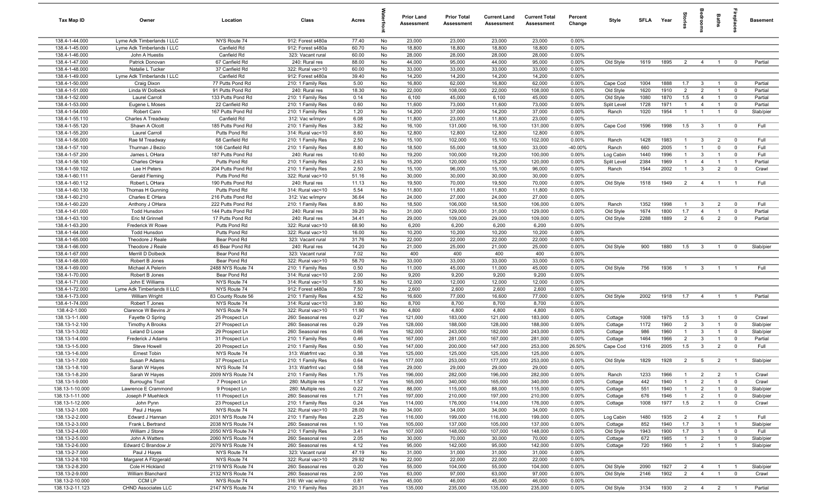| Tax Map ID                       | Owner                                         | Location                               | Class                                  | Acres          |            | <b>Prior Land</b><br><b>Assessment</b> | <b>Prior Total</b><br>Assessment | <b>Current Land</b><br>Assessment | <b>Current Total</b><br><b>Assessment</b> | Percent<br>Change | Style              | SFLA        | Year         | ğ                            | å                                | Baths                            | e <sub>pd</sub> e                | <b>Basement</b>        |
|----------------------------------|-----------------------------------------------|----------------------------------------|----------------------------------------|----------------|------------|----------------------------------------|----------------------------------|-----------------------------------|-------------------------------------------|-------------------|--------------------|-------------|--------------|------------------------------|----------------------------------|----------------------------------|----------------------------------|------------------------|
| 138.4-1-44.000                   | Lyme Adk Timberlands I LLC                    | NYS Route 74                           | 912: Forest s480a                      | 77.40          | No         | 23,000                                 | 23,000                           | 23,000                            | 23,000                                    | 0.00%             |                    |             |              |                              |                                  |                                  |                                  |                        |
| 138.4-1-45.000                   | Lyme Adk Timberlands I LLC                    | Canfield Rd                            | 912: Forest s480a                      | 60.70          | No         | 18,800                                 | 18,800                           | 18,800                            | 18,800                                    | 0.00%             |                    |             |              |                              |                                  |                                  |                                  |                        |
| 138.4-1-46.000                   | John A Huestis                                | Canfield Rd                            | 323: Vacant rural                      | 60.00          | No         | 28,000                                 | 28,000                           | 28,000                            | 28,000                                    | 0.00%             |                    |             |              |                              |                                  |                                  |                                  |                        |
| 138.4-1-47.000<br>138.4-1-48.000 | Patrick Donovan<br>Natalie L Tucker           | 67 Canfield Rd<br>37 Canfield Rd       | 240: Rural res<br>322: Rural vac>10    | 88.00<br>60.00 | No         | 44,000<br>33,000                       | 95,000<br>33,000                 | 44,000<br>33,000                  | 95,000                                    | 0.00%<br>0.00%    | Old Style          | 1619        | 1895         | $\overline{2}$               | $\overline{4}$                   | $\overline{1}$                   | $\overline{0}$                   | Partial                |
| 138.4-1-49.000                   | Lyme Adk Timberlands I LLC                    | Canfield Rd                            | 912: Forest s480a                      | 39.40          | No<br>No   | 14,200                                 | 14,200                           | 14,200                            | 33,000<br>14,200                          | 0.00%             |                    |             |              |                              |                                  |                                  |                                  |                        |
| 138.4-1-50.000                   | Craig Dixon                                   | 77 Putts Pond Rd                       | 210: 1 Family Res                      | 5.00           | No         | 16,800                                 | 62,000                           | 16,800                            | 62,000                                    | 0.00%             | Cape Cod           | 1004        | 1888         | 1.7                          | $\mathbf{3}$                     | $\overline{1}$                   | $\overline{0}$                   | Partial                |
| 138.4-1-51.000                   | Linda W Dolbeck                               | 91 Putts Pond Rd                       | 240: Rural res                         | 18.30          | No         | 22,000                                 | 108,000                          | 22,000                            | 108,000                                   | 0.00%             | Old Style          | 1620        | 1910         | $\overline{2}$               | $\overline{2}$                   | $\overline{1}$                   | $\overline{0}$                   | Partial                |
| 138.4-1-52.000                   | Laurel Carroll                                | 133 Putts Pond Rd                      | 210: 1 Family Res                      | 0.14           | No         | 6,100                                  | 45,000                           | 6,100                             | 45,000                                    | 0.00%             | Old Style          | 1080        | 1870         | 1.5                          | $\overline{4}$                   | $\overline{1}$                   | $\overline{\mathbf{0}}$          | Partial                |
| 138.4-1-53.000                   | Eugene L Moses                                | 22 Canfield Rd                         | 210: 1 Family Res                      | 0.60           | No         | 11,600                                 | 73,000                           | 11,600                            | 73,000                                    | 0.00%             | Split Level        | 1728        | 1971         | $\overline{1}$               | $\overline{4}$                   | $\overline{1}$                   | $\mathbf 0$                      | Partial                |
| 138.4-1-54.000                   | Robert Cann                                   | 167 Putts Pond Rd                      | 210: 1 Family Res                      | 1.20           | No         | 14,200                                 | 37,000                           | 14,200                            | 37,000                                    | 0.00%             | Ranch              | 1020        | 1954         | $\overline{1}$               | $\overline{1}$                   | $\overline{1}$                   | $\overline{0}$                   | Slab/pier              |
| 138.4-1-55.110                   | Charles A Treadway                            | Canfield Rd                            | 312: Vac w/imprv                       | 6.08           | No         | 11,800                                 | 23,000                           | 11,800                            | 23,000                                    | 0.00%             |                    |             |              |                              |                                  |                                  |                                  |                        |
| 138.4-1-55.120                   | Shawn A Olcott                                | 185 Putts Pond Rd                      | 210: 1 Family Res                      | 3.82           | No         | 16,100                                 | 131,000                          | 16,100                            | 131,000                                   | 0.00%             | Cape Cod           | 1596        | 1998         | 1.5                          | $\overline{\mathbf{3}}$          | $\overline{1}$                   | $\mathbf{0}$                     | Full                   |
| 138.4-1-55.200                   | Laurel Carroll                                | Putts Pond Rd                          | 314: Rural vac<10                      | 8.60           | No         | 12,800                                 | 12,800                           | 12,800                            | 12,800                                    | 0.00%             |                    |             |              |                              |                                  |                                  |                                  |                        |
| 138.4-1-56.000<br>138.4-1-57.100 | Rae M Treadway<br>Thurman J Bezio             | 68 Canfield Rd<br>106 Canfield Rd      | 210: 1 Family Res<br>210: 1 Family Res | 2.50<br>8.80   | No<br>No   | 15,100<br>18,500                       | 102,000<br>55,000                | 15,100<br>18,500                  | 102,000<br>33,000                         | 0.00%<br>-40.00%  | Ranch<br>Ranch     | 1428<br>660 | 1983<br>2005 | $\mathbf{1}$<br>$\mathbf{1}$ | $\mathbf{3}$<br>$\overline{1}$   | $\overline{2}$<br>$\mathbf 0$    | $\overline{0}$<br>$\mathbf 0$    | Full<br>Full           |
| 138.4-1-57.200                   | James L OHara                                 | 187 Putts Pond Rd                      | 240: Rural res                         | 10.60          | No         | 19,200                                 | 100,000                          | 19,200                            | 100,000                                   | 0.00%             | Log Cabin          | 1440        | 1996         | $\overline{1}$               | 3                                | $\overline{1}$                   | $\Omega$                         | Full                   |
| 138.4-1-58.100                   | Charles OHara                                 | Putts Pond Rd                          | 210: 1 Family Res                      | 2.63           | No         | 15,200                                 | 120,000                          | 15,200                            | 120,000                                   | 0.00%             | Split Level        | 2384        | 1969         | $\overline{1}$               | $\overline{4}$                   | $\overline{1}$                   | $\overline{1}$                   | Partial                |
| 138.4-1-59.102                   | Lee H Peters                                  | 204 Putts Pond Rd                      | 210: 1 Family Res                      | 2.50           | No         | 15,100                                 | 96,000                           | 15,100                            | 96,000                                    | 0.00%             | Ranch              | 1544        | 2002         | $\mathbf{1}$                 | $\mathbf{3}$                     | $\overline{2}$                   | $\Omega$                         | Crawl                  |
| 138.4-1-60.111                   | Gerald Fleming                                | Putts Pond Rd                          | 322: Rural vac>10                      | 51.16          | No         | 30,000                                 | 30,000                           | 30,000                            | 30,000                                    | 0.00%             |                    |             |              |                              |                                  |                                  |                                  |                        |
| 138.4-1-60.112                   | Robert L OHara                                | 190 Putts Pond Rd                      | 240: Rural res                         | 11.13          | No         | 19,500                                 | 70,000                           | 19,500                            | 70,000                                    | 0.00%             | Old Style          | 1518        | 1949         | $\overline{2}$               | $\overline{4}$                   | $\overline{1}$                   | $\overline{1}$                   | Full                   |
| 138.4-1-60.130                   | Thomas H Gunning                              | Putts Pond Rd                          | 314: Rural vac<10                      | 5.54           | No         | 11,800                                 | 11,800                           | 11,800                            | 11,800                                    | 0.00%             |                    |             |              |                              |                                  |                                  |                                  |                        |
| 138.4-1-60.210                   | Charles E OHara                               | 216 Putts Pond Rd                      | 312: Vac w/imprv                       | 36.64          | No         | 24,000                                 | 27,000                           | 24,000                            | 27,000                                    | 0.00%             |                    |             |              |                              |                                  |                                  |                                  |                        |
| 138.4-1-60.220                   | Anthony J OHara                               | 222 Putts Pond Rd                      | 210: 1 Family Res                      | 8.80           | No         | 18,500                                 | 106,000                          | 18,500                            | 106,000                                   | 0.00%             | Ranch              | 1352        | 1998         | $\overline{1}$               | $\mathbf{3}$                     | $\overline{2}$                   | $\mathbf{0}$                     | Full                   |
| 138.4-1-61.000                   | <b>Todd Hunsdon</b>                           | 144 Putts Pond Rd                      | 240: Rural res                         | 39.20          | No         | 31,000                                 | 129,000                          | 31,000                            | 129,000                                   | 0.00%             | Old Style          | 1674        | 1800         | 1.7                          | $\overline{4}$                   | $\overline{1}$                   | $\overline{0}$                   | Partial                |
| 138.4-1-63.100<br>138.4-1-63.200 | Eric M Grinnell<br>Frederick W Rowe           | 17 Putts Pond Rd<br>Putts Pond Rd      | 240: Rural res<br>322: Rural vac>10    | 34.41<br>68.90 | No<br>No   | 29,000<br>6,200                        | 109,000<br>6,200                 | 29,000<br>6,200                   | 109,000<br>6,200                          | 0.00%<br>0.00%    | Old Style          | 2288        | 1889         | $\overline{2}$               | 6                                | $\overline{2}$                   | $\overline{0}$                   | Partial                |
| 138.4-1-64.000                   | Todd Hunsdon                                  | Putts Pond Rd                          | 322: Rural vac>10                      | 16.00          | No         | 10,200                                 | 10,200                           | 10,200                            | 10,200                                    | 0.00%             |                    |             |              |                              |                                  |                                  |                                  |                        |
| 138.4-1-65.000                   | Theodore J Reale                              | Bear Pond Rd                           | 323: Vacant rural                      | 31.76          | No         | 22,000                                 | 22,000                           | 22,000                            | 22,000                                    | 0.00%             |                    |             |              |                              |                                  |                                  |                                  |                        |
| 138.4-1-66.000                   | Theodore J Reale                              | 45 Bear Pond Rd                        | 240: Rural res                         | 14.20          | No         | 21,000                                 | 25,000                           | 21,000                            | 25,000                                    | 0.00%             | Old Style          | 900         | 1880         | 1.5                          | $\mathbf{3}$                     | $\overline{1}$                   | $\mathbf 0$                      | Slab/pier              |
| 138.4-1-67.000                   | Merrill D Dolbeck                             | Bear Pond Rd                           | 323: Vacant rural                      | 7.02           | No         | 400                                    | 400                              | 400                               | 400                                       | 0.00%             |                    |             |              |                              |                                  |                                  |                                  |                        |
| 138.4-1-68.000                   | Robert B Jones                                | Bear Pond Rd                           | 322: Rural vac>10                      | 58.70          | No         | 33,000                                 | 33,000                           | 33,000                            | 33,000                                    | 0.00%             |                    |             |              |                              |                                  |                                  |                                  |                        |
| 138.4-1-69.000                   | Michael A Pelerin                             | 2488 NYS Route 74                      | 210: 1 Family Res                      | 0.50           | No         | 11,000                                 | 45,000                           | 11,000                            | 45,000                                    | 0.00%             | Old Style          | 756         | 1936         | $\overline{1}$               | $\mathbf{3}$                     | $\overline{1}$                   |                                  | Full                   |
| 138.4-1-70.000                   | Robert B Jones                                | Bear Pond Rd                           | 314: Rural vac<10                      | 2.00           | No         | 9,200                                  | 9,200                            | 9,200                             | 9,200                                     | 0.00%             |                    |             |              |                              |                                  |                                  |                                  |                        |
| 138.4-1-71.000                   | John E Williams                               | NYS Route 74                           | 314: Rural vac<10                      | 5.80           | No         | 12,000                                 | 12,000                           | 12,000                            | 12,000                                    | 0.00%             |                    |             |              |                              |                                  |                                  |                                  |                        |
| 138.4-1-72.000<br>138.4-1-73.000 | Lyme Adk Timberlands II LLC<br>William Wright | NYS Route 74<br>83 County Route 56     | 912: Forest s480a<br>210: 1 Family Res | 7.50<br>4.52   | No<br>No   | 2,600<br>16,600                        | 2,600<br>77,000                  | 2,600<br>16,600                   | 2,600<br>77,000                           | 0.00%<br>0.00%    | Old Style          | 2002        | 1918         | 1.7                          | $\overline{4}$                   | $\overline{1}$                   | $\mathbf{1}$                     | Partial                |
| 138.4-1-74.000                   | Robert T Jones                                | NYS Route 74                           | 314: Rural vac<10                      | 3.80           | No         | 8,700                                  | 8,700                            | 8,700                             | 8,700                                     | 0.00%             |                    |             |              |                              |                                  |                                  |                                  |                        |
| 138.4-2-1.000                    | Clarence W Bevins Jr                          | NYS Route 74                           | 322: Rural vac>10                      | 11.90          | No         | 4,800                                  | 4,800                            | 4,800                             | 4,800                                     | 0.00%             |                    |             |              |                              |                                  |                                  |                                  |                        |
| 138.13-1-1.000                   | Fayette O Spring                              | 25 Prospect Ln                         | 260: Seasonal res                      | 0.27           | Yes        | 121,000                                | 183,000                          | 121,000                           | 183,000                                   | 0.00%             | Cottage            | 1008        | 1975         | 1.5                          | $\mathbf{3}$                     | $\overline{1}$                   | $\mathbf 0$                      | Crawl                  |
| 138.13-1-2.100                   | <b>Timothy A Brooks</b>                       | 27 Prospect Ln                         | 260: Seasonal res                      | 0.29           | Yes        | 128,000                                | 188,000                          | 128,000                           | 188,000                                   | 0.00%             | Cottage            | 1172        | 1960         | $\overline{2}$               | $\mathbf{3}$                     | $\overline{1}$                   | $\overline{0}$                   | Slab/pier              |
| 138.13-1-3.002                   | Leland D Loose                                | 29 Prospect Ln                         | 260: Seasonal res                      | 0.66           | Yes        | 182,000                                | 243,000                          | 182,000                           | 243,000                                   | 0.00%             | Cottage            | 986         | 1960         | $\mathbf{1}$                 | $\mathbf{3}$                     | $\overline{1}$                   | $\overline{0}$                   | Slab/pier              |
| 138.13-1-4.000                   | Frederick J Adams                             | 31 Prospect Ln                         | 210: 1 Family Res                      | 0.46           | Yes        | 167,000                                | 281,000                          | 167,000                           | 281,000                                   | 0.00%             | Cottage            | 1464        | 1966         | 2                            | $\mathbf{3}$                     | - 1                              | $\Omega$                         | Partial                |
| 138.13-1-5.000                   | Steve Howell                                  | 20 Prospect Ln                         | 210: 1 Family Res                      | 0.50           | Yes        | 147,000                                | 200,000                          | 147,000                           | 253,000                                   | 26.50%            | Cape Cod           | 1316        | 2005         | 1.5                          | $\mathbf{3}$                     | $\overline{2}$                   | $\Omega$                         | Full                   |
| 138.13-1-6.000                   | <b>Ernest Tobin</b>                           | NYS Route 74                           | 313: Watrfrnt vac                      | 0.38           | Yes        | 125,000                                | 125,000                          | 125,000                           | 125,000                                   | 0.00%             |                    |             |              |                              |                                  |                                  |                                  |                        |
| 138.13-1-7.000<br>138.13-1-8.100 | Susan P Adams<br>Sarah W Hayes                | 37 Prospect Ln<br>NYS Route 74         | 210: 1 Family Res<br>313: Watrfrnt vac | 0.64<br>0.58   | Yes<br>Yes | 177,000<br>29,000                      | 253,000<br>29,000                | 177,000<br>29,000                 | 253,000<br>29,000                         | 0.00%<br>0.00%    | Old Style          | 1829        | 1928         | $\overline{2}$               | 5                                | $\overline{2}$                   | $\overline{1}$                   | Slab/pier              |
| 138.13-1-8.200                   | Sarah W Hayes                                 | 2009 NYS Route 74                      | 210: 1 Family Res                      | 1.75           | Yes        | 196,000                                | 282,000                          | 196,000                           | 282,000                                   | 0.00%             | Ranch              | 1233        | 1966         | $\overline{1}$               | $\overline{2}$                   | $\overline{2}$                   | $\overline{1}$                   | Crawl                  |
| 138.13-1-9.000                   | <b>Burroughs Trust</b>                        | 7 Prospect Ln                          | 280: Multiple res                      | 1.57           | Yes        | 165,000                                | 340,000                          | 165,000                           | 340,000                                   | 0.00%             | Cottage            | 442         | 1940         | $\mathbf{1}$                 | $\overline{2}$                   | $\overline{1}$                   | $\mathbf 0$                      | Crawl                  |
| 138.13-1-10.000                  | Lawrence E Crammond                           | 9 Prospect Ln                          | 280: Multiple res                      | 0.22           | Yes        | 88,000                                 | 115,000                          | 88,000                            | 115,000                                   | 0.00%             | Cottage            | 551         | 1940         | $\mathbf{1}$                 | $\overline{2}$                   | $\overline{1}$                   | $\overline{0}$                   | Slab/pier              |
| 138.13-1-11.000                  | Joseph P Muehleck                             | 11 Prospect Ln                         | 260: Seasonal res                      | 1.71           | Yes        | 197,000                                | 210,000                          | 197,000                           | 210,000                                   | 0.00%             | Cottage            | 676         | 1946         | $\mathbf{1}$                 | $\overline{2}$                   | $\overline{1}$                   | $\overline{0}$                   | Slab/pier              |
| 138.13-1-12.000                  | John Pynn                                     | 23 Prospect Ln                         | 210: 1 Family Res                      | 0.24           | Yes        | 114,000                                | 176,000                          | 114,000                           | 176,000                                   | 0.00%             | Cottage            | 1008        | 1977         | 1.5                          | $\overline{2}$                   | $\overline{1}$                   | $\overline{0}$                   | Crawl                  |
| 138.13-2-1.000                   | Paul J Hayes                                  | NYS Route 74                           | 322: Rural vac>10                      | 28.00          | No         | 34,000                                 | 34,000                           | 34,000                            | 34,000                                    | 0.00%             |                    |             |              |                              |                                  |                                  |                                  |                        |
| 138.13-2-2.000                   | Edward J Hannan                               | 2031 NYS Route 74                      | 210: 1 Family Res                      | 2.25           | Yes        | 116,000                                | 199,000                          | 116,000                           | 199,000                                   | 0.00%             | Log Cabin          | 1480        | 1935         | $\overline{2}$               | $\overline{4}$                   | $\overline{2}$                   | $\overline{1}$                   | Full                   |
| 138.13-2-3.000                   | Frank L Bertrand                              | 2038 NYS Route 74                      | 260: Seasonal res                      | 1.10           | Yes        | 105,000                                | 137,000                          | 105,000                           | 137,000                                   | 0.00%             | Cottage            | 852         | 1940         | 1.7                          | $\overline{\mathbf{3}}$          | $\overline{1}$                   | $\overline{1}$                   | Slab/pier              |
| 138.13-2-4.000<br>138.13-2-5.000 | William J Stone                               | 2050 NYS Route 74<br>2060 NYS Route 74 | 210: 1 Family Res<br>260: Seasonal res | 3.41<br>2.05   | Yes<br>No  | 107,000<br>30,000                      | 148,000<br>70,000                | 107,000<br>30,000                 | 148,000<br>70,000                         | 0.00%<br>0.00%    | Old Style          | 1943<br>672 | 1900<br>1985 | 1.7<br>$\overline{1}$        | $\mathbf{3}$                     | $\overline{1}$<br>$\overline{1}$ | $\mathbf 0$                      | Full                   |
| 138.13-2-6.000                   | John A Watters<br>Edward C Brandow Jr         | 2079 NYS Route 74                      | 260: Seasonal res                      | 4.12           | Yes        | 95,000                                 | 142,000                          | 95,000                            | 142,000                                   | 0.00%             | Cottage<br>Cottage | 720         | 1960         | $\overline{1}$               | $\overline{2}$<br>$\overline{2}$ | $\overline{1}$                   | $\overline{0}$<br>$\overline{1}$ | Slab/pier<br>Slab/pier |
| 138.13-2-7.000                   | Paul J Hayes                                  | NYS Route 74                           | 323: Vacant rural                      | 47.19          | No         | 31,000                                 | 31,000                           | 31,000                            | 31,000                                    | 0.00%             |                    |             |              |                              |                                  |                                  |                                  |                        |
| 138.13-2-8.100                   | Margaret A Fitzgerald                         | NYS Route 74                           | 322: Rural vac>10                      | 29.92          | No         | 22,000                                 | 22,000                           | 22,000                            | 22,000                                    | 0.00%             |                    |             |              |                              |                                  |                                  |                                  |                        |
| 138.13-2-8.200                   | Cole H Hickland                               | 2119 NYS Route 74                      | 260: Seasonal res                      | 0.20           | Yes        | 55,000                                 | 104,000                          | 55,000                            | 104,000                                   | 0.00%             | Old Style          | 2090        | 1927         | $\overline{2}$               | $\overline{4}$                   | $\overline{1}$                   | $\overline{1}$                   | Slab/pier              |
| 138.13-2-9.000                   | William Blanchard                             | 2132 NYS Route 74                      | 260: Seasonal res                      | 2.00           | Yes        | 63,000                                 | 97,000                           | 63,000                            | 97,000                                    | 0.00%             | Old Style          | 2146        | 1902         | $\overline{2}$               | $\overline{4}$                   | $\overline{1}$                   | $\overline{0}$                   | Crawl                  |
| 138.13-2-10.000                  | CCM LP                                        | NYS Route 74                           | 316: Wr vac w/imp                      | 0.81           | Yes        | 45,000                                 | 46,000                           | 45,000                            | 46,000                                    | 0.00%             |                    |             |              |                              |                                  |                                  |                                  |                        |
| 138.13-2-11.123                  | CHND Associates LLC                           | 2147 NYS Route 74                      | 210: 1 Family Res                      | 20.31          | Yes        | 135,000                                | 235,000                          | 135,000                           | 235,000                                   | 0.00%             | Old Style          | 3134        | 1930         |                              | 2 4 2                            |                                  | $\blacksquare$                   | Partial                |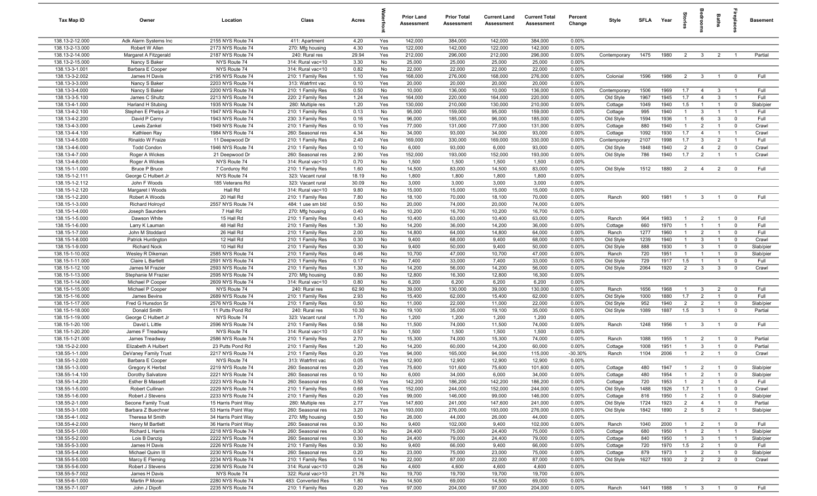| Tax Map ID                         | Owner                                        | Location                               | Class                                   | Acres          |            | <b>Prior Land</b><br>Assessment | <b>Prior Total</b><br>Assessment | <b>Current Land</b><br><b>Assessment</b> | <b>Current Total</b><br><b>Assessment</b> | Percent<br>Change | Style              | <b>SFLA</b> | Year         | Stories                          | ledroo                           | Baths                            | <b>G</b> bla                     | <b>Basement</b>   |
|------------------------------------|----------------------------------------------|----------------------------------------|-----------------------------------------|----------------|------------|---------------------------------|----------------------------------|------------------------------------------|-------------------------------------------|-------------------|--------------------|-------------|--------------|----------------------------------|----------------------------------|----------------------------------|----------------------------------|-------------------|
| 138.13-2-12.000                    | Adk Alarm Systems Inc                        | 2155 NYS Route 74                      | 411: Apartment                          | 4.20           | Yes        | 142,000                         | 384,000                          | 142,000                                  | 384,000                                   | 0.00%             |                    |             |              |                                  |                                  |                                  |                                  |                   |
| 138.13-2-13.000                    | Robert W Allen                               | 2173 NYS Route 74                      | 270: Mfg housing                        | 4.30           | Yes        | 122,000                         | 142,000                          | 122,000                                  | 142,000                                   | 0.00%             |                    |             |              |                                  |                                  |                                  |                                  |                   |
| 138.13-2-14.000                    | Margaret A Fitzgerald                        | 2187 NYS Route 74                      | 240: Rural res                          | 29.94          | Yes        | 212,000                         | 296,000                          | 212,000                                  | 296,000                                   | 0.00%             | Contemporary       | 1475        | 1980         | $\overline{2}$                   | $\overline{\mathbf{3}}$          | 2                                | $\blacksquare$                   | Partial           |
| 138.13-2-15.000                    | Nancy S Baker                                | NYS Route 74                           | 314: Rural vac<10                       | 3.30           | No         | 25,000                          | 25,000                           | 25,000                                   | 25,000                                    | 0.00%             |                    |             |              |                                  |                                  |                                  |                                  |                   |
| 138.13-3-1.001                     | Barbara E Cooper                             | NYS Route 74                           | 314: Rural vac<10                       | 0.82           | No         | 22,000                          | 22,000                           | 22,000                                   | 22,000                                    | 0.00%             |                    |             |              |                                  |                                  |                                  |                                  |                   |
| 138.13-3-2.002<br>138.13-3-3.000   | James H Davis<br>Nancy S Baker               | 2195 NYS Route 74<br>2203 NYS Route 74 | 210: 1 Family Res<br>313: Watrfrnt vac  | 1.10<br>0.10   | Yes<br>Yes | 168,000<br>20,000               | 276,000<br>20,000                | 168,000<br>20,000                        | 276,000<br>20,000                         | 0.00%<br>0.00%    | Colonial           | 1596        | 1986         | 2                                | $\mathbf{3}$                     | $\overline{1}$                   | $\overline{0}$                   | Full              |
| 138.13-3-4.000                     | Nancy S Baker                                | 2200 NYS Route 74                      | 210: 1 Family Res                       | 0.50           | No         | 10,000                          | 136,000                          | 10,000                                   | 136,000                                   | 0.00%             | Contemporary       | 1506        | 1969         | 1.7                              | $\overline{4}$                   | $\mathbf{3}$                     | $\overline{1}$                   | Full              |
| 138.13-3-5.100                     | James C Shultz                               | 2213 NYS Route 74                      | 220: 2 Family Res                       | 1.24           | Yes        | 164,000                         | 220,000                          | 164,000                                  | 220,000                                   | 0.00%             | Old Style          | 1967        | 1945         | 1.7                              | $\overline{4}$                   | $\mathbf{3}$                     | $\overline{1}$                   | Full              |
| 138.13-4-1.000                     | Harland H Stubing                            | 1935 NYS Route 74                      | 280: Multiple res                       | 1.20           | Yes        | 130,000                         | 210,000                          | 130,000                                  | 210,000                                   | 0.00%             | Cottage            | 1049        | 1940         | 1.5                              | $\mathbf{1}$                     | $\overline{1}$                   | $\mathbf 0$                      | Slab/pier         |
| 138.13-4-2.100                     | Stephen E Phelps Jr                          | 1947 NYS Route 74                      | 210: 1 Family Res                       | 0.13           | No         | 95,000                          | 159,000                          | 95,000                                   | 159,000                                   | 0.00%             | Cottage            | 995         | 1940         | $\overline{1}$                   | $\mathbf{3}$                     | $\overline{1}$                   | $\overline{1}$                   | Full              |
| 138.13-4-2.200                     | David P Cerny                                | 1943 NYS Route 74                      | 230: 3 Family Res                       | 0.16           | Yes        | 96,000                          | 185,000                          | 96,000                                   | 185,000                                   | 0.00%             | Old Style          | 1594        | 1936         | $\overline{1}$                   | 6                                | $\mathbf{3}$                     | $\overline{0}$                   | Full              |
| 138.13-4-3.000                     | Lewis Zankel                                 | 1949 NYS Route 74                      | 210: 1 Family Res                       | 0.10           | Yes        | 77,000                          | 131,000                          | 77,000                                   | 131,000                                   | 0.00%             | Cottage            | 880         | 1940         | $\overline{1}$                   | $\overline{2}$                   | $\overline{1}$                   | $\overline{0}$                   | Crawl             |
| 138.13-4-4.100                     | Kathleen Ray                                 | 1984 NYS Route 74                      | 260: Seasonal res                       | 4.34           | No         | 34,000                          | 93,000                           | 34,000                                   | 93,000                                    | 0.00%             | Cottage            | 1092        | 1930         | 1.7                              | $\overline{4}$                   | $\overline{1}$                   | $\overline{1}$                   | Crawl             |
| 138.13-4-5.000                     | Rinaldo W Fraize                             | 11 Deepwood Dr                         | 210: 1 Family Res                       | 2.40           | Yes        | 169,000                         | 330,000                          | 169,000                                  | 330,000                                   | 0.00%             | Contemporary       | 2107        | 1998         | 1.7                              | $\mathbf{3}$                     | $\overline{2}$                   | $\overline{1}$                   | Full              |
| 138.13-4-6.000                     | <b>Todd Condon</b>                           | 1946 NYS Route 74                      | 210: 1 Family Res                       | 0.10           | No         | 6,000                           | 93,000                           | 6,000                                    | 93,000                                    | 0.00%             | Old Style          | 1848        | 1940         | $\overline{2}$                   | $\overline{4}$                   | $\overline{2}$                   | $\overline{0}$                   | Crawl             |
| 138.13-4-7.000                     | Roger A Wickes                               | 21 Deepwood Dr                         | 260: Seasonal res                       | 2.90           | Yes        | 152,000                         | 193,000                          | 152,000                                  | 193,000                                   | 0.00%             | Old Style          | 786         | 1940         | 1.7                              | $\overline{2}$                   | $\overline{1}$                   | $\overline{1}$                   | Crawl             |
| 138.13-4-8.000                     | Roger A Wickes                               | NYS Route 74                           | 314: Rural vac<10                       | 0.70           | No         | 1,500                           | 1,500                            | 1,500                                    | 1,500                                     | 0.00%             |                    |             |              |                                  |                                  |                                  |                                  |                   |
| 138.15-1-1.000                     | <b>Bruce P Bruce</b>                         | 7 Corduroy Rd                          | 210: 1 Family Res                       | 1.60           | No<br>No   | 14,500                          | 83,000                           | 14,500                                   | 83,000                                    | 0.00%             | Old Style          | 1512        | 1880         | $\overline{2}$                   | $\overline{4}$                   | $\overline{2}$                   | $\overline{0}$                   | Full              |
| 138.15-1-2.111<br>138.15-1-2.112   | George C Hulbert Jr<br>John F Woods          | NYS Route 74<br>185 Veterans Rd        | 323: Vacant rural<br>323: Vacant rural  | 18.19<br>30.09 | No         | 1,800<br>3,000                  | 1,800<br>3,000                   | 1,800<br>3,000                           | 1,800<br>3,000                            | 0.00%<br>0.00%    |                    |             |              |                                  |                                  |                                  |                                  |                   |
| 138.15-1-2.120                     | Margaret I Woods                             | Hall Rd                                | 314: Rural vac<10                       | 9.80           | No         | 15,000                          | 15,000                           | 15,000                                   | 15,000                                    | 0.00%             |                    |             |              |                                  |                                  |                                  |                                  |                   |
| 138.15-1-2.200                     | Robert A Woods                               | 20 Hall Rd                             | 210: 1 Family Res                       | 7.80           | No         | 18,100                          | 70,000                           | 18,100                                   | 70,000                                    | 0.00%             | Ranch              | 900         | 1981         | $\overline{1}$                   | $\mathbf{3}$                     | $\overline{1}$                   | $\overline{0}$                   | Full              |
| 138.15-1-3.000                     | <b>Richard Holroyd</b>                       | 2557 NYS Route 74                      | 484: 1 use sm bld                       | 0.50           | No         | 20,000                          | 74,000                           | 20,000                                   | 74,000                                    | 0.00%             |                    |             |              |                                  |                                  |                                  |                                  |                   |
| 138.15-1-4.000                     | Joseph Saunders                              | 7 Hall Rd                              | 270: Mfg housing                        | 0.40           | No         | 10,200                          | 16,700                           | 10,200                                   | 16,700                                    | 0.00%             |                    |             |              |                                  |                                  |                                  |                                  |                   |
| 138.15-1-5.000                     | Dawson White                                 | 15 Hall Rd                             | 210: 1 Family Res                       | 0.43           | No         | 10,400                          | 63,000                           | 10,400                                   | 63,000                                    | 0.00%             | Ranch              | 964         | 1983         | $\overline{1}$                   | $\overline{2}$                   | $\overline{1}$                   | $\overline{0}$                   | Full              |
| 138.15-1-6.000                     | Larry K Lauman                               | 48 Hall Rd                             | 210: 1 Family Res                       | 1.30           | No         | 14,200                          | 36,000                           | 14,200                                   | 36,000                                    | 0.00%             | Cottage            | 660         | 1970         | $\overline{1}$                   | $\overline{1}$                   | $\overline{1}$                   | $\mathbf{0}$                     | Full              |
| 138.15-1-7.000                     | John M Stoddard                              | 26 Hall Rd                             | 210: 1 Family Res                       | 2.00           | No         | 14,800                          | 64,000                           | 14,800                                   | 64,000                                    | 0.00%             | Ranch              | 1277        | 1960         | $\overline{1}$                   | $\overline{2}$                   | $\overline{1}$                   | $\Omega$                         | Full              |
| 138.15-1-8.000                     | Patrick Huntington                           | 12 Hall Rd                             | 210: 1 Family Res                       | 0.30           | No         | 9,400                           | 68,000                           | 9,400                                    | 68,000                                    | 0.00%             | Old Style          | 1239        | 1940         | $\overline{1}$                   | $\mathbf{3}$                     | $\overline{1}$                   | $\overline{0}$                   | Crawl             |
| 138.15-1-9.000                     | <b>Richard Nock</b>                          | 10 Hall Rd                             | 210: 1 Family Res                       | 0.30           | No         | 9,400                           | 50,000                           | 9,400                                    | 50,000                                    | 0.00%             | Old Style          | 888         | 1930         | $\overline{1}$                   | $\mathbf{3}$                     | $\overline{1}$                   | $\overline{0}$                   | Slab/pier         |
| 138.15-1-10.002                    | Wesley R Dikeman                             | 2585 NYS Route 74                      | 210: 1 Family Res                       | 0.46           | No         | 10,700                          | 47,000                           | 10,700                                   | 47,000                                    | 0.00%             | Ranch              | 720         | 1951         | $\overline{1}$                   | $\mathbf{1}$                     | $\overline{1}$                   | $\mathbf 0$                      | Slab/pier         |
| 138.15-1-11.000                    | Claire L Bartlett                            | 2591 NYS Route 74                      | 210: 1 Family Res                       | 0.17           | No         | 7,400                           | 33,000                           | 7,400                                    | 33,000                                    | 0.00%             | Old Style          | 729         | 1917         | 1.5                              | $\mathbf{1}$                     | $\overline{1}$                   | $\mathbf 0$                      | Full              |
| 138.15-1-12.100                    | James M Frazier                              | 2593 NYS Route 74                      | 210: 1 Family Res                       | 1.30           | No         | 14,200<br>12,800                | 56,000                           | 14,200<br>12,800                         | 56,000                                    | 0.00%             | Old Style          | 2064        | 1920         | $\overline{2}$                   | $\overline{\mathbf{3}}$          | $\mathbf{3}$                     | $\mathbf 0$                      | Crawl             |
| 138.15-1-13.000<br>138.15-1-14.000 | Stephanie M Frazier<br>Michael P Cooper      | 2595 NYS Route 74<br>2609 NYS Route 74 | 270: Mfg housing<br>314: Rural vac<10   | 0.80<br>0.80   | No<br>No   | 6,200                           | 16,300<br>6,200                  | 6,200                                    | 16,300<br>6,200                           | 0.00%<br>0.00%    |                    |             |              |                                  |                                  |                                  |                                  |                   |
| 138.15-1-15.000                    | Michael P Cooper                             | NYS Route 74                           | 240: Rural res                          | 62.90          | No         | 39,000                          | 130,000                          | 39,000                                   | 130,000                                   | 0.00%             | Ranch              | 1656        | 1968         | $\overline{1}$                   | $\mathbf{3}$                     | $\overline{2}$                   | $\overline{0}$                   | Full              |
| 138.15-1-16.000                    | James Bevins                                 | 2689 NYS Route 74                      | 210: 1 Family Res                       | 2.93           | No         | 15,400                          | 62,000                           | 15,400                                   | 62,000                                    | 0.00%             | Old Style          | 1000        | 1880         | 1.7                              | 2                                | $\overline{1}$                   | $\overline{0}$                   | Full              |
| 138.15-1-17.000                    | Fred G Hunsdon Sr                            | 2576 NYS Route 74                      | 210: 1 Family Res                       | 0.50           | No         | 11,000                          | 22,000                           | 11,000                                   | 22,000                                    | 0.00%             | Old Style          | 952         | 1940         | $\overline{2}$                   | $\overline{2}$                   | $\overline{1}$                   | $\mathbf 0$                      | Slab/pier         |
| 138.15-1-18.000                    | Donald Smith                                 | 11 Putts Pond Rd                       | 240: Rural res                          | 10.30          | No         | 19,100                          | 35,000                           | 19,100                                   | 35,000                                    | 0.00%             | Old Style          | 1089        | 1887         | 1.5                              | $\mathbf{3}$                     | $\overline{1}$                   | $\overline{\mathbf{0}}$          | Partial           |
| 138.15-1-19.000                    | George C Hulbert Jr                          | NYS Route 74                           | 323: Vacant rural                       | 1.70           | No         | 1,200                           | 1,200                            | 1,200                                    | 1,200                                     | 0.00%             |                    |             |              |                                  |                                  |                                  |                                  |                   |
| 138.15-1-20.100                    | David L Little                               | 2596 NYS Route 74                      | 210: 1 Family Res                       | 0.58           | No         | 11,500                          | 74,000                           | 11,500                                   | 74,000                                    | 0.00%             | Ranch              | 1248        | 1956         | $\mathbf{1}$                     | $\mathbf{3}$                     | $\overline{1}$                   | $\Omega$                         | Full              |
| 138.15-1-20.200                    | James F Treadway                             | NYS Route 74                           | 314: Rural vac<10                       | 0.57           | No         | 1,500                           | 1,500                            | 1,500                                    | 1,500                                     | 0.00%             |                    |             |              |                                  |                                  |                                  |                                  |                   |
| 138.15-1-21.000                    | James Treadway                               | 2586 NYS Route 74                      | 210: 1 Family Res                       | 2.70           | No         | 15,300                          | 74,000                           | 15,300                                   | 74,000                                    | 0.00%             | Ranch              | 1088        | 1955         | $\overline{1}$                   | $\overline{2}$                   | $\overline{1}$                   | $\mathbf{0}$                     | Partial           |
| 138.15-2-2.000                     | Elizabeth A Hulbert                          | 23 Putts Pond Rd                       | 210: 1 Family Res                       | 1.20           | No         | 14,200                          | 60,000                           | 14,200                                   | 60,000                                    | 0.00%             | Cottage            | 1008        | 1951         | $\overline{1}$                   | $\mathbf{3}$                     | $\overline{1}$                   | $\mathbf 0$                      | Partial           |
| 138.55-1-1.000                     | DeVaney Family Trust                         | 2217 NYS Route 74                      | 210: 1 Family Res                       | 0.20           | Yes        | 94,000                          | 165,000                          | 94,000                                   | 115,000                                   | $-30.30%$         | Ranch              | 1104        | 2006         | $\overline{1}$                   | $\overline{2}$                   | $\overline{1}$                   | $\mathbf 0$                      | Crawl             |
| 138.55-1-2.000                     | Barbara E Cooper                             | NYS Route 74                           | 313: Watrfrnt vac                       | 0.05           | Yes        | 12,900                          | 12,900                           | 12,900                                   | 12,900                                    | 0.00%             |                    |             |              |                                  |                                  |                                  |                                  |                   |
| 138.55-1-3.000                     | Gregory K Herbst                             | 2219 NYS Route 74                      | 260: Seasonal res                       | 0.20           | Yes        | 75,600                          | 101,600                          | 75,600                                   | 101,600                                   | 0.00%             | Cottage            | 480         | 1947         |                                  |                                  |                                  |                                  | Siab/pier         |
| 138.55-1-4.100<br>138.55-1-4.200   | Dorothy Salvatore<br><b>Esther B Massett</b> | 2221 NYS Route 74<br>2223 NYS Route 74 | 260: Seasonal res<br>260: Seasonal res  | 0.10<br>0.50   | No<br>Yes  | 6,000<br>142,200                | 34,000<br>186,200                | 6,000<br>142,200                         | 34,000<br>186,200                         | 0.00%<br>0.00%    | Cottage<br>Cottage | 480<br>720  | 1954<br>1953 | $\overline{1}$<br>$\overline{1}$ | $\overline{2}$<br>$\overline{2}$ | $\overline{1}$<br>$\overline{1}$ | $\overline{0}$<br>$\overline{0}$ | Slab/pier<br>Full |
| 138.55-1-5.000                     | Robert Cullinan                              | 2229 NYS Route 74                      | 210: 1 Family Res                       | 0.68           | Yes        | 152,000                         | 244,000                          | 152,000                                  | 244,000                                   | 0.00%             | Old Style          | 1488        | 1926         | 1.7                              | $\overline{1}$                   | $\overline{1}$                   | $\overline{\mathbf{0}}$          | Crawl             |
| 138.55-1-6.000                     | Robert J Stevens                             | 2233 NYS Route 74                      | 210: 1 Family Res                       | 0.20           | Yes        | 99,000                          | 146,000                          | 99,000                                   | 146,000                                   | 0.00%             | Cottage            | 816         | 1950         | $\mathbf{1}$                     | $\overline{2}$                   | $\overline{1}$                   | $\mathbf 0$                      | Slab/pier         |
| 138.55-2-1.000                     | Secone Family Trust                          | 15 Harris Point Way                    | 280: Multiple res                       | 2.77           | Yes        | 147,600                         | 241,000                          | 147,600                                  | 241,000                                   | 0.00%             | Old Style          | 1724        | 1923         | $\overline{2}$                   | $\overline{4}$                   | $\overline{1}$                   | $\overline{0}$                   | Partial           |
| 138.55-3-1.000                     | Barbara Z Buechner                           | 53 Harris Point Way                    | 260: Seasonal res                       | 3.20           | Yes        | 193,000                         | 276,000                          | 193,000                                  | 276,000                                   | 0.00%             | Old Style          | 1842        | 1890         | $\overline{2}$                   | $5\overline{)}$                  | $\overline{2}$                   | $\overline{1}$                   | Slab/pier         |
| 138.55-4-1.002                     | Theresa M Smith                              | 34 Harris Point Way                    | 270: Mfg housing                        | 0.50           | No         | 26,000                          | 44,000                           | 26,000                                   | 44,000                                    | 0.00%             |                    |             |              |                                  |                                  |                                  |                                  |                   |
| 138.55-4-2.000                     | Henry M Bartlett                             | 36 Harris Point Way                    | 260: Seasonal res                       | 0.30           | No         | 9,400                           | 102,000                          | 9,400                                    | 102,000                                   | 0.00%             | Ranch              | 1040        | 2000         | $\overline{1}$                   | $\overline{2}$                   | $\overline{1}$                   | $\overline{0}$                   | Full              |
| 138.55-5-1.000                     | Richard L Harris                             | 2218 NYS Route 74                      | 260: Seasonal res                       | 0.30           | No         | 24,400                          | 75,000                           | 24,400                                   | 75,000                                    | 0.00%             | Cottage            | 680         | 1950         | $\overline{1}$                   | $\overline{2}$                   | $\overline{1}$                   | $\overline{1}$                   | Slab/pier         |
| 138.55-5-2.000                     | Lois B Danzig                                | 2222 NYS Route 74                      | 260: Seasonal res                       | 0.30           | No         | 24,400                          | 79,000                           | 24,400                                   | 79,000                                    | 0.00%             | Cottage            | 840         | 1950         | $\mathbf{1}$                     | $\mathbf{3}$                     | $\overline{1}$                   | $\overline{1}$                   | Slab/pier         |
| 138.55-5-3.000                     | James H Davis                                | 2226 NYS Route 74                      | 210: 1 Family Res                       | 0.30           | No         | 9,400                           | 66,000                           | 9,400                                    | 66,000                                    | 0.00%             | Cottage            | 720         | 1970         | 1.5                              | $\overline{2}$                   | $\overline{1}$                   | $\mathbf 0$                      | Full              |
| 138.55-5-4.000                     | Michael Quinn III                            | 2230 NYS Route 74                      | 260: Seasonal res                       | 0.20           | No         | 23,000                          | 75,000                           | 23,000                                   | 75,000                                    | 0.00%             | Cottage            | 879         | 1973         | $\mathbf{1}$                     | $\overline{2}$                   | $\overline{1}$                   | $\overline{0}$                   | Slab/pier         |
| 138.55-5-5.000                     | Marcy E Fleming                              | 2234 NYS Route 74                      | 210: 1 Family Res                       | 0.14           | No         | 22,000                          | 87,000                           | 22,000                                   | 87,000                                    | 0.00%             | Old Style          | 1627        | 1930         | $\overline{2}$                   | $\overline{2}$                   | $\overline{2}$                   | $\mathbf{0}$                     | Crawl             |
| 138.55-5-6.000                     | Robert J Stevens                             | 2236 NYS Route 74                      | 314: Rural vac<10                       | 0.26           | No         | 4,600                           | 4,600                            | 4,600                                    | 4,600                                     | 0.00%             |                    |             |              |                                  |                                  |                                  |                                  |                   |
| 138.55-5-7.002<br>138.55-6-1.000   | James H Davis<br>Martin P Moran              | NYS Route 74<br>2280 NYS Route 74      | 322: Rural vac>10<br>483: Converted Res | 21.76<br>1.80  | No<br>No   | 19,700<br>14,500                | 19,700<br>69,000                 | 19,700<br>14,500                         | 19,700<br>69,000                          | 0.00%<br>0.00%    |                    |             |              |                                  |                                  |                                  |                                  |                   |
| 138.55-7-1.007                     | John J Dipofi                                | 2235 NYS Route 74                      | 210: 1 Family Res                       | 0.20           | Yes        | 97,000                          | 204,000                          | 97,000                                   | 204,000                                   | 0.00%             | Ranch              | 1441        | 1988         |                                  |                                  | 1 3 1 0                          |                                  | Full              |
|                                    |                                              |                                        |                                         |                |            |                                 |                                  |                                          |                                           |                   |                    |             |              |                                  |                                  |                                  |                                  |                   |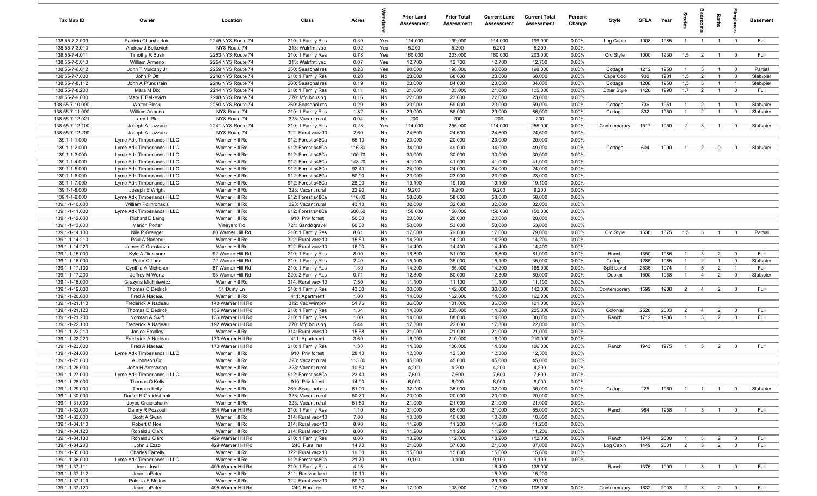| Tax Map ID                       | Owner                                          | Location                               | Class                                  | Acres           |          | <b>Prior Land</b><br>Assessment | <b>Prior Total</b><br><b>Assessment</b> | <b>Current Land</b><br><b>Assessment</b> | <b>Current Total</b><br><b>Assessment</b> | Percent<br>Change | Style                  | SFLA         | Year         | na<br>Fe       | å                              | Baths                            | elde                          | <b>Basement</b>   |
|----------------------------------|------------------------------------------------|----------------------------------------|----------------------------------------|-----------------|----------|---------------------------------|-----------------------------------------|------------------------------------------|-------------------------------------------|-------------------|------------------------|--------------|--------------|----------------|--------------------------------|----------------------------------|-------------------------------|-------------------|
| 138.55-7-2.009                   | Patricia Chamberlain                           | 2245 NYS Route 74                      | 210: 1 Family Res                      | 0.30            | Yes      | 114,000                         | 199,000                                 | 114,000                                  | 199,000                                   | 0.00%             | Log Cabin              | 1008         | 1985         | $\overline{1}$ | $\overline{1}$                 | $\overline{1}$                   | $\mathbf 0$                   | Full              |
| 138.55-7-3.010                   | Andrew J Belkevich                             | NYS Route 74                           | 313: Watrfrnt vac                      | 0.02            | Yes      | 5,200                           | 5,200                                   | 5,200                                    | 5,200                                     | 0.00%             |                        |              |              |                |                                |                                  |                               |                   |
| 138.55-7-4.011                   | Timothy R Bush                                 | 2253 NYS Route 74                      | 210: 1 Family Res                      | 0.78            | Yes      | 160,000                         | 203,000                                 | 160,000                                  | 203,000                                   | 0.00%             | Old Style              | 1000         | 1930         | 1.5            | $\overline{\mathbf{2}}$        | $\overline{1}$                   | $\overline{0}$                | Full              |
| 138.55-7-5.013                   | William Armeno                                 | 2254 NYS Route 74                      | 313: Watrfrnt vac                      | 0.07            | Yes      | 12,700                          | 12,700                                  | 12,700                                   | 12,700                                    | 0.00%             |                        |              |              |                |                                |                                  |                               |                   |
| 138.55-7-6.012                   | John T Mulcahy Jr                              | 2259 NYS Route 74                      | 260: Seasonal res                      | 0.28            | Yes      | 90,000                          | 198,000                                 | 90,000                                   | 198,000                                   | 0.00%             | Cottage                | 1212         | 1950         | $\overline{1}$ | $\mathbf{3}$                   | $\overline{1}$                   | $\overline{\mathbf{0}}$       | Partial           |
| 138.55-7-7.000<br>138.55-7-8.112 | John P Ott                                     | 2240 NYS Route 74                      | 210: 1 Family Res                      | 0.20            | No<br>No | 23,000                          | 68,000                                  | 23,000                                   | 68,000                                    | 0.00%<br>0.00%    | Cape Cod               | 930          | 1931<br>1950 | 1.5            | $\overline{2}$<br>$\mathbf{3}$ | $\overline{1}$<br>$\overline{1}$ | $\overline{0}$                | Slab/pier         |
| 138.55-7-8.200                   | John A Pfundstein<br>Mara M Dix                | 2246 NYS Route 74<br>2244 NYS Route 74 | 260: Seasonal res<br>210: 1 Family Res | 0.19<br>0.11    | No       | 23,000<br>21,000                | 84,000<br>105,000                       | 23,000<br>21,000                         | 84,000<br>105,000                         | 0.00%             | Cottage<br>Other Style | 1208<br>1428 | 1990         | 1.5<br>1.7     | $\overline{2}$                 | $\overline{1}$                   | $\overline{1}$<br>$\mathbf 0$ | Slab/pier<br>Full |
| 138.55-7-9.000                   | Mary E Belkevich                               | 2248 NYS Route 74                      | 270: Mfg housing                       | 0.16            | No       | 22,000                          | 23,000                                  | 22,000                                   | 23,000                                    | 0.00%             |                        |              |              |                |                                |                                  |                               |                   |
| 138.55-7-10.000                  | Walter Ploski                                  | 2250 NYS Route 74                      | 260: Seasonal res                      | 0.20            | No       | 23,000                          | 59,000                                  | 23,000                                   | 59,000                                    | 0.00%             | Cottage                | 736          | 1951         | $\overline{1}$ | $\overline{2}$                 | $\overline{1}$                   | $\overline{0}$                | Slab/pier         |
| 138.55-7-11.000                  | William Armeno                                 | NYS Route 74                           | 210: 1 Family Res                      | 1.82            | No       | 29,000                          | 86,000                                  | 29,000                                   | 86,000                                    | 0.00%             | Cottage                | 832          | 1950         | $\overline{1}$ | $\overline{2}$                 | $\overline{1}$                   | $\mathbf 0$                   | Slab/pier         |
| 138.55-7-12.021                  | Larry L Plac                                   | NYS Route 74                           | 323: Vacant rural                      | 0.04            | No       | 200                             | 200                                     | 200                                      | 200                                       | 0.00%             |                        |              |              |                |                                |                                  |                               |                   |
| 138.55-7-12.100                  | Joseph A Lazzaro                               | 2241 NYS Route 74                      | 210: 1 Family Res                      | 0.28            | Yes      | 114,000                         | 255,000                                 | 114,000                                  | 255,000                                   | 0.00%             | Contemporary           | 1517         | 1950         | $\overline{2}$ | $\mathbf{3}$                   | $\overline{1}$                   | $\mathbf 0$                   | Slab/pier         |
| 138.55-7-12.200                  | Joseph A Lazzaro                               | NYS Route 74                           | 322: Rural vac>10                      | 2.60            | No       | 24,600                          | 24,600                                  | 24,600                                   | 24,600                                    | 0.00%             |                        |              |              |                |                                |                                  |                               |                   |
| 139.1-1-1.000                    | Lyme Adk Timberlands II LLC                    | Warner Hill Rd                         | 912: Forest s480a                      | 65.10           | No       | 20,000                          | 20,000                                  | 20,000                                   | 20,000                                    | 0.00%             |                        |              |              |                |                                |                                  |                               |                   |
| 139.1-1-2.000                    | Lyme Adk Timberlands II LLC                    | Warner Hill Rd                         | 912: Forest s480a                      | 116.80          | No       | 34,000                          | 49,000                                  | 34,000                                   | 49,000                                    | 0.00%             | Cottage                | 504          | 1990         | $\overline{1}$ | $\overline{2}$                 | $\mathbf 0$                      | $\overline{0}$                | Slab/pier         |
| 139.1-1-3.000                    | Lyme Adk Timberlands II LLC                    | Warner Hill Rd                         | 912: Forest s480a                      | 100.70          | No       | 30,000                          | 30,000                                  | 30,000                                   | 30,000                                    | 0.00%             |                        |              |              |                |                                |                                  |                               |                   |
| 139.1-1-4.000                    | Lyme Adk Timberlands II LLC                    | Warner Hill Rd                         | 912: Forest s480a                      | 143.20          | No       | 41,000                          | 41,000                                  | 41,000                                   | 41,000                                    | 0.00%             |                        |              |              |                |                                |                                  |                               |                   |
| 139.1-1-5.000                    | Lyme Adk Timberlands II LLC                    | Warner Hill Rd                         | 912: Forest s480a                      | 92.40           | No       | 24,000                          | 24,000                                  | 24,000                                   | 24,000                                    | 0.00%             |                        |              |              |                |                                |                                  |                               |                   |
| 139.1-1-6.000                    | Lyme Adk Timberlands II LLC                    | Warner Hill Rd                         | 912: Forest s480a                      | 50.90           | No       | 23,000                          | 23,000                                  | 23,000                                   | 23,000                                    | 0.00%             |                        |              |              |                |                                |                                  |                               |                   |
| 139.1-1-7.000                    | Lyme Adk Timberlands II LLC                    | Warner Hill Rd                         | 912: Forest s480a                      | 28.00           | No       | 19,100                          | 19,100                                  | 19,100                                   | 19,100                                    | 0.00%             |                        |              |              |                |                                |                                  |                               |                   |
| 139.1-1-8.000<br>139.1-1-9.000   | Joseph E Wright<br>Lyme Adk Timberlands II LLC | Warner Hill Rd<br>Warner Hill Rd       | 323: Vacant rural<br>912: Forest s480a | 22.90<br>116.00 | No<br>No | 9,200<br>58,000                 | 9,200<br>58,000                         | 9,200<br>58,000                          | 9,200<br>58,000                           | 0.00%<br>0.00%    |                        |              |              |                |                                |                                  |                               |                   |
| 139.1-1-10.000                   | William Polihronakis                           | Warner Hill Rd                         | 323: Vacant rural                      | 43.40           | No       | 32,000                          | 32,000                                  | 32,000                                   | 32,000                                    | 0.00%             |                        |              |              |                |                                |                                  |                               |                   |
| 139.1-1-11.000                   | Lyme Adk Timberlands II LLC                    | Warner Hill Rd                         | 912: Forest s480a                      | 600.60          | No       | 150,000                         | 150,000                                 | 150,000                                  | 150,000                                   | 0.00%             |                        |              |              |                |                                |                                  |                               |                   |
| 139.1-1-12.000                   | Richard E Laing                                | Warner Hill Rd                         | 910: Priv forest                       | 50.00           | No       | 20,000                          | 20,000                                  | 20,000                                   | 20,000                                    | 0.00%             |                        |              |              |                |                                |                                  |                               |                   |
| 139.1-1-13.000                   | <b>Marion Porter</b>                           | Vineyard Rd                            | 721: Sand&gravel                       | 60.80           | No       | 53,000                          | 53,000                                  | 53,000                                   | 53,000                                    | 0.00%             |                        |              |              |                |                                |                                  |                               |                   |
| 139.1-1-14.100                   | Nile P Granger                                 | 80 Warner Hill Rd                      | 210: 1 Family Res                      | 8.61            | No       | 17,000                          | 79,000                                  | 17,000                                   | 79,000                                    | 0.00%             | Old Style              | 1638         | 1875         | 1.5            | $\overline{\mathbf{3}}$        | $\overline{1}$                   | $\overline{0}$                | Partial           |
| 139.1-1-14.210                   | Paul A Nadeau                                  | Warner Hill Rd                         | 322: Rural vac>10                      | 15.50           | No       | 14,200                          | 14,200                                  | 14,200                                   | 14,200                                    | 0.00%             |                        |              |              |                |                                |                                  |                               |                   |
| 139.1-1-14.220                   | James C Constanza                              | Warner Hill Rd                         | 322: Rural vac>10                      | 16.00           | No       | 14,400                          | 14,400                                  | 14,400                                   | 14,400                                    | 0.00%             |                        |              |              |                |                                |                                  |                               |                   |
| 139.1-1-15.000                   | Kyle A Dinsmore                                | 92 Warner Hill Rd                      | 210: 1 Family Res                      | 8.00            | No       | 16,800                          | 81,000                                  | 16,800                                   | 81,000                                    | 0.00%             | Ranch                  | 1350         | 1986         | $\overline{1}$ | $\mathbf{3}$                   | $\overline{2}$                   | $\overline{0}$                | Full              |
| 139.1-1-16.000                   | Peter C Ladd                                   | 72 Warner Hill Rd                      | 210: 1 Family Res                      | 2.40            | No       | 15,100                          | 35,000                                  | 15,100                                   | 35,000                                    | 0.00%             | Cottage                | 1285         | 1985         | $\mathbf{1}$   | $\overline{2}$                 | $\overline{1}$                   | $\overline{0}$                | Slab/pier         |
| 139.1-1-17.100                   | Cynthia A Michener                             | 87 Warner Hill Rd                      | 210: 1 Family Res                      | 1.30            | No       | 14,200                          | 165,000                                 | 14,200                                   | 165,000                                   | 0.00%             | Split Level            | 2536         | 1974         | $\overline{1}$ | $5\overline{5}$                | $\overline{2}$                   | $\overline{1}$                | Full              |
| 139.1-1-17.200                   | Jeffrey M Wertz                                | 93 Warner Hill Rd                      | 220: 2 Family Res                      | 0.71            | No       | 12,300                          | 80,000                                  | 12,300                                   | 80,000                                    | 0.00%             | Duplex                 | 1500         | 1958         | $\overline{1}$ | $\overline{4}$                 | $\overline{2}$                   | $\mathbf 0$                   | Slab/pier         |
| 139.1-1-18.000                   | Grazyna Michniewicz                            | Warner Hill Rd                         | 314: Rural vac<10                      | 7.80            | No       | 11,100                          | 11,100                                  | 11,100                                   | 11,100                                    | 0.00%             |                        |              |              |                |                                |                                  |                               |                   |
| 139.1-1-19.000<br>139.1-1-20.000 | Thomas C Dedrick                               | 31 Dusty Ln<br>Warner Hill Rd          | 210: 1 Family Res                      | 43.00           | No       | 30,000<br>14,000                | 142,000<br>162,000                      | 30,000                                   | 142,000                                   | 0.00%<br>0.00%    | Contemporary           | 1599         | 1988         | $\overline{2}$ | $\overline{4}$                 | $\overline{2}$                   | $\overline{0}$                | Full              |
| 139.1-1-21.110                   | Fred A Nadeau<br>Frederick A Nadeau            | 140 Warner Hill Rd                     | 411: Apartment<br>312: Vac w/imprv     | 1.00<br>51.76   | No<br>No | 36,000                          | 101,000                                 | 14,000<br>36,000                         | 162,000<br>101,000                        | 0.00%             |                        |              |              |                |                                |                                  |                               |                   |
| 139.1-1-21.120                   | Thomas D Dedrick                               | 156 Warner Hill Rd                     | 210: 1 Family Res                      | 1.34            | No       | 14,300                          | 205,000                                 | 14,300                                   | 205,000                                   | 0.00%             | Colonial               | 2528         | 2003         | $\overline{2}$ | $\overline{4}$                 | $\overline{2}$                   | $\mathbf 0$                   | Full              |
| 139.1-1-21.200                   | Norman A Swift                                 | 136 Warner Hill Rd                     | 210: 1 Family Res                      | 1.00            | No       | 14,000                          | 88,000                                  | 14,000                                   | 88,000                                    | 0.00%             | Ranch                  | 1712         | 1986         | $\overline{1}$ | $\mathbf{3}$                   | $\overline{2}$                   | $\mathbf 0$                   | Full              |
| 139.1-1-22.100                   | Frederick A Nadeau                             | 192 Warner Hill Rd                     | 270: Mfg housing                       | 5.44            | No       | 17,300                          | 22,000                                  | 17,300                                   | 22,000                                    | 0.00%             |                        |              |              |                |                                |                                  |                               |                   |
| 139.1-1-22.210                   | Janice Smalley                                 | Warner Hill Rd                         | 314: Rural vac<10                      | 15.68           | No       | 21,000                          | 21,000                                  | 21,000                                   | 21,000                                    | 0.00%             |                        |              |              |                |                                |                                  |                               |                   |
| 139.1-1-22.220                   | Frederick A Nadeau                             | 173 Warner Hill Rd                     | 411: Apartment                         | 3.60            | No       | 16,000                          | 210,000                                 | 16,000                                   | 210,000                                   | 0.00%             |                        |              |              |                |                                |                                  |                               |                   |
| 139.1-1-23.000                   | Fred A Nadeau                                  | 170 Warner Hill Rd                     | 210: 1 Family Res                      | 1.38            | No       | 14,300                          | 106,000                                 | 14,300                                   | 106,000                                   | 0.00%             | Ranch                  | 1943         | 1975         | $\overline{1}$ | $\mathbf{3}$                   | $\overline{2}$                   | $\overline{0}$                | Full              |
| 139.1-1-24.000                   | Lyme Adk Timberlands II LLC                    | Warner Hill Rd                         | 910: Priv forest                       | 28.40           | No       | 12,300                          | 12,300                                  | 12,300                                   | 12,300                                    | 0.00%             |                        |              |              |                |                                |                                  |                               |                   |
| 139.1-1-25.000                   | A Johnson Co                                   | Warner Hill Rd                         | 323: Vacant rural                      | 113.00          | No       | 45,000                          | 45,000                                  | 45,000                                   | 45,000                                    | 0.00%             |                        |              |              |                |                                |                                  |                               |                   |
| 139.1-1-26.000                   | John H Armstrong                               | Warner Hill Rd                         | 323: Vacant rural                      | 10.50           | No       | 4,200                           | 4,200                                   | 4,200                                    | 4,200                                     | 0.00%             |                        |              |              |                |                                |                                  |                               |                   |
| 139.1-1-27.000                   | Lyme Adk Timberlands II LLC                    | Warner Hill Rd                         | 912: Forest s480a                      | 23.40           | No       | 7,600                           | 7,600                                   | 7,600                                    | 7,600                                     | 0.00%             |                        |              |              |                |                                |                                  |                               |                   |
| 139.1-1-28.000                   | Thomas O Kelly                                 | Warner Hill Rd                         | 910: Priv forest                       | 14.90           | No       | 6,000                           | 6,000                                   | 6,000                                    | 6,000                                     | 0.00%             |                        |              |              |                |                                |                                  |                               |                   |
| 139.1-1-29.000                   | <b>Thomas Kelly</b>                            | Warner Hill Rd                         | 260: Seasonal res                      | 61.00           | No       | 32,000                          | 36,000                                  | 32,000                                   | 36,000                                    | 0.00%             | Cottage                | 225          | 1960         | $\overline{1}$ | $\overline{1}$                 | $\overline{1}$                   | $\overline{0}$                | Slab/pier         |
| 139.1-1-30.000                   | Daniel R Cruickshank                           | Warner Hill Rd                         | 323: Vacant rural                      | 50.70           | No       | 20,000                          | 20,000                                  | 20,000                                   | 20,000                                    | 0.00%             |                        |              |              |                |                                |                                  |                               |                   |
| 139.1-1-31.000<br>139.1-1-32.000 | Joyce Cruickshank<br>Danny R Pozzouli          | Warner Hill Rd<br>354 Warner Hill Rd   | 323: Vacant rural<br>210: 1 Family Res | 51.60<br>1.10   | No<br>No | 21,000<br>21,000                | 21,000<br>65,000                        | 21,000<br>21,000                         | 21,000<br>65,000                          | 0.00%<br>0.00%    | Ranch                  | 984          | 1958         | $\overline{1}$ | $\overline{\mathbf{3}}$        | $\overline{1}$                   | $\overline{0}$                | Full              |
| 139.1-1-33.000                   | Scott A Swan                                   | Warner Hill Rd                         | 314: Rural vac<10                      | 7.00            | No       | 10,800                          | 10,800                                  | 10,800                                   | 10,800                                    | 0.00%             |                        |              |              |                |                                |                                  |                               |                   |
| 139.1-1-34.110                   | Robert C Noel                                  | Warner Hill Rd                         | 314: Rural vac<10                      | 8.90            | No       | 11,200                          | 11,200                                  | 11,200                                   | 11,200                                    | 0.00%             |                        |              |              |                |                                |                                  |                               |                   |
| 139.1-1-34.120                   | Ronald J Clark                                 | Warner Hill Rd                         | 314: Rural vac<10                      | 8.00            | No       | 11,200                          | 11,200                                  | 11,200                                   | 11,200                                    | 0.00%             |                        |              |              |                |                                |                                  |                               |                   |
| 139.1-1-34.130                   | Ronald J Clark                                 | 429 Warner Hill Rd                     | 210: 1 Family Res                      | 8.00            | No       | 18,200                          | 112,000                                 | 18,200                                   | 112,000                                   | 0.00%             | Ranch                  | 1344         | 2000         | $\overline{1}$ | $\overline{\mathbf{3}}$        | $\overline{2}$                   | $\overline{0}$                | Full              |
| 139.1-1-34.200                   | John J Ezzo                                    | 429 Warner Hill Rd                     | 240: Rural res                         | 14.70           | No       | 21,000                          | 37,000                                  | 21,000                                   | 37,000                                    | 0.00%             | Log Cabin              | 1449         | 2001         | $\overline{2}$ | $\overline{\mathbf{3}}$        | $\overline{2}$                   | $\mathbf 0$                   | Full              |
| 139.1-1-35.000                   | <b>Charles Farrelly</b>                        | Warner Hill Rd                         | 322: Rural vac>10                      | 19.00           | No       | 15,600                          | 15,600                                  | 15,600                                   | 15,600                                    | 0.00%             |                        |              |              |                |                                |                                  |                               |                   |
| 139.1-1-36.000                   | Lyme Adk Timberlands II LLC                    | Warner Hill Rd                         | 912: Forest s480a                      | 21.70           | No       | 9,100                           | 9,100                                   | 9,100                                    | 9,100                                     | 0.00%             |                        |              |              |                |                                |                                  |                               |                   |
| 139.1-1-37.111                   | Jean Lloyd                                     | 499 Warner Hill Rd                     | 210: 1 Family Res                      | 4.15            | No       |                                 |                                         | 16,400                                   | 138,000                                   |                   | Ranch                  | 1376         | 1990         | $\overline{1}$ | $\overline{\mathbf{3}}$        | $\overline{1}$                   | $\mathbf 0$                   | Full              |
| 139.1-1-37.112                   | Jean LaPeter                                   | Warner Hill Rd                         | 311: Res vac land                      | 10.10           | No       |                                 |                                         | 15,200                                   | 15,200                                    |                   |                        |              |              |                |                                |                                  |                               |                   |
| 139.1-1-37.113                   | Patricia E Melton                              | Warner Hill Rd                         | 322: Rural vac>10                      | 69.90           | No       |                                 |                                         | 29,100                                   | 29,100                                    |                   |                        |              |              |                |                                |                                  |                               |                   |
| 139.1-1-37.120                   | Jean LaPeter                                   | 495 Warner Hill Rd                     | 240: Rural res                         | 10.67           | No       | 17,900                          | 108,000                                 | 17,900                                   | 108,000                                   | 0.00%             | Contemporary           | 1632         | 2003 2 3 2 0 |                |                                |                                  |                               | Full              |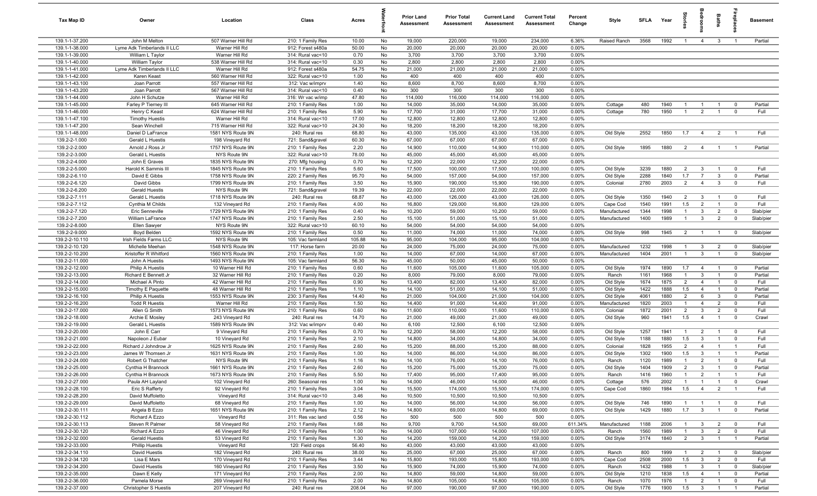| Tax Map ID                       | Owner                                     | Location                            | Class                                  | Acres         |          | <b>Prior Land</b><br>Assessment | <b>Prior Total</b><br>Assessment | <b>Current Land</b><br>Assessment | <b>Current Total</b><br><b>Assessment</b> | Percent<br>Change | Style                 | SFI A        | Year         |                       |                                | Baths          |                         | <b>Basement</b> |
|----------------------------------|-------------------------------------------|-------------------------------------|----------------------------------------|---------------|----------|---------------------------------|----------------------------------|-----------------------------------|-------------------------------------------|-------------------|-----------------------|--------------|--------------|-----------------------|--------------------------------|----------------|-------------------------|-----------------|
| 139.1-1-37.200                   | John M Melton                             | 507 Warner Hill Rd                  | 210: 1 Family Res                      | 10.00         | No       | 19,000                          | 220,000                          | 19,000                            | 234,000                                   | 6.36%             | Raised Ranch          | 3568         | 1992         | $\overline{1}$        | $\overline{4}$                 | $\mathbf{3}$   | $\overline{1}$          | Partial         |
| 139.1-1-38.000                   | Lyme Adk Timberlands II LLC               | Warner Hill Rd                      | 912: Forest s480a                      | 50.00         | No       | 20,000                          | 20,000                           | 20,000                            | 20,000                                    | 0.00%             |                       |              |              |                       |                                |                |                         |                 |
| 139.1-1-39.000                   | William L Taylor                          | Warner Hill Rd                      | 314: Rural vac<10                      | 0.70          | No       | 3,700                           | 3,700                            | 3,700                             | 3,700                                     | 0.00%             |                       |              |              |                       |                                |                |                         |                 |
| 139.1-1-40.000                   | William Taylor                            | 538 Warner Hill Rd                  | 314: Rural vac<10                      | 0.30          | No       | 2,800                           | 2,800                            | 2,800                             | 2,800                                     | 0.00%             |                       |              |              |                       |                                |                |                         |                 |
| 139.1-1-41.000                   | Lyme Adk Timberlands II LLC               | Warner Hill Rd                      | 912: Forest s480a                      | 54.75         | No       | 21,000                          | 21,000                           | 21,000                            | 21,000                                    | 0.00%             |                       |              |              |                       |                                |                |                         |                 |
| 139.1-1-42.000                   | Karen Keast                               | 560 Warner Hill Rd                  | 322: Rural vac>10                      | 1.00          | No       | 400                             | 400                              | 400                               | 400                                       | 0.00%             |                       |              |              |                       |                                |                |                         |                 |
| 139.1-1-43.100                   | Joan Parrott                              | 557 Warner Hill Rd                  | 312: Vac w/imprv                       | 1.40          | No       | 8,600                           | 8,700                            | 8,600                             | 8,700                                     | 0.00%             |                       |              |              |                       |                                |                |                         |                 |
| 139.1-1-43.200                   | Joan Parrott                              | 567 Warner Hill Rd                  | 314: Rural vac<10                      | 0.40          | No       | 300                             | 300                              | 300                               | 300                                       | 0.00%             |                       |              |              |                       |                                |                |                         |                 |
| 139.1-1-44.000                   | John H Schutze                            | Warner Hill Rd                      | 316: Wr vac w/imp                      | 47.80         | No       | 114,000                         | 116,000                          | 114,000                           | 116,000                                   | 0.00%             |                       |              |              |                       |                                |                |                         |                 |
| 139.1-1-45.000                   | Farley P Tierney III                      | 645 Warner Hill Rd                  | 210: 1 Family Res                      | 1.00          | No       | 14,000                          | 35,000                           | 14,000                            | 35,000                                    | 0.00%             | Cottage               | 480          | 1940         | $\overline{1}$        | $\overline{1}$                 | $\overline{1}$ | $\overline{0}$          | Partial         |
| 139.1-1-46.000                   | Henry C Keast                             | 624 Warner Hill Rd                  | 210: 1 Family Res                      | 5.90          | No       | 17,700                          | 31,000                           | 17,700                            | 31,000                                    | 0.00%             | Cottage               | 780          | 1950         | $\mathbf{1}$          | $\overline{2}$                 | $\overline{1}$ | $\mathbf 0$             | Full            |
| 139.1-1-47.100                   | <b>Timothy Huestis</b>                    | Warner Hill Rd                      | 314: Rural vac<10                      | 17.00         | No       | 12,800                          | 12,800                           | 12,800                            | 12,800                                    | 0.00%             |                       |              |              |                       |                                |                |                         |                 |
| 139.1-1-47.200                   | Sean Winchell                             | 715 Warner Hill Rd                  | 322: Rural vac>10                      | 24.30         | No       | 18,200                          | 18,200                           | 18,200                            | 18,200                                    | 0.00%             |                       |              |              |                       |                                |                |                         | Full            |
| 139.1-1-48.000                   | Daniel D LaFrance                         | 1581 NYS Route 9N                   | 240: Rural res                         | 68.80         | No       | 43,000                          | 135,000                          | 43,000                            | 135,000                                   | 0.00%             | Old Style             | 2552         | 1850         | 1.7                   | $\overline{4}$                 | $\overline{2}$ | $\overline{1}$          |                 |
| 139.2-2-1.000<br>139.2-2-2.000   | Gerald L Huestis<br>Arnold J Ross Jr      | 198 Vineyard Rd                     | 721: Sand&gravel<br>210: 1 Family Res  | 60.30<br>2.20 | No<br>No | 67,000<br>14,900                | 67,000<br>110,000                | 67,000<br>14,900                  | 67,000<br>110,000                         | 0.00%<br>0.00%    |                       | 1895         | 1880         | $\overline{2}$        |                                |                | $\overline{1}$          | Partial         |
| 139.2-2-3.000                    | Gerald L Huestis                          | 1757 NYS Route 9N<br>NYS Route 9N   | 322: Rural vac>10                      | 78.00         | No       | 45,000                          | 45,000                           | 45,000                            | 45,000                                    | 0.00%             | Old Style             |              |              |                       | $\overline{4}$                 | $\overline{1}$ |                         |                 |
| 139.2-2-4.000                    | John E Graves                             | 1835 NYS Route 9N                   | 270: Mfg housing                       | 0.70          | No       | 12,200                          | 22,000                           | 12,200                            | 22,000                                    | 0.00%             |                       |              |              |                       |                                |                |                         |                 |
| 139.2-2-5.000                    | Harold K Sammis III                       | 1845 NYS Route 9N                   | 210: 1 Family Res                      | 5.60          | No       | 17,500                          | 100,000                          | 17,500                            | 100,000                                   | 0.00%             | Old Style             | 3239         | 1880         | $\overline{2}$        | $\mathbf{3}$                   |                | $\mathbf 0$             | Full            |
| 139.2-2-6.110                    | David E Gibbs                             | 1758 NYS Route 9N                   | 220: 2 Family Res                      | 95.70         | No       | 54,000                          | 157,000                          | 54,000                            | 157,000                                   | 0.00%             | Old Style             | 2288         | 1840         | 1.7                   | $\overline{7}$                 | 3              | $\overline{0}$          | Partial         |
| 139.2-2-6.120                    | David Gibbs                               | 1799 NYS Route 9N                   | 210: 1 Family Res                      | 3.50          | No       | 15,900                          | 190,000                          | 15,900                            | 190,000                                   | 0.00%             | Colonial              | 2780         | 2003         | $\overline{2}$        | $\overline{4}$                 | $\mathbf{3}$   | $\mathbf 0$             | Full            |
| 139.2-2-6.200                    | <b>Gerald Huestis</b>                     | NYS Route 9N                        | 721: Sand&gravel                       | 19.39         | No       | 22,000                          | 22,000                           | 22,000                            | 22,000                                    | 0.00%             |                       |              |              |                       |                                |                |                         |                 |
| 139.2-2-7.111                    | Gerald L Huestis                          | 1718 NYS Route 9N                   | 240: Rural res                         | 68.87         | No       | 43,000                          | 126,000                          | 43,000                            | 126,000                                   | 0.00%             | Old Style             | 1350         | 1940         | $\overline{2}$        | $\mathbf{3}$                   | $\overline{1}$ | $\overline{\mathbf{0}}$ | Full            |
| 139.2-2-7.112                    | Cynthia M Childs                          | 132 Vineyard Rd                     | 210: 1 Family Res                      | 4.00          | No       | 16,800                          | 129,000                          | 16,800                            | 129,000                                   | 0.00%             | Cape Cod              | 1540         | 1991         | 1.5                   | $\overline{2}$                 | $\mathbf{1}$   | $\overline{0}$          | Full            |
| 139.2-2-7.120                    | Eric Senneville                           | 1729 NYS Route 9N                   | 210: 1 Family Res                      | 0.40          | No       | 10,200                          | 59,000                           | 10,200                            | 59,000                                    | 0.00%             | Manufactured          | 1344         | 1998         | -1                    | $\mathbf{3}$                   | $\overline{2}$ | $\mathbf 0$             | Slab/pier       |
| 139.2-2-7.200                    | <b>William LaFrance</b>                   | 1747 NYS Route 9N                   | 210: 1 Family Res                      | 2.50          | No       | 15,100                          | 51,000                           | 15,100                            | 51,000                                    | 0.00%             | Manufactured          | 1400         | 1989         | $\mathbf{1}$          | $\mathbf{3}$                   | $\overline{2}$ | $\mathbf 0$             | Slab/pier       |
| 139.2-2-8.000                    | Ellen Sawyer                              | NYS Route 9N                        | 322: Rural vac>10                      | 60.10         | No       | 54,000                          | 54,000                           | 54,000                            | 54,000                                    | 0.00%             |                       |              |              |                       |                                |                |                         |                 |
| 139.2-2-9.000                    | Boyd Belden                               | 1592 NYS Route 9N                   | 210: 1 Family Res                      | 0.50          | No       | 11,000                          | 74,000                           | 11,000                            | 74,000                                    | 0.00%             | Old Style             | 998          | 1945         | $\overline{2}$        | $\overline{1}$                 |                | $\mathbf 0$             | Slab/pier       |
| 139.2-2-10.110                   | Irish Fields Farms LLC                    | NYS Route 9N                        | 105: Vac farmland                      | 105.88        | No       | 95,000                          | 104,000                          | 95,000                            | 104,000                                   | 0.00%             |                       |              |              |                       |                                |                |                         |                 |
| 139.2-2-10.120                   | Michelle Meehan                           | 1548 NYS Route 9N                   | 117: Horse farm                        | 20.00         | No       | 24,000                          | 75,000                           | 24,000                            | 75,000                                    | 0.00%             | Manufactured          | 1232         | 1998         |                       | $\mathbf{3}$                   | $\overline{2}$ | $\mathbf 0$             | Slab/pier       |
| 139.2-2-10.200                   | Kristoffer R Whitford                     | 1560 NYS Route 9N                   | 210: 1 Family Res                      | 1.00          | No       | 14,000                          | 67,000                           | 14,000                            | 67,000                                    | 0.00%             | Manufactured          | 1404         | 2001         |                       | $\mathbf{3}$                   |                | $\mathbf 0$             | Slab/pier       |
| 139.2-2-11.000                   | John A Huestis                            | 1493 NYS Route 9N                   | 105: Vac farmland                      | 56.30         | No       | 45,000                          | 50,000                           | 45,000                            | 50,000                                    | 0.00%             |                       |              |              |                       |                                |                |                         |                 |
| 139.2-2-12.000                   | <b>Philip A Huestis</b>                   | 10 Warner Hill Rd                   | 210: 1 Family Res                      | 0.60          | No       | 11,600                          | 105,000                          | 11,600                            | 105,000                                   | 0.00%             | Old Style             | 1974         | 1890         | 1.7                   | $\overline{4}$                 | $\overline{1}$ | $\overline{\mathbf{0}}$ | Partial         |
| 139.2-2-13.000                   | Richard E Bennett Jr                      | 32 Warner Hill Rd                   | 210: 1 Family Res                      | 0.20          | No       | 8,000                           | 79,000                           | 8,000                             | 79,000                                    | 0.00%             | Ranch                 | 1161         | 1968         | $\overline{1}$        | $\mathbf{3}$                   | $\overline{1}$ | $\overline{0}$          | Partial         |
| 139.2-2-14.000                   | Michael A Pinto                           | 42 Warner Hill Rd                   | 210: 1 Family Res                      | 0.90          | No       | 13,400                          | 82,000                           | 13,400                            | 82,000                                    | 0.00%             | Old Style             | 1674         | 1875         | $\overline{2}$        | $\overline{4}$                 | $\overline{1}$ | $\mathbf 0$             | Full            |
| 139.2-2-15.000                   | Timothy E Paquette                        | 48 Warner Hill Rd                   | 210: 1 Family Res                      | 1.10          | No       | 14,100                          | 51,000                           | 14,100                            | 51,000                                    | 0.00%             | Old Style             | 1422         | 1888         | 1.5                   | $\overline{4}$                 | $\overline{1}$ | $\mathbf 0$             | Partial         |
| 139.2-2-16.100                   | <b>Philip A Huestis</b>                   | 1553 NYS Route 9N                   | 230: 3 Family Res                      | 14.40         | No       | 21,000                          | 104,000                          | 21,000                            | 104,000                                   | 0.00%             | Old Style             | 4061         | 1880         | $\overline{2}$        | 6                              | 3              | $\overline{\mathbf{0}}$ | Partial         |
| 139.2-2-16.200                   | <b>Todd R Huestis</b>                     | Warner Hill Rd                      | 210: 1 Family Res                      | 1.50          | No       | 14,400                          | 91,000                           | 14,400                            | 91,000                                    | 0.00%             | Manufactured          | 1820         | 2003         | $\mathbf{1}$          | $\overline{4}$                 | $\overline{2}$ | $\mathbf 0$             | Full            |
| 139.2-2-17.000                   | Allen G Smith                             | 1573 NYS Route 9N                   | 210: 1 Family Res                      | 0.60          | No       | 11,600                          | 110,000                          | 11,600                            | 110,000                                   | 0.00%             | Colonial              | 1872         | 2001         | $\overline{2}$        | $\mathbf{3}$                   | $\overline{2}$ | $\mathbf 0$             | Full            |
| 139.2-2-18.000                   | Archie E Mosley                           | 243 Vineyard Rd                     | 240: Rural res                         | 14.70         | No       | 21,000                          | 49,000                           | 21,000                            | 49,000                                    | 0.00%             | Old Style             | 960          | 1941         | 1.5                   | $\overline{4}$                 | $\overline{1}$ | $\overline{0}$          | Crawl           |
| 139.2-2-19.000                   | Gerald L Huestis                          | 1589 NYS Route 9N                   | 312: Vac w/imprv                       | 0.40          | No       | 6,100                           | 12,500                           | 6,100                             | 12,500                                    | 0.00%             |                       |              |              |                       |                                |                |                         |                 |
| 139.2-2-20.000                   | John E Carr                               | 9 Vineyard Rd                       | 210: 1 Family Res                      | 0.70          | No       | 12,200                          | 58,000                           | 12,200                            | 58,000                                    | 0.00%             | Old Style             | 1257         | 1941         | $\overline{1}$        | $\overline{2}$                 | $\overline{1}$ | $\mathbf 0$             | Full            |
| 139.2-2-21.000<br>139.2-2-22.000 | Napoleon J Eubar<br>Richard J Johndrow Jr | 10 Vineyard Rd<br>1625 NYS Route 9N | 210: 1 Family Res<br>210: 1 Family Res | 2.10<br>2.60  | No<br>No | 14,800<br>15,200                | 34,000<br>88,000                 | 14,800<br>15,200                  | 34,000<br>88,000                          | 0.00%<br>0.00%    | Old Style<br>Colonial | 1188<br>1828 | 1880<br>1955 | 1.5<br>$\overline{2}$ | $\mathbf{3}$<br>$\overline{4}$ |                | $\mathbf 0$<br>- 1      | Full<br>Full    |
| 139.2-2-23.000                   | James W Thomsen Jr                        | 1631 NYS Route 9N                   | 210: 1 Family Res                      | 1.00          | No       | 14,000                          | 86,000                           | 14,000                            | 86,000                                    | 0.00%             | Old Style             | 1302         | 1900         | 1.5                   | $\mathbf{3}$                   |                | $\overline{1}$          | Partial         |
| 139.2-2-24.000                   | Robert G Thatcher                         | NYS Route 9N                        | 210: 1 Family Res                      | 1.16          | No       | 14,100                          | 76,000                           | 14,100                            | 76,000                                    | 0.00%             | Ranch                 | 1120         | 1989         | $\overline{1}$        | $\overline{2}$                 | $\overline{1}$ | $\mathbf 0$             | Full            |
| 139.2-2-25.000                   | Cynthia H Brannock                        | 1661 NYS Route 9N                   | 210: 1 Family Res                      | 2.60          | No       | 15,200                          | 75,000                           | 15,200                            | 75,000                                    | 0.00%             | Old Style             | 1404         | 1909         | 2                     | $\mathbf{R}$                   | $\overline{1}$ | $\mathbf 0$             | Partial         |
| 139.2-2-26.000                   | Cynthia H Brannock                        | 1673 NYS Route 9N                   | 210: 1 Family Res                      | 5.50          | No       | 17,400                          | 95,000                           | 17,400                            | 95,000                                    | 0.00%             | Ranch                 | 1416         | 1960         | $\overline{1}$        | $\overline{2}$                 | $\overline{1}$ | $\overline{1}$          | Full            |
| 139.2-2-27.000                   | Paula AH Layland                          | 102 Vineyard Rd                     | 260: Seasonal res                      | 1.00          | No       | 14,000                          | 46,000                           | 14,000                            | 46,000                                    | 0.00%             | Cottage               | 576          | 2002         | $\overline{1}$        | $\overline{1}$                 | $\overline{1}$ | $\mathbf 0$             | Crawl           |
| 139.2-2-28.100                   | Eric S Rafferty                           | 92 Vineyard Rd                      | 210: 1 Family Res                      | 3.04          | No       | 15,500                          | 174,000                          | 15,500                            | 174,000                                   | 0.00%             | Cape Cod              | 1860         | 1984         | 1.5                   | $\overline{4}$                 | $\overline{2}$ | $\overline{1}$          | Full            |
| 139.2-2-28.200                   | David Muffoletto                          | Vineyard Rd                         | 314: Rural vac<10                      | 3.46          | No       | 10,500                          | 10,500                           | 10,500                            | 10,500                                    | 0.00%             |                       |              |              |                       |                                |                |                         |                 |
| 139.2-2-29.000                   | David Muffoletto                          | 68 Vineyard Rd                      | 210: 1 Family Res                      | 1.00          | No       | 14,000                          | 56,000                           | 14,000                            | 56,000                                    | 0.00%             | Old Style             | 746          | 1890         | $\overline{1}$        | $\overline{1}$                 | $\mathbf{1}$   | $\mathbf 0$             | Full            |
| 139.2-2-30.111                   | Angela B Ezzo                             | 1651 NYS Route 9N                   | 210: 1 Family Res                      | 2.12          | No       | 14,800                          | 69,000                           | 14,800                            | 69,000                                    | 0.00%             | Old Style             | 1429         | 1880         | 1.7                   | $\overline{\mathbf{3}}$        | $\mathbf{1}$   | $\overline{0}$          | Partial         |
| 139.2-2-30.112                   | Richard A Ezzo                            | Vineyard Rd                         | 311: Res vac land                      | 0.56          | No       | 500                             | 500                              | 500                               | 500                                       | 0.00%             |                       |              |              |                       |                                |                |                         |                 |
| 139.2-2-30.113                   | Steven R Palmer                           | 58 Vineyard Rd                      | 210: 1 Family Res                      | 1.68          | No       | 9,700                           | 9,700                            | 14,500                            | 69,000                                    | 611.34%           | Manufactured          | 1188         | 2006         |                       | $\mathbf{3}$                   | $\overline{2}$ | $\mathbf 0$             | Full            |
| 139.2-2-30.120                   | Richard A Ezzo                            | 46 Vineyard Rd                      | 210: 1 Family Res                      | 1.00          | No       | 14,000                          | 107,000                          | 14,000                            | 107,000                                   | 0.00%             | Ranch                 | 1560         | 1989         |                       | $\overline{3}$                 | $\overline{2}$ | $\overline{0}$          | Full            |
| 139.2-2-32.000                   | Gerald Huestis                            | 53 Vineyard Rd                      | 210: 1 Family Res                      | 1.30          | No       | 14,200                          | 159,000                          | 14,200                            | 159,000                                   | 0.00%             | Old Style             | 3174         | 1840         | $\overline{2}$        | $\overline{\mathbf{3}}$        | $\overline{1}$ | $\overline{1}$          | Partial         |
| 139.2-2-33.000                   | <b>Phillip Huestis</b>                    | Vineyard Rd                         | 120: Field crops                       | 56.40         | No       | 43,000                          | 43,000                           | 43,000                            | 43,000                                    | 0.00%             |                       |              |              |                       |                                |                |                         |                 |
| 139.2-2-34.110                   | David Huestis                             | 182 Vineyard Rd                     | 240: Rural res                         | 38.00         | No       | 25,000                          | 67,000                           | 25,000                            | 67,000                                    | 0.00%             | Ranch                 | 800          | 1999         | $\overline{1}$        | $\overline{2}$                 | $\overline{1}$ | $\overline{0}$          | Slab/pier       |
| 139.2-2-34.120                   | Lisa E Mars                               | 170 Vineyard Rd                     | 210: 1 Family Res                      | 3.44          | No       | 15,800                          | 193,000                          | 15,800                            | 193,000                                   | 0.00%             | Cape Cod              | 2508         | 2000         | 1.5                   | $\overline{3}$                 | 2              | $\overline{0}$          | Full            |
| 139.2-2-34.200                   | David Huestis                             | 160 Vineyard Rd                     | 210: 1 Family Res                      | 3.50          | No       | 15,900                          | 74,000                           | 15,900                            | 74,000                                    | 0.00%             | Ranch                 | 1432         | 1988         | $\overline{1}$        | $\mathbf{3}$                   | $\mathbf{1}$   | $\overline{0}$          | Slab/pier       |
| 139.2-2-35.000                   | Dawn E Kelly                              | 171 Vineyard Rd                     | 210: 1 Family Res                      | 2.00          | No       | 14,800                          | 59,000                           | 14,800                            | 59,000                                    | 0.00%             | Old Style             | 1210         | 1838         | 1.5                   | $\overline{4}$                 | $\overline{1}$ | $\overline{0}$          | Partial         |
| 139.2-2-36.000                   | Pamela Morse                              | 269 Vineyard Rd                     | 210: 1 Family Res                      | 2.00          | No       | 14,800                          | 105,000                          | 14,800                            | 105,000                                   | 0.00%             | Ranch                 | 1070         | 1976         | $\overline{1}$        | $\overline{2}$                 | $\overline{1}$ | $\overline{0}$          | Full            |
| 139.2-2-37.000                   | <b>Christopher S Huestis</b>              | 207 Vineyard Rd                     | 240: Rural res                         | 208.04        | No       | 97,000                          | 190,000                          | 97,000                            | 190,000                                   | 0.00%             | Old Style             | 1776         | 1900         | 1.5                   | $\overline{\mathbf{3}}$        | $\overline{1}$ | $\overline{1}$          | Partial         |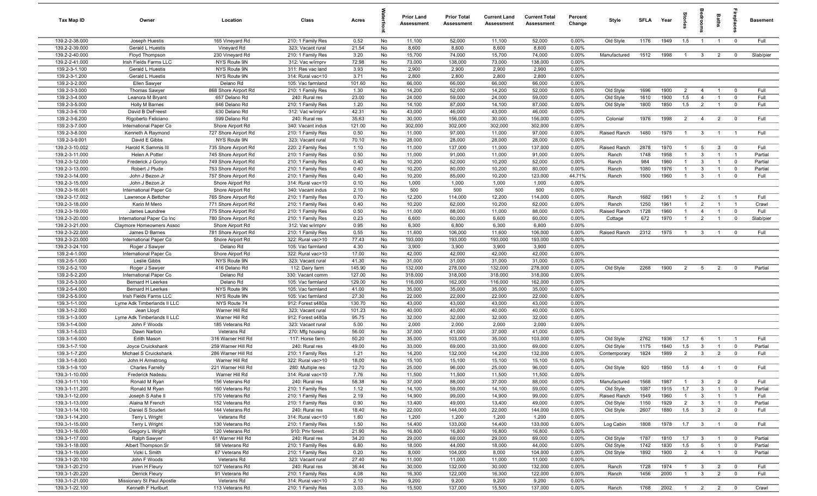| Tax Map ID                       | Owner                                                   | Location                                 | Class                                  | Acres         |          | <b>Prior Land</b><br>Assessment | <b>Prior Total</b><br>Assessment | <b>Current Land</b><br>Assessment | <b>Current Total</b><br>Assessment | Percent<br>Change | Style                  | <b>SFLA</b>  | Year         | ğ                                | edroo                            | Baths                            | repla                         | <b>Basement</b> |
|----------------------------------|---------------------------------------------------------|------------------------------------------|----------------------------------------|---------------|----------|---------------------------------|----------------------------------|-----------------------------------|------------------------------------|-------------------|------------------------|--------------|--------------|----------------------------------|----------------------------------|----------------------------------|-------------------------------|-----------------|
| 139.2-2-38.000                   | Joseph Huestis                                          | 165 Vineyard Rd                          | 210: 1 Family Res                      | 0.52          | No       | 11,100                          | 52,000                           | 11,100                            | 52,000                             | 0.00%             | Old Style              | 1176         | 1949         | 1.5                              | $\overline{1}$                   | $\overline{1}$                   | $\overline{0}$                | Full            |
| 139.2-2-39.000                   | Gerald L Huestis                                        | Vineyard Rd                              | 323: Vacant rural                      | 21.54         | No       | 8,600                           | 8,600                            | 8,600                             | 8,600                              | 0.00%             |                        |              |              |                                  |                                  |                                  |                               |                 |
| 139.2-2-40.000                   | Floyd Thompson                                          | 230 Vineyard Rd                          | 210: 1 Family Res                      | 3.20          | No       | 15,700                          | 74,000                           | 15,700                            | 74,000                             | 0.00%             | Manufactured           | 1512         | 1998         | $\overline{1}$                   | $\mathbf{3}$                     | $\overline{2}$                   | $\mathbf 0$                   | Slab/pier       |
| 139.2-2-41.000                   | Irish Fields Farms LLC                                  | NYS Route 9N                             | 312: Vac w/imprv                       | 72.98         | No       | 73,000                          | 138,000                          | 73,000                            | 138,000                            | 0.00%             |                        |              |              |                                  |                                  |                                  |                               |                 |
| 139.2-3-1.100                    | Gerald L Huestis                                        | NYS Route 9N                             | 311: Res vac land                      | 3.93          | No       | 2,900                           | 2,900                            | 2,900                             | 2,900                              | 0.00%             |                        |              |              |                                  |                                  |                                  |                               |                 |
| 139.2-3-1.200                    | Gerald L Huestis                                        | NYS Route 9N                             | 314: Rural vac<10                      | 3.71          | No       | 2,800                           | 2,800                            | 2,800                             | 2,800                              | 0.00%             |                        |              |              |                                  |                                  |                                  |                               |                 |
| 139.2-3-2.000                    | Ellen Sawyer                                            | Delano Rd                                | 105: Vac farmland                      | 101.60        | No       | 66,000                          | 66,000                           | 66,000                            | 66,000                             | 0.00%             |                        |              |              |                                  |                                  |                                  |                               |                 |
| 139.2-3-3.000                    | <b>Thomas Sawyer</b>                                    | 868 Shore Airport Rd                     | 210: 1 Family Res                      | 1.30          | No       | 14,200                          | 52,000<br>59,000                 | 14,200                            | 52,000                             | 0.00%<br>0.00%    | Old Style              | 1696         | 1900<br>1900 | $\overline{2}$                   | $\overline{4}$                   | $\overline{1}$<br>$\overline{1}$ | $\overline{\mathbf{0}}$       | Full<br>Full    |
| 139.2-3-4.000<br>139.2-3-5.000   | Leanora M Bryant<br>Holly M Barnes                      | 657 Delano Rd<br>646 Delano Rd           | 240: Rural res<br>210: 1 Family Res    | 23.00<br>1.20 | No<br>No | 24,000<br>14,100                | 87,000                           | 24,000<br>14,100                  | 59,000<br>87,000                   | 0.00%             | Old Style<br>Old Style | 1610<br>1800 | 1850         | 1.5<br>1.5                       | $\overline{4}$<br>$\overline{2}$ | $\overline{1}$                   | $\overline{0}$<br>$\mathbf 0$ | Full            |
| 139.2-3-6.100                    | David B DeFreest                                        | 630 Delano Rd                            | 312: Vac w/imprv                       | 42.31         | No       | 43,000                          | 46,000                           | 43,000                            | 46,000                             | 0.00%             |                        |              |              |                                  |                                  |                                  |                               |                 |
| 139.2-3-6.200                    | Rigoberto Feliciano                                     | 599 Delano Rd                            | 240: Rural res                         | 35.63         | No       | 30,000                          | 156,000                          | 30,000                            | 156,000                            | 0.00%             | Colonial               | 1976         | 1998         | 2                                | $\overline{4}$                   | 2                                | $\overline{\mathbf{0}}$       | Full            |
| 139.2-3-7.000                    | International Paper Co                                  | Shore Airport Rd                         | 340: Vacant indus                      | 121.00        | No       | 302,000                         | 302,000                          | 302,000                           | 302,000                            | 0.00%             |                        |              |              |                                  |                                  |                                  |                               |                 |
| 139.2-3-8.000                    | Kenneth A Raymond                                       | 727 Shore Airport Rd                     | 210: 1 Family Res                      | 0.50          | No       | 11,000                          | 97,000                           | 11,000                            | 97,000                             | 0.00%             | Raised Ranch           | 1480         | 1975         | $\overline{1}$                   | $\mathbf{3}$                     | $\overline{1}$                   | $\overline{1}$                | Full            |
| 139.2-3-9.001                    | David E Gibbs                                           | NYS Route 9N                             | 323: Vacant rural                      | 70.10         | No       | 28,000                          | 28,000                           | 28,000                            | 28,000                             | 0.00%             |                        |              |              |                                  |                                  |                                  |                               |                 |
| 139.2-3-10.002                   | Harold K Sammis III                                     | 735 Shore Airport Rd                     | 220: 2 Family Res                      | 1.10          | No       | 11,000                          | 137,000                          | 11,000                            | 137,000                            | 0.00%             | Raised Ranch           | 2878         | 1970         | $\mathbf{1}$                     | $5\overline{5}$                  | $\mathbf{3}$                     | $\mathbf 0$                   | Full            |
| 139.2-3-11.000                   | Helen A Potter                                          | 745 Shore Airport Rd                     | 210: 1 Family Res                      | 0.50          | No       | 11,000                          | 91,000                           | 11,000                            | 91,000                             | 0.00%             | Ranch                  | 1748         | 1958         | $\overline{1}$                   | $\mathbf{3}$                     | $\overline{1}$                   | $\overline{1}$                | Partial         |
| 139.2-3-12.000                   | Frederick J Gonyo                                       | 749 Shore Airport Rd                     | 210: 1 Family Res                      | 0.40          | No       | 10,200                          | 52,000                           | 10,200                            | 52,000                             | 0.00%             | Ranch                  | 984          | 1960         | $\overline{1}$                   | $\mathbf{3}$                     | $\overline{1}$                   | $\mathbf 0$                   | Partial         |
| 139.2-3-13.000                   | Robert J Plude                                          | 753 Shore Airport Rd                     | 210: 1 Family Res                      | 0.40          | No       | 10,200                          | 80,000                           | 10,200                            | 80,000                             | 0.00%             | Ranch                  | 1080         | 1976         | $\mathbf{1}$                     | 3                                | $\mathbf{1}$                     | $\mathbf 0$                   | Partial         |
| 139.2-3-14.000                   | John J Bezon Jr                                         | 757 Shore Airport Rd                     | 210: 1 Family Res                      | 0.40          | No       | 10,200                          | 85,000                           | 10,200                            | 123,000                            | 44.71%            | Ranch                  | 1500         | 1960         | $\overline{1}$                   | $\mathbf{3}$                     | $\overline{1}$                   | $\overline{\mathbf{0}}$       | Full            |
| 139.2-3-15.000                   | John J Bezon Jr                                         | Shore Airport Rd                         | 314: Rural vac<10                      | 0.10          | No       | 1,000                           | 1,000                            | 1,000                             | 1,000                              | 0.00%             |                        |              |              |                                  |                                  |                                  |                               |                 |
| 139.2-3-16.001                   | International Paper Co                                  | Shore Airport Rd                         | 340: Vacant indus                      | 2.10          | No       | 500                             | 500                              | 500                               | 500                                | 0.00%             |                        |              |              |                                  |                                  |                                  |                               |                 |
| 139.2-3-17.002                   | Lawrence A Bettcher                                     | 765 Shore Airport Rd                     | 210: 1 Family Res                      | 0.70          | No       | 12,200                          | 114,000                          | 12,200                            | 114,000                            | 0.00%             | Ranch                  | 1682         | 1961         | $\overline{1}$                   | $\overline{2}$                   | $\overline{1}$                   | $\overline{1}$                | Full            |
| 139.2-3-18.000                   | Karin M Mero                                            | 771 Shore Airport Rd                     | 210: 1 Family Res                      | 0.40          | No       | 10,200                          | 62,000                           | 10,200                            | 62,000                             | 0.00%             | Ranch                  | 1250         | 1961         | $\overline{1}$                   | $\overline{2}$                   | $\overline{1}$                   | $\overline{1}$                | Crawl           |
| 139.2-3-19.000<br>139.2-3-20.000 | James Laundree                                          | 775 Shore Airport Rd                     | 210: 1 Family Res                      | 0.50          | No       | 11,000                          | 88,000                           | 11,000                            | 88,000                             | 0.00%             | Raised Ranch           | 1728         | 1960         | $\overline{1}$<br>$\overline{1}$ | $\overline{4}$                   | $\overline{1}$                   | $^{\circ}$                    | Full            |
| 139.2-3-21.000                   | International Paper Co Inc<br>Claymore Homeowners Assoc | 780 Shore Airport Rd<br>Shore Airport Rd | 210: 1 Family Res<br>312: Vac w/imprv  | 0.23<br>0.95  | No<br>No | 6,600<br>6,300                  | 60,000<br>6,800                  | 6,600<br>6,300                    | 60,000<br>6,800                    | 0.00%<br>0.00%    | Cottage                | 672          | 1970         |                                  | $\overline{2}$                   | $\overline{1}$                   | $\overline{0}$                | Slab/pier       |
| 139.2-3-22.000                   | James D Barnes                                          | 781 Shore Airport Rd                     | 210: 1 Family Res                      | 0.55          | No       | 11,600                          | 106,000                          | 11,600                            | 106,000                            | 0.00%             | Raised Ranch           | 2312         | 1975         | $\overline{1}$                   | $\mathbf{3}$                     | $\overline{1}$                   | $\mathbf 0$                   | Full            |
| 139.2-3-23.000                   | International Paper Co                                  | Shore Airport Rd                         | 322: Rural vac>10                      | 77.43         | No       | 193,000                         | 193,000                          | 193,000                           | 193,000                            | 0.00%             |                        |              |              |                                  |                                  |                                  |                               |                 |
| 139.2-3-24.100                   | Roger J Sawyer                                          | Delano Rd                                | 105: Vac farmland                      | 4.30          | No       | 3,900                           | 3,900                            | 3,900                             | 3,900                              | 0.00%             |                        |              |              |                                  |                                  |                                  |                               |                 |
| 139.2-4-1.000                    | International Paper Co                                  | Shore Airport Rd                         | 322: Rural vac>10                      | 17.00         | No       | 42,000                          | 42,000                           | 42,000                            | 42,000                             | 0.00%             |                        |              |              |                                  |                                  |                                  |                               |                 |
| 139.2-5-1.000                    | Leslie Gibbs                                            | NYS Route 9N                             | 323: Vacant rural                      | 41.30         | No       | 31,000                          | 31,000                           | 31,000                            | 31,000                             | 0.00%             |                        |              |              |                                  |                                  |                                  |                               |                 |
| 139.2-5-2.100                    | Roger J Sawyer                                          | 416 Delano Rd                            | 112: Dairy farm                        | 145.90        | No       | 132,000                         | 278,000                          | 132,000                           | 278,000                            | 0.00%             | Old Style              | 2268         | 1900         | $\overline{2}$                   | $5\overline{5}$                  | $\overline{2}$                   | $\overline{0}$                | Partial         |
| 139.2-5-2.200                    | International Paper Co                                  | Delano Rd                                | 330: Vacant comm                       | 127.00        | No       | 318,000                         | 318,000                          | 318,000                           | 318,000                            | 0.00%             |                        |              |              |                                  |                                  |                                  |                               |                 |
| 139.2-5-3.000                    | <b>Bernard H Leerkes</b>                                | Delano Rd                                | 105: Vac farmland                      | 129.00        | No       | 116,000                         | 162,000                          | 116,000                           | 162,000                            | 0.00%             |                        |              |              |                                  |                                  |                                  |                               |                 |
| 139.2-5-4.000                    | Bernard H Leerkes                                       | NYS Route 9N                             | 105: Vac farmland                      | 41.00         | No       | 35,000                          | 35,000                           | 35,000                            | 35,000                             | 0.00%             |                        |              |              |                                  |                                  |                                  |                               |                 |
| 139.2-5-5.000                    | Irish Fields Farms LLC                                  | NYS Route 9N                             | 105: Vac farmland                      | 27.30         | No       | 22,000                          | 22,000                           | 22,000                            | 22,000                             | 0.00%             |                        |              |              |                                  |                                  |                                  |                               |                 |
| 139.3-1-1.000                    | Lyme Adk Timberlands II LLC                             | NYS Route 74                             | 912: Forest s480a                      | 130.70        | No       | 43,000                          | 43,000                           | 43,000                            | 43,000                             | 0.00%             |                        |              |              |                                  |                                  |                                  |                               |                 |
| 139.3-1-2.000                    | Jean Lloyd                                              | Warner Hill Rd                           | 323: Vacant rural                      | 101.23        | No       | 40,000                          | 40,000                           | 40,000                            | 40,000                             | 0.00%             |                        |              |              |                                  |                                  |                                  |                               |                 |
| 139.3-1-3.000                    | Lyme Adk Timberlands II LLC                             | Warner Hill Rd                           | 912: Forest s480a<br>323: Vacant rural | 95.75         | No       | 32,000                          | 32,000                           | 32,000                            | 32,000                             | 0.00%             |                        |              |              |                                  |                                  |                                  |                               |                 |
| 139.3-1-4.000<br>139.3-1-5.033   | John F Woods<br>Dawn Narbon                             | 185 Veterans Rd<br>Veterans Rd           | 270: Mfg housing                       | 5.00<br>56.00 | No<br>No | 2,000<br>37,000                 | 2,000<br>41,000                  | 2,000<br>37,000                   | 2,000<br>41,000                    | 0.00%<br>0.00%    |                        |              |              |                                  |                                  |                                  |                               |                 |
| 139.3-1-6.000                    | Edith Mason                                             | 316 Warner Hill Rd                       | 117: Horse farm                        | 50.20         | No       | 35,000                          | 103,000                          | 35,000                            | 103,000                            | 0.00%             | Old Style              | 2762         | 1936         | 1.7                              | 6                                | $\overline{1}$                   | $\overline{1}$                | Full            |
| 139.3-1-7.100                    | Joyce Cruickshank                                       | 259 Warner Hill Rd                       | 240: Rural res                         | 49.00         | No       | 33,000                          | 69,000                           | 33,000                            | 69,000                             | 0.00%             | Old Style              | 1175         | 1840         | 1.5                              | $\overline{3}$                   | $\overline{1}$                   | $\mathbf 0$                   | Partial         |
| 139.3-1-7.200                    | Michael S Cruickshank                                   | 286 Warner Hill Rd                       | 210: 1 Family Res                      | 1.21          | No       | 14,200                          | 132,000                          | 14,200                            | 132,000                            | 0.00%             | Contemporary           | 1824         | 1989         | $\overline{2}$                   | $\mathbf{3}$                     | $\overline{2}$                   | $\Omega$                      | Full            |
| 139.3-1-8.000                    | John H Armstrong                                        | Warner Hill Rd                           | 322: Rural vac>10                      | 18.00         | No       | 15,100                          | 15,100                           | 15,100                            | 15,100                             | 0.00%             |                        |              |              |                                  |                                  |                                  |                               |                 |
| 139.3-1-9.100                    | <b>Charles Farrelly</b>                                 | 221 Warner Hill Rd                       | 280: Multiple res                      | 12.70         | No       | 25,000                          | 96,000                           | 25,000                            | 96,000                             | 0.00%             | Old Style              | 920          | 1850         | 1.5                              | $\overline{4}$                   |                                  |                               | Full            |
| 139.3-1-10.000                   | Frederick Nadeau                                        | Warner Hill Rd                           | 314: Rural vac<10                      | 7.76          | No       | 11,500                          | 11,500                           | 11,500                            | 11,500                             | 0.00%             |                        |              |              |                                  |                                  |                                  |                               |                 |
| 139.3-1-11.100                   | Ronald M Ryan                                           | 156 Veterans Rd                          | 240: Rural res                         | 58.38         | No       | 37,000                          | 88,000                           | 37,000                            | 88,000                             | 0.00%             | Manufactured           | 1568         | 1987         | $\overline{1}$                   | $\mathbf{3}$                     | 2                                | $\overline{0}$                | Full            |
| 139.3-1-11.200                   | Ronald M Ryan                                           | 160 Veterans Rd                          | 210: 1 Family Res                      | 1.12          | No       | 14,100                          | 59,000                           | 14,100                            | 59,000                             | 0.00%             | Old Style              | 1087         | 1915         | 1.7                              | $\mathbf{3}$                     | $\overline{1}$                   | $\overline{0}$                | Partial         |
| 139.3-1-12.000                   | Joseph S Ashe II                                        | 170 Veterans Rd                          | 210: 1 Family Res                      | 2.19          | No       | 14,900                          | 99,000                           | 14,900                            | 99,000                             | 0.00%             | Raised Ranch           | 1549         | 1960         | $\overline{1}$                   | $\mathbf{3}$                     | $\overline{1}$                   | $\overline{1}$                | Full            |
| 139.3-1-13.000                   | Alaina M French                                         | 152 Veterans Rd                          | 210: 1 Family Res                      | 0.90          | No       | 13,400                          | 49,000                           | 13,400                            | 49,000                             | 0.00%             | Old Style              | 1150         | 1929         | $\overline{2}$                   | $\mathbf{3}$                     | $\overline{1}$                   | $\overline{0}$                | Partial         |
| 139.3-1-14.100                   | Daniel S Scuderi                                        | 144 Veterans Rd                          | 240: Rural res                         | 18.40         | No       | 22,000                          | 144,000                          | 22,000                            | 144,000                            | 0.00%             | Old Style              | 2607         | 1880         | 1.5                              | 3 <sup>3</sup>                   | $\overline{2}$                   | $\mathbf 0$                   | Full            |
| 139.3-1-14.200                   | Terry L Wright                                          | Veterans Rd                              | 314: Rural vac<10                      | 1.60          | No       | 1,200                           | 1,200                            | 1,200                             | 1,200                              | 0.00%             |                        |              |              |                                  |                                  |                                  |                               |                 |
| 139.3-1-15.000<br>139.3-1-16.000 | Terry L Wright<br>Gregory L Wright                      | 130 Veterans Rd<br>120 Veterans Rd       | 210: 1 Family Res<br>910: Priv forest  | 1.50<br>21.90 | No<br>No | 14,400<br>16,800                | 133,000<br>16,800                | 14,400<br>16,800                  | 133,000<br>16,800                  | 0.00%<br>0.00%    | Log Cabin              | 1808         | 1978         | 1.7                              | $\overline{\mathbf{3}}$          | $\overline{1}$                   | $\overline{\mathbf{0}}$       | Full            |
| 139.3-1-17.000                   | Ralph Sawyer                                            | 61 Warner Hill Rd                        | 240: Rural res                         | 34.20         | No       | 29,000                          | 69,000                           | 29,000                            | 69,000                             | 0.00%             | Old Style              | 1787         | 1810         | 1.7                              | $\overline{\mathbf{3}}$          | $\overline{1}$                   | $\overline{\mathbf{0}}$       | Partial         |
| 139.3-1-18.000                   | Albert Thompson Sr                                      | 58 Veterans Rd                           | 210: 1 Family Res                      | 6.80          | No       | 18,000                          | 44,000                           | 18,000                            | 44,000                             | 0.00%             | Old Style              | 1742         | 1830         | 1.5                              | $5\overline{5}$                  | $\overline{1}$                   | $\overline{\mathbf{0}}$       | Partial         |
| 139.3-1-19.000                   | Vicki L Smith                                           | 67 Veterans Rd                           | 210: 1 Family Res                      | 0.20          | No       | 8,000                           | 104,000                          | 8,000                             | 104,000                            | 0.00%             | Old Style              | 1892         | 1900         | $\overline{2}$                   | $\overline{4}$                   | $\overline{1}$                   | $\overline{\mathbf{0}}$       | Partial         |
| 139.3-1-20.100                   | John F Woods                                            | Veterans Rd                              | 323: Vacant rural                      | 27.40         | No       | 11,000                          | 11,000                           | 11,000                            | 11,000                             | 0.00%             |                        |              |              |                                  |                                  |                                  |                               |                 |
| 139.3-1-20.210                   | Irven H Fleury                                          | 107 Veterans Rd                          | 240: Rural res                         | 36.44         | No       | 30,000                          | 132,000                          | 30,000                            | 132,000                            | 0.00%             | Ranch                  | 1728         | 1974         | $\overline{1}$                   | $\mathbf{3}$                     | $\overline{2}$                   | $\overline{\mathbf{0}}$       | Full            |
| 139.3-1-20.220                   | <b>Derrick Fleury</b>                                   | 91 Veterans Rd                           | 210: 1 Family Res                      | 4.08          | No       | 16,300                          | 122,000                          | 16,300                            | 122,000                            | 0.00%             | Ranch                  | 1456         | 2000         | $\overline{1}$                   | $\mathbf{3}$                     | $\overline{2}$                   | $\mathbf 0$                   | Full            |
| 139.3-1-21.000                   | Missionary St Paul Apostle                              | Veterans Rd                              | 314: Rural vac<10                      | 2.10          | No       | 9,200                           | 9,200                            | 9,200                             | 9,200                              | 0.00%             |                        |              |              |                                  |                                  |                                  |                               |                 |
| 139.3-1-22.100                   | Kenneth F Hurlburt                                      | 113 Veterans Rd                          | 210: 1 Family Res                      | 3.03          | No       | 15,500                          | 137,000                          | 15,500                            | 137,000                            | 0.00%             | Ranch                  | 1768         | 2002         | $1 \quad 2 \quad 2$              |                                  |                                  | $\overline{0}$                | Crawl           |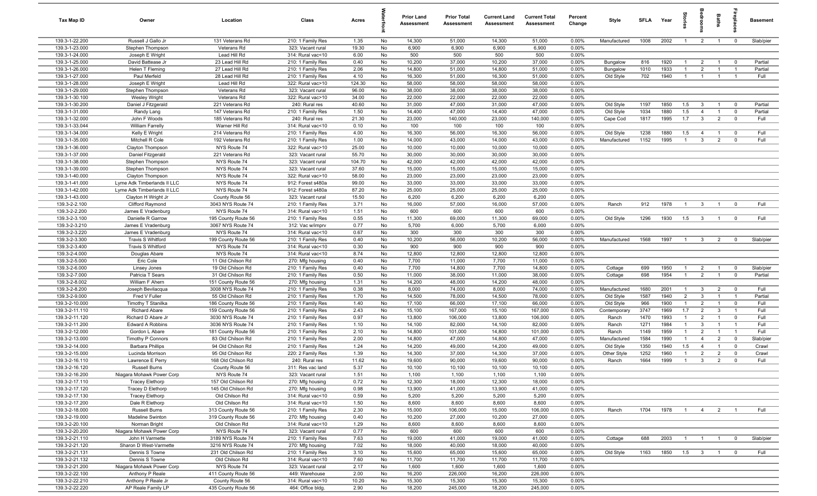| Tax Map ID                       | Owner                                     | Location                                 | Class                                  | Acres           |          | <b>Prior Land</b><br>Assessment | <b>Prior Total</b><br>Assessment | <b>Current Land</b><br>Assessment | <b>Current Total</b><br>Assessment | Percent<br>Change | Style                     | SFI A        | Year         |                     |                              | Baths                            |                                  | <b>Basement</b> |
|----------------------------------|-------------------------------------------|------------------------------------------|----------------------------------------|-----------------|----------|---------------------------------|----------------------------------|-----------------------------------|------------------------------------|-------------------|---------------------------|--------------|--------------|---------------------|------------------------------|----------------------------------|----------------------------------|-----------------|
| 139.3-1-22.200                   | Russell J Gallo Jr                        | 131 Veterans Rd                          | 210: 1 Family Res                      | 1.35            | No       | 14,300                          | 51,000                           | 14,300                            | 51,000                             | 0.00%             | Manufactured              | 1008         | 2002         | $\overline{1}$      | $\overline{2}$               | $\mathbf{1}$                     | $\overline{0}$                   | Slab/pier       |
| 139.3-1-23.000                   | Stephen Thompson                          | Veterans Rd                              | 323: Vacant rural                      | 19.30           | No       | 6,900                           | 6,900                            | 6,900                             | 6,900                              | 0.00%             |                           |              |              |                     |                              |                                  |                                  |                 |
| 139.3-1-24.000                   | Joseph E Wright                           | Lead Hill Rd                             | 314: Rural vac<10                      | 6.00            | No       | 500                             | 500                              | 500                               | 500                                | 0.00%             |                           |              |              |                     |                              |                                  |                                  |                 |
| 139.3-1-25.000                   | David Battease Jr                         | 23 Lead Hill Rd                          | 210: 1 Family Res                      | 0.40            | No       | 10,200                          | 37,000                           | 10,200                            | 37,000                             | 0.00%             | Bungalow                  | 816          | 1920         | $\mathbf{1}$        | $\overline{2}$               |                                  | $\mathbf 0$                      | Partial         |
| 139.3-1-26.000                   | Helen T Fleming                           | 27 Lead Hill Rd                          | 210: 1 Family Res                      | 2.06            | No       | 14,800                          | 51,000                           | 14,800                            | 51,000                             | 0.00%             | Bungalow                  | 1010         | 1933         |                     | $\overline{2}$               |                                  | -1                               | Partial         |
| 139.3-1-27.000                   | Paul Merfeld                              | 28 Lead Hill Rd                          | 210: 1 Family Res                      | 4.10            | No       | 16,300                          | 51,000                           | 16,300                            | 51,000                             | 0.00%             | Old Style                 | 702          | 1940         |                     |                              |                                  | -1                               | Full            |
| 139.3-1-28.000<br>139.3-1-29.000 | Joseph E Wright<br>Stephen Thompson       | Lead Hill Rd<br>Veterans Rd              | 322: Rural vac>10<br>323: Vacant rural | 124.30<br>96.00 | No<br>No | 58,000<br>38,000                | 58,000<br>38,000                 | 58,000<br>38,000                  | 58,000<br>38,000                   | 0.00%<br>0.00%    |                           |              |              |                     |                              |                                  |                                  |                 |
| 139.3-1-30.100                   | <b>Wesley Wright</b>                      | Veterans Rd                              | 322: Rural vac>10                      | 34.00           | No       | 22,000                          | 22,000                           | 22,000                            | 22,000                             | 0.00%             |                           |              |              |                     |                              |                                  |                                  |                 |
| 139.3-1-30.200                   | Daniel J Fitzgerald                       | 221 Veterans Rd                          | 240: Rural res                         | 40.60           | No       | 31,000                          | 47,000                           | 31,000                            | 47,000                             | 0.00%             | Old Style                 | 1197         | 1850         | 1.5                 | $\mathbf{3}$                 | $\overline{1}$                   | $\overline{\mathbf{0}}$          | Partial         |
| 139.3-1-31.000                   | Randy Lang                                | 147 Veterans Rd                          | 210: 1 Family Res                      | 1.50            | No       | 14,400                          | 47,000                           | 14,400                            | 47,000                             | 0.00%             | Old Style                 | 1034         | 1880         | 1.5                 | $\overline{4}$               | $\overline{1}$                   | $\overline{\mathbf{0}}$          | Partial         |
| 139.3-1-32.000                   | John F Woods                              | 185 Veterans Rd                          | 240: Rural res                         | 21.30           | No       | 23,000                          | 140,000                          | 23,000                            | 140,000                            | 0.00%             | Cape Cod                  | 1817         | 1995         | 1.7                 | $\mathbf{3}$                 | $\overline{2}$                   | $\mathbf 0$                      | Full            |
| 139.3-1-33.044                   | <b>William Farrelly</b>                   | Warner Hill Rd                           | 314: Rural vac<10                      | 0.10            | No       | 100                             | 100                              | 100                               | 100                                | 0.00%             |                           |              |              |                     |                              |                                  |                                  |                 |
| 139.3-1-34.000                   | Kelly E Wright                            | 214 Veterans Rd                          | 210: 1 Family Res                      | 4.00            | No       | 16,300                          | 56,000                           | 16,300                            | 56,000                             | 0.00%             | Old Style                 | 1238         | 1880         | 1.5                 | $\overline{4}$               | $\overline{1}$                   | $\mathbf 0$                      | Full            |
| 139.3-1-35.000                   | Mitchell R Cole                           | 192 Veterans Rd                          | 210: 1 Family Res                      | 1.00            | No       | 14,000                          | 43,000                           | 14,000                            | 43,000                             | 0.00%             | Manufactured              | 1152         | 1995         | $\overline{1}$      | $\mathbf{3}$                 | $\overline{2}$                   | $\mathbf 0$                      | Full            |
| 139.3-1-36.000                   | Clayton Thompson                          | NYS Route 74                             | 322: Rural vac>10                      | 25.00           | No       | 10,000                          | 10,000                           | 10,000                            | 10,000                             | 0.00%             |                           |              |              |                     |                              |                                  |                                  |                 |
| 139.3-1-37.000                   | Daniel Fitzgerald                         | 221 Veterans Rd                          | 323: Vacant rural                      | 55.70           | No       | 30,000                          | 30,000                           | 30,000                            | 30,000                             | 0.00%             |                           |              |              |                     |                              |                                  |                                  |                 |
| 139.3-1-38.000                   | Stephen Thompson                          | NYS Route 74                             | 323: Vacant rural                      | 104.70          | No       | 42,000                          | 42,000                           | 42,000                            | 42,000                             | 0.00%             |                           |              |              |                     |                              |                                  |                                  |                 |
| 139.3-1-39.000                   | Stephen Thompson                          | NYS Route 74                             | 323: Vacant rural                      | 37.60           | No       | 15,000                          | 15,000                           | 15,000                            | 15,000                             | 0.00%             |                           |              |              |                     |                              |                                  |                                  |                 |
| 139.3-1-40.000                   | Clayton Thompson                          | NYS Route 74                             | 322: Rural vac>10                      | 58.00           | No       | 23,000                          | 23,000                           | 23,000                            | 23,000                             | 0.00%             |                           |              |              |                     |                              |                                  |                                  |                 |
| 139.3-1-41.000                   | Lyme Adk Timberlands II LLC               | NYS Route 74                             | 912: Forest s480a                      | 99.00           | No       | 33,000                          | 33,000                           | 33,000                            | 33,000                             | 0.00%             |                           |              |              |                     |                              |                                  |                                  |                 |
| 139.3-1-42.000<br>139.3-1-43.000 | Lyme Adk Timberlands II LLC               | NYS Route 74<br>County Route 56          | 912: Forest s480a                      | 87.20<br>15.50  | No<br>No | 25,000<br>6,200                 | 25,000                           | 25,000<br>6,200                   | 25,000<br>6,200                    | 0.00%<br>0.00%    |                           |              |              |                     |                              |                                  |                                  |                 |
| 139.3-2-2.100                    | Clayton H Wright Jr<br>Clifford Raymond   | 3043 NYS Route 74                        | 323: Vacant rural<br>210: 1 Family Res | 3.71            | No       | 16,000                          | 6,200<br>57,000                  | 16,000                            | 57,000                             | 0.00%             | Ranch                     | 912          | 1978         | $\overline{1}$      | $\mathbf{3}$                 | $\overline{1}$                   | $\mathbf 0$                      | Full            |
| 139.3-2-2.200                    | James E Vradenburg                        | NYS Route 74                             | 314: Rural vac<10                      | 1.51            | No       | 600                             | 600                              | 600                               | 600                                | 0.00%             |                           |              |              |                     |                              |                                  |                                  |                 |
| 139.3-2-3.100                    | Danielle R Garrow                         | 195 County Route 56                      | 210: 1 Family Res                      | 0.55            | No       | 11,300                          | 69,000                           | 11,300                            | 69,000                             | 0.00%             | Old Style                 | 1296         | 1930         | 1.5                 | $\mathbf{3}$                 | $\overline{1}$                   | $\mathbf 0$                      | Full            |
| 139.3-2-3.210                    | James E Vradenburg                        | 3067 NYS Route 74                        | 312: Vac w/imprv                       | 0.77            | No       | 5,700                           | 6,000                            | 5,700                             | 6,000                              | 0.00%             |                           |              |              |                     |                              |                                  |                                  |                 |
| 139.3-2-3.220                    | James E Vradenburg                        | NYS Route 74                             | 314: Rural vac<10                      | 0.67            | No       | 300                             | 300                              | 300                               | 300                                | 0.00%             |                           |              |              |                     |                              |                                  |                                  |                 |
| 139.3-2-3.300                    | Travis S Whitford                         | 199 County Route 56                      | 210: 1 Family Res                      | 0.40            | No       | 10,200                          | 56,000                           | 10,200                            | 56,000                             | 0.00%             | Manufactured              | 1568         | 1997         | $\overline{1}$      | $\mathbf{3}$                 | 2                                | $\mathbf 0$                      | Slab/pier       |
| 139.3-2-3.400                    | Travis S Whitford                         | NYS Route 74                             | 314: Rural vac<10                      | 0.30            | No       | 900                             | 900                              | 900                               | 900                                | 0.00%             |                           |              |              |                     |                              |                                  |                                  |                 |
| 139.3-2-4.000                    | Douglas Abare                             | NYS Route 74                             | 314: Rural vac<10                      | 8.74            | No       | 12,800                          | 12,800                           | 12,800                            | 12,800                             | 0.00%             |                           |              |              |                     |                              |                                  |                                  |                 |
| 139.3-2-5.000                    | Eric Cole                                 | 11 Old Chilson Rd                        | 270: Mfg housing                       | 0.40            | No       | 7,700                           | 11,000                           | 7,700                             | 11,000                             | 0.00%             |                           |              |              |                     |                              |                                  |                                  |                 |
| 139.3-2-6.000                    | Linsey Jones                              | 19 Old Chilson Rd                        | 210: 1 Family Res                      | 0.40            | No       | 7,700                           | 14,800                           | 7,700                             | 14,800                             | 0.00%             | Cottage                   | 699          | 1950         | $\overline{1}$      | $\overline{2}$               | $\overline{1}$                   | $\overline{0}$                   | Slab/pier       |
| 139.3-2-7.000                    | Patricia T Sears                          | 31 Old Chilson Rd                        | 210: 1 Family Res                      | 0.50            | No       | 11,000                          | 38,000                           | 11,000                            | 38,000                             | 0.00%             | Cottage                   | 698          | 1954         | $\overline{1}$      | $\overline{2}$               | $\overline{1}$                   | $\mathbf 0$                      | Partial         |
| 139.3-2-8.002                    | William F Ahern                           | 151 County Route 56                      | 270: Mfg housing                       | 1.31            | No       | 14,200                          | 48,000                           | 14,200                            | 48,000                             | 0.00%             |                           |              |              |                     |                              |                                  |                                  |                 |
| 139.3-2-8.200<br>139.3-2-9.000   | Joseph Bevilacqua<br>Fred V Fuller        | 3008 NYS Route 74<br>55 Old Chilson Rd   | 210: 1 Family Res                      | 0.38<br>1.70    | No<br>No | 8,000<br>14,500                 | 74,000<br>78,000                 | 8,000<br>14,500                   | 74,000<br>78,000                   | 0.00%<br>0.00%    | Manufactured<br>Old Style | 1680<br>1587 | 2001<br>1940 | $\overline{1}$<br>2 | $\mathbf{3}$<br>$\mathbf{3}$ | $\overline{2}$<br>$\overline{1}$ | $\overline{0}$<br>$\overline{1}$ | Full<br>Partial |
| 139.3-2-10.000                   | Timothy T Stanilka                        | 186 County Route 56                      | 210: 1 Family Res<br>210: 1 Family Res | 1.40            | No       | 17,100                          | 66,000                           | 17,100                            | 66,000                             | 0.00%             | Old Style                 | 966          | 1900         | $\mathbf{1}$        | 2                            | $\mathbf{1}$                     | $\mathbf 0$                      | Full            |
| 139.3-2-11.110                   | Richard Abare                             | 159 County Route 56                      | 210: 1 Family Res                      | 2.43            | No       | 15,100                          | 167,000                          | 15,100                            | 167,000                            | 0.00%             | Contemporary              | 3747         | 1969         | 1.7                 | $\overline{2}$               | $\mathbf{3}$                     | $\overline{1}$                   | Full            |
| 139.3-2-11.120                   | Richard D Abare Jr                        | 3030 NYS Route 74                        | 210: 1 Family Res                      | 0.97            | No       | 13,800                          | 106,000                          | 13,800                            | 106,000                            | 0.00%             | Ranch                     | 1470         | 1993         | $\mathbf{1}$        | $\overline{2}$               |                                  | $\mathbf 0$                      | Full            |
| 139.3-2-11.200                   | <b>Edward A Robbins</b>                   | 3036 NYS Route 74                        | 210: 1 Family Res                      | 1.10            | No       | 14,100                          | 82,000                           | 14,100                            | 82,000                             | 0.00%             | Ranch                     | 1271         | 1984         | $\mathbf{1}$        | $\mathbf{3}$                 |                                  | $\overline{1}$                   | Full            |
| 139.3-2-12.000                   | Gordon L Abare                            | 181 County Route 56                      | 210: 1 Family Res                      | 2.10            | No       | 14,800                          | 101,000                          | 14,800                            | 101,000                            | 0.00%             | Ranch                     | 1149         | 1959         | $\mathbf{1}$        | $\overline{2}$               |                                  | $\overline{1}$                   | Full            |
| 139.3-2-13.000                   | Timothy P Connors                         | 83 Old Chilson Rd                        | 210: 1 Family Res                      | 2.00            | No       | 14,800                          | 47,000                           | 14,800                            | 47,000                             | 0.00%             | Manufactured              | 1584         | 1990         |                     | $\overline{4}$               | $\overline{2}$                   | $\mathbf 0$                      | Slab/pier       |
| 139.3-2-14.000                   | <b>Barbara Phillips</b>                   | 94 Old Chilson Rd                        | 210: 1 Family Res                      | 1.24            | No       | 14,200                          | 49,000                           | 14,200                            | 49,000                             | 0.00%             | Old Style                 | 1350         | 1940         | 1.5                 | $\overline{4}$               |                                  | $\mathbf 0$                      | Crawl           |
| 139.3-2-15.000                   | Lucinda Morrison                          | 95 Old Chilson Rd                        | 220: 2 Family Res                      | 1.39            | No       | 14,300                          | 37,000                           | 14,300                            | 37,000                             | 0.00%             | Other Style               | 1252         | 1960         | $\mathbf{1}$        | $\overline{2}$               | $\overline{2}$                   | $\mathbf 0$                      | Crawl           |
| 139.3-2-16.110                   | Lawrence E Perry                          | 168 Old Chilson Rd                       | 240: Rural res                         | 11.62           | No       | 19,600                          | 90,000                           | 19,600                            | 90,000                             | 0.00%             | Ranch                     | 1664         | 1999         | $\overline{1}$      | $\mathbf{3}$                 | $\overline{2}$                   | $\mathbf 0$                      | Full            |
| 139.3-2-16.120                   | Russell Burns                             | County Route 56                          | 311: Res vac land                      | 5.37            | No       | 10,100                          | 10,100                           | 10,100                            | 10,100                             | 0.00%             |                           |              |              |                     |                              |                                  |                                  |                 |
| 139.3-2-16.200                   | Niagara Mohawk Power Corp                 | NYS Route 74                             | 323: Vacant rural                      | 1.51            | No       | 1,100                           | 1,100                            | 1,100                             | 1,100                              | 0.00%             |                           |              |              |                     |                              |                                  |                                  |                 |
| 139.3-2-17.110                   | <b>Tracey Elethorp</b>                    | 157 Old Chilson Rd<br>145 Old Chilson Rd | 270: Mfg housing                       | 0.72            | No       | 12,300                          | 18,000                           | 12,300                            | 18,000                             | 0.00%             |                           |              |              |                     |                              |                                  |                                  |                 |
| 139.3-2-17.120<br>139.3-2-17.130 | Tracey D Elethorp                         | Old Chilson Rd                           | 270: Mfg housing<br>314: Rural vac<10  | 0.98            | No       | 13,900<br>5,200                 | 41,000<br>5,200                  | 13,900<br>5,200                   | 41,000<br>5,200                    | 0.00%<br>0.00%    |                           |              |              |                     |                              |                                  |                                  |                 |
| 139.3-2-17.200                   | <b>Tracey Elethorp</b><br>Dale R Elethorp | Old Chilson Rd                           | 314: Rural vac<10                      | 0.59<br>1.50    | No<br>No | 8,600                           | 8,600                            | 8,600                             | 8,600                              | 0.00%             |                           |              |              |                     |                              |                                  |                                  |                 |
| 139.3-2-18.000                   | Russell Burns                             | 313 County Route 56                      | 210: 1 Family Res                      | 2.30            | No       | 15,000                          | 106,000                          | 15,000                            | 106,000                            | 0.00%             | Ranch                     | 1704         | 1978         | $\overline{1}$      |                              | $4\overline{2}$                  | $\overline{1}$                   | Full            |
| 139.3-2-19.000                   | Madeline Swinton                          | 319 County Route 56                      | 270: Mfg housing                       | 0.40            | No       | 10,200                          | 27,000                           | 10,200                            | 27,000                             | 0.00%             |                           |              |              |                     |                              |                                  |                                  |                 |
| 139.3-2-20.100                   | Norman Bright                             | Old Chilson Rd                           | 314: Rural vac<10                      | 1.29            | No       | 8,600                           | 8,600                            | 8,600                             | 8,600                              | 0.00%             |                           |              |              |                     |                              |                                  |                                  |                 |
| 139.3-2-20.200                   | Niagara Mohawk Power Corp                 | NYS Route 74                             | 323: Vacant rural                      | 0.77            | No       | 600                             | 600                              | 600                               | 600                                | 0.00%             |                           |              |              |                     |                              |                                  |                                  |                 |
| 139.3-2-21.110                   | John H Varmette                           | 3189 NYS Route 74                        | 210: 1 Family Res                      | 7.63            | No       | 19,000                          | 41,000                           | 19,000                            | 41,000                             | 0.00%             | Cottage                   | 688          | 2003         | $\overline{1}$      | $\overline{1}$               | $\overline{1}$                   | $\overline{\mathbf{0}}$          | Slab/pier       |
| 139.3-2-21.120                   | Sharon D West-Varmette                    | 3216 NYS Route 74                        | 270: Mfg housing                       | 7.02            | No       | 18,000                          | 40,000                           | 18,000                            | 40,000                             | 0.00%             |                           |              |              |                     |                              |                                  |                                  |                 |
| 139.3-2-21.131                   | Dennis S Towne                            | 231 Old Chilson Rd                       | 210: 1 Family Res                      | 3.10            | No       | 15,600                          | 65,000                           | 15,600                            | 65,000                             | 0.00%             | Old Style                 | 1163         | 1850         | $1.5\qquad 3$       |                              | $\overline{1}$                   | $\overline{\mathbf{0}}$          | Full            |
| 139.3-2-21.132                   | Dennis S Towne                            | Old Chilson Rd                           | 314: Rural vac<10                      | 7.60            | No       | 11,700                          | 11,700                           | 11,700                            | 11,700                             | 0.00%             |                           |              |              |                     |                              |                                  |                                  |                 |
| 139.3-2-21.200                   | Niagara Mohawk Power Corp                 | NYS Route 74                             | 323: Vacant rural                      | 2.17            | No       | 1,600                           | 1,600                            | 1,600                             | 1,600                              | 0.00%             |                           |              |              |                     |                              |                                  |                                  |                 |
| 139.3-2-22.100                   | Anthony P Reale                           | 411 County Route 56                      | 449: Warehouse                         | 2.00            | No       | 16,200                          | 226,000                          | 16,200                            | 226,000                            | 0.00%             |                           |              |              |                     |                              |                                  |                                  |                 |
| 139.3-2-22.210                   | Anthony P Reale Jr                        | County Route 56                          | 314: Rural vac<10                      | 10.20           | No       | 15,300                          | 15,300                           | 15,300                            | 15,300                             | 0.00%             |                           |              |              |                     |                              |                                  |                                  |                 |
| 139.3-2-22.220                   | AP Reale Family LP                        | 435 County Route 56                      | 464: Office bldg.                      | 2.90            | No       | 18,200                          | 245,000                          | 18,200                            | 245,000                            | 0.00%             |                           |              |              |                     |                              |                                  |                                  |                 |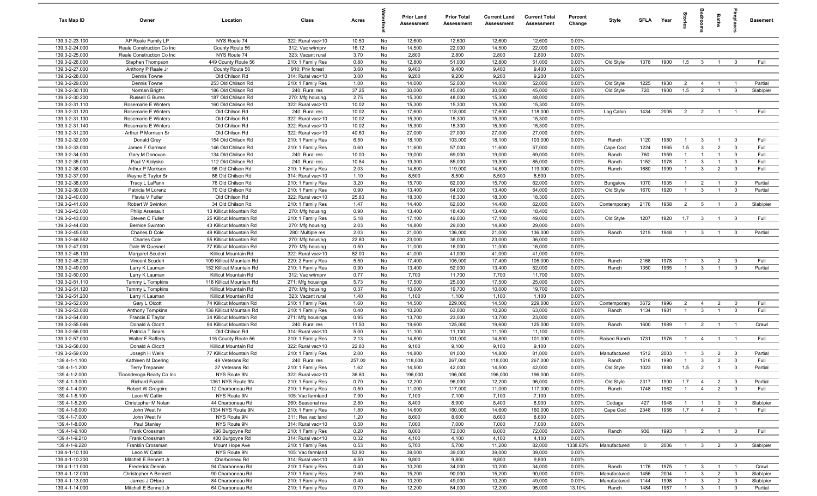| Tax Map ID                       | Owner                                | Location                                        | Class                                  | Acres         |          | <b>Prior Land</b><br>Assessment | <b>Prior Total</b><br>Assessment | <b>Current Land</b><br>Assessment | <b>Current Total</b><br>Assessment | Percent<br>Change | Style                  | <b>SFLA</b> | Year         | ĝ.                    |                                  | Baths                            | eide.                   | <b>Basement</b>      |
|----------------------------------|--------------------------------------|-------------------------------------------------|----------------------------------------|---------------|----------|---------------------------------|----------------------------------|-----------------------------------|------------------------------------|-------------------|------------------------|-------------|--------------|-----------------------|----------------------------------|----------------------------------|-------------------------|----------------------|
| 139.3-2-23.100                   | AP Reale Family LP                   | NYS Route 74                                    | 322: Rural vac>10                      | 10.50         | No       | 12,600                          | 12,600                           | 12,600                            | 12,600                             | 0.00%             |                        |             |              |                       |                                  |                                  |                         |                      |
| 139.3-2-24.000                   | Reale Construction Co Inc            | County Route 56                                 | 312: Vac w/imprv                       | 16.12         | No       | 14,500                          | 22,000                           | 14,500                            | 22,000                             | 0.00%             |                        |             |              |                       |                                  |                                  |                         |                      |
| 139.3-2-25.000                   | Reale Construction Co Inc            | NYS Route 74                                    | 323: Vacant rural                      | 3.70          | No       | 2,800                           | 2,800                            | 2,800                             | 2,800                              | 0.00%             |                        |             |              |                       |                                  |                                  |                         |                      |
| 139.3-2-26.000                   | Stephen Thompson                     | 449 County Route 56                             | 210: 1 Family Res                      | 0.80          | No       | 12,800                          | 51,000                           | 12,800                            | 51,000                             | 0.00%             | Old Style              | 1378        | 1900         | 1.5                   | $\mathbf{3}$                     | $\mathbf{1}$                     | $^{\circ}$              | Full                 |
| 139.3-2-27.000                   | Anthony P Reale Jr                   | County Route 56                                 | 910: Priv forest                       | 3.60          | No       | 9,400                           | 9,400                            | 9,400                             | 9,400                              | 0.00%             |                        |             |              |                       |                                  |                                  |                         |                      |
| 139.3-2-28.000                   | Dennis Towne                         | Old Chilson Rd                                  | 314: Rural vac<10                      | 3.00          | No       | 9,200                           | 9,200                            | 9,200                             | 9,200                              | 0.00%             |                        |             |              |                       |                                  |                                  |                         |                      |
| 139.3-2-29.000<br>139.3-2-30.100 | Dennis Towne<br>Norman Bright        | 253 Old Chilson Rd<br>186 Old Chilson Rd        | 210: 1 Family Res<br>240: Rural res    | 1.00<br>37.25 | No<br>No | 14,000<br>30,000                | 52,000<br>45,000                 | 14,000<br>30,000                  | 52,000<br>45,000                   | 0.00%<br>0.00%    | Old Style<br>Old Style | 1225<br>720 | 1930<br>1900 | $\overline{2}$<br>1.5 | $\overline{4}$<br>$\overline{2}$ | $\overline{1}$<br>$\overline{1}$ | - 1<br>$\mathbf 0$      | Partial<br>Slab/pier |
| 139.3-2-30.200                   | Russell G Burns                      | 187 Old Chilson Rd                              | 270: Mfg housing                       | 2.75          | No       | 15,300                          | 48,000                           | 15,300                            | 48,000                             | 0.00%             |                        |             |              |                       |                                  |                                  |                         |                      |
| 139.3-2-31.110                   | Rosemarie E Winters                  | 160 Old Chilson Rd                              | 322: Rural vac>10                      | 10.02         | No       | 15,300                          | 15,300                           | 15,300                            | 15,300                             | 0.00%             |                        |             |              |                       |                                  |                                  |                         |                      |
| 139.3-2-31.120                   | Rosemarie E Winters                  | Old Chilson Rd                                  | 240: Rural res                         | 10.02         | No       | 17,600                          | 118,000                          | 17,600                            | 118,000                            | 0.00%             | Log Cabin              | 1434        | 2005         | $\overline{2}$        | $\overline{2}$                   | $\overline{1}$                   |                         | Full                 |
| 139.3-2-31.130                   | Rosemarie E Winters                  | Old Chilson Rd                                  | 322: Rural vac>10                      | 10.02         | No       | 15,300                          | 15,300                           | 15,300                            | 15,300                             | 0.00%             |                        |             |              |                       |                                  |                                  |                         |                      |
| 139.3-2-31.140                   | Rosemarie E Winters                  | Old Chilson Rd                                  | 322: Rural vac>10                      | 10.02         | No       | 15,300                          | 15,300                           | 15,300                            | 15,300                             | 0.00%             |                        |             |              |                       |                                  |                                  |                         |                      |
| 139.3-2-31.200                   | Arthur P Morrison Sr                 | Old Chilson Rd                                  | 322: Rural vac>10                      | 40.60         | No       | 27,000                          | 27,000                           | 27,000                            | 27,000                             | 0.00%             |                        |             |              |                       |                                  |                                  |                         |                      |
| 139.3-2-32.000                   | Donald Grey                          | 154 Old Chilson Rd                              | 210: 1 Family Res                      | 6.50          | No       | 18,100                          | 103,000                          | 18,100                            | 103,000                            | 0.00%             | Ranch                  | 1120        | 1980         | $\overline{1}$        | $\overline{3}$                   | $\overline{1}$                   | $^{\circ}$              | Full                 |
| 139.3-2-33.000                   | James F Garrison                     | 146 Old Chilson Rd                              | 210: 1 Family Res                      | 0.60          | No       | 11,600                          | 57,000                           | 11,600                            | 57,000                             | 0.00%             | Cape Cod               | 1224        | 1965         | 1.5                   | $\mathbf{3}$                     | $\overline{2}$                   | $\mathbf 0$             | Full                 |
| 139.3-2-34.000                   | Gary M Donovan                       | 134 Old Chilson Rd                              | 240: Rural res                         | 10.00         | No       | 19,000                          | 69,000                           | 19,000                            | 69,000                             | 0.00%             | Ranch                  | 760         | 1959         | $\mathbf{1}$          | $\overline{1}$                   | $\overline{1}$                   | $\mathbf 0$             | Full                 |
| 139.3-2-35.000                   | Paul V Kolysko                       | 112 Old Chilson Rd                              | 240: Rural res                         | 10.84         | No       | 19,300                          | 85,000                           | 19,300                            | 85,000                             | 0.00%             | Ranch                  | 1152        | 1978         | $\mathbf{1}$          | $\mathbf{3}$                     | $\overline{1}$                   | $\mathbf 0$             | Full                 |
| 139.3-2-36.000                   | Arthur P Morrison                    | 96 Old Chilson Rd                               | 210: 1 Family Res                      | 2.03          | No       | 14,800                          | 119,000                          | 14,800                            | 119,000                            | 0.00%             | Ranch                  | 1680        | 1999         | $\mathbf{1}$          | $\mathbf{3}$                     | $\overline{2}$                   | $\mathbf 0$             | Full                 |
| 139.3-2-37.000                   | Wayne E Taylor Sr                    | 86 Old Chilson Rd                               | 314: Rural vac<10                      | 1.10          | No       | 8,500                           | 8,500                            | 8,500                             | 8,500                              | 0.00%             |                        |             |              |                       |                                  |                                  |                         |                      |
| 139.3-2-38.000                   | Tracy L LaPann                       | 76 Old Chilson Rd                               | 210: 1 Family Res                      | 3.20          | No       | 15,700                          | 62,000                           | 15,700                            | 62,000                             | 0.00%             | Bungalow               | 1070        | 1935         | $\overline{1}$        | $\overline{2}$                   | $\overline{1}$                   | $\mathbf 0$             | Partial              |
| 139.3-2-39.000<br>139.3-2-40.000 | Patricia M Lorenz<br>Flavia V Fuller | 70 Old Chilson Rd<br>Old Chilson Rd             | 210: 1 Family Res<br>322: Rural vac>10 | 0.90<br>25.80 | No<br>No | 13,400<br>18,300                | 64,000<br>18,300                 | 13,400<br>18,300                  | 64,000<br>18,300                   | 0.00%<br>0.00%    | Old Style              | 1670        | 1920         | $\overline{1}$        | $\mathbf{3}$                     | $\overline{1}$                   | $\overline{\mathbf{0}}$ | Partial              |
| 139.3-2-41.000                   | Robert W Swinton                     | 34 Old Chilson Rd                               | 210: 1 Family Res                      | 1.47          | No       | 14,400                          | 62,000                           | 14,400                            | 62,000                             | 0.00%             | Contemporary           | 2176        | 1958         | $\overline{2}$        | 5                                | $\overline{1}$                   | $\mathbf{0}$            | Slab/pier            |
| 139.3-2-42.000                   | <b>Philip Arsenault</b>              | 13 Killicut Mountain Rd                         | 270: Mfg housing                       | 0.90          | No       | 13,400                          | 18,400                           | 13,400                            | 18,400                             | 0.00%             |                        |             |              |                       |                                  |                                  |                         |                      |
| 139.3-2-43.000                   | Steven C Fuller                      | 25 Killicut Mountain Rd                         | 210: 1 Family Res                      | 5.18          | No       | 17,100                          | 49,000                           | 17,100                            | 49,000                             | 0.00%             | Old Style              | 1207        | 1920         | 1.7                   | $\mathbf{3}$                     | $\mathbf{1}$                     | $^{\circ}$              | Full                 |
| 139.3-2-44.000                   | <b>Bernice Swinton</b>               | 43 Killicut Mountain Rd                         | 270: Mfg housing                       | 2.03          | No       | 14,800                          | 29,000                           | 14,800                            | 29,000                             | 0.00%             |                        |             |              |                       |                                  |                                  |                         |                      |
| 139.3-2-45.000                   | Charles D Cole                       | 49 Killicut Mountain Rd                         | 280: Multiple res                      | 2.03          | No       | 21,000                          | 136,000                          | 21,000                            | 136,000                            | 0.00%             | Ranch                  | 1219        | 1948         | $\overline{1}$        | $\overline{3}$                   | $\mathbf{1}$                     | $\mathbf 0$             | Partial              |
| 139.3-2-46.552                   | Charles Cole                         | 55 Killicut Mountain Rd                         | 270: Mfg housing                       | 22.80         | No       | 23,000                          | 36,000                           | 23,000                            | 36,000                             | 0.00%             |                        |             |              |                       |                                  |                                  |                         |                      |
| 139.3-2-47.000                   | Dale W Quesnel                       | 77 Killicut Mountain Rd                         | 270: Mfg housing                       | 0.50          | No       | 11,000                          | 16,000                           | 11,000                            | 16,000                             | 0.00%             |                        |             |              |                       |                                  |                                  |                         |                      |
| 139.3-2-48.100                   | Margaret Scuderi                     | Killicut Mountain Rd                            | 322: Rural vac>10                      | 82.00         | No       | 41,000                          | 41,000                           | 41,000                            | 41,000                             | 0.00%             |                        |             |              |                       |                                  |                                  |                         |                      |
| 139.3-2-48.200                   | Vincent Scuderi                      | 109 Killicut Mountain Rd                        | 220: 2 Family Res                      | 5.50          | No       | 17,400                          | 105,000                          | 17,400                            | 105,000                            | $0.00\%$          | Ranch                  | 2168        | 1978         | $\mathbf{1}$          | $\mathbf{3}$                     | $\overline{2}$                   | $^{\circ}$              | Full                 |
| 139.3-2-49.000                   | Larry K Lauman                       | 152 Killicut Mountain Rd                        | 210: 1 Family Res                      | 0.90          | No       | 13,400                          | 52,000                           | 13,400                            | 52,000                             | 0.00%             | Ranch                  | 1350        | 1965         | $\overline{1}$        | $\mathbf{3}$                     | $\overline{1}$                   | $\mathbf 0$             | Partial              |
| 139.3-2-50.000                   | Larry K Lauman                       | Killicut Mountain Rd                            | 312: Vac w/imprv                       | 0.77          | No       | 7,700                           | 11,700                           | 7,700                             | 11,700                             | 0.00%             |                        |             |              |                       |                                  |                                  |                         |                      |
| 139.3-2-51.110                   | Tammy L Tompkins                     | 118 Killicut Mountain Rd                        | 271: Mfg housings                      | 5.73          | No       | 17,500                          | 25,000                           | 17,500                            | 25,000                             | 0.00%             |                        |             |              |                       |                                  |                                  |                         |                      |
| 139.3-2-51.120<br>139.3-2-51.200 | Tammy L Tompkins                     | Killicut Mountain Rd                            | 270: Mfg housing                       | 0.37<br>1.40  | No       | 10,000                          | 19,700                           | 10,000                            | 19,700                             | 0.00%<br>0.00%    |                        |             |              |                       |                                  |                                  |                         |                      |
| 139.3-2-52.000                   | Larry K Lauman<br>Gary L Olcott      | Killicut Mountain Rd<br>74 Killicut Mountain Rd | 323: Vacant rural<br>210: 1 Family Res | 1.60          | No<br>No | 1,100<br>14,500                 | 1,100<br>229,000                 | 1,100<br>14,500                   | 1,100<br>229,000                   | 0.00%             | Contemporary           | 3672        | 1996         | $\overline{2}$        | $\overline{4}$                   | $\overline{2}$                   | $\overline{0}$          | Full                 |
| 139.3-2-53.000                   | Anthony Tompkins                     | 136 Killicut Mountain Rd                        | 210: 1 Family Res                      | 0.40          | No       | 10,200                          | 63,000                           | 10,200                            | 63,000                             | 0.00%             | Ranch                  | 1134        | 1981         | $\overline{1}$        | $\mathbf{3}$                     | $\overline{1}$                   | $\mathbf{0}$            | Full                 |
| 139.3-2-54.000                   | Francis E Taylor                     | 34 Killicut Mountain Rd                         | 271: Mfg housings                      | 0.95          | No       | 13,700                          | 23,000                           | 13,700                            | 23,000                             | 0.00%             |                        |             |              |                       |                                  |                                  |                         |                      |
| 139.3-2-55.046                   | Donald A Olcott                      | 84 Killicut Mountain Rd                         | 240: Rural res                         | 11.50         | No       | 19,600                          | 125,000                          | 19,600                            | 125,000                            | 0.00%             | Ranch                  | 1600        | 1989         | $\overline{1}$        | $\overline{2}$                   | $\overline{1}$                   | $\overline{1}$          | Crawl                |
| 139.3-2-56.000                   | Patricia T Sears                     | Old Chilson Rd                                  | 314: Rural vac<10                      | 5.00          | No       | 11,100                          | 11,100                           | 11,100                            | 11,100                             | 0.00%             |                        |             |              |                       |                                  |                                  |                         |                      |
| 139.3-2-57.000                   | Walter F Rafferty                    | 116 County Route 56                             | 210: 1 Family Res                      | 2.13          | No       | 14,800                          | 101,000                          | 14,800                            | 101,000                            | 0.00%             | Raised Ranch           | 1731        | 1976         | $\overline{1}$        | $\overline{4}$                   | $\mathbf{1}$                     | $\overline{1}$          | Full                 |
| 139.3-2-58.000                   | Donald A Olcott                      | Killicut Mountain Rd                            | 322: Rural vac>10                      | 22.80         | No       | 9,100                           | 9,100                            | 9,100                             | 9,100                              | 0.00%             |                        |             |              |                       |                                  |                                  |                         |                      |
| 139.3-2-59.000                   | Joseph H Wells                       | 77 Killicut Mountain Rd                         | 210: 1 Family Res                      | 2.00          | No       | 14,800                          | 81,000                           | 14,800                            | 81,000                             | 0.00%             | Manufactured           | 1512        | 2003         | $\mathbf{1}$          | $\mathbf{3}$                     | $\overline{2}$                   | $\mathbf 0$             | Partial              |
| 139.4-1-1.100                    | Kathleen M Doering                   | 49 Veterans Rd                                  | 240: Rural res                         | 257.00        | No       | 118,000                         | 267,000                          | 118,000                           | 267,000                            | 0.00%             | Ranch                  | 1516        | 1990         | $\mathbf{1}$          | $\mathbf{3}$                     | $\overline{2}$                   | $^{\circ}$              | Full                 |
| 139.4-1-1.200                    | Terry Trepanier                      | 37 Veterans Rd                                  | 210: 1 Family Res                      | 1.62          | No       | 14,500                          | 42,000                           | 14,500                            | 42,000                             | 0.00%             | Old Style              | 1023        | 1880         | 1.5                   | $\overline{2}$                   | $\overline{1}$                   |                         | Partial              |
| 139.4-1-2.000                    | Ticonderoga Realty Co Inc            | NYS Route 9N                                    | 322: Rural vac>10                      | 36.80         | No       | 196,000                         | 196,000                          | 196,000                           | 196,000                            | 0.00%             |                        |             |              |                       |                                  |                                  |                         |                      |
| 139.4-1-3.000                    | Richard Fazioli                      | 1361 NYS Route 9N                               | 210: 1 Family Res                      | 0.70          | No       | 12,200                          | 96,000                           | 12,200                            | 96,000                             | 0.00%             | Old Style              | 2317        | 1900         | 1.7                   | $\overline{4}$                   | $\overline{2}$                   | $\overline{\mathbf{0}}$ | Partial              |
| 139.4-1-4.000                    | Robert W Gregoire                    | 12 Charboneau Rd                                | 210: 1 Family Res                      | 0.50          | No       | 11,000                          | 117,000                          | 11,000                            | 117,000                            | 0.00%             | Ranch                  | 1748        | 1962         | $\overline{1}$        | $\overline{4}$                   | $\overline{2}$                   | $\mathbf{0}$            | Full                 |
| 139.4-1-5.100<br>139.4-1-5.200   | Leon W Catlin<br>Christopher M Nolan | NYS Route 9N<br>44 Charboneau Rd                | 105: Vac farmland<br>260: Seasonal res | 7.90<br>2.80  | No       | 7,100<br>8,400                  | 7,100<br>8,900                   | 7,100                             | 7,100<br>8,900                     | 0.00%<br>0.00%    |                        |             |              |                       |                                  |                                  | $\mathbf 0$             | Slab/pier            |
| 139.4-1-6.000                    | John West IV                         | 1334 NYS Route 9N                               | 210: 1 Family Res                      | 1.80          | No<br>No | 14,600                          | 160,000                          | 8,400<br>14,600                   | 160,000                            | 0.00%             | Cottage<br>Cape Cod    | 427<br>2348 | 1948<br>1956 | $\overline{1}$<br>1.7 | $\overline{1}$<br>$\overline{4}$ | $\overline{0}$<br>$\overline{2}$ | $\overline{1}$          | Full                 |
| 139.4-1-7.000                    | John West IV                         | NYS Route 9N                                    | 311: Res vac land                      | 1.20          | No       | 8,600                           | 8,600                            | 8,600                             | 8,600                              | 0.00%             |                        |             |              |                       |                                  |                                  |                         |                      |
| 139.4-1-8.000                    | Paul Stanley                         | NYS Route 9N                                    | 314: Rural vac<10                      | 0.50          | No       | 7,000                           | 7,000                            | 7,000                             | 7,000                              | 0.00%             |                        |             |              |                       |                                  |                                  |                         |                      |
| 139.4-1-9.100                    | Frank Crossman                       | 396 Burgoyne Rd                                 | 210: 1 Family Res                      | 0.20          | No       | 8,000                           | 72,000                           | 8,000                             | 72,000                             | 0.00%             | Ranch                  | 936         | 1993         | $\overline{1}$        | $\overline{2}$                   | $\overline{1}$                   | $\mathbf 0$             | Full                 |
| 139.4-1-9.210                    | Frank Crossman                       | 400 Burgoyne Rd                                 | 314: Rural vac<10                      | 0.32          | No       | 4,100                           | 4,100                            | 4,100                             | 4,100                              | 0.00%             |                        |             |              |                       |                                  |                                  |                         |                      |
| 139.4-1-9.220                    | Franklin Crossman                    | Mount Hope Ave                                  | 210: 1 Family Res                      | 0.53          | No       | 5,700                           | 5,700                            | 11,200                            | 82,000                             | 1338.60%          | Manufactured           | $\mathbf 0$ | 2006         | $\overline{1}$        | $\mathbf{3}$                     | $\overline{2}$                   | $\overline{0}$          | Slab/pier            |
| 139.4-1-10.100                   | Leon W Catlin                        | NYS Route 9N                                    | 105: Vac farmland                      | 53.90         | No       | 39,000                          | 39,000                           | 39,000                            | 39,000                             | 0.00%             |                        |             |              |                       |                                  |                                  |                         |                      |
| 139.4-1-10.200                   | Mitchell E Bennett Jr                | Charboneau Rd                                   | 314: Rural vac<10                      | 4.50          | No       | 9,800                           | 9,800                            | 9,800                             | 9,800                              | 0.00%             |                        |             |              |                       |                                  |                                  |                         |                      |
| 139.4-1-11.000                   | Frederick Dennin                     | 94 Charboneau Rd                                | 210: 1 Family Res                      | 0.40          | No       | 10,200                          | 34,000                           | 10,200                            | 34,000                             | 0.00%             | Ranch                  | 1176        | 1975         | $\overline{1}$        | $\mathbf{3}$                     | $\overline{1}$                   | $\overline{1}$          | Crawl                |
| 139.4-1-12.000                   | Christopher A Bennett                | 90 Charboneau Rd                                | 210: 1 Family Res                      | 2.60          | No       | 15,200                          | 90,000                           | 15,200                            | 90,000                             | 0.00%             | Manufactured           | 1456        | 2004         | $\overline{1}$        | $\mathbf{3}$                     | $\overline{2}$                   | $\mathbf 0$             | Slab/pier            |
| 139.4-1-13.000                   | James J OHara                        | 84 Charboneau Rd                                | 210: 1 Family Res                      | 0.40          | No       | 10,200                          | 49,000                           | 10,200                            | 49,000                             | 0.00%             | Manufactured           | 1144        | 1998         | $\overline{1}$        | $\mathbf{3}$                     | $\overline{2}$                   | $\overline{0}$          | Slab/pier            |
| 139.4-1-14.000                   | Mitchell E Bennett Jr                | 64 Charboneau Rd                                | 210: 1 Family Res                      | 0.70          | No       | 12,200                          | 84,000                           | 12,200                            | 95,000                             | 13.10%            | Ranch                  | 1484        | 1967         | $\overline{1}$        | $\overline{\mathbf{3}}$          | $\overline{1}$                   | $\mathbf 0$             | Partial              |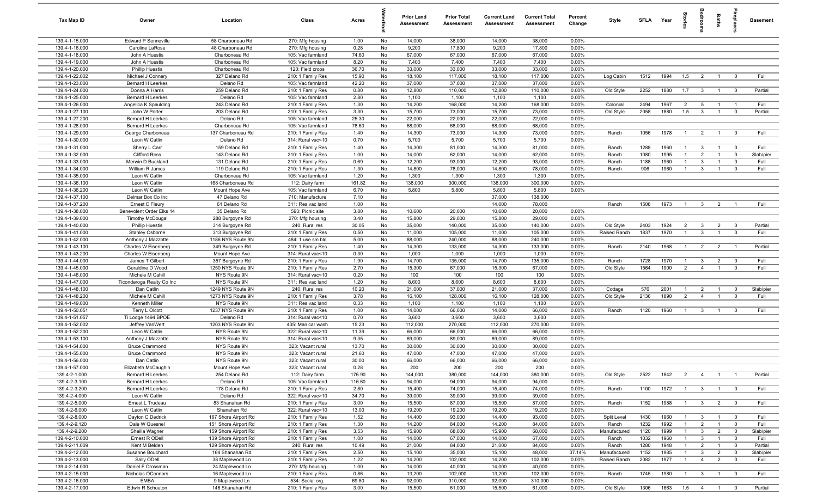| 14,000<br>38,000<br>139.4-1-15.000<br><b>Edward P Senneville</b><br>58 Charboneau Rd<br>270: Mfg housing<br>1.00<br>No<br>14,000<br>38,000<br>0.00%<br>9,200<br>17,800<br>9,200<br>139.4-1-16.000<br>Caroline LaRose<br>48 Charboneau Rd<br>0.28<br>No<br>17,800<br>0.00%<br>270: Mfg housing<br>139.4-1-18.000<br>John A Huestis<br>Charboneau Rd<br>74.60<br>No<br>67,000<br>67,000<br>67,000<br>67,000<br>0.00%<br>105: Vac farmland<br>7,400<br>7,400<br>139.4-1-19.000<br>John A Huestis<br>Charboneau Rd<br>105: Vac farmland<br>8.20<br>No<br>7,400<br>7,400<br>0.00%<br>139.4-1-20.000<br>Charboneau Rd<br>36.70<br>33,000<br>33,000<br>33,000<br>33,000<br>0.00%<br><b>Phillip Huestis</b><br>120: Field crops<br>No<br>139.4-1-22.002<br>327 Delano Rd<br>15.90<br>No<br>18,100<br>117,000<br>18,100<br>117,000<br>0.00%<br>Log Cabin<br>1512<br>1994<br>1.5<br>Michael J Connery<br>210: 1 Family Res<br>$\overline{2}$<br>$\overline{\mathbf{0}}$<br>$\overline{1}$<br>139.4-1-23.000<br>37,000<br>37,000<br>Delano Rd<br>42.20<br>No<br>37,000<br>37,000<br>0.00%<br><b>Bernard H Leerkes</b><br>105: Vac farmland<br>139.4-1-24.000<br>12,800<br>Donna A Harris<br>259 Delano Rd<br>210: 1 Family Res<br>0.80<br>No<br>110,000<br>12,800<br>110,000<br>0.00%<br>Old Style<br>2252<br>1880<br>1.7<br>$\overline{\mathbf{3}}$<br>$\overline{\mathbf{0}}$<br>$\overline{1}$<br>139.4-1-25.000<br><b>Bernard H Leerkes</b><br>Delano Rd<br>2.80<br>No<br>1,100<br>1,100<br>1,100<br>1,100<br>0.00%<br>105: Vac farmland<br>139.4-1-26.000<br>14,200<br>Angelica K Spaulding<br>243 Delano Rd<br>210: 1 Family Res<br>1.30<br>No<br>168,000<br>14,200<br>168,000<br>0.00%<br>Colonial<br>2494<br>1967<br>$\overline{2}$<br>5<br>$\overline{1}$<br>$\overline{1}$<br>15,700<br>2058<br>1880<br>1.5<br>139.4-1-27.100<br>203 Delano Rd<br>3.30<br>No<br>73,000<br>15,700<br>73,000<br>0.00%<br>Old Style<br>$\mathbf{3}$<br>$\overline{0}$<br>John W Porter<br>210: 1 Family Res<br>$\overline{1}$<br>22,000<br>139.4-1-27.200<br><b>Bernard H Leerkes</b><br>Delano Rd<br>105: Vac farmland<br>25.30<br>No<br>22,000<br>22,000<br>22,000<br>0.00%<br>139.4-1-28.000<br>78.60<br>68,000<br>68,000<br>68,000<br>0.00%<br><b>Bernard H Leerkes</b><br>Charboneau Rd<br>105: Vac farmland<br>No<br>68,000<br>139.4-1-29.000<br>George Charboneau<br>137 Charboneau Rd<br>210: 1 Family Res<br>1.40<br>No<br>14,300<br>73,000<br>14,300<br>73,000<br>0.00%<br>Ranch<br>1056<br>1978<br>$\overline{2}$<br>$\overline{0}$<br>$\overline{1}$<br>$\overline{1}$<br>5,700<br>5,700<br>139.4-1-30.000<br>Leon W Catlin<br>Delano Rd<br>314: Rural vac<10<br>0.70<br>No<br>5,700<br>5,700<br>0.00%<br>14,300<br>139.4-1-31.000<br>Sherry L Carr<br>159 Delano Rd<br>210: 1 Family Res<br>1.40<br>No<br>81,000<br>14,300<br>81,000<br>0.00%<br>1288<br>1960<br>$\mathbf{3}$<br>Ranch<br>$\mathbf 0$<br>$\mathbf{1}$<br>139.4-1-32.000<br>14,000<br>14,000<br>62,000<br>1995<br><b>Clifford Ross</b><br>143 Delano Rd<br>210: 1 Family Res<br>1.00<br>No<br>62,000<br>0.00%<br>Ranch<br>1080<br>$\overline{2}$<br>$\mathbf 0$<br>139.4-1-33.000<br>Merwin D Buckland<br>131 Delano Rd<br>0.69<br>12,200<br>93,000<br>12,200<br>93,000<br>0.00%<br>1960<br>$\mathbf{3}$<br>210: 1 Family Res<br>No<br>Ranch<br>1188<br>$^{\circ}$<br>-1<br>139.4-1-34.000<br>14,800<br>906<br>1960<br>William R James<br>119 Delano Rd<br>210: 1 Family Res<br>1.30<br>No<br>78,000<br>14,800<br>78,000<br>0.00%<br>$\mathbf{3}$<br>$\mathbf 0$<br>Ranch<br>139.4-1-35.000<br>Leon W Catlin<br>Charboneau Rd<br>105: Vac farmland<br>1.20<br>No<br>1,300<br>1,300<br>1,300<br>1,300<br>0.00%<br>138,000<br>139.4-1-36.100<br>Leon W Catlin<br>168 Charboneau Rd<br>112: Dairy farm<br>161.82<br>No<br>300,000<br>138,000<br>300,000<br>0.00%<br>5,800<br>139.4-1-36.200<br>Leon W Catlin<br>Mount Hope Ave<br>105: Vac farmland<br>6.70<br>No<br>5,800<br>5,800<br>5,800<br>0.00%<br>47 Delano Rd<br>139.4-1-37.100<br>Delmar Box Co Inc<br>710: Manufacture<br>7.10<br>No<br>37,000<br>138,000<br>139.4-1-37.200<br>61 Delano Rd<br>311: Res vac land<br>1.00<br>No<br>14,000<br>78,000<br>Ranch<br>1508<br>1973<br>Ernest C Fleury<br>$\overline{1}$<br>$\mathbf{3}$<br>$\overline{2}$<br>$\overline{1}$<br>139.4-1-38.000<br>35 Delano Rd<br>3.80<br>10,600<br>20,000<br>10,600<br>20,000<br>Benevolent Order Elks 14<br>593: Picnic site<br>No<br>0.00%<br>139.4-1-39.000<br>15,800<br>29,000<br>15,800<br>0.00%<br>3.40<br>No<br>29,000<br><b>Timothy McDougal</b><br>288 Burgoyne Rd<br>270: Mfg housing<br>30.05<br>139.4-1-40.000<br><b>Phillip Huestis</b><br>314 Burgoyne Rd<br>240: Rural res<br>No<br>35,000<br>140,000<br>35,000<br>140,000<br>0.00%<br>Old Style<br>2403<br>1924<br>$\overline{2}$<br>$\mathbf{3}$<br>$\overline{2}$<br>$\overline{0}$<br>139.4-1-41.000<br>210: 1 Family Res<br>0.50<br>No<br>11,000<br>105,000<br>11,000<br>105,000<br>0.00%<br>Raised Ranch<br>1837<br>1970<br>$\mathbf{3}$<br>$\overline{0}$<br>Stanley Osborne<br>313 Burgoyne Rd<br>$\mathbf{1}$<br>5.00<br>88,000<br>88,000<br>0.00%<br>139.4-1-42.000<br>Anthony J Mazzotte<br>1186 NYS Route 9N<br>484: 1 use sm bld<br>No<br>240,000<br>240,000<br>139.4-1-43.100<br>1.40<br>No<br>14,300<br>133,000<br>14,300<br>133,000<br>0.00%<br>2140<br>1968<br>$\overline{2}$<br>Charles W Eisenberg<br>349 Burgoyne Rd<br>210: 1 Family Res<br>Ranch<br>$\overline{2}$<br>- 1<br>139.4-1-43.200<br>0.30<br>1,000<br>1,000<br>1,000<br>1,000<br>0.00%<br>Charles W Eisenberg<br>Mount Hope Ave<br>314: Rural vac<10<br>No<br>139.4-1-44.000<br>1.90<br>14,700<br>14,700<br>135,000<br>1970<br>James T Gilbert<br>357 Burgoyne Rd<br>210: 1 Family Res<br>No<br>135,000<br>0.00%<br>Ranch<br>1728<br>$\mathbf{3}$<br>$\overline{2}$<br>$\overline{0}$<br>$\overline{1}$<br>1564<br>139.4-1-45.000<br>1250 NYS Route 9N<br>2.70<br>No<br>15,300<br>67,000<br>15,300<br>67,000<br>0.00%<br>Old Style<br>1900<br>$\overline{2}$<br>$\overline{4}$<br>$\overline{0}$<br>Geraldine D Wood<br>210: 1 Family Res<br>$\mathbf{1}$<br>139.4-1-46.000<br>Michele M Cahill<br>NYS Route 9N<br>100<br>100<br>314: Rural vac<10<br>0.20<br>No<br>100<br>100<br>0.00%<br>8,600<br>8,600<br>139.4-1-47.000<br>Ticonderoga Realty Co Inc<br>NYS Route 9N<br>311: Res vac land<br>1.20<br>No<br>8,600<br>8,600<br>0.00%<br>576<br>2001<br>139.4-1-48.100<br>Dan Catlin<br>1249 NYS Route 9N<br>240: Rural res<br>10.20<br>No<br>21,000<br>37,000<br>21,000<br>37,000<br>0.00%<br>Cottage<br>$\overline{1}$<br>$\overline{2}$<br>$\mathbf 0$<br>$\mathbf{1}$<br>16,100<br>1890<br>139.4-1-48.200<br>Michele M Cahill<br>1273 NYS Route 9N<br>3.78<br>No<br>128,000<br>16,100<br>128,000<br>0.00%<br>Old Style<br>2136<br>$\overline{2}$<br>210: 1 Family Res<br>$\overline{4}$<br>$\overline{\mathbf{0}}$<br>$\overline{1}$<br>139.4-1-49.000<br>0.33<br>Kenneth Miller<br>NYS Route 9N<br>311: Res vac land<br>No<br>1,100<br>1,100<br>1,100<br>1,100<br>0.00%<br>14,000<br>139.4-1-50.051<br>Terry L Olcott<br>1237 NYS Route 9N<br>210: 1 Family Res<br>1.00<br>No<br>66,000<br>14,000<br>66,000<br>0.00%<br>Ranch<br>1120<br>1960<br>$\mathbf{3}$<br>$\mathbf 0$<br>$\overline{1}$<br>139.4-1-51.057<br>Ti Lodge 1494 BPOE<br>Delano Rd<br>314: Rural vac<10<br>0.70<br>No<br>3,600<br>3,600<br>3,600<br>3,600<br>0.00%<br>139.4-1-52.002<br>15.23<br>112,000<br>Jeffrey VanWert<br>1203 NYS Route 9N<br>435: Man car wash<br>No<br>270,000<br>112,000<br>270,000<br>0.00%<br>139.4-1-52.200<br>66,000<br>Leon W Catlin<br>NYS Route 9N<br>322: Rural vac>10<br>11.39<br>No<br>66,000<br>66,000<br>66,000<br>0.00%<br>139.4-1-53.100<br>NYS Route 9N<br>314: Rural vac<10<br>9.35<br>No<br>89,000<br>89,000<br>89,000<br>89,000<br>0.00%<br>Anthony J Mazzotte<br>139.4-1-54.000<br>0.00%<br>NYS Route 9N<br>323: Vacant rural<br>13.70<br>No<br>30,000<br>30,000<br>30,000<br>30,000<br><b>Bruce Crammond</b><br>47,000<br>139.4-1-55.000<br>NYS Route 9N<br>323: Vacant rural<br>21.60<br>No<br>47,000<br>47,000<br>47,000<br>0.00%<br><b>Bruce Crammond</b><br>30.00<br>66,000<br>66,000<br>66,000<br>66,000<br>0.00%<br>139.4-1-56.000<br>NYS Route 9N<br>323: Vacant rural<br>No<br>Dan Catlin<br>139.4-1-57.000<br>0.00%<br>Elizabeth McCaughin<br>Mount Hope Ave<br>323: Vacant rural<br>0.28<br>No<br>200<br>200<br>200<br>200<br>176.90<br>144,000<br>380,000<br>Old Style<br>2522<br>2<br>139.4-2-1.000<br>254 Delano Rd<br>112: Dairy farm<br>No<br>144,000<br>380,000<br>0.00%<br>1842<br>$\overline{4}$<br>$\overline{1}$<br>$\overline{1}$<br>Bernard H Leerkes<br>139.4-2-3.100<br>Bernard H Leerkes<br>Delano Rd<br>105: Vac farmland<br>116.60<br>94,000<br>94,000<br>94,000<br>0.00%<br>No<br>94,000<br>139.4-2-3.200<br>1972<br>Bernard H Leerkes<br>178 Delano Rd<br>2.80<br>No<br>15,400<br>74,000<br>15,400<br>74,000<br>0.00%<br>Ranch<br>1100<br>$\overline{\mathbf{3}}$<br>210: 1 Family Res<br>$\overline{1}$<br>$\overline{1}$<br>$\mathbf 0$<br>139.4-2-4.000<br>Leon W Catlin<br>Delano Rd<br>322: Rural vac>10<br>34.70<br>No<br>39,000<br>39,000<br>39,000<br>39,000<br>0.00%<br>139.4-2-5.000<br>Ernest L Trudeau<br>83 Shanahan Rd<br>210: 1 Family Res<br>3.00<br>No<br>15,500<br>87,000<br>15,500<br>87,000<br>0.00%<br>Ranch<br>1152<br>1988<br>$\overline{\mathbf{3}}$<br>$\overline{2}$<br>$\overline{1}$<br>$\overline{\mathbf{0}}$<br>139.4-2-6.000<br>Leon W Catlin<br>Shanahan Rd<br>322: Rural vac>10<br>13.00<br>No<br>19,200<br>19,200<br>19,200<br>19,200<br>0.00%<br>139.4-2-8.000<br>1.52<br>Dayton C Dedrick<br>167 Shore Airport Rd<br>210: 1 Family Res<br>No<br>14,400<br>93,000<br>14,400<br>93,000<br>0.00%<br>Split Level<br>1430<br>1960<br>$\mathbf{3}$<br>$\mathbf 0$<br>0.00%<br>$\overline{2}$<br>139.4-2-9.120<br>210: 1 Family Res<br>1.30<br>No<br>14,200<br>84,000<br>14,200<br>84,000<br>1232<br>1992<br>Dale W Quesnel<br>151 Shore Airport Rd<br>Ranch<br>$\mathbf 0$ | <b>Basement</b> | Baths |  | SFLA Year | Style | Percent<br>Change | <b>Current Total</b><br><b>Assessment</b> | <b>Current Land</b><br>Assessment | <b>Prior Total</b><br>Assessment | <b>Prior Land</b><br><b>Assessment</b> | Acres | Class | Location        | Owner            | Tax Map ID     |
|---------------------------------------------------------------------------------------------------------------------------------------------------------------------------------------------------------------------------------------------------------------------------------------------------------------------------------------------------------------------------------------------------------------------------------------------------------------------------------------------------------------------------------------------------------------------------------------------------------------------------------------------------------------------------------------------------------------------------------------------------------------------------------------------------------------------------------------------------------------------------------------------------------------------------------------------------------------------------------------------------------------------------------------------------------------------------------------------------------------------------------------------------------------------------------------------------------------------------------------------------------------------------------------------------------------------------------------------------------------------------------------------------------------------------------------------------------------------------------------------------------------------------------------------------------------------------------------------------------------------------------------------------------------------------------------------------------------------------------------------------------------------------------------------------------------------------------------------------------------------------------------------------------------------------------------------------------------------------------------------------------------------------------------------------------------------------------------------------------------------------------------------------------------------------------------------------------------------------------------------------------------------------------------------------------------------------------------------------------------------------------------------------------------------------------------------------------------------------------------------------------------------------------------------------------------------------------------------------------------------------------------------------------------------------------------------------------------------------------------------------------------------------------------------------------------------------------------------------------------------------------------------------------------------------------------------------------------------------------------------------------------------------------------------------------------------------------------------------------------------------------------------------------------------------------------------------------------------------------------------------------------------------------------------------------------------------------------------------------------------------------------------------------------------------------------------------------------------------------------------------------------------------------------------------------------------------------------------------------------------------------------------------------------------------------------------------------------------------------------------------------------------------------------------------------------------------------------------------------------------------------------------------------------------------------------------------------------------------------------------------------------------------------------------------------------------------------------------------------------------------------------------------------------------------------------------------------------------------------------------------------------------------------------------------------------------------------------------------------------------------------------------------------------------------------------------------------------------------------------------------------------------------------------------------------------------------------------------------------------------------------------------------------------------------------------------------------------------------------------------------------------------------------------------------------------------------------------------------------------------------------------------------------------------------------------------------------------------------------------------------------------------------------------------------------------------------------------------------------------------------------------------------------------------------------------------------------------------------------------------------------------------------------------------------------------------------------------------------------------------------------------------------------------------------------------------------------------------------------------------------------------------------------------------------------------------------------------------------------------------------------------------------------------------------------------------------------------------------------------------------------------------------------------------------------------------------------------------------------------------------------------------------------------------------------------------------------------------------------------------------------------------------------------------------------------------------------------------------------------------------------------------------------------------------------------------------------------------------------------------------------------------------------------------------------------------------------------------------------------------------------------------------------------------------------------------------------------------------------------------------------------------------------------------------------------------------------------------------------------------------------------------------------------------------------------------------------------------------------------------------------------------------------------------------------------------------------------------------------------------------------------------------------------------------------------------------------------------------------------------------------------------------------------------------------------------------------------------------------------------------------------------------------------------------------------------------------------------------------------------------------------------------------------------------------------------------------------------------------------------------------------------------------------------------------------------------------------------------------------------------------------------------------------------------------------------------------------------------------------------------------------------------------------------------------------------------------------------------------------------------------------------------------------------------------------------------------------------------------------------------------------------------------------------------------------------------------------------------------------------------------------------------------------------------------------------------------------------------------------------------------------------------------------------------------------------------------------------------------------------------------------------------------------------------------------------------------------------------------------------------------------------------------------------------------------------------------------------------------------------------------------------------------------------------------------------------------------------------------------------------------------------------------------------------------------------------------------------------------------------------------------------------------------------------------------------------------------------------------------------------------------------------------------------------------------------------------------------------------------------------------------------------------------------------------------------------------------------------------------------------------------------------------------------------------------------------------------------------------------------------------------------------------------------------------------------------------------------------------------------------------------------------------------------------------------------------------------------------------------------------------------------------------------------------------------------------------------------------------------------------------------------------------------------------------------------------------------------------------------------------------------------------------------------------------------------------------------------------------------------------------------------------------------------------------------------------------------------------------------------------|-----------------|-------|--|-----------|-------|-------------------|-------------------------------------------|-----------------------------------|----------------------------------|----------------------------------------|-------|-------|-----------------|------------------|----------------|
|                                                                                                                                                                                                                                                                                                                                                                                                                                                                                                                                                                                                                                                                                                                                                                                                                                                                                                                                                                                                                                                                                                                                                                                                                                                                                                                                                                                                                                                                                                                                                                                                                                                                                                                                                                                                                                                                                                                                                                                                                                                                                                                                                                                                                                                                                                                                                                                                                                                                                                                                                                                                                                                                                                                                                                                                                                                                                                                                                                                                                                                                                                                                                                                                                                                                                                                                                                                                                                                                                                                                                                                                                                                                                                                                                                                                                                                                                                                                                                                                                                                                                                                                                                                                                                                                                                                                                                                                                                                                                                                                                                                                                                                                                                                                                                                                                                                                                                                                                                                                                                                                                                                                                                                                                                                                                                                                                                                                                                                                                                                                                                                                                                                                                                                                                                                                                                                                                                                                                                                                                                                                                                                                                                                                                                                                                                                                                                                                                                                                                                                                                                                                                                                                                                                                                                                                                                                                                                                                                                                                                                                                                                                                                                                                                                                                                                                                                                                                                                                                                                                                                                                                                                                                                                                                                                                                                                                                                                                                                                                                                                                                                                                                                                                                                                                                                                                                                                                                                                                                                                                                                                                                                                                                                                                                                                                                                                                                                                                                                                                                                                                                                                                                                                                                                                                                                                                                                                                                                                                                                                                                                                                                                                                                                                                                                                                                                                                                                                                                                                                                   |                 |       |  |           |       |                   |                                           |                                   |                                  |                                        |       |       |                 |                  |                |
|                                                                                                                                                                                                                                                                                                                                                                                                                                                                                                                                                                                                                                                                                                                                                                                                                                                                                                                                                                                                                                                                                                                                                                                                                                                                                                                                                                                                                                                                                                                                                                                                                                                                                                                                                                                                                                                                                                                                                                                                                                                                                                                                                                                                                                                                                                                                                                                                                                                                                                                                                                                                                                                                                                                                                                                                                                                                                                                                                                                                                                                                                                                                                                                                                                                                                                                                                                                                                                                                                                                                                                                                                                                                                                                                                                                                                                                                                                                                                                                                                                                                                                                                                                                                                                                                                                                                                                                                                                                                                                                                                                                                                                                                                                                                                                                                                                                                                                                                                                                                                                                                                                                                                                                                                                                                                                                                                                                                                                                                                                                                                                                                                                                                                                                                                                                                                                                                                                                                                                                                                                                                                                                                                                                                                                                                                                                                                                                                                                                                                                                                                                                                                                                                                                                                                                                                                                                                                                                                                                                                                                                                                                                                                                                                                                                                                                                                                                                                                                                                                                                                                                                                                                                                                                                                                                                                                                                                                                                                                                                                                                                                                                                                                                                                                                                                                                                                                                                                                                                                                                                                                                                                                                                                                                                                                                                                                                                                                                                                                                                                                                                                                                                                                                                                                                                                                                                                                                                                                                                                                                                                                                                                                                                                                                                                                                                                                                                                                                                                                                                                   |                 |       |  |           |       |                   |                                           |                                   |                                  |                                        |       |       |                 |                  |                |
|                                                                                                                                                                                                                                                                                                                                                                                                                                                                                                                                                                                                                                                                                                                                                                                                                                                                                                                                                                                                                                                                                                                                                                                                                                                                                                                                                                                                                                                                                                                                                                                                                                                                                                                                                                                                                                                                                                                                                                                                                                                                                                                                                                                                                                                                                                                                                                                                                                                                                                                                                                                                                                                                                                                                                                                                                                                                                                                                                                                                                                                                                                                                                                                                                                                                                                                                                                                                                                                                                                                                                                                                                                                                                                                                                                                                                                                                                                                                                                                                                                                                                                                                                                                                                                                                                                                                                                                                                                                                                                                                                                                                                                                                                                                                                                                                                                                                                                                                                                                                                                                                                                                                                                                                                                                                                                                                                                                                                                                                                                                                                                                                                                                                                                                                                                                                                                                                                                                                                                                                                                                                                                                                                                                                                                                                                                                                                                                                                                                                                                                                                                                                                                                                                                                                                                                                                                                                                                                                                                                                                                                                                                                                                                                                                                                                                                                                                                                                                                                                                                                                                                                                                                                                                                                                                                                                                                                                                                                                                                                                                                                                                                                                                                                                                                                                                                                                                                                                                                                                                                                                                                                                                                                                                                                                                                                                                                                                                                                                                                                                                                                                                                                                                                                                                                                                                                                                                                                                                                                                                                                                                                                                                                                                                                                                                                                                                                                                                                                                                                                                   |                 |       |  |           |       |                   |                                           |                                   |                                  |                                        |       |       |                 |                  |                |
|                                                                                                                                                                                                                                                                                                                                                                                                                                                                                                                                                                                                                                                                                                                                                                                                                                                                                                                                                                                                                                                                                                                                                                                                                                                                                                                                                                                                                                                                                                                                                                                                                                                                                                                                                                                                                                                                                                                                                                                                                                                                                                                                                                                                                                                                                                                                                                                                                                                                                                                                                                                                                                                                                                                                                                                                                                                                                                                                                                                                                                                                                                                                                                                                                                                                                                                                                                                                                                                                                                                                                                                                                                                                                                                                                                                                                                                                                                                                                                                                                                                                                                                                                                                                                                                                                                                                                                                                                                                                                                                                                                                                                                                                                                                                                                                                                                                                                                                                                                                                                                                                                                                                                                                                                                                                                                                                                                                                                                                                                                                                                                                                                                                                                                                                                                                                                                                                                                                                                                                                                                                                                                                                                                                                                                                                                                                                                                                                                                                                                                                                                                                                                                                                                                                                                                                                                                                                                                                                                                                                                                                                                                                                                                                                                                                                                                                                                                                                                                                                                                                                                                                                                                                                                                                                                                                                                                                                                                                                                                                                                                                                                                                                                                                                                                                                                                                                                                                                                                                                                                                                                                                                                                                                                                                                                                                                                                                                                                                                                                                                                                                                                                                                                                                                                                                                                                                                                                                                                                                                                                                                                                                                                                                                                                                                                                                                                                                                                                                                                                                                   |                 |       |  |           |       |                   |                                           |                                   |                                  |                                        |       |       |                 |                  |                |
|                                                                                                                                                                                                                                                                                                                                                                                                                                                                                                                                                                                                                                                                                                                                                                                                                                                                                                                                                                                                                                                                                                                                                                                                                                                                                                                                                                                                                                                                                                                                                                                                                                                                                                                                                                                                                                                                                                                                                                                                                                                                                                                                                                                                                                                                                                                                                                                                                                                                                                                                                                                                                                                                                                                                                                                                                                                                                                                                                                                                                                                                                                                                                                                                                                                                                                                                                                                                                                                                                                                                                                                                                                                                                                                                                                                                                                                                                                                                                                                                                                                                                                                                                                                                                                                                                                                                                                                                                                                                                                                                                                                                                                                                                                                                                                                                                                                                                                                                                                                                                                                                                                                                                                                                                                                                                                                                                                                                                                                                                                                                                                                                                                                                                                                                                                                                                                                                                                                                                                                                                                                                                                                                                                                                                                                                                                                                                                                                                                                                                                                                                                                                                                                                                                                                                                                                                                                                                                                                                                                                                                                                                                                                                                                                                                                                                                                                                                                                                                                                                                                                                                                                                                                                                                                                                                                                                                                                                                                                                                                                                                                                                                                                                                                                                                                                                                                                                                                                                                                                                                                                                                                                                                                                                                                                                                                                                                                                                                                                                                                                                                                                                                                                                                                                                                                                                                                                                                                                                                                                                                                                                                                                                                                                                                                                                                                                                                                                                                                                                                                                   |                 |       |  |           |       |                   |                                           |                                   |                                  |                                        |       |       |                 |                  |                |
|                                                                                                                                                                                                                                                                                                                                                                                                                                                                                                                                                                                                                                                                                                                                                                                                                                                                                                                                                                                                                                                                                                                                                                                                                                                                                                                                                                                                                                                                                                                                                                                                                                                                                                                                                                                                                                                                                                                                                                                                                                                                                                                                                                                                                                                                                                                                                                                                                                                                                                                                                                                                                                                                                                                                                                                                                                                                                                                                                                                                                                                                                                                                                                                                                                                                                                                                                                                                                                                                                                                                                                                                                                                                                                                                                                                                                                                                                                                                                                                                                                                                                                                                                                                                                                                                                                                                                                                                                                                                                                                                                                                                                                                                                                                                                                                                                                                                                                                                                                                                                                                                                                                                                                                                                                                                                                                                                                                                                                                                                                                                                                                                                                                                                                                                                                                                                                                                                                                                                                                                                                                                                                                                                                                                                                                                                                                                                                                                                                                                                                                                                                                                                                                                                                                                                                                                                                                                                                                                                                                                                                                                                                                                                                                                                                                                                                                                                                                                                                                                                                                                                                                                                                                                                                                                                                                                                                                                                                                                                                                                                                                                                                                                                                                                                                                                                                                                                                                                                                                                                                                                                                                                                                                                                                                                                                                                                                                                                                                                                                                                                                                                                                                                                                                                                                                                                                                                                                                                                                                                                                                                                                                                                                                                                                                                                                                                                                                                                                                                                                                                   | Full            |       |  |           |       |                   |                                           |                                   |                                  |                                        |       |       |                 |                  |                |
|                                                                                                                                                                                                                                                                                                                                                                                                                                                                                                                                                                                                                                                                                                                                                                                                                                                                                                                                                                                                                                                                                                                                                                                                                                                                                                                                                                                                                                                                                                                                                                                                                                                                                                                                                                                                                                                                                                                                                                                                                                                                                                                                                                                                                                                                                                                                                                                                                                                                                                                                                                                                                                                                                                                                                                                                                                                                                                                                                                                                                                                                                                                                                                                                                                                                                                                                                                                                                                                                                                                                                                                                                                                                                                                                                                                                                                                                                                                                                                                                                                                                                                                                                                                                                                                                                                                                                                                                                                                                                                                                                                                                                                                                                                                                                                                                                                                                                                                                                                                                                                                                                                                                                                                                                                                                                                                                                                                                                                                                                                                                                                                                                                                                                                                                                                                                                                                                                                                                                                                                                                                                                                                                                                                                                                                                                                                                                                                                                                                                                                                                                                                                                                                                                                                                                                                                                                                                                                                                                                                                                                                                                                                                                                                                                                                                                                                                                                                                                                                                                                                                                                                                                                                                                                                                                                                                                                                                                                                                                                                                                                                                                                                                                                                                                                                                                                                                                                                                                                                                                                                                                                                                                                                                                                                                                                                                                                                                                                                                                                                                                                                                                                                                                                                                                                                                                                                                                                                                                                                                                                                                                                                                                                                                                                                                                                                                                                                                                                                                                                                                   | Partial         |       |  |           |       |                   |                                           |                                   |                                  |                                        |       |       |                 |                  |                |
|                                                                                                                                                                                                                                                                                                                                                                                                                                                                                                                                                                                                                                                                                                                                                                                                                                                                                                                                                                                                                                                                                                                                                                                                                                                                                                                                                                                                                                                                                                                                                                                                                                                                                                                                                                                                                                                                                                                                                                                                                                                                                                                                                                                                                                                                                                                                                                                                                                                                                                                                                                                                                                                                                                                                                                                                                                                                                                                                                                                                                                                                                                                                                                                                                                                                                                                                                                                                                                                                                                                                                                                                                                                                                                                                                                                                                                                                                                                                                                                                                                                                                                                                                                                                                                                                                                                                                                                                                                                                                                                                                                                                                                                                                                                                                                                                                                                                                                                                                                                                                                                                                                                                                                                                                                                                                                                                                                                                                                                                                                                                                                                                                                                                                                                                                                                                                                                                                                                                                                                                                                                                                                                                                                                                                                                                                                                                                                                                                                                                                                                                                                                                                                                                                                                                                                                                                                                                                                                                                                                                                                                                                                                                                                                                                                                                                                                                                                                                                                                                                                                                                                                                                                                                                                                                                                                                                                                                                                                                                                                                                                                                                                                                                                                                                                                                                                                                                                                                                                                                                                                                                                                                                                                                                                                                                                                                                                                                                                                                                                                                                                                                                                                                                                                                                                                                                                                                                                                                                                                                                                                                                                                                                                                                                                                                                                                                                                                                                                                                                                                                   |                 |       |  |           |       |                   |                                           |                                   |                                  |                                        |       |       |                 |                  |                |
|                                                                                                                                                                                                                                                                                                                                                                                                                                                                                                                                                                                                                                                                                                                                                                                                                                                                                                                                                                                                                                                                                                                                                                                                                                                                                                                                                                                                                                                                                                                                                                                                                                                                                                                                                                                                                                                                                                                                                                                                                                                                                                                                                                                                                                                                                                                                                                                                                                                                                                                                                                                                                                                                                                                                                                                                                                                                                                                                                                                                                                                                                                                                                                                                                                                                                                                                                                                                                                                                                                                                                                                                                                                                                                                                                                                                                                                                                                                                                                                                                                                                                                                                                                                                                                                                                                                                                                                                                                                                                                                                                                                                                                                                                                                                                                                                                                                                                                                                                                                                                                                                                                                                                                                                                                                                                                                                                                                                                                                                                                                                                                                                                                                                                                                                                                                                                                                                                                                                                                                                                                                                                                                                                                                                                                                                                                                                                                                                                                                                                                                                                                                                                                                                                                                                                                                                                                                                                                                                                                                                                                                                                                                                                                                                                                                                                                                                                                                                                                                                                                                                                                                                                                                                                                                                                                                                                                                                                                                                                                                                                                                                                                                                                                                                                                                                                                                                                                                                                                                                                                                                                                                                                                                                                                                                                                                                                                                                                                                                                                                                                                                                                                                                                                                                                                                                                                                                                                                                                                                                                                                                                                                                                                                                                                                                                                                                                                                                                                                                                                                                   | Full            |       |  |           |       |                   |                                           |                                   |                                  |                                        |       |       |                 |                  |                |
|                                                                                                                                                                                                                                                                                                                                                                                                                                                                                                                                                                                                                                                                                                                                                                                                                                                                                                                                                                                                                                                                                                                                                                                                                                                                                                                                                                                                                                                                                                                                                                                                                                                                                                                                                                                                                                                                                                                                                                                                                                                                                                                                                                                                                                                                                                                                                                                                                                                                                                                                                                                                                                                                                                                                                                                                                                                                                                                                                                                                                                                                                                                                                                                                                                                                                                                                                                                                                                                                                                                                                                                                                                                                                                                                                                                                                                                                                                                                                                                                                                                                                                                                                                                                                                                                                                                                                                                                                                                                                                                                                                                                                                                                                                                                                                                                                                                                                                                                                                                                                                                                                                                                                                                                                                                                                                                                                                                                                                                                                                                                                                                                                                                                                                                                                                                                                                                                                                                                                                                                                                                                                                                                                                                                                                                                                                                                                                                                                                                                                                                                                                                                                                                                                                                                                                                                                                                                                                                                                                                                                                                                                                                                                                                                                                                                                                                                                                                                                                                                                                                                                                                                                                                                                                                                                                                                                                                                                                                                                                                                                                                                                                                                                                                                                                                                                                                                                                                                                                                                                                                                                                                                                                                                                                                                                                                                                                                                                                                                                                                                                                                                                                                                                                                                                                                                                                                                                                                                                                                                                                                                                                                                                                                                                                                                                                                                                                                                                                                                                                                                   | Partial         |       |  |           |       |                   |                                           |                                   |                                  |                                        |       |       |                 |                  |                |
|                                                                                                                                                                                                                                                                                                                                                                                                                                                                                                                                                                                                                                                                                                                                                                                                                                                                                                                                                                                                                                                                                                                                                                                                                                                                                                                                                                                                                                                                                                                                                                                                                                                                                                                                                                                                                                                                                                                                                                                                                                                                                                                                                                                                                                                                                                                                                                                                                                                                                                                                                                                                                                                                                                                                                                                                                                                                                                                                                                                                                                                                                                                                                                                                                                                                                                                                                                                                                                                                                                                                                                                                                                                                                                                                                                                                                                                                                                                                                                                                                                                                                                                                                                                                                                                                                                                                                                                                                                                                                                                                                                                                                                                                                                                                                                                                                                                                                                                                                                                                                                                                                                                                                                                                                                                                                                                                                                                                                                                                                                                                                                                                                                                                                                                                                                                                                                                                                                                                                                                                                                                                                                                                                                                                                                                                                                                                                                                                                                                                                                                                                                                                                                                                                                                                                                                                                                                                                                                                                                                                                                                                                                                                                                                                                                                                                                                                                                                                                                                                                                                                                                                                                                                                                                                                                                                                                                                                                                                                                                                                                                                                                                                                                                                                                                                                                                                                                                                                                                                                                                                                                                                                                                                                                                                                                                                                                                                                                                                                                                                                                                                                                                                                                                                                                                                                                                                                                                                                                                                                                                                                                                                                                                                                                                                                                                                                                                                                                                                                                                                                   |                 |       |  |           |       |                   |                                           |                                   |                                  |                                        |       |       |                 |                  |                |
|                                                                                                                                                                                                                                                                                                                                                                                                                                                                                                                                                                                                                                                                                                                                                                                                                                                                                                                                                                                                                                                                                                                                                                                                                                                                                                                                                                                                                                                                                                                                                                                                                                                                                                                                                                                                                                                                                                                                                                                                                                                                                                                                                                                                                                                                                                                                                                                                                                                                                                                                                                                                                                                                                                                                                                                                                                                                                                                                                                                                                                                                                                                                                                                                                                                                                                                                                                                                                                                                                                                                                                                                                                                                                                                                                                                                                                                                                                                                                                                                                                                                                                                                                                                                                                                                                                                                                                                                                                                                                                                                                                                                                                                                                                                                                                                                                                                                                                                                                                                                                                                                                                                                                                                                                                                                                                                                                                                                                                                                                                                                                                                                                                                                                                                                                                                                                                                                                                                                                                                                                                                                                                                                                                                                                                                                                                                                                                                                                                                                                                                                                                                                                                                                                                                                                                                                                                                                                                                                                                                                                                                                                                                                                                                                                                                                                                                                                                                                                                                                                                                                                                                                                                                                                                                                                                                                                                                                                                                                                                                                                                                                                                                                                                                                                                                                                                                                                                                                                                                                                                                                                                                                                                                                                                                                                                                                                                                                                                                                                                                                                                                                                                                                                                                                                                                                                                                                                                                                                                                                                                                                                                                                                                                                                                                                                                                                                                                                                                                                                                                                   |                 |       |  |           |       |                   |                                           |                                   |                                  |                                        |       |       |                 |                  |                |
|                                                                                                                                                                                                                                                                                                                                                                                                                                                                                                                                                                                                                                                                                                                                                                                                                                                                                                                                                                                                                                                                                                                                                                                                                                                                                                                                                                                                                                                                                                                                                                                                                                                                                                                                                                                                                                                                                                                                                                                                                                                                                                                                                                                                                                                                                                                                                                                                                                                                                                                                                                                                                                                                                                                                                                                                                                                                                                                                                                                                                                                                                                                                                                                                                                                                                                                                                                                                                                                                                                                                                                                                                                                                                                                                                                                                                                                                                                                                                                                                                                                                                                                                                                                                                                                                                                                                                                                                                                                                                                                                                                                                                                                                                                                                                                                                                                                                                                                                                                                                                                                                                                                                                                                                                                                                                                                                                                                                                                                                                                                                                                                                                                                                                                                                                                                                                                                                                                                                                                                                                                                                                                                                                                                                                                                                                                                                                                                                                                                                                                                                                                                                                                                                                                                                                                                                                                                                                                                                                                                                                                                                                                                                                                                                                                                                                                                                                                                                                                                                                                                                                                                                                                                                                                                                                                                                                                                                                                                                                                                                                                                                                                                                                                                                                                                                                                                                                                                                                                                                                                                                                                                                                                                                                                                                                                                                                                                                                                                                                                                                                                                                                                                                                                                                                                                                                                                                                                                                                                                                                                                                                                                                                                                                                                                                                                                                                                                                                                                                                                                                   | Full            |       |  |           |       |                   |                                           |                                   |                                  |                                        |       |       |                 |                  |                |
|                                                                                                                                                                                                                                                                                                                                                                                                                                                                                                                                                                                                                                                                                                                                                                                                                                                                                                                                                                                                                                                                                                                                                                                                                                                                                                                                                                                                                                                                                                                                                                                                                                                                                                                                                                                                                                                                                                                                                                                                                                                                                                                                                                                                                                                                                                                                                                                                                                                                                                                                                                                                                                                                                                                                                                                                                                                                                                                                                                                                                                                                                                                                                                                                                                                                                                                                                                                                                                                                                                                                                                                                                                                                                                                                                                                                                                                                                                                                                                                                                                                                                                                                                                                                                                                                                                                                                                                                                                                                                                                                                                                                                                                                                                                                                                                                                                                                                                                                                                                                                                                                                                                                                                                                                                                                                                                                                                                                                                                                                                                                                                                                                                                                                                                                                                                                                                                                                                                                                                                                                                                                                                                                                                                                                                                                                                                                                                                                                                                                                                                                                                                                                                                                                                                                                                                                                                                                                                                                                                                                                                                                                                                                                                                                                                                                                                                                                                                                                                                                                                                                                                                                                                                                                                                                                                                                                                                                                                                                                                                                                                                                                                                                                                                                                                                                                                                                                                                                                                                                                                                                                                                                                                                                                                                                                                                                                                                                                                                                                                                                                                                                                                                                                                                                                                                                                                                                                                                                                                                                                                                                                                                                                                                                                                                                                                                                                                                                                                                                                                                                   |                 |       |  |           |       |                   |                                           |                                   |                                  |                                        |       |       |                 |                  |                |
|                                                                                                                                                                                                                                                                                                                                                                                                                                                                                                                                                                                                                                                                                                                                                                                                                                                                                                                                                                                                                                                                                                                                                                                                                                                                                                                                                                                                                                                                                                                                                                                                                                                                                                                                                                                                                                                                                                                                                                                                                                                                                                                                                                                                                                                                                                                                                                                                                                                                                                                                                                                                                                                                                                                                                                                                                                                                                                                                                                                                                                                                                                                                                                                                                                                                                                                                                                                                                                                                                                                                                                                                                                                                                                                                                                                                                                                                                                                                                                                                                                                                                                                                                                                                                                                                                                                                                                                                                                                                                                                                                                                                                                                                                                                                                                                                                                                                                                                                                                                                                                                                                                                                                                                                                                                                                                                                                                                                                                                                                                                                                                                                                                                                                                                                                                                                                                                                                                                                                                                                                                                                                                                                                                                                                                                                                                                                                                                                                                                                                                                                                                                                                                                                                                                                                                                                                                                                                                                                                                                                                                                                                                                                                                                                                                                                                                                                                                                                                                                                                                                                                                                                                                                                                                                                                                                                                                                                                                                                                                                                                                                                                                                                                                                                                                                                                                                                                                                                                                                                                                                                                                                                                                                                                                                                                                                                                                                                                                                                                                                                                                                                                                                                                                                                                                                                                                                                                                                                                                                                                                                                                                                                                                                                                                                                                                                                                                                                                                                                                                                                   | Full            |       |  |           |       |                   |                                           |                                   |                                  |                                        |       |       |                 |                  |                |
|                                                                                                                                                                                                                                                                                                                                                                                                                                                                                                                                                                                                                                                                                                                                                                                                                                                                                                                                                                                                                                                                                                                                                                                                                                                                                                                                                                                                                                                                                                                                                                                                                                                                                                                                                                                                                                                                                                                                                                                                                                                                                                                                                                                                                                                                                                                                                                                                                                                                                                                                                                                                                                                                                                                                                                                                                                                                                                                                                                                                                                                                                                                                                                                                                                                                                                                                                                                                                                                                                                                                                                                                                                                                                                                                                                                                                                                                                                                                                                                                                                                                                                                                                                                                                                                                                                                                                                                                                                                                                                                                                                                                                                                                                                                                                                                                                                                                                                                                                                                                                                                                                                                                                                                                                                                                                                                                                                                                                                                                                                                                                                                                                                                                                                                                                                                                                                                                                                                                                                                                                                                                                                                                                                                                                                                                                                                                                                                                                                                                                                                                                                                                                                                                                                                                                                                                                                                                                                                                                                                                                                                                                                                                                                                                                                                                                                                                                                                                                                                                                                                                                                                                                                                                                                                                                                                                                                                                                                                                                                                                                                                                                                                                                                                                                                                                                                                                                                                                                                                                                                                                                                                                                                                                                                                                                                                                                                                                                                                                                                                                                                                                                                                                                                                                                                                                                                                                                                                                                                                                                                                                                                                                                                                                                                                                                                                                                                                                                                                                                                                                   | Slab/pier       |       |  |           |       |                   |                                           |                                   |                                  |                                        |       |       |                 |                  |                |
|                                                                                                                                                                                                                                                                                                                                                                                                                                                                                                                                                                                                                                                                                                                                                                                                                                                                                                                                                                                                                                                                                                                                                                                                                                                                                                                                                                                                                                                                                                                                                                                                                                                                                                                                                                                                                                                                                                                                                                                                                                                                                                                                                                                                                                                                                                                                                                                                                                                                                                                                                                                                                                                                                                                                                                                                                                                                                                                                                                                                                                                                                                                                                                                                                                                                                                                                                                                                                                                                                                                                                                                                                                                                                                                                                                                                                                                                                                                                                                                                                                                                                                                                                                                                                                                                                                                                                                                                                                                                                                                                                                                                                                                                                                                                                                                                                                                                                                                                                                                                                                                                                                                                                                                                                                                                                                                                                                                                                                                                                                                                                                                                                                                                                                                                                                                                                                                                                                                                                                                                                                                                                                                                                                                                                                                                                                                                                                                                                                                                                                                                                                                                                                                                                                                                                                                                                                                                                                                                                                                                                                                                                                                                                                                                                                                                                                                                                                                                                                                                                                                                                                                                                                                                                                                                                                                                                                                                                                                                                                                                                                                                                                                                                                                                                                                                                                                                                                                                                                                                                                                                                                                                                                                                                                                                                                                                                                                                                                                                                                                                                                                                                                                                                                                                                                                                                                                                                                                                                                                                                                                                                                                                                                                                                                                                                                                                                                                                                                                                                                                                   | Full            |       |  |           |       |                   |                                           |                                   |                                  |                                        |       |       |                 |                  |                |
|                                                                                                                                                                                                                                                                                                                                                                                                                                                                                                                                                                                                                                                                                                                                                                                                                                                                                                                                                                                                                                                                                                                                                                                                                                                                                                                                                                                                                                                                                                                                                                                                                                                                                                                                                                                                                                                                                                                                                                                                                                                                                                                                                                                                                                                                                                                                                                                                                                                                                                                                                                                                                                                                                                                                                                                                                                                                                                                                                                                                                                                                                                                                                                                                                                                                                                                                                                                                                                                                                                                                                                                                                                                                                                                                                                                                                                                                                                                                                                                                                                                                                                                                                                                                                                                                                                                                                                                                                                                                                                                                                                                                                                                                                                                                                                                                                                                                                                                                                                                                                                                                                                                                                                                                                                                                                                                                                                                                                                                                                                                                                                                                                                                                                                                                                                                                                                                                                                                                                                                                                                                                                                                                                                                                                                                                                                                                                                                                                                                                                                                                                                                                                                                                                                                                                                                                                                                                                                                                                                                                                                                                                                                                                                                                                                                                                                                                                                                                                                                                                                                                                                                                                                                                                                                                                                                                                                                                                                                                                                                                                                                                                                                                                                                                                                                                                                                                                                                                                                                                                                                                                                                                                                                                                                                                                                                                                                                                                                                                                                                                                                                                                                                                                                                                                                                                                                                                                                                                                                                                                                                                                                                                                                                                                                                                                                                                                                                                                                                                                                                                   | Full            |       |  |           |       |                   |                                           |                                   |                                  |                                        |       |       |                 |                  |                |
|                                                                                                                                                                                                                                                                                                                                                                                                                                                                                                                                                                                                                                                                                                                                                                                                                                                                                                                                                                                                                                                                                                                                                                                                                                                                                                                                                                                                                                                                                                                                                                                                                                                                                                                                                                                                                                                                                                                                                                                                                                                                                                                                                                                                                                                                                                                                                                                                                                                                                                                                                                                                                                                                                                                                                                                                                                                                                                                                                                                                                                                                                                                                                                                                                                                                                                                                                                                                                                                                                                                                                                                                                                                                                                                                                                                                                                                                                                                                                                                                                                                                                                                                                                                                                                                                                                                                                                                                                                                                                                                                                                                                                                                                                                                                                                                                                                                                                                                                                                                                                                                                                                                                                                                                                                                                                                                                                                                                                                                                                                                                                                                                                                                                                                                                                                                                                                                                                                                                                                                                                                                                                                                                                                                                                                                                                                                                                                                                                                                                                                                                                                                                                                                                                                                                                                                                                                                                                                                                                                                                                                                                                                                                                                                                                                                                                                                                                                                                                                                                                                                                                                                                                                                                                                                                                                                                                                                                                                                                                                                                                                                                                                                                                                                                                                                                                                                                                                                                                                                                                                                                                                                                                                                                                                                                                                                                                                                                                                                                                                                                                                                                                                                                                                                                                                                                                                                                                                                                                                                                                                                                                                                                                                                                                                                                                                                                                                                                                                                                                                                                   |                 |       |  |           |       |                   |                                           |                                   |                                  |                                        |       |       |                 |                  |                |
|                                                                                                                                                                                                                                                                                                                                                                                                                                                                                                                                                                                                                                                                                                                                                                                                                                                                                                                                                                                                                                                                                                                                                                                                                                                                                                                                                                                                                                                                                                                                                                                                                                                                                                                                                                                                                                                                                                                                                                                                                                                                                                                                                                                                                                                                                                                                                                                                                                                                                                                                                                                                                                                                                                                                                                                                                                                                                                                                                                                                                                                                                                                                                                                                                                                                                                                                                                                                                                                                                                                                                                                                                                                                                                                                                                                                                                                                                                                                                                                                                                                                                                                                                                                                                                                                                                                                                                                                                                                                                                                                                                                                                                                                                                                                                                                                                                                                                                                                                                                                                                                                                                                                                                                                                                                                                                                                                                                                                                                                                                                                                                                                                                                                                                                                                                                                                                                                                                                                                                                                                                                                                                                                                                                                                                                                                                                                                                                                                                                                                                                                                                                                                                                                                                                                                                                                                                                                                                                                                                                                                                                                                                                                                                                                                                                                                                                                                                                                                                                                                                                                                                                                                                                                                                                                                                                                                                                                                                                                                                                                                                                                                                                                                                                                                                                                                                                                                                                                                                                                                                                                                                                                                                                                                                                                                                                                                                                                                                                                                                                                                                                                                                                                                                                                                                                                                                                                                                                                                                                                                                                                                                                                                                                                                                                                                                                                                                                                                                                                                                                                   |                 |       |  |           |       |                   |                                           |                                   |                                  |                                        |       |       |                 |                  |                |
|                                                                                                                                                                                                                                                                                                                                                                                                                                                                                                                                                                                                                                                                                                                                                                                                                                                                                                                                                                                                                                                                                                                                                                                                                                                                                                                                                                                                                                                                                                                                                                                                                                                                                                                                                                                                                                                                                                                                                                                                                                                                                                                                                                                                                                                                                                                                                                                                                                                                                                                                                                                                                                                                                                                                                                                                                                                                                                                                                                                                                                                                                                                                                                                                                                                                                                                                                                                                                                                                                                                                                                                                                                                                                                                                                                                                                                                                                                                                                                                                                                                                                                                                                                                                                                                                                                                                                                                                                                                                                                                                                                                                                                                                                                                                                                                                                                                                                                                                                                                                                                                                                                                                                                                                                                                                                                                                                                                                                                                                                                                                                                                                                                                                                                                                                                                                                                                                                                                                                                                                                                                                                                                                                                                                                                                                                                                                                                                                                                                                                                                                                                                                                                                                                                                                                                                                                                                                                                                                                                                                                                                                                                                                                                                                                                                                                                                                                                                                                                                                                                                                                                                                                                                                                                                                                                                                                                                                                                                                                                                                                                                                                                                                                                                                                                                                                                                                                                                                                                                                                                                                                                                                                                                                                                                                                                                                                                                                                                                                                                                                                                                                                                                                                                                                                                                                                                                                                                                                                                                                                                                                                                                                                                                                                                                                                                                                                                                                                                                                                                                                   |                 |       |  |           |       |                   |                                           |                                   |                                  |                                        |       |       |                 |                  |                |
|                                                                                                                                                                                                                                                                                                                                                                                                                                                                                                                                                                                                                                                                                                                                                                                                                                                                                                                                                                                                                                                                                                                                                                                                                                                                                                                                                                                                                                                                                                                                                                                                                                                                                                                                                                                                                                                                                                                                                                                                                                                                                                                                                                                                                                                                                                                                                                                                                                                                                                                                                                                                                                                                                                                                                                                                                                                                                                                                                                                                                                                                                                                                                                                                                                                                                                                                                                                                                                                                                                                                                                                                                                                                                                                                                                                                                                                                                                                                                                                                                                                                                                                                                                                                                                                                                                                                                                                                                                                                                                                                                                                                                                                                                                                                                                                                                                                                                                                                                                                                                                                                                                                                                                                                                                                                                                                                                                                                                                                                                                                                                                                                                                                                                                                                                                                                                                                                                                                                                                                                                                                                                                                                                                                                                                                                                                                                                                                                                                                                                                                                                                                                                                                                                                                                                                                                                                                                                                                                                                                                                                                                                                                                                                                                                                                                                                                                                                                                                                                                                                                                                                                                                                                                                                                                                                                                                                                                                                                                                                                                                                                                                                                                                                                                                                                                                                                                                                                                                                                                                                                                                                                                                                                                                                                                                                                                                                                                                                                                                                                                                                                                                                                                                                                                                                                                                                                                                                                                                                                                                                                                                                                                                                                                                                                                                                                                                                                                                                                                                                                                   | Full            |       |  |           |       |                   |                                           |                                   |                                  |                                        |       |       |                 |                  |                |
|                                                                                                                                                                                                                                                                                                                                                                                                                                                                                                                                                                                                                                                                                                                                                                                                                                                                                                                                                                                                                                                                                                                                                                                                                                                                                                                                                                                                                                                                                                                                                                                                                                                                                                                                                                                                                                                                                                                                                                                                                                                                                                                                                                                                                                                                                                                                                                                                                                                                                                                                                                                                                                                                                                                                                                                                                                                                                                                                                                                                                                                                                                                                                                                                                                                                                                                                                                                                                                                                                                                                                                                                                                                                                                                                                                                                                                                                                                                                                                                                                                                                                                                                                                                                                                                                                                                                                                                                                                                                                                                                                                                                                                                                                                                                                                                                                                                                                                                                                                                                                                                                                                                                                                                                                                                                                                                                                                                                                                                                                                                                                                                                                                                                                                                                                                                                                                                                                                                                                                                                                                                                                                                                                                                                                                                                                                                                                                                                                                                                                                                                                                                                                                                                                                                                                                                                                                                                                                                                                                                                                                                                                                                                                                                                                                                                                                                                                                                                                                                                                                                                                                                                                                                                                                                                                                                                                                                                                                                                                                                                                                                                                                                                                                                                                                                                                                                                                                                                                                                                                                                                                                                                                                                                                                                                                                                                                                                                                                                                                                                                                                                                                                                                                                                                                                                                                                                                                                                                                                                                                                                                                                                                                                                                                                                                                                                                                                                                                                                                                                                                   |                 |       |  |           |       |                   |                                           |                                   |                                  |                                        |       |       |                 |                  |                |
|                                                                                                                                                                                                                                                                                                                                                                                                                                                                                                                                                                                                                                                                                                                                                                                                                                                                                                                                                                                                                                                                                                                                                                                                                                                                                                                                                                                                                                                                                                                                                                                                                                                                                                                                                                                                                                                                                                                                                                                                                                                                                                                                                                                                                                                                                                                                                                                                                                                                                                                                                                                                                                                                                                                                                                                                                                                                                                                                                                                                                                                                                                                                                                                                                                                                                                                                                                                                                                                                                                                                                                                                                                                                                                                                                                                                                                                                                                                                                                                                                                                                                                                                                                                                                                                                                                                                                                                                                                                                                                                                                                                                                                                                                                                                                                                                                                                                                                                                                                                                                                                                                                                                                                                                                                                                                                                                                                                                                                                                                                                                                                                                                                                                                                                                                                                                                                                                                                                                                                                                                                                                                                                                                                                                                                                                                                                                                                                                                                                                                                                                                                                                                                                                                                                                                                                                                                                                                                                                                                                                                                                                                                                                                                                                                                                                                                                                                                                                                                                                                                                                                                                                                                                                                                                                                                                                                                                                                                                                                                                                                                                                                                                                                                                                                                                                                                                                                                                                                                                                                                                                                                                                                                                                                                                                                                                                                                                                                                                                                                                                                                                                                                                                                                                                                                                                                                                                                                                                                                                                                                                                                                                                                                                                                                                                                                                                                                                                                                                                                                                                   |                 |       |  |           |       |                   |                                           |                                   |                                  |                                        |       |       |                 |                  |                |
|                                                                                                                                                                                                                                                                                                                                                                                                                                                                                                                                                                                                                                                                                                                                                                                                                                                                                                                                                                                                                                                                                                                                                                                                                                                                                                                                                                                                                                                                                                                                                                                                                                                                                                                                                                                                                                                                                                                                                                                                                                                                                                                                                                                                                                                                                                                                                                                                                                                                                                                                                                                                                                                                                                                                                                                                                                                                                                                                                                                                                                                                                                                                                                                                                                                                                                                                                                                                                                                                                                                                                                                                                                                                                                                                                                                                                                                                                                                                                                                                                                                                                                                                                                                                                                                                                                                                                                                                                                                                                                                                                                                                                                                                                                                                                                                                                                                                                                                                                                                                                                                                                                                                                                                                                                                                                                                                                                                                                                                                                                                                                                                                                                                                                                                                                                                                                                                                                                                                                                                                                                                                                                                                                                                                                                                                                                                                                                                                                                                                                                                                                                                                                                                                                                                                                                                                                                                                                                                                                                                                                                                                                                                                                                                                                                                                                                                                                                                                                                                                                                                                                                                                                                                                                                                                                                                                                                                                                                                                                                                                                                                                                                                                                                                                                                                                                                                                                                                                                                                                                                                                                                                                                                                                                                                                                                                                                                                                                                                                                                                                                                                                                                                                                                                                                                                                                                                                                                                                                                                                                                                                                                                                                                                                                                                                                                                                                                                                                                                                                                                                   | Partial         |       |  |           |       |                   |                                           |                                   |                                  |                                        |       |       |                 |                  |                |
|                                                                                                                                                                                                                                                                                                                                                                                                                                                                                                                                                                                                                                                                                                                                                                                                                                                                                                                                                                                                                                                                                                                                                                                                                                                                                                                                                                                                                                                                                                                                                                                                                                                                                                                                                                                                                                                                                                                                                                                                                                                                                                                                                                                                                                                                                                                                                                                                                                                                                                                                                                                                                                                                                                                                                                                                                                                                                                                                                                                                                                                                                                                                                                                                                                                                                                                                                                                                                                                                                                                                                                                                                                                                                                                                                                                                                                                                                                                                                                                                                                                                                                                                                                                                                                                                                                                                                                                                                                                                                                                                                                                                                                                                                                                                                                                                                                                                                                                                                                                                                                                                                                                                                                                                                                                                                                                                                                                                                                                                                                                                                                                                                                                                                                                                                                                                                                                                                                                                                                                                                                                                                                                                                                                                                                                                                                                                                                                                                                                                                                                                                                                                                                                                                                                                                                                                                                                                                                                                                                                                                                                                                                                                                                                                                                                                                                                                                                                                                                                                                                                                                                                                                                                                                                                                                                                                                                                                                                                                                                                                                                                                                                                                                                                                                                                                                                                                                                                                                                                                                                                                                                                                                                                                                                                                                                                                                                                                                                                                                                                                                                                                                                                                                                                                                                                                                                                                                                                                                                                                                                                                                                                                                                                                                                                                                                                                                                                                                                                                                                                                   | Full            |       |  |           |       |                   |                                           |                                   |                                  |                                        |       |       |                 |                  |                |
|                                                                                                                                                                                                                                                                                                                                                                                                                                                                                                                                                                                                                                                                                                                                                                                                                                                                                                                                                                                                                                                                                                                                                                                                                                                                                                                                                                                                                                                                                                                                                                                                                                                                                                                                                                                                                                                                                                                                                                                                                                                                                                                                                                                                                                                                                                                                                                                                                                                                                                                                                                                                                                                                                                                                                                                                                                                                                                                                                                                                                                                                                                                                                                                                                                                                                                                                                                                                                                                                                                                                                                                                                                                                                                                                                                                                                                                                                                                                                                                                                                                                                                                                                                                                                                                                                                                                                                                                                                                                                                                                                                                                                                                                                                                                                                                                                                                                                                                                                                                                                                                                                                                                                                                                                                                                                                                                                                                                                                                                                                                                                                                                                                                                                                                                                                                                                                                                                                                                                                                                                                                                                                                                                                                                                                                                                                                                                                                                                                                                                                                                                                                                                                                                                                                                                                                                                                                                                                                                                                                                                                                                                                                                                                                                                                                                                                                                                                                                                                                                                                                                                                                                                                                                                                                                                                                                                                                                                                                                                                                                                                                                                                                                                                                                                                                                                                                                                                                                                                                                                                                                                                                                                                                                                                                                                                                                                                                                                                                                                                                                                                                                                                                                                                                                                                                                                                                                                                                                                                                                                                                                                                                                                                                                                                                                                                                                                                                                                                                                                                                                   |                 |       |  |           |       |                   |                                           |                                   |                                  |                                        |       |       |                 |                  |                |
|                                                                                                                                                                                                                                                                                                                                                                                                                                                                                                                                                                                                                                                                                                                                                                                                                                                                                                                                                                                                                                                                                                                                                                                                                                                                                                                                                                                                                                                                                                                                                                                                                                                                                                                                                                                                                                                                                                                                                                                                                                                                                                                                                                                                                                                                                                                                                                                                                                                                                                                                                                                                                                                                                                                                                                                                                                                                                                                                                                                                                                                                                                                                                                                                                                                                                                                                                                                                                                                                                                                                                                                                                                                                                                                                                                                                                                                                                                                                                                                                                                                                                                                                                                                                                                                                                                                                                                                                                                                                                                                                                                                                                                                                                                                                                                                                                                                                                                                                                                                                                                                                                                                                                                                                                                                                                                                                                                                                                                                                                                                                                                                                                                                                                                                                                                                                                                                                                                                                                                                                                                                                                                                                                                                                                                                                                                                                                                                                                                                                                                                                                                                                                                                                                                                                                                                                                                                                                                                                                                                                                                                                                                                                                                                                                                                                                                                                                                                                                                                                                                                                                                                                                                                                                                                                                                                                                                                                                                                                                                                                                                                                                                                                                                                                                                                                                                                                                                                                                                                                                                                                                                                                                                                                                                                                                                                                                                                                                                                                                                                                                                                                                                                                                                                                                                                                                                                                                                                                                                                                                                                                                                                                                                                                                                                                                                                                                                                                                                                                                                                                   | Partial         |       |  |           |       |                   |                                           |                                   |                                  |                                        |       |       |                 |                  |                |
|                                                                                                                                                                                                                                                                                                                                                                                                                                                                                                                                                                                                                                                                                                                                                                                                                                                                                                                                                                                                                                                                                                                                                                                                                                                                                                                                                                                                                                                                                                                                                                                                                                                                                                                                                                                                                                                                                                                                                                                                                                                                                                                                                                                                                                                                                                                                                                                                                                                                                                                                                                                                                                                                                                                                                                                                                                                                                                                                                                                                                                                                                                                                                                                                                                                                                                                                                                                                                                                                                                                                                                                                                                                                                                                                                                                                                                                                                                                                                                                                                                                                                                                                                                                                                                                                                                                                                                                                                                                                                                                                                                                                                                                                                                                                                                                                                                                                                                                                                                                                                                                                                                                                                                                                                                                                                                                                                                                                                                                                                                                                                                                                                                                                                                                                                                                                                                                                                                                                                                                                                                                                                                                                                                                                                                                                                                                                                                                                                                                                                                                                                                                                                                                                                                                                                                                                                                                                                                                                                                                                                                                                                                                                                                                                                                                                                                                                                                                                                                                                                                                                                                                                                                                                                                                                                                                                                                                                                                                                                                                                                                                                                                                                                                                                                                                                                                                                                                                                                                                                                                                                                                                                                                                                                                                                                                                                                                                                                                                                                                                                                                                                                                                                                                                                                                                                                                                                                                                                                                                                                                                                                                                                                                                                                                                                                                                                                                                                                                                                                                                                   |                 |       |  |           |       |                   |                                           |                                   |                                  |                                        |       |       |                 |                  |                |
|                                                                                                                                                                                                                                                                                                                                                                                                                                                                                                                                                                                                                                                                                                                                                                                                                                                                                                                                                                                                                                                                                                                                                                                                                                                                                                                                                                                                                                                                                                                                                                                                                                                                                                                                                                                                                                                                                                                                                                                                                                                                                                                                                                                                                                                                                                                                                                                                                                                                                                                                                                                                                                                                                                                                                                                                                                                                                                                                                                                                                                                                                                                                                                                                                                                                                                                                                                                                                                                                                                                                                                                                                                                                                                                                                                                                                                                                                                                                                                                                                                                                                                                                                                                                                                                                                                                                                                                                                                                                                                                                                                                                                                                                                                                                                                                                                                                                                                                                                                                                                                                                                                                                                                                                                                                                                                                                                                                                                                                                                                                                                                                                                                                                                                                                                                                                                                                                                                                                                                                                                                                                                                                                                                                                                                                                                                                                                                                                                                                                                                                                                                                                                                                                                                                                                                                                                                                                                                                                                                                                                                                                                                                                                                                                                                                                                                                                                                                                                                                                                                                                                                                                                                                                                                                                                                                                                                                                                                                                                                                                                                                                                                                                                                                                                                                                                                                                                                                                                                                                                                                                                                                                                                                                                                                                                                                                                                                                                                                                                                                                                                                                                                                                                                                                                                                                                                                                                                                                                                                                                                                                                                                                                                                                                                                                                                                                                                                                                                                                                                                                   | Full            |       |  |           |       |                   |                                           |                                   |                                  |                                        |       |       |                 |                  |                |
|                                                                                                                                                                                                                                                                                                                                                                                                                                                                                                                                                                                                                                                                                                                                                                                                                                                                                                                                                                                                                                                                                                                                                                                                                                                                                                                                                                                                                                                                                                                                                                                                                                                                                                                                                                                                                                                                                                                                                                                                                                                                                                                                                                                                                                                                                                                                                                                                                                                                                                                                                                                                                                                                                                                                                                                                                                                                                                                                                                                                                                                                                                                                                                                                                                                                                                                                                                                                                                                                                                                                                                                                                                                                                                                                                                                                                                                                                                                                                                                                                                                                                                                                                                                                                                                                                                                                                                                                                                                                                                                                                                                                                                                                                                                                                                                                                                                                                                                                                                                                                                                                                                                                                                                                                                                                                                                                                                                                                                                                                                                                                                                                                                                                                                                                                                                                                                                                                                                                                                                                                                                                                                                                                                                                                                                                                                                                                                                                                                                                                                                                                                                                                                                                                                                                                                                                                                                                                                                                                                                                                                                                                                                                                                                                                                                                                                                                                                                                                                                                                                                                                                                                                                                                                                                                                                                                                                                                                                                                                                                                                                                                                                                                                                                                                                                                                                                                                                                                                                                                                                                                                                                                                                                                                                                                                                                                                                                                                                                                                                                                                                                                                                                                                                                                                                                                                                                                                                                                                                                                                                                                                                                                                                                                                                                                                                                                                                                                                                                                                                                                   | Full            |       |  |           |       |                   |                                           |                                   |                                  |                                        |       |       |                 |                  |                |
|                                                                                                                                                                                                                                                                                                                                                                                                                                                                                                                                                                                                                                                                                                                                                                                                                                                                                                                                                                                                                                                                                                                                                                                                                                                                                                                                                                                                                                                                                                                                                                                                                                                                                                                                                                                                                                                                                                                                                                                                                                                                                                                                                                                                                                                                                                                                                                                                                                                                                                                                                                                                                                                                                                                                                                                                                                                                                                                                                                                                                                                                                                                                                                                                                                                                                                                                                                                                                                                                                                                                                                                                                                                                                                                                                                                                                                                                                                                                                                                                                                                                                                                                                                                                                                                                                                                                                                                                                                                                                                                                                                                                                                                                                                                                                                                                                                                                                                                                                                                                                                                                                                                                                                                                                                                                                                                                                                                                                                                                                                                                                                                                                                                                                                                                                                                                                                                                                                                                                                                                                                                                                                                                                                                                                                                                                                                                                                                                                                                                                                                                                                                                                                                                                                                                                                                                                                                                                                                                                                                                                                                                                                                                                                                                                                                                                                                                                                                                                                                                                                                                                                                                                                                                                                                                                                                                                                                                                                                                                                                                                                                                                                                                                                                                                                                                                                                                                                                                                                                                                                                                                                                                                                                                                                                                                                                                                                                                                                                                                                                                                                                                                                                                                                                                                                                                                                                                                                                                                                                                                                                                                                                                                                                                                                                                                                                                                                                                                                                                                                                                   |                 |       |  |           |       |                   |                                           |                                   |                                  |                                        |       |       |                 |                  |                |
|                                                                                                                                                                                                                                                                                                                                                                                                                                                                                                                                                                                                                                                                                                                                                                                                                                                                                                                                                                                                                                                                                                                                                                                                                                                                                                                                                                                                                                                                                                                                                                                                                                                                                                                                                                                                                                                                                                                                                                                                                                                                                                                                                                                                                                                                                                                                                                                                                                                                                                                                                                                                                                                                                                                                                                                                                                                                                                                                                                                                                                                                                                                                                                                                                                                                                                                                                                                                                                                                                                                                                                                                                                                                                                                                                                                                                                                                                                                                                                                                                                                                                                                                                                                                                                                                                                                                                                                                                                                                                                                                                                                                                                                                                                                                                                                                                                                                                                                                                                                                                                                                                                                                                                                                                                                                                                                                                                                                                                                                                                                                                                                                                                                                                                                                                                                                                                                                                                                                                                                                                                                                                                                                                                                                                                                                                                                                                                                                                                                                                                                                                                                                                                                                                                                                                                                                                                                                                                                                                                                                                                                                                                                                                                                                                                                                                                                                                                                                                                                                                                                                                                                                                                                                                                                                                                                                                                                                                                                                                                                                                                                                                                                                                                                                                                                                                                                                                                                                                                                                                                                                                                                                                                                                                                                                                                                                                                                                                                                                                                                                                                                                                                                                                                                                                                                                                                                                                                                                                                                                                                                                                                                                                                                                                                                                                                                                                                                                                                                                                                                                   | Slab/pier       |       |  |           |       |                   |                                           |                                   |                                  |                                        |       |       |                 |                  |                |
|                                                                                                                                                                                                                                                                                                                                                                                                                                                                                                                                                                                                                                                                                                                                                                                                                                                                                                                                                                                                                                                                                                                                                                                                                                                                                                                                                                                                                                                                                                                                                                                                                                                                                                                                                                                                                                                                                                                                                                                                                                                                                                                                                                                                                                                                                                                                                                                                                                                                                                                                                                                                                                                                                                                                                                                                                                                                                                                                                                                                                                                                                                                                                                                                                                                                                                                                                                                                                                                                                                                                                                                                                                                                                                                                                                                                                                                                                                                                                                                                                                                                                                                                                                                                                                                                                                                                                                                                                                                                                                                                                                                                                                                                                                                                                                                                                                                                                                                                                                                                                                                                                                                                                                                                                                                                                                                                                                                                                                                                                                                                                                                                                                                                                                                                                                                                                                                                                                                                                                                                                                                                                                                                                                                                                                                                                                                                                                                                                                                                                                                                                                                                                                                                                                                                                                                                                                                                                                                                                                                                                                                                                                                                                                                                                                                                                                                                                                                                                                                                                                                                                                                                                                                                                                                                                                                                                                                                                                                                                                                                                                                                                                                                                                                                                                                                                                                                                                                                                                                                                                                                                                                                                                                                                                                                                                                                                                                                                                                                                                                                                                                                                                                                                                                                                                                                                                                                                                                                                                                                                                                                                                                                                                                                                                                                                                                                                                                                                                                                                                                                   | Full            |       |  |           |       |                   |                                           |                                   |                                  |                                        |       |       |                 |                  |                |
|                                                                                                                                                                                                                                                                                                                                                                                                                                                                                                                                                                                                                                                                                                                                                                                                                                                                                                                                                                                                                                                                                                                                                                                                                                                                                                                                                                                                                                                                                                                                                                                                                                                                                                                                                                                                                                                                                                                                                                                                                                                                                                                                                                                                                                                                                                                                                                                                                                                                                                                                                                                                                                                                                                                                                                                                                                                                                                                                                                                                                                                                                                                                                                                                                                                                                                                                                                                                                                                                                                                                                                                                                                                                                                                                                                                                                                                                                                                                                                                                                                                                                                                                                                                                                                                                                                                                                                                                                                                                                                                                                                                                                                                                                                                                                                                                                                                                                                                                                                                                                                                                                                                                                                                                                                                                                                                                                                                                                                                                                                                                                                                                                                                                                                                                                                                                                                                                                                                                                                                                                                                                                                                                                                                                                                                                                                                                                                                                                                                                                                                                                                                                                                                                                                                                                                                                                                                                                                                                                                                                                                                                                                                                                                                                                                                                                                                                                                                                                                                                                                                                                                                                                                                                                                                                                                                                                                                                                                                                                                                                                                                                                                                                                                                                                                                                                                                                                                                                                                                                                                                                                                                                                                                                                                                                                                                                                                                                                                                                                                                                                                                                                                                                                                                                                                                                                                                                                                                                                                                                                                                                                                                                                                                                                                                                                                                                                                                                                                                                                                                                   |                 |       |  |           |       |                   |                                           |                                   |                                  |                                        |       |       |                 |                  |                |
|                                                                                                                                                                                                                                                                                                                                                                                                                                                                                                                                                                                                                                                                                                                                                                                                                                                                                                                                                                                                                                                                                                                                                                                                                                                                                                                                                                                                                                                                                                                                                                                                                                                                                                                                                                                                                                                                                                                                                                                                                                                                                                                                                                                                                                                                                                                                                                                                                                                                                                                                                                                                                                                                                                                                                                                                                                                                                                                                                                                                                                                                                                                                                                                                                                                                                                                                                                                                                                                                                                                                                                                                                                                                                                                                                                                                                                                                                                                                                                                                                                                                                                                                                                                                                                                                                                                                                                                                                                                                                                                                                                                                                                                                                                                                                                                                                                                                                                                                                                                                                                                                                                                                                                                                                                                                                                                                                                                                                                                                                                                                                                                                                                                                                                                                                                                                                                                                                                                                                                                                                                                                                                                                                                                                                                                                                                                                                                                                                                                                                                                                                                                                                                                                                                                                                                                                                                                                                                                                                                                                                                                                                                                                                                                                                                                                                                                                                                                                                                                                                                                                                                                                                                                                                                                                                                                                                                                                                                                                                                                                                                                                                                                                                                                                                                                                                                                                                                                                                                                                                                                                                                                                                                                                                                                                                                                                                                                                                                                                                                                                                                                                                                                                                                                                                                                                                                                                                                                                                                                                                                                                                                                                                                                                                                                                                                                                                                                                                                                                                                                                   | Full            |       |  |           |       |                   |                                           |                                   |                                  |                                        |       |       |                 |                  |                |
|                                                                                                                                                                                                                                                                                                                                                                                                                                                                                                                                                                                                                                                                                                                                                                                                                                                                                                                                                                                                                                                                                                                                                                                                                                                                                                                                                                                                                                                                                                                                                                                                                                                                                                                                                                                                                                                                                                                                                                                                                                                                                                                                                                                                                                                                                                                                                                                                                                                                                                                                                                                                                                                                                                                                                                                                                                                                                                                                                                                                                                                                                                                                                                                                                                                                                                                                                                                                                                                                                                                                                                                                                                                                                                                                                                                                                                                                                                                                                                                                                                                                                                                                                                                                                                                                                                                                                                                                                                                                                                                                                                                                                                                                                                                                                                                                                                                                                                                                                                                                                                                                                                                                                                                                                                                                                                                                                                                                                                                                                                                                                                                                                                                                                                                                                                                                                                                                                                                                                                                                                                                                                                                                                                                                                                                                                                                                                                                                                                                                                                                                                                                                                                                                                                                                                                                                                                                                                                                                                                                                                                                                                                                                                                                                                                                                                                                                                                                                                                                                                                                                                                                                                                                                                                                                                                                                                                                                                                                                                                                                                                                                                                                                                                                                                                                                                                                                                                                                                                                                                                                                                                                                                                                                                                                                                                                                                                                                                                                                                                                                                                                                                                                                                                                                                                                                                                                                                                                                                                                                                                                                                                                                                                                                                                                                                                                                                                                                                                                                                                                                   |                 |       |  |           |       |                   |                                           |                                   |                                  |                                        |       |       |                 |                  |                |
|                                                                                                                                                                                                                                                                                                                                                                                                                                                                                                                                                                                                                                                                                                                                                                                                                                                                                                                                                                                                                                                                                                                                                                                                                                                                                                                                                                                                                                                                                                                                                                                                                                                                                                                                                                                                                                                                                                                                                                                                                                                                                                                                                                                                                                                                                                                                                                                                                                                                                                                                                                                                                                                                                                                                                                                                                                                                                                                                                                                                                                                                                                                                                                                                                                                                                                                                                                                                                                                                                                                                                                                                                                                                                                                                                                                                                                                                                                                                                                                                                                                                                                                                                                                                                                                                                                                                                                                                                                                                                                                                                                                                                                                                                                                                                                                                                                                                                                                                                                                                                                                                                                                                                                                                                                                                                                                                                                                                                                                                                                                                                                                                                                                                                                                                                                                                                                                                                                                                                                                                                                                                                                                                                                                                                                                                                                                                                                                                                                                                                                                                                                                                                                                                                                                                                                                                                                                                                                                                                                                                                                                                                                                                                                                                                                                                                                                                                                                                                                                                                                                                                                                                                                                                                                                                                                                                                                                                                                                                                                                                                                                                                                                                                                                                                                                                                                                                                                                                                                                                                                                                                                                                                                                                                                                                                                                                                                                                                                                                                                                                                                                                                                                                                                                                                                                                                                                                                                                                                                                                                                                                                                                                                                                                                                                                                                                                                                                                                                                                                                                                   |                 |       |  |           |       |                   |                                           |                                   |                                  |                                        |       |       |                 |                  |                |
|                                                                                                                                                                                                                                                                                                                                                                                                                                                                                                                                                                                                                                                                                                                                                                                                                                                                                                                                                                                                                                                                                                                                                                                                                                                                                                                                                                                                                                                                                                                                                                                                                                                                                                                                                                                                                                                                                                                                                                                                                                                                                                                                                                                                                                                                                                                                                                                                                                                                                                                                                                                                                                                                                                                                                                                                                                                                                                                                                                                                                                                                                                                                                                                                                                                                                                                                                                                                                                                                                                                                                                                                                                                                                                                                                                                                                                                                                                                                                                                                                                                                                                                                                                                                                                                                                                                                                                                                                                                                                                                                                                                                                                                                                                                                                                                                                                                                                                                                                                                                                                                                                                                                                                                                                                                                                                                                                                                                                                                                                                                                                                                                                                                                                                                                                                                                                                                                                                                                                                                                                                                                                                                                                                                                                                                                                                                                                                                                                                                                                                                                                                                                                                                                                                                                                                                                                                                                                                                                                                                                                                                                                                                                                                                                                                                                                                                                                                                                                                                                                                                                                                                                                                                                                                                                                                                                                                                                                                                                                                                                                                                                                                                                                                                                                                                                                                                                                                                                                                                                                                                                                                                                                                                                                                                                                                                                                                                                                                                                                                                                                                                                                                                                                                                                                                                                                                                                                                                                                                                                                                                                                                                                                                                                                                                                                                                                                                                                                                                                                                                                   |                 |       |  |           |       |                   |                                           |                                   |                                  |                                        |       |       |                 |                  |                |
|                                                                                                                                                                                                                                                                                                                                                                                                                                                                                                                                                                                                                                                                                                                                                                                                                                                                                                                                                                                                                                                                                                                                                                                                                                                                                                                                                                                                                                                                                                                                                                                                                                                                                                                                                                                                                                                                                                                                                                                                                                                                                                                                                                                                                                                                                                                                                                                                                                                                                                                                                                                                                                                                                                                                                                                                                                                                                                                                                                                                                                                                                                                                                                                                                                                                                                                                                                                                                                                                                                                                                                                                                                                                                                                                                                                                                                                                                                                                                                                                                                                                                                                                                                                                                                                                                                                                                                                                                                                                                                                                                                                                                                                                                                                                                                                                                                                                                                                                                                                                                                                                                                                                                                                                                                                                                                                                                                                                                                                                                                                                                                                                                                                                                                                                                                                                                                                                                                                                                                                                                                                                                                                                                                                                                                                                                                                                                                                                                                                                                                                                                                                                                                                                                                                                                                                                                                                                                                                                                                                                                                                                                                                                                                                                                                                                                                                                                                                                                                                                                                                                                                                                                                                                                                                                                                                                                                                                                                                                                                                                                                                                                                                                                                                                                                                                                                                                                                                                                                                                                                                                                                                                                                                                                                                                                                                                                                                                                                                                                                                                                                                                                                                                                                                                                                                                                                                                                                                                                                                                                                                                                                                                                                                                                                                                                                                                                                                                                                                                                                                                   |                 |       |  |           |       |                   |                                           |                                   |                                  |                                        |       |       |                 |                  |                |
|                                                                                                                                                                                                                                                                                                                                                                                                                                                                                                                                                                                                                                                                                                                                                                                                                                                                                                                                                                                                                                                                                                                                                                                                                                                                                                                                                                                                                                                                                                                                                                                                                                                                                                                                                                                                                                                                                                                                                                                                                                                                                                                                                                                                                                                                                                                                                                                                                                                                                                                                                                                                                                                                                                                                                                                                                                                                                                                                                                                                                                                                                                                                                                                                                                                                                                                                                                                                                                                                                                                                                                                                                                                                                                                                                                                                                                                                                                                                                                                                                                                                                                                                                                                                                                                                                                                                                                                                                                                                                                                                                                                                                                                                                                                                                                                                                                                                                                                                                                                                                                                                                                                                                                                                                                                                                                                                                                                                                                                                                                                                                                                                                                                                                                                                                                                                                                                                                                                                                                                                                                                                                                                                                                                                                                                                                                                                                                                                                                                                                                                                                                                                                                                                                                                                                                                                                                                                                                                                                                                                                                                                                                                                                                                                                                                                                                                                                                                                                                                                                                                                                                                                                                                                                                                                                                                                                                                                                                                                                                                                                                                                                                                                                                                                                                                                                                                                                                                                                                                                                                                                                                                                                                                                                                                                                                                                                                                                                                                                                                                                                                                                                                                                                                                                                                                                                                                                                                                                                                                                                                                                                                                                                                                                                                                                                                                                                                                                                                                                                                                                   |                 |       |  |           |       |                   |                                           |                                   |                                  |                                        |       |       |                 |                  |                |
|                                                                                                                                                                                                                                                                                                                                                                                                                                                                                                                                                                                                                                                                                                                                                                                                                                                                                                                                                                                                                                                                                                                                                                                                                                                                                                                                                                                                                                                                                                                                                                                                                                                                                                                                                                                                                                                                                                                                                                                                                                                                                                                                                                                                                                                                                                                                                                                                                                                                                                                                                                                                                                                                                                                                                                                                                                                                                                                                                                                                                                                                                                                                                                                                                                                                                                                                                                                                                                                                                                                                                                                                                                                                                                                                                                                                                                                                                                                                                                                                                                                                                                                                                                                                                                                                                                                                                                                                                                                                                                                                                                                                                                                                                                                                                                                                                                                                                                                                                                                                                                                                                                                                                                                                                                                                                                                                                                                                                                                                                                                                                                                                                                                                                                                                                                                                                                                                                                                                                                                                                                                                                                                                                                                                                                                                                                                                                                                                                                                                                                                                                                                                                                                                                                                                                                                                                                                                                                                                                                                                                                                                                                                                                                                                                                                                                                                                                                                                                                                                                                                                                                                                                                                                                                                                                                                                                                                                                                                                                                                                                                                                                                                                                                                                                                                                                                                                                                                                                                                                                                                                                                                                                                                                                                                                                                                                                                                                                                                                                                                                                                                                                                                                                                                                                                                                                                                                                                                                                                                                                                                                                                                                                                                                                                                                                                                                                                                                                                                                                                                                   |                 |       |  |           |       |                   |                                           |                                   |                                  |                                        |       |       |                 |                  |                |
|                                                                                                                                                                                                                                                                                                                                                                                                                                                                                                                                                                                                                                                                                                                                                                                                                                                                                                                                                                                                                                                                                                                                                                                                                                                                                                                                                                                                                                                                                                                                                                                                                                                                                                                                                                                                                                                                                                                                                                                                                                                                                                                                                                                                                                                                                                                                                                                                                                                                                                                                                                                                                                                                                                                                                                                                                                                                                                                                                                                                                                                                                                                                                                                                                                                                                                                                                                                                                                                                                                                                                                                                                                                                                                                                                                                                                                                                                                                                                                                                                                                                                                                                                                                                                                                                                                                                                                                                                                                                                                                                                                                                                                                                                                                                                                                                                                                                                                                                                                                                                                                                                                                                                                                                                                                                                                                                                                                                                                                                                                                                                                                                                                                                                                                                                                                                                                                                                                                                                                                                                                                                                                                                                                                                                                                                                                                                                                                                                                                                                                                                                                                                                                                                                                                                                                                                                                                                                                                                                                                                                                                                                                                                                                                                                                                                                                                                                                                                                                                                                                                                                                                                                                                                                                                                                                                                                                                                                                                                                                                                                                                                                                                                                                                                                                                                                                                                                                                                                                                                                                                                                                                                                                                                                                                                                                                                                                                                                                                                                                                                                                                                                                                                                                                                                                                                                                                                                                                                                                                                                                                                                                                                                                                                                                                                                                                                                                                                                                                                                                                                   |                 |       |  |           |       |                   |                                           |                                   |                                  |                                        |       |       |                 |                  |                |
|                                                                                                                                                                                                                                                                                                                                                                                                                                                                                                                                                                                                                                                                                                                                                                                                                                                                                                                                                                                                                                                                                                                                                                                                                                                                                                                                                                                                                                                                                                                                                                                                                                                                                                                                                                                                                                                                                                                                                                                                                                                                                                                                                                                                                                                                                                                                                                                                                                                                                                                                                                                                                                                                                                                                                                                                                                                                                                                                                                                                                                                                                                                                                                                                                                                                                                                                                                                                                                                                                                                                                                                                                                                                                                                                                                                                                                                                                                                                                                                                                                                                                                                                                                                                                                                                                                                                                                                                                                                                                                                                                                                                                                                                                                                                                                                                                                                                                                                                                                                                                                                                                                                                                                                                                                                                                                                                                                                                                                                                                                                                                                                                                                                                                                                                                                                                                                                                                                                                                                                                                                                                                                                                                                                                                                                                                                                                                                                                                                                                                                                                                                                                                                                                                                                                                                                                                                                                                                                                                                                                                                                                                                                                                                                                                                                                                                                                                                                                                                                                                                                                                                                                                                                                                                                                                                                                                                                                                                                                                                                                                                                                                                                                                                                                                                                                                                                                                                                                                                                                                                                                                                                                                                                                                                                                                                                                                                                                                                                                                                                                                                                                                                                                                                                                                                                                                                                                                                                                                                                                                                                                                                                                                                                                                                                                                                                                                                                                                                                                                                                                   | Partial         |       |  |           |       |                   |                                           |                                   |                                  |                                        |       |       |                 |                  |                |
|                                                                                                                                                                                                                                                                                                                                                                                                                                                                                                                                                                                                                                                                                                                                                                                                                                                                                                                                                                                                                                                                                                                                                                                                                                                                                                                                                                                                                                                                                                                                                                                                                                                                                                                                                                                                                                                                                                                                                                                                                                                                                                                                                                                                                                                                                                                                                                                                                                                                                                                                                                                                                                                                                                                                                                                                                                                                                                                                                                                                                                                                                                                                                                                                                                                                                                                                                                                                                                                                                                                                                                                                                                                                                                                                                                                                                                                                                                                                                                                                                                                                                                                                                                                                                                                                                                                                                                                                                                                                                                                                                                                                                                                                                                                                                                                                                                                                                                                                                                                                                                                                                                                                                                                                                                                                                                                                                                                                                                                                                                                                                                                                                                                                                                                                                                                                                                                                                                                                                                                                                                                                                                                                                                                                                                                                                                                                                                                                                                                                                                                                                                                                                                                                                                                                                                                                                                                                                                                                                                                                                                                                                                                                                                                                                                                                                                                                                                                                                                                                                                                                                                                                                                                                                                                                                                                                                                                                                                                                                                                                                                                                                                                                                                                                                                                                                                                                                                                                                                                                                                                                                                                                                                                                                                                                                                                                                                                                                                                                                                                                                                                                                                                                                                                                                                                                                                                                                                                                                                                                                                                                                                                                                                                                                                                                                                                                                                                                                                                                                                                                   |                 |       |  |           |       |                   |                                           |                                   |                                  |                                        |       |       |                 |                  |                |
|                                                                                                                                                                                                                                                                                                                                                                                                                                                                                                                                                                                                                                                                                                                                                                                                                                                                                                                                                                                                                                                                                                                                                                                                                                                                                                                                                                                                                                                                                                                                                                                                                                                                                                                                                                                                                                                                                                                                                                                                                                                                                                                                                                                                                                                                                                                                                                                                                                                                                                                                                                                                                                                                                                                                                                                                                                                                                                                                                                                                                                                                                                                                                                                                                                                                                                                                                                                                                                                                                                                                                                                                                                                                                                                                                                                                                                                                                                                                                                                                                                                                                                                                                                                                                                                                                                                                                                                                                                                                                                                                                                                                                                                                                                                                                                                                                                                                                                                                                                                                                                                                                                                                                                                                                                                                                                                                                                                                                                                                                                                                                                                                                                                                                                                                                                                                                                                                                                                                                                                                                                                                                                                                                                                                                                                                                                                                                                                                                                                                                                                                                                                                                                                                                                                                                                                                                                                                                                                                                                                                                                                                                                                                                                                                                                                                                                                                                                                                                                                                                                                                                                                                                                                                                                                                                                                                                                                                                                                                                                                                                                                                                                                                                                                                                                                                                                                                                                                                                                                                                                                                                                                                                                                                                                                                                                                                                                                                                                                                                                                                                                                                                                                                                                                                                                                                                                                                                                                                                                                                                                                                                                                                                                                                                                                                                                                                                                                                                                                                                                                                   | Full            |       |  |           |       |                   |                                           |                                   |                                  |                                        |       |       |                 |                  |                |
|                                                                                                                                                                                                                                                                                                                                                                                                                                                                                                                                                                                                                                                                                                                                                                                                                                                                                                                                                                                                                                                                                                                                                                                                                                                                                                                                                                                                                                                                                                                                                                                                                                                                                                                                                                                                                                                                                                                                                                                                                                                                                                                                                                                                                                                                                                                                                                                                                                                                                                                                                                                                                                                                                                                                                                                                                                                                                                                                                                                                                                                                                                                                                                                                                                                                                                                                                                                                                                                                                                                                                                                                                                                                                                                                                                                                                                                                                                                                                                                                                                                                                                                                                                                                                                                                                                                                                                                                                                                                                                                                                                                                                                                                                                                                                                                                                                                                                                                                                                                                                                                                                                                                                                                                                                                                                                                                                                                                                                                                                                                                                                                                                                                                                                                                                                                                                                                                                                                                                                                                                                                                                                                                                                                                                                                                                                                                                                                                                                                                                                                                                                                                                                                                                                                                                                                                                                                                                                                                                                                                                                                                                                                                                                                                                                                                                                                                                                                                                                                                                                                                                                                                                                                                                                                                                                                                                                                                                                                                                                                                                                                                                                                                                                                                                                                                                                                                                                                                                                                                                                                                                                                                                                                                                                                                                                                                                                                                                                                                                                                                                                                                                                                                                                                                                                                                                                                                                                                                                                                                                                                                                                                                                                                                                                                                                                                                                                                                                                                                                                                                   |                 |       |  |           |       |                   |                                           |                                   |                                  |                                        |       |       |                 |                  |                |
|                                                                                                                                                                                                                                                                                                                                                                                                                                                                                                                                                                                                                                                                                                                                                                                                                                                                                                                                                                                                                                                                                                                                                                                                                                                                                                                                                                                                                                                                                                                                                                                                                                                                                                                                                                                                                                                                                                                                                                                                                                                                                                                                                                                                                                                                                                                                                                                                                                                                                                                                                                                                                                                                                                                                                                                                                                                                                                                                                                                                                                                                                                                                                                                                                                                                                                                                                                                                                                                                                                                                                                                                                                                                                                                                                                                                                                                                                                                                                                                                                                                                                                                                                                                                                                                                                                                                                                                                                                                                                                                                                                                                                                                                                                                                                                                                                                                                                                                                                                                                                                                                                                                                                                                                                                                                                                                                                                                                                                                                                                                                                                                                                                                                                                                                                                                                                                                                                                                                                                                                                                                                                                                                                                                                                                                                                                                                                                                                                                                                                                                                                                                                                                                                                                                                                                                                                                                                                                                                                                                                                                                                                                                                                                                                                                                                                                                                                                                                                                                                                                                                                                                                                                                                                                                                                                                                                                                                                                                                                                                                                                                                                                                                                                                                                                                                                                                                                                                                                                                                                                                                                                                                                                                                                                                                                                                                                                                                                                                                                                                                                                                                                                                                                                                                                                                                                                                                                                                                                                                                                                                                                                                                                                                                                                                                                                                                                                                                                                                                                                                                   | Full            |       |  |           |       |                   |                                           |                                   |                                  |                                        |       |       |                 |                  |                |
|                                                                                                                                                                                                                                                                                                                                                                                                                                                                                                                                                                                                                                                                                                                                                                                                                                                                                                                                                                                                                                                                                                                                                                                                                                                                                                                                                                                                                                                                                                                                                                                                                                                                                                                                                                                                                                                                                                                                                                                                                                                                                                                                                                                                                                                                                                                                                                                                                                                                                                                                                                                                                                                                                                                                                                                                                                                                                                                                                                                                                                                                                                                                                                                                                                                                                                                                                                                                                                                                                                                                                                                                                                                                                                                                                                                                                                                                                                                                                                                                                                                                                                                                                                                                                                                                                                                                                                                                                                                                                                                                                                                                                                                                                                                                                                                                                                                                                                                                                                                                                                                                                                                                                                                                                                                                                                                                                                                                                                                                                                                                                                                                                                                                                                                                                                                                                                                                                                                                                                                                                                                                                                                                                                                                                                                                                                                                                                                                                                                                                                                                                                                                                                                                                                                                                                                                                                                                                                                                                                                                                                                                                                                                                                                                                                                                                                                                                                                                                                                                                                                                                                                                                                                                                                                                                                                                                                                                                                                                                                                                                                                                                                                                                                                                                                                                                                                                                                                                                                                                                                                                                                                                                                                                                                                                                                                                                                                                                                                                                                                                                                                                                                                                                                                                                                                                                                                                                                                                                                                                                                                                                                                                                                                                                                                                                                                                                                                                                                                                                                                                   |                 |       |  |           |       |                   |                                           |                                   |                                  |                                        |       |       |                 |                  |                |
|                                                                                                                                                                                                                                                                                                                                                                                                                                                                                                                                                                                                                                                                                                                                                                                                                                                                                                                                                                                                                                                                                                                                                                                                                                                                                                                                                                                                                                                                                                                                                                                                                                                                                                                                                                                                                                                                                                                                                                                                                                                                                                                                                                                                                                                                                                                                                                                                                                                                                                                                                                                                                                                                                                                                                                                                                                                                                                                                                                                                                                                                                                                                                                                                                                                                                                                                                                                                                                                                                                                                                                                                                                                                                                                                                                                                                                                                                                                                                                                                                                                                                                                                                                                                                                                                                                                                                                                                                                                                                                                                                                                                                                                                                                                                                                                                                                                                                                                                                                                                                                                                                                                                                                                                                                                                                                                                                                                                                                                                                                                                                                                                                                                                                                                                                                                                                                                                                                                                                                                                                                                                                                                                                                                                                                                                                                                                                                                                                                                                                                                                                                                                                                                                                                                                                                                                                                                                                                                                                                                                                                                                                                                                                                                                                                                                                                                                                                                                                                                                                                                                                                                                                                                                                                                                                                                                                                                                                                                                                                                                                                                                                                                                                                                                                                                                                                                                                                                                                                                                                                                                                                                                                                                                                                                                                                                                                                                                                                                                                                                                                                                                                                                                                                                                                                                                                                                                                                                                                                                                                                                                                                                                                                                                                                                                                                                                                                                                                                                                                                                                   | Full            |       |  |           |       |                   |                                           |                                   |                                  |                                        |       |       |                 |                  |                |
|                                                                                                                                                                                                                                                                                                                                                                                                                                                                                                                                                                                                                                                                                                                                                                                                                                                                                                                                                                                                                                                                                                                                                                                                                                                                                                                                                                                                                                                                                                                                                                                                                                                                                                                                                                                                                                                                                                                                                                                                                                                                                                                                                                                                                                                                                                                                                                                                                                                                                                                                                                                                                                                                                                                                                                                                                                                                                                                                                                                                                                                                                                                                                                                                                                                                                                                                                                                                                                                                                                                                                                                                                                                                                                                                                                                                                                                                                                                                                                                                                                                                                                                                                                                                                                                                                                                                                                                                                                                                                                                                                                                                                                                                                                                                                                                                                                                                                                                                                                                                                                                                                                                                                                                                                                                                                                                                                                                                                                                                                                                                                                                                                                                                                                                                                                                                                                                                                                                                                                                                                                                                                                                                                                                                                                                                                                                                                                                                                                                                                                                                                                                                                                                                                                                                                                                                                                                                                                                                                                                                                                                                                                                                                                                                                                                                                                                                                                                                                                                                                                                                                                                                                                                                                                                                                                                                                                                                                                                                                                                                                                                                                                                                                                                                                                                                                                                                                                                                                                                                                                                                                                                                                                                                                                                                                                                                                                                                                                                                                                                                                                                                                                                                                                                                                                                                                                                                                                                                                                                                                                                                                                                                                                                                                                                                                                                                                                                                                                                                                                                                   | Full            |       |  |           |       |                   |                                           |                                   |                                  |                                        |       |       |                 |                  |                |
| 139.4-2-9.200<br>210: 1 Family Res<br>3.53<br>No<br>15,900<br>68,000<br>15,900<br>68,000<br>0.00%<br>1120<br>1999<br>$\mathbf{3}$<br>$\overline{2}$<br>Sheilla Wagner<br>159 Shore Airport Rd<br>Manufactured<br>$\mathbf 0$                                                                                                                                                                                                                                                                                                                                                                                                                                                                                                                                                                                                                                                                                                                                                                                                                                                                                                                                                                                                                                                                                                                                                                                                                                                                                                                                                                                                                                                                                                                                                                                                                                                                                                                                                                                                                                                                                                                                                                                                                                                                                                                                                                                                                                                                                                                                                                                                                                                                                                                                                                                                                                                                                                                                                                                                                                                                                                                                                                                                                                                                                                                                                                                                                                                                                                                                                                                                                                                                                                                                                                                                                                                                                                                                                                                                                                                                                                                                                                                                                                                                                                                                                                                                                                                                                                                                                                                                                                                                                                                                                                                                                                                                                                                                                                                                                                                                                                                                                                                                                                                                                                                                                                                                                                                                                                                                                                                                                                                                                                                                                                                                                                                                                                                                                                                                                                                                                                                                                                                                                                                                                                                                                                                                                                                                                                                                                                                                                                                                                                                                                                                                                                                                                                                                                                                                                                                                                                                                                                                                                                                                                                                                                                                                                                                                                                                                                                                                                                                                                                                                                                                                                                                                                                                                                                                                                                                                                                                                                                                                                                                                                                                                                                                                                                                                                                                                                                                                                                                                                                                                                                                                                                                                                                                                                                                                                                                                                                                                                                                                                                                                                                                                                                                                                                                                                                                                                                                                                                                                                                                                                                                                                                                                                                                                                                      | Slab/pier       |       |  |           |       |                   |                                           |                                   |                                  |                                        |       |       |                 |                  |                |
| 139.4-2-10.000<br>0.00%<br>$\mathbf{3}$<br>Ernest R ODell<br>139 Shore Airport Rd<br>210: 1 Family Res<br>1.00<br>No<br>14,000<br>67,000<br>14,000<br>67,000<br>Ranch<br>1032<br>1960<br>$\overline{1}$<br>$\mathbf 0$                                                                                                                                                                                                                                                                                                                                                                                                                                                                                                                                                                                                                                                                                                                                                                                                                                                                                                                                                                                                                                                                                                                                                                                                                                                                                                                                                                                                                                                                                                                                                                                                                                                                                                                                                                                                                                                                                                                                                                                                                                                                                                                                                                                                                                                                                                                                                                                                                                                                                                                                                                                                                                                                                                                                                                                                                                                                                                                                                                                                                                                                                                                                                                                                                                                                                                                                                                                                                                                                                                                                                                                                                                                                                                                                                                                                                                                                                                                                                                                                                                                                                                                                                                                                                                                                                                                                                                                                                                                                                                                                                                                                                                                                                                                                                                                                                                                                                                                                                                                                                                                                                                                                                                                                                                                                                                                                                                                                                                                                                                                                                                                                                                                                                                                                                                                                                                                                                                                                                                                                                                                                                                                                                                                                                                                                                                                                                                                                                                                                                                                                                                                                                                                                                                                                                                                                                                                                                                                                                                                                                                                                                                                                                                                                                                                                                                                                                                                                                                                                                                                                                                                                                                                                                                                                                                                                                                                                                                                                                                                                                                                                                                                                                                                                                                                                                                                                                                                                                                                                                                                                                                                                                                                                                                                                                                                                                                                                                                                                                                                                                                                                                                                                                                                                                                                                                                                                                                                                                                                                                                                                                                                                                                                                                                                                                                            | Full            |       |  |           |       |                   |                                           |                                   |                                  |                                        |       |       |                 |                  |                |
| 1948<br>139.4-2-11.009<br>Kent M Belden<br>129 Shore Airport Rd<br>240: Rural res<br>10.49<br>No<br>21,000<br>84,000<br>21,000<br>84,000<br>0.00%<br>Ranch<br>1280<br>$\overline{2}$<br>$\overline{0}$<br>$\overline{1}$<br>$\overline{1}$                                                                                                                                                                                                                                                                                                                                                                                                                                                                                                                                                                                                                                                                                                                                                                                                                                                                                                                                                                                                                                                                                                                                                                                                                                                                                                                                                                                                                                                                                                                                                                                                                                                                                                                                                                                                                                                                                                                                                                                                                                                                                                                                                                                                                                                                                                                                                                                                                                                                                                                                                                                                                                                                                                                                                                                                                                                                                                                                                                                                                                                                                                                                                                                                                                                                                                                                                                                                                                                                                                                                                                                                                                                                                                                                                                                                                                                                                                                                                                                                                                                                                                                                                                                                                                                                                                                                                                                                                                                                                                                                                                                                                                                                                                                                                                                                                                                                                                                                                                                                                                                                                                                                                                                                                                                                                                                                                                                                                                                                                                                                                                                                                                                                                                                                                                                                                                                                                                                                                                                                                                                                                                                                                                                                                                                                                                                                                                                                                                                                                                                                                                                                                                                                                                                                                                                                                                                                                                                                                                                                                                                                                                                                                                                                                                                                                                                                                                                                                                                                                                                                                                                                                                                                                                                                                                                                                                                                                                                                                                                                                                                                                                                                                                                                                                                                                                                                                                                                                                                                                                                                                                                                                                                                                                                                                                                                                                                                                                                                                                                                                                                                                                                                                                                                                                                                                                                                                                                                                                                                                                                                                                                                                                                                                                                                                        | Partial         |       |  |           |       |                   |                                           |                                   |                                  |                                        |       |       |                 |                  |                |
| 37.14%<br>1985<br>139.4-2-12.000<br>Susanne Bouchard<br>164 Shanahan Rd<br>210: 1 Family Res<br>2.50<br>No<br>15,100<br>35,000<br>15,100<br>48,000<br>Manufactured<br>1152<br>$\mathbf{3}$<br>$\overline{2}$<br>$\overline{0}$                                                                                                                                                                                                                                                                                                                                                                                                                                                                                                                                                                                                                                                                                                                                                                                                                                                                                                                                                                                                                                                                                                                                                                                                                                                                                                                                                                                                                                                                                                                                                                                                                                                                                                                                                                                                                                                                                                                                                                                                                                                                                                                                                                                                                                                                                                                                                                                                                                                                                                                                                                                                                                                                                                                                                                                                                                                                                                                                                                                                                                                                                                                                                                                                                                                                                                                                                                                                                                                                                                                                                                                                                                                                                                                                                                                                                                                                                                                                                                                                                                                                                                                                                                                                                                                                                                                                                                                                                                                                                                                                                                                                                                                                                                                                                                                                                                                                                                                                                                                                                                                                                                                                                                                                                                                                                                                                                                                                                                                                                                                                                                                                                                                                                                                                                                                                                                                                                                                                                                                                                                                                                                                                                                                                                                                                                                                                                                                                                                                                                                                                                                                                                                                                                                                                                                                                                                                                                                                                                                                                                                                                                                                                                                                                                                                                                                                                                                                                                                                                                                                                                                                                                                                                                                                                                                                                                                                                                                                                                                                                                                                                                                                                                                                                                                                                                                                                                                                                                                                                                                                                                                                                                                                                                                                                                                                                                                                                                                                                                                                                                                                                                                                                                                                                                                                                                                                                                                                                                                                                                                                                                                                                                                                                                                                                                                    | Slab/pier       |       |  |           |       |                   |                                           |                                   |                                  |                                        |       |       |                 |                  |                |
| 139.4-2-13.000<br>1.22<br>14,200<br>Raised Ranch<br>2082<br>1977<br>$\overline{4}$<br>$\overline{2}$<br>Sally ODell<br>38 Maplewood Ln<br>210: 1 Family Res<br>No<br>102,000<br>14,200<br>102,000<br>0.00%<br>$\overline{1}$<br>$\mathbf 0$                                                                                                                                                                                                                                                                                                                                                                                                                                                                                                                                                                                                                                                                                                                                                                                                                                                                                                                                                                                                                                                                                                                                                                                                                                                                                                                                                                                                                                                                                                                                                                                                                                                                                                                                                                                                                                                                                                                                                                                                                                                                                                                                                                                                                                                                                                                                                                                                                                                                                                                                                                                                                                                                                                                                                                                                                                                                                                                                                                                                                                                                                                                                                                                                                                                                                                                                                                                                                                                                                                                                                                                                                                                                                                                                                                                                                                                                                                                                                                                                                                                                                                                                                                                                                                                                                                                                                                                                                                                                                                                                                                                                                                                                                                                                                                                                                                                                                                                                                                                                                                                                                                                                                                                                                                                                                                                                                                                                                                                                                                                                                                                                                                                                                                                                                                                                                                                                                                                                                                                                                                                                                                                                                                                                                                                                                                                                                                                                                                                                                                                                                                                                                                                                                                                                                                                                                                                                                                                                                                                                                                                                                                                                                                                                                                                                                                                                                                                                                                                                                                                                                                                                                                                                                                                                                                                                                                                                                                                                                                                                                                                                                                                                                                                                                                                                                                                                                                                                                                                                                                                                                                                                                                                                                                                                                                                                                                                                                                                                                                                                                                                                                                                                                                                                                                                                                                                                                                                                                                                                                                                                                                                                                                                                                                                                                       | Full            |       |  |           |       |                   |                                           |                                   |                                  |                                        |       |       |                 |                  |                |
| 139.4-2-14.000<br>Daniel F Crossman<br>24 Maplewood Ln<br>14,000<br>40,000<br>14,000<br>40,000<br>0.00%<br>270: Mfg housing<br>1.00<br>No<br>102,000<br>1745<br>1980<br>Nicholas OConnors<br>No<br>13,200<br>0.00%<br>Ranch<br>$\overline{1}$                                                                                                                                                                                                                                                                                                                                                                                                                                                                                                                                                                                                                                                                                                                                                                                                                                                                                                                                                                                                                                                                                                                                                                                                                                                                                                                                                                                                                                                                                                                                                                                                                                                                                                                                                                                                                                                                                                                                                                                                                                                                                                                                                                                                                                                                                                                                                                                                                                                                                                                                                                                                                                                                                                                                                                                                                                                                                                                                                                                                                                                                                                                                                                                                                                                                                                                                                                                                                                                                                                                                                                                                                                                                                                                                                                                                                                                                                                                                                                                                                                                                                                                                                                                                                                                                                                                                                                                                                                                                                                                                                                                                                                                                                                                                                                                                                                                                                                                                                                                                                                                                                                                                                                                                                                                                                                                                                                                                                                                                                                                                                                                                                                                                                                                                                                                                                                                                                                                                                                                                                                                                                                                                                                                                                                                                                                                                                                                                                                                                                                                                                                                                                                                                                                                                                                                                                                                                                                                                                                                                                                                                                                                                                                                                                                                                                                                                                                                                                                                                                                                                                                                                                                                                                                                                                                                                                                                                                                                                                                                                                                                                                                                                                                                                                                                                                                                                                                                                                                                                                                                                                                                                                                                                                                                                                                                                                                                                                                                                                                                                                                                                                                                                                                                                                                                                                                                                                                                                                                                                                                                                                                                                                                                                                                                                                     | Full            |       |  |           |       |                   |                                           |                                   |                                  |                                        |       |       |                 |                  |                |
| 139.4-2-15.000<br>16 Maplewood Ln<br>210: 1 Family Res<br>0.86<br>13,200<br>102,000<br>$\overline{\mathbf{3}}$<br>$\overline{1}$<br>$\mathbf 0$<br>92,000<br>139.4-2-16.000<br><b>EMBA</b><br>9 Maplewood Ln<br>69.80<br>No<br>310,000<br>92,000<br>310,000<br>0.00%<br>534: Social org.                                                                                                                                                                                                                                                                                                                                                                                                                                                                                                                                                                                                                                                                                                                                                                                                                                                                                                                                                                                                                                                                                                                                                                                                                                                                                                                                                                                                                                                                                                                                                                                                                                                                                                                                                                                                                                                                                                                                                                                                                                                                                                                                                                                                                                                                                                                                                                                                                                                                                                                                                                                                                                                                                                                                                                                                                                                                                                                                                                                                                                                                                                                                                                                                                                                                                                                                                                                                                                                                                                                                                                                                                                                                                                                                                                                                                                                                                                                                                                                                                                                                                                                                                                                                                                                                                                                                                                                                                                                                                                                                                                                                                                                                                                                                                                                                                                                                                                                                                                                                                                                                                                                                                                                                                                                                                                                                                                                                                                                                                                                                                                                                                                                                                                                                                                                                                                                                                                                                                                                                                                                                                                                                                                                                                                                                                                                                                                                                                                                                                                                                                                                                                                                                                                                                                                                                                                                                                                                                                                                                                                                                                                                                                                                                                                                                                                                                                                                                                                                                                                                                                                                                                                                                                                                                                                                                                                                                                                                                                                                                                                                                                                                                                                                                                                                                                                                                                                                                                                                                                                                                                                                                                                                                                                                                                                                                                                                                                                                                                                                                                                                                                                                                                                                                                                                                                                                                                                                                                                                                                                                                                                                                                                                                                                          |                 |       |  |           |       |                   |                                           |                                   |                                  |                                        |       |       |                 |                  |                |
| No<br>15,500<br>61,000<br>Old Style<br>1306<br>1863<br>210: 1 Family Res<br>61,000<br>15,500<br>0.00%<br>$1.5 \t 4$<br>$\overline{0}$<br>$\overline{1}$                                                                                                                                                                                                                                                                                                                                                                                                                                                                                                                                                                                                                                                                                                                                                                                                                                                                                                                                                                                                                                                                                                                                                                                                                                                                                                                                                                                                                                                                                                                                                                                                                                                                                                                                                                                                                                                                                                                                                                                                                                                                                                                                                                                                                                                                                                                                                                                                                                                                                                                                                                                                                                                                                                                                                                                                                                                                                                                                                                                                                                                                                                                                                                                                                                                                                                                                                                                                                                                                                                                                                                                                                                                                                                                                                                                                                                                                                                                                                                                                                                                                                                                                                                                                                                                                                                                                                                                                                                                                                                                                                                                                                                                                                                                                                                                                                                                                                                                                                                                                                                                                                                                                                                                                                                                                                                                                                                                                                                                                                                                                                                                                                                                                                                                                                                                                                                                                                                                                                                                                                                                                                                                                                                                                                                                                                                                                                                                                                                                                                                                                                                                                                                                                                                                                                                                                                                                                                                                                                                                                                                                                                                                                                                                                                                                                                                                                                                                                                                                                                                                                                                                                                                                                                                                                                                                                                                                                                                                                                                                                                                                                                                                                                                                                                                                                                                                                                                                                                                                                                                                                                                                                                                                                                                                                                                                                                                                                                                                                                                                                                                                                                                                                                                                                                                                                                                                                                                                                                                                                                                                                                                                                                                                                                                                                                                                                                                           | Partial         |       |  |           |       |                   |                                           |                                   |                                  |                                        | 3.00  |       | 146 Shanahan Rd | Edwin R Schouton | 139.4-2-17.000 |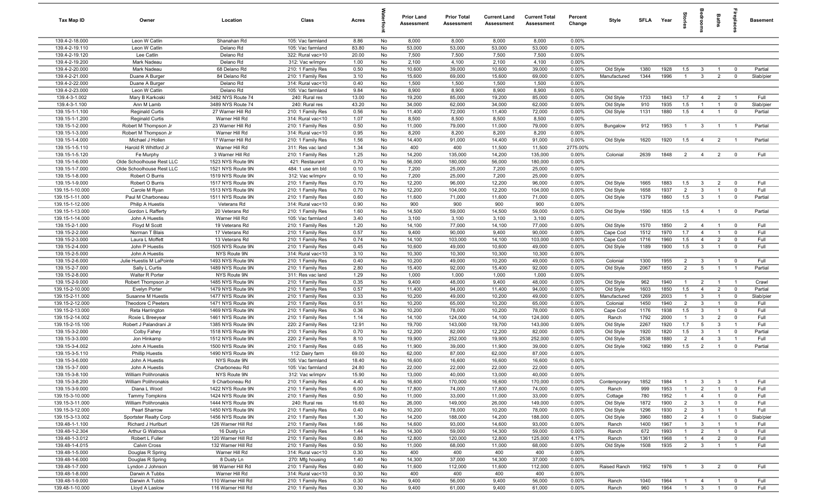| Tax Map ID                        | Owner                               | Location                               | Class                                  | Acres          |          | <b>Prior Land</b><br><b>Assessment</b> | <b>Prior Total</b><br>Assessment | <b>Current Land</b><br>Assessment | <b>Current Total</b><br><b>Assessment</b> | Percent<br>Change | Style                  |             | SFLA Year |                |                                  | Baths          |                         | <b>Basement</b>  |
|-----------------------------------|-------------------------------------|----------------------------------------|----------------------------------------|----------------|----------|----------------------------------------|----------------------------------|-----------------------------------|-------------------------------------------|-------------------|------------------------|-------------|-----------|----------------|----------------------------------|----------------|-------------------------|------------------|
| 139.4-2-18.000                    | Leon W Catlin                       | Shanahan Rd                            | 105: Vac farmland                      | 8.86           | No       | 8,000                                  | 8,000                            | 8,000                             | 8,000                                     | 0.00%             |                        |             |           |                |                                  |                |                         |                  |
| 139.4-2-19.110                    | Leon W Catlin                       | Delano Rd                              | 105: Vac farmland                      | 83.80          | No       | 53,000                                 | 53,000                           | 53,000                            | 53,000                                    | 0.00%             |                        |             |           |                |                                  |                |                         |                  |
| 139.4-2-19.120                    | Lee Catlin                          | Delano Rd                              | 322: Rural vac>10                      | 20.00          | No       | 7,500                                  | 7,500                            | 7,500                             | 7,500                                     | 0.00%             |                        |             |           |                |                                  |                |                         |                  |
| 139.4-2-19.200                    | Mark Nadeau                         | Delano Rd                              | 312: Vac w/imprv                       | 1.00           | No       | 2,100                                  | 4,100                            | 2,100                             | 4,100                                     | 0.00%             |                        |             |           |                |                                  |                |                         |                  |
| 139.4-2-20.000                    | Mark Nadeau                         | 68 Delano Rd                           | 210: 1 Family Res                      | 0.50           | No       | 10,600                                 | 39,000                           | 10,600                            | 39,000                                    | 0.00%             | Old Style              | 1380        | 1928      | 1.5            | $\mathbf{3}$                     |                | $\mathbf 0$             | Partial          |
| 139.4-2-21.000                    | Duane A Burger                      | 84 Delano Rd                           | 210: 1 Family Res                      | 3.10           | No       | 15,600                                 | 69,000<br>1,500                  | 15,600<br>1,500                   | 69,000                                    | 0.00%<br>0.00%    | Manufactured           | 1344        | 1996      |                | $\mathbf{3}$                     | $\overline{2}$ | $\mathbf 0$             | Slab/pier        |
| 139.4-2-22.000<br>139.4-2-23.000  | Duane A Burger<br>Leon W Catlin     | Delano Rd<br>Delano Rd                 | 314: Rural vac<10<br>105: Vac farmland | 0.40<br>9.84   | No<br>No | 1,500<br>8,900                         | 8,900                            | 8,900                             | 1,500<br>8,900                            | 0.00%             |                        |             |           |                |                                  |                |                         |                  |
| 139.4-3-1.002                     | Mary B Karkoski                     | 3482 NYS Route 74                      | 240: Rural res                         | 13.00          | No       | 19,200                                 | 85,000                           | 19,200                            | 85,000                                    | 0.00%             | Old Style              | 1733        | 1843      | 1.7            | $\overline{4}$                   | $\overline{2}$ | $\overline{1}$          | Full             |
| 139.4-3-1.100                     | Ann M Lamb                          | 3489 NYS Route 74                      | 240: Rural res                         | 43.20          | No       | 34,000                                 | 62,000                           | 34,000                            | 62,000                                    | 0.00%             | Old Style              | 910         | 1935      | 1.5            | $\mathbf{1}$                     | $\overline{1}$ | $\overline{0}$          | Slab/pier        |
| 139.15-1-1.100                    | <b>Reginald Curtis</b>              | 27 Warner Hill Rd                      | 210: 1 Family Res                      | 0.56           | No       | 11,400                                 | 72,000                           | 11,400                            | 72,000                                    | 0.00%             | Old Style              | 1131        | 1880      | 1.5            | $\overline{4}$                   | $\overline{1}$ | $\overline{0}$          | Partial          |
| 139.15-1-1.200                    | <b>Reginald Curtis</b>              | Warner Hill Rd                         | 314: Rural vac<10                      | 1.07           | No       | 8,500                                  | 8,500                            | 8,500                             | 8,500                                     | 0.00%             |                        |             |           |                |                                  |                |                         |                  |
| 139.15-1-2.000                    | Robert M Thompson Jr                | 23 Warner Hill Rd                      | 210: 1 Family Res                      | 0.50           | No       | 11,000                                 | 79,000                           | 11,000                            | 79,000                                    | 0.00%             | Bungalow               | 912         | 1953      | $\overline{1}$ | $\mathbf{3}$                     | $\overline{1}$ | $\overline{1}$          | Partial          |
| 139.15-1-3.000                    | Robert M Thompson Jr                | Warner Hill Rd                         | 314: Rural vac<10                      | 0.95           | No       | 8,200                                  | 8,200                            | 8,200                             | 8,200                                     | 0.00%             |                        |             |           |                |                                  |                |                         |                  |
| 139.15-1-4.000                    | Michael J Hollen                    | 17 Warner Hill Rd                      | 210: 1 Family Res                      | 1.56           | No       | 14,400                                 | 91,000                           | 14,400                            | 91,000                                    | 0.00%             | Old Style              | 1620        | 1920      | 1.5            | $\overline{4}$                   | $\overline{2}$ | - 1                     | Partial          |
| 139.15-1-5.110                    | Harold R Whitford Jr                | Warner Hill Rd                         | 311: Res vac land                      | 1.34           | No       | 400                                    | 400                              | 11,500                            | 11,500                                    | 2775.00%          |                        |             |           |                |                                  |                |                         |                  |
| 139.15-1-5.120                    | Fe Murphy                           | 3 Warner Hill Rd                       | 210: 1 Family Res                      | 1.25           | No       | 14,200                                 | 135,000                          | 14,200                            | 135,000                                   | 0.00%             | Colonial               | 2639        | 1848      | $\overline{2}$ | $\overline{4}$                   | $\overline{2}$ | $\mathbf 0$             | Full             |
| 139.15-1-6.000                    | Olde Schoolhouse Rest LLC           | 1523 NYS Route 9N                      | 421: Restaurant                        | 0.70           | No       | 56,000                                 | 180,000                          | 56,000                            | 180,000                                   | 0.00%             |                        |             |           |                |                                  |                |                         |                  |
| 139.15-1-7.000                    | Olde Schoolhouse Rest LLC           | 1521 NYS Route 9N                      | 484: 1 use sm bld                      | 0.10           | No       | 7,200                                  | 25,000                           | 7,200                             | 25,000                                    | 0.00%             |                        |             |           |                |                                  |                |                         |                  |
| 139.15-1-8.000<br>139.15-1-9.000  | Robert O Burris<br>Robert O Burris  | 1519 NYS Route 9N<br>1517 NYS Route 9N | 312: Vac w/imprv<br>210: 1 Family Res  | 0.10<br>0.70   | No<br>No | 7,200<br>12,200                        | 25,000<br>96,000                 | 7,200<br>12,200                   | 25,000<br>96,000                          | 0.00%<br>0.00%    | Old Style              | 1665        | 1883      | 1.5            | $\mathbf{3}$                     | $\overline{2}$ | $\overline{0}$          | Full             |
| 139.15-1-10.000                   | Carole M Ryan                       | 1513 NYS Route 9N                      | 210: 1 Family Res                      | 0.70           | No       | 12,200                                 | 104,000                          | 12,200                            | 104,000                                   | 0.00%             | Old Style              | 1658        | 1937      | $\overline{2}$ | $\mathbf{3}$                     | $\overline{1}$ | $\overline{0}$          | Full             |
| 139.15-1-11.000                   | Paul M Charboneau                   | 1511 NYS Route 9N                      | 210: 1 Family Res                      | 0.60           | No       | 11,600                                 | 71,000                           | 11,600                            | 71,000                                    | 0.00%             | Old Style              | 1379        | 1860      | 1.5            | $\mathbf{3}$                     | $\overline{1}$ | $\overline{0}$          | Partial          |
| 139.15-1-12.000                   | <b>Philip A Huestis</b>             | Veterans Rd                            | 314: Rural vac<10                      | 0.90           | No       | 900                                    | 900                              | 900                               | 900                                       | 0.00%             |                        |             |           |                |                                  |                |                         |                  |
| 139.15-1-13.000                   | Gordon L Rafferty                   | 20 Veterans Rd                         | 210: 1 Family Res                      | 1.60           | No       | 14,500                                 | 59,000                           | 14,500                            | 59,000                                    | 0.00%             | Old Style              | 1590        | 1835      | 1.5            | $\overline{4}$                   | $\overline{1}$ | $\overline{\mathbf{0}}$ | Partial          |
| 139.15-1-14.000                   | John A Huestis                      | Warner Hill Rd                         | 105: Vac farmland                      | 3.40           | No       | 3,100                                  | 3,100                            | 3,100                             | 3,100                                     | 0.00%             |                        |             |           |                |                                  |                |                         |                  |
| 139.15-2-1.000                    | Floyd M Scott                       | 19 Veterans Rd                         | 210: 1 Family Res                      | 1.20           | No       | 14,100                                 | 77,000                           | 14,100                            | 77,000                                    | 0.00%             | Old Style              | 1570        | 1850      | $\overline{2}$ | $\overline{4}$                   | $\overline{1}$ | $\overline{0}$          | Full             |
| 139.15-2-2.000                    | Norman T Blais                      | 17 Veterans Rd                         | 210: 1 Family Res                      | 0.57           | No       | 9,400                                  | 90,000                           | 9,400                             | 90,000                                    | 0.00%             | Cape Cod               | 1512        | 1970      | 1.7            | $\overline{4}$                   | $\overline{1}$ | $\mathbf 0$             | Full             |
| 139.15-2-3.000                    | Laura L Moffett                     | 13 Veterans Rd                         | 210: 1 Family Res                      | 0.74           | No       | 14,100                                 | 103,000                          | 14,100                            | 103,000                                   | 0.00%             | Cape Cod               | 1716        | 1960      | 1.5            | $\overline{4}$                   | $\overline{2}$ | $\mathbf 0$             | Full             |
| 139.15-2-4.000                    | John P Huestis                      | 1505 NYS Route 9N                      | 210: 1 Family Res                      | 0.45           | No       | 10,600                                 | 49,000                           | 10,600                            | 49,000                                    | 0.00%             | Old Style              | 1189        | 1900      | 1.5            | $\overline{\mathbf{3}}$          |                | $\mathbf 0$             | Full             |
| 139.15-2-5.000                    | John A Huestis                      | NYS Route 9N                           | 314: Rural vac<10                      | 3.10           | No       | 10,300                                 | 10,300                           | 10,300                            | 10,300                                    | 0.00%             |                        |             |           |                |                                  |                |                         |                  |
| 139.15-2-6.000                    | Julie Huestis M LaPointe            | 1493 NYS Route 9N                      | 210: 1 Family Res                      | 0.40           | No       | 10,200                                 | 49,000                           | 10,200                            | 49,000                                    | 0.00%             | Colonial               | 1300        | 1955      | $\overline{2}$ | $\mathbf{3}$                     |                | $\overline{0}$          | Full             |
| 139.15-2-7.000                    | Sally L Curtis                      | 1489 NYS Route 9N                      | 210: 1 Family Res                      | 2.80           | No       | 15,400                                 | 92,000                           | 15,400                            | 92,000                                    | 0.00%             | Old Style              | 2067        | 1850      | $\overline{2}$ | $5\overline{)}$                  | $\overline{1}$ | $\overline{1}$          | Partial          |
| 139.15-2-8.000                    | Walter R Porter                     | NYS Route 9N                           | 311: Res vac land                      | 1.29           | No       | 1,000                                  | 1,000                            | 1,000                             | 1,000                                     | 0.00%             |                        |             | 1940      | $\overline{1}$ |                                  | $\overline{1}$ | $\overline{1}$          |                  |
| 139.15-2-9.000<br>139.15-2-10.000 | Robert Thompson Jr<br>Evelyn Porter | 1485 NYS Route 9N<br>1479 NYS Route 9N | 210: 1 Family Res<br>210: 1 Family Res | 0.35<br>0.57   | No<br>No | 9,400<br>11,400                        | 48,000<br>94,000                 | 9,400<br>11,400                   | 48,000<br>94,000                          | 0.00%<br>0.00%    | Old Style<br>Old Style | 962<br>1603 | 1850      | 1.5            | $\overline{2}$<br>$\overline{4}$ | $\overline{2}$ | $\overline{0}$          | Crawl<br>Partial |
| 139.15-2-11.000                   | Susanne M Huestis                   | 1477 NYS Route 9N                      | 210: 1 Family Res                      | 0.33           | No       | 10,200                                 | 49,000                           | 10,200                            | 49,000                                    | 0.00%             | Manufactured           | 1269        | 2003      | $\overline{1}$ | $\mathbf{3}$                     | $\overline{1}$ | $\overline{0}$          | Slab/pier        |
| 139.15-2-12.000                   | Theodore C Peeters                  | 1471 NYS Route 9N                      | 210: 1 Family Res                      | 0.51           | No       | 10,200                                 | 65,000                           | 10,200                            | 65,000                                    | 0.00%             | Colonial               | 1450        | 1940      | $\overline{2}$ | $\mathbf{3}$                     | $\mathbf{1}$   | $\mathbf 0$             | Full             |
| 139.15-2-13.000                   | Reta Harrington                     | 1469 NYS Route 9N                      | 210: 1 Family Res                      | 0.36           | No       | 10,200                                 | 78,000                           | 10,200                            | 78,000                                    | 0.00%             | Cape Cod               | 1176        | 1938      | 1.5            | $\mathbf{3}$                     | -1             | $\mathbf 0$             | Full             |
| 139.15-2-14.002                   | Roxie L Breeyear                    | 1461 NYS Route 9N                      | 210: 1 Family Res                      | 1.14           | No       | 14,100                                 | 124,000                          | 14,100                            | 124,000                                   | 0.00%             | Ranch                  | 1792        | 2000      | $\mathbf{1}$   | $\mathbf{3}$                     | $\overline{2}$ | $\mathbf 0$             | Full             |
| 139.15-2-15.100                   | Robert J Palandrani Jr              | 1385 NYS Route 9N                      | 220: 2 Family Res                      | 12.91          | No       | 19,700                                 | 143,000                          | 19,700                            | 143,000                                   | 0.00%             | Old Style              | 2267        | 1920      | 1.7            | 5                                | 3              | $\overline{1}$          | Full             |
| 139.15-3-2.000                    | Colby Fahey                         | 1518 NYS Route 9N                      | 210: 1 Family Res                      | 0.70           | No       | 12,200                                 | 82,000                           | 12,200                            | 82,000                                    | 0.00%             | Old Style              | 1920        | 1820      | 1.5            | $\mathbf{3}$                     | $\overline{1}$ | $\mathbf 0$             | Partial          |
| 139.15-3-3.000                    | Jon Hinkamp                         | 1512 NYS Route 9N                      | 220: 2 Family Res                      | 8.10           | No       | 19,900                                 | 252,000                          | 19,900                            | 252,000                                   | 0.00%             | Old Style              | 2538        | 1880      | $\overline{2}$ | $\overline{4}$                   | 3              | $\overline{1}$          | Full             |
| 139.15-3-4.002                    | John A Huestis                      | 1500 NYS Route 9N                      | 210: 1 Family Res                      | 0.65           | No       | 11,900                                 | 39,000                           | 11,900                            | 39,000                                    | 0.00%             | Old Style              | 1062        | 1890      | 1.5            | $\overline{2}$                   |                | $\mathbf 0$             | Partial          |
| 139.15-3-5.110                    | <b>Phillip Huestis</b>              | 1490 NYS Route 9N                      | 112: Dairy farm                        | 69.00          | No       | 62,000                                 | 87,000                           | 62,000                            | 87,000                                    | 0.00%             |                        |             |           |                |                                  |                |                         |                  |
| 139.15-3-6.000<br>139.15-3-7.000  | John A Huestis<br>John A Huestis    | NYS Route 9N<br>Charboneau Rd          | 105: Vac farmland<br>105: Vac farmland | 18.40<br>24.80 | No<br>No | 16,600<br>22,000                       | 16,600<br>22,000                 | 16,600<br>22,000                  | 16,600<br>22,000                          | 0.00%<br>0.00%    |                        |             |           |                |                                  |                |                         |                  |
| 139.15-3-8.100                    | William Polihronakis                | NYS Route 9N                           | 312: Vac w/imprv                       | 15.90          | No       | 13,000                                 | 40,000                           | 13,000                            | 40,000                                    | 0.00%             |                        |             |           |                |                                  |                |                         |                  |
| 139.15-3-8.200                    | William Polihronakis                | 9 Charboneau Rd                        | 210: 1 Family Res                      | 4.40           | No       | 16,600                                 | 170,000                          | 16,600                            | 170,000                                   | 0.00%             | Contemporary           | 1852        | 1984      | $\overline{1}$ | $\mathbf{3}$                     | $\mathbf{3}$   | $\overline{1}$          | Full             |
| 139.15-3-9.000                    | Diana L Wood                        | 1422 NYS Route 9N                      | 210: 1 Family Res                      | 6.00           | No       | 17,800                                 | 74,000                           | 17,800                            | 74,000                                    | 0.00%             | Ranch                  | 999         | 1953      | $\mathbf{1}$   | $\overline{2}$                   | $\mathbf{1}$   | $\overline{0}$          | Full             |
| 139.15-3-10.000                   | <b>Tammy Tompkins</b>               | 1424 NYS Route 9N                      | 210: 1 Family Res                      | 0.50           | No       | 11,000                                 | 33,000                           | 11,000                            | 33,000                                    | 0.00%             | Cottage                | 780         | 1952      | $\mathbf{1}$   | $\overline{4}$                   | $\overline{1}$ | $\overline{0}$          | Full             |
| 139.15-3-11.000                   | William Polihronakis                | 1444 NYS Route 9N                      | 240: Rural res                         | 16.60          | No       | 26,000                                 | 149,000                          | 26,000                            | 149,000                                   | 0.00%             | Old Style              | 1872        | 1900      | $\overline{2}$ | $\mathbf{3}$                     | $\mathbf{1}$   | $\mathbf 0$             | Full             |
| 139.15-3-12.000                   | Pearl Sharrow                       | 1450 NYS Route 9N                      | 210: 1 Family Res                      | 0.40           | No       | 10,200                                 | 78,000                           | 10,200                            | 78,000                                    | 0.00%             | Old Style              | 1296        | 1930      | $\overline{2}$ | $\mathbf{3}$                     | $\mathbf{1}$   | $\overline{1}$          | Full             |
| 139.15-3-13.002                   | Sportster Realty Corp               | 1456 NYS Route 9N                      | 210: 1 Family Res                      | 1.30           | No       | 14,200                                 | 188,000                          | 14,200                            | 188,000                                   | 0.00%             | Old Style              | 3960        | 1880      | 2              | $\overline{4}$                   |                | $\mathbf 0$             | Slab/pier        |
| 139.48-1-1.100                    | Richard J Hurlburt                  | 126 Warner Hill Rd                     | 210: 1 Family Res                      | 1.66           | No       | 14,600                                 | 93,000                           | 14,600                            | 93,000                                    | 0.00%             | Ranch                  | 1400        | 1967      |                | $\mathbf{3}$                     |                | $\overline{1}$          | Full             |
| 139.48-1-2.304                    | Arthur G Watrous                    | 16 Dusty Ln                            | 210: 1 Family Res                      | 1.44           | No       | 14,300                                 | 59,000                           | 14,300                            | 59,000                                    | 0.00%             | Ranch                  | 672         | 1993      |                | $\overline{2}$                   |                | $\mathbf 0$             | Full             |
| 139.48-1-3.012                    | Robert L Fuller                     | 120 Warner Hill Rd                     | 210: 1 Family Res                      | 0.80           | No       | 12,800                                 | 120,000                          | 12,800                            | 125,000                                   | 4.17%             | Ranch                  | 1361        | 1968      |                | $\overline{4}$                   | $\overline{2}$ | $\mathbf 0$             | Full             |
| 139.48-1-4.015                    | <b>Calvin Cross</b>                 | 132 Warner Hill Rd                     | 210: 1 Family Res                      | 0.50           | No       | 11,000                                 | 68,000                           | 11,000                            | 68,000                                    | 0.00%             | Old Style              | 1508        | 1935      | $\overline{2}$ | $\mathbf{3}$                     | $\overline{1}$ | $\overline{1}$          | Full             |
| 139.48-1-5.000                    | Douglas R Spring                    | Warner Hill Rd                         | 314: Rural vac<10                      | 0.30           | No       | 400                                    | 400                              | 400                               | 400                                       | 0.00%             |                        |             |           |                |                                  |                |                         |                  |
| 139.48-1-6.000                    | Douglas R Spring                    | 8 Dusty Ln                             | 270: Mfg housing                       | 1.40           | No       | 14,300                                 | 37,000                           | 14,300                            | 37,000                                    | 0.00%             | Raised Ranch           | 1952        |           | $\overline{1}$ |                                  |                |                         | Full             |
| 139.48-1-7.000<br>139.48-1-8.000  | Lyndon J Johnson<br>Darwin A Tubbs  | 98 Warner Hill Rd<br>Warner Hill Rd    | 210: 1 Family Res<br>314: Rural vac<10 | 0.60<br>0.30   | No<br>No | 11,600<br>400                          | 112,000<br>400                   | 11,600<br>400                     | 112,000<br>400                            | 0.00%<br>0.00%    |                        |             | 1976      |                | $\mathbf{3}$                     | $\overline{2}$ | $\mathbf 0$             |                  |
| 139.48-1-9.000                    | Darwin A Tubbs                      | 110 Warner Hill Rd                     | 210: 1 Family Res                      | 0.30           | No       | 9,400                                  | 56,000                           | 9,400                             | 56,000                                    | 0.00%             | Ranch                  | 1040        | 1964      | $\overline{1}$ | $\overline{4}$                   |                | $\mathbf 0$             | Full             |
| 139.48-1-10.000                   | Lloyd A Laslow                      | 116 Warner Hill Rd                     | 210: 1 Family Res                      | 0.30           | No       | 9,400                                  | 61,000                           | 9,400                             | 61,000                                    | 0.00%             | Ranch                  | 960         | 1964      | $\overline{1}$ | $\overline{\mathbf{3}}$          |                | $\overline{0}$          | Full             |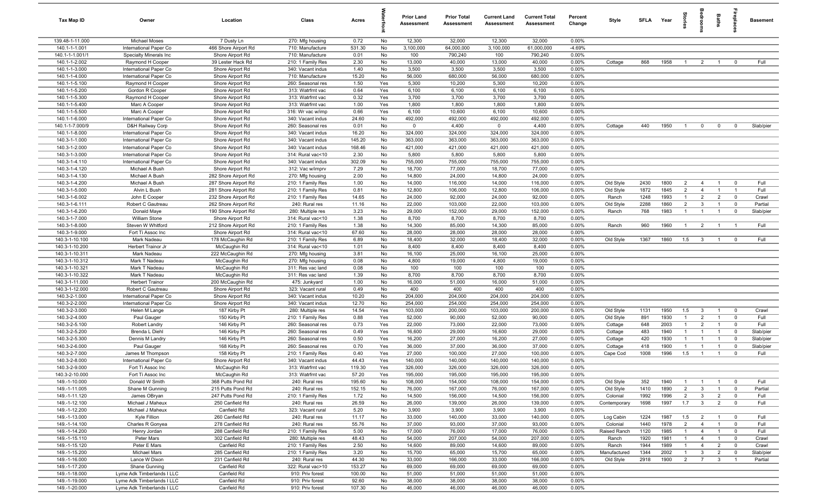| Tax Map ID                      | Owner                                       | Location                             | Class                                  | Acres            |            | <b>Prior Land</b><br><b>Assessment</b> | <b>Prior Total</b><br>Assessment | <b>Current Land</b><br>Assessment | <b>Current Total</b><br><b>Assessment</b> | Percent<br>Change | Style        | <b>SFLA</b> | Year         |                |                         | Baths          |                            | <b>Basement</b>   |
|---------------------------------|---------------------------------------------|--------------------------------------|----------------------------------------|------------------|------------|----------------------------------------|----------------------------------|-----------------------------------|-------------------------------------------|-------------------|--------------|-------------|--------------|----------------|-------------------------|----------------|----------------------------|-------------------|
| 139.48-1-11.000                 | <b>Michael Moses</b>                        | 7 Dusty Ln                           | 270: Mfg housing                       | 0.72             | No         | 12,300                                 | 32,000                           | 12,300                            | 32,000                                    | 0.00%             |              |             |              |                |                         |                |                            |                   |
| 140.1-1-1.001                   | International Paper Co                      | 466 Shore Airport Rd                 | 710: Manufacture                       | 531.30           | No         | 3,100,000                              | 64,000,000                       | 3,100,000                         | 61,000,000                                | $-4.69%$          |              |             |              |                |                         |                |                            |                   |
| 140.1-1-1.001/1                 | Specialty Minerals Inc                      | Shore Airport Rd                     | 710: Manufacture                       | 0.01             | No         | 100                                    | 790,240                          | 100                               | 790,240                                   | 0.00%             |              |             |              |                |                         |                |                            |                   |
| 140.1-1-2.002                   | Raymond H Cooper                            | 39 Lester Hack Rd                    | 210: 1 Family Res                      | 2.30             | No         | 13,000                                 | 40,000                           | 13,000                            | 40,000                                    | 0.00%             | Cottage      | 868         | 1958         | $\overline{1}$ | $\overline{2}$          |                | $\mathbf 0$                | Full              |
| 140.1-1-3.000                   | International Paper Co                      | Shore Airport Rd                     | 340: Vacant indus                      | 1.40             | No         | 3,500                                  | 3,500                            | 3,500                             | 3,500                                     | 0.00%             |              |             |              |                |                         |                |                            |                   |
| 140.1-1-4.000                   | International Paper Co                      | Shore Airport Rd                     | 710: Manufacture                       | 15.20            | No         | 56,000                                 | 680,000                          | 56,000                            | 680,000                                   | 0.00%             |              |             |              |                |                         |                |                            |                   |
| 140.1-1-5.100                   | Raymond H Cooper                            | Shore Airport Rd                     | 260: Seasonal res                      | 1.50             | Yes<br>Yes | 5,300                                  | 10,200                           | 5,300                             | 10,200                                    | 0.00%             |              |             |              |                |                         |                |                            |                   |
| 140.1-1-5.200<br>140.1-1-5.300  | Gordon R Cooper<br>Raymond H Cooper         | Shore Airport Rd<br>Shore Airport Rd | 313: Watrfrnt vac<br>313: Watrfrnt vac | 0.64<br>0.32     | Yes        | 6,100<br>3,700                         | 6,100<br>3,700                   | 6,100<br>3,700                    | 6,100<br>3,700                            | 0.00%<br>0.00%    |              |             |              |                |                         |                |                            |                   |
| 140.1-1-5.400                   | Marc A Cooper                               | Shore Airport Rd                     | 313: Watrfrnt vac                      | 1.00             | Yes        | 1,800                                  | 1,800                            | 1,800                             | 1,800                                     | 0.00%             |              |             |              |                |                         |                |                            |                   |
| 140.1-1-5.500                   | Marc A Cooper                               | Shore Airport Rd                     | 316: Wr vac w/imp                      | 0.66             | Yes        | 6,100                                  | 10,600                           | 6,100                             | 10,600                                    | 0.00%             |              |             |              |                |                         |                |                            |                   |
| 140.1-1-6.000                   | International Paper Co                      | Shore Airport Rd                     | 340: Vacant indus                      | 24.60            | No         | 492,000                                | 492,000                          | 492,000                           | 492,000                                   | 0.00%             |              |             |              |                |                         |                |                            |                   |
| 140.1-1-7.000/9                 | D&H Railway Corp                            | Shore Airport Rd                     | 260: Seasonal res                      | 0.01             | No         | $\mathbf 0$                            | 4,400                            | $\overline{0}$                    | 4,400                                     | 0.00%             | Cottage      | 440         | 1950         | $\overline{1}$ | $\mathbf 0$             | $\mathbf 0$    | $\mathbf 0$                | Slab/pier         |
| 140.1-1-8.000                   | International Paper Co                      | Shore Airport Rd                     | 340: Vacant indus                      | 16.20            | No         | 324,000                                | 324,000                          | 324,000                           | 324,000                                   | 0.00%             |              |             |              |                |                         |                |                            |                   |
| 140.3-1-1.000                   | International Paper Co                      | Shore Airport Rd                     | 340: Vacant indus                      | 145.20           | No         | 363,000                                | 363,000                          | 363,000                           | 363,000                                   | 0.00%             |              |             |              |                |                         |                |                            |                   |
| 140.3-1-2.000                   | International Paper Co                      | Shore Airport Rd                     | 340: Vacant indus                      | 168.46           | No         | 421,000                                | 421,000                          | 421,000                           | 421,000                                   | 0.00%             |              |             |              |                |                         |                |                            |                   |
| 140.3-1-3.000                   | International Paper Co                      | Shore Airport Rd                     | 314: Rural vac<10                      | 2.30             | No         | 5,800                                  | 5,800                            | 5,800                             | 5,800                                     | 0.00%             |              |             |              |                |                         |                |                            |                   |
| 140.3-1-4.110                   | International Paper Co                      | Shore Airport Rd                     | 340: Vacant indus                      | 302.09           | No         | 755,000                                | 755,000                          | 755,000                           | 755,000                                   | 0.00%             |              |             |              |                |                         |                |                            |                   |
| 140.3-1-4.120                   | Michael A Bush                              | Shore Airport Rd                     | 312: Vac w/imprv                       | 7.29             | No         | 18,700                                 | 77,000                           | 18,700                            | 77,000                                    | 0.00%             |              |             |              |                |                         |                |                            |                   |
| 140.3-1-4.130                   | Michael A Bush                              | 282 Shore Airport Rd                 | 270: Mfg housing                       | 2.00             | No         | 14,800                                 | 24,000                           | 14,800                            | 24,000                                    | 0.00%             |              |             |              |                |                         |                |                            |                   |
| 140.3-1-4.200                   | Michael A Bush                              | 287 Shore Airport Rd                 | 210: 1 Family Res                      | 1.00             | No         | 14,000                                 | 116,000                          | 14,000                            | 116,000                                   | 0.00%             | Old Style    | 2430        | 1800         | $\overline{2}$ | $\overline{4}$          | $\overline{1}$ | $\overline{0}$             | Full              |
| 140.3-1-5.000                   | Alvin L Bush                                | 281 Shore Airport Rd                 | 210: 1 Family Res                      | 0.81             | No         | 12,800                                 | 106,000                          | 12,800                            | 106,000                                   | 0.00%             | Old Style    | 1872        | 1845         | $\overline{2}$ | $\overline{4}$          | $\overline{1}$ | $\overline{1}$             | Full              |
| 140.3-1-6.002                   | John E Cooper                               | 232 Shore Airport Rd                 | 210: 1 Family Res                      | 14.65            | No         | 24,000                                 | 92,000                           | 24,000                            | 92,000                                    | 0.00%             | Ranch        | 1248        | 1993         | $\overline{1}$ | $\overline{2}$          | $\overline{2}$ | $\overline{0}$             | Crawl             |
| 140.3-1-6.111                   | Robert C Gautreau                           | 262 Shore Airport Rd                 | 240: Rural res                         | 11.16            | No         | 22,000                                 | 103,000                          | 22,000                            | 103,000                                   | $0.00\%$          | Old Style    | 2288        | 1860         | $\overline{2}$ | $\mathbf{3}$            | $\overline{1}$ | $\mathbf 0$                | Partial           |
| 140.3-1-6.200                   | Donald Maye                                 | 190 Shore Airport Rd                 | 280: Multiple res                      | 3.23             | No         | 29,000                                 | 152,000                          | 29,000                            | 152,000                                   | 0.00%             | Ranch        | 768         | 1983         | $\overline{1}$ | $\overline{1}$          | $\mathbf{1}$   | $\mathbf 0$                | Slab/pier         |
| 140.3-1-7.000                   | William Stone                               | Shore Airport Rd                     | 314: Rural vac<10                      | 1.38             | No         | 8,700                                  | 8,700                            | 8,700                             | 8,700                                     | 0.00%             |              |             |              |                |                         |                |                            |                   |
| 140.3-1-8.000                   | Steven W Whitford                           | 212 Shore Airport Rd                 | 210: 1 Family Res                      | 1.38             | No         | 14,300                                 | 85,000                           | 14,300                            | 85,000                                    | 0.00%             | Ranch        | 960         | 1960         | $\overline{1}$ | $\overline{2}$          | $\overline{1}$ | $\overline{1}$             | Full              |
| 140.3-1-9.000<br>140.3-1-10.100 | Fort Ti Assoc Inc<br>Mark Nadeau            | Shore Airport Rd                     | 314: Rural vac<10<br>210: 1 Family Res | 67.60<br>6.89    | No<br>No   | 28,000<br>18,400                       | 28,000<br>32,000                 | 28,000<br>18,400                  | 28,000<br>32,000                          | 0.00%<br>0.00%    | Old Style    | 1367        | 1860         | 1.5            | $\mathbf{3}$            | $\overline{1}$ | $\overline{0}$             | Full              |
| 140.3-1-10.200                  | Herbert Trainor Jr                          | 178 McCaughin Rd<br>McCaughin Rd     | 314: Rural vac<10                      | 1.01             | No         | 8,400                                  | 8,400                            | 8,400                             | 8,400                                     | 0.00%             |              |             |              |                |                         |                |                            |                   |
| 140.3-1-10.311                  | Mark Nadeau                                 | 222 McCaughin Rd                     | 270: Mfg housing                       | 3.81             | No         | 16,100                                 | 25,000                           | 16,100                            | 25,000                                    | 0.00%             |              |             |              |                |                         |                |                            |                   |
| 140.3-1-10.312                  | Mark T Nadeau                               | McCaughin Rd                         | 270: Mfg housing                       | 0.08             | No         | 4,800                                  | 19,000                           | 4,800                             | 19,000                                    | 0.00%             |              |             |              |                |                         |                |                            |                   |
| 140.3-1-10.321                  | Mark T Nadeau                               | McCaughin Rd                         | 311: Res vac land                      | 0.08             | No         | 100                                    | 100                              | 100                               | 100                                       | 0.00%             |              |             |              |                |                         |                |                            |                   |
| 140.3-1-10.322                  | Mark T Nadeau                               | McCaughin Rd                         | 311: Res vac land                      | 1.39             | No         | 8,700                                  | 8,700                            | 8,700                             | 8,700                                     | 0.00%             |              |             |              |                |                         |                |                            |                   |
| 140.3-1-11.000                  | <b>Herbert Trainor</b>                      | 200 McCaughin Rd                     | 475: Junkyard                          | 1.00             | No         | 16,000                                 | 51,000                           | 16,000                            | 51,000                                    | 0.00%             |              |             |              |                |                         |                |                            |                   |
| 140.3-1-12.000                  | Robert C Gautreau                           | Shore Airport Rd                     | 323: Vacant rural                      | 0.49             | No         | 400                                    | 400                              | 400                               | 400                                       | 0.00%             |              |             |              |                |                         |                |                            |                   |
| 140.3-2-1.000                   | International Paper Co                      | Shore Airport Rd                     | 340: Vacant indus                      | 10.20            | No         | 204,000                                | 204,000                          | 204,000                           | 204,000                                   | 0.00%             |              |             |              |                |                         |                |                            |                   |
| 140.3-2-2.000                   | International Paper Co                      | Shore Airport Rd                     | 340: Vacant indus                      | 12.70            | No         | 254,000                                | 254,000                          | 254,000                           | 254,000                                   | 0.00%             |              |             |              |                |                         |                |                            |                   |
| 140.3-2-3.000                   | Helen M Lange                               | 187 Kirby Pt                         | 280: Multiple res                      | 14.54            | Yes        | 103,000                                | 200,000                          | 103,000                           | 200,000                                   | 0.00%             | Old Style    | 1131        | 1950         | 1.5            | $\mathbf{3}$            | $\overline{1}$ | $\overline{0}$             | Crawl             |
| 140.3-2-4.000                   | Paul Gauger                                 | 150 Kirby Pt                         | 210: 1 Family Res                      | 0.88             | Yes        | 52,000                                 | 90,000                           | 52,000                            | 90,000                                    | 0.00%             | Old Style    | 891         | 1930         | $\mathbf{1}$   | $\overline{2}$          | $\mathbf{1}$   | $\mathbf 0$                | Full              |
| 140.3-2-5.100                   | Robert Landry                               | 146 Kirby Pt                         | 260: Seasonal res                      | 0.73             | Yes        | 22,000                                 | 73,000                           | 22,000                            | 73,000                                    | 0.00%             | Cottage      | 648         | 2003         | $\mathbf{1}$   | $\overline{2}$          |                | $\mathbf 0$                | Full              |
| 140.3-2-5.200                   | Brenda L Diehl                              | 146 Kirby Pt                         | 260: Seasonal res                      | 0.49             | Yes        | 16,600                                 | 29,000                           | 16,600                            | 29,000                                    | 0.00%             | Cottage      | 483         | 1940         |                | $\overline{1}$          | $\mathbf{1}$   | $\mathbf 0$                | Slab/pier         |
| 140.3-2-5.300                   | Dennis M Landry                             | 146 Kirby Pt                         | 260: Seasonal res                      | 0.50             | Yes        | 16,200                                 | 27,000                           | 16,200                            | 27,000                                    | 0.00%             | Cottage      | 420         | 1930         |                |                         |                | $^{\circ}$                 | Slab/pier         |
| 140.3-2-6.000<br>140.3-2-7.000  | Paul Gauger                                 | 168 Kirby Pt                         | 260: Seasonal res                      | 0.70             | Yes        | 36,000                                 | 37,000                           | 36,000                            | 37,000                                    | 0.00%             | Cottage      | 418<br>1008 | 1900<br>1996 |                |                         |                | $\mathbf 0$<br>$\mathbf 0$ | Slab/pier<br>Full |
| 140.3-2-8.000                   | James M Thompson<br>International Paper Co  | 158 Kirby Pt<br>Shore Airport Rd     | 210: 1 Family Res<br>340: Vacant indus | 0.40<br>44.43    | Yes<br>Yes | 27,000<br>140,000                      | 100,000<br>140,000               | 27,000<br>140,000                 | 100,000<br>140,000                        | 0.00%<br>0.00%    | Cape Cod     |             |              | 1.5            |                         |                |                            |                   |
| 140.3-2-9.000                   | Fort Ti Assoc Inc                           | McCaughin Rd                         | 313: Watrfrnt vac                      | 119.30           | Yes        | 326,000                                | 326,000                          | 326,000                           | 326,000                                   | 0.00%             |              |             |              |                |                         |                |                            |                   |
| 140.3-2-10.000                  | Fort Ti Assoc Inc                           | McCaughin Rd                         | 313: Watrfrnt vac                      | 57.20            | Yes        | 195,000                                | 195,000                          | 195,000                           | 195,000                                   | 0.00%             |              |             |              |                |                         |                |                            |                   |
| 149.-1-10.000                   | Donald W Smith                              | 368 Putts Pond Rd                    | 240: Rural res                         | 195.60           | No         | 108,000                                | 154,000                          | 108,000                           | 154,000                                   | 0.00%             | Old Style    | 352         | 1940         | $\overline{1}$ | $\overline{1}$          | $\overline{1}$ | $\mathbf 0$                | Full              |
| 149.-1-11.005                   | Shane M Gunning                             | 215 Putts Pond Rd                    | 240: Rural res                         | 152.15           | No         | 76,000                                 | 167,000                          | 76,000                            | 167,000                                   | 0.00%             | Old Style    | 1410        | 1890         | 2              | $\mathbf{3}$            | $\mathbf{1}$   | $\overline{0}$             | Partial           |
| 149.-1-11.120                   | James OBryan                                | 247 Putts Pond Rd                    | 210: 1 Family Res                      | 1.72             | No         | 14,500                                 | 156,000                          | 14,500                            | 156,000                                   | 0.00%             | Colonial     | 1992        | 1996         | $\overline{2}$ | $\overline{\mathbf{3}}$ | $\overline{2}$ | $\mathbf 0$                | Full              |
| 149.-1-12.100                   | Michael J Maheux                            | 250 Canfield Rd                      | 240: Rural res                         | 26.59            | No         | 26,000                                 | 139,000                          | 26,000                            | 139,000                                   | 0.00%             | Contemporary | 1698        | 1997         | 1.7            | $\overline{\mathbf{3}}$ | $\overline{2}$ | $\mathbf 0$                | Full              |
| 149.-1-12.200                   | Michael J Maheux                            | Canfield Rd                          | 323: Vacant rural                      | 5.20             | No         | 3,900                                  | 3,900                            | 3,900                             | 3,900                                     | 0.00%             |              |             |              |                |                         |                |                            |                   |
| 149.-1-13.000                   | Kyle Fillion                                | 260 Canfield Rd                      | 240: Rural res                         | 11.17            | No         | 33,000                                 | 140,000                          | 33,000                            | 140,000                                   | 0.00%             | Log Cabin    | 1224        | 1987         | 1.5            | $\overline{2}$          | $\overline{1}$ | $\mathbf 0$                | Full              |
| 149.-1-14.100                   | Charles R Gonyea                            | 278 Canfield Rd                      | 240: Rural res                         | 55.76            | No         | 37,000                                 | 93,000                           | 37,000                            | 93,000                                    | 0.00%             | Colonial     | 1440        | 1978         | 2              | $\overline{4}$          | $\overline{1}$ | $\mathbf 0$                | Full              |
| 149.-1-14.200                   | Henry Jordan                                | 288 Canfield Rd                      | 210: 1 Family Res                      | 5.00             | No         | 17,000                                 | 76,000                           | 17,000                            | 76,000                                    | 0.00%             | Raised Ranch | 1120        | 1985         |                | $\overline{4}$          |                | $\mathbf 0$                | Full              |
| 149.-1-15.110                   | Peter Mars                                  | 302 Canfield Rd                      | 280: Multiple res                      | 48.43            | No         | 54,000                                 | 207,000                          | 54,000                            | 207,000                                   | 0.00%             | Ranch        | 1920        | 1981         |                | $\overline{4}$          | $\overline{1}$ | $\overline{0}$             | Crawl             |
| 149.-1-15.120                   | Peter E Mars                                | Canfield Rd                          | 210: 1 Family Res                      | 2.50             | No         | 14,600                                 | 89,000                           | 14,600                            | 89,000                                    | 0.00%             | Ranch        | 1944        | 1989         | $\overline{1}$ | $\overline{4}$          | $\overline{2}$ | $\overline{0}$             | Crawl             |
| 149.-1-15.200                   | Michael Mars                                | 285 Canfield Rd                      | 210: 1 Family Res                      | 3.20             | No         | 15,700                                 | 65,000                           | 15,700                            | 65,000                                    | 0.00%             | Manufactured | 1344        | 2002         | $\overline{1}$ | $\mathbf{3}$            | $\overline{2}$ | $\overline{0}$             | Slab/pier         |
| 149.-1-16.000                   | Lance W Dixon                               | 231 Canfield Rd                      | 240: Rural res                         | 44.30            | No         | 33,000                                 | 166,000                          | 33,000                            | 166,000                                   | 0.00%             | Old Style    | 2918        | 1900         | $\overline{2}$ | $\overline{7}$          | 3              | $\overline{1}$             | Partial           |
| 149.-1-17.200<br>149.-1-18.000  | Shane Gunning<br>Lyme Adk Timberlands I LLC | Canfield Rd<br>Canfield Rd           | 322: Rural vac>10<br>910: Priv forest  | 153.27<br>100.00 | No<br>No   | 69,000<br>51,000                       | 69,000<br>51,000                 | 69,000<br>51,000                  | 69,000<br>51,000                          | 0.00%<br>0.00%    |              |             |              |                |                         |                |                            |                   |
| 149.-1-19.000                   | Lyme Adk Timberlands I LLC                  | Canfield Rd                          | 910: Priv forest                       | 92.60            | No         | 38,000                                 | 38,000                           | 38,000                            | 38,000                                    | 0.00%             |              |             |              |                |                         |                |                            |                   |
| 149.-1-20.000                   | Lyme Adk Timberlands I LLC                  | Canfield Rd                          | 910: Priv forest                       | 107.30           | No         | 46,000                                 | 46,000                           | 46,000                            | 46,000                                    | 0.00%             |              |             |              |                |                         |                |                            |                   |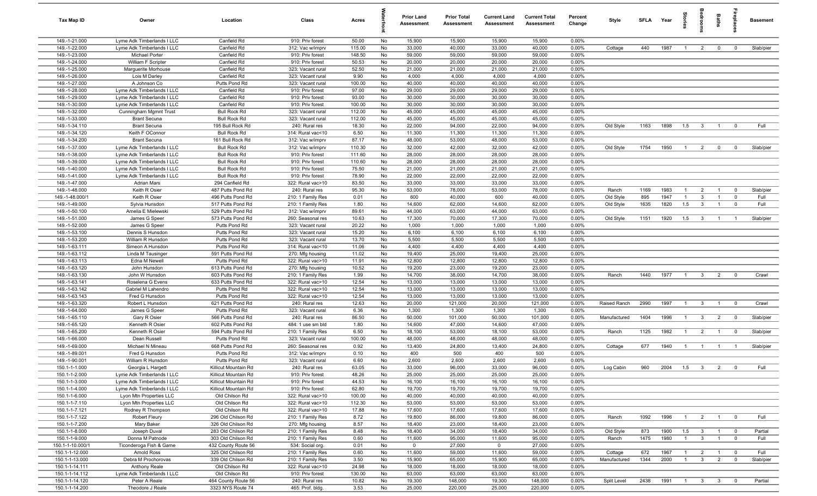| Tax Map ID                     | Owner                                      | Location                                | Class                                  | Acres           |          | <b>Prior Land</b><br>Assessment | <b>Prior Total</b><br>Assessment | <b>Current Land</b><br><b>Assessment</b> | <b>Current Total</b><br><b>Assessment</b> | Percent<br>Change | Style        | <b>SFI A</b> | Year | tories         |                         | Baths          | <b>E</b> pla            | <b>Basement</b> |
|--------------------------------|--------------------------------------------|-----------------------------------------|----------------------------------------|-----------------|----------|---------------------------------|----------------------------------|------------------------------------------|-------------------------------------------|-------------------|--------------|--------------|------|----------------|-------------------------|----------------|-------------------------|-----------------|
| 149.-1-21.000                  | Lyme Adk Timberlands I LLC                 | Canfield Rd                             | 910: Priv forest                       | 50.00           | No       | 15,900                          | 15,900                           | 15,900                                   | 15,900                                    | 0.00%             |              |              |      |                |                         |                |                         |                 |
| 149.-1-22.000                  | Lyme Adk Timberlands I LLC                 | Canfield Rd                             | 312: Vac w/imprv                       | 115.00          | No       | 33,000                          | 40,000                           | 33,000                                   | 40,000                                    | 0.00%             | Cottage      | 440          | 1987 | $\overline{1}$ | $\overline{2}$          | $\mathbf 0$    | $^{\circ}$              | Slab/pier       |
| 149.-1-23.000                  | Michael Porter                             | Canfield Rd                             | 910: Priv forest                       | 148.50          | No       | 59,000                          | 59,000                           | 59,000                                   | 59,000                                    | 0.00%             |              |              |      |                |                         |                |                         |                 |
| 149.-1-24.000                  | William F Scripter                         | Canfield Rd                             | 910: Priv forest                       | 50.53           | No       | 20,000                          | 20,000                           | 20,000                                   | 20,000                                    | 0.00%             |              |              |      |                |                         |                |                         |                 |
| 149.-1-25.000                  | Marguerite Morhouse                        | Canfield Rd                             | 323: Vacant rural                      | 52.50           | No       | 21,000                          | 21,000                           | 21,000                                   | 21,000                                    | 0.00%             |              |              |      |                |                         |                |                         |                 |
| 149.-1-26.000                  | Lois M Darley                              | Canfield Rd                             | 323: Vacant rural                      | 9.90            | No       | 4,000                           | 4,000                            | 4,000                                    | 4,000                                     | 0.00%             |              |              |      |                |                         |                |                         |                 |
| 149.-1-27.000                  | A Johnson Co                               | Putts Pond Rd                           | 323: Vacant rural                      | 100.00          | No       | 40,000                          | 40,000                           | 40,000                                   | 40,000                                    | 0.00%             |              |              |      |                |                         |                |                         |                 |
| 149.-1-28.000                  | Lyme Adk Timberlands I LLC                 | Canfield Rd                             | 910: Priv forest                       | 97.00           | No       | 29,000                          | 29,000                           | 29,000                                   | 29,000                                    | 0.00%             |              |              |      |                |                         |                |                         |                 |
| 149.-1-29.000                  | Lyme Adk Timberlands I LLC                 | Canfield Rd                             | 910: Priv forest                       | 93.00           | No       | 30,000                          | 30,000                           | 30,000                                   | 30,000                                    | 0.00%             |              |              |      |                |                         |                |                         |                 |
| 149.-1-30.000                  | Lyme Adk Timberlands I LLC                 | Canfield Rd                             | 910: Priv forest                       | 100.00          | No       | 30,000                          | 30,000                           | 30,000                                   | 30,000                                    | 0.00%             |              |              |      |                |                         |                |                         |                 |
| 149.-1-32.000                  | Cunningham Mgmnt Trust                     | <b>Bull Rock Rd</b>                     | 323: Vacant rural                      | 112.00          | No       | 45,000                          | 45,000                           | 45,000                                   | 45,000                                    | 0.00%             |              |              |      |                |                         |                |                         |                 |
| 149.-1-33.000<br>149.-1-34.110 | <b>Brant Secuna</b><br><b>Brant Secuna</b> | <b>Bull Rock Rd</b><br>195 Bull Rock Rd | 323: Vacant rural<br>240: Rural res    | 112.00<br>18.30 | No<br>No | 45,000<br>22,000                | 45,000<br>94,000                 | 45,000<br>22,000                         | 45,000<br>94,000                          | 0.00%<br>0.00%    | Old Style    | 1163         | 1898 | 1.5            | $\mathbf{3}$            | $\mathbf{1}$   | $\overline{0}$          | Full            |
| 149.-1-34.120                  | Keith F OConnor                            | <b>Bull Rock Rd</b>                     | 314: Rural vac<10                      | 6.50            | No       | 11,300                          | 11,300                           | 11,300                                   | 11,300                                    | 0.00%             |              |              |      |                |                         |                |                         |                 |
| 149.-1-34.200                  | <b>Brant Secuna</b>                        | 161 Bull Rock Rd                        | 312: Vac w/imprv                       | 87.17           | No       | 48,000                          | 53,000                           | 48,000                                   | 53,000                                    | 0.00%             |              |              |      |                |                         |                |                         |                 |
| 149.-1-37.000                  | Lyme Adk Timberlands I LLC                 | <b>Bull Rock Rd</b>                     | 312: Vac w/imprv                       | 110.30          | No       | 32,000                          | 42,000                           | 32,000                                   | 42,000                                    | 0.00%             | Old Style    | 1754         | 1950 | $\overline{1}$ | $\overline{2}$          | $\mathbf 0$    | $^{\circ}$              | Slab/pier       |
| 149.-1-38.000                  | Lyme Adk Timberlands I LLC                 | <b>Bull Rock Rd</b>                     | 910: Priv forest                       | 111.60          | No       | 28,000                          | 28,000                           | 28,000                                   | 28,000                                    | 0.00%             |              |              |      |                |                         |                |                         |                 |
| 149.-1-39.000                  | Lyme Adk Timberlands I LLC                 | <b>Bull Rock Rd</b>                     | 910: Priv forest                       | 110.60          | No       | 28,000                          | 28,000                           | 28,000                                   | 28,000                                    | 0.00%             |              |              |      |                |                         |                |                         |                 |
| 149.-1-40.000                  | Lyme Adk Timberlands I LLC                 | <b>Bull Rock Rd</b>                     | 910: Priv forest                       | 75.50           | No       | 21,000                          | 21,000                           | 21,000                                   | 21,000                                    | 0.00%             |              |              |      |                |                         |                |                         |                 |
| 149.-1-41.000                  | Lyme Adk Timberlands I LLC                 | <b>Bull Rock Rd</b>                     | 910: Priv forest                       | 78.90           | No       | 22,000                          | 22,000                           | 22,000                                   | 22,000                                    | 0.00%             |              |              |      |                |                         |                |                         |                 |
| 149.-1-47.000                  | Adrian Mars                                | 294 Canfield Rd                         | 322: Rural vac>10                      | 83.50           | No       | 33,000                          | 33,000                           | 33,000                                   | 33,000                                    | 0.00%             |              |              |      |                |                         |                |                         |                 |
| 149.-1-48.000                  | Keith R Osier                              | 487 Putts Pond Rd                       | 240: Rural res                         | 95.30           | No       | 53,000                          | 78,000                           | 53,000                                   | 78,000                                    | 0.00%             | Ranch        | 1169         | 1983 | $\overline{1}$ | $\overline{2}$          | $\overline{1}$ | $\overline{0}$          | Slab/pier       |
| 149.-1-48.000/1                | Keith R Osier                              | 496 Putts Pond Rd                       | 210: 1 Family Res                      | 0.01            | No       | 600                             | 40,000                           | 600                                      | 40,000                                    | 0.00%             | Old Style    | 895          | 1947 | $\overline{1}$ | $\mathbf{3}$            | $\overline{1}$ | $\mathbf 0$             | Full            |
| 149.-1-49.000                  | Sylvia Hunsdon                             | 517 Putts Pond Rd                       | 210: 1 Family Res                      | 1.80            | No       | 14,600                          | 62,000                           | 14,600                                   | 62,000                                    | 0.00%             | Old Style    | 1635         | 1820 | 1.5            | $\mathbf{3}$            | $\overline{1}$ | $\overline{0}$          | Full            |
| 149.-1-50.100                  | Amelia E Mielewski                         | 529 Putts Pond Rd                       | 312: Vac w/imprv                       | 89.61           | No       | 44,000                          | 63,000                           | 44,000                                   | 63,000                                    | 0.00%             |              |              |      |                |                         |                |                         |                 |
| 149.-1-51.000                  | James G Speer                              | 573 Putts Pond Rd                       | 260: Seasonal res                      | 10.63           | No       | 17,300                          | 70,000                           | 17,300                                   | 70,000                                    | 0.00%             | Old Style    | 1151         | 1920 | 1.5            | $\mathbf{3}$            | $\overline{1}$ | $\overline{1}$          | Slab/pier       |
| 149.-1-52.000                  | James G Speer                              | Putts Pond Rd                           | 323: Vacant rural                      | 20.22           | No       | 1,000                           | 1,000                            | 1,000                                    | 1,000                                     | 0.00%             |              |              |      |                |                         |                |                         |                 |
| 149.-1-53.100                  | Dennis S Hunsdon                           | Putts Pond Rd                           | 323: Vacant rural                      | 15.20           | No       | 6,100                           | 6,100                            | 6,100                                    | 6,100                                     | 0.00%             |              |              |      |                |                         |                |                         |                 |
| 149.-1-53.200                  | William R Hunsdon                          | Putts Pond Rd                           | 323: Vacant rural                      | 13.70           | No       | 5,500                           | 5,500                            | 5,500                                    | 5,500                                     | 0.00%             |              |              |      |                |                         |                |                         |                 |
| 149.-1-63.111                  | Simeon A Hunsdon                           | Putts Pond Rd                           | 314: Rural vac<10                      | 11.06           | No       | 4,400                           | 4,400                            | 4,400                                    | 4,400                                     | 0.00%             |              |              |      |                |                         |                |                         |                 |
| 149.-1-63.112                  | Linda M Tausinger                          | 591 Putts Pond Rd                       | 270: Mfg housing                       | 11.02           | No       | 19,400                          | 25,000                           | 19,400                                   | 25,000                                    | 0.00%             |              |              |      |                |                         |                |                         |                 |
| 149.-1-63.113                  | Edna M Newell                              | Putts Pond Rd                           | 322: Rural vac>10                      | 11.91           | No       | 12,800                          | 12,800                           | 12,800                                   | 12,800                                    | 0.00%             |              |              |      |                |                         |                |                         |                 |
| 149.-1-63.120                  | John Hunsdon                               | 613 Putts Pond Rd                       | 270: Mfg housing                       | 10.52           | No       | 19,200                          | 23,000                           | 19,200                                   | 23,000                                    | 0.00%             |              |              |      |                |                         |                |                         |                 |
| 149.-1-63.130                  | John W Hunsdon                             | 603 Putts Pond Rd                       | 210: 1 Family Res                      | 1.99            | No       | 14,700                          | 38,000                           | 14,700                                   | 38,000                                    | 0.00%             | Ranch        | 1440         | 1977 | $\overline{1}$ | $\mathbf{3}$            | $\overline{2}$ | $^{\circ}$              | Crawl           |
| 149.-1-63.141                  | Roselena G Evens                           | 633 Putts Pond Rd                       | 322: Rural vac>10                      | 12.54           | No       | 13,000                          | 13,000                           | 13,000                                   | 13,000                                    | 0.00%             |              |              |      |                |                         |                |                         |                 |
| 149.-1-63.142                  | Gabriel M Lahendro                         | Putts Pond Rd                           | 322: Rural vac>10                      | 12.54           | No       | 13,000                          | 13,000                           | 13,000                                   | 13,000                                    | 0.00%             |              |              |      |                |                         |                |                         |                 |
| 149.-1-63.143                  | Fred G Hunsdon                             | Putts Pond Rd                           | 322: Rural vac>10                      | 12.54           | No       | 13,000                          | 13,000                           | 13,000                                   | 13,000                                    | 0.00%             |              |              |      |                |                         |                |                         |                 |
| 149.-1-63.320                  | Robert L Hunsdon                           | 621 Putts Pond Rd                       | 240: Rural res                         | 12.63           | No       | 20,000                          | 121,000                          | 20,000                                   | 121,000                                   | 0.00%             | Raised Ranch | 2990         | 1997 | $\overline{1}$ | $\mathbf{3}$            | $\overline{1}$ | $\overline{\mathbf{0}}$ | Crawl           |
| 149.-1-64.000                  | James G Speer                              | Putts Pond Rd                           | 323: Vacant rural                      | 6.36            | No       | 1,300                           | 1,300                            | 1,300                                    | 1,300                                     | 0.00%             |              |              |      |                |                         |                |                         |                 |
| 149.-1-65.110                  | Gary R Osier                               | 566 Putts Pond Rd<br>602 Putts Pond Rd  | 240: Rural res                         | 86.50           | No       | 50,000                          | 101,000                          | 50,000                                   | 101,000                                   | 0.00%             | Manufactured | 1404         | 1996 | $\overline{1}$ | $\mathbf{3}$            | $\overline{2}$ | $\overline{0}$          | Slab/pier       |
| 149.-1-65.120<br>149.-1-65.200 | Kenneth R Osier                            | 594 Putts Pond Rd                       | 484: 1 use sm bld                      | 1.80<br>6.50    | No       | 14,600                          | 47,000                           | 14,600                                   | 47,000                                    | 0.00%             | Ranch        |              |      |                |                         |                |                         |                 |
| 149.-1-66.000                  | Kenneth R Osier                            | Putts Pond Rd                           | 210: 1 Family Res<br>323: Vacant rural | 100.00          | No<br>No | 18,100<br>48,000                | 53,000<br>48,000                 | 18,100<br>48,000                         | 53,000<br>48,000                          | 0.00%<br>0.00%    |              | 1125         | 1982 | $\overline{1}$ | $\overline{2}$          | $\overline{1}$ | $\overline{0}$          | Slab/pier       |
| 149.-1-69.000                  | Dean Russell<br>Michael N Mineau           | 668 Putts Pond Rd                       | 260: Seasonal res                      | 0.92            | No       | 13,400                          | 24,800                           | 13,400                                   | 24,800                                    | 0.00%             | Cottage      | 677          | 1940 | $\overline{1}$ | $\overline{1}$          | $\overline{1}$ | $\overline{1}$          | Slab/pier       |
| 149.-1-89.001                  | Fred G Hunsdon                             | Putts Pond Rd                           | 312: Vac w/imprv                       | 0.10            | No       | 400                             | 500                              | 400                                      | 500                                       | 0.00%             |              |              |      |                |                         |                |                         |                 |
| 149.-1-90.001                  | William R Hunsdon                          | Putts Pond Rd                           | 323: Vacant rural                      | 6.60            | No       | 2,600                           | 2,600                            | 2,600                                    | 2,600                                     | 0.00%             |              |              |      |                |                         |                |                         |                 |
| 150.1-1-1.000                  | Georgia L Hargett                          | Killicut Mountain Rd                    | 240: Rural res                         | 63.05           | No       | 33,000                          | 96,000                           | 33,000                                   | 96,000                                    | 0.00%             | Log Cabin    | 960          | 2004 | 1.5            |                         |                |                         |                 |
| 150.1-1-2.000                  | Lyme Adk Timberlands I LLC                 | Killicut Mountain Rd                    | 910: Priv forest                       | 48.26           | No       | 25,000                          | 25,000                           | 25,000                                   | 25,000                                    | 0.00%             |              |              |      |                |                         |                |                         |                 |
| 150.1-1-3.000                  | Lyme Adk Timberlands I LLC                 | Killicut Mountain Rd                    | 910: Priv forest                       | 44.53           | No       | 16,100                          | 16,100                           | 16,100                                   | 16,100                                    | 0.00%             |              |              |      |                |                         |                |                         |                 |
| 150.1-1-4.000                  | Lyme Adk Timberlands I LLC                 | Killicut Mountain Rd                    | 910: Priv forest                       | 62.80           | No       | 19,700                          | 19,700                           | 19,700                                   | 19,700                                    | 0.00%             |              |              |      |                |                         |                |                         |                 |
| 150.1-1-6.000                  | Lyon Mtn Properties LLC                    | Old Chilson Rd                          | 322: Rural vac>10                      | 100.00          | No       | 40,000                          | 40,000                           | 40,000                                   | 40,000                                    | 0.00%             |              |              |      |                |                         |                |                         |                 |
| 150.1-1-7.110                  | Lyon Mtn Properties LLC                    | Old Chilson Rd                          | 322: Rural vac>10                      | 112.30          | No       | 53,000                          | 53,000                           | 53,000                                   | 53,000                                    | 0.00%             |              |              |      |                |                         |                |                         |                 |
| 150.1-1-7.121                  | Rodney R Thompson                          | Old Chilson Rd                          | 322: Rural vac>10                      | 17.88           | No       | 17,600                          | 17,600                           | 17,600                                   | 17,600                                    | 0.00%             |              |              |      |                |                         |                |                         |                 |
| 150.1-1-7.122                  | Robert Fleury                              | 296 Old Chilson Rd                      | 210: 1 Family Res                      | 8.72            | No       | 19,800                          | 86,000                           | 19,800                                   | 86,000                                    | 0.00%             | Ranch        | 1092         | 1996 | $\overline{1}$ | $\overline{2}$          | $\overline{1}$ | $\overline{0}$          | Full            |
| 150.1-1-7.200                  | Mary Baker                                 | 326 Old Chilson Rd                      | 270: Mfg housing                       | 8.57            | No       | 18,400                          | 23,000                           | 18,400                                   | 23,000                                    | 0.00%             |              |              |      |                |                         |                |                         |                 |
| 150.1-1-8.000                  | Joseph Duval                               | 283 Old Chilson Rd                      | 210: 1 Family Res                      | 8.48            | No       | 18,400                          | 34,000                           | 18,400                                   | 34,000                                    | 0.00%             | Old Style    | 873          | 1900 | 1.5            | $\overline{\mathbf{3}}$ | $\mathbf{1}$   | $\overline{0}$          | Partial         |
| 150.1-1-9.000                  | Donna M Patnode                            | 303 Old Chilson Rd                      | 210: 1 Family Res                      | 0.60            | No       | 11,600                          | 95,000                           | 11,600                                   | 95,000                                    | 0.00%             | Ranch        | 1475         | 1980 | $\overline{1}$ | $\overline{\mathbf{3}}$ | $\overline{1}$ | $\overline{0}$          | Full            |
| 150.1-1-10.000/1               | Ticonderoga Fish & Game                    | 432 County Route 56                     | 534: Social org.                       | 0.01            | No       | $\mathbf 0$                     | 27,000                           | $\mathbf 0$                              | 27,000                                    | 0.00%             |              |              |      |                |                         |                |                         |                 |
| 150.1-1-12.000                 | Arnold Ross                                | 325 Old Chilson Rd                      | 210: 1 Family Res                      | 0.60            | No       | 11,600                          | 59,000                           | 11,600                                   | 59,000                                    | 0.00%             | Cottage      | 672          | 1967 | $\overline{1}$ | $\overline{2}$          | $\overline{1}$ | $\overline{\mathbf{0}}$ | Full            |
| 150.1-1-13.000                 | Debra M Prochorovas                        | 339 Old Chilson Rd                      | 210: 1 Family Res                      | 3.50            | No       | 15,900                          | 65,000                           | 15,900                                   | 65,000                                    | 0.00%             | Manufactured | 1344         | 2000 | $\overline{1}$ | $\overline{\mathbf{3}}$ | $\overline{2}$ | $\mathbf 0$             | Slab/pier       |
| 150.1-1-14.111                 | Anthony Reale                              | Old Chilson Rd                          | 322: Rural vac>10                      | 24.98           | No       | 18,000                          | 18,000                           | 18,000                                   | 18,000                                    | 0.00%             |              |              |      |                |                         |                |                         |                 |
| 150.1-1-14.112                 | Lyme Adk Timberlands I LLC                 | Old Chilson Rd                          | 910: Priv forest                       | 130.00          | No       | 63,000                          | 63,000                           | 63,000                                   | 63,000                                    | 0.00%             |              |              |      |                |                         |                |                         |                 |
| 150.1-1-14.120                 | Peter A Reale                              | 464 County Route 56                     | 240: Rural res                         | 10.82           | No       | 19,300                          | 148,000                          | 19,300                                   | 148,000                                   | 0.00%             | Split Level  | 2438         | 1991 | $\overline{1}$ | $\mathbf{3}$            | $\mathbf{3}$   | $\overline{\mathbf{0}}$ | Partial         |
| 150.1-1-14.200                 | Theodore J Reale                           | 3323 NYS Route 74                       | 465: Prof. bldg.                       | 3.53            | No       | 25,000                          | 220,000                          | 25,000                                   | 220,000                                   | 0.00%             |              |              |      |                |                         |                |                         |                 |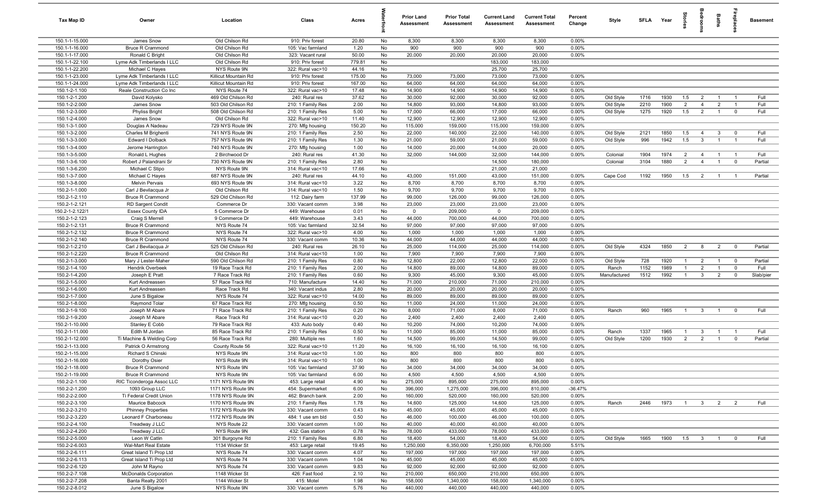| Tax Map ID                      | Owner                                                   | Location                             | Class                                  | Acres           |          | <b>Prior Land</b><br>Assessment | <b>Prior Total</b><br>Assessment | <b>Current Land</b><br><b>Assessment</b> | <b>Current Total</b><br>Assessment | Percent<br>Change | Style        | <b>SFLA</b> | Year | ĝ.             |                         | Baths          | eide.                   | <b>Basement</b> |
|---------------------------------|---------------------------------------------------------|--------------------------------------|----------------------------------------|-----------------|----------|---------------------------------|----------------------------------|------------------------------------------|------------------------------------|-------------------|--------------|-------------|------|----------------|-------------------------|----------------|-------------------------|-----------------|
| 150.1-1-15.000                  | James Snow                                              | Old Chilson Rd                       | 910: Priv forest                       | 20.80           | No       | 8,300                           | 8,300                            | 8,300                                    | 8,300                              | 0.00%             |              |             |      |                |                         |                |                         |                 |
| 150.1-1-16.000                  | <b>Bruce R Crammond</b>                                 | Old Chilson Rd                       | 105: Vac farmland                      | 1.20            | No       | 900                             | 900                              | 900                                      | 900                                | 0.00%             |              |             |      |                |                         |                |                         |                 |
| 150.1-1-17.000                  | Ronald C Bright                                         | Old Chilson Rd                       | 323: Vacant rural                      | 50.00           | No       | 20,000                          | 20,000                           | 20,000                                   | 20,000                             | 0.00%             |              |             |      |                |                         |                |                         |                 |
| 150.1-1-22.100                  | Lyme Adk Timberlands I LLC                              | Old Chilson Rd                       | 910: Priv forest                       | 779.81          | No       |                                 |                                  | 183,000                                  | 183,000                            |                   |              |             |      |                |                         |                |                         |                 |
| 150.1-1-22.200                  | Michael C Hayes                                         | NYS Route 9N                         | 322: Rural vac>10                      | 44.16           | No       |                                 |                                  | 25,700                                   | 25,700                             |                   |              |             |      |                |                         |                |                         |                 |
| 150.1-1-23.000                  | Lyme Adk Timberlands I LLC                              | Killicut Mountain Rd                 | 910: Priv forest                       | 175.00          | No       | 73,000                          | 73,000                           | 73,000                                   | 73,000                             | 0.00%             |              |             |      |                |                         |                |                         |                 |
| 150.1-1-24.000<br>150.1-2-1.100 | Lyme Adk Timberlands I LLC<br>Reale Construction Co Inc | Killicut Mountain Rd<br>NYS Route 74 | 910: Priv forest<br>322: Rural vac>10  | 167.00<br>17.48 | No<br>No | 64,000<br>14,900                | 64,000<br>14,900                 | 64,000<br>14,900                         | 64,000<br>14,900                   | 0.00%<br>0.00%    |              |             |      |                |                         |                |                         |                 |
| 150.1-2-1.200                   | David Kolysko                                           | 469 Old Chilson Rd                   | 240: Rural res                         | 37.62           | No       | 30,000                          | 92,000                           | 30,000                                   | 92,000                             | 0.00%             | Old Style    | 1716        | 1930 | 1.5            | $\overline{2}$          | $\overline{1}$ | $\overline{1}$          | Full            |
| 150.1-2-2.000                   | James Snow                                              | 503 Old Chilson Rd                   | 210: 1 Family Res                      | 2.00            | No       | 14,800                          | 93,000                           | 14,800                                   | 93,000                             | 0.00%             | Old Style    | 2210        | 1900 | 2              | $\overline{4}$          | $\overline{2}$ | $\overline{1}$          | Full            |
| 150.1-2-3.000                   | <b>Phyliss Bright</b>                                   | 508 Old Chilson Rd                   | 210: 1 Family Res                      | 5.00            | No       | 17,000                          | 66,000                           | 17,000                                   | 66,000                             | 0.00%             | Old Style    | 1275        | 1920 | 1.5            | $\overline{2}$          | $\overline{1}$ | $\overline{0}$          | Full            |
| 150.1-2-4.000                   | James Snow                                              | Old Chilson Rd                       | 322: Rural vac>10                      | 11.40           | No       | 12,900                          | 12,900                           | 12,900                                   | 12,900                             | 0.00%             |              |             |      |                |                         |                |                         |                 |
| 150.1-3-1.000                   | Douglas A Nadeau                                        | 729 NYS Route 9N                     | 270: Mfg housing                       | 150.20          | No       | 115,000                         | 159,000                          | 115,000                                  | 159,000                            | 0.00%             |              |             |      |                |                         |                |                         |                 |
| 150.1-3-2.000                   | Charles M Brighenti                                     | 741 NYS Route 9N                     | 210: 1 Family Res                      | 2.50            | No       | 22,000                          | 140,000                          | 22,000                                   | 140,000                            | 0.00%             | Old Style    | 2121        | 1850 | 1.5            | $\overline{4}$          | $\mathbf{3}$   | $\overline{\mathbf{0}}$ | Full            |
| 150.1-3-3.000                   | Edward I Dolback                                        | 757 NYS Route 9N                     | 210: 1 Family Res                      | 1.30            | No       | 21,000                          | 59,000                           | 21,000                                   | 59,000                             | 0.00%             | Old Style    | 996         | 1942 | 1.5            | $\mathbf{3}$            | $\overline{1}$ | $\overline{1}$          | Full            |
| 150.1-3-4.000                   | Jerome Harrington                                       | 740 NYS Route 9N                     | 270: Mfg housing                       | 1.00            | No       | 14,000                          | 20,000                           | 14,000                                   | 20,000                             | 0.00%             |              |             |      |                |                         |                |                         |                 |
| 150.1-3-5.000                   | Ronald L Hughes                                         | 2 Birchwood Dr                       | 240: Rural res                         | 41.30           | No       | 32,000                          | 144,000                          | 32,000                                   | 144,000                            | 0.00%             | Colonial     | 1904        | 1974 | $\overline{2}$ | $\overline{4}$          | $\overline{1}$ | $\overline{1}$          | Full            |
| 150.1-3-6.100                   | Robert J Palandrani Sr                                  | 730 NYS Route 9N                     | 210: 1 Family Res                      | 2.80            | No       |                                 |                                  | 14,500                                   | 180,000                            |                   | Colonial     | 3104        | 1880 | $\overline{2}$ | $\overline{4}$          | $\overline{1}$ | $\overline{0}$          | Partial         |
| 150.1-3-6.200                   | Michael C Stipo                                         | NYS Route 9N                         | 314: Rural vac<10                      | 17.66           | No       |                                 |                                  | 21,000                                   | 21,000                             |                   |              |             |      |                |                         |                |                         |                 |
| 150.1-3-7.000                   | Michael C Hayes                                         | 687 NYS Route 9N                     | 240: Rural res                         | 44.10           | No       | 43,000                          | 151,000                          | 43,000                                   | 151,000                            | 0.00%             | Cape Cod     | 1192        | 1950 | 1.5            | $\overline{2}$          | $\overline{1}$ | $\overline{1}$          | Partial         |
| 150.1-3-8.000<br>150.2-1-1.000  | <b>Melvin Pervais</b><br>Carl J Bevilacqua Jr           | 693 NYS Route 9N<br>Old Chilson Rd   | 314: Rural vac<10<br>314: Rural vac<10 | 3.22<br>1.50    | No<br>No | 8,700<br>9,700                  | 8,700<br>9,700                   | 8,700<br>9,700                           | 8,700<br>9,700                     | 0.00%<br>0.00%    |              |             |      |                |                         |                |                         |                 |
| 150.2-1-2.110                   | <b>Bruce R Crammond</b>                                 | 529 Old Chilson Rd                   | 112: Dairy farm                        | 137.99          | No       | 99,000                          | 126,000                          | 99,000                                   | 126,000                            | 0.00%             |              |             |      |                |                         |                |                         |                 |
| 150.2-1-2.121                   | RD Sargent Condit                                       | Commerce Dr                          | 330: Vacant comm                       | 3.98            | No       | 23,000                          | 23,000                           | 23,000                                   | 23,000                             | 0.00%             |              |             |      |                |                         |                |                         |                 |
| 150.2-1-2.122/1                 | <b>Essex County IDA</b>                                 | 5 Commerce Dr                        | 449: Warehouse                         | 0.01            | No       | $\mathbf 0$                     | 209,000                          | $\mathbf 0$                              | 209,000                            | 0.00%             |              |             |      |                |                         |                |                         |                 |
| 150.2-1-2.123                   | Craig S Merrell                                         | 9 Commerce Dr                        | 449: Warehouse                         | 3.43            | No       | 44,000                          | 700,000                          | 44,000                                   | 700,000                            | 0.00%             |              |             |      |                |                         |                |                         |                 |
| 150.2-1-2.131                   | <b>Bruce R Crammond</b>                                 | NYS Route 74                         | 105: Vac farmland                      | 32.54           | No       | 97,000                          | 97,000                           | 97,000                                   | 97,000                             | 0.00%             |              |             |      |                |                         |                |                         |                 |
| 150.2-1-2.132                   | <b>Bruce R Crammond</b>                                 | NYS Route 74                         | 322: Rural vac>10                      | 4.00            | No       | 1,000                           | 1,000                            | 1,000                                    | 1,000                              | 0.00%             |              |             |      |                |                         |                |                         |                 |
| 150.2-1-2.140                   | <b>Bruce R Crammond</b>                                 | NYS Route 74                         | 330: Vacant comm                       | 10.36           | No       | 44,000                          | 44,000                           | 44,000                                   | 44,000                             | 0.00%             |              |             |      |                |                         |                |                         |                 |
| 150.2-1-2.210                   | Carl J Bevilacqua Jr                                    | 525 Old Chilson Rd                   | 240: Rural res                         | 26.10           | No       | 25,000                          | 114,000                          | 25,000                                   | 114,000                            | 0.00%             | Old Style    | 4324        | 1850 | $\overline{2}$ | 8                       | $\overline{2}$ | $\overline{\mathbf{0}}$ | Partial         |
| 150.2-1-2.220                   | <b>Bruce R Crammond</b>                                 | Old Chilson Rd                       | 314: Rural vac<10                      | 1.00            | No       | 7,900                           | 7,900                            | 7,900                                    | 7,900                              | 0.00%             |              |             |      |                |                         |                |                         |                 |
| 150.2-1-3.000                   | Mary J Lester-Maher                                     | 590 Old Chilson Rd                   | 210: 1 Family Res                      | 0.80            | No       | 12,800                          | 22,000                           | 12,800                                   | 22,000                             | 0.00%             | Old Style    | 728         | 1920 | $\mathbf{1}$   | $\overline{2}$          | $\overline{1}$ | $\overline{0}$          | Partial         |
| 150.2-1-4.100                   | Hendrik Overbeek                                        | 19 Race Track Rd                     | 210: 1 Family Res                      | 2.00            | No       | 14,800                          | 89,000                           | 14,800                                   | 89,000                             | 0.00%             | Ranch        | 1152        | 1989 | $\overline{1}$ | 2                       | $\overline{1}$ | $\mathbf 0$             | Full            |
| 150.2-1-4.200                   | Joseph E Pratt                                          | 7 Race Track Rd                      | 210: 1 Family Res                      | 0.60            | No       | 9,300                           | 45,000                           | 9,300                                    | 45,000                             | 0.00%             | Manufactured | 1512        | 1992 | $\overline{1}$ | $\mathbf{3}$            | $\overline{2}$ | $\mathbf 0$             | Slab/pier       |
| 150.2-1-5.000<br>150.2-1-6.000  | Kurt Andreassen                                         | 57 Race Track Rd<br>Race Track Rd    | 710: Manufacture<br>340: Vacant indus  | 14.40<br>2.80   | No<br>No | 71,000<br>20,000                | 210,000<br>20,000                | 71,000<br>20,000                         | 210,000<br>20,000                  | 0.00%<br>0.00%    |              |             |      |                |                         |                |                         |                 |
| 150.2-1-7.000                   | Kurt Andreassen<br>June S Bigalow                       | NYS Route 74                         | 322: Rural vac>10                      | 14.00           | No       | 89,000                          | 89,000                           | 89,000                                   | 89,000                             | 0.00%             |              |             |      |                |                         |                |                         |                 |
| 150.2-1-8.000                   | Raymond Tolar                                           | 67 Race Track Rd                     | 270: Mfg housing                       | 0.50            | No       | 11,000                          | 24,000                           | 11,000                                   | 24,000                             | 0.00%             |              |             |      |                |                         |                |                         |                 |
| 150.2-1-9.100                   | Joseph M Abare                                          | 71 Race Track Rd                     | 210: 1 Family Res                      | 0.20            | No       | 8,000                           | 71,000                           | 8,000                                    | 71,000                             | 0.00%             | Ranch        | 960         | 1965 | $\overline{1}$ | $\mathbf{3}$            | $\overline{1}$ | $\mathbf 0$             | Full            |
| 150.2-1-9.200                   | Joseph M Abare                                          | Race Track Rd                        | 314: Rural vac<10                      | 0.20            | No       | 2,400                           | 2,400                            | 2,400                                    | 2,400                              | 0.00%             |              |             |      |                |                         |                |                         |                 |
| 150.2-1-10.000                  | Stanley E Cobb                                          | 79 Race Track Rd                     | 433: Auto body                         | 0.40            | No       | 10,200                          | 74,000                           | 10,200                                   | 74,000                             | 0.00%             |              |             |      |                |                         |                |                         |                 |
| 150.2-1-11.000                  | Edith M Jordan                                          | 85 Race Track Rd                     | 210: 1 Family Res                      | 0.50            | No       | 11,000                          | 85,000                           | 11,000                                   | 85,000                             | 0.00%             | Ranch        | 1337        | 1965 | $\overline{1}$ | $\mathbf{3}$            | $\overline{1}$ | $\overline{1}$          | Full            |
| 150.2-1-12.000                  | Ti Machine & Welding Corp                               | 56 Race Track Rd                     | 280: Multiple res                      | 1.60            | No       | 14,500                          | 99,000                           | 14,500                                   | 99,000                             | 0.00%             | Old Style    | 1200        | 1930 | $\overline{2}$ | $\overline{2}$          | $\mathbf{1}$   | $\mathbf 0$             | Partial         |
| 150.2-1-13.000                  | Patrick O Armstrong                                     | County Route 56                      | 322: Rural vac>10                      | 11.20           | No       | 16,100                          | 16,100                           | 16,100                                   | 16,100                             | 0.00%             |              |             |      |                |                         |                |                         |                 |
| 150.2-1-15.000                  | Richard S Chinski                                       | NYS Route 9N                         | 314: Rural vac<10                      | 1.00            | No       | 800                             | 800                              | 800                                      | 800                                | 0.00%             |              |             |      |                |                         |                |                         |                 |
| 150.2-1-16.000                  | Dorothy Osier                                           | NYS Route 9N                         | 314: Rural vac<10                      | 1.00            | No       | 800                             | 800                              | 800                                      | 800                                | 0.00%             |              |             |      |                |                         |                |                         |                 |
| 150.2-1-18.000                  | <b>Bruce R Crammond</b>                                 | NYS Route 9N                         | 105: Vac farmland                      | 37.90           | No       | 34,000                          | 34,000                           | 34,000                                   | 34,000                             | 0.00%             |              |             |      |                |                         |                |                         |                 |
| 150.2-1-19.000<br>150.2-2-1.100 | <b>Bruce R Crammond</b><br>RIC Ticonderoga Assoc LLC    | NYS Route 9N<br>1171 NYS Route 9N    | 105: Vac farmland<br>453: Large retail | 6.00<br>4.90    | No<br>No | 4,500<br>275,000                | 4,500<br>895,000                 | 4,500<br>275,000                         | 4,500<br>895,000                   | 0.00%<br>0.00%    |              |             |      |                |                         |                |                         |                 |
| 150.2-2-1.200                   | 1093 Group LLC                                          | 1171 NYS Route 9N                    | 454: Supermarket                       | 6.00            | No       | 396,000                         | 1,275,000                        | 396,000                                  | 810,000                            | $-36.47%$         |              |             |      |                |                         |                |                         |                 |
| 150.2-2-2.000                   | Ti Federal Credit Union                                 | 1178 NYS Route 9N                    | 462: Branch bank                       | 2.00            | No       | 160,000                         | 520,000                          | 160,000                                  | 520,000                            | 0.00%             |              |             |      |                |                         |                |                         |                 |
| 150.2-2-3.100                   | Maurice Babcock                                         | 1170 NYS Route 9N                    | 210: 1 Family Res                      | 1.78            | No       | 14,600                          | 125,000                          | 14,600                                   | 125,000                            | 0.00%             | Ranch        | 2446        | 1973 | $\overline{1}$ | $\overline{\mathbf{3}}$ | $\overline{2}$ | $\overline{2}$          | Full            |
| 150.2-2-3.210                   | <b>Phinney Properties</b>                               | 1172 NYS Route 9N                    | 330: Vacant comm                       | 0.43            | No       | 45,000                          | 45,000                           | 45,000                                   | 45,000                             | 0.00%             |              |             |      |                |                         |                |                         |                 |
| 150.2-2-3.220                   | Leonard F Charboneau                                    | 1172 NYS Route 9N                    | 484: 1 use sm bld                      | 0.50            | No       | 46,000                          | 100,000                          | 46,000                                   | 100,000                            | 0.00%             |              |             |      |                |                         |                |                         |                 |
| 150.2-2-4.100                   | Treadway J LLC                                          | NYS Route 22                         | 330: Vacant comm                       | 1.00            | No       | 40,000                          | 40,000                           | 40,000                                   | 40,000                             | 0.00%             |              |             |      |                |                         |                |                         |                 |
| 150.2-2-4.200                   | Treadway J LLC                                          | NYS Route 9N                         | 432: Gas station                       | 0.78            | No       | 78,000                          | 433,000                          | 78,000                                   | 433,000                            | 0.00%             |              |             |      |                |                         |                |                         |                 |
| 150.2-2-5.000                   | Leon W Catlin                                           | 301 Burgoyne Rd                      | 210: 1 Family Res                      | 6.80            | No       | 18,400                          | 54,000                           | 18,400                                   | 54,000                             | 0.00%             | Old Style    | 1665        | 1900 | 1.5            | $\overline{\mathbf{3}}$ | $\overline{1}$ | $\overline{0}$          | Full            |
| 150.2-2-6.003                   | Wal-Mart Real Estate                                    | 1134 Wicker St                       | 453: Large retail                      | 19.45           | No       | 1,250,000                       | 6,350,000                        | 1,250,000                                | 6,700,000                          | 5.51%             |              |             |      |                |                         |                |                         |                 |
| 150.2-2-6.111                   | Great Island Ti Prop Ltd                                | NYS Route 74                         | 330: Vacant comm                       | 4.07            | No       | 197,000                         | 197,000                          | 197,000                                  | 197,000                            | 0.00%             |              |             |      |                |                         |                |                         |                 |
| 150.2-2-6.113                   | Great Island Ti Prop Ltd                                | NYS Route 74                         | 330: Vacant comm                       | 1.04            | No       | 45,000                          | 45,000                           | 45,000                                   | 45,000                             | 0.00%             |              |             |      |                |                         |                |                         |                 |
| 150.2-2-6.120                   | John M Rayno                                            | NYS Route 74                         | 330: Vacant comm                       | 9.83            | No       | 92,000                          | 92,000                           | 92,000                                   | 92,000                             | 0.00%             |              |             |      |                |                         |                |                         |                 |
| 150.2-2-7.108<br>150.2-2-7.208  | McDonalds Corporation<br>Banta Realty 2001              | 1148 Wicker St<br>1144 Wicker St     | 426: Fast food<br>415: Motel           | 2.10<br>1.98    | No       | 210,000<br>158,000              | 650,000<br>1,340,000             | 210,000<br>158,000                       | 650,000<br>1,340,000               | 0.00%<br>0.00%    |              |             |      |                |                         |                |                         |                 |
| 150.2-2-8.012                   | June S Bigalow                                          | NYS Route 9N                         | 330: Vacant comm                       | 5.76            | No<br>No | 440,000                         | 440,000                          | 440,000                                  | 440,000                            | 0.00%             |              |             |      |                |                         |                |                         |                 |
|                                 |                                                         |                                      |                                        |                 |          |                                 |                                  |                                          |                                    |                   |              |             |      |                |                         |                |                         |                 |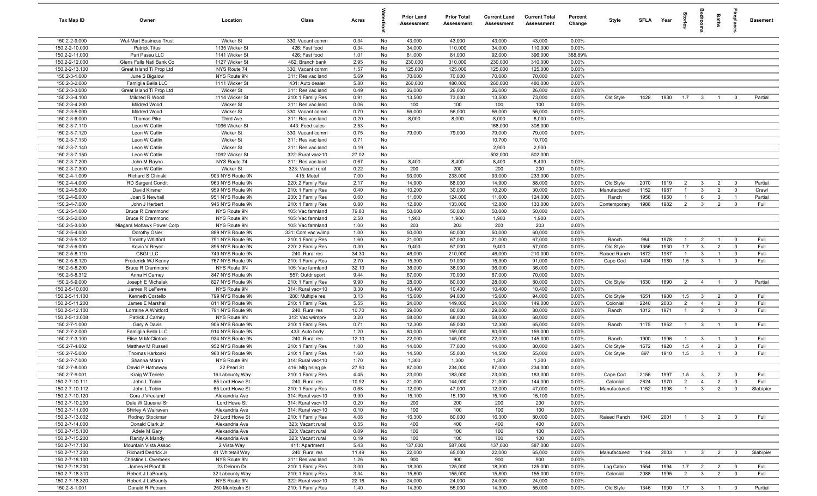| Tax Map ID                       | Owner                                          | Location                             | Class                                  | Acres        |          | <b>Prior Land</b><br>Assessment | <b>Prior Total</b><br>Assessment | <b>Current Land</b><br><b>Assessment</b> | <b>Current Total</b><br><b>Assessment</b> | Percent<br>Change | Style                 | <b>SFLA</b>  | Year            | ត្ត<br>ត                         |                         | Baths                            | 용<br>호                        | <b>Basement</b>  |
|----------------------------------|------------------------------------------------|--------------------------------------|----------------------------------------|--------------|----------|---------------------------------|----------------------------------|------------------------------------------|-------------------------------------------|-------------------|-----------------------|--------------|-----------------|----------------------------------|-------------------------|----------------------------------|-------------------------------|------------------|
| 150.2-2-9.000                    | <b>Wal-Mart Business Trust</b>                 | Wicker St                            | 330: Vacant comm                       | 0.34         | No       | 43,000                          | 43,000                           | 43,000                                   | 43,000                                    | 0.00%             |                       |              |                 |                                  |                         |                                  |                               |                  |
| 150.2-2-10.000                   | <b>Patrick Titus</b>                           | 1135 Wicker St                       | 426: Fast food                         | 0.34         | No       | 34,000                          | 110,000                          | 34,000                                   | 110,000                                   | 0.00%             |                       |              |                 |                                  |                         |                                  |                               |                  |
| 150.2-2-11.000                   | Pari Passu LLC                                 | 1141 Wicker St                       | 426: Fast food                         | 1.01         | No       | 81,000                          | 81,000                           | 92,000                                   | 396,000                                   | 388.89%           |                       |              |                 |                                  |                         |                                  |                               |                  |
| 150.2-2-12.000                   | Glens Falls Natl Bank Co                       | 1127 Wicker St                       | 462: Branch bank                       | 2.95         | No       | 230,000                         | 310,000                          | 230,000                                  | 310,000                                   | 0.00%             |                       |              |                 |                                  |                         |                                  |                               |                  |
| 150.2-2-13.100                   | Great Island Ti Prop Ltd                       | NYS Route 74                         | 330: Vacant comm                       | 1.57         | No       | 125,000                         | 125,000                          | 125,000                                  | 125,000                                   | 0.00%             |                       |              |                 |                                  |                         |                                  |                               |                  |
| 150.2-3-1.000                    | June S Bigalow                                 | NYS Route 9N                         | 311: Res vac land                      | 5.69         | No<br>No | 70,000                          | 70,000                           | 70,000                                   | 70,000                                    | 0.00%<br>0.00%    |                       |              |                 |                                  |                         |                                  |                               |                  |
| 150.2-3-2.000<br>150.2-3-3.000   | Famiglia Bella LLC<br>Great Island Ti Prop Ltd | 1111 Wicker St<br>Wicker St          | 431: Auto dealer<br>311: Res vac land  | 5.80<br>0.49 | No       | 260,000<br>26,000               | 480,000<br>26,000                | 260,000<br>26,000                        | 480,000<br>26,000                         | 0.00%             |                       |              |                 |                                  |                         |                                  |                               |                  |
| 150.2-3-4.100                    | Mildred R Wood                                 | 1114 Wicker St                       | 210: 1 Family Res                      | 0.91         | No       | 13,500                          | 73,000                           | 13,500                                   | 73,000                                    | 0.00%             | Old Style             | 1428         | 1930            | 1.7                              | $\overline{\mathbf{3}}$ | $\overline{1}$                   | $\overline{\mathbf{0}}$       | Partial          |
| 150.2-3-4.200                    | Mildred Wood                                   | <b>Wicker St</b>                     | 311: Res vac land                      | 0.06         | No       | 100                             | 100                              | 100                                      | 100                                       | 0.00%             |                       |              |                 |                                  |                         |                                  |                               |                  |
| 150.2-3-5.000                    | Mildred Wood                                   | Wicker St                            | 330: Vacant comm                       | 0.70         | No       | 56,000                          | 56,000                           | 56,000                                   | 56,000                                    | 0.00%             |                       |              |                 |                                  |                         |                                  |                               |                  |
| 150.2-3-6.000                    | Thomas Pike                                    | Third Ave                            | 311: Res vac land                      | 0.20         | No       | 8,000                           | 8,000                            | 8,000                                    | 8,000                                     | 0.00%             |                       |              |                 |                                  |                         |                                  |                               |                  |
| 150.2-3-7.110                    | Leon W Catlin                                  | 1096 Wicker St                       | 443: Feed sales                        | 2.53         | No       |                                 |                                  | 168,000                                  | 308,000                                   |                   |                       |              |                 |                                  |                         |                                  |                               |                  |
| 150.2-3-7.120                    | Leon W Catlin                                  | Wicker St                            | 330: Vacant comm                       | 0.75         | No       | 79,000                          | 79,000                           | 79,000                                   | 79,000                                    | 0.00%             |                       |              |                 |                                  |                         |                                  |                               |                  |
| 150.2-3-7.130                    | Leon W Catlin                                  | Wicker St                            | 311: Res vac land                      | 0.71         | No       |                                 |                                  | 10,700                                   | 10,700                                    |                   |                       |              |                 |                                  |                         |                                  |                               |                  |
| 150.2-3-7.140                    | Leon W Catlin                                  | Wicker St                            | 311: Res vac land                      | 0.19         | No       |                                 |                                  | 2,900                                    | 2,900                                     |                   |                       |              |                 |                                  |                         |                                  |                               |                  |
| 150.2-3-7.150                    | Leon W Catlin                                  | 1092 Wicker St                       | 322: Rural vac>10                      | 27.02        | No       |                                 |                                  | 502,000                                  | 502,000                                   |                   |                       |              |                 |                                  |                         |                                  |                               |                  |
| 150.2-3-7.200                    | John M Rayno                                   | NYS Route 74                         | 311: Res vac land                      | 0.67         | No       | 8,400                           | 8,400                            | 8,400                                    | 8,400                                     | 0.00%             |                       |              |                 |                                  |                         |                                  |                               |                  |
| 150.2-3-7.300                    | Leon W Catlin                                  | Wicker St                            | 323: Vacant rural                      | 0.22         | No       | 200                             | 200                              | 200                                      | 200                                       | 0.00%             |                       |              |                 |                                  |                         |                                  |                               |                  |
| 150.2-4-1.009                    | Richard S Chinski                              | 903 NYS Route 9N                     | 415: Motel                             | 7.00         | No       | 93,000                          | 233,000                          | 93,000                                   | 233,000                                   | 0.00%             |                       |              |                 |                                  |                         |                                  |                               |                  |
| 150.2-4-4.000                    | <b>RD Sargent Condit</b>                       | 963 NYS Route 9N<br>959 NYS Route 9N | 220: 2 Family Res                      | 2.17         | No       | 14,900                          | 88,000                           | 14,900                                   | 88,000                                    | 0.00%             | Old Style             | 2070         | 1919<br>1987    | $\overline{2}$<br>$\overline{1}$ | $\mathbf{3}$<br>3       | $\overline{2}$                   | $\overline{0}$<br>$\mathbf 0$ | Partial<br>Crawl |
| 150.2-4-5.000<br>150.2-4-6.000   | David Kirsner<br>Joan S Newhall                | 951 NYS Route 9N                     | 210: 1 Family Res<br>230: 3 Family Res | 0.40<br>0.60 | No<br>No | 10,200<br>11,600                | 30,000<br>124,000                | 10,200<br>11,600                         | 30,000<br>124,000                         | 0.00%<br>0.00%    | Manufactured<br>Ranch | 1152<br>1956 | 1950            | $\overline{1}$                   | 6                       | $\overline{2}$<br>$\mathbf{3}$   | $\overline{1}$                | Partial          |
| 150.2-4-7.000                    | John J Herbert                                 | 945 NYS Route 9N                     | 210: 1 Family Res                      | 0.80         | No       | 12,800                          | 133,000                          | 12,800                                   | 133,000                                   | 0.00%             | Contemporary          | 1988         | 1982            | $\overline{2}$                   | $\mathbf{3}$            | $\overline{2}$                   | $^{\circ}$                    | Full             |
| 150.2-5-1.000                    | <b>Bruce R Crammond</b>                        | NYS Route 9N                         | 105: Vac farmland                      | 79.80        | No       | 50,000                          | 50,000                           | 50,000                                   | 50,000                                    | 0.00%             |                       |              |                 |                                  |                         |                                  |                               |                  |
| 150.2-5-2.000                    | <b>Bruce R Crammond</b>                        | NYS Route 9N                         | 105: Vac farmland                      | 2.50         | No       | 1,900                           | 1,900                            | 1,900                                    | 1,900                                     | 0.00%             |                       |              |                 |                                  |                         |                                  |                               |                  |
| 150.2-5-3.000                    | Niagara Mohawk Power Corp                      | NYS Route 9N                         | 105: Vac farmland                      | 1.00         | No       | 203                             | 203                              | 203                                      | 203                                       | 0.00%             |                       |              |                 |                                  |                         |                                  |                               |                  |
| 150.2-5-4.000                    | Dorothy Osier                                  | 889 NYS Route 9N                     | 331: Com vac w/imp                     | 1.00         | No       | 50,000                          | 60,000                           | 50,000                                   | 60,000                                    | 0.00%             |                       |              |                 |                                  |                         |                                  |                               |                  |
| 150.2-5-5.122                    | <b>Timothy Whitford</b>                        | 791 NYS Route 9N                     | 210: 1 Family Res                      | 1.60         | No       | 21,000                          | 67,000                           | 21,000                                   | 67,000                                    | 0.00%             | Ranch                 | 984          | 1978            | $\overline{1}$                   | $\overline{2}$          | $\overline{1}$                   | $\overline{0}$                | Full             |
| 150.2-5-6.000                    | Kevin V Reyor                                  | 895 NYS Route 9N                     | 220: 2 Family Res                      | 0.30         | No       | 9,400                           | 57,000                           | 9,400                                    | 57,000                                    | $0.00\%$          | Old Style             | 1356         | 1930            | 1.7                              | $\mathbf{3}$            | $\overline{2}$                   | $^{\circ}$                    | Full             |
| 150.2-5-8.110                    | <b>CBGI LLC</b>                                | 749 NYS Route 9N                     | 240: Rural res                         | 34.30        | No       | 46,000                          | 210,000                          | 46,000                                   | 210,000                                   | 0.00%             | Raised Ranch          | 1872         | 1987            | $\overline{1}$                   | 3                       | $\overline{1}$                   | $^{\circ}$                    | Full             |
| 150.2-5-8.120                    | Frederick WJ Kenny                             | 767 NYS Route 9N                     | 210: 1 Family Res                      | 2.70         | No       | 15,300                          | 91,000                           | 15,300                                   | 91,000                                    | 0.00%             | Cape Cod              | 1404         | 1980            | 1.5                              | $\mathbf{3}$            | $\overline{1}$                   | $\mathbf 0$                   | Full             |
| 150.2-5-8.200                    | <b>Bruce R Crammond</b>                        | NYS Route 9N                         | 105: Vac farmland                      | 32.10        | No       | 36,000                          | 36,000                           | 36,000                                   | 36,000                                    | 0.00%             |                       |              |                 |                                  |                         |                                  |                               |                  |
| 150.2-5-8.312                    | Anna H Carney                                  | 847 NYS Route 9N                     | 557: Outdr sport                       | 9.44         | No       | 67,000                          | 70,000                           | 67,000                                   | 70,000                                    | 0.00%             |                       |              |                 |                                  |                         |                                  |                               |                  |
| 150.2-5-9.000                    | Joseph E Michalak                              | 827 NYS Route 9N                     | 210: 1 Family Res                      | 9.90         | No       | 28,000                          | 80,000                           | 28,000                                   | 80,000                                    | 0.00%             | Old Style             | 1630         | 1890            | 2                                | $\overline{4}$          | $\overline{1}$                   | $\overline{\mathbf{0}}$       | Partial          |
| 150.2-5-10.000<br>150.2-5-11.100 | James R LeFevre                                | NYS Route 9N                         | 314: Rural vac<10                      | 3.30         | No       | 10,400<br>15,600                | 10,400<br>94,000                 | 10,400                                   | 10,400<br>94,000                          | 0.00%<br>0.00%    |                       |              |                 |                                  | $\mathbf{3}$            |                                  | $\overline{0}$                | Full             |
| 150.2-5-11.200                   | Kenneth Costello<br>James E Marshall           | 799 NYS Route 9N<br>811 NYS Route 9N | 280: Multiple res<br>210: 1 Family Res | 3.13<br>5.55 | No<br>No | 24,000                          | 149,000                          | 15,600<br>24,000                         | 149,000                                   | 0.00%             | Old Style<br>Colonial | 1651<br>2240 | 1900<br>2003    | 1.5<br>$\overline{2}$            | $\overline{4}$          | $\overline{2}$<br>$\overline{2}$ | $\mathbf 0$                   | Full             |
| 150.2-5-12.100                   | Lorraine A Whitford                            | 791 NYS Route 9N                     | 240: Rural res                         | 10.70        | No       | 29,000                          | 80,000                           | 29,000                                   | 80,000                                    | 0.00%             | Ranch                 | 1012         | 1971            | $\overline{1}$                   | $\overline{2}$          | $\overline{1}$                   | $\mathbf 0$                   | Full             |
| 150.2-5-13.008                   | Patrick J Carney                               | NYS Route 9N                         | 312: Vac w/imprv                       | 3.20         | No       | 58,000                          | 68,000                           | 58,000                                   | 68,000                                    | 0.00%             |                       |              |                 |                                  |                         |                                  |                               |                  |
| 150.2-7-1.000                    | Gary A Davis                                   | 906 NYS Route 9N                     | 210: 1 Family Res                      | 0.71         | No       | 12,300                          | 65,000                           | 12,300                                   | 65,000                                    | 0.00%             | Ranch                 | 1175         | 1952            | $\overline{1}$                   | $\mathbf{3}$            | $\overline{1}$                   | $\overline{0}$                | Full             |
| 150.2-7-2.000                    | Famiglia Bella LLC                             | 914 NYS Route 9N                     | 433: Auto body                         | 1.20         | No       | 80,000                          | 159,000                          | 80,000                                   | 159,000                                   | 0.00%             |                       |              |                 |                                  |                         |                                  |                               |                  |
| 150.2-7-3.100                    | Elise M McClintock                             | 934 NYS Route 9N                     | 240: Rural res                         | 12.10        | No       | 22,000                          | 145,000                          | 22,000                                   | 145,000                                   | 0.00%             | Ranch                 | 1900         | 1996            | $\mathbf{1}$                     | $\mathbf{3}$            | $\overline{1}$                   | $^{\circ}$                    | Full             |
| 150.2-7-4.002                    | Matthew M Russell                              | 952 NYS Route 9N                     | 210: 1 Family Res                      | 1.00         | No       | 14,000                          | 77,000                           | 14,000                                   | 80,000                                    | 3.90%             | Old Style             | 1672         | 1920            | 1.5                              | $\overline{4}$          | $\overline{2}$                   | $\Omega$                      | Full             |
| 150.2-7-5.000                    | Thomas Karkoski                                | 960 NYS Route 9N                     | 210: 1 Family Res                      | 1.60         | No       | 14,500                          | 55,000                           | 14,500                                   | 55,000                                    | 0.00%             | Old Style             | 897          | 1910            | 1.5                              | $\mathbf{3}$            | $\overline{1}$                   | $\mathbf 0$                   | Full             |
| 150.2-7-7.000                    | Shanna Moran                                   | NYS Route 9N                         | 314: Rural vac<10                      | 1.70         | No       | 1,300                           | 1,300                            | 1,300                                    | 1,300                                     | 0.00%             |                       |              |                 |                                  |                         |                                  |                               |                  |
| 150.2-7-8.000                    | David P Hathaway                               | 22 Pearl St                          | 416: Mfg hsing pk                      | 27.90        | No       | 87,000                          | 234,000                          | 87,000                                   | 234,000                                   | 0.00%             |                       |              |                 |                                  |                         |                                  |                               |                  |
| 150.2-7-9.001                    | Kraig W Teriele                                | 16 Labounty Way                      | 210: 1 Family Res                      | 4.45         | No       | 23,000                          | 183,000                          | 23,000                                   | 183,000                                   | 0.00%             | Cape Cod              | 2156         | 1997            | 1.5                              | $\mathbf{3}$            | $\overline{2}$                   | $\overline{0}$                | Full             |
| 150.2-7-10.111                   | John L Tobin                                   | 65 Lord Howe St                      | 240: Rural res                         | 10.92        | No       | 21,000                          | 144,000                          | 21,000                                   | 144,000                                   | 0.00%             | Colonial              | 2624         | 1970            | $\overline{2}$                   | $\overline{4}$          | $\overline{2}$                   | $\overline{\mathbf{0}}$       | Full             |
| 150.2-7-10.112                   | John L Tobin                                   | 65 Lord Howe St                      | 210: 1 Family Res                      | 0.68         | No       | 12,000                          | 47,000                           | 12,000                                   | 47,000                                    | 0.00%             | Manufactured          | 1152         | 1998            | $\overline{1}$                   | $\mathbf{3}$            | $\overline{2}$                   | $\overline{0}$                | Slab/pier        |
| 150.2-7-10.120                   | Cora J Vreeland                                | Alexandria Ave                       | 314: Rural vac<10                      | 9.90         | No       | 15,100                          | 15,100                           | 15,100                                   | 15,100                                    | 0.00%             |                       |              |                 |                                  |                         |                                  |                               |                  |
| 150.2-7-10.200<br>150.2-7-11.000 | Dale W Quesnel Sr<br>Shirley A Walraven        | Lord Howe St<br>Alexandria Ave       | 314: Rural vac<10<br>314: Rural vac<10 | 0.20<br>0.10 | No<br>No | 200<br>100                      | 200<br>100                       | 200<br>100                               | 200<br>100                                | 0.00%<br>0.00%    |                       |              |                 |                                  |                         |                                  |                               |                  |
| 150.2-7-13.002                   | Rodney Stockmar                                | 39 Lord Howe St                      | 210: 1 Family Res                      | 4.08         | No       | 16,300                          | 80,000                           | 16,300                                   | 80,000                                    | 0.00%             | Raised Ranch          | 1040         | 2001            | $\overline{1}$                   | $\overline{\mathbf{3}}$ | $\overline{2}$                   | $\overline{0}$                | Full             |
| 150.2-7-14.000                   | Donald Clark Jr                                | Alexandria Ave                       | 323: Vacant rural                      | 0.55         | No       | 400                             | 400                              | 400                                      | 400                                       | 0.00%             |                       |              |                 |                                  |                         |                                  |                               |                  |
| 150.2-7-15.100                   | Adele M Gary                                   | Alexandria Ave                       | 323: Vacant rural                      | 0.09         | No       | 100                             | 100                              | 100                                      | 100                                       | 0.00%             |                       |              |                 |                                  |                         |                                  |                               |                  |
| 150.2-7-15.200                   | Randy A Mandy                                  | Alexandria Ave                       | 323: Vacant rural                      | 0.19         | No       | 100                             | 100                              | 100                                      | 100                                       | 0.00%             |                       |              |                 |                                  |                         |                                  |                               |                  |
| 150.2-7-17.100                   | Mountain Vista Assoc                           | 2 Vista Way                          | 411: Apartment                         | 5.43         | No       | 137,000                         | 587,000                          | 137,000                                  | 587,000                                   | 0.00%             |                       |              |                 |                                  |                         |                                  |                               |                  |
| 150.2-7-17.200                   | <b>Richard Dedrick Jr</b>                      | 41 Whitetail Way                     | 240: Rural res                         | 11.49        | No       | 22,000                          | 65,000                           | 22,000                                   | 65,000                                    | 0.00%             | Manufactured          | 1144         | 2003            | $\overline{1}$                   | $\mathbf{3}$            | $\overline{2}$                   | $\overline{\mathbf{0}}$       | Slab/pier        |
| 150.2-7-18.100                   | Christine L Overbeek                           | NYS Route 9N                         | 311: Res vac land                      | 1.26         | No       | 900                             | 900                              | 900                                      | 900                                       | 0.00%             |                       |              |                 |                                  |                         |                                  |                               |                  |
| 150.2-7-18.200                   | James H Ploof III                              | 23 Delorm Dr                         | 210: 1 Family Res                      | 3.00         | No       | 18,300                          | 125,000                          | 18,300                                   | 125,000                                   | 0.00%             | Log Cabin             | 1554         | 1994            | 1.7                              | $\overline{2}$          | $\overline{2}$                   | $\mathbf 0$                   | Full             |
| 150.2-7-18.310                   | Robert J LaBounty                              | 32 Labounty Way                      | 210: 1 Family Res                      | 3.34         | No       | 15,800                          | 155,000                          | 15,800                                   | 155,000                                   | 0.00%             | Colonial              | 2088         | 1995            | $\overline{2}$                   | $\overline{\mathbf{3}}$ | $\overline{2}$                   | $\mathbf 0$                   | Full             |
| 150.2-7-18.320                   | Robert J LaBounty                              | NYS Route 9N                         | 322: Rural vac>10                      | 22.16        | No       | 24,000                          | 24,000                           | 24,000                                   | 24,000                                    | 0.00%             |                       |              |                 |                                  |                         |                                  |                               |                  |
| 150.2-8-1.001                    | Donald R Putnam                                | 250 Montcalm St                      | 210: 1 Family Res                      | 1.40         | No       | 14,300                          | 55,000                           | 14,300                                   | 55,000                                    | 0.00%             | Old Style             | 1346         | 1900  1.7  3  1 |                                  |                         |                                  | $\overline{\mathbf{0}}$       | Partial          |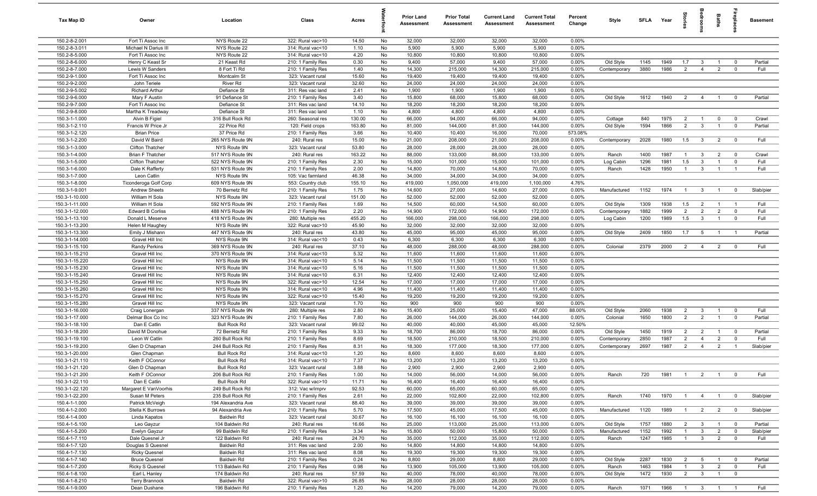| Tax Map ID                       | Owner                                  | Location                                | Class                                  | Acres          |          | Prior Land<br>Assessment | <b>Prior Total</b><br>Assessment | <b>Current Land</b><br><b>Assessment</b> | <b>Current Total</b><br><b>Assessment</b> | Percent<br>Change | Style        | <b>SFLA</b> | Year | gie            |                         | Baths          |                         | <b>Basement</b> |
|----------------------------------|----------------------------------------|-----------------------------------------|----------------------------------------|----------------|----------|--------------------------|----------------------------------|------------------------------------------|-------------------------------------------|-------------------|--------------|-------------|------|----------------|-------------------------|----------------|-------------------------|-----------------|
| 150.2-8-2.001                    | Fort Ti Assoc Inc                      | NYS Route 22                            | 322: Rural vac>10                      | 14.50          | No       | 32,000                   | 32,000                           | 32,000                                   | 32,000                                    | 0.00%             |              |             |      |                |                         |                |                         |                 |
| 150.2-8-3.011                    | Michael N Darius III                   | NYS Route 22                            | 314: Rural vac<10                      | 1.10           | No       | 5,900                    | 5,900                            | 5,900                                    | 5,900                                     | 0.00%             |              |             |      |                |                         |                |                         |                 |
| 150.2-8-5.000                    | Fort Ti Assoc Inc                      | NYS Route 22                            | 314: Rural vac<10                      | 4.20           | No       | 10,800                   | 10,800                           | 10,800                                   | 10,800                                    | 0.00%             |              |             |      |                |                         |                |                         |                 |
| 150.2-8-6.000                    | Henry C Keast Sr                       | 21 Keast Rd                             | 210: 1 Family Res                      | 0.30           | No       | 9,400                    | 57,000                           | 9,400                                    | 57,000                                    | 0.00%             | Old Style    | 1145        | 1949 | 1.7            | - 3                     |                | $^{\circ}$              | Partial         |
| 150.2-8-7.000                    | Lewis W Sanders                        | 8 Fort Ti Rd                            | 210: 1 Family Res                      | 1.40           | No       | 14,300                   | 215,000                          | 14,300                                   | 215,000                                   | 0.00%             | Contemporary | 3880        | 1986 | $\overline{2}$ | $\overline{4}$          | $\overline{2}$ | $\mathbf 0$             | Full            |
| 150.2-9-1.000                    | Fort Ti Assoc Inc                      | Montcalm St                             | 323: Vacant rural                      | 15.60          | No       | 19,400                   | 19,400                           | 19,400                                   | 19,400                                    | 0.00%             |              |             |      |                |                         |                |                         |                 |
| 150.2-9-2.000<br>150.2-9-5.002   | John Teriele<br><b>Richard Arthur</b>  | River Rd<br>Defiance St                 | 323: Vacant rural<br>311: Res vac land | 32.60<br>2.41  | No<br>No | 24,000<br>1,900          | 24,000<br>1,900                  | 24,000<br>1,900                          | 24,000<br>1,900                           | 0.00%<br>0.00%    |              |             |      |                |                         |                |                         |                 |
| 150.2-9-6.000                    | Mary F Austin                          | 91 Defiance St                          | 210: 1 Family Res                      | 3.40           | No       | 15,800                   | 68,000                           | 15,800                                   | 68,000                                    | 0.00%             | Old Style    | 1612        | 1940 | 2              | $\overline{4}$          | $\overline{1}$ | $^{\circ}$              | Partial         |
| 150.2-9-7.000                    | Fort Ti Assoc Inc                      | Defiance St                             | 311: Res vac land                      | 14.10          | No       | 18,200                   | 18,200                           | 18,200                                   | 18,200                                    | 0.00%             |              |             |      |                |                         |                |                         |                 |
| 150.2-9-8.000                    | Martha K Treadway                      | Defiance St                             | 311: Res vac land                      | 1.10           | No       | 4,800                    | 4,800                            | 4,800                                    | 4,800                                     | 0.00%             |              |             |      |                |                         |                |                         |                 |
| 150.3-1-1.000                    | Alvin B Figiel                         | 316 Bull Rock Rd                        | 260: Seasonal res                      | 130.00         | No       | 66,000                   | 94,000                           | 66,000                                   | 94,000                                    | 0.00%             | Cottage      | 840         | 1975 | $\overline{2}$ | $\overline{1}$          | $\mathbf 0$    | $\overline{0}$          | Crawl           |
| 150.3-1-2.110                    | Francis W Price Jr                     | 22 Price Rd                             | 120: Field crops                       | 163.80         | No       | 81,000                   | 144,000                          | 81,000                                   | 144,000                                   | 0.00%             | Old Style    | 1594        | 1866 | $\overline{2}$ | $\mathbf{3}$            | $\overline{1}$ | $\mathbf 0$             | Partial         |
| 150.3-1-2.120                    | <b>Brian Price</b>                     | 37 Price Rd                             | 210: 1 Family Res                      | 3.66           | No       | 10,400                   | 10,400                           | 16,000                                   | 70,000                                    | 573.08%           |              |             |      |                |                         |                |                         |                 |
| 150.3-1-2.200                    | David W Baird                          | 265 NYS Route 9N                        | 240: Rural res                         | 15.00          | No       | 21,000                   | 208,000                          | 21,000                                   | 208,000                                   | 0.00%             | Contemporary | 2028        | 1980 | 1.5            | $\overline{3}$          | $\overline{2}$ | $\overline{\mathbf{0}}$ | Full            |
| 150.3-1-3.000                    | <b>Clifton Thatcher</b>                | NYS Route 9N                            | 323: Vacant rural                      | 53.80          | No       | 28,000                   | 28,000                           | 28,000                                   | 28,000                                    | 0.00%             |              |             |      |                |                         |                |                         |                 |
| 150.3-1-4.000                    | Brian F Thatcher                       | 517 NYS Route 9N                        | 240: Rural res                         | 163.22         | No       | 88,000                   | 133,000                          | 88,000                                   | 133,000                                   | 0.00%             | Ranch        | 1400        | 1987 | $\overline{1}$ | $\overline{3}$          | $\overline{2}$ | $\overline{0}$          | Crawl           |
| 150.3-1-5.000                    | Clifton Thatcher                       | 522 NYS Route 9N                        | 210: 1 Family Res                      | 2.30           | No       | 15,000                   | 101,000                          | 15,000                                   | 101,000                                   | 0.00%             | Log Cabin    | 1296        | 1981 | 1.5            | $\mathbf{3}$            | $\overline{1}$ | $^{\circ}$              | Full            |
| 150.3-1-6.000                    | Dale K Rafferty                        | 531 NYS Route 9N                        | 210: 1 Family Res                      | 2.00           | No       | 14,800                   | 70,000                           | 14,800                                   | 70,000                                    | 0.00%             | Ranch        | 1428        | 1950 | $\overline{1}$ | $\mathbf{3}$            | $\overline{1}$ | $\overline{1}$          | Full            |
| 150.3-1-7.000                    | Leon Catlin                            | NYS Route 9N                            | 105: Vac farmland                      | 46.38          | No       | 34,000                   | 34,000                           | 34,000                                   | 34,000                                    | 0.00%             |              |             |      |                |                         |                |                         |                 |
| 150.3-1-8.000<br>150.3-1-9.001   | Ticonderoga Golf Corp                  | 609 NYS Route 9N<br>70 Bernetz Rd       | 553: Country club                      | 155.10         | No       | 419,000<br>14,600        | 1,050,000<br>27,000              | 419,000                                  | 1,100,000<br>27,000                       | 4.76%<br>0.00%    | Manufactured | 1152        | 1974 | $\overline{1}$ | 3                       | $\overline{1}$ | $^{\circ}$              | Slab/pier       |
| 150.3-1-10.000                   | <b>Andrew Sheets</b><br>William H Sola | NYS Route 9N                            | 210: 1 Family Res<br>323: Vacant rural | 1.75<br>151.00 | No<br>No | 52,000                   | 52,000                           | 14,600<br>52,000                         | 52,000                                    | 0.00%             |              |             |      |                |                         |                |                         |                 |
| 150.3-1-11.000                   | William H Sola                         | 592 NYS Route 9N                        | 210: 1 Family Res                      | 1.69           | No       | 14,500                   | 60,000                           | 14,500                                   | 60,000                                    | 0.00%             | Old Style    | 1309        | 1938 | 1.5            | $\overline{2}$          | $\overline{1}$ | $\overline{1}$          | Full            |
| 150.3-1-12.000                   | <b>Edward B Corliss</b>                | 488 NYS Route 9N                        | 210: 1 Family Res                      | 2.20           | No       | 14,900                   | 172,000                          | 14,900                                   | 172,000                                   | $0.00\%$          | Contemporary | 1882        | 1999 | $\overline{2}$ | $\overline{2}$          | $\overline{2}$ | $\mathbf 0$             | Full            |
| 150.3-1-13.100                   | Donald L Meserve                       | 418 NYS Route 9N                        | 280: Multiple res                      | 455.20         | No       | 166,000                  | 298,000                          | 166,000                                  | 298,000                                   | 0.00%             | Log Cabin    | 1200        | 1989 | 1.5            | $\mathbf{3}$            | $\mathbf{1}$   | $\mathbf 0$             | Full            |
| 150.3-1-13.200                   | Helen M Haughey                        | NYS Route 9N                            | 322: Rural vac>10                      | 45.90          | No       | 32,000                   | 32,000                           | 32,000                                   | 32,000                                    | 0.00%             |              |             |      |                |                         |                |                         |                 |
| 150.3-1-13.300                   | Emily J Mishann                        | 447 NYS Route 9N                        | 240: Rural res                         | 43.80          | No       | 45,000                   | 95,000                           | 45,000                                   | 95,000                                    | 0.00%             | Old Style    | 2409        | 1850 | 1.7            | 5                       |                |                         | Partial         |
| 150.3-1-14.000                   | Gravel Hill Inc                        | NYS Route 9N                            | 314: Rural vac<10                      | 0.43           | No       | 6,300                    | 6,300                            | 6,300                                    | 6,300                                     | 0.00%             |              |             |      |                |                         |                |                         |                 |
| 150.3-1-15.100                   | Randy Perkins                          | 369 NYS Route 9N                        | 240: Rural res                         | 37.10          | No       | 48,000                   | 288,000                          | 48,000                                   | 288,000                                   | 0.00%             | Colonial     | 2379        | 2000 | $\overline{2}$ | $\overline{4}$          | $\overline{2}$ | $\overline{0}$          | Full            |
| 150.3-1-15.210                   | Gravel Hill Inc                        | 370 NYS Route 9N                        | 314: Rural vac<10                      | 5.32           | No       | 11,600                   | 11,600                           | 11,600                                   | 11,600                                    | 0.00%             |              |             |      |                |                         |                |                         |                 |
| 150.3-1-15.220                   | Gravel Hill Inc                        | NYS Route 9N                            | 314: Rural vac<10                      | 5.14           | No       | 11,500                   | 11,500                           | 11,500                                   | 11,500                                    | 0.00%             |              |             |      |                |                         |                |                         |                 |
| 150.3-1-15.230                   | Gravel Hill Inc                        | NYS Route 9N                            | 314: Rural vac<10                      | 5.16           | No       | 11,500                   | 11,500                           | 11,500                                   | 11,500                                    | 0.00%             |              |             |      |                |                         |                |                         |                 |
| 150.3-1-15.240                   | Gravel Hill Inc                        | NYS Route 9N                            | 314: Rural vac<10                      | 6.31           | No       | 12,400                   | 12,400                           | 12,400                                   | 12,400                                    | 0.00%             |              |             |      |                |                         |                |                         |                 |
| 150.3-1-15.250<br>150.3-1-15.260 | Gravel Hill Inc<br>Gravel Hill Inc     | NYS Route 9N<br>NYS Route 9N            | 322: Rural vac>10<br>314: Rural vac<10 | 12.54          | No<br>No | 17,000<br>11,400         | 17,000<br>11,400                 | 17,000<br>11,400                         | 17,000<br>11,400                          | 0.00%<br>0.00%    |              |             |      |                |                         |                |                         |                 |
| 150.3-1-15.270                   | Gravel Hill Inc                        | NYS Route 9N                            | 322: Rural vac>10                      | 4.96<br>15.40  | No       | 19,200                   | 19,200                           | 19,200                                   | 19,200                                    | 0.00%             |              |             |      |                |                         |                |                         |                 |
| 150.3-1-15.280                   | Gravel Hill Inc                        | NYS Route 9N                            | 323: Vacant rural                      | 1.70           | No       | 900                      | 900                              | 900                                      | 900                                       | 0.00%             |              |             |      |                |                         |                |                         |                 |
| 150.3-1-16.000                   | Craig Lonergan                         | 337 NYS Route 9N                        | 280: Multiple res                      | 2.80           | No       | 15,400                   | 25,000                           | 15,400                                   | 47,000                                    | 88.00%            | Old Style    | 2060        | 1938 | $\overline{2}$ | $\mathbf{3}$            | $\overline{1}$ | $\overline{0}$          | Full            |
| 150.3-1-17.000                   | Delmar Box Co Inc                      | 323 NYS Route 9N                        | 210: 1 Family Res                      | 7.80           | No       | 26,000                   | 144,000                          | 26,000                                   | 144,000                                   | 0.00%             | Colonial     | 1650        | 1800 | $\overline{2}$ | $\overline{2}$          | $\overline{1}$ | $\mathbf 0$             | Partial         |
| 150.3-1-18.100                   | Dan E Catlin                           | <b>Bull Rock Rd</b>                     | 323: Vacant rural                      | 99.02          | No       | 40,000                   | 40,000                           | 45,000                                   | 45,000                                    | 12.50%            |              |             |      |                |                         |                |                         |                 |
| 150.3-1-18.200                   | David M Donohue                        | 72 Bernetz Rd                           | 210: 1 Family Res                      | 9.33           | No       | 18,700                   | 86,000                           | 18,700                                   | 86,000                                    | 0.00%             | Old Style    | 1450        | 1919 | $\overline{2}$ | $\overline{2}$          | $\overline{1}$ | $\overline{\mathbf{0}}$ | Partial         |
| 150.3-1-19.100                   | Leon W Catlin                          | 260 Bull Rock Rd                        | 210: 1 Family Res                      | 8.69           | No       | 18,500                   | 210,000                          | 18,500                                   | 210,000                                   | 0.00%             | Contemporary | 2850        | 1987 | $\overline{2}$ | $\overline{4}$          | $\overline{2}$ | $\mathbf 0$             | Full            |
| 150.3-1-19.200                   | Glen D Chapmar                         | 244 Bull Rock Rd                        | 210: 1 Family Res                      | 8.31           | No       | 18,300                   | 177,000                          | 18,300                                   | 177,000                                   | 0.00%             | Contemporary | 2697        | 1987 | $\overline{2}$ | $\overline{4}$          | $\overline{2}$ | $\overline{1}$          | Slab/pier       |
| 150.3-1-20.000                   | Glen Chapman                           | <b>Bull Rock Rd</b>                     | 314: Rural vac<10                      | 1.20           | No       | 8,600                    | 8,600                            | 8,600                                    | 8,600                                     | 0.00%             |              |             |      |                |                         |                |                         |                 |
| 150.3-1-21.110                   | Keith F OConnor                        | <b>Bull Rock Rd</b>                     | 314: Rural vac<10                      | 7.37           | No       | 13,200                   | 13,200                           | 13,200                                   | 13,200                                    | 0.00%             |              |             |      |                |                         |                |                         |                 |
| 150.3-1-21.120                   | Glen D Chapmar                         | <b>Bull Rock Rd</b>                     | 323: Vacant rural                      | 3.88           | No.      | 2,900                    | 2,900                            | 2,900                                    | 2,900                                     | 0.00%             |              |             |      |                |                         |                |                         |                 |
| 150.3-1-21.200<br>150.3-1-22.110 | Keith F OConnor<br>Dan E Catlin        | 206 Bull Rock Rd<br><b>Bull Rock Rd</b> | 210: 1 Family Res<br>322: Rural vac>10 | 1.00<br>11.71  | No<br>No | 14,000<br>16,400         | 56,000<br>16,400                 | 14,000<br>16,400                         | 56,000<br>16,400                          | 0.00%<br>0.00%    | Ranch        | 720         | 1981 | $\overline{1}$ | $\overline{2}$          | $\overline{1}$ | $\overline{0}$          | Full            |
| 150.3-1-22.120                   | Margaret E VanVoorhis                  | 249 Bull Rock Rd                        | 312: Vac w/imprv                       | 92.53          | No       | 60,000                   | 65,000                           | 60,000                                   | 65,000                                    | 0.00%             |              |             |      |                |                         |                |                         |                 |
| 150.3-1-22.200                   | Susan M Peters                         | 235 Bull Rock Rd                        | 210: 1 Family Res                      | 2.61           | No       | 22,000                   | 102,800                          | 22,000                                   | 102,800                                   | 0.00%             | Ranch        | 1740        | 1970 | $\overline{1}$ | $\overline{4}$          | $\overline{1}$ | $\overline{0}$          | Slab/pier       |
| 150.4-1-1.000                    | Patrick McVeigh                        | 194 Alexandria Ave                      | 323: Vacant rural                      | 88.40          | No       | 39,000                   | 39,000                           | 39,000                                   | 39,000                                    | 0.00%             |              |             |      |                |                         |                |                         |                 |
| 150.4-1-2.000                    | Stella K Burrows                       | 94 Alexandria Ave                       | 210: 1 Family Res                      | 5.70           | No       | 17,500                   | 45,000                           | 17,500                                   | 45,000                                    | 0.00%             | Manufactured | 1120        | 1989 | $\overline{1}$ | $\overline{2}$          | $\overline{2}$ | $\overline{0}$          | Slab/pier       |
| 150.4-1-4.000                    | Linda Kapatos                          | <b>Baldwin Rd</b>                       | 323: Vacant rural                      | 30.67          | No       | 16,100                   | 16,100                           | 16,100                                   | 16,100                                    | 0.00%             |              |             |      |                |                         |                |                         |                 |
| 150.4-1-5.100                    | Leo Gayzur                             | 104 Baldwin Rd                          | 240: Rural res                         | 16.66          | No       | 25,000                   | 113,000                          | 25,000                                   | 113,000                                   | 0.00%             | Old Style    | 1757        | 1880 | $\overline{2}$ | $\mathbf{3}$            | $\overline{1}$ | $\overline{\mathbf{0}}$ | Partial         |
| 150.4-1-5.200                    | Evelyn Gayzur                          | 99 Baldwin Rd                           | 210: 1 Family Res                      | 3.34           | No       | 15,800                   | 50,000                           | 15,800                                   | 50,000                                    | 0.00%             | Manufactured | 1152        | 1992 | $\overline{1}$ | $\mathbf{3}$            | $\overline{2}$ | $\overline{0}$          | Slab/pier       |
| 150.4-1-7.110                    | Dale Quesnel Jr                        | 122 Baldwin Rd                          | 240: Rural res                         | 24.70          | No       | 35,000                   | 112,000                          | 35,000                                   | 112,000                                   | 0.00%             | Ranch        | 1247        | 1985 | $\overline{1}$ | $\mathbf{3}$            | $\overline{2}$ | $\overline{0}$          | Full            |
| 150.4-1-7.120                    | Douglas S Quesnel                      | Baldwin Rd                              | 311: Res vac land                      | 2.00           | No       | 14,800                   | 14,800                           | 14,800                                   | 14,800                                    | 0.00%             |              |             |      |                |                         |                |                         |                 |
| 150.4-1-7.130                    | <b>Ricky Quesnel</b>                   | Baldwin Rd                              | 311: Res vac land                      | 8.08           | No       | 19,300                   | 19,300                           | 19,300                                   | 19,300                                    | 0.00%             |              |             |      |                |                         |                |                         |                 |
| 150.4-1-7.140                    | <b>Bruce Quesnel</b>                   | <b>Baldwin Rd</b>                       | 210: 1 Family Res                      | 0.24           | No       | 8,800                    | 29,000                           | 8,800                                    | 29,000                                    | 0.00%             | Old Style    | 2287        | 1830 | $\overline{2}$ | 5                       | $\overline{1}$ | $\overline{\mathbf{0}}$ | Partial         |
| 150.4-1-7.200                    | <b>Ricky S Quesnel</b>                 | 113 Baldwin Rd<br>174 Baldwin Rd        | 210: 1 Family Res                      | 0.98           | No       | 13,900                   | 105,000                          | 13,900                                   | 105,000                                   | 0.00%             | Ranch        | 1463        | 1984 | $\overline{1}$ | $\mathbf{3}$            | $\overline{2}$ | $\overline{0}$          | Full            |
| 150.4-1-8.100<br>150.4-1-8.210   | Earl L Hanley<br><b>Terry Brannock</b> | Baldwin Rd                              | 240: Rural res<br>322: Rural vac>10    | 57.59<br>26.85 | No<br>No | 40,000<br>28,000         | 78,000<br>28,000                 | 40,000<br>28,000                         | 78,000<br>28,000                          | 0.00%<br>0.00%    | Old Style    | 1472        | 1930 | $\overline{2}$ | $\overline{\mathbf{3}}$ | $\overline{1}$ | $\mathbf 0$             |                 |
| 150.4-1-9.000                    | Dean Dushane                           | 196 Baldwin Rd                          | 210: 1 Family Res                      | 1.20           | No       | 14,200                   | 79,000                           | 14,200                                   | 79,000                                    | 0.00%             | Ranch        | 1071        | 1966 |                |                         | 1 3 1          | $\blacksquare$ 1        | Full            |
|                                  |                                        |                                         |                                        |                |          |                          |                                  |                                          |                                           |                   |              |             |      |                |                         |                |                         |                 |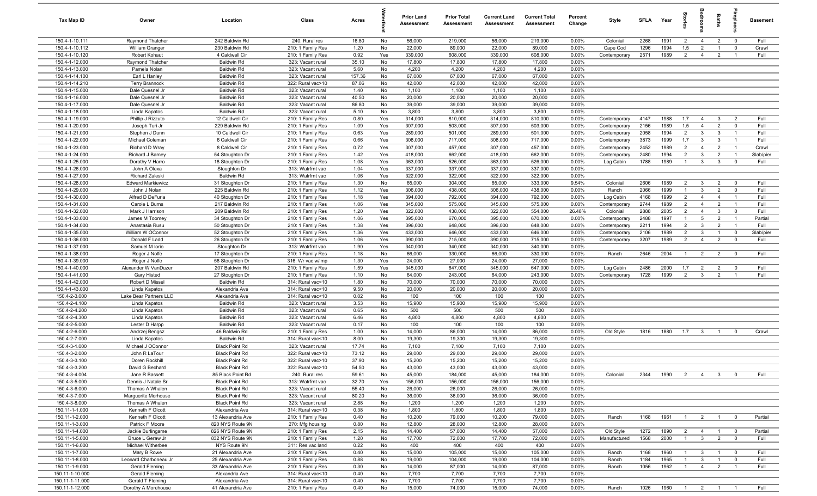| Tax Map ID                       | Owner                                    | Location                               | Class                                  | Acres         |            | <b>Prior Land</b><br><b>Assessment</b> | <b>Prior Total</b><br><b>Assessment</b> | <b>Current Land</b><br><b>Assessment</b> | <b>Current Total</b><br><b>Assessment</b> | Percent<br>Change | Style                     | <b>SFLA</b>  | Year         | tories                           | drooi                            | Baths                            | ebia                             | <b>Basement</b> |
|----------------------------------|------------------------------------------|----------------------------------------|----------------------------------------|---------------|------------|----------------------------------------|-----------------------------------------|------------------------------------------|-------------------------------------------|-------------------|---------------------------|--------------|--------------|----------------------------------|----------------------------------|----------------------------------|----------------------------------|-----------------|
| 150.4-1-10.111                   | Raymond Thatcher                         | 242 Baldwin Rd                         | 240: Rural res                         | 16.80         | No         | 56,000                                 | 219,000                                 | 56,000                                   | 219,000                                   | 0.00%             | Colonial                  | 2268         | 1991         | $\overline{2}$                   | $\overline{4}$                   | $\overline{2}$                   | $\overline{0}$                   | Full            |
| 150.4-1-10.112                   | William Granger                          | 230 Baldwin Rd                         | 210: 1 Family Res                      | 1.20          | No         | 22,000                                 | 89,000                                  | 22,000                                   | 89,000                                    | 0.00%             | Cape Cod                  | 1296         | 1994         | 1.5                              | $\overline{2}$                   |                                  | $\mathbf 0$                      | Crawl           |
| 150.4-1-10.120                   | Robert Kohaut                            | 4 Caldwell Cir                         | 210: 1 Family Res                      | 0.92          | Yes        | 339,000                                | 608,000                                 | 339,000                                  | 608,000                                   | 0.00%             | Contemporary              | 2571         | 1989         | $\overline{2}$                   | $\overline{4}$                   | $\overline{2}$                   | $\overline{1}$                   | Full            |
| 150.4-1-12.000                   | Raymond Thatcher                         | <b>Baldwin Rd</b>                      | 323: Vacant rural                      | 35.10         | No         | 17,800                                 | 17,800                                  | 17,800                                   | 17,800                                    | 0.00%             |                           |              |              |                                  |                                  |                                  |                                  |                 |
| 150.4-1-13.000                   | Pamela Nolan                             | <b>Baldwin Rd</b>                      | 323: Vacant rural                      | 5.60          | No         | 4,200                                  | 4,200                                   | 4,200                                    | 4,200                                     | 0.00%             |                           |              |              |                                  |                                  |                                  |                                  |                 |
| 150.4-1-14.100                   | Earl L Hanley                            | <b>Baldwin Rd</b>                      | 323: Vacant rural                      | 157.36        | No         | 67,000                                 | 67,000                                  | 67,000                                   | 67,000                                    | 0.00%             |                           |              |              |                                  |                                  |                                  |                                  |                 |
| 150.4-1-14.210<br>150.4-1-15.000 | <b>Terry Brannock</b><br>Dale Quesnel Jr | <b>Baldwin Rd</b><br><b>Baldwin Rd</b> | 322: Rural vac>10<br>323: Vacant rural | 87.06<br>1.40 | No<br>No   | 42,000<br>1,100                        | 42,000<br>1,100                         | 42,000<br>1,100                          | 42,000<br>1,100                           | 0.00%<br>0.00%    |                           |              |              |                                  |                                  |                                  |                                  |                 |
| 150.4-1-16.000                   | Dale Quesnel Jr                          | <b>Baldwin Rd</b>                      | 323: Vacant rural                      | 40.50         | No         | 20,000                                 | 20,000                                  | 20,000                                   | 20,000                                    | 0.00%             |                           |              |              |                                  |                                  |                                  |                                  |                 |
| 150.4-1-17.000                   | Dale Quesnel Jr                          | <b>Baldwin Rd</b>                      | 323: Vacant rural                      | 86.80         | No         | 39,000                                 | 39,000                                  | 39,000                                   | 39,000                                    | 0.00%             |                           |              |              |                                  |                                  |                                  |                                  |                 |
| 150.4-1-18.000                   | Linda Kapatos                            | <b>Baldwin Rd</b>                      | 323: Vacant rural                      | 5.10          | No         | 3,800                                  | 3,800                                   | 3,800                                    | 3,800                                     | 0.00%             |                           |              |              |                                  |                                  |                                  |                                  |                 |
| 150.4-1-19.000                   | Phillip J Rizzuto                        | 12 Caldwell Cir                        | 210: 1 Family Res                      | 0.80          | Yes        | 314,000                                | 810,000                                 | 314,000                                  | 810,000                                   | 0.00%             | Contemporary              | 4147         | 1988         | 1.7                              | $\overline{4}$                   | $\mathbf{3}$                     | $\overline{2}$                   | Full            |
| 150.4-1-20.000                   | Joseph Turi Jr                           | 229 Baldwin Rd                         | 210: 1 Family Res                      | 1.09          | Yes        | 307,000                                | 503,000                                 | 307,000                                  | 503,000                                   | 0.00%             | Contemporary              | 2156         | 1989         | 1.5                              | $\overline{4}$                   | $\overline{2}$                   | $\mathbf 0$                      | Full            |
| 150.4-1-21.000                   | Stephen J Dunn                           | 10 Caldwell Cir                        | 210: 1 Family Res                      | 0.63          | Yes        | 289,000                                | 501,000                                 | 289,000                                  | 501,000                                   | 0.00%             | Contemporary              | 2058         | 1994         | $\overline{2}$                   | $\mathbf{3}$                     | $\mathbf{3}$                     | $\overline{1}$                   | Full            |
| 150.4-1-22.000                   | Michael Coleman                          | 6 Caldwell Cir                         | 210: 1 Family Res                      | 0.66          | Yes        | 308,000                                | 717,000                                 | 308,000                                  | 717,000                                   | 0.00%             | Contemporary              | 3873         | 1999         | 1.7                              | $\overline{3}$                   | 3                                | $\overline{1}$                   | Full            |
| 150.4-1-23.000                   | Richard D Wray                           | 8 Caldwell Cir                         | 210: 1 Family Res                      | 0.72          | Yes        | 307,000                                | 457,000                                 | 307,000                                  | 457,000                                   | 0.00%             | Contemporary              | 2452         | 1989         | $\overline{2}$                   | $\overline{4}$                   | $\overline{2}$                   | $\overline{1}$                   | Crawl           |
| 150.4-1-24.000                   | Richard J Barney                         | 54 Stoughton Dr                        | 210: 1 Family Res                      | 1.42          | Yes        | 418,000                                | 662,000                                 | 418,000                                  | 662,000                                   | 0.00%             | Contemporary              | 2480         | 1994         | $\overline{2}$                   | $\mathbf{3}$                     | $\overline{2}$                   | $\overline{1}$                   | Slab/pier       |
| 150.4-1-25.000                   | Dorothy V Harro                          | 18 Stoughton Dr                        | 210: 1 Family Res                      | 1.08          | Yes        | 363,000                                | 526,000                                 | 363,000                                  | 526,000                                   | 0.00%             | Log Cabin                 | 1788         | 1989         | $\overline{1}$                   | $\mathbf{3}$                     | $\mathbf{3}$                     | $\overline{0}$                   | Full            |
| 150.4-1-26.000                   | John A Olexa                             | Stoughton Dr                           | 313: Watrfrnt vac                      | 1.04          | Yes        | 337,000                                | 337,000                                 | 337,000                                  | 337,000                                   | 0.00%             |                           |              |              |                                  |                                  |                                  |                                  |                 |
| 150.4-1-27.000                   | Richard Zaleski                          | <b>Baldwin Rd</b>                      | 313: Watrfrnt vac                      | 1.06          | Yes        | 322,000                                | 322,000                                 | 322,000                                  | 322,000                                   | 0.00%             |                           |              |              |                                  |                                  |                                  |                                  |                 |
| 150.4-1-28.000                   | <b>Edward Markiewicz</b>                 | 31 Stoughton Dr                        | 210: 1 Family Res                      | 1.30          | No         | 65,000                                 | 304,000                                 | 65,000                                   | 333,000                                   | 9.54%             | Colonial                  | 2606         | 1989         | $\overline{2}$                   | $\mathbf{3}$                     | $\overline{2}$                   | $\overline{0}$                   | Full            |
| 150.4-1-29.000                   | John J Nolan                             | 225 Baldwin Rd                         | 210: 1 Family Res                      | 1.12          | Yes        | 306,000                                | 438,000                                 | 306,000                                  | 438,000                                   | 0.00%             | Ranch                     | 2066         | 1999         | $\overline{1}$                   | $\mathbf{3}$                     | $\overline{2}$                   | $\mathbf 0$                      | Full            |
| 150.4-1-30.000                   | Alfred D DeFuria                         | 40 Stoughton Dr                        | 210: 1 Family Res                      | 1.18          | Yes        | 394,000                                | 792,000                                 | 394,000                                  | 792,000                                   | 0.00%             | Log Cabin                 | 4168         | 1999         | $\overline{2}$                   | $\overline{4}$                   | $\overline{4}$                   | $\overline{1}$                   | Full            |
| 150.4-1-31.000                   | Carole L Burns                           | 217 Baldwin Rd                         | 210: 1 Family Res                      | 1.06          | Yes        | 345,000                                | 575,000                                 | 345,000                                  | 575,000                                   | 0.00%             | Contemporary              | 2744         | 1989         | $\overline{2}$                   | $\overline{4}$                   | $\overline{2}$                   | $\overline{1}$                   | Full            |
| 150.4-1-32.000                   | Mark J Harrison                          | 209 Baldwin Rd                         | 210: 1 Family Res                      | 1.20          | Yes        | 322,000<br>395,000                     | 438,000                                 | 322,000                                  | 554,000                                   | 26.48%            | Colonial<br>Contemporary  | 2888         | 2005<br>1997 | $\overline{2}$<br>$\mathbf{1}$   | $\overline{4}$<br>5              | 3<br>$\overline{2}$              | $\overline{0}$<br>$\overline{1}$ | Full            |
| 150.4-1-33.000<br>150.4-1-34.000 | James M Toomey<br>Anastasia Rusu         | 34 Stoughton Dr<br>50 Stoughton Dr     | 210: 1 Family Res<br>210: 1 Family Res | 1.06<br>1.38  | Yes<br>Yes | 396,000                                | 670,000<br>648,000                      | 395,000<br>396,000                       | 670,000<br>648,000                        | 0.00%<br>0.00%    | Contemporary              | 2488<br>2211 | 1994         | $\overline{2}$                   | $\mathbf{3}$                     | $\overline{2}$                   | $\overline{1}$                   | Partial<br>Full |
| 150.4-1-35.000                   | William W OConnor                        | 52 Stoughton Dr                        | 210: 1 Family Res                      | 1.36          | Yes        | 433,000                                | 646,000                                 | 433,000                                  | 646,000                                   | 0.00%             | Contemporary              | 2106         | 1989         | $\overline{2}$                   | $\overline{3}$                   |                                  | $\mathbf 0$                      | Slab/pier       |
| 150.4-1-36.000                   | Donald F Ladd                            | 26 Stoughton Dr                        | 210: 1 Family Res                      | 1.06          | Yes        | 390,000                                | 715,000                                 | 390,000                                  | 715,000                                   | 0.00%             | Contemporary              | 3207         | 1989         | $\overline{2}$                   | $\overline{4}$                   | $\overline{2}$                   | $\overline{0}$                   | Full            |
| 150.4-1-37.000                   | Samuel M lorio                           | Stoughton Dr                           | 313: Watrfrnt vac                      | 1.90          | Yes        | 340,000                                | 340,000                                 | 340,000                                  | 340,000                                   | 0.00%             |                           |              |              |                                  |                                  |                                  |                                  |                 |
| 150.4-1-38.000                   | Roger J Nolfe                            | 17 Stoughton Dr                        | 210: 1 Family Res                      | 1.18          | No         | 66,000                                 | 330,000                                 | 66,000                                   | 330,000                                   | 0.00%             | Ranch                     | 2646         | 2004         | $\overline{1}$                   | $\overline{2}$                   | $\overline{2}$                   | $\overline{0}$                   | Full            |
| 150.4-1-39.000                   | Roger J Nolfe                            | 56 Stoughton Dr                        | 316: Wr vac w/imp                      | 1.30          | Yes        | 24,000                                 | 27,000                                  | 24,000                                   | 27,000                                    | 0.00%             |                           |              |              |                                  |                                  |                                  |                                  |                 |
| 150.4-1-40.000                   | Alexander W VanDuzer                     | 207 Baldwin Rd                         | 210: 1 Family Res                      | 1.59          | Yes        | 345,000                                | 647,000                                 | 345,000                                  | 647,000                                   | 0.00%             | Log Cabin                 | 2486         | 2000         | 1.7                              | $\overline{2}$                   | $\overline{2}$                   | $\mathbf 0$                      | Full            |
| 150.4-1-41.000                   | Gary Histed                              | 27 Stoughton Dr                        | 210: 1 Family Res                      | 1.10          | No         | 64,000                                 | 243,000                                 | 64,000                                   | 243,000                                   | 0.00%             | Contemporary              | 1728         | 1999         | $\overline{2}$                   | $\overline{3}$                   | $\overline{2}$                   | $\overline{1}$                   | Full            |
| 150.4-1-42.000                   | Robert D Missel                          | <b>Baldwin Rd</b>                      | 314: Rural vac<10                      | 1.80          | No         | 70,000                                 | 70,000                                  | 70,000                                   | 70,000                                    | 0.00%             |                           |              |              |                                  |                                  |                                  |                                  |                 |
| 150.4-1-43.000                   | Linda Kapatos                            | Alexandria Ave                         | 314: Rural vac<10                      | 9.50          | No         | 20,000                                 | 20,000                                  | 20,000                                   | 20,000                                    | 0.00%             |                           |              |              |                                  |                                  |                                  |                                  |                 |
| 150.4-2-3.000                    | Lake Bear Partners LLC                   | Alexandria Ave                         | 314: Rural vac<10                      | 0.02          | No         | 100                                    | 100                                     | 100                                      | 100                                       | 0.00%             |                           |              |              |                                  |                                  |                                  |                                  |                 |
| 150.4-2-4.100                    | Linda Kapatos                            | <b>Baldwin Rd</b>                      | 323: Vacant rural                      | 3.53          | No         | 15,900                                 | 15,900                                  | 15,900                                   | 15,900                                    | 0.00%             |                           |              |              |                                  |                                  |                                  |                                  |                 |
| 150.4-2-4.200                    | Linda Kapatos                            | <b>Baldwin Rd</b>                      | 323: Vacant rural                      | 0.65          | No         | 500                                    | 500                                     | 500                                      | 500                                       | 0.00%             |                           |              |              |                                  |                                  |                                  |                                  |                 |
| 150.4-2-4.300                    | Linda Kapatos                            | <b>Baldwin Rd</b>                      | 323: Vacant rural                      | 6.46          | No         | 4,800                                  | 4,800                                   | 4,800                                    | 4,800                                     | 0.00%             |                           |              |              |                                  |                                  |                                  |                                  |                 |
| 150.4-2-5.000<br>150.4-2-6.000   | Lester D Harpp                           | <b>Baldwin Rd</b><br>46 Baldwin Rd     | 323: Vacant rural<br>210: 1 Family Res | 0.17<br>1.00  | No<br>No   | 100<br>14,000                          | 100<br>86,000                           | 100<br>14,000                            | 100<br>86,000                             | 0.00%<br>0.00%    | Old Style                 | 1816         | 1880         | 1.7                              | $\overline{\mathbf{3}}$          | -1                               | $\overline{\mathbf{0}}$          | Crawl           |
| 150.4-2-7.000                    | Andrzej Bengsz<br>Linda Kapatos          | <b>Baldwin Rd</b>                      | 314: Rural vac<10                      | 8.00          | No         | 19,300                                 | 19,300                                  | 19,300                                   | 19,300                                    | 0.00%             |                           |              |              |                                  |                                  |                                  |                                  |                 |
| 150.4-3-1.000                    | Michael J OConnor                        | <b>Black Point Rd</b>                  | 323: Vacant rural                      | 17.74         | No         | 7,100                                  | 7,100                                   | 7,100                                    | 7,100                                     | 0.00%             |                           |              |              |                                  |                                  |                                  |                                  |                 |
| 150.4-3-2.000                    | John R LaTour                            | <b>Black Point Rd</b>                  | 322: Rural vac>10                      | 73.12         | No         | 29,000                                 | 29,000                                  | 29,000                                   | 29,000                                    | 0.00%             |                           |              |              |                                  |                                  |                                  |                                  |                 |
| 150.4-3-3.100                    | Doren Rockhill                           | <b>Black Point Rd</b>                  | 322: Rural vac>10                      | 37.90         | No         | 15,200                                 | 15,200                                  | 15,200                                   | 15,200                                    | 0.00%             |                           |              |              |                                  |                                  |                                  |                                  |                 |
| 150.4-3-3.200                    | David G Bechard                          | <b>Black Point Rd</b>                  | 322: Rural vac>10                      | 54.50         | No         | 43,000                                 | 43,000                                  | 43,000                                   | 43,000                                    | 0.00%             |                           |              |              |                                  |                                  |                                  |                                  |                 |
| 150.4-3-4.004                    | Jane R Bassett                           | 85 Black Point Rd                      | 240: Rural res                         | 59.61         | No         | 45,000                                 | 184,000                                 | 45,000                                   | 184,000                                   | 0.00%             | Colonial                  | 2344         | 1990         | $\overline{2}$                   | $\overline{4}$                   | $\mathbf{3}$                     | $\overline{0}$                   | Full            |
| 150.4-3-5.000                    | Dennis J Natale Sr                       | <b>Black Point Rd</b>                  | 313: Watrfrnt vac                      | 32.70         | Yes        | 156,000                                | 156,000                                 | 156,000                                  | 156,000                                   | 0.00%             |                           |              |              |                                  |                                  |                                  |                                  |                 |
| 150.4-3-6.000                    | Thomas A Whalen                          | <b>Black Point Rd</b>                  | 323: Vacant rural                      | 55.40         | No         | 26,000                                 | 26,000                                  | 26,000                                   | 26,000                                    | 0.00%             |                           |              |              |                                  |                                  |                                  |                                  |                 |
| 150.4-3-7.000                    | Marquerite Morhouse                      | <b>Black Point Rd</b>                  | 323: Vacant rural                      | 80.20         | No         | 36,000                                 | 36,000                                  | 36,000                                   | 36,000                                    | 0.00%             |                           |              |              |                                  |                                  |                                  |                                  |                 |
| 150.4-3-8.000                    | Thomas A Whalen                          | <b>Black Point Rd</b>                  | 323: Vacant rural                      | 2.88          | No         | 1,200                                  | 1,200                                   | 1,200                                    | 1,200                                     | 0.00%             |                           |              |              |                                  |                                  |                                  |                                  |                 |
| 150.11-1-1.000                   | Kenneth F Olcott                         | Alexandria Ave                         | 314: Rural vac<10                      | 0.38          | No         | 1,800                                  | 1,800                                   | 1,800                                    | 1,800                                     | 0.00%             |                           |              |              |                                  |                                  |                                  |                                  |                 |
| 150.11-1-2.000                   | Kenneth F Olcott                         | 13 Alexandria Ave                      | 210: 1 Family Res                      | 0.40          | No         | 10,200                                 | 79,000                                  | 10,200                                   | 79,000                                    | 0.00%             | Ranch                     | 1168         | 1961         | $\overline{1}$                   | $\overline{2}$                   |                                  | $\overline{0}$                   | Partial         |
| 150.11-1-3.000                   | Patrick F Moore                          | 820 NYS Route 9N                       | 270: Mfg housing                       | 0.80          | No<br>No   | 12,800                                 | 28,000                                  | 12,800                                   | 28,000                                    | 0.00%             |                           |              |              |                                  |                                  |                                  | $\overline{0}$                   |                 |
| 150.11-1-4.000<br>150.11-1-5.000 | Jackie Burlingame<br>Bruce L Geraw Jr    | 826 NYS Route 9N<br>832 NYS Route 9N   | 210: 1 Family Res<br>210: 1 Family Res | 2.15<br>1.20  | No         | 14,400<br>17,700                       | 57,000<br>72,000                        | 14,400<br>17,700                         | 57,000<br>72,000                          | 0.00%<br>0.00%    | Old Style<br>Manufactured | 1272<br>1568 | 1890<br>2000 | $\overline{2}$<br>$\overline{1}$ | $\overline{4}$<br>3 <sup>3</sup> | $\overline{1}$<br>$\overline{2}$ | $\overline{0}$                   | Partial<br>Full |
| 150.11-1-6.000                   | Michael Witherbee                        | NYS Route 9N                           | 311: Res vac land                      | 0.22          | No         | 400                                    | 400                                     | 400                                      | 400                                       | 0.00%             |                           |              |              |                                  |                                  |                                  |                                  |                 |
| 150.11-1-7.000                   | Mary B Rowe                              | 21 Alexandria Ave                      | 210: 1 Family Res                      | 0.40          | No         | 15,000                                 | 105,000                                 | 15,000                                   | 105,000                                   | 0.00%             | Ranch                     | 1168         | 1960         | $\overline{1}$                   | $\mathbf{3}$                     | $\overline{1}$                   | $\overline{\mathbf{0}}$          | Full            |
| 150.11-1-8.000                   | Leonard Charboneau Jr                    | 25 Alexandria Ave                      | 210: 1 Family Res                      | 0.88          | No         | 19,000                                 | 104,000                                 | 19,000                                   | 104,000                                   | 0.00%             | Ranch                     | 1184         | 1965         | $\overline{1}$                   | $\mathbf{3}$                     | $\mathbf{1}$                     | $\overline{0}$                   | Full            |
| 150.11-1-9.000                   | Gerald Fleming                           | 33 Alexandria Ave                      | 210: 1 Family Res                      | 0.30          | No         | 14,000                                 | 87,000                                  | 14,000                                   | 87,000                                    | 0.00%             | Ranch                     | 1056         | 1962         | $\overline{1}$                   | $\overline{4}$                   | 2                                | $\overline{1}$                   | Full            |
| 150.11-1-10.000                  | Gerald Fleming                           | Alexandria Ave                         | 314: Rural vac<10                      | 0.40          | No         | 7,700                                  | 7,700                                   | 7,700                                    | 7,700                                     | 0.00%             |                           |              |              |                                  |                                  |                                  |                                  |                 |
| 150.11-1-11.000                  | Gerald T Fleming                         | Alexandria Ave                         | 314: Rural vac<10                      | 0.40          | No         | 7,700                                  | 7,700                                   | 7,700                                    | 7,700                                     | 0.00%             |                           |              |              |                                  |                                  |                                  |                                  |                 |
| 150.11-1-12.000                  | Dorothy A Morehouse                      | 41 Alexandria Ave                      | 210: 1 Family Res                      | 0.40          | No         | 15,000                                 | 74,000                                  | 15,000                                   | 74,000                                    | 0.00%             | Ranch                     | 1026         | 1960         |                                  | $1 \quad 2 \quad 1$              |                                  | $\overline{1}$                   | Full            |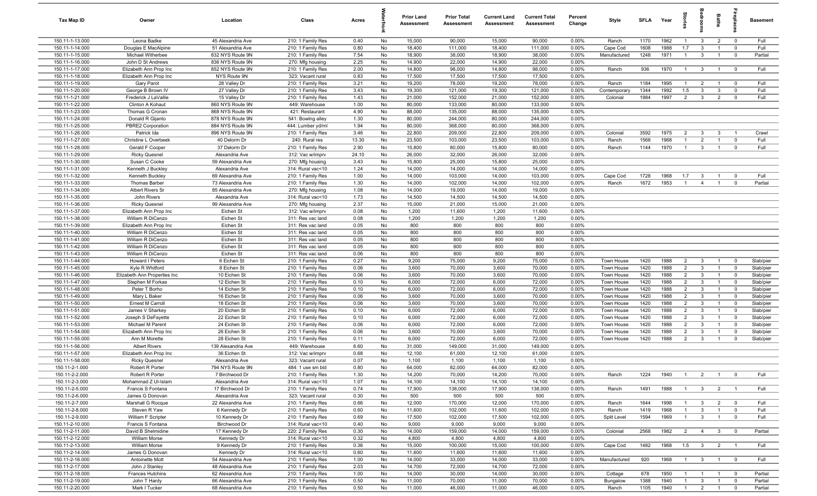| Tax Map ID                         | Owner                                   | Location                               | Class                                  | Acres        |          | <b>Prior Land</b><br>Assessment | <b>Prior Total</b><br>Assessment | <b>Current Land</b><br>Assessment | <b>Current Total</b><br>Assessment | Percent<br>Change | Style                    | <b>SFLA</b>  | Year         | Stories                          | droom                          | Baths                            |                                           | <b>Basement</b>        |
|------------------------------------|-----------------------------------------|----------------------------------------|----------------------------------------|--------------|----------|---------------------------------|----------------------------------|-----------------------------------|------------------------------------|-------------------|--------------------------|--------------|--------------|----------------------------------|--------------------------------|----------------------------------|-------------------------------------------|------------------------|
| 150.11-1-13.000                    | Leona Badke                             | 45 Alexandria Ave                      | 210: 1 Family Res                      | 0.40         | No       | 15,000                          | 90,000                           | 15,000                            | 90,000                             | 0.00%             | Ranch                    | 1170         | 1962         | $\overline{1}$                   | $\mathbf{3}$                   | $\overline{2}$                   | $\overline{0}$                            | Full                   |
| 150.11-1-14.000                    | Douglas E MacAlpine                     | 51 Alexandria Ave                      | 210: 1 Family Res                      | 0.80         | No       | 18,400                          | 111,000                          | 18,400                            | 111,000                            | 0.00%             | Cape Cod                 | 1608         | 1988         | 1.7                              | $\mathbf{3}$                   | $\overline{1}$                   | $\overline{0}$                            | Full                   |
| 150.11-1-15.000                    | Michael Witherbee                       | 832 NYS Route 9N                       | 210: 1 Family Res                      | 7.54         | No       | 18,900                          | 38,000                           | 18,900                            | 38,000                             | 0.00%             | Manufactured             | 1248         | 1971         | $\overline{1}$                   | $\mathbf{3}$                   | $\overline{1}$                   | $\overline{0}$                            | Partial                |
| 150.11-1-16.000                    | John D St Andrews                       | 836 NYS Route 9N                       | 270: Mfg housing                       | 2.25         | No       | 14,900                          | 22,000                           | 14,900                            | 22,000                             | 0.00%             |                          |              |              |                                  |                                |                                  |                                           |                        |
| 150.11-1-17.000                    | Elizabeth Ann Prop Inc                  | 852 NYS Route 9N                       | 210: 1 Family Res                      | 2.00         | No       | 14,800                          | 98,000                           | 14,800                            | 98,000                             | 0.00%             | Ranch                    | 936          | 1970         | $\overline{1}$                   | $\mathbf{3}$                   | $\overline{1}$                   | $\overline{0}$                            | Full                   |
| 150.11-1-18.000                    | Elizabeth Ann Prop Inc                  | NYS Route 9N                           | 323: Vacant rural                      | 0.83         | No       | 17,500                          | 17,500                           | 17,500                            | 17,500                             | 0.00%             |                          |              |              |                                  |                                |                                  |                                           |                        |
| 150.11-1-19.000                    | Gary Parot                              | 28 Valley Dr                           | 210: 1 Family Res                      | 3.21         | No       | 19,200                          | 78,000                           | 19,200                            | 78,000                             | 0.00%             | Ranch                    | 1184         | 1995         | $\mathbf{1}$                     | $\overline{2}$                 |                                  | $\mathbf 0$                               | Full                   |
| 150.11-1-20.000                    | George B Brown IV                       | 27 Valley Dr                           | 210: 1 Family Res                      | 3.43         | No       | 19,300                          | 121,000                          | 19,300                            | 121,000                            | 0.00%             | Contemporary             | 1344         | 1992         | 1.5                              | $\mathbf{3}$                   | 3                                | $\mathbf 0$                               | Full                   |
| 150.11-1-21.000                    | Frederick J LaVallie                    | 15 Valley Dr                           | 210: 1 Family Res                      | 1.43         | No       | 21,000                          | 152,000                          | 21,000                            | 152,000                            | 0.00%             | Colonial                 | 1984         | 1997         | 2                                | $\mathbf{3}$                   | $\overline{2}$                   | $\mathbf 0$                               | Full                   |
| 150.11-1-22.000                    | Clinton A Kohaut                        | 860 NYS Route 9N                       | 449: Warehouse                         | 1.00         | No       | 80,000                          | 133,000                          | 80,000                            | 133,000                            | 0.00%             |                          |              |              |                                  |                                |                                  |                                           |                        |
| 150.11-1-23.000                    | Thomas G Cronan                         | 868 NYS Route 9N                       | 421: Restaurant                        | 4.90         | No       | 88,000                          | 135,000                          | 88,000                            | 135,000                            | 0.00%             |                          |              |              |                                  |                                |                                  |                                           |                        |
| 150.11-1-24.000                    | Donald R Gijanto                        | 878 NYS Route 9N                       | 541: Bowlng alley                      | 1.30         | No       | 80,000                          | 244,000                          | 80,000                            | 244,000                            | 0.00%             |                          |              |              |                                  |                                |                                  |                                           |                        |
| 150.11-1-25.000<br>150.11-1-26.000 | PBRE2 Corporation<br>Patrick Ida        | 884 NYS Route 9N<br>896 NYS Route 9N   | 444: Lumber yd/m<br>210: 1 Family Res  | 1.94<br>3.46 | No<br>No | 80,000<br>22,800                | 368,000<br>209,000               | 80,000<br>22,800                  | 368,000<br>209,000                 | 0.00%<br>0.00%    | Colonial                 | 3592         | 1975         | $\overline{2}$                   | $\mathbf{3}$                   | $\mathbf{3}$                     | $\overline{1}$                            |                        |
| 150.11-1-27.000                    | Christine L Overbeek                    | 40 Delorm Dr                           | 240: Rural res                         | 13.30        | No       | 23,500                          | 103,000                          | 23,500                            | 103,000                            | 0.00%             | Ranch                    | 1568         | 1968         | $\mathbf{1}$                     | $\overline{2}$                 | $\overline{1}$                   | $\mathbf 0$                               | Crawl<br>Full          |
| 150.11-1-28.000                    | Gerald F Cooper                         | 37 Delorm Dr                           | 210: 1 Family Res                      | 2.90         | No       | 15,800                          | 80,000                           | 15,800                            | 80,000                             | 0.00%             | Ranch                    | 1144         | 1970         | $\overline{1}$                   | $\mathbf{3}$                   | $\overline{1}$                   | $\mathbf 0$                               | Full                   |
| 150.11-1-29.000                    | <b>Ricky Quesnel</b>                    | Alexandria Ave                         | 312: Vac w/imprv                       | 24.10        | No       | 26,000                          | 32,000                           | 26,000                            | 32,000                             | 0.00%             |                          |              |              |                                  |                                |                                  |                                           |                        |
| 150.11-1-30.000                    | Susan C Cooke                           | 59 Alexandria Ave                      | 270: Mfg housing                       | 3.43         | No       | 15,800                          | 25,000                           | 15,800                            | 25,000                             | 0.00%             |                          |              |              |                                  |                                |                                  |                                           |                        |
| 150.11-1-31.000                    | Kenneth J Buckley                       | Alexandria Ave                         | 314: Rural vac<10                      | 1.24         | No       | 14,000                          | 14,000                           | 14,000                            | 14,000                             | 0.00%             |                          |              |              |                                  |                                |                                  |                                           |                        |
| 150.11-1-32.000                    | Kenneth Buckley                         | 69 Alexandria Ave                      | 210: 1 Family Res                      | 1.00         | No       | 14,000                          | 103,000                          | 14,000                            | 103,000                            | 0.00%             | Cape Cod                 | 1728         | 1968         | 1.7                              | $\mathbf{3}$                   |                                  | $\mathbf 0$                               | Full                   |
| 150.11-1-33.000                    | Thomas Barber                           | 73 Alexandria Ave                      | 210: 1 Family Res                      | 1.30         | No       | 14,000                          | 102,000                          | 14,000                            | 102,000                            | 0.00%             | Ranch                    | 1672         | 1953         | $\overline{1}$                   | $\overline{4}$                 | $\overline{1}$                   | $\mathbf 0$                               | Partial                |
| 150.11-1-34.000                    | Albert Rivers Sr                        | 85 Alexandria Ave                      | 270: Mfg housing                       | 1.08         | No       | 14,000                          | 19,000                           | 14,000                            | 19,000                             | 0.00%             |                          |              |              |                                  |                                |                                  |                                           |                        |
| 150.11-1-35.000                    | John Rivers                             | Alexandria Ave                         | 314: Rural vac<10                      | 1.73         | No       | 14,500                          | 14,500                           | 14,500                            | 14,500                             | 0.00%             |                          |              |              |                                  |                                |                                  |                                           |                        |
| 150.11-1-36.000                    | <b>Ricky Quesnel</b>                    | 99 Alexandria Ave                      | 270: Mfg housing                       | 2.37         | No       | 15,000                          | 21,000                           | 15,000                            | 21,000                             | 0.00%             |                          |              |              |                                  |                                |                                  |                                           |                        |
| 150.11-1-37.000                    | Elizabeth Ann Prop Inc                  | Eichen St                              | 312: Vac w/imprv                       | 0.08         | No       | 1,200                           | 11,600                           | 1,200                             | 11,600                             | 0.00%             |                          |              |              |                                  |                                |                                  |                                           |                        |
| 150.11-1-38.000                    | William R DiCenzo                       | Eichen St                              | 311: Res vac land                      | 0.08         | No       | 1,200                           | 1,200                            | 1,200                             | 1,200                              | 0.00%             |                          |              |              |                                  |                                |                                  |                                           |                        |
| 150.11-1-39.000                    | Elizabeth Ann Prop Inc                  | Eichen St                              | 311: Res vac land                      | 0.05         | No       | 800                             | 800                              | 800                               | 800                                | 0.00%             |                          |              |              |                                  |                                |                                  |                                           |                        |
| 150.11-1-40.000                    | William R DiCenzo                       | Eichen St                              | 311: Res vac land                      | 0.05         | No       | 800                             | 800                              | 800                               | 800                                | 0.00%             |                          |              |              |                                  |                                |                                  |                                           |                        |
| 150.11-1-41.000                    | William R DiCenzo                       | Eichen St                              | 311: Res vac land                      | 0.05         | No       | 800                             | 800                              | 800                               | 800                                | 0.00%             |                          |              |              |                                  |                                |                                  |                                           |                        |
| 150.11-1-42.000                    | William R DiCenzo                       | Eichen St                              | 311: Res vac land                      | 0.05         | No       | 800                             | 800                              | 800                               | 800                                | 0.00%             |                          |              |              |                                  |                                |                                  |                                           |                        |
| 150.11-1-43.000                    | William R DiCenzo                       | Eichen St                              | 311: Res vac land                      | 0.06         | No       | 800                             | 800                              | 800                               | 800                                | 0.00%             |                          |              |              |                                  |                                |                                  |                                           |                        |
| 150.11-1-44.000                    | Howard I Peters                         | 6 Eichen St                            | 210: 1 Family Res                      | 0.27         | No       | 9,200                           | 75,000                           | 9,200                             | 75,000                             | 0.00%             | Town House               | 1420         | 1988         | 2                                | $\overline{3}$                 |                                  | $\overline{0}$                            | Slab/pier              |
| 150.11-1-45.000                    | Kyle R Whitford                         | 8 Eichen St                            | 210: 1 Family Res                      | 0.06         | No       | 3,600                           | 70,000                           | 3,600                             | 70,000                             | 0.00%             | Town House               | 1420         | 1988         | $\overline{2}$                   | $\mathbf{3}$                   |                                  | $\mathbf 0$                               | Slab/pier              |
| 150.11-1-46.000                    | Elizabeth Ann Properties Inc            | 10 Eichen St                           | 210: 1 Family Res                      | 0.06         | No       | 3,600                           | 70,000                           | 3,600                             | 70,000                             | 0.00%             | Town House               | 1420         | 1988         | 2                                | $\mathbf{3}$                   | $\overline{1}$                   | $\mathbf 0$                               | Slab/pier              |
| 150.11-1-47.000                    | Stephen M Forkas                        | 12 Eichen St                           | 210: 1 Family Res                      | 0.10         | No       | 6,000                           | 72,000                           | 6,000                             | 72,000                             | 0.00%             | Town House               | 1420         | 1988         | $\overline{2}$                   | $\overline{3}$                 | $\overline{1}$                   | $\overline{0}$                            | Slab/pier              |
| 150.11-1-48.000                    | Peter T Borho                           | 14 Eichen St                           | 210: 1 Family Res                      | 0.10         | No       | 6,000                           | 72,000                           | 6,000                             | 72,000                             | 0.00%             | Town House               | 1420         | 1988         | $\overline{2}$                   | $\overline{\mathbf{3}}$        | $\overline{1}$                   | $\mathbf 0$                               | Slab/pier              |
| 150.11-1-49.000                    | Mary L Baker                            | 16 Eichen St                           | 210: 1 Family Res                      | 0.06         | No       | 3,600                           | 70,000                           | 3,600                             | 70,000                             | 0.00%             | Town House               | 1420         | 1988         | 2                                | $\mathbf{3}$                   | $\overline{1}$<br>$\overline{1}$ | $\overline{0}$                            | Slab/pier              |
| 150.11-1-50.000<br>150.11-1-51.000 | Ernest M Carroll                        | 18 Eichen St                           | 210: 1 Family Res                      | 0.06<br>0.10 | No       | 3,600<br>6,000                  | 70,000<br>72,000                 | 3,600<br>6,000                    | 70,000<br>72,000                   | 0.00%<br>0.00%    | Town House<br>Town House | 1420<br>1420 | 1988<br>1988 | $\overline{2}$<br>$\overline{2}$ | $\overline{3}$<br>$\mathbf{3}$ | $\mathbf{1}$                     | $\mathbf 0$<br>$\mathbf 0$                | Slab/pier              |
| 150.11-1-52.000                    | James V Sharkey<br>Joseph S DeFayette   | 20 Eichen St<br>22 Eichen St           | 210: 1 Family Res<br>210: 1 Family Res | 0.10         | No<br>No | 6,000                           | 72,000                           | 6,000                             | 72,000                             | 0.00%             | Town House               | 1420         | 1988         | $\overline{2}$                   | $\mathbf{3}$                   | $\mathbf{1}$                     | $\mathbf 0$                               | Slab/pier<br>Slab/pier |
| 150.11-1-53.000                    | Michael M Parent                        | 24 Eichen St                           | 210: 1 Family Res                      | 0.06         | No       | 6,000                           | 72,000                           | 6,000                             | 72,000                             | 0.00%             | Town House               | 1420         | 1988         | $\overline{2}$                   | $\mathbf{3}$                   | -1                               | $\mathbf 0$                               | Slab/pier              |
| 150.11-1-54.000                    | Elizabeth Ann Prop Inc                  | 26 Eichen St                           | 210: 1 Family Res                      | 0.06         | No       | 3,600                           | 70,000                           | 3,600                             | 70,000                             | 0.00%             | Town House               | 1420         | 1988         | $\overline{2}$                   | $\overline{\mathbf{3}}$        |                                  | $\mathbf 0$                               | Slab/pier              |
| 150.11-1-55.000                    | Ann M Morette                           | 28 Eichen St                           | 210: 1 Family Res                      | 0.11         | No       | 6,000                           | 72,000                           | 6,000                             | 72,000                             | 0.00%             | Town House               | 1420         | 1988         | $\overline{2}$                   | $\overline{\mathbf{3}}$        |                                  | $\mathbf 0$                               | Slab/pier              |
| 150.11-1-56.000                    | <b>Albert Rivers</b>                    | 139 Alexandria Ave                     | 449: Warehouse                         | 6.60         | No       | 31,000                          | 149,000                          | 31,000                            | 149,000                            | 0.00%             |                          |              |              |                                  |                                |                                  |                                           |                        |
| 150.11-1-57.000                    | Elizabeth Ann Prop Inc                  | 36 Eichen St                           | 312: Vac w/imprv                       | 0.68         | No       | 12,100                          | 61,000                           | 12,100                            | 61,000                             | 0.00%             |                          |              |              |                                  |                                |                                  |                                           |                        |
| 150.11-1-58.000                    | <b>Ricky Quesnel</b>                    | Alexandria Ave                         | 323: Vacant rural                      | 0.07         | No       | 1,100                           | 1,100                            | 1,100                             | 1,100                              | 0.00%             |                          |              |              |                                  |                                |                                  |                                           |                        |
| 150.11-2-1.000                     | Robert R Porter                         | 794 NYS Route 9N                       | 484: 1 use sm bld                      | 0.80         | No       | 64,000                          | 82,000                           | 64,000                            | 82,000                             | 0.00%             |                          |              |              |                                  |                                |                                  |                                           |                        |
| 150.11-2-2.000                     | Robert R Porter                         | 7 Birchwood Dr                         | 210: 1 Family Res                      | 1.30         | No       | 14,200                          | 70,000                           | 14,200                            | 70,000                             | 0.00%             | Ranch                    | 1224         | 1940         | $\overline{1}$                   | $\overline{2}$                 | $\overline{1}$                   | $\overline{0}$                            | Full                   |
| 150.11-2-3.000                     | Mohammad Z UI-Islam                     | Alexandria Ave                         | 314: Rural vac<10                      | 1.07         | No       | 14,100                          | 14,100                           | 14,100                            | 14,100                             | 0.00%             |                          |              |              |                                  |                                |                                  |                                           |                        |
| 150.11-2-5.000                     | Francis S Fontana                       | 17 Birchwood Dr                        | 210: 1 Family Res                      | 0.74         | No       | 17,900                          | 138,000                          | 17,900                            | 138,000                            | 0.00%             | Ranch                    | 1491         | 1988         | $\overline{1}$                   | $\mathbf{3}$                   | $\overline{2}$                   | $\overline{1}$                            | Full                   |
| 150.11-2-6.000                     | James G Donovan                         | Alexandria Ave                         | 323: Vacant rural                      | 0.30         | No       | 500                             | 500                              | 500                               | 500                                | 0.00%             |                          |              |              |                                  |                                |                                  |                                           |                        |
| 150.11-2-7.000                     | Marshall G Rocque                       | 22 Alexandria Ave                      | 210: 1 Family Res                      | 0.66         | No       | 12,000                          | 170,000                          | 12,000                            | 170,000                            | 0.00%             | Ranch                    | 1644         | 1998         | -1                               | $\mathbf{3}$                   | $\overline{2}$                   | $\overline{0}$                            | Full                   |
| 150.11-2-8.000                     | Steven R Yaw                            | 6 Kennedy Dr                           | 210: 1 Family Res                      | 0.60         | No       | 11,600                          | 102,000                          | 11,600                            | 102,000                            | 0.00%             | Ranch                    | 1419         | 1968         |                                  | $\mathbf{3}$                   |                                  | $\overline{0}$                            | Full                   |
| 150.11-2-9.000                     | William F Scripter                      | 10 Kennedy Dr                          | 210: 1 Family Res                      | 0.69         | No       | 17,500                          | 102,000                          | 17,500                            | 102,000                            | 0.00%             | Split Level              | 1594         | 1969         | $\mathbf{1}$                     | $\mathbf{3}$                   | $\overline{1}$                   | $\overline{0}$                            | Full                   |
| 150.11-2-10.000                    | Francis S Fontana                       | Birchwood Dr                           | 314: Rural vac<10                      | 0.40         | No       | 9,000                           | 9,000                            | 9,000                             | 9,000                              | 0.00%             |                          |              |              |                                  |                                |                                  |                                           |                        |
| 150.11-2-11.000                    | David B Shelmidine                      | 17 Kennedy Dr                          | 220: 2 Family Res                      | 0.30         | No       | 14,000                          | 159,000                          | 14,000                            | 159,000                            | 0.00%             | Colonial                 | 2568         | 1982         | $\overline{2}$                   | $\overline{4}$                 | $\mathbf{3}$                     | $\overline{\mathbf{0}}$                   | Partial                |
| 150.11-2-12.000                    | William Morse                           | Kennedy Dr                             | 314: Rural vac<10                      | 0.32         | No       | 4,800                           | 4,800                            | 4,800                             | 4,800                              | 0.00%             |                          |              |              |                                  |                                |                                  |                                           |                        |
| 150.11-2-13.000                    | <b>William Morse</b>                    | 9 Kennedy Dr                           | 210: 1 Family Res                      | 0.36         | No       | 15,000                          | 100,000                          | 15,000                            | 100,000                            | 0.00%             | Cape Cod                 | 1482         | 1968         | 1.5                              | $\mathbf{3}$                   | $\overline{2}$                   | $\overline{1}$                            | Full                   |
| 150.11-2-14.000                    | James G Donovan                         | Kennedy Dr                             | 314: Rural vac<10                      | 0.60         | No       | 11,600                          | 11,600                           | 11,600                            | 11,600                             | 0.00%             |                          |              |              |                                  |                                |                                  |                                           |                        |
| 150.11-2-16.000                    | Antoinette Mott                         | 54 Alexandria Ave                      | 210: 1 Family Res                      | 1.00         | No       | 14,000                          | 33,000                           | 14,000                            | 33,000                             | 0.00%             | Manufactured             | 920          | 1968         | $\overline{1}$                   | $\mathbf{3}$                   | $\overline{1}$                   | $\overline{0}$                            | Full                   |
| 150.11-2-17.000                    | John J Stanley                          | 48 Alexandria Ave                      | 210: 1 Family Res                      | 2.03         | No<br>No | 14,700<br>14,000                | 72,000<br>30,000                 | 14,700<br>14,000                  | 72,000                             | 0.00%             |                          | 678          |              | $\overline{1}$                   | $\overline{1}$                 | $\overline{1}$                   |                                           |                        |
| 150.11-2-18.000<br>150.11-2-19.000 | <b>Frances Hutchins</b><br>John T Hardy | 62 Alexandria Ave<br>66 Alexandria Ave | 210: 1 Family Res<br>210: 1 Family Res | 1.00<br>0.50 | No       | 11,000                          | 70,000                           | 11,000                            | 30,000<br>70,000                   | 0.00%<br>0.00%    | Cottage<br>Bungalow      | 1388         | 1950<br>1940 | $\overline{1}$                   | $\mathbf{3}$                   | $\mathbf{1}$                     | $\overline{\mathbf{0}}$<br>$\overline{0}$ | Partial<br>Partial     |
| 150.11-2-20.000                    | Mark I Tucker                           | 68 Alexandria Ave                      | 210: 1 Family Res                      | 0.50         | No       | 11,000                          | 46,000                           | 11,000                            | 46,000                             | 0.00%             | Ranch                    | 1105         | 1940         | $\overline{1}$                   | $\overline{2}$                 | $\overline{1}$                   | $\mathbf 0$                               | Partial                |
|                                    |                                         |                                        |                                        |              |          |                                 |                                  |                                   |                                    |                   |                          |              |              |                                  |                                |                                  |                                           |                        |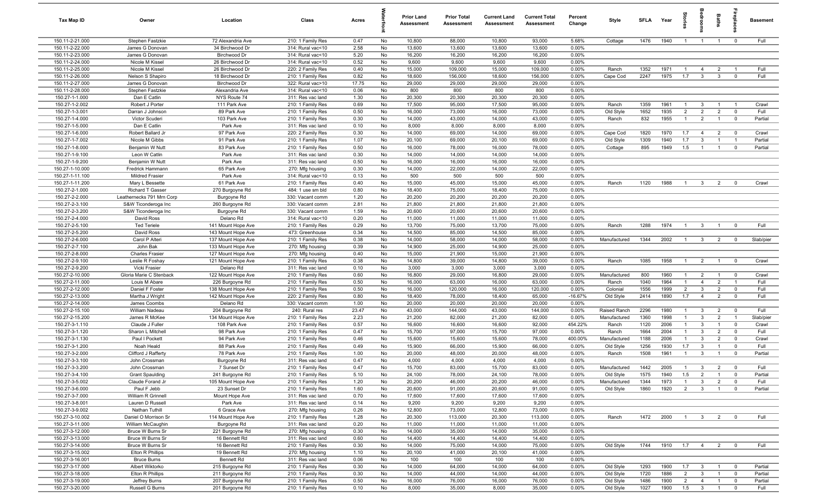| Tax Map ID                         | Owner                                  | Location                                 | Class                                  | Acres         |          | <b>Prior Land</b><br>Assessment | <b>Prior Total</b><br>Assessment | <b>Current Land</b><br>Assessment | <b>Current Total</b><br>Assessment | Percent<br>Change  | Style                 | SFLA         | Year         |                       |                                | Baths                            |                                | <b>Basement</b> |
|------------------------------------|----------------------------------------|------------------------------------------|----------------------------------------|---------------|----------|---------------------------------|----------------------------------|-----------------------------------|------------------------------------|--------------------|-----------------------|--------------|--------------|-----------------------|--------------------------------|----------------------------------|--------------------------------|-----------------|
| 150.11-2-21.000                    | Stephen Fastzkie                       | 72 Alexandria Ave                        | 210: 1 Family Res                      | 0.47          | No       | 10,800                          | 88,000                           | 10,800                            | 93,000                             | 5.68%              | Cottage               | 1476         | 1940         | $\overline{1}$        | $\overline{1}$                 | $\overline{1}$                   | $\mathbf 0$                    | Full            |
| 150.11-2-22.000                    | James G Donovan                        | 34 Birchwood Dr                          | 314: Rural vac<10                      | 2.58          | No       | 13,600                          | 13,600                           | 13,600                            | 13,600                             | 0.00%              |                       |              |              |                       |                                |                                  |                                |                 |
| 150.11-2-23.000                    | James G Donovan                        | Birchwood Dr                             | 314: Rural vac<10                      | 5.20          | No       | 16,200                          | 16,200                           | 16,200                            | 16,200                             | 0.00%              |                       |              |              |                       |                                |                                  |                                |                 |
| 150.11-2-24.000                    | Nicole M Kissel                        | 26 Birchwood Dr                          | 314: Rural vac<10                      | 0.52          | No       | 9,600                           | 9,600                            | 9,600                             | 9,600                              | 0.00%              |                       |              |              |                       |                                |                                  |                                |                 |
| 150.11-2-25.000                    | Nicole M Kissel                        | 26 Birchwood Dr                          | 220: 2 Family Res                      | 0.40          | No       | 15,000                          | 109,000                          | 15,000                            | 109,000                            | 0.00%              | Ranch                 | 1352         | 1971         | $\overline{1}$        | $\overline{4}$                 | $\overline{2}$                   | $\overline{1}$                 | Full            |
| 150.11-2-26.000<br>150.11-2-27.000 | Nelson S Shapiro<br>James G Donovan    | 18 Birchwood Dr<br>Birchwood Dr          | 210: 1 Family Res<br>322: Rural vac>10 | 0.82          | No<br>No | 18,600                          | 156,000                          | 18,600                            | 156,000                            | 0.00%<br>0.00%     | Cape Cod              | 2247         | 1975         | 1.7                   | $\mathbf{3}$                   | $\mathbf{3}$                     | $^{\circ}$                     | Full            |
| 150.11-2-28.000                    | Stephen Fastzkie                       | Alexandria Ave                           | 314: Rural vac<10                      | 17.75<br>0.06 | No       | 29,000<br>800                   | 29,000<br>800                    | 29,000<br>800                     | 29,000<br>800                      | 0.00%              |                       |              |              |                       |                                |                                  |                                |                 |
| 150.27-1-1.000                     | Dan E Catlin                           | NYS Route 74                             | 311: Res vac land                      | 1.30          | No       | 20,300                          | 20,300                           | 20,300                            | 20,300                             | 0.00%              |                       |              |              |                       |                                |                                  |                                |                 |
| 150.27-1-2.002                     | Robert J Porter                        | 111 Park Ave                             | 210: 1 Family Res                      | 0.69          | No       | 17,500                          | 95,000                           | 17,500                            | 95,000                             | 0.00%              | Ranch                 | 1359         | 1961         | $\overline{1}$        | -3                             | $\overline{1}$                   | $\overline{1}$                 | Crawl           |
| 150.27-1-3.001                     | Darran J Johnson                       | 89 Park Ave                              | 210: 1 Family Res                      | 0.50          | No       | 16,000                          | 73,000                           | 16,000                            | 73,000                             | 0.00%              | Old Style             | 1652         | 1935         | 2                     | $\overline{2}$                 | $\overline{2}$                   | $\overline{0}$                 | Full            |
| 150.27-1-4.000                     | Victor Scuderi                         | 103 Park Ave                             | 210: 1 Family Res                      | 0.30          | No       | 14,000                          | 43,000                           | 14,000                            | 43,000                             | 0.00%              | Ranch                 | 832          | 1955         | $\overline{1}$        | $\overline{2}$                 | $\overline{1}$                   | $\overline{0}$                 | Partial         |
| 150.27-1-5.000                     | Dan E Catlin                           | Park Ave                                 | 311: Res vac land                      | 0.10          | No       | 8,000                           | 8,000                            | 8,000                             | 8,000                              | 0.00%              |                       |              |              |                       |                                |                                  |                                |                 |
| 150.27-1-6.000                     | Robert Ballard Jr                      | 97 Park Ave                              | 220: 2 Family Res                      | 0.30          | No       | 14,000                          | 69,000                           | 14,000                            | 69,000                             | 0.00%              | Cape Cod              | 1820         | 1970         | 1.7                   | $\overline{4}$                 | $\overline{2}$                   | $\mathbf 0$                    | Crawl           |
| 150.27-1-7.002                     | Nicole M Gibbs                         | 91 Park Ave                              | 210: 1 Family Res                      | 1.07          | No       | 20,100                          | 69,000                           | 20,100                            | 69,000                             | 0.00%              | Old Style             | 1309         | 1940         | 1.7                   | 3                              | $\overline{1}$                   | $\overline{1}$                 | Partial         |
| 150.27-1-8.000                     | Benjamin W Nutt                        | 83 Park Ave                              | 210: 1 Family Res                      | 0.50          | No       | 16,000                          | 78,000                           | 16,000                            | 78,000                             | 0.00%              | Cottage               | 895          | 1949         | 1.5                   | $\overline{1}$                 | $\mathbf{1}$                     | $\mathbf 0$                    | Partial         |
| 150.27-1-9.100                     | Leon W Catlin                          | Park Ave                                 | 311: Res vac land                      | 0.30          | No       | 14,000                          | 14,000                           | 14,000                            | 14,000                             | 0.00%              |                       |              |              |                       |                                |                                  |                                |                 |
| 150.27-1-9.200                     | Benjamin W Nutt                        | Park Ave                                 | 311: Res vac land                      | 0.50          | No       | 16,000                          | 16,000                           | 16,000                            | 16,000                             | 0.00%              |                       |              |              |                       |                                |                                  |                                |                 |
| 150.27-1-10.000                    | Fredrick Hammann                       | 65 Park Ave                              | 270: Mfg housing                       | 0.30          | No       | 14,000                          | 22,000                           | 14,000                            | 22,000                             | 0.00%              |                       |              |              |                       |                                |                                  |                                |                 |
| 150.27-1-11.100                    | <b>Mildred Frasier</b>                 | Park Ave                                 | 314: Rural vac<10                      | 0.13          | No       | 500                             | 500                              | 500                               | 500                                | 0.00%              |                       |              |              |                       |                                |                                  |                                |                 |
| 150.27-1-11.200<br>150.27-2-1.000  | Mary L Bessette<br>Richard T Gasser    | 61 Park Ave                              | 210: 1 Family Res<br>484: 1 use sm bld | 0.40<br>0.80  | No<br>No | 15,000<br>18,400                | 45,000<br>75,000                 | 15,000<br>18,400                  | 45,000<br>75,000                   | 0.00%<br>0.00%     | Ranch                 | 1120         | 1988         | $\overline{1}$        | $\mathbf{3}$                   | $\overline{2}$                   | $\overline{0}$                 | Crawl           |
| 150.27-2-2.000                     | Leathernecks 791 Mrn Corp              | 270 Burgoyne Rd<br>Burgoyne Rd           | 330: Vacant comm                       | 1.20          | No       | 20,200                          | 20,200                           | 20,200                            | 20,200                             | 0.00%              |                       |              |              |                       |                                |                                  |                                |                 |
| 150.27-2-3.100                     | S&W Ticonderoga Inc                    | 260 Burgoyne Rd                          | 330: Vacant comm                       | 2.81          | No       | 21,800                          | 21,800                           | 21,800                            | 21,800                             | 0.00%              |                       |              |              |                       |                                |                                  |                                |                 |
| 150.27-2-3.200                     | S&W Ticonderoga Inc                    | Burgoyne Rd                              | 330: Vacant comm                       | 1.59          | No       | 20,600                          | 20,600                           | 20,600                            | 20,600                             | 0.00%              |                       |              |              |                       |                                |                                  |                                |                 |
| 150.27-2-4.000                     | David Ross                             | Delano Rd                                | 314: Rural vac<10                      | 0.20          | No       | 11,000                          | 11,000                           | 11,000                            | 11,000                             | 0.00%              |                       |              |              |                       |                                |                                  |                                |                 |
| 150.27-2-5.100                     | <b>Ted Teriele</b>                     | 141 Mount Hope Ave                       | 210: 1 Family Res                      | 0.29          | No       | 13,700                          | 75,000                           | 13,700                            | 75,000                             | 0.00%              | Ranch                 | 1288         | 1974         | $\overline{1}$        | $\overline{\mathbf{3}}$        | $\overline{1}$                   | $\overline{0}$                 | Full            |
| 150.27-2-5.200                     | David Ross                             | 143 Mount Hope Ave                       | 473: Greenhouse                        | 0.34          | No       | 14,500                          | 85,000                           | 14,500                            | 85,000                             | 0.00%              |                       |              |              |                       |                                |                                  |                                |                 |
| 150.27-2-6.000                     | Carol P Alteri                         | 137 Mount Hope Ave                       | 210: 1 Family Res                      | 0.38          | No       | 14,000                          | 58,000                           | 14,000                            | 58,000                             | 0.00%              | Manufactured          | 1344         | 2002         | $\overline{1}$        | $\mathbf{3}$                   | 2                                | $\mathbf 0$                    | Slab/pier       |
| 150.27-2-7.100                     | John Bak                               | 133 Mount Hope Ave                       | 270: Mfg housing                       | 0.39          | No       | 14,900                          | 25,000                           | 14,900                            | 25,000                             | 0.00%              |                       |              |              |                       |                                |                                  |                                |                 |
| 150.27-2-8.000                     | <b>Charles Frasier</b>                 | 127 Mount Hope Ave                       | 270: Mfg housing                       | 0.40          | No       | 15,000                          | 21,900                           | 15,000                            | 21,900                             | 0.00%              |                       |              |              |                       |                                |                                  |                                |                 |
| 150.27-2-9.100                     | Leslie R Foshay                        | 121 Mount Hope Ave                       | 210: 1 Family Res                      | 0.38          | No       | 14,800                          | 39,000                           | 14,800                            | 39,000                             | 0.00%              | Ranch                 | 1085         | 1958         | $\overline{1}$        | $\overline{2}$                 | $\overline{1}$                   | $\overline{0}$                 | Crawl           |
| 150.27-2-9.200                     | Vicki Frasier                          | Delano Rd                                | 311: Res vac land                      | 0.10          | No       | 3,000                           | 3,000                            | 3,000                             | 3,000                              | 0.00%              |                       |              |              |                       |                                |                                  |                                |                 |
| 150.27-2-10.000                    | Gloria Marie C Stenback                | 122 Mount Hope Ave                       | 210: 1 Family Res                      | 0.60          | No       | 16,800                          | 29,000                           | 16,800                            | 29,000                             | 0.00%              | Manufactured          | 800          | 1960         | $\overline{1}$        | $\overline{2}$                 | $\overline{1}$                   | $\mathbf 0$                    | Crawl           |
| 150.27-2-11.000                    | Louis M Abare                          | 226 Burgoyne Rd                          | 210: 1 Family Res                      | 0.50          | No       | 16,000                          | 63,000                           | 16,000                            | 63,000                             | 0.00%              | Ranch                 | 1040         | 1964         | $\overline{1}$        | $\overline{4}$                 | $\overline{2}$                   | $\overline{1}$                 | Full            |
| 150.27-2-12.000<br>150.27-2-13.000 | Daniel F Foster                        | 138 Mount Hope Ave<br>142 Mount Hope Ave | 210: 1 Family Res                      | 0.50<br>0.80  | No<br>No | 16,000<br>18,400                | 120,000<br>78,000                | 16,000<br>18,400                  | 120,000<br>65,000                  | 0.00%<br>$-16.67%$ | Colonial<br>Old Style | 1556<br>2414 | 1999<br>1890 | $\overline{2}$<br>1.7 | $\mathbf{3}$<br>$\overline{4}$ | $\overline{2}$<br>$\overline{2}$ | $\overline{0}$<br>$\mathbf{0}$ | Full<br>Full    |
| 150.27-2-14.000                    | Martha J Wright<br>James Coombs        | Delano Rd                                | 220: 2 Family Res<br>330: Vacant comm  | 1.00          | No       | 20,000                          | 20,000                           | 20,000                            | 20,000                             | 0.00%              |                       |              |              |                       |                                |                                  |                                |                 |
| 150.27-2-15.100                    | William Nadeau                         | 204 Burgoyne Rd                          | 240: Rural res                         | 23.47         | No       | 43,000                          | 144,000                          | 43,000                            | 144,000                            | 0.00%              | Raised Ranch          | 2296         | 1980         | $\overline{1}$        | $\mathbf{3}$                   | $\overline{2}$                   | $\mathbf 0$                    | Full            |
| 150.27-2-15.200                    | James R McKee                          | 134 Mount Hope Ave                       | 210: 1 Family Res                      | 2.23          | No       | 21,200                          | 82,000                           | 21,200                            | 82,000                             | 0.00%              | Manufactured          | 1360         | 1998         | $\overline{1}$        | $\mathbf{3}$                   | $\overline{2}$                   | $\overline{1}$                 | Slab/pier       |
| 150.27-3-1.110                     | Claude J Fuller                        | 108 Park Ave                             | 210: 1 Family Res                      | 0.57          | No       | 16,600                          | 16,600                           | 16,600                            | 92,000                             | 454.22%            | Ranch                 | 1120         | 2006         | $\mathbf{1}$          | $\mathbf{3}$                   | $\overline{1}$                   | $\mathbf 0$                    | Crawl           |
| 150.27-3-1.120                     | Sharon L Mitchell                      | 98 Park Ave                              | 210: 1 Family Res                      | 0.47          | No       | 15,700                          | 97,000                           | 15,700                            | 97,000                             | 0.00%              | Ranch                 | 1664         | 2004         | $\mathbf{1}$          | $\mathbf{3}$                   | $\overline{2}$                   | $\mathbf 0$                    | Full            |
| 150.27-3-1.130                     | Paul I Pockett                         | 94 Park Ave                              | 210: 1 Family Res                      | 0.46          | No       | 15,600                          | 15,600                           | 15,600                            | 78,000                             | 400.00%            | Manufactured          | 1188         | 2006         | $\mathbf{1}$          | 3                              | $\overline{2}$                   | $\mathbf 0$                    | Crawl           |
| 150.27-3-1.200                     | Noah Heald                             | 88 Park Ave                              | 210: 1 Family Res                      | 0.49          | No       | 15,900                          | 66,000                           | 15,900                            | 66,000                             | 0.00%              | Old Style             | 1256         | 1930         | 1.7                   | $\mathbf{3}$                   | $\overline{1}$                   | $\mathbf 0$                    | Full            |
| 150.27-3-2.000                     | Clifford J Rafferty                    | 78 Park Ave                              | 210: 1 Family Res                      | 1.00          | No       | 20,000                          | 48,000                           | 20,000                            | 48,000                             | 0.00%              | Ranch                 | 1508         | 1961         | $\overline{1}$        | 3                              | $\overline{1}$                   | $\mathbf 0$                    | Partial         |
| 150.27-3-3.100                     | John Crossman                          | Burgoyne Rd                              | 311: Res vac land                      | 0.47          | No       | 4,000                           | 4,000                            | 4,000                             | 4,000                              | 0.00%              |                       |              |              |                       |                                |                                  |                                |                 |
| 150.27-3-3.200                     | John Crossman                          | 7 Sunset Dr                              | 210: 1 Family Res                      | 0.47          | No       | 15,700                          | 83,000                           | 15,700                            | 83,000                             | 0.00%              | Manufactured          | 1442         | 2005         | $\overline{1}$        | $\mathcal{R}$                  | $\overline{2}$                   |                                | Full            |
| 150.27-3-4.100                     | <b>Grant Spaulding</b>                 | 241 Burgoyne Rd                          | 210: 1 Family Res                      | 5.10          | No       | 24,100                          | 78,000                           | 24,100                            | 78,000                             | 0.00%              | Old Style             | 1575         | 1940         | 1.5                   | $\overline{2}$                 | $\overline{1}$                   | $\mathbf 0$                    | Partial         |
| 150.27-3-5.002                     | Claude Forand Jr                       | 105 Mount Hope Ave                       | 210: 1 Family Res                      | 1.20          | No       | 20,200                          | 46,000                           | 20,200                            | 46,000                             | 0.00%              | Manufactured          | 1344         | 1973         | $\overline{1}$        | $\mathbf{3}$                   | $\overline{2}$                   | $\overline{0}$                 | Full            |
| 150.27-3-6.000                     | Paul F Jebb                            | 23 Sunset Dr                             | 210: 1 Family Res                      | 1.60          | No       | 20,600                          | 91,000                           | 20,600                            | 91,000                             | 0.00%              | Old Style             | 1860         | 1920         | $\overline{2}$        | $\overline{3}$                 | $\overline{1}$                   | $\overline{0}$                 | Partial         |
| 150.27-3-7.000<br>150.27-3-8.001   | William R Grinnell<br>Lauren D Russell | Mount Hope Ave<br>Park Ave               | 311: Res vac land<br>311: Res vac land | 0.70<br>0.14  | No<br>No | 17,600<br>9,200                 | 17,600<br>9,200                  | 17,600<br>9,200                   | 17,600<br>9,200                    | 0.00%<br>0.00%     |                       |              |              |                       |                                |                                  |                                |                 |
| 150.27-3-9.002                     | Nathan Tuthill                         | 6 Grace Ave                              | 270: Mfg housing                       | 0.26          | No       | 12,800                          | 73,000                           | 12,800                            | 73,000                             | 0.00%              |                       |              |              |                       |                                |                                  |                                |                 |
| 150.27-3-10.002                    | Daniel O Morrison Sr                   | 114 Mount Hope Ave                       | 210: 1 Family Res                      | 1.28          | No       | 20,300                          | 113,000                          | 20,300                            | 113,000                            | 0.00%              | Ranch                 | 1472         | 2000         | $\overline{1}$        | $\overline{\mathbf{3}}$        | $\overline{2}$                   | $\overline{0}$                 | Full            |
| 150.27-3-11.000                    | William McCaughin                      | Burgoyne Rd                              | 311: Res vac land                      | 0.20          | No       | 11,000                          | 11,000                           | 11,000                            | 11,000                             | 0.00%              |                       |              |              |                       |                                |                                  |                                |                 |
| 150.27-3-12.000                    | Bruce W Burns Sr                       | 221 Burgoyne Rd                          | 270: Mfg housing                       | 0.30          | No       | 14,000                          | 35,000                           | 14,000                            | 35,000                             | 0.00%              |                       |              |              |                       |                                |                                  |                                |                 |
| 150.27-3-13.000                    | Bruce W Burns Sr                       | 16 Bennett Rd                            | 311: Res vac land                      | 0.60          | No       | 14,400                          | 14,400                           | 14,400                            | 14,400                             | 0.00%              |                       |              |              |                       |                                |                                  |                                |                 |
| 150.27-3-14.000                    | Bruce W Burns Sr                       | 16 Bennett Rd                            | 210: 1 Family Res                      | 0.30          | No       | 14,000                          | 75,000                           | 14,000                            | 75,000                             | 0.00%              | Old Style             | 1744         | 1910         | 1.7                   | $\overline{4}$                 | $\overline{2}$                   | $\overline{\mathbf{0}}$        | Full            |
| 150.27-3-15.002                    | Elton R Phillips                       | 19 Bennett Rd                            | 270: Mfg housing                       | 1.10          | No       | 20,100                          | 41,000                           | 20,100                            | 41,000                             | 0.00%              |                       |              |              |                       |                                |                                  |                                |                 |
| 150.27-3-16.001                    | <b>Bruce Burns</b>                     | <b>Bennett Rd</b>                        | 311: Res vac land                      | 0.06          | No       | 100                             | 100                              | 100                               | 100                                | 0.00%              |                       |              |              |                       |                                |                                  |                                |                 |
| 150.27-3-17.000                    | Albert Wiktorko                        | 215 Burgoyne Rd                          | 210: 1 Family Res                      | 0.30          | No       | 14,000                          | 64,000                           | 14,000                            | 64,000                             | 0.00%              | Old Style             | 1293         | 1900         | 1.7                   | $\mathbf{3}$                   | $\overline{1}$                   | $\overline{0}$                 | Partial         |
| 150.27-3-18.000                    | Elton R Phillips                       | 211 Burgoyne Rd                          | 210: 1 Family Res                      | 0.30          | No       | 14,000                          | 44,000                           | 14,000                            | 44,000                             | 0.00%              | Old Style             | 1720         | 1886         | $\overline{2}$        | $\overline{3}$                 | $\overline{1}$                   | $\overline{0}$                 | Partial         |
| 150.27-3-19.000                    | Jeffrey Burns                          | 207 Burgoyne Rd                          | 210: 1 Family Res                      | 0.50          | No       | 16,000                          | 76,000                           | 16,000                            | 76,000                             | 0.00%              | Old Style             | 1486         | 1900         | $\overline{2}$        | $\overline{4}$                 | $\overline{1}$                   | $\overline{0}$                 | Partial         |
| 150.27-3-20.000                    | Russell G Burns                        | 201 Burgoyne Rd                          | 210: 1 Family Res                      | 0.10          | No       | 8,000                           | 35,000                           | 8,000                             | 35,000                             | 0.00%              | Old Style             | 1027         | 1900         | 1.5                   | $\overline{\mathbf{3}}$        | $\overline{1}$                   | $\mathbf 0$                    | Full            |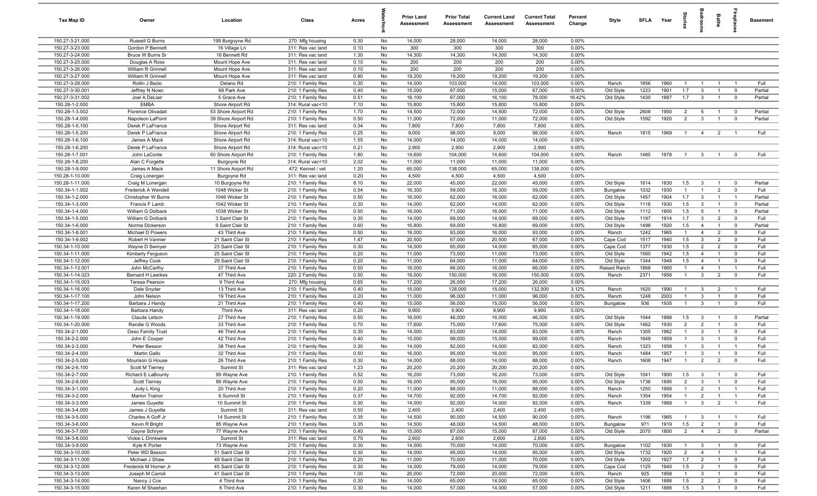| Tax Map ID                         | Owner                                      | Location                         | Class                                  | Acres        |          | <b>Prior Land</b><br>Assessment | <b>Prior Total</b><br>Assessment | <b>Current Land</b><br>Assessment | <b>Current Total</b><br>Assessment | Percent<br>Change | Style                 | <b>SFLA</b>  | Year         | ğ                                | edroo                            | Baths                            | repla                            | <b>Basement</b> |
|------------------------------------|--------------------------------------------|----------------------------------|----------------------------------------|--------------|----------|---------------------------------|----------------------------------|-----------------------------------|------------------------------------|-------------------|-----------------------|--------------|--------------|----------------------------------|----------------------------------|----------------------------------|----------------------------------|-----------------|
| 150.27-3-21.000                    | Russell G Burns                            | 199 Burgoyne Rd                  | 270: Mfg housing                       | 0.30         | No       | 14,000                          | 28,000                           | 14,000                            | 28,000                             | 0.00%             |                       |              |              |                                  |                                  |                                  |                                  |                 |
| 150.27-3-23.000                    | Gordon P Bennett                           | 16 Village Ln                    | 311: Res vac land                      | 0.10         | No       | 300                             | 300                              | 300                               | 300                                | 0.00%             |                       |              |              |                                  |                                  |                                  |                                  |                 |
| 150.27-3-24.000                    | Bruce W Burns Sr                           | 16 Bennett Rd                    | 311: Res vac land                      | 1.30         | No       | 14,300                          | 14,300                           | 14,300                            | 14,300                             | 0.00%             |                       |              |              |                                  |                                  |                                  |                                  |                 |
| 150.27-3-25.000                    | Douglas A Ross                             | Mount Hope Ave                   | 311: Res vac land                      | 0.10         | No       | 200                             | 200                              | 200                               | 200                                | 0.00%             |                       |              |              |                                  |                                  |                                  |                                  |                 |
| 150.27-3-26.000                    | William R Grinnell                         | Mount Hope Ave                   | 311: Res vac land                      | 0.10         | No       | 200                             | 200                              | 200                               | 200                                | 0.00%             |                       |              |              |                                  |                                  |                                  |                                  |                 |
| 150.27-3-27.000                    | William R Grinnell                         | Mount Hope Ave                   | 311: Res vac land                      | 0.90         | No       | 19,200                          | 19,200                           | 19,200                            | 19,200                             | 0.00%             |                       |              |              |                                  |                                  |                                  |                                  |                 |
| 150.27-3-28.000<br>150.27-3-30.001 | Rollin J Bezio<br>Jeffrey N Nowc           | Delano Rd<br>68 Park Ave         | 210: 1 Family Res<br>210: 1 Family Res | 0.30<br>0.40 | No<br>No | 14,000<br>15,000                | 103,000<br>67,000                | 14,000<br>15,000                  | 103,000<br>67,000                  | 0.00%<br>0.00%    | Ranch<br>Old Style    | 1856<br>1223 | 1960<br>1901 | $\mathbf{1}$<br>1.7              | $\overline{1}$<br>$\mathbf{3}$   | $\overline{1}$<br>$\overline{1}$ | $\overline{0}$                   | Full<br>Partial |
| 150.27-3-31.002                    | Joel A DeLlair                             | 5 Grace Ave                      | 210: 1 Family Res                      | 0.51         | No       | 16,100                          | 67,000                           | 16,100                            | 78,000                             | 16.42%            | Old Style             | 1430         | 1887         | 1.7                              | $\overline{\mathbf{3}}$          | $\overline{1}$                   | $\overline{\mathbf{0}}$          | Partial         |
| 150.28-1-2.000                     | <b>EMBA</b>                                | Shore Airport Rd                 | 314: Rural vac<10                      | 7.10         | No       | 15,800                          | 15,800                           | 15,800                            | 15,800                             | 0.00%             |                       |              |              |                                  |                                  |                                  |                                  |                 |
| 150.28-1-3.002                     | Florence Olivadati                         | 53 Shore Airport Rd              | 210: 1 Family Res                      | 1.70         | No       | 14,500                          | 72,000                           | 14,500                            | 72,000                             | 0.00%             | Old Style             | 2608         | 1900         | $\overline{2}$                   | 5                                | $\overline{1}$                   | $\overline{\mathbf{0}}$          | Partial         |
| 150.28-1-4.000                     | Napoleon LaPoint                           | 39 Shore Airport Rd              | 210: 1 Family Res                      | 0.50         | No       | 11,000                          | 72,000                           | 11,000                            | 72,000                             | 0.00%             | Old Style             | 1592         | 1920         | $\overline{2}$                   | $\mathbf{3}$                     | $\overline{1}$                   | $\overline{0}$                   | Partial         |
| 150.28-1-5.100                     | Derek P LaFrance                           | Shore Airport Rd                 | 311: Res vac land                      | 0.34         | No       | 7,800                           | 7,800                            | 7,800                             | 7,800                              | 0.00%             |                       |              |              |                                  |                                  |                                  |                                  |                 |
| 150.28-1-5.200                     | Derek P LaFrance                           | Shore Airport Rd                 | 210: 1 Family Res                      | 0.25         | No       | 9,000                           | 98,000                           | 9,000                             | 98,000                             | 0.00%             | Ranch                 | 1815         | 1969         | $\overline{1}$                   | $\overline{4}$                   | $\overline{2}$                   | $\overline{1}$                   | Full            |
| 150.28-1-6.100                     | James A Mack                               | Shore Airport Rd                 | 314: Rural vac<10                      | 1.55         | No       | 14,000                          | 14,000                           | 14,000                            | 14,000                             | 0.00%             |                       |              |              |                                  |                                  |                                  |                                  |                 |
| 150.28-1-6.200                     | Derek P LaFrance                           | Shore Airport Rd                 | 314: Rural vac<10                      | 0.21         | No       | 2,900                           | 2,900                            | 2,900                             | 2,900                              | 0.00%             |                       |              |              |                                  |                                  |                                  |                                  |                 |
| 150.28-1-7.001                     | John LaConte                               | 60 Shore Airport Rd              | 210: 1 Family Res                      | 1.80         | No       | 14,600                          | 104,000                          | 14,600                            | 104,000                            | 0.00%             | Ranch                 | 1485         | 1978         | $\overline{1}$                   | $\overline{3}$                   | $\overline{1}$                   | $\mathbf 0$                      | Full            |
| 150.28-1-8.200                     | Alan C Forgette                            | Burgoyne Rd                      | 314: Rural vac<10                      | 2.02         | No       | 11,000                          | 11,000                           | 11,000                            | 11,000                             | 0.00%             |                       |              |              |                                  |                                  |                                  |                                  |                 |
| 150.28-1-9.000                     | James A Mack                               | 11 Shore Airport Rd              | 472: Kennel / vet                      | 1.20         | No       | 65,000                          | 138,000                          | 65,000                            | 138,000                            | 0.00%             |                       |              |              |                                  |                                  |                                  |                                  |                 |
| 150.28-1-10.000                    | Craig Lonergan                             | Burgoyne Rd                      | 311: Res vac land                      | 0.20         | No       | 4,500                           | 4,500                            | 4,500                             | 4,500                              | 0.00%             |                       |              |              |                                  |                                  |                                  |                                  |                 |
| 150.28-1-11.000<br>150.34-1-1.002  | Craig M Lonergan                           | 10 Burgoyne Rd                   | 210: 1 Family Res                      | 8.10         | No       | 22,000                          | 45,000                           | 22,000                            | 45,000                             | 0.00%             | Old Style             | 1614         | 1830         | 1.5                              | $\mathbf{3}$                     | $\overline{1}$                   | $\overline{0}$                   | Partial         |
| 150.34-1-2.000                     | Frederick A Wendell<br>Christopher W Burns | 1048 Wicker St<br>1046 Wicker St | 210: 1 Family Res<br>210: 1 Family Res | 0.54<br>0.50 | No<br>No | 16,300<br>16,000                | 59,000<br>62,000                 | 16,300<br>16,000                  | 59,000<br>62,000                   | 0.00%<br>0.00%    | Bungalow<br>Old Style | 1032<br>1457 | 1930<br>1904 | $\overline{1}$<br>1.7            | $\overline{1}$<br>$\mathbf{3}$   | $\overline{2}$<br>$\overline{1}$ | $\overline{0}$<br>$\overline{1}$ | Full<br>Partial |
| 150.34-1-3.000                     | Francis F Lamb                             | 1042 Wicker St                   | 210: 1 Family Res                      | 0.30         | No       | 14,000                          | 62,000                           | 14,000                            | 62,000                             | 0.00%             | Old Style             | 1116         | 1930         | 1.5                              | $\mathbf{3}$                     | $\overline{1}$                   | $\overline{0}$                   | Partial         |
| 150.34-1-4.000                     | William G Dolback                          | 1038 Wicker St                   | 210: 1 Family Res                      | 0.50         | No       | 16,000                          | 71,000                           | 16,000                            | 71,000                             | 0.00%             | Old Style             | 1112         | 1800         | 1.5                              | $5\overline{5}$                  | $\overline{1}$                   | $\mathbf{0}$                     | Partial         |
| 150.34-1-5.000                     | William G Dolback                          | 3 Saint Clair St                 | 210: 1 Family Res                      | 0.30         | No       | 14,000                          | 69,000                           | 14,000                            | 69,000                             | 0.00%             | Old Style             | 1197         | 1914         | 1.7                              | $\mathbf{3}$                     | $\overline{2}$                   | $\overline{0}$                   | Full            |
| 150.34-1-6.000                     | Norma Dickerson                            | 9 Saint Clair St                 | 210: 1 Family Res                      | 0.60         | No       | 16,800                          | 69,000                           | 16,800                            | 69,000                             | 0.00%             | Old Style             | 1498         | 1920         | 1.5                              | $\overline{4}$                   | $\overline{1}$                   | $\overline{0}$                   | Partial         |
| 150.34-1-8.001                     | Michael D Powers                           | 43 Third Ave                     | 210: 1 Family Res                      | 0.50         | No       | 16,000                          | 93,000                           | 16,000                            | 93,000                             | 0.00%             | Ranch                 | 1242         | 1965         | $\overline{1}$                   | $\overline{4}$                   | $\overline{2}$                   | $\mathbf 0$                      | Full            |
| 150.34-1-9.002                     | Robert H Vannier                           | 21 Saint Clair St                | 210: 1 Family Res                      | 1.47         | No       | 20,500                          | 67,000                           | 20,500                            | 67,000                             | 0.00%             | Cape Cod              | 1517         | 1940         | 1.5                              | $\mathbf{3}$                     | 2                                | $\mathbf 0$                      | Full            |
| 150.34-1-10.000                    | Wayne D Swinyer                            | 23 Saint Clair St                | 210: 1 Family Res                      | 0.30         | No       | 14,000                          | 65,000                           | 14,000                            | 65,000                             | 0.00%             | Cape Cod              | 1377         | 1930         | 1.5                              | $\overline{2}$                   | $\overline{2}$                   | $\mathbf 0$                      | Full            |
| 150.34-1-11.000                    | Kimberly Ferguson                          | 25 Saint Clair St                | 210: 1 Family Res                      | 0.20         | No       | 11,000                          | 73,000                           | 11,000                            | 73,000                             | 0.00%             | Old Style             | 1560         | 1942         | 1.5                              | $\overline{4}$                   | $\overline{1}$                   | $\Omega$                         | Full            |
| 150.34-1-12.000                    | Jeffrey Cook                               | 29 Saint Clair St                | 210: 1 Family Res                      | 0.20         | No       | 11,000                          | 64,000                           | 11,000                            | 64,000                             | 0.00%             | Old Style             | 1344         | 1948         | 1.5                              | $\overline{4}$                   | $\overline{1}$                   | $\Omega$                         | Full            |
| 150.34-1-13.001                    | John McCarthy                              | 37 Third Ave                     | 210: 1 Family Res                      | 0.50         | No       | 16,000                          | 66,000                           | 16,000                            | 66,000                             | 0.00%             | Raised Ranch          | 1868         | 1960         | $\mathbf{1}$                     | $\overline{4}$                   | $\overline{1}$                   | $\overline{1}$                   | Full            |
| 150.34-1-14.023                    | <b>Bernard H Leerkes</b>                   | 47 Third Ave                     | 220: 2 Family Res                      | 0.50         | No       | 16,000                          | 150,000                          | 16,000                            | 150,000                            | 0.00%             | Ranch                 | 2371         | 1958         | $\overline{1}$                   | $\mathbf{3}$                     | $\overline{2}$                   | $\mathbf 0$                      | Full            |
| 150.34-1-15.003                    | Teresa Pearson                             | 9 Third Ave                      | 270: Mfg housing                       | 0.65         | No       | 17,200                          | 26,000                           | 17,200                            | 26,000                             | 0.00%             |                       |              |              |                                  |                                  |                                  |                                  |                 |
| 150.34-1-16.000<br>150.34-1-17.100 | Dale Snyder                                | 13 Third Ave                     | 210: 1 Family Res                      | 0.40<br>0.20 | No       | 15,000                          | 128,000                          | 15,000                            | 132,000                            | 3.12%<br>0.00%    | Ranch                 | 1620<br>1248 | 1990<br>2003 | $\overline{1}$<br>$\overline{1}$ | $\mathbf{3}$<br>$\mathbf{3}$     | $\overline{2}$<br>$\overline{1}$ | $\overline{1}$<br>$\mathbf{0}$   | Full<br>Full    |
| 150.34-1-17.200                    | John Nelson<br>Barbara J Handy             | 19 Third Ave<br>21 Third Ave     | 210: 1 Family Res<br>210: 1 Family Res | 0.40         | No<br>No | 11,000<br>15,000                | 96,000<br>56,000                 | 11,000<br>15,000                  | 96,000<br>56,000                   | 0.00%             | Ranch<br>Bungalow     | 936          | 1935         | $\overline{1}$                   | $\mathbf{3}$                     | $\overline{1}$                   | $\mathbf 0$                      | Full            |
| 150.34-1-18.000                    | Barbara Handy                              | Third Ave                        | 311: Res vac land                      | 0.20         | No       | 9,900                           | 9,900                            | 9,900                             | 9,900                              | 0.00%             |                       |              |              |                                  |                                  |                                  |                                  |                 |
| 150.34-1-19.000                    | Claude Letson                              | 27 Third Ave                     | 210: 1 Family Res                      | 0.50         | No       | 16,000                          | 46,000                           | 16,000                            | 46,000                             | 0.00%             | Old Style             | 1044         | 1888         | 1.5                              | $\mathbf{3}$                     | $\overline{1}$                   | $\mathbf 0$                      | Partial         |
| 150.34-1-20.000                    | Randie G Woods                             | 33 Third Ave                     | 210: 1 Family Res                      | 0.70         | No       | 17,600                          | 75,000                           | 17,600                            | 75,000                             | 0.00%             | Old Style             | 1462         | 1930         | $\overline{2}$                   | $\overline{2}$                   | $\overline{1}$                   | $\mathbf 0$                      | Full            |
| 150.34-2-1.000                     | Deso Family Trust                          | 46 Third Ave                     | 210: 1 Family Res                      | 0.30         | No       | 14,000                          | 83,000                           | 14,000                            | 83,000                             | 0.00%             | Ranch                 | 1305         | 1962         | $\overline{1}$                   | $\mathbf{3}$                     | $\overline{1}$                   | $\mathbf 0$                      | Full            |
| 150.34-2-2.000                     | John E Cooper                              | 42 Third Ave                     | 210: 1 Family Res                      | 0.40         | No       | 15,000                          | 99,000                           | 15,000                            | 99,000                             | 0.00%             | Ranch                 | 1649         | 1959         | $\overline{1}$                   | $\mathbf{3}$                     | $\mathbf{1}$                     | $\mathbf{0}$                     | Full            |
| 150.34-2-3.000                     | Peter Besson                               | 38 Third Ave                     | 210: 1 Family Res                      | 0.30         | No       | 14,000                          | 82,000                           | 14,000                            | 82,000                             | 0.00%             | Ranch                 | 1323         | 1958         | $\mathbf{1}$                     | $\mathbf{3}$                     | $\overline{\mathbf{1}}$          | $\overline{1}$                   | Full            |
| 150.34-2-4.000                     | Martin Gallo                               | 32 Third Ave                     | 210: 1 Family Res                      | 0.50         | No       | 16,000                          | 95,000                           | 16,000                            | 95,000                             | 0.00%             | Ranch                 | 1484         | 1957         | $\mathbf{1}$                     | $\mathbf{3}$                     | -1                               | $\mathbf 0$                      | Full            |
| 150.34-2-5.000                     | Mourison G House                           | 26 Third Ave                     | 210: 1 Family Res                      | 0.30         | No       | 14,000                          | 88,000                           | 14,000                            | 88,000                             | 0.00%             | Ranch                 | 1608         | 1947         | $\overline{1}$                   | $\overline{2}$                   | $\overline{2}$                   | $\overline{0}$                   | Full            |
| 150.34-2-6.100                     | Scott M Tierney                            | Summit St                        | 311: Res vac land                      | 1.23         | No       | 20,200                          | 20,200                           | 20,200                            | 20,200                             | 0.00%             |                       |              |              |                                  |                                  |                                  |                                  |                 |
| 150.34-2-7.000                     | Richard E LaBounty                         | 99 Wayne Ave                     | 210: 1 Family Res                      | 0.52         | No       | 16,200                          | 73,000                           | 16,200                            | 73,000                             | 0.00%             | Old Style             | 1041         | 1900         | 1.5                              | $\overline{\mathbf{3}}$          | $\overline{1}$                   | $\overline{\mathbf{0}}$          | Full            |
| 150.34-2-8.000                     | Scott Tierney                              | 89 Wayne Ave                     | 210: 1 Family Res                      | 0.50         | No       | 16,000                          | 95,000                           | 16,000                            | 95,000                             | 0.00%             | Old Style             | 1736         | 1895         | $\overline{2}$                   | $\mathbf{3}$                     | $\overline{1}$                   | $\mathbf 0$                      | Full            |
| 150.34-3-1.000                     | Jody L King                                | 20 Third Ave                     | 210: 1 Family Res                      | 0.20         | No       | 11,000                          | 88,000                           | 11,000                            | 88,000                             | 0.00%             | Ranch                 | 1250         | 1958         | $\overline{1}$                   | $\overline{2}$                   | $\overline{1}$                   | $\overline{1}$                   | Full            |
| 150.34-3-2.000<br>150.34-3-3.000   | <b>Marion Trainor</b>                      | 6 Summit St<br>10 Summit St      | 210: 1 Family Res<br>210: 1 Family Res | 0.37<br>0.30 | No<br>No | 14,700<br>14,000                | 92,000<br>92,000                 | 14,700<br>14,000                  | 92,000<br>92,000                   | 0.00%<br>0.00%    | Ranch<br>Ranch        | 1354<br>1339 | 1954<br>1968 | $\overline{1}$<br>$\overline{1}$ | $\overline{2}$<br>$\overline{3}$ | $\overline{1}$<br>$\overline{2}$ | $\overline{1}$<br>$\overline{1}$ | Full<br>Full    |
| 150.34-3-4.000                     | James Guyette<br>James J Guyette           | Summit St                        | 311: Res vac land                      | 0.50         | No       | 2,400                           | 2,400                            | 2,400                             | 2,400                              | 0.00%             |                       |              |              |                                  |                                  |                                  |                                  |                 |
| 150.34-3-5.000                     | Charles A Goff Jr                          | 14 Summit St                     | 210: 1 Family Res                      | 0.35         | No       | 14,500                          | 90,000                           | 14,500                            | 90,000                             | 0.00%             | Ranch                 | 1196         | 1965         | $\mathbf{1}$                     | $\overline{\mathbf{3}}$          | $\overline{1}$                   | $\overline{1}$                   | Full            |
| 150.34-3-6.000                     | Kevin R Bright                             | 85 Wayne Ave                     | 210: 1 Family Res                      | 0.35         | No       | 14,500                          | 48,000                           | 14,500                            | 48,000                             | 0.00%             | Bungalow              | 971          | 1919         | 1.5                              | $\overline{2}$                   | $\overline{1}$                   | $\overline{0}$                   | Full            |
| 150.34-3-7.000                     | Dayne Schryer                              | 77 Wayne Ave                     | 210: 1 Family Res                      | 0.40         | No       | 15,000                          | 87,000                           | 15,000                            | 87,000                             | 0.00%             | Old Style             | 2070         | 1800         | $\overline{2}$                   | $\overline{4}$                   | $\overline{2}$                   | $\overline{0}$                   | Partial         |
| 150.34-3-8.000                     | Vickie L Drinkwine                         | Summit St                        | 311: Res vac land                      | 0.70         | No       | 2,600                           | 2,600                            | 2,600                             | 2,600                              | 0.00%             |                       |              |              |                                  |                                  |                                  |                                  |                 |
| 150.34-3-9.000                     | Kyle K Porter                              | 73 Wayne Ave                     | 210: 1 Family Res                      | 0.30         | No       | 14,000                          | 70,000                           | 14,000                            | 70,000                             | 0.00%             | Bungalow              | 1102         | 1930         | $\mathbf{1}$                     | $\overline{\mathbf{3}}$          | $\overline{1}$                   | $\overline{0}$                   | Full            |
| 150.34-3-10.000                    | Peter WD Besson                            | 51 Saint Clair St                | 210: 1 Family Res                      | 0.30         | No       | 14,000                          | 95,000                           | 14,000                            | 95,000                             | 0.00%             | Old Style             | 1732         | 1920         | $\overline{2}$                   | $\overline{4}$                   | $\overline{1}$                   | $\overline{1}$                   | Full            |
| 150.34-3-11.000                    | Michael J Shaw                             | 49 Saint Clair St                | 210: 1 Family Res                      | 0.20         | No       | 11,000                          | 70,000                           | 11,000                            | 70,000                             | 0.00%             | Old Style             | 1202         | 1927         | 1.7                              | $\overline{2}$                   | $\overline{1}$                   | $\overline{\mathbf{0}}$          | Full            |
| 150.34-3-12.000                    | Frederick M Horner Jr                      | 45 Saint Clair St                | 210: 1 Family Res                      | 0.30         | No       | 14,000                          | 79,000                           | 14,000                            | 79,000                             | 0.00%             | Cape Cod              | 1125         | 1940         | 1.5                              | $\overline{2}$                   | $\overline{1}$                   | $\overline{0}$                   | Full            |
| 150.34-3-13.000                    | Joseph M Carroll                           | 41 Saint Clair St                | 210: 1 Family Res                      | 1.00         | No       | 20,000                          | 72,000                           | 20,000                            | 72,000                             | 0.00%             | Ranch                 | 925          | 1958         | $\overline{1}$                   | $\mathbf{3}$                     | $\overline{1}$                   | $\mathbf 0$                      | Full            |
| 150.34-3-14.000                    | Nancy J Cox                                | 4 Third Ave                      | 210: 1 Family Res                      | 0.30         | No       | 14,000                          | 65,000                           | 14,000                            | 65,000                             | 0.00%             | Old Style             | 1406         | 1888         | 1.5                              | $\overline{2}$                   | $\overline{2}$                   | $\mathbf 0$                      | Full            |
| 150.34-3-15.000                    | Karen M Sheehan                            | 6 Third Ave                      | 210: 1 Family Res                      | 0.30         | No       | 14,000                          | 57,000                           | 14,000                            | 57,000                             | 0.00%             | Old Style             | 1211         | 1888         | 1.5                              | $\overline{\mathbf{3}}$          | $\overline{1}$                   | $\mathbf 0$                      | Full            |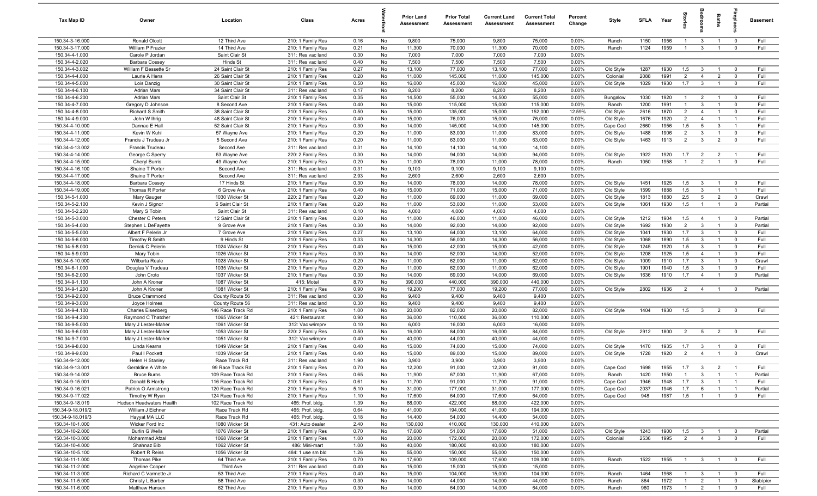| Tax Map ID                        | Owner                           | Location                         | Class                                  | Acres        |          | <b>Prior Land</b><br>Assessment | <b>Prior Total</b><br>Assessment | <b>Current Land</b><br>Assessment | <b>Current Total</b><br>Assessment | Percent<br>Change | Style     | <b>SFLA</b>  | Year         | ğ              | edroo                   | Baths                          | epla                          | <b>Basement</b> |
|-----------------------------------|---------------------------------|----------------------------------|----------------------------------------|--------------|----------|---------------------------------|----------------------------------|-----------------------------------|------------------------------------|-------------------|-----------|--------------|--------------|----------------|-------------------------|--------------------------------|-------------------------------|-----------------|
| 150.34-3-16.000                   | Ronald Olcott                   | 12 Third Ave                     | 210: 1 Family Res                      | 0.16         | No       | 9,800                           | 75,000                           | 9,800                             | 75,000                             | 0.00%             | Ranch     | 1150         | 1956         | $\overline{1}$ | 3                       | $\overline{1}$                 | $\overline{0}$                | Full            |
| 150.34-3-17.000                   | William P Frazier               | 14 Third Ave                     | 210: 1 Family Res                      | 0.21         | No       | 11,300                          | 70,000                           | 11,300                            | 70,000                             | 0.00%             | Ranch     | 1124         | 1959         | $\mathbf{1}$   | $\mathbf{3}$            | $\overline{1}$                 | $\mathbf 0$                   | Full            |
| 150.34-4-1.000                    | Carole P Jordan                 | Saint Clair St                   | 311: Res vac land                      | 0.30         | No       | 7,000                           | 7,000                            | 7,000                             | 7,000                              | 0.00%             |           |              |              |                |                         |                                |                               |                 |
| 150.34-4-2.020                    | <b>Barbara Cossey</b>           | Hinds St                         | 311: Res vac land                      | 0.40         | No       | 7,500                           | 7,500                            | 7,500                             | 7,500                              | 0.00%             |           |              |              |                |                         |                                |                               |                 |
| 150.34-4-3.002                    | William F Bessette Sr           | 24 Saint Clair St                | 210: 1 Family Res                      | 0.27         | No       | 13,100                          | 77,000                           | 13,100                            | 77,000                             | 0.00%             | Old Style | 1287         | 1930         | 1.5            | $\mathbf{3}$            | $\overline{1}$                 | $\Omega$                      | Full            |
| 150.34-4-4.000                    | Laurie A Hens                   | 26 Saint Clair St                | 210: 1 Family Res                      | 0.20         | No       | 11,000                          | 145,000                          | 11,000                            | 145,000                            | 0.00%             | Colonial  | 2088         | 1991         | $\overline{2}$ | $\overline{4}$          | $\overline{2}$                 | $\mathbf 0$                   | Full            |
| 150.34-4-5.000                    | Lois Danzig                     | 30 Saint Clair St                | 210: 1 Family Res                      | 0.50         | No       | 16,000                          | 45,000                           | 16,000                            | 45,000                             | 0.00%             | Old Style | 1029         | 1930         | 1.7            | $\mathbf{3}$            | $\overline{1}$                 | $\overline{0}$                | Full            |
| 150.34-4-6.100                    | <b>Adrian Mars</b>              | 34 Saint Clair St                | 311: Res vac land                      | 0.17         | No       | 8,200                           | 8,200                            | 8,200                             | 8,200                              | 0.00%             |           |              |              |                |                         |                                |                               |                 |
| 150.34-4-6.200                    | <b>Adrian Mars</b>              | Saint Clair St                   | 210: 1 Family Res                      | 0.35         | No       | 14,500                          | 55,000                           | 14,500                            | 55,000                             | 0.00%             | Bungalow  | 1030         | 1920         | $\overline{1}$ | $\overline{2}$          | $\overline{1}$                 | $\overline{0}$                | Full            |
| 150.34-4-7.000                    | Gregory D Johnson               | 8 Second Ave                     | 210: 1 Family Res                      | 0.40         | No       | 15,000                          | 115,000                          | 15,000                            | 115,000                            | 0.00%             | Ranch     | 1200         | 1991         | $\overline{1}$ | $\mathbf{3}$            | $\overline{1}$                 | $\overline{0}$                | Full            |
| 150.34-4-8.000                    | Richard S Smith                 | 38 Saint Clair St                | 210: 1 Family Res                      | 0.50         | No       | 15,000                          | 135,000                          | 15,000                            | 152,000                            | 12.59%            | Old Style | 2616         | 1870         | $\overline{2}$ | $\overline{4}$          | $\overline{1}$                 | $\mathbf 0$                   | Full            |
| 150.34-4-9.000                    | John W Ihrig                    | 48 Saint Clair St                | 210: 1 Family Res                      | 0.40         | No       | 15,000                          | 76,000                           | 15,000                            | 76,000                             | 0.00%             | Old Style | 1676         | 1920         | $\overline{2}$ | $\overline{4}$          | $\overline{1}$                 | $\overline{1}$                | Full            |
| 150.34-4-10.000                   | Dannae E Hall                   | 52 Saint Clair St                | 210: 1 Family Res                      | 0.30         | No       | 14,000                          | 145,000                          | 14,000                            | 145,000                            | 0.00%             | Cape Cod  | 2660         | 1956         | 1.5            | 5                       | $\mathbf{3}$                   | $\overline{1}$                | Full            |
| 150.34-4-11.000                   | Kevin W Kuhl                    | 57 Wayne Ave                     | 210: 1 Family Res                      | 0.20         | No       | 11,000                          | 83,000                           | 11,000                            | 83,000                             | 0.00%             | Old Style | 1488         | 1906         | $\overline{2}$ | $\mathbf{3}$            | $\overline{1}$                 | $\overline{0}$                | Full            |
| 150.34-4-12.000                   | Francis J Trudeau Jr            | 5 Second Ave                     | 210: 1 Family Res                      | 0.20         | No       | 11,000                          | 63,000                           | 11,000                            | 63,000                             | 0.00%             | Old Style | 1463         | 1913         | 2              | $\mathbf{3}$            | $\overline{2}$                 | $\mathbf 0$                   | Full            |
| 150.34-4-13.002                   | Francis Trudeau                 | Second Ave                       | 311: Res vac land                      | 0.31         | No       | 14,100                          | 14,100                           | 14,100                            | 14,100                             | 0.00%             |           |              |              |                |                         |                                |                               |                 |
| 150.34-4-14.000                   | George C Sperry                 | 53 Wayne Ave                     | 220: 2 Family Res                      | 0.30         | No       | 14,000                          | 94,000                           | 14,000                            | 94,000                             | 0.00%             | Old Style | 1922         | 1920         | 1.7            | $\overline{2}$          | $\overline{2}$                 | $\overline{1}$                | Full            |
| 150.34-4-15.000                   | Cheryl Burris                   | 49 Wayne Ave                     | 210: 1 Family Res                      | 0.20         | No       | 11,000                          | 78,000                           | 11,000                            | 78,000                             | 0.00%             | Ranch     | 1050         | 1958         | $\overline{1}$ | $\overline{2}$          | $\overline{1}$                 | $\mathbf 0$                   | Full            |
| 150.34-4-16.100                   | Shaine T Porter                 | Second Ave                       | 311: Res vac land                      | 0.31         | No       | 9,100                           | 9,100                            | 9,100                             | 9,100                              | 0.00%             |           |              |              |                |                         |                                |                               |                 |
| 150.34-4-17.000                   | Shaine T Porter                 | Second Ave                       | 311: Res vac land                      | 2.93         | No       | 2,600                           | 2,600                            | 2,600                             | 2,600                              | 0.00%             |           |              |              |                |                         |                                |                               |                 |
| 150.34-4-18.000                   | <b>Barbara Cossey</b>           | 17 Hinds St                      | 210: 1 Family Res                      | 0.30         | No       | 14,000                          | 78,000                           | 14,000                            | 78,000                             | 0.00%             | Old Style | 1451         | 1925         | 1.5            | $\mathbf{3}$            | $\overline{1}$                 | $\overline{0}$                | Full            |
| 150.34-4-19.000                   | Thomas R Porter                 | 6 Grove Ave                      | 210: 1 Family Res                      | 0.40         | No       | 15,000                          | 71,000                           | 15,000                            | 71,000                             | 0.00%             | Old Style | 1599         | 1888         | 1.5            | $\mathbf{3}$            | $\overline{1}$                 | $\overline{1}$                | Full            |
| 150.34-5-1.000                    | Mary Gauger                     | 1030 Wicker St                   | 220: 2 Family Res                      | 0.20         | No       | 11,000                          | 69,000                           | 11,000                            | 69,000                             | 0.00%             | Old Style | 1813         | 1880         | 2.5            | $5\overline{5}$         | $\overline{2}$                 | $\mathbf 0$                   | Crawl           |
| 150.34-5-2.100                    | Kevin J Signor                  | 6 Saint Clair St                 | 210: 1 Family Res                      | 0.20         | No       | 11,000                          | 53,000                           | 11,000                            | 53,000                             | 0.00%             | Old Style | 1061         | 1930         | 1.5            | $\overline{1}$          | $\overline{1}$                 | $\overline{0}$                | Partial         |
| 150.34-5-2.200                    | Mary S Tobin                    | Saint Clair St                   | 311: Res vac land                      | 0.10         | No       | 4,000                           | 4,000                            | 4,000                             | 4,000                              | 0.00%             |           |              |              |                |                         |                                |                               |                 |
| 150.34-5-3.000                    | Chester C Peters                | 12 Saint Clair St                | 210: 1 Family Res                      | 0.20         | No       | 11,000                          | 46,000                           | 11,000                            | 46,000                             | 0.00%             | Old Style | 1212         | 1904         | 1.5            | $\overline{4}$          | $\overline{1}$                 | $\Omega$                      | Partial         |
| 150.34-5-4.000                    | Stephen L DeFayette             | 9 Grove Ave                      | 210: 1 Family Res                      | 0.30         | No       | 14,000                          | 92,000                           | 14,000                            | 92,000                             | 0.00%             | Old Style | 1692         | 1930         | $\overline{2}$ | $\mathbf{3}$            | $\overline{1}$                 | $\overline{0}$                | Partial         |
| 150.34-5-5.000                    | Albert F Pelerin Jr             | 7 Grove Ave                      | 210: 1 Family Res                      | 0.27         | No       | 13,100                          | 64,000                           | 13,100                            | 64,000                             | 0.00%             | Old Style | 1041         | 1930         | 1.7            | $\mathbf{3}$            | $\overline{1}$                 | $\mathbf 0$                   | Full            |
| 150.34-5-6.000                    | Timothy R Smith                 | 9 Hinds St                       | 210: 1 Family Res                      | 0.33         | No       | 14,300                          | 56,000                           | 14,300                            | 56,000                             | 0.00%             | Old Style | 1068         | 1890         | 1.5            | $\mathbf{3}$            | $\overline{1}$                 | $\mathbf 0$                   | Full            |
| 150.34-5-8.000<br>150.34-5-9.000  | Derrick C Pelerin               | 1024 Wicker St                   | 210: 1 Family Res                      | 0.40<br>0.30 | No       | 15,000<br>14,000                | 42,000<br>52,000                 | 15,000<br>14,000                  | 42,000                             | 0.00%<br>0.00%    | Old Style | 1245<br>1208 | 1920<br>1925 | 1.5<br>1.5     | $\mathbf{3}$            | $\mathbf{1}$<br>$\overline{1}$ | $\mathbf 0$<br>$\overline{0}$ | Full<br>Full    |
|                                   | Mary Tobin                      | 1026 Wicker St<br>1028 Wicker St | 210: 1 Family Res                      |              | No       | 11,000                          |                                  | 11,000                            | 52,000                             |                   | Old Style | 1009         | 1910         | 1.7            | $\overline{4}$          | $\overline{1}$                 | $\Omega$                      | Crawl           |
| 150.34-5-10.000<br>150.34-6-1.000 | Wilburta Reale                  | 1035 Wicker St                   | 210: 1 Family Res<br>210: 1 Family Res | 0.20<br>0.20 | No<br>No | 11,000                          | 62,000<br>62,000                 | 11,000                            | 62,000<br>62,000                   | 0.00%<br>0.00%    | Old Style | 1901         | 1940         | 1.5            | 3<br>$\mathbf{3}$       | $\overline{1}$                 | $\overline{0}$                | Full            |
| 150.34-6-2.000                    | Douglas V Trudeau<br>John Croto | 1037 Wicker St                   |                                        | 0.30         | No       | 14,000                          | 69,000                           | 14,000                            | 69,000                             | 0.00%             | Old Style | 1636         | 1910         | 1.7            |                         | $\overline{1}$                 | $\overline{0}$                | Partial         |
| 150.34-9-1.100                    | John A Kroner                   | 1087 Wicker St                   | 210: 1 Family Res<br>415: Motel        | 8.70         | No       | 390,000                         | 440,000                          | 390,000                           | 440,000                            | 0.00%             | Old Style |              |              |                | $\overline{4}$          |                                |                               |                 |
| 150.34-9-1.200                    | John A Kroner                   | 1081 Wicker St                   | 210: 1 Family Res                      | 0.90         | No       | 19,200                          | 77,000                           | 19,200                            | 77,000                             | 0.00%             | Old Style | 2802         | 1936         | $\overline{2}$ | $\overline{4}$          | $\overline{1}$                 | $\overline{\mathbf{0}}$       | Partial         |
| 150.34-9-2.000                    | <b>Bruce Crammond</b>           | County Route 56                  | 311: Res vac land                      | 0.30         | No       | 9,400                           | 9,400                            | 9,400                             | 9,400                              | 0.00%             |           |              |              |                |                         |                                |                               |                 |
| 150.34-9-3.000                    | Joyce Holmes                    | County Route 56                  | 311: Res vac land                      | 0.30         | No       | 9,400                           | 9,400                            | 9,400                             | 9,400                              | 0.00%             |           |              |              |                |                         |                                |                               |                 |
| 150.34-9-4.100                    | <b>Charles Eisenberg</b>        | 146 Race Track Rd                | 210: 1 Family Res                      | 1.00         | No       | 20,000                          | 82,000                           | 20,000                            | 82,000                             | 0.00%             | Old Style | 1404         | 1930         | 1.5            | $\mathbf{3}$            | $\overline{2}$                 | $^{\circ}$                    | Full            |
| 150.34-9-4.200                    | Raymond C Thatcher              | 1065 Wicker St                   | 421: Restaurant                        | 0.90         | No       | 36,000                          | 110,000                          | 36,000                            | 110,000                            | 0.00%             |           |              |              |                |                         |                                |                               |                 |
| 150.34-9-5.000                    | Mary J Lester-Maher             | 1061 Wicker St                   | 312: Vac w/imprv                       | 0.10         | No       | 6,000                           | 16,000                           | 6,000                             | 16,000                             | 0.00%             |           |              |              |                |                         |                                |                               |                 |
| 150.34-9-6.000                    | Mary J Lester-Maher             | 1053 Wicker St                   | 220: 2 Family Res                      | 0.50         | No       | 16,000                          | 84,000                           | 16,000                            | 84,000                             | 0.00%             | Old Style | 2912         | 1800         | $\overline{2}$ | $5\overline{)}$         | $\overline{2}$                 | $\overline{0}$                | Full            |
| 150.34-9-7.000                    | Mary J Lester-Maher             | 1051 Wicker St                   | 312: Vac w/imprv                       | 0.40         | No       | 40,000                          | 44,000                           | 40,000                            | 44,000                             | 0.00%             |           |              |              |                |                         |                                |                               |                 |
| 150.34-9-8.000                    | Linda Kearns                    | 1049 Wicker St                   | 210: 1 Family Res                      | 0.40         | No       | 15,000                          | 74,000                           | 15,000                            | 74,000                             | 0.00%             | Old Style | 1470         | 1935         | 1.7            | $\mathbf{3}$            | $\overline{1}$                 | $\overline{0}$                | Full            |
| 150.34-9-9.000                    | Paul I Pockett                  | 1039 Wicker St                   | 210: 1 Family Res                      | 0.40         | No       | 15,000                          | 89,000                           | 15,000                            | 89,000                             | 0.00%             | Old Style | 1728         | 1920         | $\overline{2}$ | $\overline{4}$          | $\overline{1}$                 | $\Omega$                      | Crawl           |
| 150.34-9-12.000                   | <b>Helen H Stanley</b>          | Race Track Rd                    | 311: Res vac land                      | 1.90         | No       | 3,900                           | 3,900                            | 3,900                             | 3,900                              | 0.00%             |           |              |              |                |                         |                                |                               |                 |
| 150.34-9-13.001                   | Geraldine A White               | 99 Race Track Rd                 | 210: 1 Family Res                      | 0.70         | No       | 12,200                          | 91,000                           | 12,200                            | 91,000                             | 0.00%             | Cape Cod  | 1698         | 1955 1.7 3   |                |                         | $\overline{2}$                 |                               | Full            |
| 150.34-9-14.002                   | <b>Bruce Burns</b>              | 109 Race Track Rd                | 210: 1 Family Res                      | 0.65         | No       | 11,900                          | 67,000                           | 11,900                            | 67,000                             | 0.00%             | Ranch     | 1420         | 1950         | $\overline{1}$ | $\mathbf{3}$            | $\overline{1}$                 | $\overline{1}$                | Partial         |
| 150.34-9-15.001                   | Donald B Hardy                  | 116 Race Track Rd                | 210: 1 Family Res                      | 0.61         | No       | 11,700                          | 91,000                           | 11,700                            | 91,000                             | 0.00%             | Cape Cod  | 1946         | 1948         | 1.7            | $\mathbf{3}$            | $\overline{1}$                 | $\overline{1}$                | Full            |
| 150.34-9-16.021                   | Patrick O Armstrong             | 120 Race Track Rd                | 210: 1 Family Res                      | 5.10         | No       | 31,000                          | 177,000                          | 31,000                            | 177,000                            | 0.00%             | Cape Cod  | 2037         | 1946         | 1.7            | 6                       | $\overline{1}$                 | $\overline{1}$                | Partial         |
| 150.34-9-17.022                   | Timothy W Ryan                  | 124 Race Track Rd                | 210: 1 Family Res                      | 1.10         | No       | 17,600                          | 64,000                           | 17,600                            | 64,000                             | 0.00%             | Cape Cod  | 948          | 1987         | 1.5            | $\overline{1}$          | $\overline{1}$                 | $\mathbf 0$                   | Full            |
| 150.34-9-18.019                   | Hudson Headwaters Health        | 102 Race Track Rd                | 465: Prof. bldg.                       | 1.39         | No       | 88,000                          | 422,000                          | 88,000                            | 422,000                            | 0.00%             |           |              |              |                |                         |                                |                               |                 |
| 150.34-9-18.019/2                 | William J Eichner               | Race Track Rd                    | 465: Prof. bldg.                       | 0.64         | No       | 41,000                          | 194,000                          | 41,000                            | 194,000                            | 0.00%             |           |              |              |                |                         |                                |                               |                 |
| 150.34-9-18.019/3                 | Hayyat MA LLC                   | Race Track Rd                    | 465: Prof. bldg.                       | 0.18         | No       | 14,400                          | 54,000                           | 14,400                            | 54,000                             | 0.00%             |           |              |              |                |                         |                                |                               |                 |
| 150.34-10-1.000                   | Wicker Ford Inc                 | 1080 Wicker St                   | 431: Auto dealer                       | 2.40         | No       | 130,000                         | 410,000                          | 130,000                           | 410,000                            | 0.00%             |           |              |              |                |                         |                                |                               |                 |
| 150.34-10-2.000                   | <b>Burlin G Wells</b>           | 1076 Wicker St                   | 210: 1 Family Res                      | 0.70         | No       | 17,600                          | 51,000                           | 17,600                            | 51,000                             | 0.00%             | Old Style | 1243         | 1900         | 1.5            | $\mathbf{3}$            | $\overline{1}$                 | $\mathbf 0$                   | Partial         |
| 150.34-10-3.000                   | Mohammad Afzal                  | 1068 Wicker St                   | 210: 1 Family Res                      | 1.00         | No       | 20,000                          | 172,000                          | 20,000                            | 172,000                            | 0.00%             | Colonial  | 2536         | 1995         | $\overline{2}$ | $\overline{4}$          | $3^{\circ}$                    | $\overline{0}$                | Full            |
| 150.34-10-4.000                   | Shahnaz Bibi                    | 1062 Wicker St                   | 486: Mini-mart                         | 1.00         | No       | 40,000                          | 180,000                          | 40,000                            | 180,000                            | 0.00%             |           |              |              |                |                         |                                |                               |                 |
| 150.34-10-5.100                   | Robert R Reiss                  | 1056 Wicker St                   | 484: 1 use sm bld                      | 1.26         | No       | 55,000                          | 150,000                          | 55,000                            | 150,000                            | 0.00%             |           |              |              |                |                         |                                |                               |                 |
| 150.34-11-1.000                   | Thomas Pike                     | 64 Third Ave                     | 210: 1 Family Res                      | 0.70         | No       | 17,600                          | 109,000                          | 17,600                            | 109,000                            | 0.00%             | Ranch     | 1522         | 1955         | $\overline{1}$ | $\overline{\mathbf{3}}$ | $\overline{1}$                 | $\overline{0}$                | Full            |
| 150.34-11-2.000                   | Angeline Cooper                 | Third Ave                        | 311: Res vac land                      | 0.40         | No       | 15,000                          | 15,000                           | 15,000                            | 15,000                             | 0.00%             |           |              |              |                |                         |                                |                               |                 |
| 150.34-11-3.000                   | Richard C Varmette Jr           | 53 Third Ave                     | 210: 1 Family Res                      | 0.40         | No       | 15,000                          | 104,000                          | 15,000                            | 104,000                            | 0.00%             | Ranch     | 1464         | 1968         | $\overline{1}$ | $\overline{\mathbf{3}}$ | $\overline{1}$                 | $\mathbf 0$                   | Full            |
| 150.34-11-5.000                   | Christy L Barber                | 58 Third Ave                     | 210: 1 Family Res                      | 0.30         | No       | 14,000                          | 44,000                           | 14,000                            | 44,000                             | 0.00%             | Ranch     | 864          | 1972         | $\overline{1}$ | $\overline{2}$          | $\overline{1}$                 | $\mathbf 0$                   | Slab/pier       |
| 150.34-11-6.000                   | Matthew Hansen                  | 62 Third Ave                     | 210: 1 Family Res                      | 0.30         | No       | 14,000                          | 64,000                           | 14,000                            | 64,000                             | 0.00%             | Ranch     | 960          | 1973         | $\overline{1}$ | $\overline{2}$          | $\overline{1}$                 | $\mathbf 0$                   | Full            |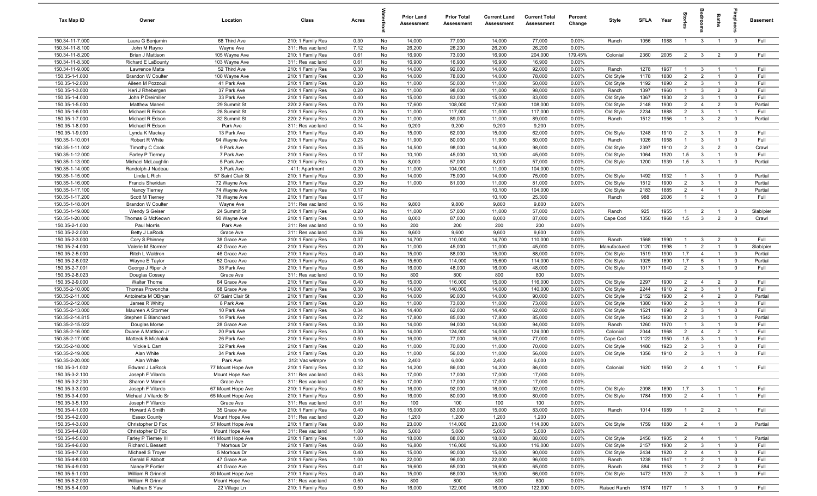| Tax Map ID                         | Owner                                    | Location                        | Class                                  | Acres        |          | <b>Prior Land</b><br>Assessment | <b>Prior Total</b><br>Assessment | <b>Current Land</b><br>Assessment | <b>Current Total</b><br>Assessment | Percent<br>Change | Style                  | SFLA         | Year         |                                  |                                           | Baths                            |                                  | <b>Basement</b> |
|------------------------------------|------------------------------------------|---------------------------------|----------------------------------------|--------------|----------|---------------------------------|----------------------------------|-----------------------------------|------------------------------------|-------------------|------------------------|--------------|--------------|----------------------------------|-------------------------------------------|----------------------------------|----------------------------------|-----------------|
| 150.34-11-7.000                    | Laura G Benjamin                         | 68 Third Ave                    | 210: 1 Family Res                      | 0.30         | No       | 14,000                          | 77,000                           | 14,000                            | 77,000                             | 0.00%             | Ranch                  | 1056         | 1988         | $\overline{1}$                   | $\mathbf{3}$                              | $\overline{1}$                   | $\overline{0}$                   | Full            |
| 150.34-11-8.100                    | John M Rayno                             | Wayne Ave                       | 311: Res vac land                      | 7.12         | No       | 26,200                          | 26,200                           | 26,200                            | 26,200                             | 0.00%             |                        |              |              |                                  |                                           |                                  |                                  |                 |
| 150.34-11-8.200                    | Brian J Mattison                         | 105 Wayne Ave                   | 210: 1 Family Res                      | 0.61         | No       | 16,900                          | 73,000                           | 16,900                            | 204,000                            | 179.45%           | Colonial               | 2360         | 2005         | $\overline{2}$                   | $\overline{\mathbf{3}}$                   | $\overline{2}$                   | $\overline{0}$                   | Full            |
| 150.34-11-8.300                    | Richard E LaBounty                       | 103 Wayne Ave                   | 311: Res vac land                      | 0.61         | No       | 16,900                          | 16,900                           | 16,900                            | 16,900                             | 0.00%             |                        |              |              |                                  |                                           |                                  |                                  |                 |
| 150.34-11-9.000                    | Lawrence Matte                           | 52 Third Ave                    | 210: 1 Family Res                      | 0.30         | No       | 14,000                          | 92,000                           | 14,000                            | 92,000                             | 0.00%             | Ranch                  | 1278         | 1967         | $\mathbf{1}$                     | $\mathbf{3}$                              | $\overline{1}$                   | $\overline{1}$                   | Full            |
| 150.35-1-1.000                     | <b>Brandon W Coulter</b>                 | 100 Wayne Ave                   | 210: 1 Family Res                      | 0.30         | No       | 14,000                          | 78,000                           | 14,000                            | 78,000                             | 0.00%             | Old Style              | 1178         | 1880         | $\overline{2}$                   | $\overline{2}$                            | $\overline{1}$                   | $\mathbf 0$                      | Full            |
| 150.35-1-2.000<br>150.35-1-3.000   | Aileen M Pozzouli<br>Keri J Rhebergen    | 41 Park Ave<br>37 Park Ave      | 210: 1 Family Res<br>210: 1 Family Res | 0.20<br>0.20 | No<br>No | 11,000<br>11,000                | 50,000<br>98,000                 | 11,000<br>11,000                  | 50,000<br>98,000                   | 0.00%<br>0.00%    | Old Style<br>Ranch     | 1192<br>1397 | 1890<br>1960 | $\overline{2}$<br>$\overline{1}$ | $\mathbf{3}$<br>$\mathbf{3}$              | $\overline{1}$<br>$\overline{2}$ | $\mathbf 0$<br>$\mathbf 0$       | Full<br>Full    |
| 150.35-1-4.000                     | John P Dreimiller                        | 33 Park Ave                     | 210: 1 Family Res                      | 0.40         | No       | 15,000                          | 83,000                           | 15,000                            | 83,000                             | 0.00%             | Old Style              | 1367         | 1930         | $\overline{2}$                   | $\mathbf{3}$                              | $\overline{1}$                   | $\mathbf 0$                      | Full            |
| 150.35-1-5.000                     | Matthew Maneri                           | 29 Summit St                    | 220: 2 Family Res                      | 0.70         | No       | 17,600                          | 108,000                          | 17,600                            | 108,000                            | 0.00%             | Old Style              | 2148         | 1900         | $\overline{2}$                   | $\overline{4}$                            | $\overline{2}$                   | $\mathbf 0$                      | Partial         |
| 150.35-1-6.000                     | Michael R Edson                          | 28 Summit St                    | 210: 1 Family Res                      | 0.20         | No       | 11,000                          | 117,000                          | 11,000                            | 117,000                            | 0.00%             | Old Style              | 2234         | 1888         | 2                                | $\overline{3}$                            | $\overline{1}$                   | $\overline{1}$                   | Full            |
| 150.35-1-7.000                     | Michael R Edson                          | 32 Summit St                    | 220: 2 Family Res                      | 0.20         | No       | 11,000                          | 89,000                           | 11,000                            | 89,000                             | 0.00%             | Ranch                  | 1512         | 1956         | $\overline{1}$                   | $\mathbf{3}$                              | 2                                | $\overline{0}$                   | Partial         |
| 150.35-1-8.000                     | Michael R Edson                          | Park Ave                        | 311: Res vac land                      | 0.14         | No       | 9,200                           | 9,200                            | 9,200                             | 9,200                              | 0.00%             |                        |              |              |                                  |                                           |                                  |                                  |                 |
| 150.35-1-9.000                     | Lynda K Mackey                           | 13 Park Ave                     | 210: 1 Family Res                      | 0.40         | No       | 15,000                          | 62,000                           | 15,000                            | 62,000                             | 0.00%             | Old Style              | 1248         | 1910         | $\overline{2}$                   | $\mathbf{3}$                              | $\overline{1}$                   | $\mathbf 0$                      | Full            |
| 150.35-1-10.001                    | Robert R White                           | 94 Wayne Ave                    | 210: 1 Family Res                      | 0.23         | No       | 11,900                          | 80,000                           | 11,900                            | 80,000                             | 0.00%             | Ranch                  | 1026         | 1958         | $\overline{1}$                   | 3                                         | $\overline{1}$                   | $\mathbf 0$                      | Full            |
| 150.35-1-11.002                    | Timothy C Cook                           | 9 Park Ave                      | 210: 1 Family Res                      | 0.35         | No       | 14,500                          | 98,000                           | 14,500                            | 98,000                             | 0.00%             | Old Style              | 2397         | 1910         | $\overline{2}$                   | $\mathbf{3}$                              | $\overline{2}$                   | $\mathbf 0$                      | Crawl           |
| 150.35-1-12.000                    | Farley P Tierney                         | 7 Park Ave                      | 210: 1 Family Res                      | 0.17         | No       | 10,100                          | 45,000                           | 10,100                            | 45,000                             | 0.00%             | Old Style              | 1064         | 1920         | 1.5                              | 3                                         |                                  | $\mathbf 0$                      | Full            |
| 150.35-1-13.000                    | Michael McLaughlin                       | 5 Park Ave                      | 210: 1 Family Res                      | 0.10         | No       | 8,000                           | 57,000                           | 8,000                             | 57,000                             | 0.00%             | Old Style              | 1200         | 1939         | 1.5                              | $\mathbf{3}$                              | $\overline{1}$                   | $\overline{0}$                   | Partial         |
| 150.35-1-14.000                    | Randolph J Nadeau                        | 3 Park Ave                      | 411: Apartment                         | 0.20         | No       | 11,000                          | 104,000                          | 11,000                            | 104,000                            | 0.00%             |                        |              |              |                                  |                                           |                                  |                                  |                 |
| 150.35-1-15.000                    | Linda L Rich                             | 57 Saint Clair St               | 210: 1 Family Res                      | 0.30         | No       | 14,000                          | 75,000                           | 14,000                            | 75,000                             | 0.00%             | Old Style              | 1492         | 1932         | $\mathbf{1}$                     | $\overline{3}$                            | $\overline{1}$                   | $\overline{0}$                   | Partial         |
| 150.35-1-16.000                    | <b>Francis Sheridan</b>                  | 72 Wayne Ave                    | 210: 1 Family Res                      | 0.20         | No       | 11,000                          | 81,000                           | 11,000                            | 81,000                             | 0.00%             | Old Style              | 1512         | 1900<br>1885 | $\overline{2}$                   | $\mathbf{3}$                              | $\overline{1}$                   | $\mathbf 0$                      | Partial         |
| 150.35-1-17.100<br>150.35-1-17.200 | Nancy Tierney<br>Scott M Tierney         | 74 Wayne Ave<br>78 Wayne Ave    | 210: 1 Family Res<br>210: 1 Family Res | 0.17<br>0.17 | No<br>No |                                 |                                  | 10,100<br>10,100                  | 104,000<br>25,300                  |                   | Old Style<br>Ranch     | 2183<br>988  | 2006         | $\overline{2}$<br>$\overline{1}$ | $\overline{4}$<br>$\overline{2}$          | $\overline{1}$<br>$\overline{1}$ | $\mathbf 0$<br>$\mathbf 0$       | Partial<br>Full |
| 150.35-1-18.001                    | <b>Brandon W Coulter</b>                 | Wayne Ave                       | 311: Res vac land                      | 0.16         | No       | 9,800                           | 9,800                            | 9,800                             | 9,800                              | 0.00%             |                        |              |              |                                  |                                           |                                  |                                  |                 |
| 150.35-1-19.000                    | Wendy S Geiser                           | 24 Summit St                    | 210: 1 Family Res                      | 0.20         | No       | 11,000                          | 57,000                           | 11,000                            | 57,000                             | 0.00%             | Ranch                  | 925          | 1955         | $\mathbf{1}$                     | $\overline{2}$                            | $\overline{1}$                   | $\mathbf 0$                      | Slab/pier       |
| 150.35-1-20.000                    | Thomas G McKeown                         | 90 Wayne Ave                    | 210: 1 Family Res                      | 0.10         | No       | 8,000                           | 87,000                           | 8,000                             | 87,000                             | 0.00%             | Cape Cod               | 1350         | 1968         | 1.5                              | $\mathbf{3}$                              | $\overline{2}$                   | $\mathbf 0$                      | Crawl           |
| 150.35-2-1.000                     | Paul Morris                              | Park Ave                        | 311: Res vac land                      | 0.10         | No       | 200                             | 200                              | 200                               | 200                                | 0.00%             |                        |              |              |                                  |                                           |                                  |                                  |                 |
| 150.35-2-2.000                     | Betty J LaRock                           | Grace Ave                       | 311: Res vac land                      | 0.26         | No       | 9,600                           | 9,600                            | 9,600                             | 9,600                              | 0.00%             |                        |              |              |                                  |                                           |                                  |                                  |                 |
| 150.35-2-3.000                     | Cory S Phinney                           | 38 Grace Ave                    | 210: 1 Family Res                      | 0.37         | No       | 14,700                          | 110,000                          | 14,700                            | 110,000                            | 0.00%             | Ranch                  | 1568         | 1990         | $\mathbf{1}$                     | $\mathbf{3}$                              | $\overline{2}$                   | $\mathbf 0$                      | Full            |
| 150.35-2-4.000                     | Valerie M Stormer                        | 42 Grace Ave                    | 210: 1 Family Res                      | 0.20         | No       | 11,000                          | 45,000                           | 11,000                            | 45,000                             | 0.00%             | Manufactured           | 1120         | 1998         | $\mathbf{1}$                     | $\overline{2}$                            | $\overline{1}$                   | $^{\circ}$                       | Slab/pier       |
| 150.35-2-5.000                     | Ritch L Waldron                          | 46 Grace Ave                    | 210: 1 Family Res                      | 0.40         | No       | 15,000                          | 88,000                           | 15,000                            | 88,000                             | 0.00%             | Old Style              | 1519         | 1900         | 1.7                              | $\overline{4}$                            | $\overline{1}$                   | $\mathbf 0$                      | Partial         |
| 150.35-2-6.002                     | Wayne E Taylor                           | 52 Grace Ave                    | 210: 1 Family Res                      | 0.46         | No       | 15,600                          | 114,000                          | 15,600                            | 114,000                            | 0.00%             | Old Style              | 1925         | 1890         | 1.7                              | 5                                         | $\overline{1}$                   | $\mathbf 0$                      | Partial         |
| 150.35-2-7.001                     | George J Riper Jr                        | 38 Park Ave                     | 210: 1 Family Res                      | 0.50         | No       | 16,000                          | 48,000                           | 16,000                            | 48,000                             | 0.00%             | Old Style              | 1017         | 1940         | $\overline{2}$                   | $\overline{3}$                            | $\overline{1}$                   | $\overline{0}$                   | Full            |
| 150.35-2-8.023                     | Douglas Cossey                           | Grace Ave                       | 311: Res vac land                      | 0.10         | No       | 800                             | 800                              | 800                               | 800                                | 0.00%             |                        |              |              |                                  |                                           |                                  |                                  |                 |
| 150.35-2-9.000                     | <b>Walter Thorne</b>                     | 64 Grace Ave                    | 210: 1 Family Res                      | 0.40         | No       | 15,000                          | 116,000                          | 15,000                            | 116,000                            | 0.00%             | Old Style              | 2297         | 1900         | $\overline{2}$                   | $\overline{4}$                            | $\overline{2}$                   | $\overline{0}$                   | Full            |
| 150.35-2-10.000                    | Thomas Provoncha                         | 68 Grace Ave                    | 210: 1 Family Res                      | 0.30         | No       | 14,000                          | 140,000                          | 14,000                            | 140,000                            | 0.00%             | Old Style              | 2244         | 1910         | $\overline{2}$                   | $\mathbf{3}$                              | $\overline{1}$                   | $\mathbf 0$                      | Full            |
| 150.35-2-11.000<br>150.35-2-12.000 | Antoinette M OBryan<br>James R Whitty    | 67 Saint Clair St<br>8 Park Ave | 210: 1 Family Res<br>210: 1 Family Res | 0.30<br>0.20 | No<br>No | 14,000<br>11,000                | 90,000<br>73,000                 | 14,000<br>11,000                  | 90,000<br>73,000                   | 0.00%<br>0.00%    | Old Style<br>Old Style | 2152<br>1380 | 1900<br>1900 | 2<br>$\overline{2}$              | $\overline{4}$<br>$\mathbf{3}$            | $\overline{2}$<br>$\overline{1}$ | $\overline{0}$<br>$\mathbf 0$    | Partial<br>Full |
| 150.35-2-13.000                    | Maureen A Stormer                        | 10 Park Ave                     | 210: 1 Family Res                      | 0.34         | No       | 14,400                          | 62,000                           | 14,400                            | 62,000                             | 0.00%             | Old Style              | 1521         | 1890         | $\overline{2}$                   | $\mathbf{3}$                              | $\overline{1}$                   | $\mathbf 0$                      | Full            |
| 150.35-2-14.815                    | Stephen E Blanchard                      | 14 Park Ave                     | 210: 1 Family Res                      | 0.72         | No       | 17,800                          | 85,000                           | 17,800                            | 85,000                             | 0.00%             | Old Style              | 1542         | 1930         | $\overline{2}$                   | $\mathbf{3}$                              | $\overline{1}$                   | $\mathbf 0$                      | Partial         |
| 150.35-2-15.022                    | Douglas Morse                            | 28 Grace Ave                    | 210: 1 Family Res                      | 0.30         | No       | 14,000                          | 94,000                           | 14,000                            | 94,000                             | 0.00%             | Ranch                  | 1260         | 1970         | $\mathbf{1}$                     | $\mathbf{3}$                              | $\overline{1}$                   | $\mathbf 0$                      | Full            |
| 150.35-2-16.000                    | Duane A Mattison Jr                      | 20 Park Ave                     | 210: 1 Family Res                      | 0.30         | No       | 14,000                          | 124,000                          | 14,000                            | 124,000                            | 0.00%             | Colonial               | 2044         | 1968         | $\overline{2}$                   | $\overline{4}$                            | $\overline{2}$                   | $\overline{1}$                   | Full            |
| 150.35-2-17.000                    | Matteck B Michalak                       | 26 Park Ave                     | 210: 1 Family Res                      | 0.50         | No       | 16,000                          | 77,000                           | 16,000                            | 77,000                             | 0.00%             | Cape Cod               | 1122         | 1950         | 1.5                              | 3                                         |                                  | $^{\circ}$                       | Full            |
| 150.35-2-18.000                    | Vickie L Carr                            | 32 Park Ave                     | 210: 1 Family Res                      | 0.20         | No       | 11,000                          | 70,000                           | 11,000                            | 70,000                             | 0.00%             | Old Style              | 1480         | 1923         | $\overline{2}$                   | 3                                         | $\overline{1}$                   | $^{\circ}$                       | Full            |
| 150.35-2-19.000                    | Alan White                               | 34 Park Ave                     | 210: 1 Family Res                      | 0.20         | No       | 11,000                          | 56,000                           | 11,000                            | 56,000                             | 0.00%             | Old Style              | 1356         | 1910         | $\overline{2}$                   | $\mathbf{3}$                              | $\overline{1}$                   | $\Omega$                         | Full            |
| 150.35-2-20.000                    | Alan White                               | Park Ave                        | 312: Vac w/imprv                       | 0.10         | No       | 2,400                           | 6,000                            | 2,400                             | 6,000                              | 0.00%             |                        |              |              |                                  |                                           |                                  |                                  |                 |
| 150.35-3-1.002                     | Edward J LaRock                          | 77 Mount Hope Ave               | 210: 1 Family Res                      | 0.32         | No       | 14,200                          | 86,000                           | 14,200                            | 86,000                             | 0.00%             | Colonial               | 1620         | 1950         | $\overline{2}$                   | $\overline{a}$                            | $\overline{1}$                   |                                  | Full            |
| 150.35-3-2.100                     | Joseph F Vilardo                         | Mount Hope Ave                  | 311: Res vac land                      | 0.63         | No       | 17,000                          | 17,000                           | 17,000                            | 17,000                             | 0.00%             |                        |              |              |                                  |                                           |                                  |                                  |                 |
| 150.35-3-2.200                     | Sharon V Maneri                          | Grace Ave                       | 311: Res vac land                      | 0.62         | No       | 17,000                          | 17,000                           | 17,000                            | 17,000                             | 0.00%             |                        |              |              |                                  |                                           |                                  |                                  |                 |
| 150.35-3-3.000                     | Joseph F Vilardo                         | 67 Mount Hope Ave               | 210: 1 Family Res                      | 0.50         | No       | 16,000                          | 92,000                           | 16,000                            | 92,000                             | 0.00%             | Old Style<br>Old Style | 2098<br>1784 | 1890<br>1900 | 1.7<br>$\overline{2}$            | $\overline{\mathbf{3}}$<br>$\overline{4}$ | $\overline{1}$<br>$\overline{1}$ | $\overline{1}$<br>$\overline{1}$ | Full<br>Full    |
| 150.35-3-4.000<br>150.35-3-5.100   | Michael J Vilardo Sr<br>Joseph F Vilardo | 65 Mount Hope Ave<br>Grace Ave  | 210: 1 Family Res<br>311: Res vac land | 0.50<br>0.01 | No<br>No | 16,000<br>100                   | 80,000<br>100                    | 16,000<br>100                     | 80,000<br>100                      | 0.00%<br>0.00%    |                        |              |              |                                  |                                           |                                  |                                  |                 |
| 150.35-4-1.000                     | Howard A Smith                           | 35 Grace Ave                    | 210: 1 Family Res                      | 0.40         | No       | 15,000                          | 83,000                           | 15,000                            | 83,000                             | 0.00%             | Ranch                  | 1014         | 1989         | $\overline{1}$                   | 2 2                                       |                                  | $\overline{1}$                   | Full            |
| 150.35-4-2.000                     | <b>Essex County</b>                      | Mount Hope Ave                  | 311: Res vac land                      | 0.20         | No       | 1,200                           | 1,200                            | 1,200                             | 1,200                              | 0.00%             |                        |              |              |                                  |                                           |                                  |                                  |                 |
| 150.35-4-3.000                     | Christopher D Fox                        | 57 Mount Hope Ave               | 210: 1 Family Res                      | 0.80         | No       | 23,000                          | 114,000                          | 23,000                            | 114,000                            | 0.00%             | Old Style              | 1759         | 1880         | $\overline{2}$                   | $\overline{4}$                            | $\sim$ 1                         | $\overline{\mathbf{0}}$          | Partial         |
| 150.35-4-4.000                     | Christopher D Fox                        | Mount Hope Ave                  | 311: Res vac land                      | 1.00         | No       | 5,000                           | 5,000                            | 5,000                             | 5,000                              | 0.00%             |                        |              |              |                                  |                                           |                                  |                                  |                 |
| 150.35-4-5.000                     | Farley P Tierney III                     | 41 Mount Hope Ave               | 210: 1 Family Res                      | 1.00         | No       | 18,000                          | 88,000                           | 18,000                            | 88,000                             | 0.00%             | Old Style              | 2456         | 1905         | $\overline{2}$                   | $\overline{4}$                            | $\overline{1}$                   | $\overline{1}$                   | Partial         |
| 150.35-4-6.000                     | Richard L Bessett                        | 7 Morhous Dr                    | 210: 1 Family Res                      | 0.60         | No       | 16,800                          | 116,000                          | 16,800                            | 116,000                            | 0.00%             | Old Style              | 2157         | 1900         | $\overline{2}$                   | $\overline{3}$                            | $\overline{1}$                   | $\overline{0}$                   | Full            |
| 150.35-4-7.000                     | Michaell S Troyer                        | 5 Morhous Dr                    | 210: 1 Family Res                      | 0.40         | No       | 15,000                          | 90,000                           | 15,000                            | 90,000                             | 0.00%             | Old Style              | 2434         | 1920         | $\overline{2}$                   | $\overline{4}$                            | $\overline{1}$                   | $\overline{0}$                   | Full            |
| 150.35-4-8.000                     | Gerald E Abbott                          | 47 Grace Ave                    | 210: 1 Family Res                      | 1.00         | No       | 22,000                          | 96,000                           | 22,000                            | 96,000                             | 0.00%             | Ranch                  | 1238         | 1947         | $\overline{1}$                   | $\overline{2}$                            | $\overline{1}$                   | $\mathbf 0$                      | Full            |
| 150.35-4-9.000                     | Nancy P Fortier                          | 41 Grace Ave                    | 210: 1 Family Res                      | 0.41         | No       | 16,600                          | 65,000                           | 16,600                            | 65,000                             | 0.00%             | Ranch                  | 884          | 1953         | $\overline{1}$                   | $\overline{2}$                            | $\overline{2}$                   | $\overline{0}$                   | Full            |
| 150.35-5-1.000                     | William R Grinnell                       | 80 Mount Hope Ave               | 210: 1 Family Res                      | 0.40         | No       | 15,000                          | 66,000                           | 15,000                            | 66,000                             | 0.00%             | Old Style              | 1472         | 1920         | $\overline{2}$                   | $\mathbf{3}$                              | $\overline{1}$                   | $\mathbf 0$                      | Full            |
| 150.35-5-2.000                     | William R Grinnell                       | Mount Hope Ave                  | 311: Res vac land                      | 0.50         | No       | 800                             | 800                              | 800                               | 800                                | 0.00%             |                        |              |              |                                  |                                           |                                  |                                  |                 |
| 150.35-5-4.000                     | Nathan S Yaw                             | 22 Village Ln                   | 210: 1 Family Res                      | 0.50         | No       | 16,000                          | 122,000                          | 16,000                            | 122,000                            | 0.00%             | Raised Ranch           | 1874         | 1977         | $\overline{1}$                   | $\overline{\mathbf{3}}$                   | $\overline{1}$                   | $\overline{0}$                   | Full            |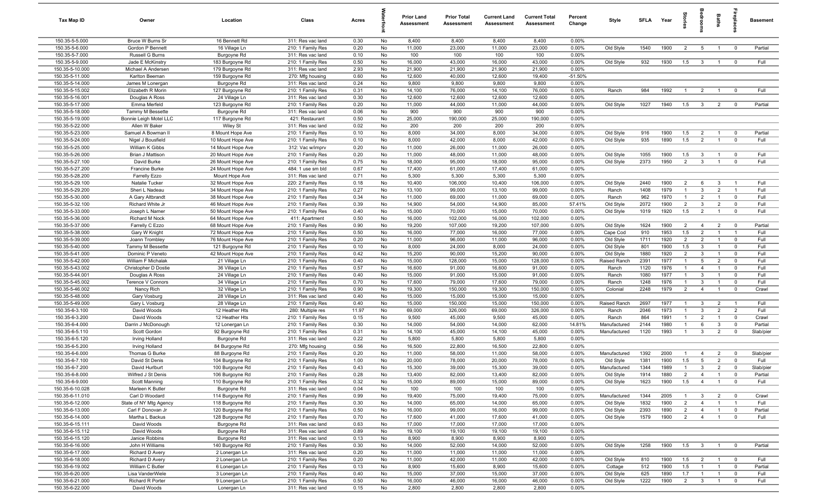| Tax Map ID                         | Owner                                          | Location                               | Class                                  | Acres        |          | <b>Prior Land</b><br>Assessment | <b>Prior Total</b><br>Assessment | <b>Current Land</b><br>Assessment | <b>Current Total</b><br>Assessment | Percent<br>Change  | Style                | <b>SFLA</b> | Year         | 흨              | eroo                           | Baths                            | repla                            | <b>Basement</b> |
|------------------------------------|------------------------------------------------|----------------------------------------|----------------------------------------|--------------|----------|---------------------------------|----------------------------------|-----------------------------------|------------------------------------|--------------------|----------------------|-------------|--------------|----------------|--------------------------------|----------------------------------|----------------------------------|-----------------|
| 150.35-5-5.000                     | Bruce W Burns Sr                               | 16 Bennett Rd                          | 311: Res vac land                      | 0.30         | No       | 8,400                           | 8,400                            | 8,400                             | 8,400                              | 0.00%              |                      |             |              |                |                                |                                  |                                  |                 |
| 150.35-5-6.000                     | Gordon P Bennett                               | 16 Village Ln                          | 210: 1 Family Res                      | 0.20         | No       | 11,000                          | 23,000                           | 11,000                            | 23,000                             | 0.00%              | Old Style            | 1540        | 1900         | 2              | 5                              | $\overline{1}$                   | $^{\circ}$                       | Partial         |
| 150.35-5-7.000                     | Russell G Burns                                | Burgoyne Rd                            | 311: Res vac land                      | 0.10         | No       | 100                             | 100                              | 100                               | 100                                | 0.00%              |                      |             |              |                |                                |                                  |                                  |                 |
| 150.35-5-9.000                     | Jade E McKinstry                               | 183 Burgoyne Rd                        | 210: 1 Family Res                      | 0.50         | No       | 16,000                          | 43,000                           | 16,000                            | 43,000                             | 0.00%              | Old Style            | 932         | 1930         | 1.5            | $\overline{\mathbf{3}}$        | $\overline{1}$                   | $\overline{0}$                   | Full            |
| 150.35-5-10.000                    | Michael A Andersen                             | 179 Burgoyne Rd                        | 311: Res vac land                      | 2.93         | No       | 21,900                          | 21,900                           | 21,900                            | 21,900                             | 0.00%              |                      |             |              |                |                                |                                  |                                  |                 |
| 150.35-5-11.000<br>150.35-5-14.000 | Karlton Beeman<br>James M Lonergan             | 159 Burgoyne Rd                        | 270: Mfg housing<br>311: Res vac land  | 0.60<br>0.24 | No<br>No | 12,600<br>9,800                 | 40,000<br>9,800                  | 12,600<br>9,800                   | 19,400<br>9,800                    | $-51.50%$<br>0.00% |                      |             |              |                |                                |                                  |                                  |                 |
| 150.35-5-15.002                    | Elizabeth R Morin                              | Burgoyne Rd<br>127 Burgoyne Rd         | 210: 1 Family Res                      | 0.31         | No       | 14,100                          | 76,000                           | 14,100                            | 76,000                             | 0.00%              | Ranch                | 984         | 1992         | $\mathbf{1}$   | $\overline{2}$                 | $\overline{1}$                   | $\Omega$                         | Full            |
| 150.35-5-16.001                    | Douglas A Ross                                 | 24 Village Ln                          | 311: Res vac land                      | 0.30         | No       | 12,600                          | 12,600                           | 12,600                            | 12,600                             | 0.00%              |                      |             |              |                |                                |                                  |                                  |                 |
| 150.35-5-17.000                    | Emma Merfeld                                   | 123 Burgoyne Rd                        | 210: 1 Family Res                      | 0.20         | No       | 11,000                          | 44,000                           | 11,000                            | 44,000                             | 0.00%              | Old Style            | 1027        | 1940         | 1.5            | $\mathbf{3}$                   | $\overline{2}$                   | $\overline{0}$                   | Partial         |
| 150.35-5-18.000                    | Tammy M Bessette                               | Burgoyne Rd                            | 311: Res vac land                      | 0.06         | No       | 900                             | 900                              | 900                               | 900                                | 0.00%              |                      |             |              |                |                                |                                  |                                  |                 |
| 150.35-5-19.000                    | Bonnie Leigh Motel LLC                         | 117 Burgoyne Rd                        | 421: Restaurant                        | 0.50         | No       | 25,000                          | 190,000                          | 25,000                            | 190,000                            | 0.00%              |                      |             |              |                |                                |                                  |                                  |                 |
| 150.35-5-22.000                    | Allen W Baker                                  | Wiley St                               | 311: Res vac land                      | 0.02         | No       | 200                             | 200                              | 200                               | 200                                | 0.00%              |                      |             |              |                |                                |                                  |                                  |                 |
| 150.35-5-23.000                    | Samuel A Bowman II                             | 8 Mount Hope Ave                       | 210: 1 Family Res                      | 0.10         | No       | 8,000                           | 34,000                           | 8,000                             | 34,000                             | 0.00%              | Old Style            | 916         | 1900         | 1.5            | $\overline{2}$                 | $\overline{1}$                   | $\overline{0}$                   | Partial         |
| 150.35-5-24.000                    | Nigel J Bousfield                              | 10 Mount Hope Ave                      | 210: 1 Family Res                      | 0.10         | No       | 8,000                           | 42,000                           | 8,000                             | 42,000                             | 0.00%              | Old Style            | 935         | 1890         | 1.5            | $\overline{2}$                 | $\overline{1}$                   | $\mathbf{0}$                     | Full            |
| 150.35-5-25.000                    | William K Gibbs                                | 14 Mount Hope Ave                      | 312: Vac w/imprv                       | 0.20         | No       | 11,000                          | 26,000                           | 11,000                            | 26,000                             | 0.00%              |                      |             |              |                |                                |                                  |                                  |                 |
| 150.35-5-26.000                    | Brian J Mattison                               | 20 Mount Hope Ave                      | 210: 1 Family Res                      | 0.20         | No       | 11,000                          | 48,000                           | 11,000                            | 48,000                             | 0.00%              | Old Style            | 1055        | 1900         | 1.5            | $\mathbf{3}$                   | $\overline{1}$                   | $\overline{0}$                   | Full            |
| 150.35-5-27.100                    | David Burke                                    | 26 Mount Hope Ave                      | 210: 1 Family Res                      | 0.75         | No       | 18,000                          | 95,000                           | 18,000                            | 95,000                             | 0.00%              | Old Style            | 2373        | 1950         | $\overline{2}$ | $\overline{3}$                 | $\overline{1}$                   | $\mathbf 0$                      | Full            |
| 150.35-5-27.200                    | Francine Burke                                 | 24 Mount Hope Ave                      | 484: 1 use sm bld                      | 0.67         | No       | 17,400                          | 61,000                           | 17,400                            | 61,000                             | 0.00%              |                      |             |              |                |                                |                                  |                                  |                 |
| 150.35-5-28.200                    | Farrelly Ezzo                                  | Mount Hope Ave                         | 311: Res vac land                      | 0.71         | No       | 5,300                           | 5,300                            | 5,300                             | 5,300                              | 0.00%              |                      |             |              |                |                                |                                  |                                  |                 |
| 150.35-5-29.100                    | Natalie Tucker                                 | 32 Mount Hope Ave                      | 220: 2 Family Res                      | 0.18         | No       | 10,400                          | 106,000                          | 10,400                            | 106,000                            | 0.00%              | Old Style            | 2440        | 1900         | 2              | 6                              | $\mathbf{3}$                     | $\overline{1}$                   | Full            |
| 150.35-5-29.200                    | Sheri L Nadeau                                 | 34 Mount Hope Ave                      | 210: 1 Family Res                      | 0.27         | No       | 13,100                          | 99,000                           | 13,100                            | 99,000                             | 0.00%              | Ranch                | 1408        | 1979         | $\mathbf{1}$   | $\mathbf{3}$                   | $\overline{2}$                   | $\overline{1}$                   | Full            |
| 150.35-5-30.000                    | A Gary Altbrandt                               | 38 Mount Hope Ave                      | 210: 1 Family Res                      | 0.34         | No       | 11,000                          | 69,000                           | 11,000                            | 69,000                             | 0.00%              | Ranch                | 962         | 1970         | $\mathbf{1}$   | $\overline{2}$                 | $\overline{1}$                   | $\overline{0}$                   | Full            |
| 150.35-5-32.100                    | Richard White Jr                               | 46 Mount Hope Ave                      | 210: 1 Family Res                      | 0.39         | No       | 14,900                          | 54,000                           | 14,900                            | 85,000                             | 57.41%             | Old Style            | 2072        | 1900         | $\overline{2}$ | $\mathbf{3}$                   | 2                                | $\overline{0}$                   | Full            |
| 150.35-5-33.000<br>150.35-5-36.000 | Joseph L Namer                                 | 50 Mount Hope Ave                      | 210: 1 Family Res                      | 0.40<br>0.50 | No<br>No | 15,000<br>16,000                | 70,000                           | 15,000                            | 70,000<br>102,000                  | 0.00%<br>0.00%     | Old Style            | 1019        | 1920         | 1.5            | $\overline{2}$                 | $\overline{1}$                   | $\mathbf{0}$                     | Full            |
| 150.35-5-37.000                    | Richard M Nock<br>Farrelly C Ezzo              | 64 Mount Hope Ave<br>68 Mount Hope Ave | 411: Apartment<br>210: 1 Family Res    | 0.90         | No       | 19,200                          | 102,000<br>107,000               | 16,000<br>19,200                  | 107,000                            | 0.00%              | Old Style            | 1624        | 1900         | $\overline{2}$ | $\overline{4}$                 | $\overline{2}$                   | $\overline{0}$                   | Partial         |
| 150.35-5-38.000                    | Gary W Knight                                  | 72 Mount Hope Ave                      | 210: 1 Family Res                      | 0.50         | No       | 16,000                          | 77,000                           | 16,000                            | 77,000                             | 0.00%              | Cape Cod             | 910         | 1953         | 1.5            | $\overline{2}$                 | $\overline{1}$                   | $\overline{1}$                   | Full            |
| 150.35-5-39.000                    | Joann Trombley                                 | 76 Mount Hope Ave                      | 210: 1 Family Res                      | 0.20         | No       | 11,000                          | 96,000                           | 11,000                            | 96,000                             | 0.00%              | Old Style            | 1711        | 1920         | $\overline{2}$ | $\overline{2}$                 | $\overline{1}$                   | $\mathbf 0$                      | Full            |
| 150.35-5-40.000                    | Tammy M Bessette                               | 121 Burgoyne Rd                        | 210: 1 Family Res                      | 0.10         | No       | 8,000                           | 24,000                           | 8,000                             | 24,000                             | 0.00%              | Old Style            | 801         | 1900         | 1.5            | $\mathbf{3}$                   | $\overline{1}$                   | $\mathbf 0$                      | Full            |
| 150.35-5-41.000                    | Dominic P Veneto                               | 42 Mount Hope Ave                      | 210: 1 Family Res                      | 0.42         | No       | 15,200                          | 90,000                           | 15,200                            | 90,000                             | 0.00%              | Old Style            | 1880        | 1920         | $\overline{2}$ | $\mathbf{3}$                   | $\overline{1}$                   | $\mathbf 0$                      | Full            |
| 150.35-5-42.000                    | William F Michalak                             | 21 Village Ln                          | 210: 1 Family Res                      | 0.40         | No       | 15,000                          | 128,000                          | 15,000                            | 128,000                            | 0.00%              | Raised Ranch         | 2391        | 1977         | $\mathbf{1}$   | $5\overline{5}$                | $\overline{2}$                   | $\Omega$                         | Full            |
| 150.35-5-43.002                    | Christopher D Dostie                           | 36 Village Ln                          | 210: 1 Family Res                      | 0.57         | No       | 16,600                          | 91,000                           | 16,600                            | 91,000                             | 0.00%              | Ranch                | 1120        | 1976         | $\mathbf{1}$   | $\overline{4}$                 | $\overline{1}$                   | $\Omega$                         | Full            |
| 150.35-5-44.001                    | Douglas A Ross                                 | 24 Village Ln                          | 210: 1 Family Res                      | 0.40         | No       | 15,000                          | 91,000                           | 15,000                            | 91,000                             | 0.00%              | Ranch                | 1080        | 1977         | $\mathbf{1}$   | $\mathbf{3}$                   | $\overline{1}$                   | $\Omega$                         | Full            |
| 150.35-5-45.002                    | Terence V Connors                              | 34 Village Ln                          | 210: 1 Family Res                      | 0.70         | No       | 17,600                          | 79,000                           | 17,600                            | 79,000                             | 0.00%              | Ranch                | 1248        | 1976         | $\overline{1}$ | $\mathbf{3}$                   | $\overline{1}$                   | $\overline{0}$                   | Full            |
| 150.35-5-46.002                    | Nancy Rich                                     | 32 Village Ln                          | 210: 1 Family Res                      | 0.90         | No       | 19,300                          | 150,000                          | 19,300                            | 150,000                            | 0.00%              | Colonial             | 2248        | 1979         | $\overline{2}$ | $\overline{4}$                 | $\overline{1}$                   | $\overline{0}$                   | Crawl           |
| 150.35-5-48.000                    | Gary Vosburg                                   | 28 Village Ln                          | 311: Res vac land                      | 0.40         | No       | 15,000                          | 15,000                           | 15,000                            | 15,000                             | 0.00%              |                      |             |              |                |                                |                                  |                                  |                 |
| 150.35-5-49.000                    | Gary L Vosburg                                 | 28 Village Ln                          | 210: 1 Family Res                      | 0.40         | No       | 15,000                          | 150,000                          | 15,000                            | 150,000                            | 0.00%              | Raised Ranch         | 2697        | 1977         | $\overline{1}$ | $\mathbf{3}$                   | $\overline{2}$                   | $\overline{1}$                   | Full            |
| 150.35-6-3.100                     | David Woods                                    | 12 Heather Hts                         | 280: Multiple res                      | 11.97        | No       | 69,000                          | 326,000                          | 69,000                            | 326,000                            | 0.00%              | Ranch                | 2046        | 1973         | $\mathbf{1}$   | $\mathbf{3}$                   | $\overline{2}$                   | $\overline{2}$                   | Full            |
| 150.35-6-3.200                     | David Woods                                    | 12 Heather Hts                         | 210: 1 Family Res                      | 0.15         | No       | 9,500                           | 45,000                           | 9,500                             | 45,000                             | 0.00%              | Ranch                | 864         | 1991         | $\overline{1}$ | $\overline{2}$                 | $\overline{1}$                   | $\overline{0}$                   | Crawl           |
| 150.35-6-4.000                     | Darrin J McDonough                             | 12 Lonergan Ln                         | 210: 1 Family Res                      | 0.30         | No       | 14,000                          | 54,000                           | 14,000                            | 62,000                             | 14.81%             | Manufactured         | 2144        | 1980         | $\overline{1}$ | 6                              | 3                                | $\mathbf 0$                      | Partial         |
| 150.35-6-5.110                     | Scott Gordon                                   | 92 Burgoyne Rd                         | 210: 1 Family Res                      | 0.31         | No       | 14,100                          | 45,000                           | 14,100                            | 45,000                             | 0.00%              | Manufactured         | 1120        | 1993         | $\overline{1}$ | $\mathbf{3}$                   | $\overline{2}$                   | $\mathbf 0$                      | Slab/pier       |
| 150.35-6-5.120<br>150.35-6-5.200   | <b>Irving Holland</b><br><b>Irving Holland</b> | Burgoyne Rd<br>84 Burgoyne Rd          | 311: Res vac land<br>270: Mfg housing  | 0.22<br>0.56 | No<br>No | 5,800<br>16,500                 | 5,800<br>22,800                  | 5,800<br>16,500                   | 5,800<br>22,800                    | 0.00%<br>0.00%     |                      |             |              |                |                                |                                  |                                  |                 |
| 150.35-6-6.000                     | Thomas G Burke                                 | 88 Burgoyne Rd                         | 210: 1 Family Res                      | 0.20         | No       | 11,000                          | 58,000                           | 11,000                            | 58,000                             | 0.00%              | Manufactured         | 1392        | 2000         |                | -4                             | 2                                | $\Omega$                         | Slab/pier       |
| 150.35-6-7.100                     | David St Denis                                 | 104 Burgoyne Rd                        | 210: 1 Family Res                      | 1.00         | No       | 20,000                          | 78,000                           | 20,000                            | 78,000                             | 0.00%              | Old Style            | 1381        | 1900         | 1.5            | 5                              | $\overline{2}$                   | $\Omega$                         | Full            |
| 150.35-6-7.200                     | David Hurlburt                                 | 100 Burgoyne Rd                        | 210: 1 Family Res                      | 0.43         | No       | 15,300                          | 39,000                           | 15,300                            | 39,000                             | 0.00%              | Manufactured         | 1344        | 1989         |                | $\mathbf{r}$                   |                                  |                                  | Slab/pier       |
| 150.35-6-8.000                     | Wilfred J St Denis                             | 106 Burgoyne Rd                        | 210: 1 Family Res                      | 0.28         | No       | 13,400                          | 82,000                           | 13,400                            | 82,000                             | 0.00%              | Old Style            | 1914        | 1880         | $\overline{2}$ | $\overline{4}$                 | $\overline{1}$                   | $\overline{0}$                   | Partial         |
| 150.35-6-9.000                     | Scott Manning                                  | 110 Burgoyne Rd                        | 210: 1 Family Res                      | 0.32         | No       | 15,000                          | 89,000                           | 15,000                            | 89,000                             | 0.00%              | Old Style            | 1623        | 1900         | 1.5            | $\overline{4}$                 | $\overline{1}$                   | $\mathbf 0$                      | Full            |
| 150.35-6-10.028                    | Marleen K Butler                               | Burgoyne Rd                            | 311: Res vac land                      | 0.04         | No       | 100                             | 100                              | 100                               | 100                                | 0.00%              |                      |             |              |                |                                |                                  |                                  |                 |
| 150.35-6-11.010                    | Carl D Woodard                                 | 114 Burgoyne Rd                        | 210: 1 Family Res                      | 0.99         | No       | 19,400                          | 75,000                           | 19,400                            | 75,000                             | 0.00%              | Manufactured         | 1344        | 2005         | $\overline{1}$ | $\overline{3}$                 | $\overline{2}$                   | $\overline{\mathbf{0}}$          | Crawl           |
| 150.35-6-12.000                    | State of NY Mtg Agency                         | 118 Burgoyne Rd                        | 210: 1 Family Res                      | 0.30         | No       | 14,000                          | 65,000                           | 14,000                            | 65,000                             | 0.00%              | Old Style            | 1832        | 1900         | $\overline{2}$ | $\overline{4}$                 | $\overline{1}$                   | $\overline{1}$                   | Full            |
| 150.35-6-13.000                    | Carl F Donovan Jr                              | 120 Burgoyne Rd                        | 210: 1 Family Res                      | 0.50         | No       | 16,000                          | 99,000                           | 16,000                            | 99,000                             | 0.00%              | Old Style            | 2393        | 1890         | $\overline{2}$ | $\overline{4}$                 | $\overline{1}$                   | $\overline{0}$                   | Partial         |
| 150.35-6-14.000                    | Martha L Backus                                | 128 Burgoyne Rd                        | 210: 1 Family Res                      | 0.70         | No       | 17,600                          | 41,000                           | 17,600                            | 41,000                             | 0.00%              | Old Style            | 1579        | 1900         | $\overline{2}$ | $\overline{4}$                 | $\overline{1}$                   | $\mathbf 0$                      | Full            |
| 150.35-6-15.111                    | David Woods                                    | Burgoyne Rd                            | 311: Res vac land                      | 0.63         | No       | 17,000                          | 17,000                           | 17,000                            | 17,000                             | 0.00%              |                      |             |              |                |                                |                                  |                                  |                 |
| 150.35-6-15.112                    | David Woods                                    | Burgoyne Rd                            | 311: Res vac land                      | 0.89         | No       | 19,100                          | 19,100                           | 19,100                            | 19,100                             | 0.00%              |                      |             |              |                |                                |                                  |                                  |                 |
| 150.35-6-15.120                    | Janice Robbins                                 | Burgoyne Rd                            | 311: Res vac land                      | 0.13         | No       | 8,900                           | 8,900                            | 8,900                             | 8,900                              | 0.00%              |                      |             |              |                |                                |                                  |                                  |                 |
| 150.35-6-16.000                    | John H Williams                                | 140 Burgoyne Rd                        | 210: 1 Family Res                      | 0.30         | No       | 14,000                          | 52,000                           | 14,000                            | 52,000                             | 0.00%              | Old Style            | 1258        | 1900         | 1.5            | $\mathbf{3}$                   |                                  | $\mathbf 0$                      | Partial         |
| 150.35-6-17.000                    | Richard D Avery                                | 2 Lonergan Ln                          | 311: Res vac land                      | 0.20         | No       | 11,000                          | 11,000                           | 11,000                            | 11,000                             | 0.00%              |                      |             |              |                |                                |                                  |                                  |                 |
| 150.35-6-18.000                    | Richard D Avery                                | 2 Lonergan Ln                          | 210: 1 Family Res                      | 0.20         | No       | 11,000                          | 42,000                           | 11,000                            | 42,000                             | 0.00%<br>0.00%     | Old Style            | 810         | 1900         | 1.5            | $\overline{2}$                 | $\overline{1}$<br>$\overline{1}$ | $\overline{0}$                   | Full            |
| 150.35-6-19.002<br>150.35-6-20.000 | William C Butler<br>Lisa VanderWiele           | 6 Lonergan Ln<br>3 Lonergan Ln         | 210: 1 Family Res<br>210: 1 Family Res | 0.13<br>0.40 | No<br>No | 8,900<br>15,000                 | 15,600<br>37,000                 | 8,900<br>15,000                   | 15,600<br>37,000                   | 0.00%              | Cottage<br>Old Style | 512<br>625  | 1900<br>1890 | 1.5<br>1.7     | $\mathbf{1}$<br>$\overline{1}$ | $\overline{1}$                   | $\overline{0}$<br>$\overline{0}$ | Partial<br>Full |
| 150.35-6-21.000                    | <b>Richard R Porter</b>                        | 9 Lonergan Ln                          | 210: 1 Family Res                      | 0.50         | No       | 16,000                          | 46,000                           | 16,000                            | 46,000                             | 0.00%              | Old Style            | 1222        | 1900         | $\overline{2}$ | $\overline{3}$                 | $\overline{1}$                   | $\overline{0}$                   | Full            |
| 150.35-6-22.000                    | David Woods                                    | Lonergan Ln                            | 311: Res vac land                      | 0.15         | No       | 2,800                           | 2,800                            | 2,800                             | 2,800                              | 0.00%              |                      |             |              |                |                                |                                  |                                  |                 |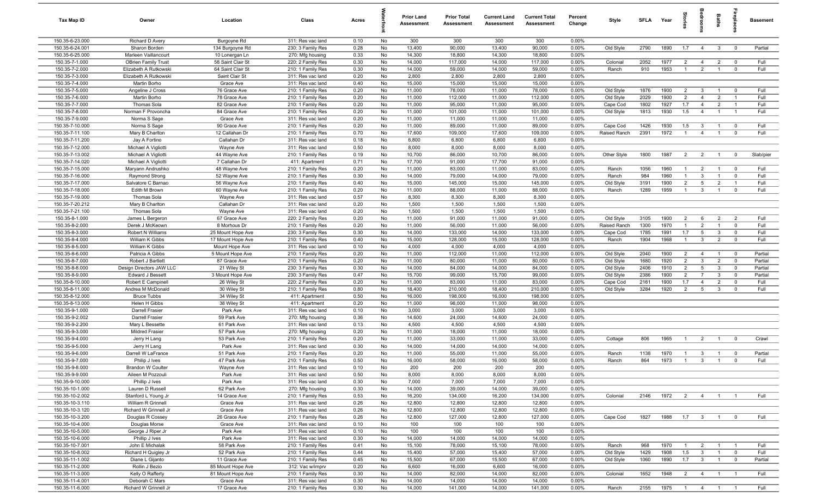| Tax Map ID                         | Owner                                   | Location                   | Class                                  | Acres        |          | <b>Prior Land</b><br>Assessment | <b>Prior Total</b><br><b>Assessment</b> | <b>Current Land</b><br>Assessment | <b>Current Total</b><br>Assessment | Percent<br>Change | Style        | SFI A        | Year         | tories                           |                         | Baths                            | erdeu            | <b>Basement</b> |
|------------------------------------|-----------------------------------------|----------------------------|----------------------------------------|--------------|----------|---------------------------------|-----------------------------------------|-----------------------------------|------------------------------------|-------------------|--------------|--------------|--------------|----------------------------------|-------------------------|----------------------------------|------------------|-----------------|
| 150.35-6-23.000                    | Richard D Avery                         | Burgoyne Rd                | 311: Res vac land                      | 0.10         | No       | 300                             | 300                                     | 300                               | 300                                | 0.00%             |              |              |              |                                  |                         |                                  |                  |                 |
| 150.35-6-24.001                    | Sharon Borden                           | 134 Burgoyne Rd            | 230: 3 Family Res                      | 0.28         | No       | 13,400                          | 90,000                                  | 13,400                            | 90,000                             | 0.00%             | Old Style    | 2790         | 1890         | 1.7                              | $\overline{4}$          | $\mathbf{3}$                     | $\overline{0}$   | Partial         |
| 150.35-6-25.000                    | Marleen Vaillancourt                    | 10 Lonergan Ln             | 270: Mfg housing                       | 0.33         | No       | 14,300                          | 18,800                                  | 14,300                            | 18,800                             | 0.00%             |              |              |              |                                  |                         |                                  |                  |                 |
| 150.35-7-1.000                     | <b>OBrien Family Trust</b>              | 58 Saint Clair St          | 220: 2 Family Res                      | 0.30         | No       | 14,000                          | 117,000                                 | 14,000                            | 117,000                            | 0.00%             | Colonial     | 2052         | 1977         | $\overline{2}$                   | $\overline{4}$          | $\overline{2}$                   | $^{\circ}$       | Full            |
| 150.35-7-2.000                     | Elizabeth A Rutkowski                   | 64 Saint Clair St          | 210: 1 Family Res                      | 0.30         | No       | 14,000                          | 59,000                                  | 14,000                            | 59,000                             | 0.00%             | Ranch        | 910          | 1953         | $\overline{1}$                   | $\overline{2}$          | $\mathbf{1}$                     | $\mathbf 0$      | Full            |
| 150.35-7-3.000                     | Elizabeth A Rutkowski                   | Saint Clair St             | 311: Res vac land                      | 0.20         | No       | 2,800                           | 2,800                                   | 2,800                             | 2,800                              | 0.00%             |              |              |              |                                  |                         |                                  |                  |                 |
| 150.35-7-4.000<br>150.35-7-5.000   | Martin Borho                            | Grace Ave<br>76 Grace Ave  | 311: Res vac land<br>210: 1 Family Res | 0.40<br>0.20 | No<br>No | 15,000<br>11,000                | 15,000<br>78,000                        | 15,000<br>11,000                  | 15,000<br>78,000                   | 0.00%<br>0.00%    | Old Style    | 1876         | 1900         | $\overline{2}$                   | $\mathbf{3}$            | $\overline{1}$                   | $^{\circ}$       | Full            |
| 150.35-7-6.000                     | Angeline J Cross<br>Martin Borho        | 78 Grace Ave               | 210: 1 Family Res                      | 0.20         | No       | 11,000                          | 112,000                                 | 11,000                            | 112,000                            | 0.00%             | Old Style    | 2029         | 1900         | $\overline{2}$                   | $\overline{4}$          | $\overline{2}$                   | $\overline{1}$   | Full            |
| 150.35-7-7.000                     | Thomas Sola                             | 82 Grace Ave               | 210: 1 Family Res                      | 0.20         | No       | 11,000                          | 95,000                                  | 11,000                            | 95,000                             | 0.00%             | Cape Cod     | 1802         | 1927         | 1.7                              | $\overline{4}$          | $\overline{2}$                   | $\overline{1}$   | Full            |
| 150.35-7-8.000                     | Norman F Provoncha                      | 84 Grace Ave               | 210: 1 Family Res                      | 0.20         | No       | 11,000                          | 101,000                                 | 11,000                            | 101,000                            | 0.00%             | Old Style    | 1813         | 1930         | 1.5                              | $\overline{4}$          | $\mathbf{1}$                     | $\overline{1}$   | Full            |
| 150.35-7-9.000                     | Norma S Sage                            | Grace Ave                  | 311: Res vac land                      | 0.20         | No       | 11,000                          | 11,000                                  | 11,000                            | 11,000                             | 0.00%             |              |              |              |                                  |                         |                                  |                  |                 |
| 150.35-7-10.000                    | Norma S Sage                            | 90 Grace Ave               | 210: 1 Family Res                      | 0.20         | No       | 11,000                          | 89,000                                  | 11,000                            | 89,000                             | 0.00%             | Cape Cod     | 1426         | 1930         | 1.5                              | $\mathbf{3}$            | $\overline{1}$                   | $\overline{0}$   | Full            |
| 150.35-7-11.100                    | Mary B Charlton                         | 12 Callahan Dr             | 210: 1 Family Res                      | 0.70         | No       | 17,600                          | 109,000                                 | 17,600                            | 109,000                            | 0.00%             | Raised Ranch | 2391         | 1972         | $\overline{1}$                   | $\overline{4}$          | $\overline{1}$                   | $\mathbf 0$      | Full            |
| 150.35-7-11.200                    | Jay A Fortino                           | Callahan Dr                | 311: Res vac land                      | 0.18         | No       | 6,800                           | 6,800                                   | 6,800                             | 6,800                              | 0.00%             |              |              |              |                                  |                         |                                  |                  |                 |
| 150.35-7-12.000                    | Michael A Vigliotti                     | Wayne Ave                  | 311: Res vac land                      | 0.50         | No       | 8,000                           | 8,000                                   | 8,000                             | 8,000                              | 0.00%             |              |              |              |                                  |                         |                                  |                  |                 |
| 150.35-7-13.002                    | Michael A Vigliotti                     | 44 Wayne Ave               | 210: 1 Family Res                      | 0.19         | No       | 10,700                          | 86,000                                  | 10,700                            | 86,000                             | 0.00%             | Other Style  | 1800         | 1987         | $\overline{2}$                   | $\overline{2}$          | $\overline{1}$                   | $\mathbf 0$      | Slab/pier       |
| 150.35-7-14.020                    | Michael A Vigliotti                     | 7 Callahan Dr              | 411: Apartment                         | 0.71         | No       | 17,700                          | 91,000                                  | 17,700                            | 91,000                             | 0.00%             |              |              |              |                                  |                         |                                  |                  |                 |
| 150.35-7-15.000                    | Maryann Andrushko                       | 48 Wayne Ave               | 210: 1 Family Res                      | 0.20         | No       | 11,000                          | 83,000                                  | 11,000                            | 83,000                             | 0.00%             | Ranch        | 1056         | 1960         | $\overline{1}$                   | $\overline{2}$          | $\overline{1}$                   | $\overline{0}$   | Full            |
| 150.35-7-16.000                    | Raymond Strong                          | 52 Wayne Ave               | 210: 1 Family Res                      | 0.30         | No       | 14,000                          | 79,000                                  | 14,000                            | 79,000                             | 0.00%             | Ranch        | 984          | 1960         | $\mathbf{1}$                     | $\mathbf{3}$            | $\overline{1}$                   | $\mathbf 0$      | Full            |
| 150.35-7-17.000<br>150.35-7-18.000 | Salvatore C Barnao                      | 56 Wayne Ave               | 210: 1 Family Res                      | 0.40         | No       | 15,000                          | 145,000<br>88,000                       | 15,000                            | 145,000                            | 0.00%<br>0.00%    | Old Style    | 3191<br>1289 | 1900<br>1959 | $\overline{2}$<br>$\overline{1}$ | $5\overline{5}$         | $\overline{2}$<br>$\overline{1}$ | $\overline{1}$   | Full<br>Full    |
| 150.35-7-19.000                    | Edith M Brown<br>Thomas Sola            | 60 Wayne Ave               | 210: 1 Family Res<br>311: Res vac land | 0.20<br>0.57 | No<br>No | 11,000<br>8,300                 | 8,300                                   | 11,000<br>8,300                   | 88,000<br>8,300                    | 0.00%             | Ranch        |              |              |                                  | $\mathbf{3}$            |                                  | $\mathbf 0$      |                 |
| 150.35-7-20.212                    | Mary B Charlton                         | Wayne Ave<br>Callahan Dr   | 311: Res vac land                      | 0.20         | No       | 1,500                           | 1,500                                   | 1,500                             | 1,500                              | 0.00%             |              |              |              |                                  |                         |                                  |                  |                 |
| 150.35-7-21.100                    | Thomas Sola                             | Wayne Ave                  | 311: Res vac land                      | 0.20         | No       | 1,500                           | 1,500                                   | 1,500                             | 1,500                              | 0.00%             |              |              |              |                                  |                         |                                  |                  |                 |
| 150.35-8-1.000                     | James L Bergeron                        | 67 Grace Ave               | 220: 2 Family Res                      | 0.20         | No       | 11,000                          | 91,000                                  | 11,000                            | 91,000                             | 0.00%             | Old Style    | 3105         | 1900         | 2                                | 6                       | $\overline{2}$                   | 2                | Full            |
| 150.35-8-2.000                     | Derek J McKeown                         | 8 Morhous Dr               | 210: 1 Family Res                      | 0.20         | No       | 11,000                          | 56,000                                  | 11,000                            | 56,000                             | 0.00%             | Raised Ranch | 1300         | 1970         | $\overline{1}$                   | 2                       | $\overline{1}$                   | $\mathbf 0$      | Full            |
| 150.35-8-3.000                     | Robert N Williams                       | 25 Mount Hope Ave          | 230: 3 Family Res                      | 0.30         | No       | 14,000                          | 133,000                                 | 14,000                            | 133,000                            | 0.00%             | Cape Cod     | 1785         | 1991         | 1.7                              | $5\overline{5}$         | $\mathbf{3}$                     | $\mathbf 0$      | Full            |
| 150.35-8-4.000                     | William K Gibbs                         | 17 Mount Hope Ave          | 210: 1 Family Res                      | 0.40         | No       | 15,000                          | 128,000                                 | 15,000                            | 128,000                            | 0.00%             | Ranch        | 1904         | 1968         | $\mathbf{1}$                     | $\mathbf{3}$            | $\overline{2}$                   | $\mathbf 0$      | Full            |
| 150.35-8-5.000                     | William K Gibbs                         | Mount Hope Ave             | 311: Res vac land                      | 0.10         | No       | 4,000                           | 4,000                                   | 4,000                             | 4,000                              | 0.00%             |              |              |              |                                  |                         |                                  |                  |                 |
| 150.35-8-6.000                     | Patricia A Gibbs                        | 5 Mount Hope Ave           | 210: 1 Family Res                      | 0.20         | No       | 11,000                          | 112,000                                 | 11,000                            | 112,000                            | 0.00%             | Old Style    | 2040         | 1900         | $\overline{2}$                   | $\overline{4}$          | $\overline{1}$                   | $\overline{0}$   | Partial         |
| 150.35-8-7.000                     | Robert J Bartlett                       | 87 Grace Ave               | 210: 1 Family Res                      | 0.20         | No       | 11,000                          | 80,000                                  | 11,000                            | 80,000                             | 0.00%             | Old Style    | 1680         | 1920         | $\overline{2}$                   | $\mathbf{3}$            | $\overline{2}$                   | $\mathbf 0$      | Partial         |
| 150.35-8-8.000                     | Design Directors JAW LLC                | 21 Wiley St                | 230: 3 Family Res                      | 0.30         | No       | 14,000                          | 84,000                                  | 14,000                            | 84,000                             | 0.00%             | Old Style    | 2406         | 1910         | $\overline{2}$                   | $5\overline{)}$         | $\mathbf{3}$                     | $\overline{0}$   | Partial         |
| 150.35-8-9.000                     | <b>Edward J Bessett</b>                 | 3 Mount Hope Ave           | 230: 3 Family Res                      | 0.47         | No       | 15,700                          | 99,000                                  | 15,700                            | 99,000                             | 0.00%             | Old Style    | 2386         | 1900         | $\overline{2}$                   | $\overline{7}$          | $\mathbf{3}$                     | $\mathbf 0$      | Partial         |
| 150.35-8-10.000                    | Robert E Campinell                      | 26 Wiley St                | 220: 2 Family Res                      | 0.20         | No       | 11,000                          | 83,000                                  | 11,000                            | 83,000                             | 0.00%             | Cape Cod     | 2161<br>3284 | 1900<br>1920 | 1.7                              | $\overline{4}$          | $\overline{2}$                   | $\mathbf 0$      | Full<br>Full    |
| 150.35-8-11.000<br>150.35-8-12.000 | Andrea M McDonald<br><b>Bruce Tubbs</b> | 30 Wiley St<br>34 Wiley St | 210: 1 Family Res<br>411: Apartment    | 0.80<br>0.50 | No<br>No | 18,400<br>16,000                | 210,000<br>198,000                      | 18,400<br>16,000                  | 210,000<br>198,000                 | 0.00%<br>0.00%    | Old Style    |              |              | $\overline{2}$                   | $5\overline{5}$         | $\mathbf{3}$                     | $\mathbf 0$      |                 |
| 150.35-8-13.000                    | Helen H Gibbs                           | 38 Wiley St                | 411: Apartment                         | 0.20         | No       | 11,000                          | 98,000                                  | 11,000                            | 98,000                             | 0.00%             |              |              |              |                                  |                         |                                  |                  |                 |
| 150.35-9-1.000                     | Darrell Frasier                         | Park Ave                   | 311: Res vac land                      | 0.10         | No       | 3,000                           | 3,000                                   | 3,000                             | 3,000                              | 0.00%             |              |              |              |                                  |                         |                                  |                  |                 |
| 150.35-9-2.002                     | <b>Darrell Frasier</b>                  | 59 Park Ave                | 270: Mfg housing                       | 0.36         | No       | 14,600                          | 24,000                                  | 14,600                            | 24,000                             | 0.00%             |              |              |              |                                  |                         |                                  |                  |                 |
| 150.35-9-2.200                     | Mary L Bessette                         | 61 Park Ave                | 311: Res vac land                      | 0.13         | No       | 4,500                           | 4,500                                   | 4,500                             | 4,500                              | 0.00%             |              |              |              |                                  |                         |                                  |                  |                 |
| 150.35-9-3.000                     | <b>Mildred Frasier</b>                  | 57 Park Ave                | 270: Mfg housing                       | 0.20         | No       | 11,000                          | 18,000                                  | 11,000                            | 18,000                             | 0.00%             |              |              |              |                                  |                         |                                  |                  |                 |
| 150.35-9-4.000                     | Jerry H Lang                            | 53 Park Ave                | 210: 1 Family Res                      | 0.20         | No       | 11,000                          | 33,000                                  | 11,000                            | 33,000                             | 0.00%             | Cottage      | 806          | 1965         | $\overline{1}$                   | $\overline{2}$          | $\overline{1}$                   | $\overline{0}$   | Crawl           |
| 150.35-9-5.000                     | Jerry H Lang                            | Park Ave                   | 311: Res vac land                      | 0.30         | No       | 14,000                          | 14,000                                  | 14,000                            | 14,000                             | 0.00%             |              |              |              |                                  |                         |                                  |                  |                 |
| 150.35-9-6.000                     | Darrell W LaFrance                      | 51 Park Ave                | 210: 1 Family Res                      | 0.20         | No       | 11,000                          | 55,000                                  | 11,000                            | 55,000                             | 0.00%             | Ranch        | 1138         | 1970         | $\mathbf{1}$                     | -3                      |                                  | $^{\circ}$       | Partial         |
| 150.35-9-7.000                     | Philip J Ives                           | 47 Park Ave                | 210: 1 Family Res                      | 0.50         | No       | 16,000                          | 58,000                                  | 16,000                            | 58,000                             | 0.00%             | Ranch        | 864          | 1973         | $\overline{1}$                   | $\mathbf{3}$            | $\overline{1}$                   | $^{\circ}$       | Full            |
| 150.35-9-8.000                     | <b>Brandon W Coulter</b>                | Wayne Ave                  | 311: Res vac land                      | 0.10         | No       | 200                             | 200                                     | 200                               | 200                                | 0.00%             |              |              |              |                                  |                         |                                  |                  |                 |
| 150.35-9-9.000                     | Aileen M Pozzouli                       | Park Ave                   | 311: Res vac land                      | 0.50         | No       | 8,000                           | 8,000                                   | 8,000                             | 8,000                              | 0.00%             |              |              |              |                                  |                         |                                  |                  |                 |
| 150.35-9-10.000<br>150.35-10-1.000 | Phillip J Ives<br>Lauren D Russell      | Park Ave<br>62 Park Ave    | 311: Res vac land<br>270: Mfg housing  | 0.30<br>0.30 | No<br>No | 7,000<br>14,000                 | 7,000<br>39,000                         | 7,000<br>14,000                   | 7,000<br>39,000                    | 0.00%<br>0.00%    |              |              |              |                                  |                         |                                  |                  |                 |
| 150.35-10-2.002                    | Stanford L Young Jr                     | 14 Grace Ave               | 210: 1 Family Res                      | 0.53         | No       | 16,200                          | 134,000                                 | 16,200                            | 134,000                            | 0.00%             | Colonial     | 2146         | 1972         |                                  | 2 4                     | $\overline{1}$                   | $\blacksquare$ 1 | Full            |
| 150.35-10-3.110                    | William R Grinnell                      | Grace Ave                  | 311: Res vac land                      | 0.26         | No       | 12,800                          | 12,800                                  | 12,800                            | 12,800                             | 0.00%             |              |              |              |                                  |                         |                                  |                  |                 |
| 150.35-10-3.120                    | Richard W Grinnell Jr                   | Grace Ave                  | 311: Res vac land                      | 0.26         | No       | 12,800                          | 12,800                                  | 12,800                            | 12,800                             | 0.00%             |              |              |              |                                  |                         |                                  |                  |                 |
| 150.35-10-3.200                    | Douglas R Cossey                        | 26 Grace Ave               | 210: 1 Family Res                      | 0.26         | No       | 12,800                          | 127,000                                 | 12,800                            | 127,000                            | 0.00%             | Cape Cod     | 1827         | 1988 1.7 3   |                                  |                         | $\mathbf{1}$                     | $\overline{0}$   | Full            |
| 150.35-10-4.000                    | Douglas Morse                           | Grace Ave                  | 311: Res vac land                      | 0.10         | No       | 100                             | 100                                     | 100                               | 100                                | 0.00%             |              |              |              |                                  |                         |                                  |                  |                 |
| 150.35-10-5.000                    | George J Riper Jr                       | Park Ave                   | 311: Res vac land                      | 0.10         | No       | 100                             | 100                                     | 100                               | 100                                | 0.00%             |              |              |              |                                  |                         |                                  |                  |                 |
| 150.35-10-6.000                    | Phillip J Ives                          | Park Ave                   | 311: Res vac land                      | 0.30         | No       | 14,000                          | 14,000                                  | 14,000                            | 14,000                             | 0.00%             |              |              |              |                                  |                         |                                  |                  |                 |
| 150.35-10-7.001                    | John E Michalak                         | 58 Park Ave                | 210: 1 Family Res                      | 0.41         | No       | 15,100                          | 78,000                                  | 15,100                            | 78,000                             | 0.00%             | Ranch        | 968          | 1970         | $\overline{1}$                   | $\overline{2}$          | $\mathbf{1}$                     | $\overline{1}$   | Full            |
| 150.35-10-8.002                    | Richard H Quigley Jr                    | 52 Park Ave                | 210: 1 Family Res                      | 0.44         | No       | 15,400                          | 57,000                                  | 15,400                            | 57,000                             | 0.00%             | Old Style    | 1429         | 1908         | 1.5                              | $\mathbf{3}$            | $\mathbf{1}$                     | $\mathbf 0$      | Full            |
| 150.35-11-1.002                    | Diane L Gijanto                         | 11 Grace Ave               | 210: 1 Family Res                      | 0.45         | No       | 15,500                          | 67,000                                  | 15,500                            | 67,000                             | 0.00%             | Old Style    | 1060         | 1890         | 1.7                              | $\overline{\mathbf{3}}$ | $\mathbf{1}$                     | $\mathbf 0$      | Partial         |
| 150.35-11-2.000                    | Rollin J Bezio                          | 85 Mount Hope Ave          | 312: Vac w/imprv                       | 0.20         | No       | 6,600                           | 16,000                                  | 6,600                             | 16,000                             | 0.00%             |              |              |              |                                  |                         |                                  |                  |                 |
| 150.35-11-3.000                    | Kelly O Rafferty                        | 81 Mount Hope Ave          | 210: 1 Family Res                      | 0.30         | No       | 14,000                          | 82,000                                  | 14,000                            | 82,000                             | 0.00%             | Colonial     | 1652         | 1948         | $\overline{2}$                   | $\overline{4}$          | $\overline{1}$                   | $\overline{1}$   | Full            |
| 150.35-11-4.001<br>150.35-11-6.000 | Deborah C Mars<br>Richard W Grinnell Jr | Grace Ave<br>17 Grace Ave  | 311: Res vac land<br>210: 1 Family Res | 0.30<br>0.30 | No<br>No | 14,000<br>14,000                | 14,000<br>141,000                       | 14,000<br>14,000                  | 14,000<br>141,000                  | 0.00%<br>0.00%    | Ranch        | 2155         | 1975         |                                  |                         |                                  | $\blacksquare$ 1 | Full            |
|                                    |                                         |                            |                                        |              |          |                                 |                                         |                                   |                                    |                   |              |              |              |                                  | $1 \quad 4 \quad 1$     |                                  |                  |                 |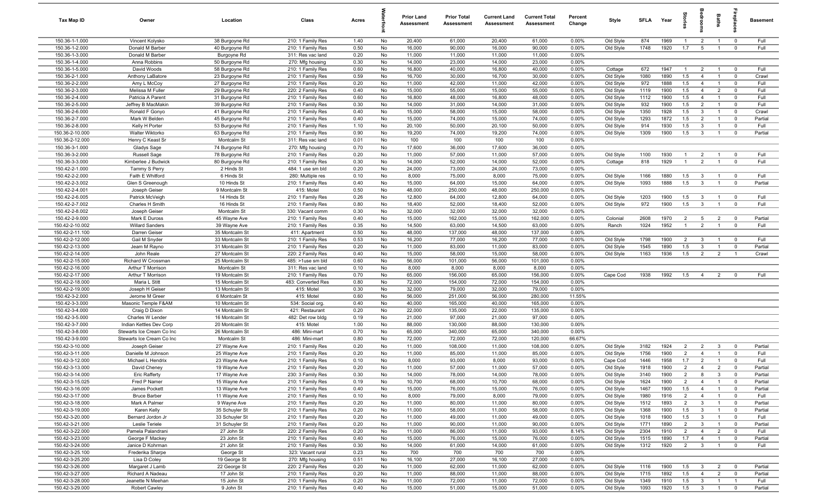| Tax Map ID                         | Owner                                 | Location                         | Class                                  | Acres        |          | <b>Prior Land</b><br><b>Assessment</b> | <b>Prior Total</b><br>Assessment | <b>Current Land</b><br>Assessment | <b>Current Total</b><br><b>Assessment</b> | Percent<br>Change | Style                  | <b>SFLA</b> | Year         | na<br>Fe       |                                | Baths                            |                            | <b>Basement</b> |
|------------------------------------|---------------------------------------|----------------------------------|----------------------------------------|--------------|----------|----------------------------------------|----------------------------------|-----------------------------------|-------------------------------------------|-------------------|------------------------|-------------|--------------|----------------|--------------------------------|----------------------------------|----------------------------|-----------------|
| 150.36-1-1.000                     | Vincent Kolysko                       | 38 Burgoyne Rd                   | 210: 1 Family Res                      | 1.40         | No       | 20,400                                 | 61,000                           | 20,400                            | 61,000                                    | 0.00%             | Old Style              | 874         | 1969         | $\mathbf{1}$   | $\overline{2}$                 | $\overline{1}$                   | $\overline{0}$             | Full            |
| 150.36-1-2.000                     | Donald M Barber                       | 40 Burgoyne Rd                   | 210: 1 Family Res                      | 0.50         | No       | 16,000                                 | 90,000                           | 16,000                            | 90,000                                    | 0.00%             | Old Style              | 1748        | 1920         | 1.7            | 5                              | $\mathbf{1}$                     | $\mathbf 0$                | Full            |
| 150.36-1-3.000                     | Donald M Barber                       | Burgoyne Rd                      | 311: Res vac land                      | 0.20         | No       | 11,000                                 | 11,000                           | 11,000                            | 11,000                                    | 0.00%             |                        |             |              |                |                                |                                  |                            |                 |
| 150.36-1-4.000                     | Anna Robbins                          | 50 Burgoyne Rd                   | 270: Mfg housing                       | 0.30         | No       | 14,000                                 | 23,000                           | 14,000                            | 23,000                                    | 0.00%             |                        |             |              |                |                                |                                  |                            |                 |
| 150.36-1-5.000                     | David Woods                           | 58 Burgoyne Rd                   | 210: 1 Family Res                      | 0.60         | No       | 16,800                                 | 40,000                           | 16,800                            | 40,000                                    | 0.00%             | Cottage                | 672         | 1947         | $\mathbf{1}$   | $\overline{2}$                 | $\overline{1}$                   | $\overline{0}$             | Full            |
| 150.36-2-1.000                     | Anthony LaBatore                      | 23 Burgoyne Rd                   | 210: 1 Family Res                      | 0.59         | No       | 16,700                                 | 30,000                           | 16,700                            | 30,000                                    | 0.00%             | Old Style              | 1080        | 1890         | 1.5            | $\overline{4}$                 | $\overline{1}$                   | $\mathbf 0$                | Crawl           |
| 150.36-2-2.000                     | Amy L McCoy                           | 27 Burgoyne Rd                   | 210: 1 Family Res                      | 0.20         | No       | 11,000                                 | 42,000                           | 11,000                            | 42,000                                    | 0.00%             | Old Style              | 972         | 1888         | 1.5            | $\overline{4}$                 | $\overline{1}$                   | $\mathbf 0$                | Full            |
| 150.36-2-3.000                     | Melissa M Fuller                      | 29 Burgoyne Rd                   | 220: 2 Family Res                      | 0.40         | No       | 15,000                                 | 55,000                           | 15,000                            | 55,000                                    | 0.00%             | Old Style              | 1119        | 1900         | 1.5            | $\overline{4}$                 | $\overline{2}$                   | $\mathbf 0$                | Full            |
| 150.36-2-4.000                     | Patricia A Parent                     | 31 Burgoyne Rd                   | 210: 1 Family Res                      | 0.60         | No       | 16,800                                 | 48,000                           | 16,800                            | 48,000                                    | 0.00%             | Old Style              | 1112        | 1900         | 1.5            | $\overline{4}$                 | $\overline{1}$                   | $\mathbf 0$                | Full            |
| 150.36-2-5.000                     | Jeffrey B MacMakin                    | 39 Burgoyne Rd                   | 210: 1 Family Res                      | 0.30         | No       | 14,000                                 | 31,000                           | 14,000                            | 31,000                                    | 0.00%             | Old Style              | 932         | 1900         | 1.5            | $\overline{2}$                 | $\overline{1}$                   | $\mathbf 0$                | Full            |
| 150.36-2-6.000<br>150.36-2-7.000   | Ronald F Gonyo                        | 41 Burgoyne Rd                   | 210: 1 Family Res                      | 0.40         | No       | 15,000                                 | 58,000                           | 15,000                            | 58,000                                    | 0.00%             | Old Style              | 1350        | 1928         | 1.5            | $\mathbf{3}$                   | $\overline{1}$                   | $^{\circ}$                 | Crawl           |
| 150.36-2-8.000                     | Mark W Belden                         | 45 Burgoyne Rd                   | 210: 1 Family Res                      | 0.40         | No<br>No | 15,000<br>20,100                       | 74,000<br>50,000                 | 15,000                            | 74,000<br>50,000                          | 0.00%<br>0.00%    | Old Style              | 1293<br>914 | 1872<br>1930 | 1.5<br>1.5     | $\overline{2}$<br>$\mathbf{3}$ | $\overline{1}$<br>$\overline{1}$ | $\mathbf 0$<br>$\mathbf 0$ | Partial<br>Full |
| 150.36-2-10.000                    | Kelly H Porter<br>Walter Wiktorko     | 53 Burgoyne Rd<br>63 Burgoyne Rd | 210: 1 Family Res<br>210: 1 Family Res | 1.10<br>0.90 | No       | 19,200                                 | 74,000                           | 20,100<br>19,200                  | 74,000                                    | 0.00%             | Old Style<br>Old Style | 1309        | 1900         | 1.5            | $\mathbf{3}$                   | $\overline{1}$                   | $\mathbf 0$                | Partial         |
| 150.36-2-12.000                    | Henry C Keast Sr                      | Montcalm St                      | 311: Res vac land                      | 0.01         | No       | 100                                    | 100                              | 100                               | 100                                       | 0.00%             |                        |             |              |                |                                |                                  |                            |                 |
| 150.36-3-1.000                     | Gladys Sage                           | 74 Burgoyne Rd                   | 270: Mfg housing                       | 0.70         | No       | 17,600                                 | 36,000                           | 17,600                            | 36,000                                    | 0.00%             |                        |             |              |                |                                |                                  |                            |                 |
| 150.36-3-2.000                     | Russell Sage                          | 78 Burgoyne Rd                   | 210: 1 Family Res                      | 0.20         | No       | 11,000                                 | 57,000                           | 11,000                            | 57,000                                    | 0.00%             | Old Style              | 1100        | 1930         | $\mathbf{1}$   | 2                              |                                  | $^{\circ}$                 | Full            |
| 150.36-3-3.000                     | Kimberlee J Budwick                   | 80 Burgoyne Rd                   | 210: 1 Family Res                      | 0.30         | No       | 14,000                                 | 52,000                           | 14,000                            | 52,000                                    | 0.00%             | Cottage                | 818         | 1929         | $\overline{1}$ | $\overline{2}$                 | $\overline{1}$                   | $\overline{0}$             | Full            |
| 150.42-2-1.000                     | Tammy S Perry                         | 2 Hinds St                       | 484: 1 use sm bld                      | 0.20         | No       | 24,000                                 | 73,000                           | 24,000                            | 73,000                                    | 0.00%             |                        |             |              |                |                                |                                  |                            |                 |
| 150.42-2-2.000                     | Faith E Whitford                      | 6 Hinds St                       | 280: Multiple res                      | 0.10         | No       | 8,000                                  | 75,000                           | 8,000                             | 75,000                                    | 0.00%             | Old Style              | 1166        | 1880         | 1.5            | $\mathbf{3}$                   | $\overline{1}$                   | $\mathbf 0$                | Full            |
| 150.42-2-3.002                     | Glen S Greenough                      | 10 Hinds St                      | 210: 1 Family Res                      | 0.40         | No       | 15,000                                 | 64,000                           | 15,000                            | 64,000                                    | 0.00%             | Old Style              | 1093        | 1888         | 1.5            | $\mathbf{3}$                   | $\overline{1}$                   | $\mathbf 0$                | Partial         |
| 150.42-2-4.001                     | Joseph Geiser                         | 9 Montcalm St                    | 415: Motel                             | 0.50         | No       | 48,000                                 | 250,000                          | 48,000                            | 250,000                                   | 0.00%             |                        |             |              |                |                                |                                  |                            |                 |
| 150.42-2-6.005                     | Patrick McVeigh                       | 14 Hinds St                      | 210: 1 Family Res                      | 0.26         | No       | 12,800                                 | 64,000                           | 12,800                            | 64,000                                    | 0.00%             | Old Style              | 1203        | 1900         | 1.5            | $\mathbf{3}$                   | $\overline{1}$                   | $\overline{0}$             | Full            |
| 150.42-2-7.002                     | Charles H Smith                       | 16 Hinds St                      | 210: 1 Family Res                      | 0.80         | No       | 18,400                                 | 52,000                           | 18,400                            | 52,000                                    | 0.00%             | Old Style              | 972         | 1900         | 1.5            | $\mathbf{3}$                   | $\overline{1}$                   | $\overline{0}$             | Full            |
| 150.42-2-8.002                     | Joseph Geiser                         | Montcalm St                      | 330: Vacant comm                       | 0.30         | No       | 32,000                                 | 32,000                           | 32,000                            | 32,000                                    | 0.00%             |                        |             |              |                |                                |                                  |                            |                 |
| 150.42-2-9.000                     | Mark E Duross                         | 45 Wayne Ave                     | 210: 1 Family Res                      | 0.40         | No       | 15,000                                 | 162,000                          | 15,000                            | 162,000                                   | 0.00%             | Colonial               | 2608        | 1970         | $\overline{2}$ | 5                              | $\overline{2}$                   | $\mathbf 0$                | Partial         |
| 150.42-2-10.002                    | Willard Sanders                       | 39 Wayne Ave                     | 210: 1 Family Res                      | 0.35         | No       | 14,500                                 | 63,000                           | 14,500                            | 63,000                                    | 0.00%             | Ranch                  | 1024        | 1952         | $\overline{1}$ | 2                              | $\overline{1}$                   | $\mathbf 0$                | Full            |
| 150.42-2-11.100                    | Darren Geiser                         | 35 Montcalm St                   | 411: Apartment                         | 0.50         | No       | 48,000                                 | 137,000                          | 48,000                            | 137,000                                   | 0.00%             |                        |             |              |                |                                |                                  |                            |                 |
| 150.42-2-12.000                    | Gail M Snyder                         | 33 Montcalm St                   | 210: 1 Family Res                      | 0.53         | No       | 16,200                                 | 77,000                           | 16,200                            | 77,000                                    | 0.00%             | Old Style              | 1798        | 1900         | $\overline{2}$ | $\mathbf{3}$                   | $\overline{1}$                   | $\mathbf 0$                | Full            |
| 150.42-2-13.000                    | Jeam M Rayno                          | 31 Montcalm St                   | 210: 1 Family Res                      | 0.20         | No       | 11,000                                 | 83,000                           | 11,000                            | 83,000                                    | 0.00%             | Old Style              | 1545        | 1890         | 1.5            | $\mathbf{3}$                   | $\mathbf{1}$                     | $^{\circ}$                 | Partial         |
| 150.42-2-14.000                    | John Reale                            | 27 Montcalm St                   | 220: 2 Family Res                      | 0.40         | No       | 15,000                                 | 58,000                           | 15,000                            | 58,000                                    | 0.00%             | Old Style              | 1163        | 1936         | 1.5            | $\overline{2}$                 | $\overline{2}$                   | $\overline{1}$             | Crawl           |
| 150.42-2-15.000                    | Richard W Crossman                    | 25 Montcalm St                   | 485: >1use sm bld                      | 0.60         | No       | 56,000                                 | 101,000                          | 56,000                            | 101,000                                   | 0.00%             |                        |             |              |                |                                |                                  |                            |                 |
| 150.42-2-16.000                    | Arthur T Morrison                     | Montcalm St                      | 311: Res vac land                      | 0.10         | No       | 8,000                                  | 8,000                            | 8,000                             | 8,000                                     | 0.00%             |                        |             |              |                |                                |                                  |                            |                 |
| 150.42-2-17.000                    | Arthur T Morrison                     | 19 Montcalm St                   | 210: 1 Family Res                      | 0.70         | No       | 65,000                                 | 156,000                          | 65,000                            | 156,000                                   | 0.00%             | Cape Cod               | 1938        | 1992         | 1.5            | $\overline{4}$                 | $\overline{2}$                   | $^{\circ}$                 | Full            |
| 150.42-2-18.000                    | Maria L Stitt                         | 15 Montcalm St                   | 483: Converted Res                     | 0.80         | No       | 72,000                                 | 154,000                          | 72,000                            | 154,000                                   | 0.00%             |                        |             |              |                |                                |                                  |                            |                 |
| 150.42-2-19.000                    | Joseph H Geiser                       | 13 Montcalm St                   | 415: Motel                             | 0.30         | No       | 32,000                                 | 79,000                           | 32,000                            | 79,000                                    | 0.00%             |                        |             |              |                |                                |                                  |                            |                 |
| 150.42-3-2.000<br>150.42-3-3.000   | Jerome M Greer<br>Masonic Temple F&AM | 6 Montcalm St<br>10 Montcalm St  | 415: Motel<br>534: Social org.         | 0.60<br>0.40 | No<br>No | 56,000<br>40,000                       | 251,000<br>165,000               | 56,000<br>40,000                  | 280,000<br>165,000                        | 11.55%<br>0.00%   |                        |             |              |                |                                |                                  |                            |                 |
| 150.42-3-4.000                     | Craig D Dixon                         | 14 Montcalm St                   | 421: Restaurant                        | 0.20         | No       | 22,000                                 | 135,000                          | 22,000                            | 135,000                                   | 0.00%             |                        |             |              |                |                                |                                  |                            |                 |
| 150.42-3-5.000                     | Charles W Lender                      | 16 Montcalm St                   | 482: Det row bldg                      | 0.19         | No       | 21,000                                 | 97,000                           | 21,000                            | 97,000                                    | 0.00%             |                        |             |              |                |                                |                                  |                            |                 |
| 150.42-3-7.000                     | Indian Kettles Dev Corp               | 20 Montcalm St                   | 415: Motel                             | 1.00         | No       | 88,000                                 | 130,000                          | 88,000                            | 130,000                                   | 0.00%             |                        |             |              |                |                                |                                  |                            |                 |
| 150.42-3-8.000                     | Stewarts Ice Cream Co Inc             | 26 Montcalm St                   | 486: Mini-mart                         | 0.70         | No       | 65,000                                 | 340,000                          | 65,000                            | 340,000                                   | 0.00%             |                        |             |              |                |                                |                                  |                            |                 |
| 150.42-3-9.000                     | Stewarts Ice Cream Co Inc             | Montcalm St                      | 486: Mini-mart                         | 0.80         | No       | 72,000                                 | 72,000                           | 72,000                            | 120,000                                   | 66.67%            |                        |             |              |                |                                |                                  |                            |                 |
| 150.42-3-10.000                    | Joseph Geiser                         | 27 Wayne Ave                     | 210: 1 Family Res                      | 0.20         | No       | 11,000                                 | 108,000                          | 11,000                            | 108,000                                   | 0.00%             | Old Style              | 3182        | 1924         | $\overline{2}$ | $\overline{2}$                 | $\mathbf{3}$                     | $\Omega$                   | Partial         |
| 150.42-3-11.000                    | Danielle M Johnson                    | 25 Wayne Ave                     | 210: 1 Family Res                      | 0.20         | No       | 11,000                                 | 85,000                           | 11,000                            | 85,000                                    | 0.00%             | Old Style              | 1756        | 1900         | $\overline{2}$ | $\overline{4}$                 | $\mathbf{1}$                     | $\Omega$                   | Full            |
| 150.42-3-12.000                    | Michael L Hendrix                     | 23 Wayne Ave                     | 210: 1 Family Res                      | 0.10         | No       | 8,000                                  | 93,000                           | 8,000                             | 93,000                                    | 0.00%             | Cape Cod               | 1446        | 1958         | 1.7            | $\overline{2}$                 | $\overline{1}$                   | $\mathbf 0$                | Full            |
| 150.42-3-13.000                    | David Cheney                          | 19 Wayne Ave                     | 210: 1 Family Res                      | 0.20         | No       | 11,000                                 | 57,000                           | 11,000                            | 57,000                                    | 0.00%             | Old Style              | 1918        | 1900         | 2              | $\overline{a}$                 | $\overline{2}$                   | 0                          | Partial         |
| 150.42-3-14.000                    | <b>Eric Rafferty</b>                  | 17 Wayne Ave                     | 230: 3 Family Res                      | 0.30         | No       | 14,000                                 | 78,000                           | 14,000                            | 78,000                                    | 0.00%             | Old Style              | 3140        | 1900         | $\overline{2}$ | 8                              | $\mathbf{3}$                     | $\mathbf 0$                | Partial         |
| 150.42-3-15.025                    | Fred P Namer                          | 15 Wayne Ave                     | 210: 1 Family Res                      | 0.19         | No       | 10,700                                 | 68,000                           | 10,700                            | 68,000                                    | 0.00%             | Old Style              | 1624        | 1900         | $\overline{2}$ | $\overline{4}$                 | $\overline{1}$                   | $\overline{0}$             | Partial         |
| 150.42-3-16.000                    | James Pockett                         | 13 Wayne Ave                     | 210: 1 Family Res                      | 0.40         | No       | 15,000                                 | 76,000                           | 15,000                            | 76,000                                    | 0.00%             | Old Style              | 1467        | 1900         | 1.5            | $\overline{4}$                 | $\mathbf{1}$                     | $\overline{0}$             | Partial         |
| 150.42-3-17.000                    | <b>Bruce Barber</b>                   | 11 Wayne Ave                     | 210: 1 Family Res                      | 0.10         | No       | 8,000                                  | 79,000                           | 8,000                             | 79,000                                    | 0.00%             | Old Style              | 1980        | 1916         | $\overline{2}$ | $\overline{4}$                 | $\overline{1}$                   | $\overline{0}$             | Full            |
| 150.42-3-18.000                    | Mark A Palmer                         | 9 Wayne Ave                      | 210: 1 Family Res                      | 0.20         | No       | 11,000                                 | 80,000                           | 11,000                            | 80,000                                    | 0.00%             | Old Style              | 1512        | 1893         | $\overline{2}$ | $\overline{3}$                 | $\overline{1}$                   | $\overline{0}$             | Partial         |
| 150.42-3-19.000                    | Karen Kelly                           | 35 Schuyler St                   | 210: 1 Family Res                      | 0.20         | No       | 11,000                                 | 58,000                           | 11,000                            | 58,000                                    | 0.00%             | Old Style              | 1368        | 1900         | 1.5            | $\overline{3}$                 | $\mathbf{1}$                     | $\overline{0}$             | Partial         |
| 150.42-3-20.000                    | Bernard Jordon Jr                     | 33 Schuyler St                   | 210: 1 Family Res                      | 0.20         | No       | 11,000                                 | 49,000                           | 11,000                            | 49,000                                    | 0.00%             | Old Style              | 1018        | 1900         | 1.5            | $\mathbf{3}$                   | $\overline{1}$                   | $\overline{0}$             | Full            |
| 150.42-3-21.000                    | Leslie Teriele                        | 31 Schuyler St                   | 210: 1 Family Res                      | 0.20         | No       | 11,000                                 | 90,000                           | 11,000                            | 90,000                                    | 0.00%             | Old Style              | 1771        | 1890         | $\overline{2}$ | $\overline{3}$                 | $\mathbf{1}$                     | $\overline{0}$             | Partial         |
| 150.42-3-22.000                    | Pamela Palandrani                     | 27 John St                       | 220: 2 Family Res                      | 0.20         | No       | 11,000                                 | 86,000                           | 11,000                            | 93,000                                    | 8.14%             | Old Style              | 2304        | 1910         | $\overline{2}$ | $\overline{4}$                 | $\overline{2}$                   | $\mathbf 0$                | Full            |
| 150.42-3-23.000                    | George F Mackey                       | 23 John St                       | 210: 1 Family Res                      | 0.40         | No       | 15,000                                 | 76,000                           | 15,000                            | 76,000                                    | 0.00%             | Old Style              | 1515        | 1890         | 1.7            | $\overline{4}$                 | $\mathbf{1}$                     | $\mathbf 0$                | Partial         |
| 150.42-3-24.000                    | Janice D Kohrman                      | 21 John St                       | 210: 1 Family Res                      | 0.30         | No       | 14,000                                 | 61,000                           | 14,000                            | 61,000                                    | 0.00%             | Old Style              | 1312        | 1920         | $\overline{2}$ | $\mathbf{3}$                   | $\overline{1}$                   | $\mathbf 0$                | Full            |
| 150.42-3-25.100<br>150.42-3-25.200 | Frederika Sharpe<br>Lisa D Coley      | George St<br>19 George St        | 323: Vacant rural<br>270: Mfg housing  | 0.23<br>0.51 | No<br>No | 700<br>16,100                          | 700<br>27,000                    | 700<br>16,100                     | 700<br>27,000                             | 0.00%<br>0.00%    |                        |             |              |                |                                |                                  |                            |                 |
| 150.42-3-26.000                    | Margaret J Lamb                       | 22 George St                     | 220: 2 Family Res                      | 0.20         | No       | 11,000                                 | 62,000                           | 11,000                            | 62,000                                    | 0.00%             | Old Style              | 1116        | 1900         | 1.5            | $\mathbf{3}$                   | $\overline{2}$                   | $\overline{0}$             | Partial         |
| 150.42-3-27.000                    | Richard A Nadeau                      | 17 John St                       | 210: 1 Family Res                      | 0.20         | No       | 11,000                                 | 88,000                           | 11,000                            | 88,000                                    | 0.00%             | Old Style              | 1715        | 1892         | 1.5            | $\overline{4}$                 | $\overline{2}$                   | $\overline{0}$             | Partial         |
| 150.42-3-28.000                    | Jeanette N Meehan                     | 15 John St                       | 210: 1 Family Res                      | 0.20         | No       | 11,000                                 | 72,000                           | 11,000                            | 72,000                                    | 0.00%             | Old Style              | 1349        | 1910         | 1.5            | $\mathbf{3}$                   | $\overline{1}$                   | $\overline{1}$             | Full            |
| 150.42-3-29.000                    | Robert Cawley                         | 9 John St                        | 210: 1 Family Res                      | 0.40         | No       | 15,000                                 | 51,000                           | 15,000                            | 51,000                                    | 0.00%             | Old Style              | 1093        | 1920         | 1.5            | $\overline{\mathbf{3}}$        | $\overline{1}$                   | $\overline{0}$             | Partial         |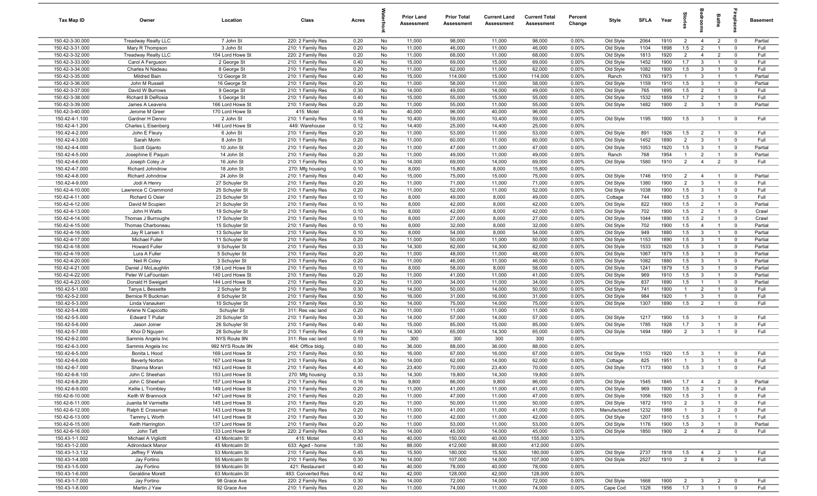| Tax Map ID                       | Owner                                 | Location                         | Class                                  | Acres        |          | <b>Prior Land</b><br>Assessment | <b>Prior Total</b><br>Assessment | <b>Current Land</b><br>Assessment | <b>Current Total</b><br>Assessment | Percent<br>Change | Style        | SFLA         | Year         | Stori          | groom                   | Baths                          |                         | <b>Basement</b> |
|----------------------------------|---------------------------------------|----------------------------------|----------------------------------------|--------------|----------|---------------------------------|----------------------------------|-----------------------------------|------------------------------------|-------------------|--------------|--------------|--------------|----------------|-------------------------|--------------------------------|-------------------------|-----------------|
| 150.42-3-30.000                  | <b>Treadway Realty LLC</b>            | 7 John St                        | 220: 2 Family Res                      | 0.20         | No       | 11,000                          | 98,000                           | 11,000                            | 98,000                             | $0.00\%$          | Old Style    | 2064         | 1910         | $\overline{2}$ | $\overline{4}$          | $\overline{2}$                 | $\overline{\mathbf{0}}$ | Partial         |
| 150.42-3-31.000                  | Mary R Thompson                       | 3 John St                        | 210: 1 Family Res                      | 0.20         | No       | 11,000                          | 46,000                           | 11,000                            | 46,000                             | 0.00%             | Old Style    | 1104         | 1898         | 1.5            | 2                       | $\overline{1}$                 | $\overline{0}$          | Full            |
| 150.42-3-32.000                  | Treadway Realty LLC                   | 154 Lord Howe St                 | 220: 2 Family Res                      | 0.20         | No       | 11,000                          | 68,000                           | 11,000                            | 68,000                             | 0.00%             | Old Style    | 1813         | 1920         | $\overline{2}$ | $\overline{4}$          | $\overline{2}$                 | $\mathbf 0$             | Full            |
| 150.42-3-33.000                  | Carol A Ferguson                      | 2 George St                      | 210: 1 Family Res                      | 0.40         | No       | 15,000                          | 69,000                           | 15,000                            | 69,000                             | 0.00%             | Old Style    | 1452         | 1900         | 1.7            | $\mathbf{3}$            | $\overline{1}$                 | $\mathbf 0$             | Full            |
| 150.42-3-34.000                  | Charles N Nadeau                      | 8 George St                      | 210: 1 Family Res                      | 0.20         | No       | 11,000                          | 62,000                           | 11,000                            | 62,000                             | 0.00%             | Old Style    | 1082         | 1900         | 1.5            | $\mathbf{3}$            |                                | $\mathbf 0$             | Full            |
| 150.42-3-35.000                  | Mildred Bain                          | 12 George St                     | 210: 1 Family Res                      | 0.40         | No       | 15,000                          | 114,000                          | 15,000                            | 114,000                            | 0.00%             | Ranch        | 1763         | 1973         | $\mathbf{1}$   | $\mathbf{3}$            |                                | -1                      | Partial         |
| 150.42-3-36.000                  | John M Russell                        | 16 George St                     | 210: 1 Family Res                      | 0.20         | No       | 11,000                          | 58,000                           | 11,000                            | 58,000                             | 0.00%             | Old Style    | 1159         | 1910         | 1.5            | $\mathbf{3}$            |                                | $\mathbf 0$             | Partial         |
| 150.42-3-37.000                  | David W Burrows                       | 9 George St                      | 210: 1 Family Res                      | 0.30         | No       | 14,000                          | 49,000                           | 14,000                            | 49,000                             | 0.00%             | Old Style    | 765          | 1895         | 1.5            | $\overline{2}$          |                                | $\mathbf 0$             | Full            |
| 150.42-3-38.000                  | <b>Richard B DeRosia</b>              | 5 George St                      | 210: 1 Family Res                      | 0.40         | No       | 15,000                          | 55,000                           | 15,000                            | 55,000                             | 0.00%             | Old Style    | 1532         | 1859         | 1.7            | 2                       | $\overline{1}$                 | $\mathbf 0$             | Full            |
| 150.42-3-39.000                  | James A Leavens                       | 166 Lord Howe St                 | 210: 1 Family Res                      | 0.20         | No       | 11,000                          | 55,000                           | 11,000                            | 55,000                             | 0.00%             | Old Style    | 1482         | 1900         | $\overline{2}$ | $\mathbf{3}$            | $\overline{1}$                 | $\overline{0}$          | Partial         |
| 150.42-3-40.000                  | Jerome M Greer                        | 170 Lord Howe St                 | 415: Motel                             | 0.40         | No       | 40,000                          | 96,000                           | 40,000                            | 96,000                             | 0.00%             |              |              |              |                |                         |                                |                         |                 |
| 150.42-4-1.100                   | Gardner H Denno                       | 2 John St                        | 210: 1 Family Res                      | 0.18         | No       | 10,400                          | 59,000                           | 10,400                            | 59,000                             | 0.00%             | Old Style    | 1195         | 1900         | 1.5            | $\mathbf{3}$            | $\overline{1}$                 | $\overline{0}$          | Full            |
| 150.42-4-1.200<br>150.42-4-2.000 | Charles L Eisenberg<br>John E Fleury  | 146 Lord Howe St<br>6 John St    | 449: Warehouse<br>210: 1 Family Res    | 0.12<br>0.20 | No<br>No | 14,400<br>11,000                | 25,000<br>53,000                 | 14,400<br>11,000                  | 25,000<br>53,000                   | 0.00%<br>0.00%    | Old Style    | 891          | 1926         | 1.5            | $\overline{2}$          | $\overline{1}$                 | $\mathbf 0$             | Full            |
| 150.42-4-3.000                   | Sarah Morin                           | 8 John St                        | 210: 1 Family Res                      | 0.20         | No       | 11,000                          | 60,000                           | 11,000                            | 60,000                             | 0.00%             | Old Style    | 1452         | 1890         | $\overline{2}$ | $\mathbf{3}$            | $\mathbf{1}$                   | $\overline{\mathbf{0}}$ | Full            |
| 150.42-4-4.000                   | Scott Gijanto                         | 10 John St                       | 210: 1 Family Res                      | 0.20         | No       | 11,000                          | 47,000                           | 11,000                            | 47,000                             | 0.00%             | Old Style    | 1053         | 1920         | 1.5            | $\mathbf{3}$            | $\overline{1}$                 | $\overline{0}$          | Partial         |
| 150.42-4-5.000                   | Josephine E Paquin                    | 14 John St                       | 210: 1 Family Res                      | 0.20         | No       | 11,000                          | 49,000                           | 11,000                            | 49,000                             | 0.00%             | Ranch        | 768          | 1954         | $\mathbf{1}$   | $\overline{2}$          |                                | $\mathbf 0$             | Partial         |
| 150.42-4-6.000                   | Joseph Coley Jr                       | 16 John St                       | 210: 1 Family Res                      | 0.30         | No       | 14,000                          | 69,000                           | 14,000                            | 69,000                             | 0.00%             | Old Style    | 1580         | 1910         | $\overline{2}$ | $\overline{4}$          | $\overline{2}$                 | $\mathbf 0$             | Full            |
| 150.42-4-7.000                   | Richard Johndrow                      | 18 John St                       | 270: Mfg housing                       | 0.10         | No       | 8,000                           | 15,800                           | 8,000                             | 15,800                             | 0.00%             |              |              |              |                |                         |                                |                         |                 |
| 150.42-4-8.000                   | Richard Johndrow                      | 24 John St                       | 210: 1 Family Res                      | 0.40         | No       | 15,000                          | 75,000                           | 15,000                            | 75,000                             | 0.00%             | Old Style    | 1746         | 1910         | $\overline{2}$ | $\overline{4}$          |                                | $\mathbf 0$             | Partial         |
| 150.42-4-9.000                   | Jodi A Henry                          | 27 Schuyler St                   | 210: 1 Family Res                      | 0.20         | No       | 11,000                          | 71,000                           | 11,000                            | 71,000                             | 0.00%             | Old Style    | 1380         | 1900         | $\overline{2}$ | $\mathbf{3}$            |                                | $\mathbf 0$             | Full            |
| 150.42-4-10.000                  | Lawrence C Crammond                   | 25 Schuyler St                   | 210: 1 Family Res                      | 0.20         | No       | 11,000                          | 52,000                           | 11,000                            | 52,000                             | 0.00%             | Old Style    | 1038         | 1900         | 1.5            | $\mathbf{3}$            | $\overline{1}$                 | $\mathbf 0$             | Full            |
| 150.42-4-11.000                  | <b>Richard G Osier</b>                | 23 Schuyler St                   | 210: 1 Family Res                      | 0.10         | No       | 8,000                           | 49,000                           | 8,000                             | 49,000                             | 0.00%             | Cottage      | 744          | 1890         | 1.5            | $\mathbf{3}$            | $\overline{1}$                 | $\overline{0}$          | Full            |
| 150.42-4-12.000                  | David M Scupien                       | 21 Schuyler St                   | 210: 1 Family Res                      | 0.10         | No       | 8,000                           | 42,000                           | 8,000                             | 42,000                             | 0.00%             | Old Style    | 822          | 1900         | 1.5            | $\overline{2}$          | $\mathbf{1}$                   | $\overline{0}$          | Partial         |
| 150.42-4-13.000                  | John H Watts                          | 19 Schuyler St                   | 210: 1 Family Res                      | 0.10         | No       | 8,000                           | 42,000                           | 8,000                             | 42,000                             | 0.00%             | Old Style    | 702          | 1900         | 1.5            | $\overline{2}$          | $\overline{1}$                 | $\mathbf 0$             | Crawl           |
| 150.42-4-14.000                  | Thomas J Burroughs                    | 17 Schuyler St                   | 210: 1 Family Res                      | 0.10         | No       | 8,000                           | 27,000                           | 8,000                             | 27,000                             | 0.00%             | Old Style    | 1044         | 1890         | 1.5            | $\overline{2}$          | $\overline{1}$                 | $\overline{\mathbf{0}}$ | Crawl           |
| 150.42-4-15.000                  | Thomas Charboneau                     | 15 Schuyler St                   | 210: 1 Family Res                      | 0.10         | No       | 8,000                           | 32,000                           | 8,000                             | 32,000                             | 0.00%             | Old Style    | 702          | 1900         | 1.5            | $\overline{4}$          | $\overline{1}$                 | $\overline{0}$          | Partial         |
| 150.42-4-16.000                  | Jay R Larsen II                       | 13 Schuyler St                   | 210: 1 Family Res                      | 0.10         | No       | 8,000                           | 54,000                           | 8,000                             | 54,000                             | 0.00%             | Old Style    | 949          | 1880         | 1.5            | $\mathbf{3}$            | -1                             | $\mathbf 0$             | Partial         |
| 150.42-4-17.000                  | Michael Fuller                        | 11 Schuyler St                   | 210: 1 Family Res                      | 0.20         | No       | 11,000                          | 50,000                           | 11,000                            | 50,000                             | 0.00%             | Old Style    | 1153         | 1890         | 1.5            | $\mathbf{3}$            | $\overline{1}$                 | $\mathbf 0$             | Partial         |
| 150.42-4-18.000                  | <b>Howard Fuller</b>                  | 9 Schuyler St                    | 210: 1 Family Res                      | 0.33         | No       | 14,300                          | 82,000                           | 14,300                            | 82,000                             | 0.00%             | Old Style    | 1533         | 1920         | 1.5            | $\mathbf{3}$            |                                | $\mathbf 0$             | Partial         |
| 150.42-4-19.000                  | Lura A Fuller                         | 5 Schuyler St                    | 210: 1 Family Res                      | 0.20         | No       | 11,000                          | 48,000                           | 11,000                            | 48,000                             | 0.00%             | Old Style    | 1067         | 1879         | 1.5            | $\mathbf{3}$            | $\overline{1}$                 | $\mathbf 0$             | Partial         |
| 150.42-4-20.000                  | Neil R Coley                          | 3 Schuyler St                    | 210: 1 Family Res                      | 0.20         | No       | 11,000                          | 46,000                           | 11,000                            | 46,000                             | 0.00%             | Old Style    | 1082         | 1880         | 1.5            | $\mathbf{3}$            |                                | $\mathbf 0$             | Partial         |
| 150.42-4-21.000                  | Daniel J McLaughlin                   | 138 Lord Howe St                 | 210: 1 Family Res                      | 0.10         | No       | 8,000                           | 58,000                           | 8,000                             | 58,000                             | 0.00%             | Old Style    | 1241         | 1879         | 1.5            | $\mathbf{3}$            | $\overline{1}$                 | $\mathbf 0$             | Partial         |
| 150.42-4-22.000                  | Peter W LaFountain                    | 140 Lord Howe St                 | 210: 1 Family Res                      | 0.20         | No       | 11,000                          | 41,000                           | 11,000                            | 41,000                             | 0.00%             | Old Style    | 969          | 1910         | 1.5            | $\mathbf{3}$            | $\overline{1}$                 | $\mathbf 0$             | Partial         |
| 150.42-4-23.000                  | Donald H Sweigart                     | 144 Lord Howe St                 | 210: 1 Family Res                      | 0.20         | No       | 11,000                          | 34,000                           | 11,000                            | 34,000                             | 0.00%             | Old Style    | 837          | 1890         | 1.5            | $\overline{1}$          | $\overline{1}$                 | $\overline{0}$          | Partial         |
| 150.42-5-1.000                   | Tanya L Bessette                      | 2 Schuyler St                    | 210: 1 Family Res                      | 0.30         | No       | 14,000                          | 50,000                           | 14,000                            | 50,000                             | 0.00%             | Old Style    | 741          | 1900         | $\overline{1}$ | $\overline{2}$          | $\overline{1}$                 | $\mathbf 0$             | Full            |
| 150.42-5-2.000                   | Bernice R Buckman                     | 8 Schuyler St                    | 210: 1 Family Res                      | 0.50         | No       | 16,000                          | 31,000                           | 16,000                            | 31,000                             | 0.00%             | Old Style    | 984          | 1920         | $\overline{1}$ | $\mathbf{3}$            | $\overline{1}$                 | $\mathbf 0$             | Full            |
| 150.42-5-3.000                   | Linda Vanauken                        | 10 Schuyler St                   | 210: 1 Family Res                      | 0.30         | No       | 14,000                          | 75,000                           | 14,000                            | 75,000                             | 0.00%             | Old Style    | 1307         | 1890         | 1.5            | $\overline{2}$          | $\overline{1}$                 | $\mathbf 0$             | Full            |
| 150.42-5-4.000<br>150.42-5-5.000 | Arlene N Capicotto<br>Edward T Pullar | Schuyler St                      | 311: Res vac land                      | 0.20<br>0.30 | No<br>No | 11,000                          | 11,000<br>57,000                 | 11,000<br>14,000                  | 11,000<br>57,000                   | 0.00%<br>0.00%    | Old Style    |              | 1900         |                | $\mathbf{3}$            |                                | $\mathbf 0$             | Full            |
| 150.42-5-6.000                   | Jason Joiner                          | 20 Schuyler St<br>26 Schuyler St | 210: 1 Family Res<br>210: 1 Family Res | 0.40         | No       | 14,000<br>15,000                | 85,000                           | 15,000                            | 85,000                             | 0.00%             | Old Style    | 1217<br>1785 | 1928         | 1.5<br>1.7     | $\mathbf{3}$            | $\overline{1}$<br>$\mathbf{1}$ | $\mathbf 0$             | Full            |
| 150.42-5-7.000                   | Khoi D Nguyen                         | 28 Schuyler St                   | 210: 1 Family Res                      | 0.49         | No       | 14,300                          | 65,000                           | 14,300                            | 65,000                             | 0.00%             | Old Style    | 1494         | 1890         | $\overline{2}$ | $\mathbf{3}$            |                                | $\mathbf 0$             | Full            |
| 150.42-6-2.000                   | Sammis Angela Inc                     | NYS Route 9N                     | 311: Res vac land                      | 0.10         | No       | 300                             | 300                              | 300                               | 300                                | 0.00%             |              |              |              |                |                         |                                |                         |                 |
| 150.42-6-3.000                   | Sammis Angela Inc                     | 992 NYS Route 9N                 | 464: Office bldg                       | 0.60         | No       | 36,000                          | 88,000                           | 36,000                            | 88,000                             | 0.00%             |              |              |              |                |                         |                                |                         |                 |
| 150.42-6-5.000                   | Bonita L Hood                         | 169 Lord Howe St                 | 210: 1 Family Res                      | 0.50         | No       | 16,000                          | 67,000                           | 16,000                            | 67,000                             | 0.00%             | Old Style    | 1153         | 1920         | 1.5            | $\mathbf{3}$            |                                | $^{\circ}$              | Full            |
| 150.42-6-6.000                   | <b>Beverly Norton</b>                 | 167 Lord Howe St                 | 210: 1 Family Res                      | 0.30         | No       | 14,000                          | 62,000                           | 14,000                            | 62,000                             | 0.00%             | Cottage      | 825          | 1951         | $\overline{1}$ | $\mathbf{3}$            |                                | $\Omega$                | Full            |
| 150.42-6-7.000                   | Shanna Moran                          | 163 Lord Howe St                 | 210: 1 Family Res                      | 4.40         | No       | 23,400                          | 70,000                           | 23,400                            | 70,000                             | 0.00%             | Old Style    | 1173         | 1900         | 1.5            | $\mathbf{3}$            |                                | $\Omega$                | Full            |
| 150.42-6-8.100                   | John C Sheehan                        | 153 Lord Howe St                 | 270: Mfg housing                       | 0.33         | No       | 14,300                          | 19,800                           | 14,300                            | 19,800                             | 0.00%             |              |              |              |                |                         |                                |                         |                 |
| 150.42-6-8.200                   | John C Sheehan                        | 157 Lord Howe St                 | 210: 1 Family Res                      | 0.16         | No       | 9,800                           | 86,000                           | 9,800                             | 86,000                             | 0.00%             | Old Style    | 1545         | 1845         | 1.7            | $\overline{4}$          | $\overline{2}$                 | $\overline{\mathbf{0}}$ | Partial         |
| 150.42-6-9.000                   | Kellie L Trombley                     | 149 Lord Howe St                 | 210: 1 Family Res                      | 0.20         | No       | 11,000                          | 41,000                           | 11,000                            | 41,000                             | 0.00%             | Old Style    | 969          | 1900         | 1.5            | $\overline{2}$          | $\overline{1}$                 | $\mathbf 0$             | Full            |
| 150.42-6-10.000                  | Keith W Brannock                      | 147 Lord Howe St                 | 210: 1 Family Res                      | 0.20         | No       | 11,000                          | 47,000                           | 11,000                            | 47,000                             | 0.00%             | Old Style    | 1056         | 1920         | 1.5            | $\mathbf{3}$            | $\overline{1}$                 | $\overline{0}$          | Full            |
| 150.42-6-11.000                  | Juanita M Varmette                    | 145 Lord Howe St                 | 210: 1 Family Res                      | 0.20         | No       | 11,000                          | 50,000                           | 11,000                            | 50,000                             | 0.00%             | Old Style    | 1872         | 1910         | $\overline{2}$ | $\mathbf{3}$            | $\mathbf{1}$                   | $\overline{0}$          | Full            |
| 150.42-6-12.000                  | Ralph E Crossman                      | 143 Lord Howe St                 | 210: 1 Family Res                      | 0.20         | No       | 11,000                          | 41,000                           | 11,000                            | 41,000                             | 0.00%             | Manufactured | 1232         | 1988         | $\mathbf{1}$   | $\overline{\mathbf{3}}$ | $\overline{2}$                 | $\overline{0}$          | Full            |
| 150.42-6-13.000                  | Tammy L Worth                         | 141 Lord Howe St                 | 210: 1 Family Res                      | 0.30         | No       | 11,000                          | 42,000                           | 11,000                            | 42,000                             | 0.00%             | Old Style    | 1207         | 1910         | 1.5            | $\mathbf{3}$            |                                | $\overline{1}$          | Full            |
| 150.42-6-15.000                  | Keith Harrington                      | 137 Lord Howe St                 | 210: 1 Family Res                      | 0.20         | No       | 11,000                          | 53,000                           | 11,000                            | 53,000                             | 0.00%             | Old Style    | 1176         | 1900         | 1.5            | $\overline{\mathbf{3}}$ | $\mathbf{1}$                   | $\overline{0}$          | Partial         |
| 150.42-6-16.000                  | John Taft                             | 133 Lord Howe St                 | 220: 2 Family Res                      | 0.30         | No       | 14,000                          | 45,000                           | 14,000                            | 45,000                             | 0.00%             | Old Style    | 1850         | 1900         | $\overline{2}$ | $\overline{4}$          | $\overline{2}$                 | $\mathbf 0$             | Full            |
| 150.43-1-1.002                   | Michael A Vigliotti                   | 43 Montcalm St                   | 415: Motel                             | 0.43         | No       | 40,000                          | 150,000                          | 40,000                            | 155,000                            | 3.33%             |              |              |              |                |                         |                                |                         |                 |
| 150.43-1-2.000                   | Adirondack Manor                      | 45 Montcalm St                   | 633: Aged - home                       | 1.00         | No       | 88,000                          | 412,000                          | 88,000                            | 412,000                            | 0.00%             |              |              |              |                |                         |                                |                         |                 |
| 150.43-1-3.132                   | Jeffrey F Wells                       | 53 Montcalm St                   | 210: 1 Family Res                      | 0.45         | No       | 15,500                          | 180,000                          | 15,500                            | 180,000                            | 0.00%             | Old Style    | 2737         | 1918<br>1910 | 1.5            | $\overline{4}$          | $\overline{2}$                 | $\overline{1}$          | Full<br>Full    |
| 150.43-1-4.000<br>150.43-1-5.000 | Jay Fortino                           | 55 Montcalm St<br>59 Montcalm St | 210: 1 Family Res<br>421: Restaurant   | 0.30<br>0.40 | No<br>No | 14,000<br>40,000                | 107,000<br>78,000                | 14,000<br>40,000                  | 107,000<br>78,000                  | 0.00%<br>0.00%    | Old Style    | 2527         |              | $\overline{2}$ | 6                       | $\overline{2}$                 | $\overline{0}$          |                 |
| 150.43-1-6.000                   | Jay Fortino<br>Geraldine Morett       | 63 Montcalm St                   | 483: Converted Res                     | 0.42         | No       | 42,000                          | 128,000                          | 42,000                            | 128,000                            | 0.00%             |              |              |              |                |                         |                                |                         |                 |
| 150.43-1-7.000                   | Jay Fortino                           | 98 Grace Ave                     | 220: 2 Family Res                      | 0.30         | No       | 14,000                          | 72,000                           | 14,000                            | 72,000                             | 0.00%             | Old Style    | 1668         | 1900         | $\overline{2}$ | $\overline{\mathbf{3}}$ | $\overline{2}$                 | $\mathbf 0$             | Full            |
| 150.43-1-8.000                   | Martin J Yaw                          | 92 Grace Ave                     | 210: 1 Family Res                      | 0.20         | No       | 11,000                          | 74,000                           | 11,000                            | 74,000                             | 0.00%             | Cape Cod     | 1328         | 1956         | 1.7            | $\overline{\mathbf{3}}$ | $\overline{1}$                 | $\mathbf 0$             | Full            |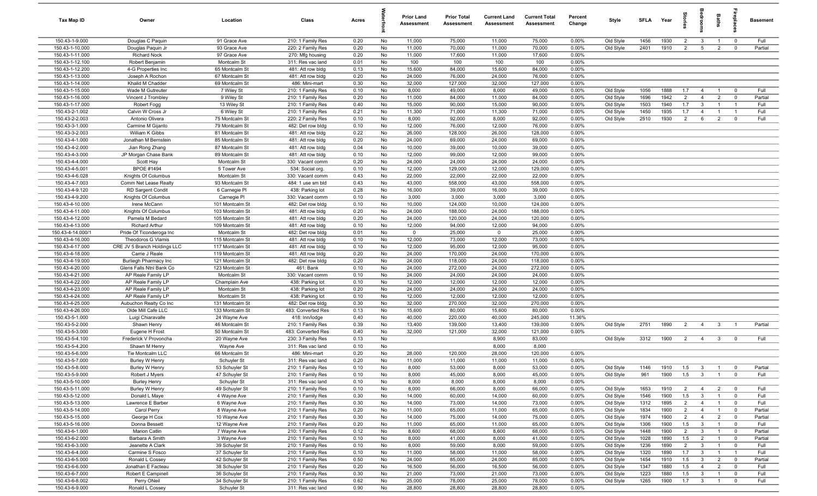| Tax Map ID                         | Owner                                      | Location                       | Class                                   | Acres        |          | <b>Prior Land</b><br>Assessment | <b>Prior Total</b><br>Assessment | <b>Current Land</b><br><b>Assessment</b> | <b>Current Total</b><br><b>Assessment</b> | Percent<br>Change | Style                  | <b>SFLA</b>  | Year         | na<br>Fe              | groo                           | Baths                            | 윤                                                  | <b>Basement</b> |
|------------------------------------|--------------------------------------------|--------------------------------|-----------------------------------------|--------------|----------|---------------------------------|----------------------------------|------------------------------------------|-------------------------------------------|-------------------|------------------------|--------------|--------------|-----------------------|--------------------------------|----------------------------------|----------------------------------------------------|-----------------|
| 150.43-1-9.000                     | Douglas C Paquin                           | 91 Grace Ave                   | 210: 1 Family Res                       | 0.20         | No       | 11,000                          | 75,000                           | 11,000                                   | 75,000                                    | 0.00%             | Old Style              | 1456         | 1930         | $\overline{2}$        | $\mathbf{3}$                   | $\overline{1}$                   | $\overline{0}$                                     | Full            |
| 150.43-1-10.000                    | Douglas Paguin Jr                          | 93 Grace Ave                   | 220: 2 Family Res                       | 0.20         | No       | 11,000                          | 70,000                           | 11,000                                   | 70,000                                    | 0.00%             | Old Style              | 2401         | 1910         | 2                     | $5\overline{5}$                | $\overline{2}$                   | $\mathbf 0$                                        | Partial         |
| 150.43-1-11.000                    | <b>Richard Nock</b>                        | 97 Grace Ave                   | 270: Mfg housing                        | 0.20         | No       | 11,000                          | 17,600                           | 11,000                                   | 17,600                                    | 0.00%             |                        |              |              |                       |                                |                                  |                                                    |                 |
| 150.43-1-12.100                    | Robert Benjamin                            | Montcalm St                    | 311: Res vac land                       | 0.01         | No       | 100                             | 100                              | 100                                      | 100                                       | 0.00%             |                        |              |              |                       |                                |                                  |                                                    |                 |
| 150.43-1-12.200                    | 4-G Properties Inc                         | 65 Montcalm St                 | 481: Att row bldg                       | 0.13         | No       | 15,600                          | 84,000                           | 15,600                                   | 84,000                                    | 0.00%             |                        |              |              |                       |                                |                                  |                                                    |                 |
| 150.43-1-13.000                    | Joseph A Rochon                            | 67 Montcalm St                 | 481: Att row bldg                       | 0.20         | No       | 24,000                          | 76,000                           | 24,000                                   | 76,000                                    | 0.00%             |                        |              |              |                       |                                |                                  |                                                    |                 |
| 150.43-1-14.000                    | Khalid M Chadder                           | 69 Montcalm St                 | 486: Mini-mart                          | 0.30         | No       | 32,000                          | 127,000                          | 32,000                                   | 127,000                                   | 0.00%             |                        |              |              |                       |                                |                                  |                                                    |                 |
| 150.43-1-15.000                    | Wade M Gutreuter                           | 7 Wiley St                     | 210: 1 Family Res                       | 0.10         | No       | 8,000                           | 49,000                           | 8,000                                    | 49,000                                    | 0.00%             | Old Style              | 1056         | 1888         | 1.7                   | $\overline{4}$                 | $\overline{1}$                   | $\overline{\mathbf{0}}$                            | Full            |
| 150.43-1-16.000<br>150.43-1-17.000 | Vincent J Trombley<br>Robert Fogg          | 9 Wiley St<br>13 Wiley St      | 210: 1 Family Res<br>210: 1 Family Res  | 0.20<br>0.40 | No<br>No | 11,000<br>15,000                | 84,000<br>90,000                 | 11,000<br>15,000                         | 84,000<br>90,000                          | 0.00%<br>0.00%    | Old Style<br>Old Style | 1696<br>1503 | 1942<br>1940 | $\overline{2}$<br>1.7 | $\overline{4}$<br>$\mathbf{3}$ | $\overline{2}$<br>$\overline{1}$ | $\mathbf 0$<br>$\overline{1}$                      | Partial<br>Full |
| 150.43-2-1.002                     | Calvin W Cross Jr                          | 6 Wiley St                     | 210: 1 Family Res                       | 0.21         | No       | 11,300                          | 71,000                           | 11,300                                   | 71,000                                    | 0.00%             | Old Style              | 1450         | 1935         | 1.7                   | $\overline{4}$                 | $\overline{1}$                   | $\overline{1}$                                     | Full            |
| 150.43-2-2.003                     | Antonio Olivera                            | 75 Montcalm St                 | 220: 2 Family Res                       | 0.10         | No       | 8,000                           | 92,000                           | 8,000                                    | 92,000                                    | 0.00%             | Old Style              | 2510         | 1930         | $\overline{2}$        | 6                              | $\overline{2}$                   | $\mathbf 0$                                        | Full            |
| 150.43-3-1.000                     | Carmine M Gijanto                          | 79 Montcalm St                 | 482: Det row bldg                       | 0.10         | No       | 12,000                          | 76,000                           | 12,000                                   | 76,000                                    | 0.00%             |                        |              |              |                       |                                |                                  |                                                    |                 |
| 150.43-3-2.003                     | William K Gibbs                            | 81 Montcalm St                 | 481: Att row bldg                       | 0.22         | No       | 26,000                          | 128,000                          | 26,000                                   | 128,000                                   | 0.00%             |                        |              |              |                       |                                |                                  |                                                    |                 |
| 150.43-4-1.000                     | Jonathan M Bernstein                       | 85 Montcalm St                 | 481: Att row bldg                       | 0.20         | No       | 24,000                          | 69,000                           | 24,000                                   | 69,000                                    | 0.00%             |                        |              |              |                       |                                |                                  |                                                    |                 |
| 150.43-4-2.000                     | Jian Rong Zhang                            | 87 Montcalm St                 | 481: Att row bldg                       | 0.04         | No       | 10,000                          | 39,000                           | 10,000                                   | 39,000                                    | 0.00%             |                        |              |              |                       |                                |                                  |                                                    |                 |
| 150.43-4-3.000                     | JP Morgan Chase Bank                       | 89 Montcalm St                 | 481: Att row bldg                       | 0.10         | No       | 12,000                          | 99,000                           | 12,000                                   | 99,000                                    | 0.00%             |                        |              |              |                       |                                |                                  |                                                    |                 |
| 150.43-4-4.000                     | Scott Hay                                  | Montcalm St                    | 330: Vacant comm                        | 0.20         | No       | 24,000                          | 24,000                           | 24,000                                   | 24,000                                    | 0.00%             |                        |              |              |                       |                                |                                  |                                                    |                 |
| 150.43-4-5.001                     | <b>BPOE #1494</b>                          | 5 Tower Ave                    | 534: Social org.                        | 0.10         | No       | 12,000                          | 129,000                          | 12,000                                   | 129,000                                   | 0.00%             |                        |              |              |                       |                                |                                  |                                                    |                 |
| 150.43-4-6.028                     | Knights Of Columbus                        | Montcalm St                    | 330: Vacant comm                        | 0.43         | No       | 22,000                          | 22,000                           | 22,000                                   | 22,000                                    | 0.00%             |                        |              |              |                       |                                |                                  |                                                    |                 |
| 150.43-4-7.003                     | Comm Net Lease Realty                      | 93 Montcalm St                 | 484: 1 use sm bld                       | 0.43         | No       | 43,000                          | 558,000                          | 43,000                                   | 558,000                                   | 0.00%             |                        |              |              |                       |                                |                                  |                                                    |                 |
| 150.43-4-9.120                     | RD Sargent Condit                          | 6 Carnegie Pl                  | 438: Parking lot                        | 0.28         | No       | 16,000                          | 39,000                           | 16,000                                   | 39,000                                    | 0.00%             |                        |              |              |                       |                                |                                  |                                                    |                 |
| 150.43-4-9.200                     | Knights Of Columbus                        | Carnegie PI                    | 330: Vacant comm                        | 0.10         | No       | 3,000                           | 3,000                            | 3,000                                    | 3,000                                     | 0.00%             |                        |              |              |                       |                                |                                  |                                                    |                 |
| 150.43-4-10.000                    | Irene McCann                               | 101 Montcalm St                | 482: Det row bldg                       | 0.10         | No       | 10,000                          | 124,000                          | 10,000                                   | 124,000                                   | 0.00%             |                        |              |              |                       |                                |                                  |                                                    |                 |
| 150.43-4-11.000                    | Knights Of Columbus                        | 103 Montcalm St                | 481: Att row bldg                       | 0.20         | No       | 24,000                          | 188,000                          | 24,000                                   | 188,000                                   | 0.00%             |                        |              |              |                       |                                |                                  |                                                    |                 |
| 150.43-4-12.000<br>150.43-4-13.000 | Pamela M Bedard                            | 105 Montcalm St                | 481: Att row bldg                       | 0.20         | No       | 24,000                          | 120,000                          | 24,000                                   | 120,000                                   | 0.00%             |                        |              |              |                       |                                |                                  |                                                    |                 |
| 150.43-4-14.000/1                  | Richard Arthur<br>Pride Of Ticonderoga Inc | 109 Montcalm St<br>Montcalm St | 481: Att row bldg<br>482: Det row bldg  | 0.10<br>0.01 | No<br>No | 12,000<br>$\mathbf 0$           | 94,000<br>25,000                 | 12,000<br>$\mathbf 0$                    | 94,000<br>25,000                          | 0.00%<br>0.00%    |                        |              |              |                       |                                |                                  |                                                    |                 |
| 150.43-4-16.000                    | Theodoros G Vlamis                         | 115 Montcalm St                | 481: Att row bldg                       | 0.10         | No       | 12,000                          | 73,000                           | 12,000                                   | 73,000                                    | 0.00%             |                        |              |              |                       |                                |                                  |                                                    |                 |
| 150.43-4-17.000                    | CRE JV 5 Branch Holdings LLC               | 117 Montcalm St                | 481: Att row bldg                       | 0.10         | No       | 12,000                          | 95,000                           | 12,000                                   | 95,000                                    | 0.00%             |                        |              |              |                       |                                |                                  |                                                    |                 |
| 150.43-4-18.000                    | Carrie J Reale                             | 119 Montcalm St                | 481: Att row bldg                       | 0.20         | No       | 24,000                          | 170,000                          | 24,000                                   | 170,000                                   | 0.00%             |                        |              |              |                       |                                |                                  |                                                    |                 |
| 150.43-4-19.000                    | Burliegh Pharmacy Inc                      | 121 Montcalm St                | 482: Det row bldg                       | 0.20         | No       | 24,000                          | 118,000                          | 24,000                                   | 118,000                                   | 0.00%             |                        |              |              |                       |                                |                                  |                                                    |                 |
| 150.43-4-20.000                    | Glens Falls Ntnl Bank Co                   | 123 Montcalm St                | 461: Bank                               | 0.10         | No       | 24,000                          | 272,000                          | 24,000                                   | 272,000                                   | 0.00%             |                        |              |              |                       |                                |                                  |                                                    |                 |
| 150.43-4-21.000                    | AP Reale Family LP                         | Montcalm St                    | 330: Vacant comm                        | 0.10         | No       | 24,000                          | 24,000                           | 24,000                                   | 24,000                                    | 0.00%             |                        |              |              |                       |                                |                                  |                                                    |                 |
| 150.43-4-22.000                    | AP Reale Family LP                         | Champlain Ave                  | 438: Parking lot                        | 0.10         | No       | 12,000                          | 12,000                           | 12,000                                   | 12,000                                    | 0.00%             |                        |              |              |                       |                                |                                  |                                                    |                 |
| 150.43-4-23.000                    | AP Reale Family LP                         | Montcalm St                    | 438: Parking lot                        | 0.20         | No       | 24,000                          | 24,000                           | 24,000                                   | 24,000                                    | 0.00%             |                        |              |              |                       |                                |                                  |                                                    |                 |
| 150.43-4-24.000                    | AP Reale Family LP                         | Montcalm St                    | 438: Parking lot                        | 0.10         | No       | 12,000                          | 12,000                           | 12,000                                   | 12,000                                    | 0.00%             |                        |              |              |                       |                                |                                  |                                                    |                 |
| 150.43-4-25.000                    | Aubuchon Realty Co Inc                     | 131 Montcalm St                | 482: Det row bldg                       | 0.30         | No       | 32,000                          | 270,000                          | 32,000                                   | 270,000                                   | 0.00%             |                        |              |              |                       |                                |                                  |                                                    |                 |
| 150.43-4-26.000                    | Olde Mill Cafe LLC                         | 133 Montcalm St                | 483: Converted Res                      | 0.13         | No       | 15,600                          | 80,000                           | 15,600                                   | 80,000                                    | 0.00%             |                        |              |              |                       |                                |                                  |                                                    |                 |
| 150.43-5-1.000                     | Luigi Chiaravalle                          | 24 Wayne Ave                   | 418: Inn/lodge                          | 0.40         | No       | 40,000                          | 220,000                          | 40,000                                   | 245,000                                   | 11.36%            |                        |              |              |                       |                                |                                  |                                                    |                 |
| 150.43-5-2.000                     | Shawn Henry                                | 46 Montcalm St                 | 210: 1 Family Res                       | 0.39         | No       | 13,400                          | 139,000                          | 13,400                                   | 139,000                                   | 0.00%             | Old Style              | 2751         | 1890         | $\overline{2}$        | $\overline{4}$                 | $\overline{3}$                   |                                                    | Partial         |
| 150.43-5-3.000<br>150.43-5-4.100   | Eugene H Frost<br>Frederick V Provoncha    | 50 Montcalm St<br>20 Wayne Ave | 483: Converted Res<br>230: 3 Family Res | 0.40<br>0.13 | No<br>No | 32,000                          | 121,000                          | 32,000<br>8,900                          | 121,000<br>83,000                         | 0.00%             | Old Style              | 3312         | 1900         | $\overline{2}$        | $\overline{4}$                 | $\mathbf{3}$                     | $\Omega$                                           | Full            |
| 150.43-5-4.200                     | Shawn M Henry                              | Wayne Ave                      | 311: Res vac land                       | 0.10         | No       |                                 |                                  | 8,000                                    | 8,000                                     |                   |                        |              |              |                       |                                |                                  |                                                    |                 |
| 150.43-5-6.000                     | Tie Montcalm LLC                           | 66 Montcalm St                 | 486: Mini-mart                          | 0.20         | No       | 28,000                          | 120,000                          | 28,000                                   | 120,000                                   | 0.00%             |                        |              |              |                       |                                |                                  |                                                    |                 |
| 150.43-5-7.000                     | Burley W Henry                             | Schuyler St                    | 311: Res vac land                       | 0.20         | No       | 11,000                          | 11,000                           | 11,000                                   | 11,000                                    | 0.00%             |                        |              |              |                       |                                |                                  |                                                    |                 |
| 150.43-5-8.000                     | Burley W Henry                             | 53 Schuyler St                 | 210: 1 Family Res                       | 0.10         | No       | 8,000                           | 53,000                           | 8,000                                    | 53,000                                    | 0.00%             | Old Style              | 1146         | 1910         | 1.5                   | $\overline{\mathbf{3}}$        |                                  |                                                    | Partial         |
| 150.43-5-9.000                     | Robert J Myers                             | 47 Schuyler St                 | 210: 1 Family Res                       | 0.10         | No       | 8,000                           | 45,000                           | 8,000                                    | 45,000                                    | 0.00%             | Old Style              | 961          | 1900         | 1.5                   | $\overline{\mathbf{3}}$        | $\overline{1}$                   | $\mathbf 0$                                        | Full            |
| 150.43-5-10.000                    | <b>Burley Henry</b>                        | Schuyler St                    | 311: Res vac land                       | 0.10         | No       | 8,000                           | 8,000                            | 8,000                                    | 8,000                                     | 0.00%             |                        |              |              |                       |                                |                                  |                                                    |                 |
| 150.43-5-11.000                    | Burley W Henry                             | 49 Schuyler St                 | 210: 1 Family Res                       | 0.10         | No       | 8,000                           | 66,000                           | 8,000                                    | 66,000                                    | 0.00%             | Old Style              | 1653         | 1910         | $\overline{2}$        | $\overline{4}$                 | $\overline{2}$                   | $\overline{0}$                                     | Full            |
| 150.43-5-12.000                    | Donald L Maye                              | 4 Wayne Ave                    | 210: 1 Family Res                       | 0.30         | No       | 14,000                          | 60,000                           | 14,000                                   | 60,000                                    | 0.00%             | Old Style              | 1546         | 1900         | 1.5                   | $\overline{\mathbf{3}}$        | $\overline{1}$                   | $\mathbf 0$                                        | Full            |
| 150.43-5-13.000                    | Lawrence E Barber                          | 6 Wayne Ave                    | 210: 1 Family Res                       | 0.30         | No       | 14,000                          | 73,000                           | 14,000                                   | 73,000                                    | 0.00%             | Old Style              | 1312         | 1895         | $\overline{2}$        | $\overline{4}$                 | $\overline{1}$                   | $\overline{0}$                                     | Full            |
| 150.43-5-14.000                    | Carol Perry                                | 8 Wayne Ave                    | 210: 1 Family Res                       | 0.20         | No       | 11,000                          | 65,000                           | 11,000                                   | 65,000                                    | 0.00%             | Old Style              | 1834         | 1900         | $\overline{2}$        | $\overline{4}$                 | $\overline{1}$                   | $\overline{0}$                                     | Partial         |
| 150.43-5-15.000                    | George H Cox                               | 10 Wayne Ave                   | 210: 1 Family Res                       | 0.30         | No       | 14,000                          | 75,000                           | 14,000                                   | 75,000                                    | 0.00%             | Old Style              | 1974         | 1900         | $\overline{2}$        | $\overline{4}$                 | $\overline{2}$                   | $\overline{0}$                                     | Partial         |
| 150.43-5-16.000                    | Donna Bessett                              | 12 Wayne Ave                   | 210: 1 Family Res                       | 0.20         | No       | 11,000                          | 65,000                           | 11,000                                   | 65,000                                    | 0.00%             | Old Style              | 1306         | 1900         | 1.5                   | $\overline{3}$                 | $\overline{1}$                   | $\overline{\mathbf{0}}$                            | Full            |
| 150.43-6-1.000<br>150.43-6-2.000   | <b>Marion Catlin</b><br>Barbara A Smith    | 7 Wayne Ave                    | 210: 1 Family Res                       | 0.12         | No       | 8,600                           | 68,000                           | 8,600<br>8,000                           | 68,000                                    | 0.00%<br>0.00%    | Old Style              | 1448         | 1900         | $\overline{2}$        | $\mathbf{3}$                   | $\overline{1}$                   | $\overline{\mathbf{0}}$                            | Partial         |
| 150.43-6-3.000                     | Jeanette A Clark                           | 3 Wayne Ave<br>39 Schuyler St  | 210: 1 Family Res<br>210: 1 Family Res  | 0.10<br>0.10 | No<br>No | 8,000<br>8,000                  | 41,000<br>59,000                 | 8,000                                    | 41,000<br>59,000                          | 0.00%             | Old Style<br>Old Style | 1028<br>1236 | 1890<br>1890 | 1.5<br>$\overline{2}$ | $\overline{2}$<br>$\mathbf{3}$ | $\overline{1}$<br>$\overline{1}$ | $\overline{\mathbf{0}}$<br>$\overline{\mathbf{0}}$ | Partial<br>Full |
| 150.43-6-4.000                     | Carmine S Fosco                            | 37 Schuyler St                 | 210: 1 Family Res                       | 0.10         | No       | 11,000                          | 58,000                           | 11,000                                   | 58,000                                    | 0.00%             | Old Style              | 1320         | 1890         | 1.7                   | $\overline{3}$                 | $\overline{1}$                   | $\overline{1}$                                     | Full            |
| 150.43-6-5.000                     | Ronald L Cossey                            | 42 Schuyler St                 | 210: 1 Family Res                       | 0.50         | No       | 24,000                          | 85,000                           | 24,000                                   | 85,000                                    | 0.00%             | Old Style              | 1454         | 1910         | 1.5                   | $\mathbf{3}$                   | $\overline{2}$                   | $\overline{0}$                                     | Partial         |
| 150.43-6-6.000                     | Jonathan E Facteau                         | 38 Schuyler St                 | 210: 1 Family Res                       | 0.20         | No       | 16,500                          | 56,000                           | 16,500                                   | 56,000                                    | 0.00%             | Old Style              | 1347         | 1880         | 1.5                   | $\overline{4}$                 | $\overline{2}$                   | $\mathbf 0$                                        | Full            |
| 150.43-6-7.000                     | Robert E Campinell                         | 36 Schuyler St                 | 210: 1 Family Res                       | 0.30         | No       | 21,000                          | 73,000                           | 21,000                                   | 73,000                                    | 0.00%             | Old Style              | 1223         | 1880         | 1.5                   | $\mathbf{3}$                   | $\overline{1}$                   | $\overline{0}$                                     | Full            |
| 150.43-6-8.002                     | Perry ONeil                                | 34 Schuyler St                 | 210: 1 Family Res                       | 0.62         | No       | 25,000                          | 78,000                           | 25,000                                   | 78,000                                    | 0.00%             | Old Style              | 1265         | 1900         | 1.7                   | $\overline{3}$                 | $\overline{1}$                   | $\mathbf 0$                                        | Full            |
| 150.43-6-9.000                     | Ronald L Cossey                            | Schuyler St                    | 311: Res vac land                       | 0.90         | No       | 28,800                          | 28,800                           | 28,800                                   | 28,800                                    | 0.00%             |                        |              |              |                       |                                |                                  |                                                    |                 |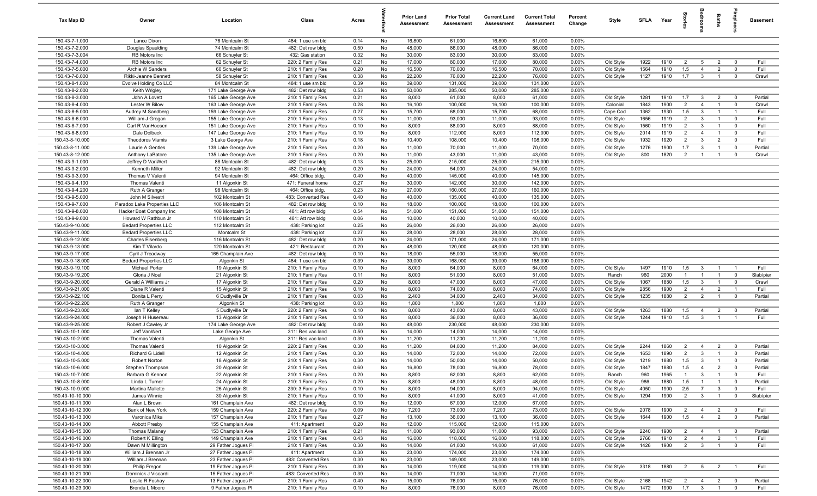| Tax Map ID                         | Owner                                          | Location                                   | Class                                  | Acres        |          | <b>Prior Land</b><br>Assessment | <b>Prior Total</b><br>Assessment | <b>Current Land</b><br>Assessment | <b>Current Total</b><br>Assessment | Percent<br>Change | Style              | <b>SFLA</b> | Year         | tories                | edroo                        | Baths                            | epla                          | <b>Basement</b> |
|------------------------------------|------------------------------------------------|--------------------------------------------|----------------------------------------|--------------|----------|---------------------------------|----------------------------------|-----------------------------------|------------------------------------|-------------------|--------------------|-------------|--------------|-----------------------|------------------------------|----------------------------------|-------------------------------|-----------------|
| 150.43-7-1.000                     | Lance Dixon                                    | 76 Montcalm St                             | 484: 1 use sm bld                      | 0.14         | No       | 16,800                          | 61,000                           | 16,800                            | 61,000                             | 0.00%             |                    |             |              |                       |                              |                                  |                               |                 |
| 150.43-7-2.000                     | Douglas Spaulding                              | 74 Montcalm St                             | 482: Det row bldg                      | 0.50         | No       | 48,000                          | 86,000                           | 48,000                            | 86,000                             | 0.00%             |                    |             |              |                       |                              |                                  |                               |                 |
| 150.43-7-3.004                     | RB Motors Inc                                  | 66 Schuyler St                             | 432: Gas station                       | 0.32         | No       | 30,000                          | 83,000                           | 30,000                            | 83,000                             | 0.00%             |                    |             |              |                       |                              |                                  |                               |                 |
| 150.43-7-4.000                     | RB Motors Inc                                  | 62 Schuyler St                             | 220: 2 Family Res                      | 0.21         | No       | 17,000                          | 80,000                           | 17,000                            | 80,000                             | 0.00%             | Old Style          | 1922        | 1910         | 2                     | $5\overline{5}$              | $\overline{2}$                   | $\Omega$                      | Full            |
| 150.43-7-5.000                     | Archie W Sanders                               | 60 Schuyler St                             | 210: 1 Family Res                      | 0.20         | No       | 16,500                          | 70,000                           | 16,500                            | 70,000                             | 0.00%             | Old Style          | 1564        | 1910         | 1.5                   | $\overline{4}$               | $\overline{2}$                   | $\mathbf{0}$                  | Full            |
| 150.43-7-6.000                     | Rikki-Jeanne Bennett                           | 58 Schuyler St                             | 210: 1 Family Res                      | 0.38         | No       | 22,200                          | 76,000                           | 22,200                            | 76,000                             | 0.00%             | Old Style          | 1127        | 1910         | 1.7                   | $\mathbf{3}$                 | $\overline{1}$                   | $\mathbf 0$                   | Crawl           |
| 150.43-8-1.000<br>150.43-8-2.000   | Evolve Holding Co LLC                          | 84 Montcalm St                             | 484: 1 use sm bld                      | 0.39<br>0.53 | No<br>No | 39,000<br>50,000                | 131,000                          | 39,000<br>50,000                  | 131,000                            | 0.00%<br>0.00%    |                    |             |              |                       |                              |                                  |                               |                 |
| 150.43-8-3.000                     | Keith Wrigley<br>John A Lovett                 | 171 Lake George Ave<br>165 Lake George Ave | 482: Det row bldg<br>210: 1 Family Res | 0.21         | No       | 8,000                           | 285,000<br>61,000                | 8,000                             | 285,000<br>61,000                  | 0.00%             | Old Style          | 1281        | 1910         | 1.7                   | $\overline{3}$               | $\overline{2}$                   | $\overline{0}$                | Partial         |
| 150.43-8-4.000                     | Lester W Bilow                                 | 163 Lake George Ave                        | 210: 1 Family Res                      | 0.28         | No       | 16,100                          | 100,000                          | 16,100                            | 100,000                            | 0.00%             | Colonial           | 1843        | 1900         | 2                     | $\overline{4}$               | $\overline{1}$                   | $\mathbf 0$                   | Crawl           |
| 150.43-8-5.000                     | Audrey M Sandberg                              | 159 Lake George Ave                        | 210: 1 Family Res                      | 0.27         | No       | 15,700                          | 68,000                           | 15,700                            | 68,000                             | 0.00%             | Cape Cod           | 1362        | 1930         | 1.5                   | $\mathbf{3}$                 | $\overline{1}$                   | $\overline{1}$                | Full            |
| 150.43-8-6.000                     | William J Grogan                               | 155 Lake George Ave                        | 210: 1 Family Res                      | 0.13         | No       | 11,000                          | 93,000                           | 11,000                            | 93,000                             | 0.00%             | Old Style          | 1656        | 1919         | $\overline{2}$        | $\overline{\mathbf{3}}$      | $\overline{1}$                   | $\mathbf 0$                   | Full            |
| 150.43-8-7.000                     | Carl R VanHoesen                               | 151 Lake George Ave                        | 210: 1 Family Res                      | 0.10         | No       | 8,000                           | 88,000                           | 8,000                             | 88,000                             | 0.00%             | Old Style          | 1560        | 1919         | 2                     | $\mathbf{3}$                 | $\overline{1}$                   | $\Omega$                      | Full            |
| 150.43-8-8.000                     | Dale Dolbeck                                   | 147 Lake George Ave                        | 210: 1 Family Res                      | 0.10         | No       | 8,000                           | 112,000                          | 8,000                             | 112,000                            | 0.00%             | Old Style          | 2014        | 1919         | $\overline{2}$        | $\overline{4}$               | $\overline{1}$                   | $\mathbf 0$                   | Full            |
| 150.43-8-10.000                    | Theodoros Vlamis                               | 3 Lake George Ave                          | 210: 1 Family Res                      | 0.18         | No       | 10,400                          | 108,000                          | 10,400                            | 108,000                            | 0.00%             | Old Style          | 1932        | 1920         | $\overline{2}$        | $\mathbf{3}$                 | $\overline{2}$                   | $\mathbf 0$                   | Full            |
| 150.43-8-11.000                    | Laurie A Gentles                               | 139 Lake George Ave                        | 210: 1 Family Res                      | 0.20         | No       | 11,000                          | 70,000                           | 11,000                            | 70,000                             | 0.00%             | Old Style          | 1276        | 1900         | 1.7                   | $\overline{\mathbf{3}}$      | $\overline{1}$                   | $\mathbf 0$                   | Partial         |
| 150.43-8-12.000                    | Anthony LaBatore                               | 135 Lake George Ave                        | 210: 1 Family Res                      | 0.20         | No       | 11,000                          | 43,000                           | 11,000                            | 43,000                             | 0.00%             | Old Style          | 800         | 1820         | $\overline{2}$        | $\overline{1}$               | $\mathbf{1}$                     | $\mathbf 0$                   | Crawl           |
| 150.43-9-1.000                     | Jeffrey D VanWert                              | 88 Montcalm St                             | 482: Det row bldg                      | 0.13         | No       | 25,000                          | 215,000                          | 25,000                            | 215,000                            | 0.00%             |                    |             |              |                       |                              |                                  |                               |                 |
| 150.43-9-2.000                     | Kenneth Miller                                 | 92 Montcalm St                             | 482: Det row bldg                      | 0.20         | No       | 24,000                          | 54,000                           | 24,000                            | 54,000                             | 0.00%             |                    |             |              |                       |                              |                                  |                               |                 |
| 150.43-9-3.000                     | Thomas V Valenti                               | 94 Montcalm St                             | 464: Office bldg                       | 0.40         | No       | 40,000                          | 145,000                          | 40,000                            | 145,000                            | 0.00%             |                    |             |              |                       |                              |                                  |                               |                 |
| 150.43-9-4.100                     | Thomas Valenti                                 | 11 Algonkin St                             | 471: Funeral home                      | 0.27         | No       | 30,000                          | 142,000                          | 30,000                            | 142,000                            | 0.00%             |                    |             |              |                       |                              |                                  |                               |                 |
| 150.43-9-4.200                     | Ruth A Granger                                 | 98 Montcalm St                             | 464: Office bldg.                      | 0.23         | No       | 27,000                          | 160,000                          | 27,000                            | 160,000                            | 0.00%             |                    |             |              |                       |                              |                                  |                               |                 |
| 150.43-9-5.000                     | John M Silvestri                               | 102 Montcalm St                            | 483: Converted Res                     | 0.40         | No       | 40,000                          | 135,000                          | 40,000                            | 135,000                            | 0.00%             |                    |             |              |                       |                              |                                  |                               |                 |
| 150.43-9-7.000                     | Paradox Lake Properties LLC                    | 106 Montcalm St                            | 482: Det row bldg                      | 0.10         | No       | 18,000                          | 100,000                          | 18,000                            | 100,000                            | 0.00%             |                    |             |              |                       |                              |                                  |                               |                 |
| 150.43-9-8.000                     | Hacker Boat Company Inc                        | 108 Montcalm St                            | 481: Att row bldg                      | 0.54         | No       | 51,000                          | 151,000                          | 51,000                            | 151,000                            | 0.00%             |                    |             |              |                       |                              |                                  |                               |                 |
| 150.43-9-9.000                     | Howard W Rathbun Jr                            | 110 Montcalm St                            | 481: Att row bldg                      | 0.06         | No       | 10,000                          | 40,000                           | 10,000                            | 40,000                             | 0.00%             |                    |             |              |                       |                              |                                  |                               |                 |
| 150.43-9-10.000                    | <b>Bedard Properties LLC</b>                   | 112 Montcalm St                            | 438: Parking lot                       | 0.25         | No       | 26,000                          | 26,000                           | 26,000                            | 26,000                             | 0.00%             |                    |             |              |                       |                              |                                  |                               |                 |
| 150.43-9-11.000                    | <b>Bedard Properties LLC</b>                   | Montcalm St                                | 438: Parking lot                       | 0.27         | No       | 28,000                          | 28,000                           | 28,000                            | 28,000                             | 0.00%             |                    |             |              |                       |                              |                                  |                               |                 |
| 150.43-9-12.000                    | <b>Charles Eisenberg</b>                       | 116 Montcalm St                            | 482: Det row bldg                      | 0.20         | No       | 24,000                          | 171,000                          | 24,000                            | 171,000                            | 0.00%             |                    |             |              |                       |                              |                                  |                               |                 |
| 150.43-9-13.000<br>150.43-9-17.000 | Kim T Vilardo<br>Cyril J Treadway              | 120 Montcalm St                            | 421: Restaurant<br>482: Det row bldg   | 0.20<br>0.10 | No<br>No | 48,000<br>18,000                | 120,000<br>55,000                | 48,000<br>18,000                  | 120,000<br>55,000                  | 0.00%<br>0.00%    |                    |             |              |                       |                              |                                  |                               |                 |
| 150.43-9-18.000                    |                                                | 165 Champlain Ave                          |                                        | 0.39         | No       | 39,000                          | 168,000                          | 39,000                            | 168,000                            | 0.00%             |                    |             |              |                       |                              |                                  |                               |                 |
| 150.43-9-19.100                    | <b>Bedard Properties LLC</b><br>Michael Porter | Algonkin St<br>19 Algonkin St              | 484: 1 use sm bld<br>210: 1 Family Res | 0.10         | No       | 8,000                           | 64,000                           | 8,000                             | 64,000                             | 0.00%             | Old Style          | 1497        | 1910         | 1.5                   | $\mathbf{3}$                 | $\overline{1}$                   | $\overline{1}$                | Full            |
| 150.43-9-19.200                    | Gloria J Noel                                  | 21 Algonkin St                             | 210: 1 Family Res                      | 0.11         | No       | 8,000                           | 51,000                           | 8,000                             | 51,000                             | 0.00%             | Ranch              | 960         | 2000         | $\mathbf{1}$          | $\mathbf{1}$                 | $\overline{1}$                   | $\mathbf 0$                   | Slab/pier       |
| 150.43-9-20.000                    | Gerald A Williams Jr                           | 17 Algonkin St                             | 210: 1 Family Res                      | 0.20         | No       | 8,000                           | 47,000                           | 8,000                             | 47,000                             | 0.00%             | Old Style          | 1067        | 1880         | 1.5                   | $\mathbf{3}$                 | $\overline{1}$                   | $\overline{0}$                | Crawl           |
| 150.43-9-21.000                    | Diane R Valenti                                | 15 Algonkin St                             | 210: 1 Family Res                      | 0.10         | No       | 8,000                           | 74,000                           | 8,000                             | 74,000                             | 0.00%             | Old Style          | 2856        | 1900         | $\overline{2}$        | $\overline{4}$               | $\overline{2}$                   | $\overline{1}$                | Full            |
| 150.43-9-22.100                    | Bonita L Perry                                 | 6 Dudlyville Dr                            | 210: 1 Family Res                      | 0.03         | No       | 2,400                           | 34,000                           | 2,400                             | 34,000                             | 0.00%             | Old Style          | 1235        | 1880         | 2                     | $\overline{2}$               | $\overline{1}$                   | $\mathbf 0$                   | Partial         |
| 150.43-9-22.200                    | Ruth A Granger                                 | Algonkin St                                | 438: Parking lot                       | 0.03         | No       | 1,800                           | 1,800                            | 1,800                             | 1,800                              | 0.00%             |                    |             |              |                       |                              |                                  |                               |                 |
| 150.43-9-23.000                    | lan T Kelley                                   | 5 Dudlyville Dr                            | 220: 2 Family Res                      | 0.10         | No       | 8,000                           | 43,000                           | 8,000                             | 43,000                             | 0.00%             | Old Style          | 1263        | 1880         | 1.5                   | -4                           | $\overline{2}$                   | $\overline{\mathbf{0}}$       | Partial         |
| 150.43-9-24.000                    | Joseph H Husereau                              | 13 Algonkin St                             | 210: 1 Family Res                      | 0.10         | No       | 8,000                           | 36,000                           | 8,000                             | 36,000                             | 0.00%             | Old Style          | 1244        | 1910         | 1.5                   | $\mathbf{3}$                 | $\overline{1}$                   | $\overline{1}$                | Full            |
| 150.43-9-25.000                    | Robert J Cawley Jr                             | 174 Lake George Ave                        | 482: Det row bldg                      | 0.40         | No       | 48,000                          | 230,000                          | 48,000                            | 230,000                            | 0.00%             |                    |             |              |                       |                              |                                  |                               |                 |
| 150.43-10-1.000                    | Jeff VanWert                                   | Lake George Ave                            | 311: Res vac land                      | 0.50         | No       | 14,000                          | 14,000                           | 14,000                            | 14,000                             | 0.00%             |                    |             |              |                       |                              |                                  |                               |                 |
| 150.43-10-2.000                    | Thomas Valenti                                 | Algonkin St                                | 311: Res vac land                      | 0.30         | No       | 11,200                          | 11,200                           | 11,200                            | 11,200                             | 0.00%             |                    |             |              |                       |                              |                                  |                               |                 |
| 150.43-10-3.000                    | Thomas Valenti                                 | 10 Algonkin St                             | 220: 2 Family Res                      | 0.30         | No       | 11,200                          | 84,000                           | 11,200                            | 84,000                             | 0.00%             | Old Style          | 2244        | 1860         | $\overline{2}$        | $\overline{4}$               | $\overline{2}$                   | $\overline{0}$                | Partial         |
| 150.43-10-4.000                    | <b>Richard G Lidell</b>                        | 12 Algonkin St                             | 210: 1 Family Res                      | 0.30         | No       | 14,000                          | 72,000                           | 14,000                            | 72,000                             | 0.00%             | Old Style          | 1653        | 1890         | $\overline{2}$        | $\mathbf{3}$                 | $\mathbf{1}$                     | $\Omega$                      | Partial         |
| 150.43-10-5.000                    | <b>Robert Norton</b>                           | 18 Algonkin St                             | 210: 1 Family Res                      | 0.30         | No       | 14,000                          | 50,000                           | 14,000                            | 50,000                             | 0.00%             | Old Style          | 1219        | 1880         | 1.5                   | $\mathbf{3}$                 | $\overline{1}$                   | $\overline{\mathbf{0}}$       | Partial         |
| 150.43-10-6.000                    | Stephen Thompson                               | 20 Algonkin St                             | 210: 1 Family Res                      | 0.60         | No       | 16,800                          | 78,000                           | 16,800                            | 78,000                             | 0.00%             | Old Style          | 1847        | 1880         | 1.5                   | $\overline{4}$               | $\overline{2}$                   |                               | Partial         |
| 150.43-10-7.000<br>150.43-10-8.000 | Barbara G Kennon<br>Linda L Turner             | 22 Algonkin St<br>24 Algonkin St           | 210: 1 Family Res                      | 0.20<br>0.20 | No<br>No | 8,800<br>8,800                  | 62,000<br>48,000                 | 8,800<br>8,800                    | 62,000<br>48,000                   | 0.00%<br>0.00%    | Ranch<br>Old Style | 960<br>986  | 1965<br>1880 | $\overline{1}$<br>1.5 | $\mathbf{3}$<br>$\mathbf{1}$ | $\overline{1}$<br>$\overline{1}$ | $\overline{0}$<br>$\mathbf 0$ | Full<br>Partial |
| 150.43-10-9.000                    | Martina Mallette                               | 26 Algonkin St                             | 210: 1 Family Res<br>230: 3 Family Res | 0.10         | No       | 8,000                           | 94,000                           | 8,000                             | 94,000                             | 0.00%             | Old Style          | 4050        | 1900         | 2.5                   | $\overline{7}$               | $\mathbf{3}$                     | $\overline{0}$                | Full            |
| 150.43-10-10.000                   | James Winnie                                   | 30 Algonkin St                             | 210: 1 Family Res                      | 0.10         | No       | 8,000                           | 41,000                           | 8,000                             | 41,000                             | 0.00%             | Old Style          | 1294        | 1900         | $\overline{2}$        | $\overline{3}$               | $\overline{1}$                   | $\mathbf 0$                   | Slab/pier       |
| 150.43-10-11.000                   | Alan L Brown                                   | 161 Champlain Ave                          | 482: Det row bldg                      | 0.10         | No       | 12,000                          | 67,000                           | 12,000                            | 67,000                             | 0.00%             |                    |             |              |                       |                              |                                  |                               |                 |
| 150.43-10-12.000                   | Bank of New York                               | 159 Champlain Ave                          | 220: 2 Family Res                      | 0.09         | No       | 7,200                           | 73,000                           | 7,200                             | 73,000                             | 0.00%             | Old Style          | 2078        | 1900         | $\overline{2}$        | $\overline{4}$               | $\overline{2}$                   | $\overline{\mathbf{0}}$       | Full            |
| 150.43-10-13.000                   | Varonica Mika                                  | 157 Champlain Ave                          | 210: 1 Family Res                      | 0.27         | No       | 13,100                          | 36,000                           | 13,100                            | 36,000                             | 0.00%             | Old Style          | 1644        | 1900         | 1.5                   | $\overline{4}$               | 2                                | $\mathbf 0$                   | Partial         |
| 150.43-10-14.000                   | Abbott Presby                                  | 155 Champlain Ave                          | 411: Apartment                         | 0.20         | No       | 12,000                          | 115,000                          | 12,000                            | 115,000                            | 0.00%             |                    |             |              |                       |                              |                                  |                               |                 |
| 150.43-10-15.000                   | <b>Thomas Malaney</b>                          | 153 Champlain Ave                          | 210: 1 Family Res                      | 0.21         | No       | 11,000                          | 93,000                           | 11,000                            | 93,000                             | 0.00%             | Old Style          | 2240        | 1900         | $\overline{2}$        | $\overline{4}$               | $\overline{1}$                   | $\overline{\mathbf{0}}$       | Partial         |
| 150.43-10-16.000                   | Robert K Elling                                | 149 Champlain Ave                          | 210: 1 Family Res                      | 0.43         | No       | 16,000                          | 118,000                          | 16,000                            | 118,000                            | 0.00%             | Old Style          | 2766        | 1910         | $\overline{2}$        | $\overline{4}$               | $\overline{2}$                   | $\overline{1}$                | Full            |
| 150.43-10-17.000                   | Dawn M Millington                              | 29 Father Jogues PI                        | 210: 1 Family Res                      | 0.30         | No       | 14,000                          | 61,000                           | 14,000                            | 61,000                             | 0.00%             | Old Style          | 1426        | 1900         | $\overline{2}$        | $\overline{\mathbf{3}}$      | $\overline{1}$                   | $\mathbf 0$                   | Full            |
| 150.43-10-18.000                   | William J Brennan Jr                           | 27 Father Jogues PI                        | 411: Apartment                         | 0.30         | No       | 23,000                          | 174,000                          | 23,000                            | 174,000                            | 0.00%             |                    |             |              |                       |                              |                                  |                               |                 |
| 150.43-10-19.000                   | William J Brennan                              | 23 Father Joques Pl                        | 483: Converted Res                     | 0.30         | No       | 23,000                          | 149,000                          | 23,000                            | 149,000                            | 0.00%             |                    |             |              |                       |                              |                                  |                               |                 |
| 150.43-10-20.000                   | Philip Fregon                                  | 19 Father Joques Pl                        | 210: 1 Family Res                      | 0.30         | No       | 14,000                          | 119,000                          | 14,000                            | 119,000                            | 0.00%             | Old Style          | 3318        | 1880         | $\overline{2}$        | $5\overline{)}$              | $\overline{2}$                   |                               | Full            |
| 150.43-10-21.000                   | Dominick J Viscardi                            | 15 Father Jogues PI                        | 483: Converted Res                     | 0.30         | No       | 14,000                          | 71,000                           | 14,000                            | 71,000                             | 0.00%             |                    |             |              |                       |                              |                                  |                               |                 |
| 150.43-10-22.000                   | Leslie R Foshay                                | 13 Father Jogues PI                        | 210: 1 Family Res                      | 0.40         | No       | 15,000                          | 76,000                           | 15,000                            | 76,000                             | 0.00%             | Old Style          | 2168        | 1942         | $\overline{2}$        | $\overline{4}$               | $\overline{2}$                   | $\overline{0}$                | Partial         |
| 150.43-10-23.000                   | Brenda L Moore                                 | 9 Father Jogues PI                         | 210: 1 Family Res                      | 0.10         | No       | 8,000                           | 76,000                           | 8,000                             | 76,000                             | 0.00%             | Old Style          | 1472        | 1900         | 1.7                   | $\overline{\mathbf{3}}$      | $\overline{1}$                   | $\mathbf 0$                   | Full            |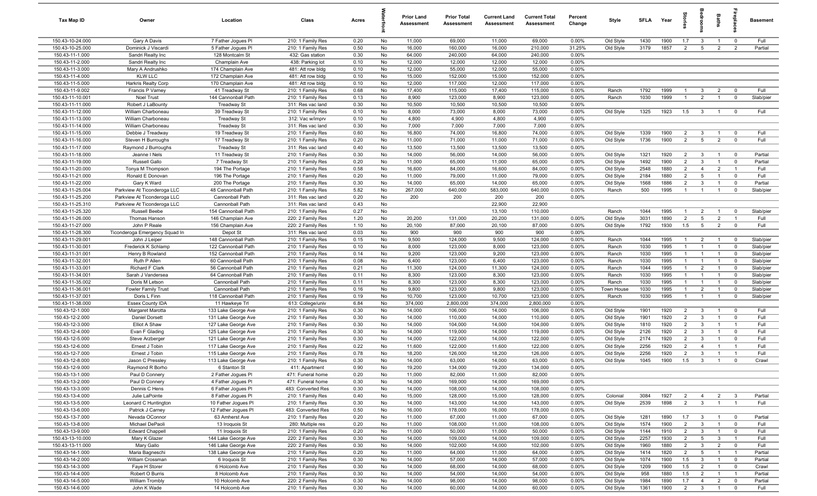| Tax Map ID                           | Owner                                                      | Location                                  | Class                                   | Acres        |          | <b>Prior Land</b><br>Assessment | <b>Prior Total</b><br>Assessment | <b>Current Land</b><br>Assessment | <b>Current Total</b><br><b>Assessment</b> | Percent<br>Change | Style                 | <b>SFLA</b>  | Year         | g                                |                                           | Baths                            | 윤                                         | <b>Basement</b>        |
|--------------------------------------|------------------------------------------------------------|-------------------------------------------|-----------------------------------------|--------------|----------|---------------------------------|----------------------------------|-----------------------------------|-------------------------------------------|-------------------|-----------------------|--------------|--------------|----------------------------------|-------------------------------------------|----------------------------------|-------------------------------------------|------------------------|
| 150.43-10-24.000                     | Gary A Davis                                               | 7 Father Jogues PI                        | 210: 1 Family Res                       | 0.20         | No       | 11,000                          | 69,000                           | 11,000                            | 69,000                                    | 0.00%             | Old Style             | 1430         | 1900         | 1.7                              | $\mathbf{3}$                              | $\overline{1}$                   | $\overline{0}$                            | Full                   |
| 150.43-10-25.000                     | Dominick J Viscardi                                        | 5 Father Joques Pl                        | 210: 1 Family Res                       | 0.50         | No       | 16,000                          | 160,000                          | 16,000                            | 210,000                                   | 31.25%            | Old Style             | 3179         | 1857         | 2                                | $5\overline{5}$                           | $\overline{2}$                   | $\overline{2}$                            | Partial                |
| 150.43-11-1.000                      | Sandri Realty Inc                                          | 128 Montcalm St                           | 432: Gas station                        | 0.30         | No       | 64,000                          | 240,000                          | 64,000                            | 240,000                                   | 0.00%             |                       |              |              |                                  |                                           |                                  |                                           |                        |
| 150.43-11-2.000                      | Sandri Realty Inc                                          | Champlain Ave                             | 438: Parking lot                        | 0.10         | No       | 12,000                          | 12,000                           | 12,000                            | 12,000                                    | 0.00%             |                       |              |              |                                  |                                           |                                  |                                           |                        |
| 150.43-11-3.000                      | Mary A Andrushko                                           | 174 Champlain Ave                         | 481: Att row bldg                       | 0.10         | No       | 12,000                          | 55,000                           | 12,000                            | 55,000                                    | 0.00%             |                       |              |              |                                  |                                           |                                  |                                           |                        |
| 150.43-11-4.000<br>150.43-11-5.000   | <b>KLW LLC</b>                                             | 172 Champlain Ave                         | 481: Att row bldg                       | 0.10         | No       | 15,000                          | 152,000                          | 15,000<br>12,000                  | 152,000                                   | 0.00%<br>0.00%    |                       |              |              |                                  |                                           |                                  |                                           |                        |
| 150.43-11-9.002                      | <b>Harkris Realty Corp</b><br>Francis P Varney             | 170 Champlain Ave<br>41 Treadway St       | 481: Att row bldg<br>210: 1 Family Res  | 0.10<br>0.68 | No<br>No | 12,000<br>17,400                | 117,000<br>115,000               | 17,400                            | 117,000<br>115,000                        | 0.00%             | Ranch                 | 1792         | 1999         | $\overline{1}$                   | $\mathbf{3}$                              | $\overline{2}$                   | $\overline{\mathbf{0}}$                   | Full                   |
| 150.43-11-10.001                     | Noel Trust                                                 | 144 Cannonball Path                       | 210: 1 Family Res                       | 0.13         | No       | 8,900                           | 123,000                          | 8,900                             | 123,000                                   | 0.00%             | Ranch                 | 1030         | 1999         | $\overline{1}$                   | $\overline{2}$                            | $\overline{1}$                   | $\mathbf 0$                               | Slab/pier              |
| 150.43-11-11.000                     | Robert J LaBounty                                          | <b>Treadway St</b>                        | 311: Res vac land                       | 0.30         | No       | 10,500                          | 10,500                           | 10,500                            | 10,500                                    | 0.00%             |                       |              |              |                                  |                                           |                                  |                                           |                        |
| 150.43-11-12.000                     | William Charboneau                                         | 39 Treadway St                            | 210: 1 Family Res                       | 0.10         | No       | 8,000                           | 73,000                           | 8,000                             | 73,000                                    | 0.00%             | Old Style             | 1325         | 1923         | 1.5                              | $\mathbf{3}$                              | $\overline{1}$                   | $\Omega$                                  | Full                   |
| 150.43-11-13.000                     | William Charboneau                                         | Treadway St                               | 312: Vac w/imprv                        | 0.10         | No       | 4,800                           | 4,900                            | 4,800                             | 4,900                                     | 0.00%             |                       |              |              |                                  |                                           |                                  |                                           |                        |
| 150.43-11-14.000                     | William Charboneau                                         | <b>Treadway St</b>                        | 311: Res vac land                       | 0.30         | No       | 7,000                           | 7,000                            | 7,000                             | 7,000                                     | 0.00%             |                       |              |              |                                  |                                           |                                  |                                           |                        |
| 150.43-11-15.000                     | Debbie J Treadway                                          | 19 Treadway St                            | 210: 1 Family Res                       | 0.60         | No       | 16,800                          | 74,000                           | 16,800                            | 74,000                                    | 0.00%             | Old Style             | 1339         | 1900         | $\overline{2}$                   | $\mathbf{3}$                              | $\overline{1}$                   | $\mathbf 0$                               | Full                   |
| 150.43-11-16.000                     | Steven H Burroughs                                         | 17 Treadway St                            | 210: 1 Family Res                       | 0.20         | No       | 11,000                          | 71,000                           | 11,000                            | 71,000                                    | 0.00%             | Old Style             | 1736         | 1900         | 2                                | $5\overline{5}$                           | $\overline{2}$                   | $\mathbf 0$                               | Full                   |
| 150.43-11-17.000                     | Raymond J Burroughs                                        | Treadway St                               | 311: Res vac land                       | 0.40         | No       | 13,500                          | 13,500                           | 13,500                            | 13,500                                    | 0.00%             |                       |              |              |                                  |                                           |                                  |                                           |                        |
| 150.43-11-18.000                     | Jeanne I Nels                                              | 11 Treadway St                            | 210: 1 Family Res                       | 0.30         | No       | 14,000                          | 56,000                           | 14,000                            | 56,000                                    | 0.00%             | Old Style             | 1321         | 1920         | 2                                | $\mathbf{3}$                              | $\overline{1}$                   | $\overline{0}$                            | Partial                |
| 150.43-11-19.000                     | Russell Gallo                                              | 7 Treadway St                             | 210: 1 Family Res                       | 0.20         | No       | 11,000                          | 65,000                           | 11,000                            | 65,000                                    | 0.00%             | Old Style             | 1492         | 1900         | $\overline{2}$                   | $\mathbf{3}$                              | $\overline{1}$                   | $\overline{0}$                            | Partial                |
| 150.43-11-20.000                     | Tonya M Thompson                                           | 194 The Portage                           | 210: 1 Family Res                       | 0.58         | No       | 16,600                          | 84,000                           | 16,600                            | 84,000                                    | 0.00%             | Old Style             | 2548         | 1880         | $\overline{2}$                   | $\overline{4}$                            | $\overline{2}$                   | $\overline{1}$                            | Full                   |
| 150.43-11-21.000                     | Ronald E Donovan                                           | 196 The Portage                           | 210: 1 Family Res                       | 0.20         | No       | 11,000                          | 79,000                           | 11,000                            | 79,000                                    | 0.00%             | Old Style             | 2184         | 1880         | $\overline{2}$                   | $5\overline{5}$                           | $\overline{1}$                   | $\overline{0}$                            | Full                   |
| 150.43-11-22.000                     | Gary K Ward                                                | 200 The Portage                           | 210: 1 Family Res                       | 0.30         | No       | 14,000<br>267,000               | 65,000                           | 14,000                            | 65,000                                    | 0.00%<br>0.00%    | Old Style             | 1568<br>500  | 1886         | $\overline{2}$<br>$\overline{1}$ | $\mathbf{3}$                              | $\overline{1}$                   | $\overline{0}$<br>$\mathbf 0$             | Partial                |
| 150.43-11-25.004<br>150.43-11-25.200 | Parkview At Ticonderoga LLC<br>Parkview At Ticonderoga LLC | 48 Cannonball Path<br>Cannonball Path     | 210: 1 Family Res<br>311: Res vac land  | 5.82<br>0.20 | No<br>No | 200                             | 640,000<br>200                   | 583,000<br>200                    | 640,000<br>200                            | 0.00%             | Ranch                 |              | 1995         |                                  | $\mathbf{1}$                              | $\overline{1}$                   |                                           | Slab/pier              |
| 150.43-11-25.310                     | Parkview At Ticonderoga LLC                                | Cannonball Path                           | 311: Res vac land                       | 0.43         | No       |                                 |                                  | 22,900                            | 22,900                                    |                   |                       |              |              |                                  |                                           |                                  |                                           |                        |
| 150.43-11-25.320                     | Russell Beebe                                              | 154 Cannonball Path                       | 210: 1 Family Res                       | 0.27         | No       |                                 |                                  | 13,100                            | 110,000                                   |                   | Ranch                 | 1044         | 1995         | $\overline{1}$                   | $\overline{2}$                            | $\overline{1}$                   | $\overline{0}$                            | Slab/pier              |
| 150.43-11-26.000                     | Thomas Hanson                                              | 146 Champlain Ave                         | 220: 2 Family Res                       | 1.20         | No       | 20,200                          | 131,000                          | 20,200                            | 131,000                                   | 0.00%             | Old Style             | 3031         | 1890         | $\overline{2}$                   | $5\overline{5}$                           | $\overline{2}$                   | $\mathbf{1}$                              | Full                   |
| 150.43-11-27.000                     | John P Reale                                               | 156 Champlain Ave                         | 220: 2 Family Res                       | 1.10         | No       | 20,100                          | 87,000                           | 20,100                            | 87,000                                    | 0.00%             | Old Style             | 1792         | 1930         | 1.5                              | $5\overline{5}$                           | $\overline{2}$                   | $\mathbf 0$                               | Full                   |
| 150.43-11-28.300                     | Ticonderoga Emergency Squad In                             | Depot St                                  | 311: Res vac land                       | 0.03         | No       | 900                             | 900                              | 900                               | 900                                       | 0.00%             |                       |              |              |                                  |                                           |                                  |                                           |                        |
| 150.43-11-29.001                     | John J Leiper                                              | 148 Cannonball Path                       | 210: 1 Family Res                       | 0.15         | No       | 9,500                           | 124,000                          | 9,500                             | 124,000                                   | 0.00%             | Ranch                 | 1044         | 1995         | $\overline{1}$                   | $\overline{2}$                            | $\overline{1}$                   | $\mathbf 0$                               | Slab/pier              |
| 150.43-11-30.001                     | Frederick K Schlamp                                        | 122 Cannonball Path                       | 210: 1 Family Res                       | 0.10         | No       | 8,000                           | 123,000                          | 8,000                             | 123,000                                   | 0.00%             | Ranch                 | 1030         | 1995         | $\mathbf{1}$                     | $\mathbf{1}$                              | $\overline{1}$                   | $\Omega$                                  | Slab/pier              |
| 150.43-11-31.001                     | Henry B Rowland                                            | 152 Cannonball Path                       | 210: 1 Family Res                       | 0.14         | No       | 9,200                           | 123,000                          | 9,200                             | 123,000                                   | 0.00%             | Ranch                 | 1030         | 1995         | $\mathbf{1}$                     | $\overline{1}$                            | $\overline{1}$                   | $\overline{0}$                            | Slab/pier              |
| 150.43-11-32.001                     | Ruth P Allen                                               | 60 Cannonball Path                        | 210: 1 Family Res                       | 0.08         | No       | 6,400                           | 123,000                          | 6,400                             | 123,000                                   | 0.00%             | Ranch                 | 1030         | 1995         | $\mathbf{1}$                     | $\mathbf{1}$                              | $\overline{1}$                   | $\Omega$                                  | Slab/pier              |
| 150.43-11-33.001                     | Richard F Clark                                            | 56 Cannonball Path                        | 210: 1 Family Res                       | 0.21         | No       | 11,300                          | 124,000                          | 11,300                            | 124,000                                   | 0.00%             | Ranch                 | 1044         | 1995         | $\overline{1}$                   | $\overline{2}$                            | $\overline{1}$                   | $\overline{0}$                            | Slab/pier              |
| 150.43-11-34.001                     | Sarah J Vandersea                                          | 64 Cannonball Path                        | 210: 1 Family Res                       | 0.11         | No       | 8,300                           | 123,000                          | 8,300                             | 123,000                                   | 0.00%             | Ranch                 | 1030         | 1995         | $\overline{1}$                   | $\overline{1}$                            | $\overline{1}$                   | $\overline{0}$                            | Slab/pier              |
| 150.43-11-35.002                     | Doris M Letson                                             | Cannonball Path                           | 210: 1 Family Res                       | 0.11         | No       | 8,300                           | 123,000                          | 8,300                             | 123,000                                   | 0.00%             | Ranch                 | 1030         | 1995         | $\overline{1}$                   | $\overline{1}$                            | $\overline{1}$                   | $\Omega$                                  | Slab/pier              |
| 150.43-11-36.001<br>150.43-11-37.001 | <b>Fowler Family Trust</b><br>Doris L Finn                 | Cannonball Path<br>118 Cannonball Path    | 210: 1 Family Res                       | 0.16<br>0.19 | No<br>No | 9,800<br>10,700                 | 123,000<br>123,000               | 9,800<br>10,700                   | 123,000<br>123,000                        | 0.00%<br>0.00%    | Town House<br>Ranch   | 1030<br>1030 | 1995<br>1995 | $\overline{1}$<br>$\mathbf{1}$   | $\overline{2}$<br>$\overline{1}$          | $\overline{1}$<br>$\overline{1}$ | $^{\circ}$<br>$^{\circ}$                  | Slab/pier<br>Slab/pier |
| 150.43-11-38.000                     | Essex County IDA                                           | 11 Hawkeye Trl                            | 210: 1 Family Res<br>613: College/univ  | 6.84         | No       | 374,000                         | 2,800,000                        | 374,000                           | 2,800,000                                 | 0.00%             |                       |              |              |                                  |                                           |                                  |                                           |                        |
| 150.43-12-1.000                      | Margaret Marotta                                           | 133 Lake George Ave                       | 210: 1 Family Res                       | 0.30         | No       | 14,000                          | 106,000                          | 14,000                            | 106,000                                   | 0.00%             | Old Style             | 1901         | 1920         | $\overline{2}$                   | $\mathbf{3}$                              | $\overline{1}$                   | $\mathbf 0$                               | Full                   |
| 150.43-12-2.000                      | Daniel Dorsett                                             | 131 Lake George Ave                       | 210: 1 Family Res                       | 0.30         | No       | 14,000                          | 110,000                          | 14,000                            | 110,000                                   | 0.00%             | Old Style             | 1901         | 1920         | $\overline{2}$                   | $\mathbf{3}$                              | $\overline{1}$                   | $\mathbf 0$                               | Full                   |
| 150.43-12-3.000                      | Elliot A Shaw                                              | 127 Lake George Ave                       | 210: 1 Family Res                       | 0.30         | No       | 14,000                          | 104,000                          | 14,000                            | 104,000                                   | 0.00%             | Old Style             | 1810         | 1920         | $\overline{2}$                   | $\mathbf{3}$                              | $\overline{1}$                   | $\overline{1}$                            | Full                   |
| 150.43-12-4.000                      | Evan F Glading                                             | 125 Lake George Ave                       | 210: 1 Family Res                       | 0.30         | No       | 14,000                          | 119,000                          | 14,000                            | 119,000                                   | 0.00%             | Old Style             | 2126         | 1920         | $\overline{2}$                   | $\overline{\mathbf{3}}$                   | $\overline{1}$                   | $\overline{0}$                            | Full                   |
| 150.43-12-5.000                      | Steve Arzberger                                            | 121 Lake George Ave                       | 210: 1 Family Res                       | 0.30         | No       | 14,000                          | 122,000                          | 14,000                            | 122,000                                   | 0.00%             | Old Style             | 2174         | 1920         | $\overline{2}$                   | $\mathbf{3}$                              | $\overline{\mathbf{1}}$          | $\Omega$                                  | Full                   |
| 150.43-12-6.000                      | Ernest J Tobin                                             | 117 Lake George Ave                       | 210: 1 Family Res                       | 0.22         | No       | 11,600                          | 122,000                          | 11,600                            | 122,000                                   | 0.00%             | Old Style             | 2256         | 1920         | $\overline{2}$                   | $\overline{4}$                            | $\overline{1}$                   | $\overline{1}$                            | Full                   |
| 150.43-12-7.000                      | Ernest J Tobin                                             | 115 Lake George Ave                       | 210: 1 Family Res                       | 0.78         | No       | 18,200                          | 126,000                          | 18,200                            | 126,000                                   | 0.00%             | Old Style             | 2256         | 1920         | $\overline{2}$                   | 3                                         | $\overline{1}$                   | $\overline{1}$                            | Full                   |
| 150.43-12-8.000                      | Jason C Pressley                                           | 113 Lake George Ave                       | 210: 1 Family Res                       | 0.30         | No       | 14,000                          | 63,000                           | 14,000                            | 63,000                                    | 0.00%             | Old Style             | 1045         | 1900         | 1.5                              | $\overline{\mathbf{3}}$                   | $\overline{1}$                   | $\mathbf 0$                               | Crawl                  |
| 150.43-12-9.000                      | Raymond R Borho                                            | 6 Stanton St                              | 411: Apartment                          | 0.90         | No       | 19,200                          | 134,000                          | 19,200                            | 134,000                                   | 0.00%             |                       |              |              |                                  |                                           |                                  |                                           |                        |
| 150.43-13-1.000                      | Paul D Connery                                             | 2 Father Jogues PI                        | 471: Funeral home                       | 0.20         | No       | 11,000                          | 82,000                           | 11,000                            | 82,000                                    | 0.00%             |                       |              |              |                                  |                                           |                                  |                                           |                        |
| 150.43-13-2.000                      | Paul D Connery                                             | 4 Father Jogues PI                        | 471: Funeral home                       | 0.30         | No       | 14,000                          | 169,000                          | 14,000                            | 169,000                                   | 0.00%             |                       |              |              |                                  |                                           |                                  |                                           |                        |
| 150.43-13-3.000                      | Dennis C Hens                                              | 6 Father Jogues PI                        | 483: Converted Res                      | 0.30         | No       | 14,000                          | 108,000                          | 14,000                            | 108,000                                   | 0.00%             |                       |              |              |                                  |                                           |                                  |                                           |                        |
| 150.43-13-4.000<br>150.43-13-5.000   | Julie LaPointe<br>Leonard C Huntington                     | 8 Father Jogues PI<br>10 Father Jogues PI | 210: 1 Family Res                       | 0.40<br>0.30 | No<br>No | 15,000<br>14,000                | 128,000<br>143,000               | 15,000<br>14,000                  | 128,000<br>143,000                        | 0.00%<br>0.00%    | Colonial<br>Old Style | 3084<br>2539 | 1927<br>1898 | $\overline{2}$<br>2              | $\overline{4}$<br>$\overline{\mathbf{3}}$ | $\overline{2}$<br>$\overline{1}$ | $\overline{\mathbf{3}}$<br>$\overline{1}$ | Partial<br>Full        |
| 150.43-13-6.000                      | Patrick J Carney                                           | 12 Father Jogues PI                       | 210: 1 Family Res<br>483: Converted Res | 0.50         | No       | 16,000                          | 178,000                          | 16,000                            | 178,000                                   | 0.00%             |                       |              |              |                                  |                                           |                                  |                                           |                        |
| 150.43-13-7.000                      | Nevada OConnor                                             | 63 Amherst Ave                            | 210: 1 Family Res                       | 0.20         | No       | 11,000                          | 67,000                           | 11,000                            | 67,000                                    | 0.00%             | Old Style             | 1281         | 1890         | 1.7                              | $\mathbf{3}$                              | $\overline{1}$                   | $\overline{\mathbf{0}}$                   | Partial                |
| 150.43-13-8.000                      | Michael DePaoli                                            | 13 Iroquois St                            | 280: Multiple res                       | 0.20         | No       | 11,000                          | 108,000                          | 11,000                            | 108,000                                   | 0.00%             | Old Style             | 1574         | 1900         | $\overline{2}$                   | $\overline{\mathbf{3}}$                   | $\overline{1}$                   | $\overline{\mathbf{0}}$                   | Full                   |
| 150.43-13-9.000                      | <b>Edward Chappell</b>                                     | 11 Iroquois St                            | 210: 1 Family Res                       | 0.20         | No       | 11,000                          | 50,000                           | 11,000                            | 50,000                                    | 0.00%             | Old Style             | 1144         | 1910         | $\overline{2}$                   | $\mathbf{3}$                              | $\overline{1}$                   | $\overline{\mathbf{0}}$                   | Full                   |
| 150.43-13-10.000                     | Mary K Glazer                                              | 144 Lake George Ave                       | 220: 2 Family Res                       | 0.30         | No       | 14,000                          | 109,000                          | 14,000                            | 109,000                                   | 0.00%             | Old Style             | 2257         | 1930         | $\overline{2}$                   | $5\phantom{.0}$                           | $\overline{\mathbf{3}}$          | $\overline{1}$                            | Full                   |
| 150.43-13-11.000                     | Mary Gallo                                                 | 146 Lake George Ave                       | 220: 2 Family Res                       | 0.30         | No       | 14,000                          | 102,000                          | 14,000                            | 102,000                                   | 0.00%             | Old Style             | 1960         | 1880         | $\overline{2}$                   | $\mathbf{3}$                              | $\overline{2}$                   | $\overline{0}$                            | Full                   |
| 150.43-14-1.000                      | Maria Bagneschi                                            | 138 Lake George Ave                       | 210: 1 Family Res                       | 0.20         | No       | 11,000                          | 64,000                           | 11,000                            | 64,000                                    | 0.00%             | Old Style             | 1414         | 1820         | $\overline{2}$                   | $5\overline{5}$                           | $\overline{1}$                   | $\overline{1}$                            | Partial                |
| 150.43-14-2.000                      | William Crossman                                           | 6 Iroquois St                             | 210: 1 Family Res                       | 0.30         | No       | 14,000                          | 57,000                           | 14,000                            | 57,000                                    | 0.00%             | Old Style             | 1074         | 1900         | 1.5                              | $\mathbf{3}$                              | $\overline{1}$                   | $\mathbf 0$                               | Partial                |
| 150.43-14-3.000                      | Faye H Storer                                              | 6 Holcomb Ave                             | 210: 1 Family Res                       | 0.30         | No       | 14,000                          | 68,000                           | 14,000                            | 68,000                                    | 0.00%             | Old Style             | 1209         | 1900         | 1.5                              | $\overline{2}$                            | $\overline{1}$                   | $\overline{0}$                            | Crawl                  |
| 150.43-14-4.000                      | Robert O Burris                                            | 8 Holcomb Ave                             | 210: 1 Family Res                       | 0.30         | No       | 14,000                          | 54,000                           | 14,000                            | 54,000                                    | 0.00%             | Old Style             | 958          | 1880         | 1.5                              | $\overline{2}$                            | $\overline{1}$                   | $\overline{1}$                            | Partial                |
| 150.43-14-5.000                      | William Trombly                                            | 10 Holcomb Ave                            | 220: 2 Family Res                       | 0.30         | No       | 14,000                          | 98,000                           | 14,000                            | 98,000                                    | 0.00%             | Old Style             | 1984         | 1890         | 1.7                              | $\overline{4}$                            | $\overline{2}$                   | $\overline{0}$                            | Partial                |
| 150.43-14-6.000                      | John K Wade                                                | 14 Holcomb Ave                            | 210: 1 Family Res                       | 0.30         | No       | 14,000                          | 60,000                           | 14,000                            | 60,000                                    | 0.00%             | Old Style             | 1361         | 1900         | $\overline{2}$                   | $\overline{\mathbf{3}}$                   | $\overline{1}$                   | $\mathbf 0$                               | Full                   |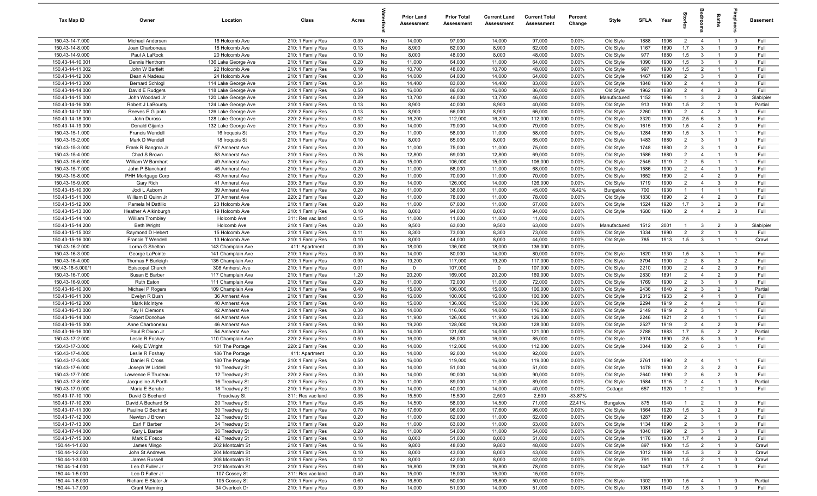| Tax Map ID                           | Owner                                    | Location                              | Class                                  | Acres        |          | <b>Prior Land</b><br>Assessment | <b>Prior Total</b><br>Assessment | <b>Current Land</b><br>Assessment | <b>Current Total</b><br>Assessment | Percent<br>Change | Style                  | SFLA         | Year         | Ŝ                                | groom                          | Baths                          |                                  | <b>Basement</b> |
|--------------------------------------|------------------------------------------|---------------------------------------|----------------------------------------|--------------|----------|---------------------------------|----------------------------------|-----------------------------------|------------------------------------|-------------------|------------------------|--------------|--------------|----------------------------------|--------------------------------|--------------------------------|----------------------------------|-----------------|
| 150.43-14-7.000                      | Michael Andersen                         | 16 Holcomb Ave                        | 210: 1 Family Res                      | 0.30         | No       | 14,000                          | 97,000                           | 14,000                            | 97,000                             | $0.00\%$          | Old Style              | 1888         | 1906         | $\overline{2}$                   | $\overline{4}$                 | $\overline{1}$                 | $\overline{0}$                   | Full            |
| 150.43-14-8.000                      | Joan Charboneau                          | 18 Holcomb Ave                        | 210: 1 Family Res                      | 0.13         | No       | 8,900                           | 62,000                           | 8,900                             | 62,000                             | 0.00%             | Old Style              | 1167         | 1890         | 1.7                              | $\mathbf{3}$                   | $\overline{1}$                 | $\overline{0}$                   | Full            |
| 150.43-14-9.000                      | Paul A LaRock                            | 20 Holcomb Ave                        | 210: 1 Family Res                      | 0.10         | No       | 8,000                           | 48,000                           | 8,000                             | 48,000                             | 0.00%             | Old Style              | 977          | 1880         | 1.5                              | $\mathbf{3}$                   | $\overline{1}$                 | $\mathbf 0$                      | Full            |
| 150.43-14-10.001                     | Dennis Henthorn                          | 136 Lake George Ave                   | 210: 1 Family Res                      | 0.20         | No       | 11,000                          | 64,000                           | 11,000                            | 64,000                             | 0.00%             | Old Style              | 1090         | 1900         | 1.5                              | $\mathbf{3}$                   | -1                             | $\mathbf 0$                      | Full            |
| 150.43-14-11.002                     | John W Bartlett                          | 22 Holcomb Ave                        | 210: 1 Family Res                      | 0.19         | No       | 10,700                          | 48,000                           | 10,700                            | 48,000                             | 0.00%             | Old Style              | 997          | 1900         | 1.5                              | $\overline{2}$                 |                                | $\overline{1}$                   | Full            |
| 150.43-14-12.000                     | Dean A Nadeau                            | 24 Holcomb Ave                        | 210: 1 Family Res                      | 0.30         | No       | 14,000                          | 64,000                           | 14,000                            | 64,000                             | 0.00%             | Old Style              | 1467         | 1890         | $\overline{2}$                   | $\mathbf{3}$                   |                                | $^{\circ}$                       | Full            |
| 150.43-14-13.000                     | <b>Bernard Schlogl</b>                   | 114 Lake George Ave                   | 210: 1 Family Res                      | 0.34         | No       | 14,400                          | 83,000                           | 14,400                            | 83,000                             | 0.00%             | Old Style              | 1848         | 1900         | $\overline{2}$                   | $\overline{4}$                 |                                | $^{\circ}$                       | Full            |
| 150.43-14-14.000                     | David E Rudgers                          | 118 Lake George Ave                   | 210: 1 Family Res                      | 0.50         | No       | 16,000                          | 86,000                           | 16,000                            | 86,000                             | 0.00%             | Old Style              | 1962         | 1880         | $\overline{2}$                   | $\overline{4}$                 | $\overline{2}$                 | $\mathbf 0$                      | Full            |
| 150.43-14-15.000                     | John Woodard Jr                          | 120 Lake George Ave                   | 210: 1 Family Res                      | 0.29         | No       | 13,700                          | 46,000                           | 13,700                            | 46,000                             | 0.00%             | Manufactured           | 1152         | 1996         | $\overline{1}$                   | $\mathbf{3}$                   | $\overline{2}$                 | $\mathbf 0$                      | Slab/pier       |
| 150.43-14-16.000                     | Robert J LaBounty                        | 124 Lake George Ave                   | 210: 1 Family Res                      | 0.13         | No       | 8,900                           | 40,000                           | 8,900                             | 40,000                             | 0.00%             | Old Style              | 913          | 1900         | 1.5                              | $\overline{2}$                 | $\overline{1}$                 | $\overline{0}$                   | Partial         |
| 150.43-14-17.000                     | Reeves E Gijanto                         | 126 Lake George Ave                   | 220: 2 Family Res                      | 0.13         | No       | 8,900                           | 66,000                           | 8,900                             | 66,000                             | 0.00%             | Old Style              | 2260         | 1900         | $\overline{2}$                   | $\overline{4}$                 | $\overline{2}$                 | $\overline{0}$                   | Full<br>Full    |
| 150.43-14-18.000                     | John Duross                              | 128 Lake George Ave                   | 220: 2 Family Res                      | 0.52         | No       | 16,200                          | 112,000                          | 16,200                            | 112,000                            | 0.00%             | Old Style              | 3320         | 1900         | 2.5                              | 6                              | 3<br>$\overline{2}$            | $\mathbf 0$                      |                 |
| 150.43-14-19.000<br>150.43-15-1.000  | Donald Gijanto<br><b>Francis Wendell</b> | 132 Lake George Ave<br>16 Iroquois St | 210: 1 Family Res<br>210: 1 Family Res | 0.30<br>0.20 | No<br>No | 14,000<br>11,000                | 79,000<br>58,000                 | 14,000<br>11,000                  | 79,000<br>58,000                   | 0.00%<br>0.00%    | Old Style<br>Old Style | 1615<br>1284 | 1900<br>1890 | 1.5<br>1.5                       | $\overline{4}$<br>$\mathbf{3}$ | $\overline{1}$                 | $\mathbf 0$<br>$\overline{1}$    | Full<br>Full    |
| 150.43-15-2.000                      | Mark D Wendell                           | 18 Iroquois St                        | 210: 1 Family Res                      | 0.10         | No       | 8,000                           | 65,000                           | 8,000                             | 65,000                             | 0.00%             | Old Style              | 1483         | 1880         | $\overline{2}$                   | $\mathbf{3}$                   | $\mathbf{1}$                   | $\mathbf 0$                      | Full            |
| 150.43-15-3.000                      | Frank R Bangma Jr                        | 57 Amherst Ave                        | 210: 1 Family Res                      | 0.20         | No       | 11,000                          | 75,000                           | 11,000                            | 75,000                             | 0.00%             | Old Style              | 1748         | 1880         | $\overline{2}$                   | $\mathbf{3}$                   | $\mathbf{1}$                   | $\mathbf 0$                      | Full            |
| 150.43-15-4.000                      | Chad S Brown                             | 53 Amherst Ave                        | 210: 1 Family Res                      | 0.26         | No       | 12,800                          | 69,000                           | 12,800                            | 69,000                             | 0.00%             | Old Style              | 1586         | 1880         | $\overline{2}$                   | $\overline{4}$                 |                                | $\mathbf 0$                      | Full            |
| 150.43-15-6.000                      | William W Barnhart                       | 49 Amherst Ave                        | 210: 1 Family Res                      | 0.40         | No       | 15,000                          | 106,000                          | 15,000                            | 106,000                            | 0.00%             | Old Style              | 2545         | 1919         | $\overline{2}$                   | 5                              |                                | $\overline{1}$                   | Full            |
| 150.43-15-7.000                      | John P Blanchard                         | 45 Amherst Ave                        | 210: 1 Family Res                      | 0.20         | No       | 11,000                          | 68,000                           | 11,000                            | 68,000                             | 0.00%             | Old Style              | 1586         | 1900         | $\overline{2}$                   | $\overline{4}$                 |                                | $^{\circ}$                       | Full            |
| 150.43-15-8.000                      | PHH Mortgage Corp                        | 43 Amherst Ave                        | 210: 1 Family Res                      | 0.20         | No       | 11,000                          | 70,000                           | 11,000                            | 70,000                             | 0.00%             | Old Style              | 1652         | 1890         | $\overline{2}$                   | $\overline{4}$                 | $\overline{2}$                 | $\mathbf 0$                      | Full            |
| 150.43-15-9.000                      | Gary Rich                                | 41 Amherst Ave                        | 230: 3 Family Res                      | 0.30         | No       | 14,000                          | 126,000                          | 14,000                            | 126,000                            | 0.00%             | Old Style              | 1719         | 1900         | $\overline{2}$                   | $\overline{4}$                 | 3                              | $\mathbf 0$                      | Full            |
| 150.43-15-10.000                     | Jodi L Auborn                            | 39 Amherst Ave                        | 210: 1 Family Res                      | 0.20         | No       | 11,000                          | 38,000                           | 11,000                            | 45,000                             | 18.42%            | Bungalow               | 700          | 1930         | $\overline{1}$                   | $\overline{1}$                 | $\overline{1}$                 | $\overline{1}$                   | Full            |
| 150.43-15-11.000                     | William D Quinn Jr                       | 37 Amherst Ave                        | 220: 2 Family Res                      | 0.20         | No       | 11,000                          | 78,000                           | 11,000                            | 78,000                             | 0.00%             | Old Style              | 1830         | 1890         | 2                                | $\overline{4}$                 | $\overline{2}$                 | $\mathbf 0$                      | Full            |
| 150.43-15-12.000                     | Pamela M Dattilio                        | 23 Holcomb Ave                        | 210: 1 Family Res                      | 0.20         | No       | 11,000                          | 67,000                           | 11,000                            | 67,000                             | 0.00%             | Old Style              | 1524         | 1920         | 1.7                              | $\mathbf{3}$                   | $\overline{2}$                 | $\mathbf 0$                      | Full            |
| 150.43-15-13.000                     | Heather A Alkinburgh                     | 19 Holcomb Ave                        | 210: 1 Family Res                      | 0.10         | No       | 8,000                           | 94,000                           | 8,000                             | 94,000                             | 0.00%             | Old Style              | 1680         | 1900         | $\overline{2}$                   | $\overline{4}$                 | $\overline{2}$                 | $\mathbf 0$                      | Full            |
| 150.43-15-14.100                     | William Trombley                         | Holcomb Ave                           | 311: Res vac land                      | 0.15         | No       | 11,000                          | 11,000                           | 11,000                            | 11,000                             | 0.00%             |                        |              |              |                                  |                                |                                |                                  |                 |
| 150.43-15-14.200                     | <b>Beth Wright</b>                       | Holcomb Ave                           | 210: 1 Family Res                      | 0.20         | No       | 9,500                           | 63,000                           | 9,500                             | 63,000                             | 0.00%             | Manufactured           | 1512         | 2001         | $\overline{1}$                   | $\mathbf{3}$                   | $\overline{2}$                 | $\mathbf 0$                      | Slab/pier       |
| 150.43-15-15.002                     | Raymond D Hebert                         | 15 Holcomb Ave                        | 210: 1 Family Res                      | 0.11         | No       | 8,300                           | 73,000                           | 8,300                             | 73,000                             | 0.00%             | Old Style              | 1334         | 1890         | $\overline{2}$                   | $\overline{2}$                 |                                | $\mathbf 0$                      | Full            |
| 150.43-15-16.000                     | Francis T Wendell                        | 13 Holcomb Ave                        | 210: 1 Family Res                      | 0.10         | No       | 8,000                           | 44,000                           | 8,000                             | 44,000                             | 0.00%             | Old Style              | 785          | 1913         | 1.5                              | $\mathbf{3}$                   | $\overline{1}$                 | $\overline{1}$                   | Crawl           |
| 150.43-16-2.000                      | Lorna G Shelton                          | 143 Champlain Ave                     | 411: Apartment                         | 0.30         | No       | 18,000                          | 136,000                          | 18,000                            | 136,000                            | 0.00%             |                        |              |              |                                  |                                |                                |                                  |                 |
| 150.43-16-3.000                      | George LaPointe                          | 141 Champlain Ave                     | 210: 1 Family Res                      | 0.30         | No       | 14,000                          | 80,000                           | 14,000                            | 80,000                             | 0.00%             | Old Style              | 1820         | 1930         | 1.5                              | $\mathbf{3}$                   | $\overline{1}$                 | $\overline{1}$                   | Full            |
| 150.43-16-4.000                      | Thomas F Burleigh                        | 135 Champlain Ave                     | 210: 1 Family Res                      | 0.90         | No       | 19,200                          | 117,000                          | 19,200                            | 117,000                            | 0.00%             | Old Style              | 3794         | 1900         | $\overline{2}$                   | 8                              | 3                              | $\overline{2}$                   | Full            |
| 150.43-16-5.000/1                    | Episcopal Church                         | 308 Amherst Ave                       | 210: 1 Family Res                      | 0.01         | No       | $\mathbf 0$                     | 107,000                          | $\mathbf 0$                       | 107,000                            | 0.00%             | Old Style              | 2210         | 1900         | $\overline{2}$                   | $\overline{4}$                 | $\overline{2}$                 | $\mathbf 0$                      | Full            |
| 150.43-16-7.000                      | Susan E Barber                           | 117 Champlain Ave                     | 210: 1 Family Res                      | 1.20         | No       | 20,200                          | 169,000                          | 20,200                            | 169,000                            | 0.00%             | Old Style              | 2830         | 1891         | $\overline{2}$                   | $\overline{4}$                 | $\overline{2}$                 | $\mathbf 0$                      | Full            |
| 150.43-16-9.000                      | Ruth Eaton                               | 111 Champlain Ave                     | 210: 1 Family Res                      | 0.20         | No       | 11,000                          | 72,000                           | 11,000                            | 72,000                             | 0.00%             | Old Style              | 1769         | 1900         | $\overline{2}$                   | $\mathbf{3}$                   | $\overline{1}$                 | $\overline{0}$                   | Full            |
| 150.43-16-10.000                     | Michael P Rogers                         | 109 Champlain Ave                     | 210: 1 Family Res                      | 0.40         | No       | 15,000                          | 106,000                          | 15,000                            | 106,000                            | 0.00%             | Old Style              | 2436         | 1840         | $\overline{2}$                   | $\mathbf{3}$                   | $\overline{2}$                 | $\overline{1}$                   | Partial         |
| 150.43-16-11.000                     | Evelyn R Bush                            | 36 Amherst Ave                        | 210: 1 Family Res                      | 0.50         | No       | 16,000                          | 100,000                          | 16,000                            | 100,000                            | 0.00%             | Old Style              | 2312         | 1933         | 2                                | $\overline{4}$                 | $\overline{1}$                 | $\mathbf 0$                      | Full            |
| 150.43-16-12.000                     | Mark McIntyre                            | 40 Amherst Ave                        | 210: 1 Family Res                      | 0.40         | No       | 15,000                          | 136,000                          | 15,000                            | 136,000                            | 0.00%             | Old Style              | 2294         | 1919         | $\overline{2}$                   | $\overline{4}$                 | $\overline{2}$                 | $\overline{1}$                   | Full            |
| 150.43-16-13.000                     | Fay H Clemons                            | 42 Amherst Ave                        | 210: 1 Family Res                      | 0.30         | No       | 14,000                          | 116,000                          | 14,000                            | 116,000<br>126,000                 | 0.00%             | Old Style              | 2149         | 1919<br>1921 | $\overline{2}$                   | $\mathbf{3}$<br>$\overline{4}$ | $\mathbf{1}$                   | $\overline{1}$<br>$\overline{1}$ | Full<br>Full    |
| 150.43-16-14.000<br>150.43-16-15.000 | Robert Donohue                           | 44 Amherst Ave                        | 210: 1 Family Res                      | 0.23<br>0.90 | No<br>No | 11,900<br>19,200                | 126,000<br>128,000               | 11,900<br>19,200                  | 128,000                            | 0.00%<br>0.00%    | Old Style<br>Old Style | 2246<br>2527 | 1919         | $\overline{2}$<br>$\overline{2}$ | $\overline{4}$                 | $\mathbf{1}$<br>$\overline{2}$ | $\mathbf 0$                      | Full            |
| 150.43-16-16.000                     | Anne Charboneau<br>Paul R Dixon Jr       | 46 Amherst Ave<br>54 Amherst Ave      | 210: 1 Family Res<br>210: 1 Family Res | 0.30         | No       | 14,000                          | 121,000                          | 14,000                            | 121,000                            | 0.00%             | Old Style              | 2788         | 1883         | 1.7                              | 5                              | $\overline{2}$                 | $\overline{2}$                   | Partial         |
| 150.43-17-2.000                      | Leslie R Foshay                          | 110 Champlain Ave                     | 220: 2 Family Res                      | 0.50         | No       | 16,000                          | 85,000                           | 16,000                            | 85,000                             | 0.00%             | Old Style              | 3974         | 1890         | 2.5                              | 8                              | 3                              | $\mathbf 0$                      | Full            |
| 150.43-17-3.000                      | Kelly E Wright                           | 181 The Portage                       | 220: 2 Family Res                      | 0.30         | No       | 14,000                          | 112,000                          | 14,000                            | 112,000                            | 0.00%             | Old Style              | 3044         | 1880         | $\overline{2}$                   | 6                              | $\mathbf{3}$                   | $\overline{1}$                   | Full            |
| 150.43-17-4.000                      | Leslie R Foshay                          | 186 The Portage                       | 411: Apartment                         | 0.30         | No       | 14,000                          | 92,000                           | 14,000                            | 92,000                             | 0.00%             |                        |              |              |                                  |                                |                                |                                  |                 |
| 150.43-17-5.000                      | Daniel R Cross                           | 180 The Portage                       | 210: 1 Family Res                      | 0.50         | No       | 16,000                          | 119,000                          | 16,000                            | 119,000                            | 0.00%             | Old Style              | 2761         | 1890         | $\overline{2}$                   | $\overline{4}$                 |                                |                                  | Full            |
| 150.43-17-6.000                      | Joseph W Liddell                         | 10 Treadway St                        | 210: 1 Family Res                      | 0.30         | No       | 14,000                          | 51,000                           | 14,000                            | 51,000                             | 0.00%             | Old Style              | 1478         | 1900         | $\overline{2}$                   | 3                              | $\overline{2}$                 |                                  | Full            |
| 150.43-17-7.000                      | Lawrence E Trudeau                       | 12 Treadway St                        | 220: 2 Family Res                      | 0.30         | No       | 14,000                          | 90,000                           | 14,000                            | 90,000                             | 0.00%             | Old Style              | 2640         | 1890         | $\overline{2}$                   | 6                              | $\overline{2}$                 | $\mathbf 0$                      | Full            |
| 150.43-17-8.000                      | Jacqueline A Porth                       | 16 Treadway St                        | 210: 1 Family Res                      | 0.20         | No       | 11,000                          | 89,000                           | 11,000                            | 89,000                             | 0.00%             | Old Style              | 1584         | 1915         | $\overline{2}$                   | $\overline{4}$                 | $\overline{1}$                 | $\overline{0}$                   | Partial         |
| 150.43-17-9.000                      | Maria E Berube                           | 18 Treadway St                        | 210: 1 Family Res                      | 0.30         | No       | 14,000                          | 40,000                           | 14,000                            | 40,000                             | 0.00%             | Cottage                | 657          | 1920         | $\overline{1}$                   | $\overline{2}$                 | $\mathbf{1}$                   | $\mathbf 0$                      | Full            |
| 150.43-17-10.100                     | David G Bechard                          | Treadway St                           | 311: Res vac land                      | 0.35         | No       | 15,500                          | 15,500                           | 2,500                             | 2,500                              | $-83.87%$         |                        |              |              |                                  |                                |                                |                                  |                 |
| 150.43-17-10.200                     | David A Bechard Sr                       | 20 Treadway St                        | 210: 1 Family Res                      | 0.45         | No       | 14,500                          | 58,000                           | 14,500                            | 71,000                             | 22.41%            | Bungalow               | 875          | 1940         | $\overline{1}$                   | $\overline{2}$                 | $\overline{1}$                 | $\mathbf 0$                      | Full            |
| 150.43-17-11.000                     | Pauline C Bechard                        | 30 Treadway St                        | 210: 1 Family Res                      | 0.70         | No       | 17,600                          | 96,000                           | 17,600                            | 96,000                             | 0.00%             | Old Style              | 1564         | 1920         | 1.5                              | $\mathbf{3}$                   | $\overline{2}$                 | $\overline{0}$                   | Full            |
| 150.43-17-12.000                     | Newton J Brown                           | 32 Treadway St                        | 210: 1 Family Res                      | 0.20         | No       | 11,000                          | 62,000                           | 11,000                            | 62,000                             | 0.00%             | Old Style              | 1287         | 1890         | $\overline{2}$                   | $\mathbf{3}$                   |                                | $\mathbf 0$                      | Full            |
| 150.43-17-13.000                     | Earl F Barber                            | 34 Treadway St                        | 210: 1 Family Res                      | 0.20         | No       | 11,000                          | 63,000                           | 11,000                            | 63,000                             | 0.00%             | Old Style              | 1134         | 1890         | $\overline{2}$                   | $\mathbf{3}$                   | $\mathbf{1}$                   | $\mathbf 0$                      | Full            |
| 150.43-17-14.000                     | Gary L Barber                            | 36 Treadway St                        | 210: 1 Family Res                      | 0.20         | No       | 11,000                          | 54,000                           | 11,000                            | 54,000                             | 0.00%             | Old Style              | 1040         | 1890         | $\overline{2}$                   | $\mathbf{3}$                   |                                | $\mathbf 0$                      | Full            |
| 150.43-17-15.000                     | Mark E Fosco                             | 42 Treadway St                        | 210: 1 Family Res                      | 0.10         | No       | 8,000                           | 51,000                           | 8,000                             | 51,000                             | 0.00%             | Old Style              | 1176         | 1900         | 1.7                              | $\overline{4}$                 | $\overline{2}$                 | $\mathbf 0$                      | Full            |
| 150.44-1-1.000                       | James Mingo                              | 202 Montcalm St                       | 210: 1 Family Res                      | 0.16         | No       | 9,800                           | 48,000                           | 9,800                             | 48,000                             | 0.00%             | Old Style              | 897          | 1900         | 1.5                              | $\overline{2}$                 | $\overline{1}$                 | $\mathbf 0$                      | Crawl           |
| 150.44-1-2.000                       | John St Andrews                          | 204 Montcalm St                       | 210: 1 Family Res                      | 0.10         | No       | 8,000                           | 43,000                           | 8,000                             | 43,000                             | 0.00%             | Old Style              | 1012         | 1889         | 1.5                              | $\mathbf{3}$                   | $\overline{2}$                 | $\overline{\mathbf{0}}$          | Crawl           |
| 150.44-1-3.000                       | James Russell                            | 208 Montcalm St                       | 210: 1 Family Res                      | 0.12         | No       | 8,000                           | 42,000                           | 8,000                             | 42,000                             | 0.00%             | Old Style              | 791          | 1900         | 1.5                              | $\overline{2}$                 | $\overline{1}$                 | $\overline{0}$                   | Crawl           |
| 150.44-1-4.000                       | Leo G Fuller Jr                          | 212 Montcalm St                       | 210: 1 Family Res                      | 0.60         | No       | 16,800                          | 78,000                           | 16,800                            | 78,000                             | 0.00%             | Old Style              | 1447         | 1940         | 1.7                              | $\overline{4}$                 | $\overline{1}$                 | $\overline{0}$                   | Full            |
| 150.44-1-5.000                       | Leo D Fuller Jr                          | 107 Cossey St                         | 311: Res vac land                      | 0.40         | No       | 15,000                          | 15,000                           | 15,000                            | 15,000                             | 0.00%             |                        |              |              |                                  |                                |                                |                                  |                 |
| 150.44-1-6.000                       | Richard E Slater Jr                      | 105 Cossey St                         | 210: 1 Family Res                      | 0.60         | No       | 16,800                          | 50,000                           | 16,800                            | 50,000                             | 0.00%             | Old Style              | 1302         | 1900         | 1.5                              | $\overline{4}$                 | $\overline{1}$                 | $\mathbf 0$                      | Partial         |
| 150.44-1-7.000                       | <b>Grant Manning</b>                     | 34 Overlook Dr                        | 210: 1 Family Res                      | 0.30         | No       | 14,000                          | 51,000                           | 14,000                            | 51,000                             | 0.00%             | Old Style              | 1081         | 1940         | 1.5                              | $\overline{\mathbf{3}}$        | $\overline{1}$                 | $\mathbf 0$                      | Full            |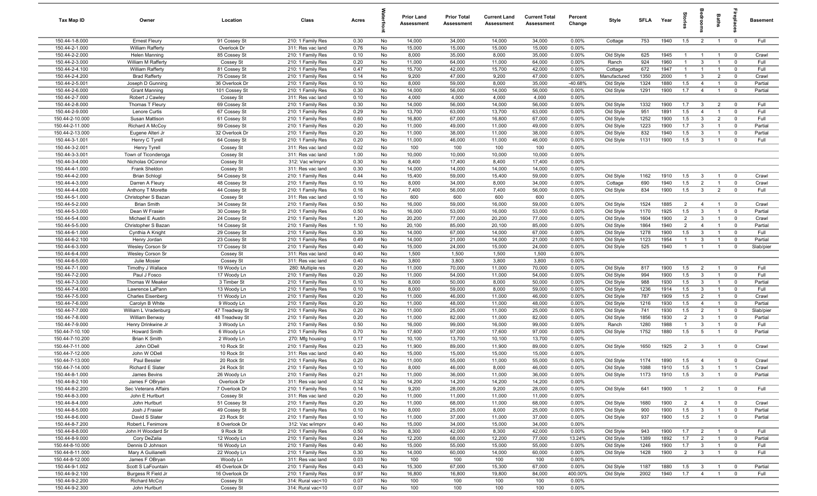| Tax Map ID                         | Owner                                           | Location                     | Class                                  | Acres        |          | <b>Prior Land</b><br>Assessment | <b>Prior Total</b><br>Assessment | <b>Current Land</b><br>Assessment | <b>Current Total</b><br><b>Assessment</b> | Percent<br>Change | Style                   | <b>SFLA</b>  | Year         | ទ្ទ                              | aroo                           | Baths                            | 융                                     | <b>Basement</b>  |
|------------------------------------|-------------------------------------------------|------------------------------|----------------------------------------|--------------|----------|---------------------------------|----------------------------------|-----------------------------------|-------------------------------------------|-------------------|-------------------------|--------------|--------------|----------------------------------|--------------------------------|----------------------------------|---------------------------------------|------------------|
| 150.44-1-8.000                     | <b>Ernest Fleury</b>                            | 91 Cossey St                 | 210: 1 Family Res                      | 0.30         | No       | 14,000                          | 34,000                           | 14,000                            | 34,000                                    | 0.00%             | Cottage                 | 753          | 1940         | 1.5                              | $\overline{2}$                 | $\overline{1}$                   | $\overline{0}$                        | Full             |
| 150.44-2-1.000                     | William Rafferty                                | Overlook Dr                  | 311: Res vac land                      | 0.76         | No       | 15,000                          | 15,000                           | 15,000                            | 15,000                                    | 0.00%             |                         |              |              |                                  |                                |                                  |                                       |                  |
| 150.44-2-2.000                     | Helen Manning                                   | 85 Cossey St                 | 210: 1 Family Res                      | 0.10         | No       | 8,000                           | 35,000                           | 8,000                             | 35,000                                    | 0.00%             | Old Style               | 625          | 1945         | $\overline{1}$                   | $\overline{1}$                 | $\overline{1}$                   | $\overline{0}$                        | Crawl            |
| 150.44-2-3.000                     | William M Rafferty                              | Cossey St                    | 210: 1 Family Res                      | 0.20         | No       | 11,000                          | 64,000                           | 11,000                            | 64,000                                    | 0.00%             | Ranch                   | 924          | 1960         | $\mathbf{1}$                     | $\mathbf{3}$                   | $\overline{1}$                   | $\mathbf 0$                           | Full             |
| 150.44-2-4.100<br>150.44-2-4.200   | <b>William Rafferty</b><br><b>Brad Rafferty</b> | 81 Cossey St<br>75 Cossey St | 210: 1 Family Res                      | 0.47<br>0.14 | No<br>No | 15,700<br>9,200                 | 42,000<br>47,000                 | 15,700<br>9,200                   | 42,000<br>47,000                          | 0.00%<br>0.00%    | Cottage<br>Manufactured | 672<br>1350  | 1947<br>2000 | $\mathbf{1}$<br>$\mathbf{1}$     | $\overline{1}$<br>$\mathbf{3}$ | $\overline{1}$<br>$\overline{2}$ | $^{\circ}$<br>$\overline{\mathbf{0}}$ | Full<br>Crawl    |
| 150.44-2-5.001                     | Joseph D Gunning                                | 36 Overlook Dr               | 210: 1 Family Res<br>210: 1 Family Res | 0.10         | No       | 8,000                           | 59,000                           | 8,000                             | 35,000                                    | -40.68%           | Old Style               | 1324         | 1880         | 1.5                              | $\overline{4}$                 | $\overline{1}$                   | $\overline{\mathbf{0}}$               | Partial          |
| 150.44-2-6.000                     | <b>Grant Manning</b>                            | 101 Cossey St                | 210: 1 Family Res                      | 0.30         | No       | 14,000                          | 56,000                           | 14,000                            | 56,000                                    | 0.00%             | Old Style               | 1291         | 1900         | 1.7                              | $\overline{4}$                 | $\overline{1}$                   | $\mathbf{0}$                          | Partial          |
| 150.44-2-7.000                     | Robert J Cawley                                 | Cossey St                    | 311: Res vac land                      | 0.10         | No       | 4,000                           | 4,000                            | 4,000                             | 4,000                                     | 0.00%             |                         |              |              |                                  |                                |                                  |                                       |                  |
| 150.44-2-8.000                     | Thomas T Fleury                                 | 69 Cossey St                 | 210: 1 Family Res                      | 0.30         | No       | 14,000                          | 56,000                           | 14,000                            | 56,000                                    | 0.00%             | Old Style               | 1332         | 1900         | 1.7                              | $\mathbf{3}$                   | $\overline{2}$                   | $\overline{0}$                        | Full             |
| 150.44-2-9.000                     | Lenore Curtis                                   | 67 Cossey St                 | 210: 1 Family Res                      | 0.29         | No       | 13,700                          | 63,000                           | 13,700                            | 63,000                                    | 0.00%             | Old Style               | 951          | 1891         | 1.5                              | $\overline{4}$                 | $\overline{1}$                   | $\Omega$                              | Full             |
| 150.44-2-10.000                    | Susan Mattison                                  | 61 Cossey St                 | 210: 1 Family Res                      | 0.60         | No       | 16,800                          | 67,000                           | 16,800                            | 67,000                                    | 0.00%             | Old Style               | 1252         | 1900         | 1.5                              | $\mathbf{3}$                   | $\overline{2}$                   | $^{\circ}$                            | Full             |
| 150.44-2-11.000                    | Richard A McCoy                                 | 59 Cossey St                 | 210: 1 Family Res                      | 0.20         | No       | 11,000                          | 49,000                           | 11,000                            | 49,000                                    | 0.00%             | Old Style               | 1223         | 1900         | 1.7                              | $\mathbf{3}$                   | $\overline{1}$                   | $\mathbf 0$                           | Partial          |
| 150.44-2-13.000                    | Eugene Alteri Jr                                | 32 Overlook Dr               | 210: 1 Family Res                      | 0.20         | No       | 11,000                          | 38,000                           | 11,000                            | 38,000                                    | 0.00%             | Old Style               | 832          | 1940         | 1.5                              | $\mathbf{3}$                   | $\overline{1}$                   | $\mathbf 0$                           | Partial          |
| 150.44-3-1.001                     | Henry C Tyrell                                  | 64 Cossey St                 | 210: 1 Family Res                      | 0.20         | No       | 11,000                          | 46,000                           | 11,000                            | 46,000                                    | 0.00%             | Old Style               | 1131         | 1900         | 1.5                              | $\mathbf{3}$                   | $\overline{1}$                   | $\mathbf 0$                           | Full             |
| 150.44-3-2.001                     | Henry Tyrell                                    | Cossey St                    | 311: Res vac land                      | 0.02         | No       | 100                             | 100                              | 100                               | 100                                       | 0.00%             |                         |              |              |                                  |                                |                                  |                                       |                  |
| 150.44-3-3.001                     | Town of Ticonderoga                             | Cossey St                    | 311: Res vac land                      | 1.00         | No       | 10,000                          | 10,000                           | 10,000                            | 10,000                                    | 0.00%             |                         |              |              |                                  |                                |                                  |                                       |                  |
| 150.44-3-4.000                     | Nicholas OConnor                                | Cossey St                    | 312: Vac w/imprv                       | 0.30         | No       | 8,400                           | 17,400                           | 8,400                             | 17,400                                    | 0.00%             |                         |              |              |                                  |                                |                                  |                                       |                  |
| 150.44-4-1.000                     | Frank Sheldon                                   | Cossey St                    | 311: Res vac land                      | 0.30         | No       | 14,000                          | 14,000                           | 14,000                            | 14,000                                    | 0.00%             |                         |              |              |                                  |                                |                                  |                                       |                  |
| 150.44-4-2.000                     | <b>Brian Schlogl</b>                            | 54 Cossey St                 | 210: 1 Family Res                      | 0.44         | No       | 15,400                          | 59,000                           | 15,400                            | 59,000                                    | 0.00%             | Old Style               | 1162         | 1910         | 1.5                              | $\mathbf{3}$                   | $\overline{1}$                   | $\overline{0}$                        | Crawl            |
| 150.44-4-3.000                     | Darren A Fleury                                 | 48 Cossey St                 | 210: 1 Family Res                      | 0.10         | No       | 8,000                           | 34,000                           | 8,000                             | 34,000                                    | 0.00%             | Cottage                 | 690          | 1940         | 1.5                              | $\overline{2}$                 | $\overline{1}$                   | $\mathbf 0$                           | Crawl            |
| 150.44-4-4.000                     | Anthony T Morette                               | 44 Cossey St                 | 210: 1 Family Res                      | 0.16         | No       | 7,400                           | 56,000                           | 7,400                             | 56,000                                    | 0.00%             | Old Style               | 834          | 1900         | 1.5                              | $\mathbf{3}$                   | $\overline{2}$                   | $\overline{0}$                        | Full             |
| 150.44-5-1.000                     | Christopher S Bazan                             | Cossey St                    | 311: Res vac land                      | 0.10         | No       | 600                             | 600                              | 600                               | 600                                       | 0.00%             |                         |              |              |                                  |                                |                                  |                                       |                  |
| 150.44-5-2.000                     | <b>Brian Smith</b>                              | 34 Cossey St                 | 210: 1 Family Res                      | 0.50         | No       | 16,000                          | 59,000                           | 16,000                            | 59,000                                    | 0.00%             | Old Style               | 1524         | 1885         | 2                                | $\overline{4}$                 | $\overline{1}$                   | $\overline{0}$                        | Crawl            |
| 150.44-5-3.000                     | Dean W Frasier                                  | 30 Cossey St                 | 210: 1 Family Res                      | 0.50         | No       | 16,000                          | 53,000                           | 16,000                            | 53,000                                    | 0.00%             | Old Style               | 1170         | 1925         | 1.5                              | $\mathbf{3}$                   | $\overline{1}$                   | $\mathbf 0$                           | Partial          |
| 150.44-5-4.000<br>150.44-5-5.000   | Michael E Austin                                | 24 Cossey St                 | 210: 1 Family Res                      | 1.20         | No<br>No | 20,200                          | 77,000                           | 20,200                            | 77,000                                    | 0.00%             | Old Style               | 1604<br>1864 | 1900<br>1940 | $\overline{2}$<br>$\overline{2}$ | $\mathbf{3}$<br>$\overline{4}$ | $\overline{1}$<br>$\overline{1}$ | $\mathbf 0$<br>$\mathbf 0$            | Crawl<br>Partial |
| 150.44-6-1.000                     | Christopher S Bazan<br>Cynthia A Knight         | 14 Cossey St<br>29 Cossey St | 210: 1 Family Res<br>210: 1 Family Res | 1.10<br>0.30 | No       | 20,100<br>14,000                | 85,000<br>67,000                 | 20,100<br>14,000                  | 85,000<br>67,000                          | 0.00%<br>0.00%    | Old Style<br>Old Style  | 1278         | 1900         | 1.5                              | $\mathbf{3}$                   | $\overline{1}$                   | $\mathbf 0$                           | Full             |
| 150.44-6-2.100                     | Henry Jordan                                    | 23 Cossey St                 | 210: 1 Family Res                      | 0.49         | No       | 14,000                          | 21,000                           | 14,000                            | 21,000                                    | 0.00%             | Old Style               | 1123         | 1954         | $\mathbf{1}$                     | $\mathbf{3}$                   | $\overline{1}$                   | $\Omega$                              | Partial          |
| 150.44-6-3.000                     | Wesley Corson Sr                                | 17 Cossey St                 | 210: 1 Family Res                      | 0.40         | No       | 15,000                          | 24,000                           | 15,000                            | 24,000                                    | 0.00%             | Old Style               | 525          | 1940         | $\mathbf{1}$                     | $\mathbf{1}$                   | $\overline{1}$                   | $\mathbf 0$                           | Slab/pier        |
| 150.44-6-4.000                     | Wesley Corson Sr                                | Cossey St                    | 311: Res vac land                      | 0.40         | No       | 1,500                           | 1,500                            | 1,500                             | 1,500                                     | 0.00%             |                         |              |              |                                  |                                |                                  |                                       |                  |
| 150.44-6-5.000                     | Julie Mosier                                    | Cossey St                    | 311: Res vac land                      | 0.40         | No       | 3,800                           | 3,800                            | 3,800                             | 3,800                                     | 0.00%             |                         |              |              |                                  |                                |                                  |                                       |                  |
| 150.44-7-1.000                     | Timothy J Wallace                               | 19 Woody Ln                  | 280: Multiple res                      | 0.20         | No       | 11,000                          | 70,000                           | 11,000                            | 70,000                                    | 0.00%             | Old Style               | 817          | 1900         | 1.5                              | $\overline{2}$                 | $\overline{1}$                   | $\overline{\mathbf{0}}$               | Full             |
| 150.44-7-2.000                     | Paul J Fosco                                    | 17 Woody Ln                  | 210: 1 Family Res                      | 0.20         | No       | 11,000                          | 54,000                           | 11,000                            | 54,000                                    | 0.00%             | Old Style               | 994          | 1900         | 1.5                              | $\mathbf{3}$                   | $\overline{1}$                   | $\overline{0}$                        | Full             |
| 150.44-7-3.000                     | Thomas W Meaker                                 | 3 Timber St                  | 210: 1 Family Res                      | 0.10         | No       | 8,000                           | 50,000                           | 8,000                             | 50,000                                    | 0.00%             | Old Style               | 988          | 1930         | 1.5                              | $\mathbf{3}$                   | $\overline{1}$                   | $\overline{\mathbf{0}}$               | Partial          |
| 150.44-7-4.000                     | Lawrence LaPann                                 | 13 Woody Ln                  | 210: 1 Family Res                      | 0.10         | No       | 8,000                           | 59,000                           | 8,000                             | 59,000                                    | 0.00%             | Old Style               | 1236         | 1914         | 1.5                              | $\mathbf{3}$                   | $\overline{1}$                   | $^{\circ}$                            | Full             |
| 150.44-7-5.000                     | <b>Charles Eisenberg</b>                        | 11 Woody Ln                  | 210: 1 Family Res                      | 0.20         | No       | 11,000                          | 46,000                           | 11,000                            | 46,000                                    | 0.00%             | Old Style               | 787          | 1909         | 1.5                              | $\overline{2}$                 | $\overline{1}$                   | $\mathbf{0}$                          | Crawl            |
| 150.44-7-6.000                     | Carolyn B White                                 | 9 Woody Ln                   | 210: 1 Family Res                      | 0.20         | No       | 11,000                          | 48,000                           | 11,000                            | 48,000                                    | 0.00%             | Old Style               | 1216         | 1930         | 1.5                              | $\overline{4}$                 | $\overline{1}$                   | $\mathbf 0$                           | Partial          |
| 150.44-7-7.000                     | William L Vradenburg                            | 47 Treadway St               | 210: 1 Family Res                      | 0.20         | No       | 11,000                          | 25,000                           | 11,000                            | 25,000                                    | 0.00%             | Old Style               | 741          | 1930         | 1.5                              | $\overline{2}$                 | $\overline{1}$                   | $\mathbf 0$                           | Slab/pier        |
| 150.44-7-8.000                     | William Benway                                  | 48 Treadway St               | 210: 1 Family Res                      | 0.20         | No       | 11,000                          | 82,000                           | 11,000                            | 82,000                                    | 0.00%             | Old Style               | 1856         | 1930         | $\overline{2}$                   | $\mathbf{3}$                   | $\overline{1}$                   | $\mathbf 0$                           | Partial          |
| 150.44-7-9.000                     | Henry Drinkwine Jr                              | 3 Woody Ln                   | 210: 1 Family Res                      | 0.50         | No       | 16,000                          | 99,000                           | 16,000                            | 99,000                                    | 0.00%             | Ranch                   | 1280         | 1988         | $\overline{1}$                   | 3                              | $\overline{1}$                   | $\Omega$                              | Full             |
| 150.44-7-10.100                    | <b>Howard Smith</b>                             | 6 Woody Ln                   | 210: 1 Family Res                      | 0.70         | No       | 17,600                          | 97,000                           | 17,600                            | 97,000                                    | 0.00%             | Old Style               | 1752         | 1880         | 1.5                              | $5\overline{5}$                | $\overline{1}$                   | $\mathbf{0}$                          | Partial          |
| 150.44-7-10.200                    | <b>Brian K Smith</b>                            | 2 Woody Ln                   | 270: Mfg housing                       | 0.17         | No       | 10,100                          | 13,700                           | 10,100                            | 13,700                                    | 0.00%             |                         |              |              |                                  |                                |                                  |                                       |                  |
| 150.44-7-11.000<br>150.44-7-12.000 | John ODell                                      | 10 Rock St                   | 210: 1 Family Res                      | 0.23         | No<br>No | 11,900                          | 89,000                           | 11,900                            | 89,000                                    | 0.00%             | Old Style               | 1650         | 1925         | $\overline{2}$                   | $\overline{3}$                 | $\overline{1}$                   | $\overline{0}$                        | Crawl            |
| 150.44-7-13.000                    | John W ODell                                    | 10 Rock St<br>20 Rock St     | 311: Res vac land<br>210: 1 Family Res | 0.40<br>0.20 | No       | 15,000<br>11,000                | 15,000<br>55,000                 | 15,000<br>11,000                  | 15,000<br>55,000                          | 0.00%<br>0.00%    | Old Style               | 1174         | 1890         | 1.5                              | $\overline{4}$                 |                                  | $\mathbf 0$                           | Crawl            |
| 150.44-7-14.000                    | Paul Bessler<br>Richard E Slater                | 24 Rock St                   | 210: 1 Family Res                      | 0.10         | No       | 8,000                           | 46,000                           | 8,000                             | 46,000                                    | 0.00%             | Old Style               | 1088         | 1910         | 1.5                              | $\mathbf{3}$                   | $\overline{1}$<br>$\overline{1}$ |                                       | Crawl            |
| 150.44-8-1.000                     | James Bevins                                    | 26 Woody Ln                  | 210: 1 Family Res                      | 0.21         | No       | 11,000                          | 36,000                           | 11,000                            | 36,000                                    | 0.00%             | Old Style               | 1173         | 1910         | 1.5                              | $\overline{\mathbf{3}}$        | $\overline{1}$                   | $\overline{0}$                        | Partial          |
| 150.44-8-2.100                     | James F OBryan                                  | Overlook Dr                  | 311: Res vac land                      | 0.32         | No       | 14,200                          | 14,200                           | 14,200                            | 14,200                                    | 0.00%             |                         |              |              |                                  |                                |                                  |                                       |                  |
| 150.44-8-2.200                     | Sec Veterans Affairs                            | 7 Overlook Dr                | 210: 1 Family Res                      | 0.14         | No       | 9,200                           | 28,000                           | 9,200                             | 28,000                                    | 0.00%             | Old Style               | 641          | 1900         | $\overline{1}$                   | $\overline{2}$                 | $\overline{1}$                   | $\mathbf 0$                           | Full             |
| 150.44-8-3.000                     | John E Hurlburt                                 | Cossey St                    | 311: Res vac land                      | 0.20         | No       | 11,000                          | 11,000                           | 11,000                            | 11,000                                    | 0.00%             |                         |              |              |                                  |                                |                                  |                                       |                  |
| 150.44-8-4.000                     | John Hurlburt                                   | 51 Cossey St                 | 210: 1 Family Res                      | 0.20         | No       | 11,000                          | 68,000                           | 11,000                            | 68,000                                    | 0.00%             | Old Style               | 1680         | 1900         | $\overline{2}$                   | $\overline{4}$                 | $\overline{1}$                   | $\overline{0}$                        | Crawl            |
| 150.44-8-5.000                     | Josh J Frasier                                  | 49 Cossey St                 | 210: 1 Family Res                      | 0.10         | No       | 8,000                           | 25,000                           | 8,000                             | 25,000                                    | 0.00%             | Old Style               | 900          | 1900         | 1.5                              | $\overline{\mathbf{3}}$        | $\overline{1}$                   | $\overline{0}$                        | Partial          |
| 150.44-8-6.000                     | David S Slater                                  | 23 Rock St                   | 210: 1 Family Res                      | 0.10         | No       | 11,000                          | 37,000                           | 11,000                            | 37,000                                    | 0.00%             | Old Style               | 937          | 1900         | 1.5                              | $\overline{2}$                 | $\overline{1}$                   | $\overline{0}$                        | Partial          |
| 150.44-8-7.200                     | Robert L Fenimore                               | 8 Overlook Dr                | 312: Vac w/imprv                       | 0.40         | No       | 15,000                          | 34,000                           | 15,000                            | 34,000                                    | 0.00%             |                         |              |              |                                  |                                |                                  |                                       |                  |
| 150.44-8-8.000                     | John H Woodard Sr                               | 9 Rock St                    | 210: 1 Family Res                      | 0.50         | No       | 8,300                           | 42,000                           | 8,300                             | 42,000                                    | 0.00%             | Old Style               | 943          | 1900         | 1.7                              | $\overline{2}$                 | $\overline{1}$                   | $\overline{\mathbf{0}}$               | Full             |
| 150.44-8-9.000                     | Cory DeZalia                                    | 12 Woody Ln                  | 210: 1 Family Res                      | 0.24         | No       | 12,200                          | 68,000                           | 12,200                            | 77,000                                    | 13.24%            | Old Style               | 1389         | 1892         | 1.7                              | $\overline{2}$                 | $\overline{1}$                   | $\overline{0}$                        | Partial          |
| 150.44-8-10.000                    | Dennis D Johnson                                | 16 Woody Ln                  | 210: 1 Family Res                      | 0.40         | No       | 15,000                          | 55,000                           | 15,000                            | 55,000                                    | 0.00%             | Old Style               | 1246         | 1900         | 1.7                              | $\overline{3}$                 | $\overline{1}$                   | $\overline{0}$                        | Full             |
| 150.44-8-11.000                    | Mary A Guilianelli                              | 22 Woody Ln                  | 210: 1 Family Res                      | 0.30         | No       | 14,000                          | 60,000                           | 14,000                            | 60,000                                    | 0.00%             | Old Style               | 1428         | 1900         | $\overline{2}$                   | $\overline{3}$                 | $\overline{1}$                   | $\overline{0}$                        | Full             |
| 150.44-8-12.000                    | James F OBryan                                  | Woody Ln                     | 311: Res vac land                      | 0.03         | No       | 100                             | 100                              | 100                               | 100                                       | 0.00%             |                         |              |              |                                  |                                |                                  |                                       |                  |
| 150.44-9-1.002                     | Scott S LaFountain                              | 45 Overlook Dr               | 210: 1 Family Res                      | 0.43         | No       | 15,300                          | 67,000                           | 15,300                            | 67,000                                    | 0.00%             | Old Style               | 1187         | 1880         | 1.5                              | $\mathbf{3}$                   | $\overline{1}$                   | $\overline{\mathbf{0}}$               | Partial          |
| 150.44-9-2.100                     | Burgess R Field Jr                              | 16 Overlook Dr               | 210: 1 Family Res                      | 0.97         | No       | 16,800                          | 16,800                           | 19,800                            | 84,000                                    | 400.00%           | Old Style               | 2002         | 1940         | 1.7                              | $\overline{4}$                 | $\overline{1}$                   | $\mathbf 0$                           | Full             |
| 150.44-9-2.200                     | <b>Richard McCoy</b>                            | Cossey St                    | 314: Rural vac<10                      | 0.07         | No       | 100                             | 100                              | 100                               | 100                                       | 0.00%             |                         |              |              |                                  |                                |                                  |                                       |                  |
| 150.44-9-2.300                     | John Hurlburt                                   | Cossey St                    | 314: Rural vac<10                      | 0.07         | No       | 100                             | 100                              | 100                               | 100                                       | $0.00\%$          |                         |              |              |                                  |                                |                                  |                                       |                  |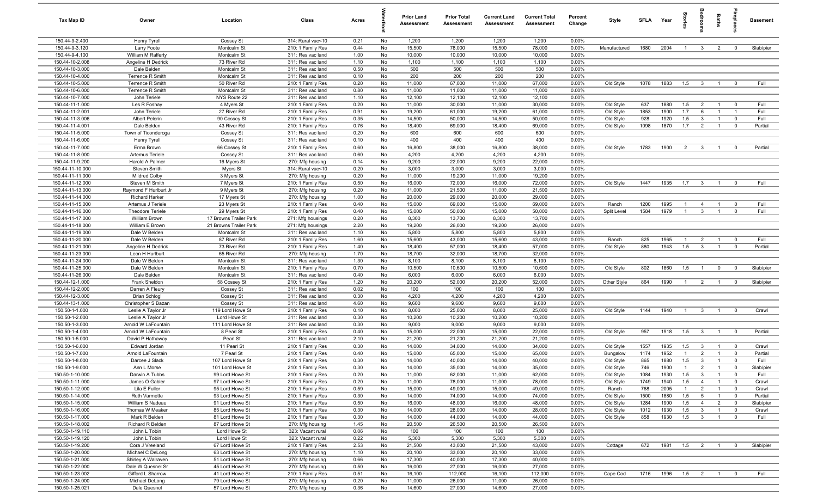| Tax Map ID                           | Owner                                       | Location                                         | Class                                  | Acres        |          | <b>Prior Land</b><br>Assessment | <b>Prior Total</b><br>Assessment | <b>Current Land</b><br><b>Assessment</b> | <b>Current Total</b><br><b>Assessment</b> | Percent<br>Change | Style        | SFLA | Year | ğ              | eroo                    | Baths          | <b>G</b> bla            | <b>Basement</b> |
|--------------------------------------|---------------------------------------------|--------------------------------------------------|----------------------------------------|--------------|----------|---------------------------------|----------------------------------|------------------------------------------|-------------------------------------------|-------------------|--------------|------|------|----------------|-------------------------|----------------|-------------------------|-----------------|
| 150.44-9-2.400                       | Henry Tyrell                                | Cossey St                                        | 314: Rural vac<10                      | 0.21         | No       | 1,200                           | 1,200                            | 1,200                                    | 1,200                                     | 0.00%             |              |      |      |                |                         |                |                         |                 |
| 150.44-9-3.120                       | Larry Foote                                 | Montcalm St                                      | 210: 1 Family Res                      | 0.44         | No       | 15,500                          | 78,000                           | 15,500                                   | 78,000                                    | 0.00%             | Manufactured | 1680 | 2004 | $\mathbf{1}$   | $\mathbf{3}$            | $\overline{2}$ | $^{\circ}$              | Slab/pier       |
| 150.44-9-4.100                       | William M Rafferty                          | Montcalm St                                      | 311: Res vac land                      | 1.00         | No       | 10,000                          | 10,000                           | 10,000                                   | 10,000                                    | 0.00%             |              |      |      |                |                         |                |                         |                 |
| 150.44-10-2.008                      | Angeline H Dedrick                          | 73 River Rd                                      | 311: Res vac land                      | 1.10         | No       | 1,100                           | 1,100                            | 1,100                                    | 1,100                                     | 0.00%             |              |      |      |                |                         |                |                         |                 |
| 150.44-10-3.000                      | Dale Belden                                 | Montcalm St                                      | 311: Res vac land                      | 0.50         | No       | 500                             | 500                              | 500                                      | 500                                       | 0.00%             |              |      |      |                |                         |                |                         |                 |
| 150.44-10-4.000                      | Terrence R Smith                            | Montcalm St                                      | 311: Res vac land                      | 0.10         | No       | 200                             | 200                              | 200                                      | 200                                       | 0.00%             |              |      |      |                |                         |                |                         |                 |
| 150.44-10-5.000<br>150.44-10-6.000   | <b>Terrence R Smith</b><br>Terrence R Smith | 50 River Rd<br>Montcalm St                       | 210: 1 Family Res<br>311: Res vac land | 0.20<br>0.80 | No<br>No | 11,000<br>11,000                | 67,000<br>11,000                 | 11,000<br>11,000                         | 67,000<br>11,000                          | 0.00%<br>0.00%    | Old Style    | 1078 | 1883 | 1.5            | $\overline{\mathbf{3}}$ | $\overline{1}$ | $\mathbf 0$             | Full            |
| 150.44-10-7.000                      | John Teriele                                | NYS Route 22                                     | 311: Res vac land                      | 1.10         | No       | 12,100                          | 12,100                           | 12,100                                   | 12,100                                    | 0.00%             |              |      |      |                |                         |                |                         |                 |
| 150.44-11-1.000                      | Les R Foshay                                | 4 Myers St                                       | 210: 1 Family Res                      | 0.20         | No       | 11,000                          | 30,000                           | 11,000                                   | 30,000                                    | 0.00%             | Old Style    | 637  | 1880 | 1.5            | $\overline{2}$          | $\overline{1}$ | $\overline{0}$          | Full            |
| 150.44-11-2.001                      | John Teriele                                | 27 River Rd                                      | 210: 1 Family Res                      | 0.91         | No       | 19,200                          | 61,000                           | 19,200                                   | 61,000                                    | 0.00%             | Old Style    | 1853 | 1900 | 1.7            | 6                       | $\overline{1}$ | $\overline{1}$          | Full            |
| 150.44-11-3.006                      | Albert Pelerin                              | 90 Cossey St                                     | 210: 1 Family Res                      | 0.35         | No       | 14,500                          | 50,000                           | 14,500                                   | 50,000                                    | 0.00%             | Old Style    | 928  | 1920 | 1.5            | $\mathbf{3}$            | $\overline{1}$ | $\mathbf 0$             | Full            |
| 150.44-11-4.001                      | Dale Belden                                 | 43 River Rd                                      | 210: 1 Family Res                      | 0.76         | No       | 18,400                          | 69,000                           | 18,400                                   | 69,000                                    | 0.00%             | Old Style    | 1098 | 1870 | 1.7            | $\overline{2}$          | $\overline{1}$ | $\mathbf 0$             | Partial         |
| 150.44-11-5.000                      | Town of Ticonderoga                         | Cossey St                                        | 311: Res vac land                      | 0.20         | No       | 600                             | 600                              | 600                                      | 600                                       | 0.00%             |              |      |      |                |                         |                |                         |                 |
| 150.44-11-6.000                      | Henry Tyrell                                | Cossey St                                        | 311: Res vac land                      | 0.10         | No       | 400                             | 400                              | 400                                      | 400                                       | 0.00%             |              |      |      |                |                         |                |                         |                 |
| 150.44-11-7.000                      | Erma Brown                                  | 66 Cossey St                                     | 210: 1 Family Res                      | 0.60         | No       | 16,800                          | 38,000                           | 16,800                                   | 38,000                                    | 0.00%             | Old Style    | 1783 | 1900 | 2              | $\overline{\mathbf{3}}$ | $\overline{1}$ | $\mathbf{0}$            | Partial         |
| 150.44-11-8.000                      | Artemus Teriele                             | Cossey St                                        | 311: Res vac land                      | 0.60         | No       | 4,200                           | 4,200                            | 4,200                                    | 4,200                                     | 0.00%             |              |      |      |                |                         |                |                         |                 |
| 150.44-11-9.200                      | Harold A Palmer                             | 16 Myers St                                      | 270: Mfg housing                       | 0.14         | No       | 9,200                           | 22,000                           | 9,200                                    | 22,000                                    | 0.00%             |              |      |      |                |                         |                |                         |                 |
| 150.44-11-10.000                     | Steven Smith                                | Myers St                                         | 314: Rural vac<10                      | 0.20         | No       | 3,000                           | 3,000                            | 3,000                                    | 3,000                                     | 0.00%             |              |      |      |                |                         |                |                         |                 |
| 150.44-11-11.000                     | <b>Mildred Colby</b>                        | 3 Myers St                                       | 270: Mfg housing                       | 0.20         | No       | 11,000                          | 19,200                           | 11,000                                   | 19,200                                    | 0.00%             |              |      |      |                |                         |                |                         |                 |
| 150.44-11-12.000                     | Steven M Smith                              | 7 Myers St                                       | 210: 1 Family Res                      | 0.50         | No       | 16,000                          | 72,000                           | 16,000                                   | 72,000                                    | 0.00%             | Old Style    | 1447 | 1935 | 1.7            | $\mathbf{3}$            | $\overline{1}$ | $\mathbf{0}$            | Full            |
| 150.44-11-13.000                     | Raymond F Hurlburt Jr                       | 9 Myers St                                       | 270: Mfg housing                       | 0.20         | No       | 11,000                          | 21,500                           | 11,000                                   | 21,500                                    | 0.00%             |              |      |      |                |                         |                |                         |                 |
| 150.44-11-14.000                     | <b>Richard Harker</b>                       | 17 Myers St                                      | 270: Mfg housing                       | 1.00         | No       | 20,000                          | 29,000                           | 20,000                                   | 29,000                                    | 0.00%             |              |      |      |                |                         |                |                         |                 |
| 150.44-11-15.000                     | Artemus J Teriele                           | 23 Myers St                                      | 210: 1 Family Res                      | 0.40         | No       | 15,000                          | 69,000                           | 15,000                                   | 69,000                                    | 0.00%             | Ranch        | 1200 | 1995 | $\overline{1}$ | $\overline{4}$          | $\overline{1}$ | $\Omega$                | Full<br>Full    |
| 150.44-11-16.000<br>150.44-11-17.000 | <b>Theodore Teriele</b>                     | 29 Myers St                                      | 210: 1 Family Res                      | 0.40<br>0.20 | No<br>No | 15,000<br>8,300                 | 50,000                           | 15,000                                   | 50,000                                    | 0.00%<br>0.00%    | Split Level  | 1584 | 1979 | $\overline{1}$ | $\mathbf{3}$            | $\overline{1}$ | $\mathbf 0$             |                 |
| 150.44-11-18.000                     | William Brown<br>William E Brown            | 17 Browns Trailer Park<br>21 Browns Trailer Park | 271: Mfg housings<br>271: Mfg housings | 2.20         | No       | 19,200                          | 13,700<br>26,000                 | 8,300<br>19,200                          | 13,700<br>26,000                          | 0.00%             |              |      |      |                |                         |                |                         |                 |
| 150.44-11-19.000                     | Dale W Belden                               | Montcalm St                                      | 311: Res vac land                      | 1.10         | No       | 5,800                           | 5,800                            | 5,800                                    | 5,800                                     | 0.00%             |              |      |      |                |                         |                |                         |                 |
| 150.44-11-20.000                     | Dale W Belden                               | 87 River Rd                                      | 210: 1 Family Res                      | 1.60         | No       | 15,600                          | 43,000                           | 15,600                                   | 43,000                                    | 0.00%             | Ranch        | 825  | 1965 | $\overline{1}$ | $\overline{2}$          | $\overline{1}$ | $\mathbf 0$             | Full            |
| 150.44-11-21.000                     | Angeline H Dedrick                          | 73 River Rd                                      | 210: 1 Family Res                      | 1.40         | No       | 18,400                          | 57,000                           | 18,400                                   | 57,000                                    | 0.00%             | Old Style    | 880  | 1943 | 1.5            | $\overline{\mathbf{3}}$ | $\overline{1}$ | $\mathbf 0$             | Partial         |
| 150.44-11-23.000                     | Leon H Hurlburt                             | 65 River Rd                                      | 270: Mfg housing                       | 1.70         | No       | 18,700                          | 32,000                           | 18,700                                   | 32,000                                    | 0.00%             |              |      |      |                |                         |                |                         |                 |
| 150.44-11-24.000                     | Dale W Belden                               | Montcalm St                                      | 311: Res vac land                      | 1.30         | No       | 8,100                           | 8,100                            | 8,100                                    | 8,100                                     | 0.00%             |              |      |      |                |                         |                |                         |                 |
| 150.44-11-25.000                     | Dale W Belden                               | Montcalm St                                      | 210: 1 Family Res                      | 0.70         | No       | 10,500                          | 10,600                           | 10,500                                   | 10,600                                    | 0.00%             | Old Style    | 802  | 1860 | 1.5            | $\overline{1}$          | $\mathbf{0}$   | $\overline{0}$          | Slab/pier       |
| 150.44-11-26.000                     | Dale Belden                                 | Montcalm St                                      | 311: Res vac land                      | 0.40         | No       | 6,000                           | 6,000                            | 6,000                                    | 6,000                                     | 0.00%             |              |      |      |                |                         |                |                         |                 |
| 150.44-12-1.000                      | Frank Sheldon                               | 58 Cossey St                                     | 210: 1 Family Res                      | 1.20         | No       | 20,200                          | 52,000                           | 20,200                                   | 52,000                                    | 0.00%             | Other Style  | 864  | 1990 | $\overline{1}$ | $\overline{2}$          | $\overline{1}$ | $\overline{0}$          | Slab/pier       |
| 150.44-12-2.000                      | Darren A Fleury                             | Cossey St                                        | 311: Res vac land                      | 0.02         | No       | 100                             | 100                              | 100                                      | 100                                       | 0.00%             |              |      |      |                |                         |                |                         |                 |
| 150.44-12-3.000                      | <b>Brian Schlogl</b>                        | Cossey St                                        | 311: Res vac land                      | 0.30         | No       | 4,200                           | 4,200                            | 4,200                                    | 4,200                                     | 0.00%             |              |      |      |                |                         |                |                         |                 |
| 150.44-13-1.000                      | Christopher S Bazan                         | Cossey St                                        | 311: Res vac land                      | 4.60         | No       | 9,600                           | 9,600                            | 9,600                                    | 9,600                                     | 0.00%             |              |      |      |                |                         |                |                         |                 |
| 150.50-1-1.000                       | Leslie A Taylor Jr                          | 119 Lord Howe St                                 | 210: 1 Family Res                      | 0.10         | No       | 8,000                           | 25,000                           | 8,000                                    | 25,000                                    | 0.00%             | Old Style    | 1144 | 1940 | $\overline{1}$ | 3                       | $\overline{1}$ | $\Omega$                | Crawl           |
| 150.50-1-2.000<br>150.50-1-3.000     | Leslie A Taylor Jr<br>Arnold W LaFountain   | Lord Howe St                                     | 311: Res vac land                      | 0.30<br>0.30 | No<br>No | 10,200<br>9,000                 | 10,200<br>9,000                  | 10,200<br>9,000                          | 10,200<br>9,000                           | 0.00%<br>0.00%    |              |      |      |                |                         |                |                         |                 |
| 150.50-1-4.000                       | Arnold W LaFountain                         | 111 Lord Howe St<br>8 Pearl St                   | 311: Res vac land<br>210: 1 Family Res | 0.40         | No       | 15,000                          | 22,000                           | 15,000                                   | 22,000                                    | 0.00%             | Old Style    | 957  | 1918 | 1.5            | $3^{\circ}$             | $\overline{1}$ | $\mathbf 0$             | Partial         |
| 150.50-1-5.000                       | David P Hathaway                            | Pearl St                                         | 311: Res vac land                      | 2.10         | No       | 21,200                          | 21,200                           | 21,200                                   | 21,200                                    | 0.00%             |              |      |      |                |                         |                |                         |                 |
| 150.50-1-6.000                       | Edward Jordan                               | 11 Pearl St                                      | 210: 1 Family Res                      | 0.30         | No       | 14,000                          | 34,000                           | 14,000                                   | 34,000                                    | 0.00%             | Old Style    | 1557 | 1935 | 1.5            | $\mathbf{3}$            | $\overline{1}$ | $\mathbf 0$             | Crawl           |
| 150.50-1-7.000                       | Arnold LaFountain                           | 7 Pearl St                                       | 210: 1 Family Res                      | 0.40         | No       | 15,000                          | 65,000                           | 15,000                                   | 65,000                                    | 0.00%             | Bungalow     | 1174 | 1952 |                | $\overline{2}$          |                | $\Omega$                | Partial         |
| 150.50-1-8.000                       | Darcee J Slack                              | 107 Lord Howe St                                 | 210: 1 Family Res                      | 0.30         | No       | 14,000                          | 40,000                           | 14,000                                   | 40,000                                    | 0.00%             | Old Style    | 865  | 1880 | 1.5            | $\mathbf{3}$            | $\overline{1}$ | $\Omega$                | Full            |
| 150.50-1-9.000                       | Ann L Morse                                 | 101 Lord Howe St                                 | 210: 1 Family Res                      | 0.30         | No       | 14,000                          | 35,000                           | 14,000                                   | 35,000                                    | 0.00%             | Old Style    | 746  | 1900 |                | $\mathcal{P}$           |                |                         | Slab/pier       |
| 150.50-1-10.000                      | Darwin A Tubbs                              | 99 Lord Howe St                                  | 210: 1 Family Res                      | 0.20         | No       | 11,000                          | 62,000                           | 11,000                                   | 62,000                                    | 0.00%             | Old Style    | 1084 | 1930 | 1.5            | $\mathbf{3}$            | $\overline{1}$ | $\overline{\mathbf{0}}$ | Full            |
| 150.50-1-11.000                      | James O Gabler                              | 97 Lord Howe St                                  | 210: 1 Family Res                      | 0.20         | No       | 11,000                          | 78,000                           | 11,000                                   | 78,000                                    | 0.00%             | Old Style    | 1749 | 1940 | 1.5            | $\overline{4}$          | $\overline{1}$ | $\overline{\mathbf{0}}$ | Crawl           |
| 150.50-1-12.000                      | Lila E Fuller                               | 95 Lord Howe St                                  | 210: 1 Family Res                      | 0.59         | No       | 15,000                          | 49,000                           | 15,000                                   | 49,000                                    | 0.00%             | Ranch        | 768  | 2005 | $\overline{1}$ | $\overline{2}$          | $\overline{1}$ | $\overline{0}$          | Crawl           |
| 150.50-1-14.000                      | Ruth Varmette                               | 93 Lord Howe St                                  | 210: 1 Family Res                      | 0.30         | No       | 14,000                          | 74,000                           | 14,000                                   | 74,000                                    | 0.00%             | Old Style    | 1500 | 1880 | 1.5            | $5\overline{)}$         | $\overline{1}$ | $\mathbf 0$             | Partial         |
| 150.50-1-15.000                      | William S Nadeau                            | 91 Lord Howe St                                  | 210: 1 Family Res                      | 0.50         | No       | 16,000                          | 48,000                           | 16,000                                   | 48,000                                    | 0.00%             | Old Style    | 1284 | 1900 | 1.5            | $\overline{4}$          | $\overline{2}$ | $\overline{0}$          | Slab/pier       |
| 150.50-1-16.000                      | Thomas W Meaker                             | 85 Lord Howe St                                  | 210: 1 Family Res                      | 0.30         | No       | 14,000                          | 28,000                           | 14,000                                   | 28,000                                    | 0.00%             | Old Style    | 1012 | 1930 | 1.5            | $\mathbf{3}$            | $\overline{1}$ | $\overline{0}$          | Crawl           |
| 150.50-1-17.000                      | Mark R Belden                               | 81 Lord Howe St                                  | 210: 1 Family Res                      | 0.30         | No       | 14,000                          | 44,000                           | 14,000                                   | 44,000                                    | 0.00%             | Old Style    | 858  | 1930 | 1.5            | $\mathbf{3}$            | $\overline{1}$ | $\overline{0}$          | Full            |
| 150.50-1-18.002                      | Richard R Belden                            | 87 Lord Howe St                                  | 270: Mfg housing                       | 1.45         | No       | 20,500                          | 26,500                           | 20,500                                   | 26,500                                    | 0.00%             |              |      |      |                |                         |                |                         |                 |
| 150.50-1-19.110<br>150.50-1-19.120   | John L Tobin<br>John L Tobin                | Lord Howe St<br>Lord Howe St                     | 323: Vacant rural<br>323: Vacant rural | 0.06<br>0.22 | No<br>No | 100<br>5,300                    | 100<br>5,300                     | 100<br>5,300                             | 100<br>5,300                              | 0.00%<br>0.00%    |              |      |      |                |                         |                |                         |                 |
| 150.50-1-19.200                      | Cora J Vreeland                             | 67 Lord Howe St                                  | 210: 1 Family Res                      | 2.53         | No       | 21,500                          | 43,000                           | 21,500                                   | 43,000                                    | 0.00%             | Cottage      | 672  | 1981 | 1.5            | $\overline{2}$          | $\overline{1}$ | $\mathbf 0$             | Slab/pier       |
| 150.50-1-20.000                      | Michael C DeLong                            | 63 Lord Howe St                                  | 270: Mfg housing                       | 1.10         | No       | 20,100                          | 33,000                           | 20,100                                   | 33,000                                    | 0.00%             |              |      |      |                |                         |                |                         |                 |
| 150.50-1-21.000                      | Shirley A Walraven                          | 51 Lord Howe St                                  | 270: Mfg housing                       | 0.66         | No       | 17,300                          | 40,000                           | 17,300                                   | 40,000                                    | 0.00%             |              |      |      |                |                         |                |                         |                 |
| 150.50-1-22.000                      | Dale W Quesnel Sr                           | 45 Lord Howe St                                  | 270: Mfg housing                       | 0.50         | No       | 16,000                          | 27,000                           | 16,000                                   | 27,000                                    | 0.00%             |              |      |      |                |                         |                |                         |                 |
| 150.50-1-23.002                      | Gifford L Sharrow                           | 41 Lord Howe St                                  | 210: 1 Family Res                      | 0.51         | No       | 16,100                          | 112,000                          | 16,100                                   | 112,000                                   | 0.00%             | Cape Cod     | 1716 | 1996 | 1.5            | $\overline{\mathbf{c}}$ | $\overline{1}$ | $\overline{0}$          | Full            |
| 150.50-1-24.000                      | Michael DeLong                              | 79 Lord Howe St                                  | 270: Mfg housing                       | 0.20         | No       | 11,000                          | 26,000                           | 11,000                                   | 26,000                                    | 0.00%             |              |      |      |                |                         |                |                         |                 |
| 150.50-1-25.021                      | Dale Quesnel                                | 57 Lord Howe St                                  | 270: Mfg housing                       | 0.36         | No       | 14,600                          | 27,000                           | 14,600                                   | 27,000                                    | 0.00%             |              |      |      |                |                         |                |                         |                 |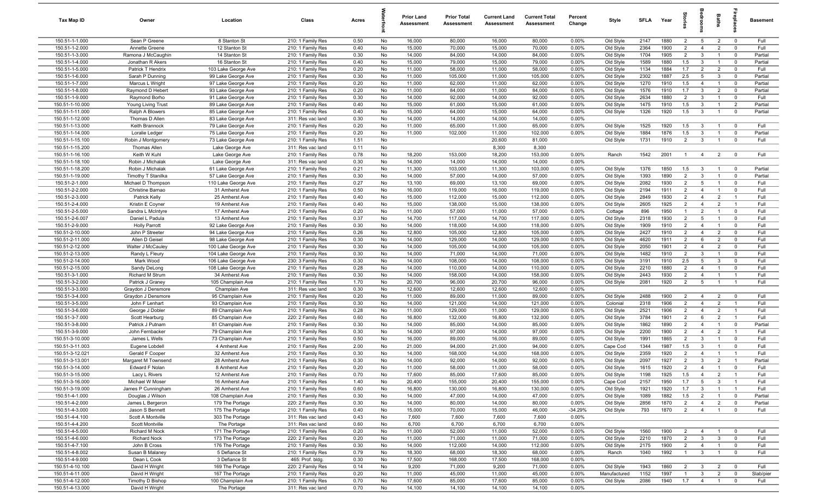| Tax Map ID                         | Owner                                  | Location                                 | Class                                  | Acres        |          | <b>Prior Land</b><br>Assessment | <b>Prior Total</b><br>Assessment | <b>Current Land</b><br>Assessment | <b>Current Total</b><br><b>Assessment</b> | Percent<br>Change | Style                  | <b>SFLA</b>  | Year         |                                  |                                   | Baths                            | 융                                         | <b>Basement</b>    |
|------------------------------------|----------------------------------------|------------------------------------------|----------------------------------------|--------------|----------|---------------------------------|----------------------------------|-----------------------------------|-------------------------------------------|-------------------|------------------------|--------------|--------------|----------------------------------|-----------------------------------|----------------------------------|-------------------------------------------|--------------------|
| 150.51-1-1.000                     | Sean P Greene                          | 8 Stanton St                             | 210: 1 Family Res                      | 0.50         | No       | 16,000                          | 80,000                           | 16,000                            | 80,000                                    | 0.00%             | Old Style              | 2147         | 1880         | $\overline{2}$                   | $5\overline{5}$                   | $\overline{2}$                   | $\overline{0}$                            | Full               |
| 150.51-1-2.000                     | Annette Greene                         | 12 Stanton St                            | 210: 1 Family Res                      | 0.40         | No       | 15,000                          | 70,000                           | 15,000                            | 70,000                                    | 0.00%             | Old Style              | 2364         | 1900         | $\overline{2}$                   | $\overline{4}$                    | $\overline{2}$                   | $\mathbf{0}$                              | Full               |
| 150.51-1-3.000                     | Ramona J McCaughin                     | 14 Stanton St                            | 210: 1 Family Res                      | 0.30         | No       | 14,000                          | 84,000                           | 14,000                            | 84,000                                    | 0.00%             | Old Style              | 1704         | 1905         | $\overline{2}$                   | $\mathbf{3}$                      | $\overline{1}$                   | $\overline{0}$                            | Partial            |
| 150.51-1-4.000                     | Jonathan R Akers                       | 16 Stanton St                            | 210: 1 Family Res                      | 0.40         | No       | 15,000                          | 79,000                           | 15,000                            | 79,000                                    | 0.00%             | Old Style              | 1589         | 1880         | 1.5                              | $\mathbf{3}$                      | $\overline{1}$                   | $\overline{\mathbf{0}}$                   | Partial            |
| 150.51-1-5.000                     | Patrick T Hendrix                      | 103 Lake George Ave                      | 210: 1 Family Res                      | 0.20         | No       | 11,000                          | 58,000                           | 11,000                            | 58,000                                    | 0.00%             | Old Style              | 1134         | 1884         | 1.7                              | $\overline{2}$                    | $\overline{2}$                   | $\Omega$                                  | Full               |
| 150.51-1-6.000                     | Sarah P Dunning                        | 99 Lake George Ave                       | 210: 1 Family Res                      | 0.30         | No       | 11,000                          | 105,000                          | 11,000                            | 105,000                                   | 0.00%<br>0.00%    | Old Style              | 2302         | 1887         | 2.5<br>1.5                       | $5\overline{5}$<br>$\overline{4}$ | $\mathbf{3}$<br>$\overline{1}$   | $\overline{\mathbf{0}}$                   | Partial            |
| 150.51-1-7.000<br>150.51-1-8.000   | Marcus L Wright<br>Raymond D Hebert    | 97 Lake George Ave<br>93 Lake George Ave | 210: 1 Family Res<br>210: 1 Family Res | 0.20<br>0.20 | No<br>No | 11,000<br>11,000                | 62,000<br>84,000                 | 11,000<br>11,000                  | 62,000<br>84,000                          | 0.00%             | Old Style<br>Old Style | 1270<br>1576 | 1910<br>1910 | 1.7                              | $\mathbf{3}$                      | $\overline{2}$                   | $\overline{0}$<br>$\overline{0}$          | Partial<br>Partial |
| 150.51-1-9.000                     | Raymond Borho                          | 91 Lake George Ave                       | 210: 1 Family Res                      | 0.30         | No       | 14,000                          | 92,000                           | 14,000                            | 92,000                                    | 0.00%             | Old Style              | 2634         | 1880         | $\overline{2}$                   | $\mathbf{3}$                      | $\overline{1}$                   | $\overline{\mathbf{0}}$                   | Full               |
| 150.51-1-10.000                    | Young Living Trust                     | 89 Lake George Ave                       | 210: 1 Family Res                      | 0.40         | No       | 15,000                          | 61,000                           | 15,000                            | 61,000                                    | 0.00%             | Old Style              | 1475         | 1910         | 1.5                              | $\mathbf{3}$                      | $\overline{1}$                   | $\overline{2}$                            | Partial            |
| 150.51-1-11.000                    | Ralph A Blowers                        | 85 Lake George Ave                       | 210: 1 Family Res                      | 0.40         | No       | 15,000                          | 64,000                           | 15,000                            | 64,000                                    | 0.00%             | Old Style              | 1326         | 1920         | 1.5                              | $\mathbf{3}$                      | $\overline{1}$                   | $\mathbf 0$                               | Partial            |
| 150.51-1-12.000                    | Thomas D Allen                         | 83 Lake George Ave                       | 311: Res vac land                      | 0.30         | No       | 14,000                          | 14,000                           | 14,000                            | 14,000                                    | 0.00%             |                        |              |              |                                  |                                   |                                  |                                           |                    |
| 150.51-1-13.000                    | Keith Brannock                         | 79 Lake George Ave                       | 210: 1 Family Res                      | 0.20         | No       | 11,000                          | 65,000                           | 11,000                            | 65,000                                    | 0.00%             | Old Style              | 1525         | 1920         | 1.5                              | $\mathbf{3}$                      | $\overline{1}$                   | $\Omega$                                  | Full               |
| 150.51-1-14.000                    | Loralie Ledger                         | 75 Lake George Ave                       | 210: 1 Family Res                      | 0.20         | No       | 11,000                          | 102,000                          | 11,000                            | 102,000                                   | 0.00%             | Old Style              | 1884         | 1876         | 1.5                              | $\mathbf{3}$                      | $\overline{1}$                   | $\mathbf 0$                               | Partial            |
| 150.51-1-15.100                    | Robin J Montgomery                     | 73 Lake George Ave                       | 210: 1 Family Res                      | 1.51         | No       |                                 |                                  | 20,600                            | 81,000                                    |                   | Old Style              | 1731         | 1910         | $\overline{2}$                   | $\mathbf{3}$                      | $\overline{1}$                   | $\mathbf 0$                               | Full               |
| 150.51-1-15.200                    | <b>Thomas Allen</b>                    | Lake George Ave                          | 311: Res vac land                      | 0.11         | No       |                                 |                                  | 8,300                             | 8,300                                     |                   |                        |              |              |                                  |                                   |                                  |                                           |                    |
| 150.51-1-16.100                    | Keith W Kuhl                           | Lake George Ave                          | 210: 1 Family Res                      | 0.78         | No       | 18,200                          | 153,000                          | 18,200                            | 153,000                                   | 0.00%             | Ranch                  | 1542         | 2001         | $\mathbf{1}$                     | $\overline{4}$                    | $\overline{2}$                   | $\overline{0}$                            | Full               |
| 150.51-1-18.100                    | Robin J Michalak                       | Lake George Ave                          | 311: Res vac land                      | 0.30         | No       | 14,000                          | 14,000                           | 14,000                            | 14,000                                    | 0.00%             |                        |              |              |                                  |                                   |                                  |                                           |                    |
| 150.51-1-18.200                    | Robin J Michalak                       | 61 Lake George Ave                       | 210: 1 Family Res                      | 0.21         | No       | 11,300                          | 103,000                          | 11,300                            | 103,000                                   | 0.00%             | Old Style              | 1376         | 1850         | 1.5                              | $\mathbf{3}$                      | $\overline{1}$                   | $\overline{0}$                            | Partial            |
| 150.51-1-19.000<br>150.51-2-1.000  | Timothy T Stanilka                     | 57 Lake George Ave                       | 210: 1 Family Res                      | 0.30<br>0.27 | No<br>No | 14,000<br>13,100                | 57,000<br>69,000                 | 14,000<br>13,100                  | 57,000<br>69,000                          | 0.00%<br>0.00%    | Old Style              | 1393<br>2082 | 1890<br>1930 | $\overline{2}$<br>$\overline{2}$ | $\mathbf{3}$<br>$5\overline{5}$   | $\overline{1}$<br>$\overline{1}$ | $\overline{\mathbf{0}}$<br>$\overline{0}$ | Partial<br>Full    |
| 150.51-2-2.000                     | Michael D Thompson<br>Christine Barnao | 110 Lake George Ave<br>31 Amherst Ave    | 210: 1 Family Res<br>210: 1 Family Res | 0.50         | No       | 16,000                          | 119,000                          | 16,000                            | 119,000                                   | 0.00%             | Old Style<br>Old Style | 2194         | 1911         | $\overline{2}$                   | $\overline{4}$                    | $\overline{1}$                   | $\mathbf 0$                               | Full               |
| 150.51-2-3.000                     | Patrick Kelly                          | 25 Amherst Ave                           | 210: 1 Family Res                      | 0.40         | No       | 15,000                          | 112,000                          | 15,000                            | 112,000                                   | 0.00%             | Old Style              | 2849         | 1930         | 2                                | $\overline{4}$                    | $\overline{2}$                   | $\overline{1}$                            | Full               |
| 150.51-2-4.000                     | Kristin E Coyner                       | 19 Amherst Ave                           | 210: 1 Family Res                      | 0.40         | No       | 15,000                          | 138,000                          | 15,000                            | 138,000                                   | 0.00%             | Old Style              | 2605         | 1925         | 2                                | $\overline{4}$                    | $\overline{2}$                   | $\overline{1}$                            | Full               |
| 150.51-2-5.000                     | Sandra L McIntyre                      | 17 Amherst Ave                           | 210: 1 Family Res                      | 0.20         | No       | 11,000                          | 57,000                           | 11,000                            | 57,000                                    | 0.00%             | Cottage                | 896          | 1950         | $\overline{1}$                   | $\overline{2}$                    | $\overline{1}$                   | $\mathbf 0$                               | Full               |
| 150.51-2-6.007                     | Daniel L Padula                        | 13 Amherst Ave                           | 210: 1 Family Res                      | 0.37         | No       | 14,700                          | 117,000                          | 14,700                            | 117,000                                   | 0.00%             | Old Style              | 2318         | 1930         | $\overline{2}$                   | $5\overline{5}$                   | $\overline{1}$                   | $\Omega$                                  | Full               |
| 150.51-2-9.000                     | <b>Holly Parrott</b>                   | 92 Lake George Ave                       | 210: 1 Family Res                      | 0.30         | No       | 14,000                          | 118,000                          | 14,000                            | 118,000                                   | 0.00%             | Old Style              | 1909         | 1910         | $\overline{2}$                   | $\overline{4}$                    | $\overline{1}$                   | $\mathbf 0$                               | Full               |
| 150.51-2-10.000                    | John P Streeter                        | 94 Lake George Ave                       | 210: 1 Family Res                      | 0.26         | No       | 12,800                          | 105,000                          | 12,800                            | 105,000                                   | 0.00%             | Old Style              | 2427         | 1910         | $\overline{2}$                   | $\overline{4}$                    | $\overline{2}$                   | $\mathbf 0$                               | Full               |
| 150.51-2-11.000                    | Allen D Geisel                         | 98 Lake George Ave                       | 210: 1 Family Res                      | 0.30         | No       | 14,000                          | 129,000                          | 14,000                            | 129,000                                   | 0.00%             | Old Style              | 4620         | 1911         | $\overline{2}$                   | 6                                 | $\overline{2}$                   | $\mathbf 0$                               | Full               |
| 150.51-2-12.000                    | Walter J McCauley                      | 100 Lake George Ave                      | 210: 1 Family Res                      | 0.30         | No       | 14,000                          | 105,000                          | 14,000                            | 105,000                                   | 0.00%             | Old Style              | 2050         | 1901         | 2                                | $\overline{4}$                    | $\overline{2}$                   | $\Omega$                                  | Full               |
| 150.51-2-13.000                    | Randy L Fleury                         | 104 Lake George Ave                      | 210: 1 Family Res                      | 0.30         | No       | 14,000                          | 71,000                           | 14,000                            | 71,000                                    | 0.00%             | Old Style              | 1482         | 1910         | $\overline{2}$                   | $\mathbf{3}$                      | $\overline{1}$                   | $\overline{\mathbf{0}}$                   | Full               |
| 150.51-2-14.000                    | Mark Wood                              | 106 Lake George Ave                      | 230: 3 Family Res                      | 0.30         | No       | 14,000                          | 108,000                          | 14,000                            | 108,000                                   | 0.00%             | Old Style              | 3191         | 1910         | 2.5                              | $5\overline{5}$                   | $\mathbf{3}$                     | $\overline{0}$                            | Full               |
| 150.51-2-15.000                    | Sandy DeLong                           | 108 Lake George Ave                      | 210: 1 Family Res                      | 0.28         | No       | 14,000                          | 110,000                          | 14,000                            | 110,000                                   | 0.00%             | Old Style              | 2210         | 1880         | $\overline{2}$                   | $\overline{4}$                    | $\overline{1}$                   | $\overline{\mathbf{0}}$                   | Full               |
| 150.51-3-1.000<br>150.51-3-2.000   | <b>Richard M Strum</b>                 | 34 Amherst Ave<br>105 Champlain Ave      | 210: 1 Family Res<br>210: 1 Family Res | 0.30<br>1.70 | No<br>No | 14,000<br>20,700                | 158,000<br>96,000                | 14,000<br>20,700                  | 158,000<br>96,000                         | 0.00%<br>0.00%    | Old Style<br>Old Style | 2443<br>2081 | 1930<br>1920 | $\overline{2}$<br>2              | $\overline{4}$<br>$5\overline{5}$ | $\overline{1}$<br>$\overline{1}$ | $\overline{1}$<br>$\overline{1}$          | Full<br>Full       |
| 150.51-3-3.000                     | Patrick J Graney<br>Graydon J Densmore | Champlain Ave                            | 311: Res vac land                      | 0.30         | No       | 12,600                          | 12,600                           | 12,600                            | 12,600                                    | 0.00%             |                        |              |              |                                  |                                   |                                  |                                           |                    |
| 150.51-3-4.000                     | Graydon J Densmore                     | 95 Champlain Ave                         | 210: 1 Family Res                      | 0.20         | No       | 11,000                          | 89,000                           | 11,000                            | 89,000                                    | 0.00%             | Old Style              | 2488         | 1900         | 2                                | $\overline{4}$                    | $\overline{2}$                   | $\Omega$                                  | Full               |
| 150.51-3-5.000                     | John F Lenhart                         | 93 Champlain Ave                         | 210: 1 Family Res                      | 0.30         | No       | 14,000                          | 121,000                          | 14,000                            | 121,000                                   | 0.00%             | Colonial               | 2318         | 1906         | $\overline{2}$                   | $\overline{4}$                    | $\overline{2}$                   | $\overline{1}$                            | Full               |
| 150.51-3-6.000                     | George J Dobler                        | 89 Champlain Ave                         | 210: 1 Family Res                      | 0.28         | No       | 11,000                          | 129,000                          | 11,000                            | 129,000                                   | 0.00%             | Old Style              | 2521         | 1906         | $\overline{2}$                   | $\overline{4}$                    | $\overline{2}$                   | $\overline{1}$                            | Full               |
| 150.51-3-7.000                     | Scott Hearburg                         | 85 Champlain Ave                         | 220: 2 Family Res                      | 0.60         | No       | 16,800                          | 132,000                          | 16,800                            | 132,000                                   | 0.00%             | Old Style              | 3784         | 1901         | $\overline{2}$                   | 6                                 | $\overline{2}$                   | $\overline{1}$                            | Full               |
| 150.51-3-8.000                     | Patrick J Putnam                       | 81 Champlain Ave                         | 210: 1 Family Res                      | 0.30         | No       | 14,000                          | 85,000                           | 14,000                            | 85,000                                    | 0.00%             | Old Style              | 1862         | 1890         | $\overline{2}$                   | $\overline{4}$                    | $\mathbf{1}$                     | $\mathbf{0}$                              | Partial            |
| 150.51-3-9.000                     | John Fernbacker                        | 79 Champlain Ave                         | 210: 1 Family Res                      | 0.30         | No       | 14,000                          | 97,000                           | 14,000                            | 97,000                                    | 0.00%             | Old Style              | 2200         | 1900         | $\overline{2}$                   | $\overline{4}$                    | $\overline{2}$                   | $\overline{1}$                            | Full               |
| 150.51-3-10.000                    | James L Wells                          | 73 Champlain Ave                         | 210: 1 Family Res                      | 0.50         | No       | 16,000                          | 89,000                           | 16,000                            | 89,000                                    | 0.00%             | Old Style              | 1991         | 1865         | $\overline{2}$                   | 3                                 | $\overline{\mathbf{1}}$          | $\Omega$                                  | Full               |
| 150.51-3-11.003                    | Eugene Lobdell                         | 4 Amherst Ave                            | 210: 1 Family Res                      | 2.00         | No       | 21,000                          | 94,000                           | 21,000                            | 94,000                                    | 0.00%             | Cape Cod               | 1344         | 1987         | 1.5                              | $\mathbf{3}$                      | $\overline{1}$                   | $\Omega$                                  | Full               |
| 150.51-3-12.021                    | Gerald F Cooper                        | 32 Amherst Ave                           | 210: 1 Family Res                      | 0.30         | No       | 14,000                          | 168,000                          | 14,000                            | 168,000                                   | 0.00%             | Old Style              | 2359         | 1920         | $\overline{2}$                   | $\overline{4}$                    | $\overline{1}$                   |                                           | Full               |
| 150.51-3-13.001<br>150.51-3-14.000 | Margaret M Townsend<br>Edward F Nolan  | 28 Amherst Ave<br>8 Amherst Ave          | 210: 1 Family Res                      | 0.30<br>0.20 | No<br>No | 14,000<br>11,000                | 92,000<br>58,000                 | 14,000<br>11,000                  | 92,000<br>58,000                          | 0.00%<br>0.00%    | Old Style<br>Old Style | 2097<br>1615 | 1927<br>1920 | $\overline{2}$<br>$\mathcal{P}$  | $\mathbf{3}$<br>$\Delta$          | $\overline{2}$<br>$\overline{1}$ | $\overline{1}$<br>$\Omega$                | Partial<br>Full    |
| 150.51-3-15.000                    | Lacy L Rivers                          | 12 Amherst Ave                           | 210: 1 Family Res<br>210: 1 Family Res | 0.70         | No       | 17,600                          | 85,000                           | 17,600                            | 85,000                                    | 0.00%             | Old Style              | 1198         | 1925         | 1.5                              | $\overline{4}$                    | $\overline{2}$                   | $\overline{1}$                            | Full               |
| 150.51-3-16.000                    | Michael W Moser                        | 16 Amherst Ave                           | 210: 1 Family Res                      | 1.40         | No       | 20,400                          | 155,000                          | 20,400                            | 155,000                                   | 0.00%             | Cape Cod               | 2157         | 1950         | 1.7                              | $5\overline{)}$                   | $\mathbf{3}$                     | $\overline{1}$                            | Full               |
| 150.51-3-19.000                    | James P Cunningham                     | 26 Amherst Ave                           | 210: 1 Family Res                      | 0.60         | No       | 16,800                          | 130,000                          | 16,800                            | 130,000                                   | 0.00%             | Old Style              | 1921         | 1920         | 1.7                              | $\mathbf{3}$                      | $\overline{1}$                   | $\overline{1}$                            | Full               |
| 150.51-4-1.000                     | Douglas J Wilson                       | 108 Champlain Ave                        | 210: 1 Family Res                      | 0.30         | No       | 14,000                          | 47,000                           | 14,000                            | 47,000                                    | 0.00%             | Old Style              | 1089         | 1882         | 1.5                              | $\overline{2}$                    | $\overline{1}$                   | $\overline{0}$                            | Partial            |
| 150.51-4-2.000                     | James L Bergeron                       | 179 The Portage                          | 220: 2 Family Res                      | 0.30         | No       | 14,000                          | 80,000                           | 14,000                            | 80,000                                    | 0.00%             | Old Style              | 2856         | 1870         | $\overline{2}$                   | $\overline{4}$                    | $\overline{2}$                   | $\overline{0}$                            | Partial            |
| 150.51-4-3.000                     | Jason S Bennett                        | 175 The Portage                          | 210: 1 Family Res                      | 0.40         | No       | 15,000                          | 70,000                           | 15,000                            | 46,000                                    | $-34.29%$         | Old Style              | 793          | 1870         | $\overline{2}$                   | $\overline{4}$                    | $\overline{1}$                   | $\overline{0}$                            | Full               |
| 150.51-4-4.100                     | Scott A Montville                      | 303 The Portage                          | 311: Res vac land                      | 0.43         | No       | 7,600                           | 7,600                            | 7,600                             | 7,600                                     | 0.00%             |                        |              |              |                                  |                                   |                                  |                                           |                    |
| 150.51-4-4.200                     | Scott Montville                        | The Portage                              | 311: Res vac land                      | 0.60         | No       | 6,700                           | 6,700                            | 6,700                             | 6,700                                     | 0.00%             |                        |              |              |                                  |                                   |                                  |                                           |                    |
| 150.51-4-5.000                     | Richard M Nock                         | 171 The Portage                          | 210: 1 Family Res                      | 0.20         | No       | 11,000                          | 52,000                           | 11,000                            | 52,000                                    | 0.00%             | Old Style              | 1560         | 1900         | $\overline{2}$                   | $\overline{4}$                    | $\overline{1}$                   | $\overline{\mathbf{0}}$                   | Full               |
| 150.51-4-6.000                     | <b>Richard Nock</b>                    | 173 The Portage                          | 220: 2 Family Res                      | 0.20         | No       | 11,000                          | 71,000                           | 11,000                            | 71,000                                    | 0.00%             | Old Style              | 2210         | 1870         | $\overline{2}$                   | $\mathbf{3}$                      | $\mathbf{3}$                     | $\overline{0}$                            | Full               |
| 150.51-4-7.100                     | John B Cross                           | 176 The Portage                          | 210: 1 Family Res                      | 0.30         | No       | 14,000                          | 112,000                          | 14,000                            | 112,000                                   | 0.00%             | Old Style              | 2175         | 1900         | $\overline{2}$                   | $\overline{4}$                    | $\overline{1}$                   | $\overline{0}$                            | Full               |
| 150.51-4-8.002                     | Susan B Malaney                        | 5 Defiance St                            | 210: 1 Family Res                      | 0.79         | No       | 18,300                          | 68,000                           | 18,300                            | 68,000                                    | 0.00%             | Ranch                  | 1040         | 1992         | $\mathbf{1}$                     | $\overline{3}$                    | $\overline{1}$                   | $\overline{0}$                            | Full               |
| 150.51-4-9.000<br>150.51-4-10.100  | Dean L Cook<br>David H Wright          | 3 Defiance St<br>169 The Portage         | 465: Prof. bldg.<br>220: 2 Family Res  | 0.30<br>0.14 | No<br>No | 17,500<br>9,200                 | 168,000<br>71,000                | 17,500<br>9,200                   | 168,000<br>71,000                         | 0.00%<br>0.00%    | Old Style              | 1943         | 1860         | $\overline{2}$                   | $\mathbf{3}$                      | $\overline{2}$                   | $\overline{\mathbf{0}}$                   | Full               |
| 150.51-4-11.000                    | David H Wright                         | 167 The Portage                          | 210: 1 Family Res                      | 0.20         | No       | 11,000                          | 45,000                           | 11,000                            | 45,000                                    | 0.00%             | Manufactured           | 1152         | 1997         | $\overline{1}$                   | $\mathbf{3}$                      | $\overline{2}$                   | $\overline{0}$                            | Slab/pier          |
| 150.51-4-12.000                    | Timothy D Bishop                       | 100 Champlain Ave                        | 210: 1 Family Res                      | 0.70         | No       | 17,600                          | 85,000                           | 17,600                            | 85,000                                    | 0.00%             | Old Style              | 2086         | 1940         | 1.7                              | $\overline{4}$                    | $\overline{1}$                   | $\mathbf 0$                               | Full               |
| 150.51-4-13.000                    | David H Wright                         | The Portage                              | 311: Res vac land                      | 0.70         | No       | 14,100                          | 14,100                           | 14,100                            | 14,100                                    | 0.00%             |                        |              |              |                                  |                                   |                                  |                                           |                    |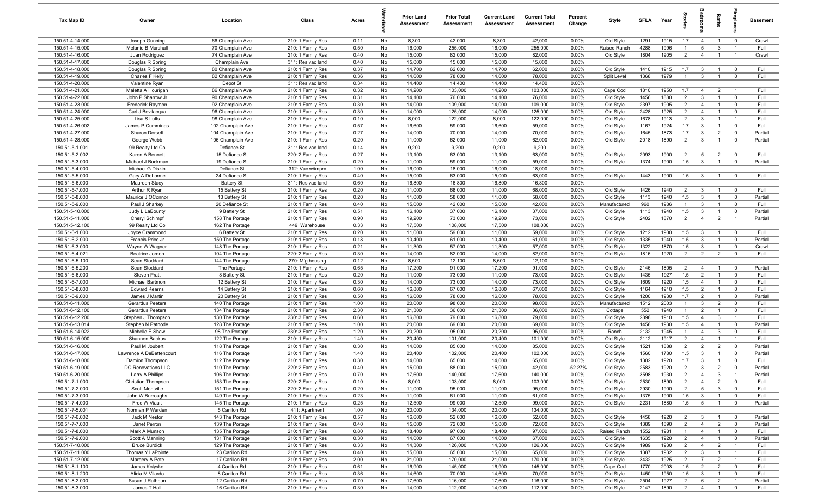| Tax Map ID                        | Owner                                  | Location                           | Class                                  | Acres        |          | <b>Prior Land</b><br>Assessment | <b>Prior Total</b><br>Assessment | <b>Current Land</b><br>Assessment | <b>Current Total</b><br>Assessment | Percent<br>Change | Style                  | SFI A        | Year         | $\frac{1}{2}$                    |                                  | Baths                            |                               | Basement        |
|-----------------------------------|----------------------------------------|------------------------------------|----------------------------------------|--------------|----------|---------------------------------|----------------------------------|-----------------------------------|------------------------------------|-------------------|------------------------|--------------|--------------|----------------------------------|----------------------------------|----------------------------------|-------------------------------|-----------------|
| 150.51-4-14.000                   | Joseph Gunning                         | 66 Champlain Ave                   | 210: 1 Family Res                      | 0.11         | No       | 8,300                           | 42,000                           | 8,300                             | 42,000                             | 0.00%             | Old Style              | 1291         | 1915         | 1.7                              | $\overline{4}$                   | $\overline{1}$                   | $\overline{\mathbf{0}}$       | Crawl           |
| 150.51-4-15.000                   | Melanie B Marshall                     | 70 Champlain Ave                   | 210: 1 Family Res                      | 0.50         | No       | 16,000                          | 255,000                          | 16,000                            | 255,000                            | 0.00%             | Raised Ranch           | 4288         | 1996         | $\overline{1}$                   | 5                                | $\mathbf{3}$                     | $\overline{1}$                | Full            |
| 150.51-4-16.000                   | Juan Rodriguez                         | 74 Champlain Ave                   | 210: 1 Family Res                      | 0.40         | No       | 15,000                          | 82,000                           | 15,000                            | 82,000                             | 0.00%             | Old Style              | 1804         | 1905         | $\overline{2}$                   | $\overline{4}$                   | $\overline{1}$                   | $\overline{1}$                | Crawl           |
| 150.51-4-17.000                   | Douglas R Spring                       | Champlain Ave                      | 311: Res vac land                      | 0.40         | No       | 15,000                          | 15,000                           | 15,000                            | 15,000                             | 0.00%             |                        |              |              |                                  |                                  |                                  |                               |                 |
| 150.51-4-18.000                   | Douglas R Spring                       | 80 Champlain Ave                   | 210: 1 Family Res                      | 0.37         | No       | 14,700                          | 62,000                           | 14,700                            | 62,000                             | 0.00%             | Old Style              | 1410         | 1915         | 1.7                              | $\mathbf{3}$                     | $\overline{1}$                   | $\mathbf 0$                   | Full            |
| 150.51-4-19.000                   | Charles F Kelly                        | 82 Champlain Ave                   | 210: 1 Family Res                      | 0.36         | No       | 14,600                          | 78,000                           | 14,600                            | 78,000                             | 0.00%             | Split Level            | 1368         | 1979         | $\mathbf{1}$                     | 3                                | $\mathbf{1}$                     | $\mathbf 0$                   | Full            |
| 150.51-4-20.000                   | Valentine Ryan                         | Depot St                           | 311: Res vac land                      | 0.34         | No       | 14,400                          | 14,400                           | 14,400                            | 14,400                             | 0.00%             |                        |              |              |                                  |                                  |                                  |                               |                 |
| 150.51-4-21.000                   | Maletta A Hourigan                     | 86 Champlain Ave                   | 210: 1 Family Res                      | 0.32         | No       | 14,200                          | 103,000                          | 14,200                            | 103,000                            | 0.00%             | Cape Cod               | 1810         | 1950         | 1.7                              | $\overline{4}$                   | $\overline{2}$                   | $\overline{1}$                | Full            |
| 150.51-4-22.000                   | John P Sharrow Jr                      | 90 Champlain Ave                   | 210: 1 Family Res                      | 0.31         | No       | 14,100                          | 76,000                           | 14,100                            | 76,000                             | 0.00%             | Old Style              | 1456         | 1880         | $\overline{2}$                   | $\mathbf{3}$                     | $\overline{1}$                   | $\mathbf 0$                   | Full            |
| 150.51-4-23.000                   | Frederick Raymon                       | 92 Champlain Ave                   | 210: 1 Family Res                      | 0.30         | No       | 14,000                          | 109,000                          | 14,000                            | 109,000                            | 0.00%             | Old Style              | 2397         | 1905         | $\overline{2}$                   | $\overline{4}$                   | $\overline{1}$                   | $\mathbf 0$                   | Full            |
| 150.51-4-24.000                   | Carl J Bevilacqua                      | 96 Champlain Ave                   | 210: 1 Family Res                      | 0.30         | No       | 14,000                          | 125,000                          | 14,000                            | 125,000                            | 0.00%             | Old Style              | 2428         | 1925         | $\overline{2}$                   | $\overline{4}$                   | $\overline{1}$                   | $\mathbf 0$                   | Full            |
| 150.51-4-25.000                   | Lisa S Lutts                           | 98 Champlain Ave                   | 210: 1 Family Res                      | 0.10         | No       | 8,000                           | 122,000                          | 8,000                             | 122,000                            | 0.00%             | Old Style              | 1678         | 1913         | $\overline{2}$                   | 3                                | $\overline{1}$                   | $\overline{1}$                | Full            |
| 150.51-4-26.002                   | James P Cummings                       | 102 Champlain Ave                  | 210: 1 Family Res                      | 0.57         | No       | 16,600                          | 59,000                           | 16,600                            | 59,000                             | 0.00%             | Old Style              | 1167         | 1924         | 1.7                              | $\mathbf{3}$                     | $\overline{1}$                   | $\mathbf 0$                   | Full            |
| 150.51-4-27.000                   | Sharon Dorsett                         | 104 Champlain Ave                  | 210: 1 Family Res                      | 0.27         | No       | 14,000                          | 70,000                           | 14,000                            | 70,000                             | 0.00%             | Old Style              | 1645         | 1873         | 1.7                              | $\mathbf{3}$                     | $\overline{2}$                   | $\mathbf 0$                   | Partial         |
| 150.51-4-28.000                   | George Webb                            | 106 Champlain Ave                  | 210: 1 Family Res                      | 0.20         | No       | 11,000                          | 62,000                           | 11,000                            | 62,000                             | 0.00%             | Old Style              | 2018         | 1890         | $\overline{2}$                   | $\mathbf{3}$                     | $\overline{1}$                   | $\overline{0}$                | Partial         |
| 150.51-5-1.001                    | 99 Realty Ltd Co                       | Defiance St                        | 311: Res vac land                      | 0.14         | No       | 9,200                           | 9,200                            | 9,200                             | 9,200                              | 0.00%             |                        |              |              |                                  |                                  |                                  |                               | Full            |
| 150.51-5-2.002                    | Karen A Bennett                        | 15 Defiance St                     | 220: 2 Family Res                      | 0.27         | No<br>No | 13,100                          | 63,000                           | 13,100                            | 63,000                             | 0.00%             | Old Style<br>Old Style | 2093         | 1900<br>1900 | $\overline{2}$<br>1.5            | 5<br>$\mathbf{3}$                | $\overline{2}$<br>$\overline{1}$ | $\mathbf 0$<br>$\mathbf 0$    | Partial         |
| 150.51-5-3.000<br>150.51-5-4.000  | Michael J Buckman<br>Michael G Diskin  | 19 Defiance St<br>Defiance St      | 210: 1 Family Res                      | 0.20<br>1.00 | No       | 11,000<br>16,000                | 59,000<br>18,000                 | 11,000<br>16,000                  | 59,000<br>18,000                   | 0.00%<br>0.00%    |                        | 1374         |              |                                  |                                  |                                  |                               |                 |
| 150.51-5-5.000                    | Gary A DeLorme                         | 24 Defiance St                     | 312: Vac w/imprv<br>210: 1 Family Res  | 0.40         | No       | 15,000                          | 63,000                           | 15,000                            | 63,000                             | 0.00%             | Old Style              | 1443         | 1900         | 1.5                              | $\mathbf{3}$                     | $\overline{1}$                   | $\overline{0}$                | Full            |
| 150.51-5-6.000                    |                                        | <b>Battery St</b>                  | 311: Res vac land                      | 0.60         | No       | 16,800                          | 16,800                           | 16,800                            | 16,800                             | 0.00%             |                        |              |              |                                  |                                  |                                  |                               |                 |
| 150.51-5-7.000                    | Maureen Stacy<br>Arthur R Ryan         | 15 Battery St                      | 210: 1 Family Res                      | 0.20         | No       | 11,000                          | 68,000                           | 11,000                            | 68,000                             | 0.00%             | Old Style              | 1426         | 1940         | $\overline{2}$                   | $\mathbf{3}$                     | $\overline{1}$                   | $\overline{0}$                | Full            |
| 150.51-5-8.000                    | Maurice J OConnor                      | 13 Battery St                      | 210: 1 Family Res                      | 0.20         | No       | 11,000                          | 58,000                           | 11,000                            | 58,000                             | 0.00%             | Old Style              | 1113         | 1940         | 1.5                              | $\mathbf{3}$                     | $\overline{1}$                   | $\mathbf 0$                   | Partial         |
| 150.51-5-9.000                    | Paul J Sharkey                         | 20 Defiance St                     | 210: 1 Family Res                      | 0.40         | No       | 15,000                          | 42,000                           | 15,000                            | 42,000                             | 0.00%             | Manufactured           | 960          | 1986         | $\overline{1}$                   | 3                                | $\overline{1}$                   | $\mathbf 0$                   | Full            |
| 150.51-5-10.000                   | Judy L LaBounty                        | 9 Battery St                       | 210: 1 Family Res                      | 0.51         | No       | 16,100                          | 37,000                           | 16,100                            | 37,000                             | 0.00%             | Old Style              | 1113         | 1940         | 1.5                              | $\mathbf{3}$                     | $\overline{1}$                   | $\overline{0}$                | Partial         |
| 150.51-5-11.000                   | Cheryl Schimpf                         | 158 The Portage                    | 210: 1 Family Res                      | 0.90         | No       | 19,200                          | 73,000                           | 19,200                            | 73,000                             | 0.00%             | Old Style              | 2402         | 1870         | $\overline{2}$                   | $\overline{4}$                   | $\overline{2}$                   | $\overline{1}$                | Partial         |
| 150.51-5-12.100                   | 99 Realty Ltd Co                       | 162 The Portage                    | 449: Warehouse                         | 0.33         | No       | 17,500                          | 108,000                          | 17,500                            | 108,000                            | 0.00%             |                        |              |              |                                  |                                  |                                  |                               |                 |
| 150.51-6-1.000                    | Joyce Crammond                         | 6 Battery St                       | 210: 1 Family Res                      | 0.20         | No       | 11,000                          | 59,000                           | 11,000                            | 59,000                             | 0.00%             | Old Style              | 1212         | 1900         | 1.5                              | $\mathbf{3}$                     | $\overline{1}$                   | $\mathbf 0$                   | Full            |
| 150.51-6-2.000                    | Francis Price Jr                       | 150 The Portage                    | 210: 1 Family Res                      | 0.18         | No       | 10,400                          | 61,000                           | 10,400                            | 61,000                             | 0.00%             | Old Style              | 1335         | 1940         | 1.5                              | $\mathbf{3}$                     | $\overline{1}$                   | $\mathbf 0$                   | Partial         |
| 150.51-6-3.000                    | Wayne W Wagner                         | 148 The Portage                    | 210: 1 Family Res                      | 0.21         | No       | 11,300                          | 57,000                           | 11,300                            | 57,000                             | 0.00%             | Old Style              | 1322         | 1870         | 1.5                              | $\mathbf{3}$                     | $\overline{1}$                   | $\mathbf 0$                   | Crawl           |
| 150.51-6-4.021                    | Beatrice Jordon                        | 104 The Portage                    | 220: 2 Family Res                      | 0.30         | No       | 14,000                          | 82,000                           | 14,000                            | 82,000                             | 0.00%             | Old Style              | 1816         | 1920         | $\overline{2}$                   | $\overline{2}$                   | $\overline{2}$                   | $\mathbf 0$                   | Full            |
| 150.51-6-5.100                    | Sean Stoddard                          | 144 The Portage                    | 270: Mfg housing                       | 0.12         | No       | 8,600                           | 12,100                           | 8,600                             | 12,100                             | 0.00%             |                        |              |              |                                  |                                  |                                  |                               |                 |
| 150.51-6-5.200                    | Sean Stoddard                          | The Portage                        | 210: 1 Family Res                      | 0.65         | No       | 17,200                          | 91,000                           | 17,200                            | 91,000                             | 0.00%             | Old Style              | 2146         | 1805         | $\overline{2}$                   | $\overline{4}$                   | $\overline{1}$                   | $\mathbf 0$                   | Partial         |
| 150.51-6-6.000                    | <b>Steven Pratt</b>                    | 8 Battery St                       | 210: 1 Family Res                      | 0.20         | No       | 11,000                          | 73,000                           | 11,000                            | 73,000                             | 0.00%             | Old Style              | 1435         | 1927         | 1.5                              | $\overline{2}$                   | $\overline{1}$                   | $\mathbf 0$                   | Full            |
| 150.51-6-7.000                    | Michael Bartmon                        | 12 Battery St                      | 210: 1 Family Res                      | 0.30         | No       | 14,000                          | 73,000                           | 14,000                            | 73,000                             | 0.00%             | Old Style              | 1609         | 1920         | 1.5                              | $\overline{4}$                   | $\overline{1}$                   | $\mathbf 0$                   | Full            |
| 150.51-6-8.000                    | <b>Edward Kearns</b>                   | 14 Battery St                      | 210: 1 Family Res                      | 0.60         | No       | 16,800                          | 67,000                           | 16,800                            | 67,000                             | 0.00%             | Old Style              | 1164         | 1910         | 1.5                              | $\overline{2}$                   | $\overline{1}$                   | $\mathbf 0$                   | Full            |
| 150.51-6-9.000                    | James J Martin                         | 20 Battery St                      | 210: 1 Family Res                      | 0.50         | No       | 16,000                          | 78,000                           | 16,000                            | 78,000                             | 0.00%             | Old Style              | 1200         | 1930         | 1.7                              | $\overline{2}$                   | $\overline{1}$                   | $\mathbf 0$                   | Partial         |
| 150.51-6-11.000                   | Gerardus Peeters                       | 140 The Portage                    | 210: 1 Family Res                      | 1.00         | No       | 20,000                          | 98,000                           | 20,000                            | 98,000                             | 0.00%             | Manufactured           | 1512         | 2003         | $\overline{1}$                   | $\mathbf{3}$                     | $\overline{2}$                   | $^{\circ}$                    | Full            |
| 150.51-6-12.100                   | Gerardus Peeters                       | 134 The Portage                    | 210: 1 Family Res                      | 2.30         | No       | 21,300                          | 36,000                           | 21,300                            | 36,000                             | 0.00%             | Cottage                | 552          | 1940         | $\mathbf{1}$                     | $\overline{2}$                   | $\overline{1}$                   | $\mathbf 0$                   | Full            |
| 150.51-6-12.200                   | Stephen J Thompson                     | 130 The Portage                    | 230: 3 Family Res                      | 0.60         | No       | 16,800                          | 79,000                           | 16,800                            | 79,000                             | 0.00%             | Old Style              | 2898         | 1910         | 1.5                              | $\overline{4}$                   | $\mathbf{3}$                     | $\overline{1}$                | Full            |
| 150.51-6-13.014                   | Stephen N Patnode                      | 128 The Portage                    | 210: 1 Family Res                      | 1.00         | No       | 20,000                          | 69,000                           | 20,000                            | 69,000                             | 0.00%             | Old Style              | 1458         | 1930         | 1.5                              | $\overline{4}$                   | $\overline{1}$                   | $\mathbf 0$                   | Partial         |
| 150.51-6-14.022                   | Michelle E Shaw                        | 98 The Portage                     | 230: 3 Family Res                      | 1.20         | No       | 20,200                          | 95,000                           | 20,200                            | 95,000                             | 0.00%             | Ranch                  | 2132         | 1945         | $\mathbf{1}$                     | $\overline{4}$                   | $\mathbf{3}$                     | $\mathbf 0$                   | Full            |
| 150.51-6-15.000                   | Shannon Backus                         | 122 The Portage                    | 210: 1 Family Res                      | 1.40         | No       | 20,400                          | 101,000                          | 20,400                            | 101,000                            | 0.00%             | Old Style              | 2112         | 1917         | $\overline{2}$                   | $\overline{4}$                   | $\overline{1}$                   | $\overline{1}$                | Full            |
| 150.51-6-16.000                   | Paul M Joubert                         | 118 The Portage                    | 210: 1 Family Res                      | 0.30         | No       | 14,000                          | 85,000                           | 14,000                            | 85,000                             | 0.00%             | Old Style              | 1521         | 1888         | $\overline{2}$                   | $\overline{2}$                   | $\overline{2}$                   | $\mathbf 0$                   | Partial         |
| 150.51-6-17.000                   | Lawrence A DeBettencourt               | 116 The Portage                    | 210: 1 Family Res                      | 1.40         | No       | 20,400                          | 102,000                          | 20,400                            | 102,000                            | 0.00%             | Old Style              | 1560         | 1780         | 1.5                              | -3                               | $\mathbf{1}$                     | $^{\circ}$                    | Partial         |
| 150.51-6-18.000                   | Damion Thompson                        | 112 The Portage<br>110 The Portage | 210: 1 Family Res                      | 0.30         | No       | 14,000                          | 65,000                           | 14,000                            | 65,000                             | 0.00%             | Old Style              | 1302         | 1920         | 1.7<br>$\overline{2}$            | $\mathbf{3}$<br>$\mathbf{3}$     | $\overline{1}$                   | $^{\circ}$                    | Full            |
| 150.51-6-19.000                   | DC Renovations LLC                     |                                    | 220: 2 Family Res                      | 0.40         | No       | 15,000                          | 88,000                           | 15,000                            | 42,000                             | $-52.27%$         | Old Style              | 2583         | 1920         |                                  |                                  | $\overline{2}$                   |                               | Partial         |
| 150.51-6-20.000<br>150.51-7-1.000 | Larry A Phillips<br>Christian Thompson | 106 The Portage<br>153 The Portage | 210: 1 Family Res<br>220: 2 Family Res | 0.70<br>0.10 | No<br>No | 17,600<br>8,000                 | 140,000<br>103,000               | 17,600<br>8,000                   | 140,000<br>103,000                 | 0.00%<br>0.00%    | Old Style<br>Old Style | 3598<br>2530 | 1930<br>1890 | $\overline{2}$<br>$\overline{2}$ | $\overline{4}$<br>$\overline{4}$ | $\mathbf{3}$<br>$\overline{2}$   | $\overline{1}$<br>$\mathbf 0$ | Partial<br>Full |
| 150.51-7-2.000                    | Scott Montville                        | 151 The Portage                    | 220: 2 Family Res                      | 0.20         | No       | 11,000                          | 95,000                           | 11,000                            | 95,000                             | 0.00%             | Old Style              | 2930         | 1900         | $\overline{2}$                   | $5\overline{5}$                  | $\mathbf{3}$                     | $\mathbf 0$                   | Full            |
| 150.51-7-3.000                    | John W Burroughs                       | 149 The Portage                    | 210: 1 Family Res                      | 0.23         | No       | 11,000                          | 61,000                           | 11,000                            | 61,000                             | 0.00%             | Old Style              | 1375         | 1900         | 1.5                              | $\mathbf{3}$                     | $\mathbf{1}$                     | $\overline{0}$                | Full            |
| 150.51-7-4.000                    | Fred W Viault                          | 145 The Portage                    | 210: 1 Family Res                      | 0.25         | No       | 12,500                          | 99,000                           | 12,500                            | 99,000                             | 0.00%             | Old Style              | 2231         | 1880         | 1.5                              | $5\overline{5}$                  | $\mathbf{1}$                     | $\overline{0}$                | Partial         |
| 150.51-7-5.001                    | Norman P Warden                        | 5 Carillon Rd                      | 411: Apartment                         | 1.00         | No       | 20,000                          | 134,000                          | 20,000                            | 134,000                            | 0.00%             |                        |              |              |                                  |                                  |                                  |                               |                 |
| 150.51-7-6.002                    | Jack M Nestor                          | 143 The Portage                    | 210: 1 Family Res                      | 0.57         | No       | 16,600                          | 52,000                           | 16,600                            | 52,000                             | 0.00%             | Old Style              | 1458         | 1920         | $\overline{2}$                   | $\mathbf{3}$                     | $\overline{1}$                   | $\overline{0}$                | Partial         |
| 150.51-7-7.000                    | Janet Perron                           | 139 The Portage                    | 210: 1 Family Res                      | 0.40         | No       | 15,000                          | 72,000                           | 15,000                            | 72,000                             | 0.00%             | Old Style              | 1389         | 1890         | $\overline{2}$                   | $\overline{4}$                   | $\overline{2}$                   | $\overline{0}$                | Partial         |
| 150.51-7-8.000                    | Mark A Munson                          | 135 The Portage                    | 210: 1 Family Res                      | 0.80         | No       | 18,400                          | 97,000                           | 18,400                            | 97,000                             | 0.00%             | Raised Ranch           | 1552         | 1981         | $\mathbf{1}$                     | $\overline{4}$                   | $\overline{1}$                   | $\overline{0}$                | Full            |
| 150.51-7-9.000                    | Scott A Manning                        | 131 The Portage                    | 210: 1 Family Res                      | 0.30         | No       | 14,000                          | 67,000                           | 14,000                            | 67,000                             | 0.00%             | Old Style              | 1635         | 1920         | $\overline{2}$                   | $\overline{4}$                   | $\overline{1}$                   | $\overline{0}$                | Partial         |
| 150.51-7-10.000                   | <b>Bruce Burdick</b>                   | 129 The Portage                    | 210: 1 Family Res                      | 0.33         | No       | 14,300                          | 126,000                          | 14,300                            | 126,000                            | 0.00%             | Old Style              | 1989         | 1930         | $\overline{2}$                   | $\overline{4}$                   | $\overline{2}$                   | $\overline{1}$                | Full            |
| 150.51-7-11.000                   | Thomas Y LaPointe                      | 23 Carillon Rd                     | 210: 1 Family Res                      | 0.40         | No       | 15,000                          | 65,000                           | 15,000                            | 65,000                             | 0.00%             | Old Style              | 1387         | 1932         | $\overline{2}$                   | $\mathbf{3}$                     | $\overline{1}$                   | $\overline{1}$                | Full            |
| 150.51-7-12.000                   | Margery A Pote                         | 17 Carillon Rd                     | 210: 1 Family Res                      | 2.00         | No       | 21,000                          | 170,000                          | 21,000                            | 170,000                            | 0.00%             | Old Style              | 3432         | 1925         | $\overline{2}$                   | $\overline{7}$                   | $\overline{2}$                   | $\overline{1}$                | Full            |
| 150.51-8-1.100                    | James Kolysko                          | 4 Carillon Rd                      | 210: 1 Family Res                      | 0.61         | No       | 16,900                          | 145,000                          | 16,900                            | 145,000                            | 0.00%             | Cape Cod               | 1770         | 2003         | 1.5                              | $\overline{2}$                   | $\overline{2}$                   | $\mathbf 0$                   | Full            |
| 150.51-8-1.200                    | Alicia M Vilardo                       | 8 Carillon Rd                      | 210: 1 Family Res                      | 0.36         | No       | 14,600                          | 70,000                           | 14,600                            | 70,000                             | 0.00%             | Old Style              | 1450         | 1950         | 1.5                              | $\mathbf{3}$                     | $\overline{1}$                   | $\overline{0}$                | Full            |
| 150.51-8-2.000                    | Susan J Rathbun                        | 12 Carillon Rd                     | 210: 1 Family Res                      | 0.70         | No       | 17,600                          | 116,000                          | 17,600                            | 116,000                            | 0.00%             | Old Style              | 2504         | 1927         | $\overline{2}$                   | 6                                | $\overline{2}$                   | $\overline{1}$                | Partial         |
| 150.51-8-3.000                    | James T Hall                           | 16 Carillon Rd                     | 210: 1 Family Res                      | 0.30         | No       | 14,000                          | 112,000                          | 14,000                            | 112,000                            | 0.00%             | Old Style              | 2147         | 1890         | $\overline{2}$                   | $\overline{4}$                   | $\overline{1}$                   | $\mathbf 0$                   | Full            |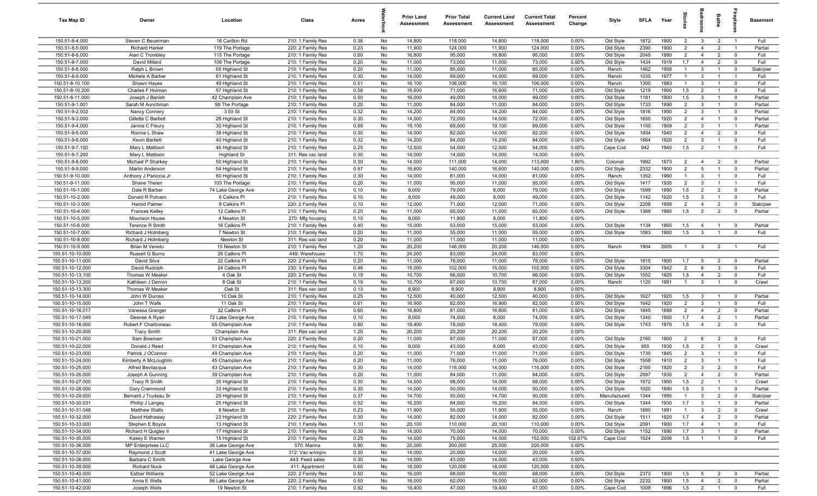| Tax Map ID                           | Owner                                | Location                           | Class                                  | Acres        |          | <b>Prior Land</b><br>Assessment | <b>Prior Total</b><br>Assessment | <b>Current Land</b><br><b>Assessment</b> | <b>Current Total</b><br>Assessment | Percent<br>Change | Style                  | <b>SFLA</b>  | Year         | 흨                     | anoo                             | <b>Baths</b>                     | <b>G</b> bla                  | <b>Basement</b>  |
|--------------------------------------|--------------------------------------|------------------------------------|----------------------------------------|--------------|----------|---------------------------------|----------------------------------|------------------------------------------|------------------------------------|-------------------|------------------------|--------------|--------------|-----------------------|----------------------------------|----------------------------------|-------------------------------|------------------|
| 150.51-8-4.000                       | Steven C Beuerman                    | 18 Carillon Rd                     | 210: 1 Family Res                      | 0.38         | No       | 14,800                          | 118,000                          | 14,800                                   | 118,000                            | 0.00%             | Old Style              | 1872         | 1900         | $\overline{2}$        | $\mathbf{3}$                     | $\overline{2}$                   | $\overline{1}$                | Full             |
| 150.51-8-5.000                       | <b>Richard Harker</b>                | 119 The Portage                    | 220: 2 Family Res                      | 0.23         | No       | 11,900                          | 124,000                          | 11,900                                   | 124,000                            | 0.00%             | Old Style              | 2390         | 1900         | 2                     | $\overline{4}$                   | $\overline{2}$                   | $\overline{1}$                | Partial          |
| 150.51-8-6.000                       | Alan C Trombley                      | 115 The Portage                    | 210: 1 Family Res                      | 0.60         | No       | 16,800                          | 95,000                           | 16,800                                   | 95,000                             | 0.00%             | Old Style              | 2045         | 1880         | $\overline{2}$        | $\overline{4}$                   | $\overline{2}$                   | $\overline{0}$                | Full             |
| 150.51-8-7.000                       | David Millard                        | 109 The Portage                    | 210: 1 Family Res                      | 0.20         | No       | 11,000                          | 73,000                           | 11,000                                   | 73,000                             | 0.00%             | Old Style              | 1434         | 1919         | 1.7                   | $\overline{4}$                   | $\overline{2}$                   | $\overline{0}$                | Full             |
| 150.51-8-8.000                       | Ralph L Brown                        | 65 Highland St                     | 210: 1 Family Res                      | 0.20         | No       | 11,000                          | 85,000                           | 11,000                                   | 85,000                             | 0.00%             | Ranch                  | 1462         | 1958         | $\overline{1}$        | $\mathbf{3}$                     | $\overline{1}$                   | $\mathbf 0$                   | Slab/pier        |
| 150.51-8-9.000                       | Michele A Barber                     | 61 Highland St                     | 210: 1 Family Res                      | 0.30         | No       | 14,000                          | 69,000                           | 14,000                                   | 69,000                             | 0.00%             | Ranch                  | 1035         | 1977         | $\overline{1}$        | $\mathbf{3}$                     | $\overline{1}$                   | $\mathbf{1}$                  | Full             |
| 150.51-8-10.100                      | Shawn Hayes                          | 49 Highland St                     | 210: 1 Family Res                      | 0.51         | No       | 16,100                          | 106,000                          | 16,100                                   | 106,000                            | 0.00%             | Ranch                  | 1300         | 1983         | $\overline{1}$        | $\mathbf{3}$                     | $\overline{1}$                   | $\mathbf 0$                   | Full             |
| 150.51-8-10.200                      | Charles F Holman                     | 57 Highland St                     | 210: 1 Family Res                      | 0.58         | No       | 16,600                          | 71,000                           | 16,600                                   | 71,000                             | 0.00%             | Old Style              | 1219         | 1900         | 1.5                   | $\overline{2}$                   | $\mathbf{1}$                     | $\Omega$                      | Full             |
| 150.51-8-11.000                      | Joseph J Banish                      | 42 Champlain Ave                   | 210: 1 Family Res                      | 0.50         | No       | 16,000                          | 49,000                           | 16,000                                   | 49,000                             | 0.00%             | Old Style              | 1181         | 1900         | 1.5                   | $\mathbf{3}$                     | $\overline{1}$                   | $\overline{0}$                | Partial          |
| 150.51-9-1.001                       | Sarah M Aunchman                     | 99 The Portage                     | 210: 1 Family Res                      | 0.20         | No       | 11,000                          | 84,000                           | 11,000                                   | 84,000                             | 0.00%             | Old Style              | 1733         | 1890         | $\overline{2}$        | $\mathbf{3}$                     | $\overline{1}$                   | $\overline{0}$                | Partial          |
| 150.51-9-2.002                       | Nancy Connery                        | 3 Ell St                           | 210: 1 Family Res                      | 0.32         | No       | 14,200                          | 84,000                           | 14,200                                   | 84,000                             | 0.00%             | Old Style              | 1816         | 1900         | $\overline{2}$        | $\mathbf{3}$                     | $\overline{1}$                   | $\overline{\mathbf{0}}$       | Partial          |
| 150.51-9-3.000                       | Gillette C Bartlett                  | 28 Highland St                     | 210: 1 Family Res                      | 0.30         | No       | 14,000                          | 72,000                           | 14,000                                   | 72,000                             | 0.00%             | Old Style              | 1650         | 1920         | $\overline{2}$        | $\overline{4}$                   | $\overline{1}$                   | $\overline{0}$                | Partial          |
| 150.51-9-4.000                       | Janice C Fleury                      | 30 Highland St                     | 210: 1 Family Res                      | 0.89         | No       | 19,100                          | 69,000                           | 19,100                                   | 69,000                             | 0.00%             | Old Style              | 1150         | 1909         | $\overline{2}$        | $\mathbf{3}$                     | $\overline{1}$                   | $\overline{1}$                | Partial          |
| 150.51-9-5.000                       | Ronnie L Shaw                        | 38 Highland St                     | 210: 1 Family Res                      | 0.30         | No       | 14,000                          | 82,000                           | 14,000                                   | 82,000                             | 0.00%             | Old Style              | 1934         | 1940         | $\overline{2}$        | $\overline{4}$                   | $\overline{2}$                   | $\mathbf 0$                   | Full             |
| 150.51-9-6.000                       | Kevin Bartlett                       | 40 Highland St                     | 210: 1 Family Res                      | 0.32         | No       | 14,200                          | 84,000                           | 14,200                                   | 84,000                             | 0.00%             | Old Style              | 1664         | 1920         | 2                     | $\mathbf{3}$                     | $\overline{1}$                   | $\overline{0}$                | Full             |
| 150.51-9-7.100                       | Mary L Mattison                      | 46 Highland St                     | 210: 1 Family Res                      | 0.25         | No       | 12,500                          | 54,000                           | 12,500                                   | 54,000                             | 0.00%             | Cape Cod               | 942          | 1940         | 1.5                   | $\overline{2}$                   | $\overline{1}$                   | $\overline{0}$                | Full             |
| 150.51-9-7.200<br>150.51-9-8.000     | Mary L Mattison                      | <b>Highland St</b>                 | 311: Res vac land                      | 0.30         | No<br>No | 14,000                          | 14,000                           | 14,000                                   | 14,000                             | 0.00%             |                        |              |              | $\overline{2}$        | $\overline{4}$                   | $\overline{2}$                   | $\mathbf 0$                   | Partial          |
| 150.51-9-9.000                       | Michael P Sharkey<br>Martin Anderson | 50 Highland St<br>54 Highland St   | 210: 1 Family Res<br>210: 1 Family Res | 0.30<br>0.57 | No       | 14,000<br>16,600                | 111,000<br>140,000               | 14,000<br>16,600                         | 113,000<br>140,000                 | 1.80%<br>0.00%    | Colonial<br>Old Style  | 1992<br>2332 | 1973<br>1900 | $\overline{2}$        | 5                                | $\overline{1}$                   | $\overline{0}$                | Partial          |
| 150.51-9-10.000                      | Anthony J Paniccia Jr                | 60 Highland St                     | 210: 1 Family Res                      | 0.30         | No       | 14,000                          | 81,000                           | 14,000                                   | 81,000                             | 0.00%             | Ranch                  | 1352         | 1960         | $\mathbf{1}$          | $\mathbf{3}$                     | $\overline{1}$                   | $\overline{0}$                | Full             |
| 150.51-9-11.000                      | Shane Thelen                         | 103 The Portage                    | 210: 1 Family Res                      | 0.20         | No       | 11,000                          | 95,000                           | 11,000                                   | 95,000                             | 0.00%             | Old Style              | 1417         | 1935         | $\overline{2}$        | 3                                | $\overline{\mathbf{1}}$          | $\overline{1}$                | Full             |
| 150.51-10-1.000                      | Dale R Barber                        | 74 Lake George Ave                 | 210: 1 Family Res                      | 0.10         | No       | 8,000                           | 79,000                           | 8,000                                    | 79,000                             | 0.00%             | Old Style              | 1599         | 1890         | 1.5                   | $\overline{2}$                   | $\overline{2}$                   | $\overline{0}$                | Partial          |
| 150.51-10-2.000                      | Donald R Putnam                      | 6 Calkins Pl                       | 210: 1 Family Res                      | 0.10         | No       | 8,000                           | 49,000                           | 8,000                                    | 49,000                             | 0.00%             | Old Style              | 1142         | 1920         | 1.5                   | $\mathbf{3}$                     | $\overline{1}$                   | $\overline{0}$                | Full             |
| 150.51-10-3.000                      | <b>Harold Palmer</b>                 | 8 Calkins Pl                       | 220: 2 Family Res                      | 0.10         | No       | 12,000                          | 71,000                           | 12,000                                   | 71,000                             | 0.00%             | Old Style              | 2208         | 1958         | $\overline{2}$        | $\overline{4}$                   | 2                                | $\overline{0}$                | Slab/pier        |
| 150.51-10-4.000                      | <b>Frances Kelley</b>                | 12 Calkins Pl                      | 210: 1 Family Res                      | 0.20         | No       | 11,000                          | 65,000                           | 11,000                                   | 65,000                             | 0.00%             | Old Style              | 1369         | 1865         | 1.5                   | $\overline{2}$                   | $\overline{2}$                   | $\overline{0}$                | Partial          |
| 150.51-10-5.000                      | Mourison House                       | 4 Newton St                        | 270: Mfg housing                       | 0.10         | No       | 8,000                           | 11,800                           | 8,000                                    | 11,800                             | 0.00%             |                        |              |              |                       |                                  |                                  |                               |                  |
| 150.51-10-6.000                      | <b>Terence R Smith</b>               | 16 Calkins PI                      | 210: 1 Family Res                      | 0.40         | No       | 15,000                          | 53,000                           | 15,000                                   | 53,000                             | 0.00%             | Old Style              | 1134         | 1865         | 1.5                   | $\overline{4}$                   | $\overline{1}$                   | $\overline{0}$                | Partial          |
| 150.51-10-7.000                      | Richard J Holmberg                   | 7 Newton St                        | 210: 1 Family Res                      | 0.20         | No       | 11,000                          | 55,000                           | 11,000                                   | 55,000                             | 0.00%             | Old Style              | 1083         | 1900         | 1.5                   | $\mathbf{3}$                     | $\overline{1}$                   | $\mathbf{0}$                  | Full             |
| 150.51-10-8.000                      | Richard J Holmberg                   | Newton St                          | 311: Res vac land                      | 0.20         | No       | 11,000                          | 11,000                           | 11,000                                   | 11,000                             | 0.00%             |                        |              |              |                       |                                  |                                  |                               |                  |
| 150.51-10-9.000                      | Brian M Veneto                       | 15 Newton St                       | 210: 1 Family Res                      | 1.20         | No       | 20,200                          | 146,000                          | 20,200                                   | 146,000                            | 0.00%             | Ranch                  | 1904         | 2005         | $\overline{1}$        | $\mathbf{3}$                     | $\overline{2}$                   | $\overline{1}$                | Full             |
| 150.51-10-10.000                     | Russell G Burns                      | 26 Calkins Pl                      | 449: Warehouse                         | 1.70         | No       | 24,000                          | 83,000                           | 24,000                                   | 83,000                             | 0.00%             |                        |              |              |                       |                                  |                                  |                               |                  |
| 150.51-10-11.000                     | David Silva                          | 22 Calkins PI                      | 220: 2 Family Res                      | 0.20         | No       | 11,000                          | 78,000                           | 11,000                                   | 78,000                             | 0.00%             | Old Style              | 1815         | 1900         | 1.7                   | $5\overline{5}$                  | $\overline{2}$                   | $\overline{0}$                | Partial          |
| 150.51-10-12.000                     | David Rudolph                        | 24 Calkins Pl                      | 230: 3 Family Res                      | 0.46         | No       | 15,000                          | 102,000                          | 15,000                                   | 102,000                            | 0.00%             | Old Style              | 3304         | 1942         | 2                     | 6                                | $\mathbf{3}$                     | $\Omega$                      | Full             |
| 150.51-10-13.100                     | Thomas W Meaker                      | 4 Oak St                           | 220: 2 Family Res                      | 0.19         | No       | 10,700                          | 66,000                           | 10,700                                   | 66,000                             | 0.00%             | Old Style              | 1552         | 1925         | 1.5                   | $\overline{4}$                   | $\overline{2}$                   | $\Omega$                      | Full             |
| 150.51-10-13.200                     | Kathleen J Dennin                    | 8 Oak St                           | 210: 1 Family Res                      | 0.19         | No       | 10,700                          | 67,000                           | 10,700                                   | 67,000                             | 0.00%             | Ranch                  | 1120         | 1991         | $\overline{1}$        | $\mathbf{3}$                     | $\overline{1}$                   | $\overline{0}$                | Crawl            |
| 150.51-10-13.300                     | Thomas W Meaker                      | Oak St                             | 311: Res vac land                      | 0.13         | No       | 8,900                           | 8,900                            | 8,900                                    | 8,900                              | 0.00%             |                        |              |              |                       |                                  |                                  |                               |                  |
| 150.51-10-14.000                     | John W Duross                        | 10 Oak St                          | 210: 1 Family Res                      | 0.25         | No       | 12,500                          | 40,000                           | 12,500                                   | 40,000                             | 0.00%             | Old Style              | 1627         | 1920         | 1.5                   | $\mathbf{3}$                     | $\overline{1}$                   | $\overline{0}$                | Partial          |
| 150.51-10-15.000                     | John T Walls                         | 11 Oak St                          | 210: 1 Family Res                      | 0.61         | No       | 16,900                          | 82,000                           | 16,900                                   | 82,000                             | 0.00%             | Old Style              | 1642         | 1920         | $\overline{2}$        | $\mathbf{3}$                     | $\overline{1}$                   | $\overline{\mathbf{0}}$       | Full             |
| 150.51-10-16.017                     | Vanessa Granger                      | 32 Calkins Pl                      | 210: 1 Family Res                      | 0.60         | No       | 16,800                          | 81,000                           | 16,800                                   | 81,000                             | 0.00%             | Old Style              | 1845         | 1898         | 2                     | $\overline{4}$                   | 2                                | $\overline{0}$                | Partial          |
| 150.51-10-17.049                     | Desiree A Ryan                       | 72 Lake George Ave                 | 210: 1 Family Res                      | 0.10         | No       | 8,000                           | 74,000                           | 8,000                                    | 74,000                             | 0.00%             | Old Style              | 1340         | 1900         | 1.7                   | $\overline{4}$                   | $\overline{2}$                   | $\overline{1}$                | Partial          |
| 150.51-10-18.000                     | Robert F Charboneau                  | 65 Champlain Ave                   | 210: 1 Family Res                      | 0.80         | No       | 18,400                          | 78,000                           | 18,400                                   | 78,000                             | 0.00%             | Old Style              | 1743         | 1870         | 1.5                   | $\overline{4}$                   | 2                                | $\overline{0}$                | Full             |
| 150.51-10-20.000                     | <b>Tracy Smith</b>                   | Champlain Ave                      | 311: Res vac land                      | 1.20         | No       | 20,200                          | 20,200                           | 20,200                                   | 20,200                             | 0.00%             |                        |              |              |                       |                                  |                                  |                               |                  |
| 150.51-10-21.000                     | Sam Bowman                           | 53 Champlain Ave                   | 220: 2 Family Res                      | 0.20         | No       | 11,000                          | 67,000                           | 11,000                                   | 67,000                             | 0.00%             | Old Style              | 2160         | 1900         | $\overline{2}$        | 6                                | $\overline{2}$                   | $\mathbf 0$                   | Full             |
| 150.51-10-22.000                     | Donald J Reed                        | 51 Champlain Ave                   | 210: 1 Family Res                      | 0.10         | No       | 8,000                           | 43,000                           | 8,000                                    | 43,000                             | 0.00%             | Old Style              | 955          | 1930         | 1.5                   | $\overline{2}$                   | $\mathbf{1}$                     | $\Omega$                      | Crawl            |
| 150.51-10-23.000                     | Patrick J OConnor                    | 49 Champlain Ave                   | 210: 1 Family Res                      | 0.20         | No       | 11,000                          | 71,000                           | 11,000                                   | 71,000                             | 0.00%             | Old Style              | 1730         | 1845         | 2                     | 3                                |                                  | $\Omega$                      | Full             |
| 150.51-10-24.000                     | Kimberly A McLoughlin                | 45 Champlain Ave                   | 210: 1 Family Res                      | 0.20         | No       | 11,000                          | 76,000                           | 11,000                                   | 76,000                             | 0.00%             | Old Style              | 1558         | 1910         | 2                     | $\mathbf{3}$<br>$\mathcal{R}$    | $\overline{1}$                   | $\mathbf{1}$                  | Full             |
| 150.51-10-25.000                     | Alfred Bevilacqua                    | 43 Champlain Ave                   | 210: 1 Family Res                      | 0.30         | No       | 14,000                          | 116,000                          | 14,000                                   | 116,000                            | 0.00%<br>0.00%    | Old Style              | 2160         | 1920         |                       |                                  |                                  |                               | Full             |
| 150.51-10-26.000<br>150.51-10-27.000 | Joseph A Gunning<br>Tracy R Smith    | 39 Champlain Ave<br>35 Highland St | 210: 1 Family Res<br>210: 1 Family Res | 0.20<br>0.30 | No<br>No | 11,000<br>14,000                | 84,000<br>68,000                 | 11,000<br>14,000                         | 84,000<br>68,000                   | 0.00%             | Old Style<br>Old Style | 2097<br>1572 | 1930<br>1900 | $\overline{2}$<br>1.5 | $\overline{4}$<br>$\overline{2}$ | $\overline{2}$<br>$\overline{1}$ | $\mathbf 0$<br>$\overline{1}$ | Partial<br>Crawl |
| 150.51-10-28.000                     | Gary Crammond                        | 33 Highland St                     | 210: 1 Family Res                      | 0.30         | No       | 14,000                          | 50,000                           | 14,000                                   | 50,000                             | 0.00%             | Old Style              | 1020         | 1890         | 1.5                   | $\mathbf{3}$                     | $\overline{1}$                   | $\overline{0}$                | Partial          |
| 150.51-10-29.000                     | Bernard J Trudeau Sr                 | 29 Highland St                     | 210: 1 Family Res                      | 0.37         | No       | 14,700                          | 50,000                           | 14,700                                   | 50,000                             | 0.00%             | Manufactured           | 1344         | 1995         | $\overline{1}$        | $\mathbf{3}$                     | $\overline{2}$                   | $\overline{0}$                | Slab/pier        |
| 150.51-10-30.031                     | Phillip J Langey                     | 25 Highland St                     | 210: 1 Family Res                      | 0.52         | No       | 16,200                          | 84,000                           | 16,200                                   | 84,000                             | 0.00%             | Old Style              | 1344         | 1930         | 1.7                   | $\mathbf{3}$                     | $\overline{1}$                   | $\mathbf 0$                   | Partial          |
| 150.51-10-31.048                     | <b>Matthew Watts</b>                 | 8 Newton St                        | 210: 1 Family Res                      | 0.23         | No       | 11,900                          | 55,000                           | 11,900                                   | 55,000                             | 0.00%             | Ranch                  | 1680         | 1991         | $\mathbf{1}$          | $\mathbf{3}$                     | $\overline{2}$                   | $\mathbf 0$                   | Crawl            |
| 150.51-10-32.000                     | David Hathaway                       | 23 Highland St                     | 220: 2 Family Res                      | 0.30         | No       | 14,000                          | 82,000                           | 14,000                                   | 82,000                             | 0.00%             | Old Style              | 1511         | 1920         | 1.7                   | $\overline{4}$                   | $\overline{2}$                   | $\overline{0}$                | Partial          |
| 150.51-10-33.000                     | Stephen E Boyce                      | 13 Highland St                     | 210: 1 Family Res                      | 1.10         | No       | 20,100                          | 110,000                          | 20,100                                   | 110,000                            | 0.00%             | Old Style              | 2091         | 1900         | 1.7                   | $\overline{4}$                   | $\overline{1}$                   | $\mathbf 0$                   | Full             |
| 150.51-10-34.000                     | Richard H Quigley II                 | 17 Highland St                     | 210: 1 Family Res                      | 0.30         | No       | 14,000                          | 70,000                           | 14,000                                   | 70,000                             | 0.00%             | Old Style              | 1152         | 1890         | 1.7                   | $\mathbf{3}$                     | $\overline{1}$                   | $\overline{0}$                | Partial          |
| 150.51-10-35.000                     | Kasey E Warren                       | 15 Highland St                     | 210: 1 Family Res                      | 0.25         | No       | 14,000                          | 75,000                           | 14,000                                   | 152,000                            | 102.67%           | Cape Cod               | 1524         | 2006         | 1.5                   | $\overline{1}$                   | $\overline{1}$                   | $\mathbf 0$                   | Full             |
| 150.51-10-36.000                     | MP Enterprises LLC                   | 36 Lake George Ave                 | 570: Marina                            | 0.90         | No       | 25,000                          | 200,000                          | 25,000                                   | 200,000                            | 0.00%             |                        |              |              |                       |                                  |                                  |                               |                  |
| 150.51-10-37.000                     | Raymond J Scott                      | 41 Lake George Ave                 | 312: Vac w/imprv                       | 0.30         | No       | 14,000                          | 20,000                           | 14,000                                   | 20,000                             | 0.00%             |                        |              |              |                       |                                  |                                  |                               |                  |
| 150.51-10-38.000                     | Barbara C Smith                      | Lake George Ave                    | 443: Feed sales                        | 0.30         | No       | 14,000                          | 43,000                           | 14,000                                   | 43,000                             | 0.00%             |                        |              |              |                       |                                  |                                  |                               |                  |
| 150.51-10-39.000                     | <b>Richard Nock</b>                  | 48 Lake George Ave                 | 411: Apartment                         | 0.60         | No       | 18,000                          | 120,000                          | 18,000                                   | 120,000                            | 0.00%             |                        |              |              |                       |                                  |                                  |                               |                  |
| 150.51-10-40.000                     | <b>Esther Williams</b>               | 52 Lake George Ave                 | 220: 2 Family Res                      | 0.50         | No       | 16,000                          | 68,000                           | 16,000                                   | 68,000                             | 0.00%             | Old Style              | 2373         | 1900         | 1.5                   | $5\overline{5}$                  | $\overline{2}$                   | $\overline{\mathbf{0}}$       | Partial          |
| 150.51-10-41.000                     | Anna E Wells                         | 56 Lake George Ave                 | 220: 2 Family Res                      | 0.50         | No       | 16,000                          | 62,000                           | 16,000                                   | 62,000                             | 0.00%             | Old Style              | 2232         | 1900         | 1.5                   | $\overline{4}$                   | $\overline{2}$                   | $\overline{0}$                | Partial          |
| 150.51-10-42.000                     | Joseph Wells                         | 19 Newton St                       | 210: 1 Family Res                      | 0.92         | No       | 19,400                          | 47,000                           | 19,400                                   | 47,000                             | 0.00%             | Cape Cod               | 1008         | 1996         | 1.5                   | $\overline{2}$                   | $\overline{1}$                   | $\overline{0}$                | Full             |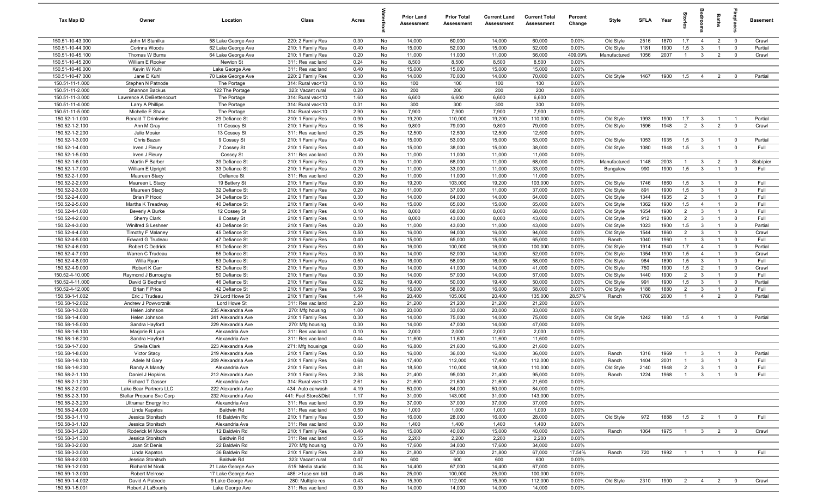| Tax Map ID                       | Owner                             | Location                             | Class                                  | Acres        |          | <b>Prior Land</b><br>Assessment | <b>Prior Total</b><br>Assessment | <b>Current Land</b><br>Assessment | <b>Current Total</b><br>Assessment | Percent<br>Change | Style        | <b>SFLA</b>  | Year         | ğ              | edroo                        | Baths                            | epla                             | <b>Basement</b>  |
|----------------------------------|-----------------------------------|--------------------------------------|----------------------------------------|--------------|----------|---------------------------------|----------------------------------|-----------------------------------|------------------------------------|-------------------|--------------|--------------|--------------|----------------|------------------------------|----------------------------------|----------------------------------|------------------|
| 150.51-10-43.000                 | John M Stanilka                   | 58 Lake George Ave                   | 220: 2 Family Res                      | 0.30         | No       | 14,000                          | 60,000                           | 14,000                            | 60,000                             | 0.00%             | Old Style    | 2516         | 1870         | 1.7            | $\overline{4}$               | $\overline{2}$                   | $\overline{0}$                   | Crawl            |
| 150.51-10-44.000                 | Corinna Woods                     | 62 Lake George Ave                   | 210: 1 Family Res                      | 0.40         | No       | 15,000                          | 52,000                           | 15,000                            | 52,000                             | 0.00%             | Old Style    | 1181         | 1900         | 1.5            | 3                            | $\overline{1}$                   | $\overline{0}$                   | Partial          |
| 150.51-10-45.100                 | Thomas W Burns                    | 64 Lake George Ave                   | 210: 1 Family Res                      | 0.20         | No       | 11,000                          | 11,000                           | 11,000                            | 56,000                             | 409.09%           | Manufactured | 1056         | 2007         | $\overline{1}$ | $\mathbf{3}$                 | $\overline{2}$                   | $\mathbf 0$                      | Crawl            |
| 150.51-10-45.200                 | William E Rooker                  | Newton St                            | 311: Res vac land                      | 0.24         | No       | 8,500                           | 8,500                            | 8,500                             | 8,500                              | 0.00%             |              |              |              |                |                              |                                  |                                  |                  |
| 150.51-10-46.000                 | Kevin W Kuhl                      | Lake George Ave                      | 311: Res vac land                      | 0.40         | No       | 15,000                          | 15,000                           | 15,000                            | 15,000                             | 0.00%             |              |              |              |                |                              |                                  |                                  |                  |
| 150.51-10-47.000                 | Jane E Kuhl                       | 70 Lake George Ave                   | 220: 2 Family Res                      | 0.30         | No       | 14,000                          | 70,000                           | 14,000                            | 70,000                             | 0.00%             | Old Style    | 1467         | 1900         | 1.5            | $\overline{4}$               | $\overline{2}$                   | $\Omega$                         | Partial          |
| 150.51-11-1.000                  | Stephen N Patnode                 | The Portage                          | 314: Rural vac<10                      | 0.10         | No       | 100                             | 100                              | 100                               | 100                                | 0.00%             |              |              |              |                |                              |                                  |                                  |                  |
| 150.51-11-2.000                  | Shannon Backus                    | 122 The Portage                      | 323: Vacant rural                      | 0.20         | No       | 200                             | 200                              | 200                               | 200                                | 0.00%             |              |              |              |                |                              |                                  |                                  |                  |
| 150.51-11-3.000                  | Lawrence A DeBettencourt          | The Portage                          | 314: Rural vac<10                      | 1.60         | No       | 6,600                           | 6,600                            | 6,600                             | 6,600                              | 0.00%             |              |              |              |                |                              |                                  |                                  |                  |
| 150.51-11-4.000                  | Larry A Phillips                  | The Portage                          | 314: Rural vac<10                      | 0.31         | No       | 300                             | 300                              | 300                               | 300                                | 0.00%             |              |              |              |                |                              |                                  |                                  |                  |
| 150.51-11-5.000                  | Michelle E Shaw                   | The Portage                          | 314: Rural vac<10                      | 2.90         | No       | 7,900                           | 7,900                            | 7,900                             | 7,900                              | 0.00%             |              |              |              |                |                              |                                  |                                  |                  |
| 150.52-1-1.000                   | Ronald T Drinkwine                | 29 Defiance St                       | 210: 1 Family Res                      | 0.90         | No       | 19,200<br>9,800                 | 110,000                          | 19,200                            | 110,000                            | 0.00%<br>0.00%    | Old Style    | 1993<br>1596 | 1900<br>1948 | 1.7<br>2       | $\mathbf{3}$<br>$\mathbf{3}$ | $\overline{1}$<br>$\overline{2}$ | $\overline{1}$<br>$\overline{0}$ | Partial<br>Crawl |
| 150.52-1-2.100<br>150.52-1-2.200 | Ann M Gray<br>Julie Mosier        | 11 Cossey St<br>13 Cossey St         | 210: 1 Family Res<br>311: Res vac land | 0.16<br>0.25 | No<br>No | 12,500                          | 79,000<br>12,500                 | 9,800<br>12,500                   | 79,000<br>12,500                   | 0.00%             | Old Style    |              |              |                |                              |                                  |                                  |                  |
| 150.52-1-3.000                   | Chris Bazan                       | 9 Cossey St                          | 210: 1 Family Res                      | 0.40         | No       | 15,000                          | 53,000                           | 15,000                            | 53,000                             | 0.00%             | Old Style    | 1053         | 1935         | 1.5            | $\mathbf{3}$                 | $\overline{1}$                   | $\overline{0}$                   | Partial          |
| 150.52-1-4.000                   | Irven J Fleury                    | 7 Cossey St                          | 210: 1 Family Res                      | 0.40         | No       | 15,000                          | 38,000                           | 15,000                            | 38,000                             | 0.00%             | Old Style    | 1080         | 1948         | 1.5            | $\mathbf{3}$                 | $\overline{1}$                   | $\mathbf 0$                      | Full             |
| 150.52-1-5.000                   | Irven J Fleury                    | Cossey St                            | 311: Res vac land                      | 0.20         | No       | 11,000                          | 11,000                           | 11,000                            | 11,000                             | 0.00%             |              |              |              |                |                              |                                  |                                  |                  |
| 150.52-1-6.000                   | Martin F Barber                   | 39 Defiance St                       | 210: 1 Family Res                      | 0.19         | No       | 11,000                          | 68,000                           | 11,000                            | 68,000                             | 0.00%             | Manufactured | 1148         | 2003         | $\overline{1}$ | $\mathbf{3}$                 | $\overline{2}$                   | $\mathbf 0$                      | Slab/pier        |
| 150.52-1-7.000                   | William E Upright                 | 33 Defiance St                       | 210: 1 Family Res                      | 0.20         | No       | 11,000                          | 33,000                           | 11,000                            | 33,000                             | 0.00%             | Bungalow     | 990          | 1900         | 1.5            | $\mathbf{3}$                 | $\overline{1}$                   | $\mathbf 0$                      | Full             |
| 150.52-2-1.000                   | Maureen Stacy                     | Defiance St                          | 311: Res vac land                      | 0.20         | No       | 11,000                          | 11,000                           | 11,000                            | 11,000                             | 0.00%             |              |              |              |                |                              |                                  |                                  |                  |
| 150.52-2-2.000                   | Maureen L Stacy                   | 19 Battery St                        | 210: 1 Family Res                      | 0.90         | No       | 19,200                          | 103,000                          | 19,200                            | 103,000                            | 0.00%             | Old Style    | 1746         | 1860         | 1.5            | $\mathbf{3}$                 | $\overline{1}$                   | $\overline{0}$                   | Full             |
| 150.52-2-3.000                   | Maureen Stacy                     | 32 Defiance St                       | 210: 1 Family Res                      | 0.20         | No       | 11,000                          | 37,000                           | 11,000                            | 37,000                             | 0.00%             | Old Style    | 891          | 1900         | 1.5            | $\mathbf{3}$                 | $\overline{1}$                   | $\overline{0}$                   | Full             |
| 150.52-2-4.000                   | Brian P Hood                      | 34 Defiance St                       | 210: 1 Family Res                      | 0.30         | No       | 14,000                          | 64,000                           | 14,000                            | 64,000                             | 0.00%             | Old Style    | 1344         | 1935         | $\overline{2}$ | $\mathbf{3}$                 | $\overline{1}$                   | $\overline{0}$                   | Full             |
| 150.52-2-5.000                   | Martha K Treadway                 | 40 Defiance St                       | 210: 1 Family Res                      | 0.40         | No       | 15,000                          | 65,000                           | 15,000                            | 65,000                             | 0.00%             | Old Style    | 1362         | 1900         | 1.5            | $\overline{4}$               | $\overline{1}$                   | $\mathbf{0}$                     | Full             |
| 150.52-4-1.000                   | Beverly A Burke                   | 12 Cossey St                         | 210: 1 Family Res                      | 0.10         | No       | 8,000                           | 68,000                           | 8,000                             | 68,000                             | 0.00%             | Old Style    | 1654         | 1900         | $\overline{2}$ | $\mathbf{3}$                 | $\overline{1}$                   | $\mathbf 0$                      | Full             |
| 150.52-4-2.000                   | <b>Sherry Clark</b>               | 8 Cossey St                          | 210: 1 Family Res                      | 0.10         | No       | 8,000                           | 43,000                           | 8,000                             | 43,000                             | 0.00%             | Old Style    | 912          | 1900         | 2              | $\mathbf{3}$                 | $\overline{1}$                   | $\Omega$                         | Full             |
| 150.52-4-3.000                   | Winifred S Leshner                | 43 Defiance St                       | 210: 1 Family Res                      | 0.20         | No       | 11,000                          | 43,000                           | 11,000                            | 43,000                             | 0.00%             | Old Style    | 1023         | 1900         | 1.5            | $\mathbf{3}$                 | $\overline{1}$                   | $\mathbf 0$                      | Partial          |
| 150.52-4-4.000                   | Timothy F Malaney                 | 45 Defiance St                       | 210: 1 Family Res                      | 0.50         | No       | 16,000                          | 94,000                           | 16,000                            | 94,000                             | 0.00%             | Old Style    | 1544         | 1860         | $\overline{2}$ | $\mathbf{3}$                 | $\overline{1}$                   | $\mathbf 0$                      | Crawl            |
| 150.52-4-5.000                   | Edward G Trudeau                  | 47 Defiance St                       | 210: 1 Family Res                      | 0.40         | No       | 15,000                          | 65,000                           | 15,000                            | 65,000                             | 0.00%             | Ranch        | 1040         | 1960         | $\overline{1}$ | $\mathbf{3}$                 | $\overline{1}$                   | $\mathbf 0$                      | Full             |
| 150.52-4-6.000                   | Robert C Dedrick                  | 51 Defiance St                       | 210: 1 Family Res                      | 0.50         | No       | 16,000                          | 100,000                          | 16,000                            | 100,000                            | 0.00%             | Old Style    | 1914         | 1940         | 1.7            | $\overline{4}$               | $\mathbf{1}$                     | $\mathbf 0$                      | Partial          |
| 150.52-4-7.000                   | Warren C Trudeau                  | 55 Defiance St                       | 210: 1 Family Res                      | 0.30         | No       | 14,000                          | 52,000                           | 14,000                            | 52,000                             | 0.00%             | Old Style    | 1354         | 1900         | 1.5            | $\overline{4}$               | $\overline{1}$                   | $\overline{0}$                   | Crawl            |
| 150.52-4-8.000                   | Willa Ryan                        | 53 Defiance St                       | 210: 1 Family Res                      | 0.50         | No       | 16,000                          | 58,000                           | 16,000                            | 58,000                             | 0.00%             | Old Style    | 984          | 1890         | 1.5            | $\mathbf{3}$                 | $\overline{1}$                   | $\Omega$                         | Full             |
| 150.52-4-9.000                   | Robert K Carr                     | 52 Defiance St                       | 210: 1 Family Res                      | 0.30         | No       | 14,000                          | 41,000                           | 14,000                            | 41,000                             | 0.00%             | Old Style    | 750          | 1900         | 1.5            | $\overline{2}$               | $\overline{1}$                   | $\overline{0}$                   | Crawl            |
| 150.52-4-10.000                  | Raymond J Burroughs               | 50 Defiance St                       | 210: 1 Family Res                      | 0.30         | No       | 14,000                          | 57,000                           | 14,000                            | 57,000                             | 0.00%             | Old Style    | 1440         | 1900         | $\overline{2}$ | $\mathbf{3}$                 | $\overline{1}$                   | $\overline{0}$                   | Full             |
| 150.52-4-11.000                  | David G Bechard                   | 46 Defiance St                       | 210: 1 Family Res                      | 0.92         | No       | 19,400                          | 50,000                           | 19,400                            | 50,000                             | 0.00%             | Old Style    | 991          | 1900         | 1.5            | $\mathbf{3}$                 | $\overline{1}$                   | $\overline{0}$                   | Partial          |
| 150.52-4-12.000                  | <b>Brian F Price</b>              | 42 Defiance St                       | 210: 1 Family Res                      | 0.50         | No       | 16,000                          | 58,000                           | 16,000                            | 58,000                             | 0.00%             | Old Style    | 1188         | 1880         | $\overline{2}$ | 3                            | $\overline{1}$                   | $\mathbf{0}$                     | Full             |
| 150.58-1-1.002                   | Eric J Trudeau                    | 39 Lord Howe St                      | 210: 1 Family Res                      | 1.44         | No       | 20,400                          | 105,000                          | 20,400                            | 135,000                            | 28.57%            | Ranch        | 1760         | 2000         | $\overline{1}$ | $\overline{4}$               | $\overline{2}$                   | $\mathbf 0$                      | Partial          |
| 150.58-1-2.002                   | Andrew J Powvorznik               | Lord Howe St                         | 311: Res vac land                      | 2.20         | No       | 21,200                          | 21,200                           | 21,200                            | 21,200                             | 0.00%             |              |              |              |                |                              |                                  |                                  |                  |
| 150.58-1-3.000                   | Helen Johnson                     | 235 Alexandria Ave                   | 270: Mfg housing                       | 1.00         | No       | 20,000                          | 33,000                           | 20,000                            | 33,000                             | 0.00%             |              |              |              |                |                              |                                  |                                  |                  |
| 150.58-1-4.000                   | Helen Johnson                     | 241 Alexandria Ave                   | 210: 1 Family Res                      | 0.30         | No       | 14,000                          | 75,000                           | 14,000                            | 75,000                             | 0.00%             | Old Style    | 1242         | 1880         | 1.5            | $\overline{4}$               | $\overline{1}$                   | $\mathbf 0$                      | Partial          |
| 150.58-1-5.000<br>150.58-1-6.100 | Sandra Hayford<br>Marjorie R Lyon | 229 Alexandria Ave<br>Alexandria Ave | 270: Mfg housing<br>311: Res vac land  | 0.30<br>0.10 | No<br>No | 14,000<br>2,000                 | 47,000<br>2,000                  | 14,000<br>2,000                   | 47,000<br>2,000                    | 0.00%<br>0.00%    |              |              |              |                |                              |                                  |                                  |                  |
| 150.58-1-6.200                   |                                   | Alexandria Ave                       | 311: Res vac land                      | 0.44         | No       | 11,600                          | 11,600                           | 11,600                            | 11,600                             | 0.00%             |              |              |              |                |                              |                                  |                                  |                  |
| 150.58-1-7.000                   | Sandra Hayford<br>Sheila Clark    | 223 Alexandria Ave                   | 271: Mfg housings                      | 0.60         | No       | 16,800                          | 21,600                           | 16,800                            | 21,600                             | 0.00%             |              |              |              |                |                              |                                  |                                  |                  |
| 150.58-1-8.000                   | Victor Stacy                      | 219 Alexandria Ave                   | 210: 1 Family Res                      | 0.50         | No       | 16,000                          | 36,000                           | 16,000                            | 36,000                             | 0.00%             | Ranch        | 1316         | 1969         | -1             | 3                            | $\overline{1}$                   | $\Omega$                         | Partial          |
| 150.58-1-9.100                   | Adele M Gary                      | 209 Alexandria Ave                   | 210: 1 Family Res                      | 0.68         | No       | 17,400                          | 112,000                          | 17,400                            | 112,000                            | 0.00%             | Ranch        | 1404         | 2001         | $\overline{1}$ | $\mathbf{3}$                 | $\overline{1}$                   | $\Omega$                         | Full             |
| 150.58-1-9.200                   | Randy A Mandy                     | Alexandria Ave                       | 210: 1 Family Res                      | 0.81         | No       | 18,500                          | 110,000                          | 18,500                            | 110,000                            | 0.00%             | Old Style    | 2140         | 1948         | $\overline{2}$ | 3                            | $\mathbf{1}$                     |                                  | Full             |
| 150.58-2-1.100                   | Daniel J Hopkins                  | 212 Alexandria Ave                   | 210: 1 Family Res                      | 2.38         | No       | 21,400                          | 95,000                           | 21,400                            | 95,000                             | 0.00%             | Ranch        | 1224         | 1968         | $\overline{1}$ | $\overline{\mathbf{3}}$      | $\overline{1}$                   | $\overline{0}$                   | Full             |
| 150.58-2-1.200                   | Richard T Gasser                  | Alexandria Ave                       | 314: Rural vac<10                      | 2.61         | No       | 21,600                          | 21,600                           | 21,600                            | 21,600                             | 0.00%             |              |              |              |                |                              |                                  |                                  |                  |
| 150.58-2-2.000                   | Lake Bear Partners LLC            | 222 Alexandria Ave                   | 434: Auto carwash                      | 4.19         | No       | 50,000                          | 84,000                           | 50,000                            | 84,000                             | 0.00%             |              |              |              |                |                              |                                  |                                  |                  |
| 150.58-2-3.100                   | Stellar Propane Svc Corp          | 232 Alexandria Ave                   | 441: Fuel Store&Dist                   | 1.17         | No       | 31,000                          | 143,000                          | 31,000                            | 143,000                            | 0.00%             |              |              |              |                |                              |                                  |                                  |                  |
| 150.58-2-3.200                   | Ultramar Energy Inc               | Alexandria Ave                       | 311: Res vac land                      | 0.39         | No       | 37,000                          | 37,000                           | 37,000                            | 37,000                             | 0.00%             |              |              |              |                |                              |                                  |                                  |                  |
| 150.58-2-4.000                   | Linda Kapatos                     | <b>Baldwin Rd</b>                    | 311: Res vac land                      | 0.50         | No       | 1,000                           | 1,000                            | 1,000                             | 1,000                              | 0.00%             |              |              |              |                |                              |                                  |                                  |                  |
| 150.58-3-1.110                   | Jessica Stonitsch                 | 16 Baldwin Rd                        | 210: 1 Family Res                      | 0.50         | No       | 16,000                          | 28,000                           | 16,000                            | 28,000                             | 0.00%             | Old Style    | 972          | 1888         | 1.5            | $\overline{\mathbf{2}}$      | $\overline{1}$                   | $\mathbf 0$                      | Full             |
| 150.58-3-1.120                   | Jessica Stonitsch                 | Alexandria Ave                       | 311: Res vac land                      | 0.30         | No       | 1,400                           | 1,400                            | 1,400                             | 1,400                              | 0.00%             |              |              |              |                |                              |                                  |                                  |                  |
| 150.58-3-1.200                   | Roderick M Moore                  | 12 Baldwin Rd                        | 210: 1 Family Res                      | 0.40         | No       | 15,000                          | 40,000                           | 15,000                            | 40,000                             | 0.00%             | Ranch        | 1064         | 1975         | $\overline{1}$ | $\overline{\mathbf{3}}$      | $\overline{2}$                   | $\overline{\mathbf{0}}$          | Crawl            |
| 150.58-3-1.300                   | Jessica Stonitsch                 | <b>Baldwin Rd</b>                    | 311: Res vac land                      | 0.55         | No       | 2,200                           | 2,200                            | 2,200                             | 2,200                              | 0.00%             |              |              |              |                |                              |                                  |                                  |                  |
| 150.58-3-2.000                   | Joan St Denis                     | 22 Baldwin Rd                        | 270: Mfg housing                       | 0.70         | No       | 17,600                          | 34,000                           | 17,600                            | 34,000                             | 0.00%             |              |              |              |                |                              |                                  |                                  |                  |
| 150.58-3-3.000                   | Linda Kapatos                     | 36 Baldwin Rd                        | 210: 1 Family Res                      | 2.80         | No       | 21,800                          | 57,000                           | 21,800                            | 67,000                             | 17.54%            | Ranch        | 720          | 1992         | $\overline{1}$ | $\overline{1}$               | $\overline{1}$                   | $\overline{0}$                   | Full             |
| 150.58-4-2.000                   | Jessica Stonitsch                 | <b>Baldwin Rd</b>                    | 323: Vacant rural                      | 0.47         | No       | 600                             | 600                              | 600                               | 600                                | 0.00%             |              |              |              |                |                              |                                  |                                  |                  |
| 150.59-1-2.000                   | Richard M Nock                    | 21 Lake George Ave                   | 515: Media studio                      | 0.34         | No       | 14,400                          | 67,000                           | 14,400                            | 67,000                             | 0.00%             |              |              |              |                |                              |                                  |                                  |                  |
| 150.59-1-3.000                   | Robert Melrose                    | 17 Lake George Ave                   | 485: >1use sm bld                      | 0.46         | No       | 25,000                          | 100,000                          | 25,000                            | 100,000                            | 0.00%             |              |              |              |                |                              |                                  |                                  |                  |
| 150.59-1-4.002                   | David A Patnode                   | 9 Lake George Ave                    | 280: Multiple res                      | 0.43         | No       | 15,300                          | 112,000                          | 15,300                            | 112,000                            | 0.00%             | Old Style    | 2310         | 1900         | $\overline{2}$ | $\overline{4}$               | $\overline{2}$                   | $\mathbf 0$                      | Crawl            |
| 150.59-1-5.001                   | Robert J LaBounty                 | Lake George Ave                      | 311: Res vac land                      | 0.30         | No       | 14,000                          | 14,000                           | 14,000                            | 14,000                             | 0.00%             |              |              |              |                |                              |                                  |                                  |                  |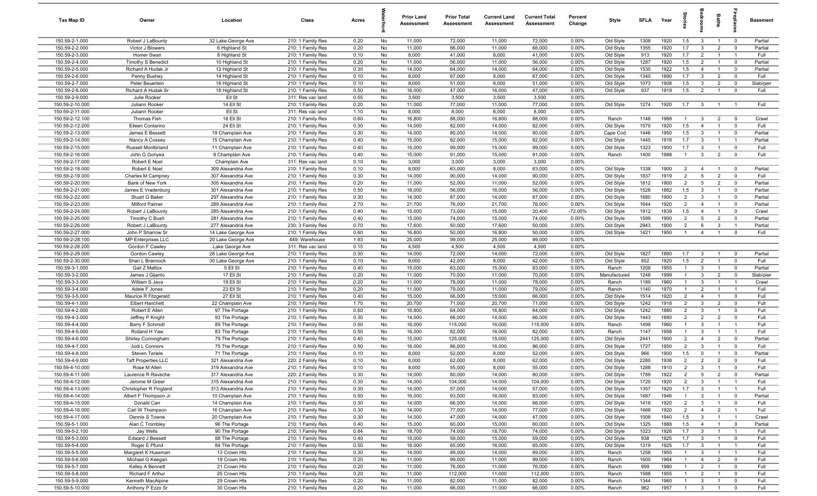| Tax Map ID                         | Owner                                    | Location                                 | Class                                  | Acres        |          | <b>Prior Land</b><br>Assessment | <b>Prior Total</b><br>Assessment | <b>Current Land</b><br>Assessment | <b>Current Total</b><br>Assessment | Percent<br>Change | Style                  | <b>SFLA</b>  | Year         | $\overline{5}$        |                              | Baths                            |                                  | Basement        |
|------------------------------------|------------------------------------------|------------------------------------------|----------------------------------------|--------------|----------|---------------------------------|----------------------------------|-----------------------------------|------------------------------------|-------------------|------------------------|--------------|--------------|-----------------------|------------------------------|----------------------------------|----------------------------------|-----------------|
| 150.59-2-1.000                     | Robert J LaBounty                        | 32 Lake George Ave                       | 210: 1 Family Res                      | 0.20         | No       | 11,000                          | 72,000                           | 11,000                            | 72,000                             | 0.00%             | Old Style              | 1308         | 1920         | 1.5                   | $\mathbf{3}$                 | $\overline{1}$                   | $\overline{0}$                   | Partial         |
| 150.59-2-2.000                     | Victor J Blowers                         | 6 Highland St                            | 210: 1 Family Res                      | 0.20         | No       | 11,000                          | 66,000                           | 11,000                            | 66,000                             | 0.00%             | Old Style              | 1355         | 1920         | 1.7                   | $\mathbf{3}$                 | $\overline{2}$                   | $\mathbf 0$                      | Partial         |
| 150.59-2-3.000                     | Homer Swan                               | 8 Highland St                            | 210: 1 Family Res                      | 0.10         | No       | 8,000                           | 41,000                           | 8,000                             | 41,000                             | 0.00%             | Old Style              | 913          | 1920         | 1.7                   | $\overline{2}$               | $\mathbf{1}$                     | $\overline{1}$                   | Full            |
| 150.59-2-4.000                     | <b>Timothy S Benedict</b>                | 10 Highland St                           | 210: 1 Family Res                      | 0.20         | No       | 11,000                          | 56,000                           | 11,000                            | 56,000                             | 0.00%             | Old Style              | 1287         | 1920         | 1.5                   | $\overline{2}$               | $\overline{1}$                   | $\mathbf 0$                      | Partial         |
| 150.59-2-5.000                     | Richard A Hudak Jr                       | 12 Highland St                           | 210: 1 Family Res                      | 0.30         | No       | 14,000                          | 64,000                           | 14,000                            | 64,000                             | 0.00%             | Old Style              | 1530         | 1922         | 1.5                   | $\overline{4}$               | $\overline{1}$                   | $\mathbf 0$                      | Partial         |
| 150.59-2-6.000                     | Penny Bushey                             | 14 Highland St                           | 210: 1 Family Res                      | 0.10         | No       | 8,000                           | 67,000                           | 8,000                             | 67,000                             | 0.00%             | Old Style              | 1340         | 1890         | 1.7                   | $\mathbf{3}$                 | $\overline{2}$                   | $^{\circ}$                       | Full            |
| 150.59-2-7.000                     | Peter Beuerlein                          | 16 Highland St                           | 210: 1 Family Res                      | 0.10         | No       | 8,000                           | 51,000                           | 8,000                             | 51,000                             | 0.00%             | Old Style              | 1073         | 1908         | 1.5                   | $\mathbf{3}$                 | $\overline{2}$                   | $^{\circ}$                       | Slab/pier       |
| 150.59-2-8.000                     | Richard A Hudak Sr                       | 18 Highland St                           | 210: 1 Family Res                      | 0.50         | No       | 16,000                          | 47,000                           | 16,000                            | 47,000                             | 0.00%             | Old Style              | 937          | 1919         | 1.5                   | $\overline{2}$               | $\overline{1}$                   | $\mathbf 0$                      | Full            |
| 150.59-2-9.000                     | Julie Rooker                             | Ell St<br>14 Ell St                      | 311: Res vac land<br>210: 1 Family Res | 0.55         | No       | 3,500                           | 3,500                            | 3,500                             | 3,500                              | 0.00%             |                        |              |              |                       |                              |                                  | $\overline{1}$                   | Full            |
| 150.59-2-10.000<br>150.59-2-11.000 | Juliann Rooker<br>Juliann Rooker         | Ell St                                   | 311: Res vac land                      | 0.20<br>1.10 | No<br>No | 11,000<br>8,000                 | 77,000<br>8,000                  | 11,000<br>8,000                   | 77,000<br>8,000                    | 0.00%<br>0.00%    | Old Style              | 1274         | 1920         | 1.7                   | $\mathbf{3}$                 | $\overline{1}$                   |                                  |                 |
| 150.59-2-12.100                    | Thomas Fish                              | 18 Ell St                                | 210: 1 Family Res                      | 0.60         | No       | 16,800                          | 88,000                           | 16,800                            | 88,000                             | 0.00%             | Ranch                  | 1148         | 1988         | $\overline{1}$        | $\mathbf{3}$                 | $\overline{2}$                   | $\overline{0}$                   | Crawl           |
| 150.59-2-12.200                    | Eileen Contarino                         | 24 Ell St                                | 210: 1 Family Res                      | 0.30         | No       | 14,000                          | 82,000                           | 14,000                            | 82,000                             | $0.00\%$          | Old Style              | 1570         | 1920         | 1.5                   | $\overline{4}$               | $\overline{1}$                   | $^{\circ}$                       | Full            |
| 150.59-2-13.000                    | James E Bessett                          | 19 Champlain Ave                         | 210: 1 Family Res                      | 0.30         | No       | 14,000                          | 80,000                           | 14,000                            | 80,000                             | 0.00%             | Cape Cod               | 1446         | 1950         | 1.5                   | 3                            | $\overline{1}$                   | $\overline{0}$                   | Partial         |
| 150.59-2-14.000                    | Nancy A Cossey                           | 15 Champlain Ave                         | 210: 1 Family Res                      | 0.40         | No       | 15,000                          | 82,000                           | 15,000                            | 82,000                             | 0.00%             | Old Style              | 1445         | 1918         | 1.7                   | $\mathbf{3}$                 | $\overline{1}$                   | $\overline{1}$                   | Partial         |
| 150.59-2-15.000                    | Russell Montbriand                       | 11 Champlain Ave                         | 210: 1 Family Res                      | 0.40         | No       | 15,000                          | 99,000                           | 15,000                            | 99,000                             | 0.00%             | Old Style              | 1323         | 1900         | 1.7                   | $\mathbf{3}$                 | $\mathbf{1}$                     | $\mathbf 0$                      | Full            |
| 150.59-2-16.000                    | John G Gonyea                            | 9 Champlain Ave                          | 210: 1 Family Res                      | 0.40         | No       | 15,000                          | 91,000                           | 15,000                            | 91,000                             | 0.00%             | Ranch                  | 1400         | 1988         | $\mathbf{1}$          | $\mathbf{3}$                 | $\overline{2}$                   | $\mathbf 0$                      | Full            |
| 150.59-2-17.000                    | Robert E Noel                            | Champlain Ave                            | 311: Res vac land                      | 0.10         | No       | 3,000                           | 3,000                            | 3,000                             | 3,000                              | 0.00%             |                        |              |              |                       |                              |                                  |                                  |                 |
| 150.59-2-18.000                    | Robert E Noel                            | 309 Alexandria Ave                       | 210: 1 Family Res                      | 0.10         | No       | 8,000                           | 63,000                           | 8,000                             | 63,000                             | 0.00%             | Old Style              | 1338         | 1900         | $\overline{2}$        | $\overline{4}$               | $\overline{1}$                   | $\overline{0}$                   | Partial         |
| 150.59-2-19.000                    | Charles M Campney                        | 307 Alexandria Ave                       | 210: 1 Family Res                      | 0.30         | No       | 14,000                          | 90,000                           | 14,000                            | 90,000                             | 0.00%             | Old Style              | 1837         | 1919         | $\overline{2}$        | $5\overline{5}$              | $\overline{2}$                   | $\mathbf 0$                      | Full            |
| 150.59-2-20.000                    | Bank of New York                         | 305 Alexandria Ave                       | 210: 1 Family Res                      | 0.20         | No       | 11,000                          | 52,000                           | 11,000                            | 52,000                             | 0.00%             | Old Style              | 1812         | 1900         | $\overline{2}$        | 5                            | $\overline{2}$                   | $\mathbf 0$                      | Partial         |
| 150.59-2-21.000                    | James E Vradenburg                       | 301 Alexandria Ave                       | 210: 1 Family Res                      | 0.50         | No       | 16,000                          | 56,000                           | 16,000                            | 56,000                             | 0.00%             | Old Style              | 1528         | 1862         | 1.5                   | $\mathbf{3}$                 | $\overline{1}$                   | $\overline{0}$                   | Partial         |
| 150.59-2-22.000                    | Stuart G Baker                           | 297 Alexandria Ave                       | 210: 1 Family Res                      | 0.30         | No       | 14,000                          | 87,000                           | 14,000                            | 87,000                             | 0.00%             | Old Style              | 1680         | 1900         | $\overline{2}$        | 3                            | $\overline{1}$                   | $\mathbf 0$                      | Partial         |
| 150.59-2-23.000                    | Milford Palmer                           | 289 Alexandria Ave                       | 210: 1 Family Res                      | 2.70         | No       | 21,700                          | 76,000                           | 21,700                            | 76,000                             | 0.00%             | Old Style              | 1644         | 1920         | $\overline{2}$        | $\overline{4}$               | $\overline{1}$                   | $\mathbf 0$                      | Partial         |
| 150.59-2-24.000                    | Robert J LaBounty                        | 285 Alexandria Ave                       | 210: 1 Family Res                      | 0.40         | No       | 15,000                          | 73,000                           | 15,000                            | 20,400                             | $-72.05%$         | Old Style              | 1912         | 1839         | 1.5                   | $\overline{4}$               | $\overline{1}$                   | $\overline{0}$                   | Crawl           |
| 150.59-2-25.000                    | Timothy C Bush                           | 281 Alexandria Ave                       | 210: 1 Family Res                      | 0.40         | No       | 15,000                          | 74,000                           | 15,000                            | 74,000                             | 0.00%             | Old Style              | 1599         | 1900         | $\overline{2}$        | $5^{\circ}$                  | $\overline{2}$                   | $^{\circ}$                       | Partial         |
| 150.59-2-26.000                    | Robert J LaBounty                        | 277 Alexandria Ave                       | 230: 3 Family Res                      | 0.70         | No       | 17,600                          | 50,000                           | 17,600                            | 50,000                             | 0.00%             | Old Style              | 2943         | 1900         | $\overline{2}$        | 6                            | $\mathbf{3}$                     | $\overline{1}$                   | Partial         |
| 150.59-2-27.000                    | John P Sharrow Sr                        | 14 Lake George Ave                       | 210: 1 Family Res                      | 0.60         | No       | 16,800                          | 50,000                           | 16,800                            | 50,000                             | 0.00%             | Old Style              | 1421         | 1950         | $\overline{1}$        | $\overline{4}$               | $\overline{1}$                   | $\mathbf 0$                      | Full            |
| 150.59-2-28.100                    | MP Enterprises LLC                       | 20 Lake George Ave                       | 449: Warehouse                         | 1.93         | No       | 25,000                          | 99,000                           | 25,000                            | 99,000                             | 0.00%             |                        |              |              |                       |                              |                                  |                                  |                 |
| 150.59-2-28.200                    | Gordon F Cawley                          | Lake George Ave                          | 311: Res vac land                      | 0.15         | No       | 4,500                           | 4,500                            | 4,500                             | 4,500                              | 0.00%             |                        |              |              |                       |                              |                                  |                                  |                 |
| 150.59-2-29.000                    | Gordon Cawley                            | 28 Lake George Ave                       | 210: 1 Family Res                      | 0.30         | No       | 14,000                          | 72,000                           | 14,000                            | 72,000                             | 0.00%             | Old Style              | 1827         | 1880         | 1.7                   | $\mathbf{3}$                 | $\overline{1}$<br>$\mathbf{1}$   | $\overline{0}$                   | Partial         |
| 150.59-2-30.000<br>150.59-3-1.000  | Shari L Brannock<br>Gail Z Mattox        | 30 Lake George Ave<br>5 Ell St           | 210: 1 Family Res<br>210: 1 Family Res | 0.10<br>0.40 | No<br>No | 8,000<br>15,000                 | 42,000<br>83,000                 | 8,000<br>15,000                   | 42,000<br>83,000                   | 0.00%<br>0.00%    | Old Style<br>Ranch     | 852<br>1208  | 1920<br>1955 | 1.5<br>$\mathbf{1}$   | $\overline{2}$<br>3          | $\overline{1}$                   | $\mathbf 0$<br>$\mathbf 0$       | Full<br>Partial |
| 150.59-3-2.000                     |                                          | 17 Ell St                                | 210: 1 Family Res                      | 0.20         | No       | 11,000                          | 70,000                           | 11,000                            | 70,000                             | 0.00%             | Manufactured           | 1248         | 1999         | $\mathbf{1}$          | $\mathbf{3}$                 | $\overline{2}$                   | $\mathbf 0$                      | Slab/pier       |
| 150.59-3-3.000                     | James J Gijanto<br>William S Java        | 19 Ell St                                | 210: 1 Family Res                      | 0.20         | No       | 11,000                          | 78,000                           | 11,000                            | 78,000                             | 0.00%             | Ranch                  | 1189         | 1960         | $\overline{1}$        | $\mathbf{3}$                 | $\overline{1}$                   | $\overline{1}$                   | Crawl           |
| 150.59-3-4.000                     | Adele F Jones                            | 23 Ell St                                | 210: 1 Family Res                      | 0.20         | No       | 11,000                          | 79,000                           | 11,000                            | 79,000                             | 0.00%             | Ranch                  | 1140         | 1970         | $\overline{1}$        | $\overline{2}$               | $\overline{1}$                   | $\overline{1}$                   | Full            |
| 150.59-3-5.000                     | Maurice R Fitzgerald                     | 27 Ell St                                | 210: 1 Family Res                      | 0.40         | No       | 15,000                          | 66,000                           | 15,000                            | 66,000                             | 0.00%             | Old Style              | 1514         | 1920         | $\overline{2}$        | $\overline{4}$               | $\overline{1}$                   | $\mathbf 0$                      | Full            |
| 150.59-4-1.000                     | <b>Elbert Hanchett</b>                   | 22 Champlain Ave                         | 210: 1 Family Res                      | 1.70         | No       | 20,700                          | 71,000                           | 20,700                            | 71,000                             | 0.00%             | Old Style              | 1242         | 1918         | $\overline{2}$        | $\mathbf{3}$                 | $\overline{2}$                   | $^{\circ}$                       | Full            |
| 150.59-4-2.000                     | Robert E Allen                           | 97 The Portage                           | 210: 1 Family Res                      | 0.60         | No       | 16,800                          | 64,000                           | 16,800                            | 64,000                             | 0.00%             | Old Style              | 1242         | 1880         | $\overline{2}$        | $\mathbf{3}$                 | $\overline{1}$                   | $\mathbf 0$                      | Full            |
| 150.59-4-3.000                     | Jeffrey P Knight                         | 93 The Portage                           | 210: 1 Family Res                      | 0.30         | No       | 14,000                          | 66,000                           | 14,000                            | 66,000                             | 0.00%             | Old Style              | 1443         | 1880         | $\overline{2}$        | $\overline{2}$               | $\overline{2}$                   | $\mathbf 0$                      | Full            |
| 150.59-4-4.000                     | Barry F Schmidt                          | 89 The Portage                           | 210: 1 Family Res                      | 0.50         | No       | 16,000                          | 115,000                          | 16,000                            | 115,000                            | 0.00%             | Ranch                  | 1499         | 1960         | $\mathbf{1}$          | $\mathbf{3}$                 | $\overline{1}$                   | $\overline{1}$                   | Full            |
| 150.59-4-5.000                     | Rolland H Yaw                            | 83 The Portage                           | 210: 1 Family Res                      | 0.50         | No       | 16,000                          | 82,000                           | 16,000                            | 82,000                             | 0.00%             | Ranch                  | 1147         | 1958         | $\mathbf{1}$          | 3                            | $\overline{1}$                   | $\overline{1}$                   | Full            |
| 150.59-4-6.000                     | Shirley Cunningham                       | 79 The Portage                           | 210: 1 Family Res                      | 0.40         | No       | 15,000                          | 125,000                          | 15,000                            | 125,000                            | 0.00%             | Old Style              | 2441         | 1900         | $\overline{2}$        | $\overline{4}$               | $\overline{2}$                   | $\mathbf 0$                      | Partial         |
| 150.59-4-7.000                     | Jodi L Connors                           | 75 The Portage                           | 210: 1 Family Res                      | 0.50         | No       | 16,000                          | 86,000                           | 16,000                            | 86,000                             | 0.00%             | Old Style              | 1727         | 1850         | $\overline{2}$        | 3                            | $\overline{1}$                   | $^{\circ}$                       | Full            |
| 150.59-4-8.000                     | <b>Steven Teriele</b>                    | 71 The Portage                           | 210: 1 Family Res                      | 0.10         | No       | 8,000                           | 52,000                           | 8,000                             | 52,000                             | 0.00%             | Old Style              | 966          | 1900         | 1.5                   | 0                            |                                  | $^{\circ}$                       | Partial         |
| 150.59-4-9.000                     | <b>Taft Properties LLC</b>               | 321 Alexandria Ave                       | 220: 2 Family Res                      | 0.10         | No       | 8,000                           | 62,000                           | 8,000                             | 62,000                             | 0.00%             | Old Style              | 2280         | 1938         | $\overline{2}$        | $\overline{2}$               | $\overline{2}$                   | $^{\circ}$                       | Full            |
| 150.59-4-10.000                    | Rose M Allen                             | 319 Alexandria Ave                       | 210: 1 Family Res                      | 0.10         | No       | 8,000                           | 55,000                           | 8,000                             | 55,000                             | 0.00%             | Old Style              | 1288         | 1910         | $\overline{2}$        | 3                            | $\overline{1}$                   |                                  | Full            |
| 150.59-4-11.000                    | Laurence R Raveche                       | 317 Alexandria Ave                       | 220: 2 Family Res                      | 0.30         | No       | 14,000                          | 80,000                           | 14,000                            | 80,000                             | 0.00%             | Old Style              | 1789         | 1922         | $\overline{2}$        | $5\overline{5}$              | $\overline{2}$                   | $\overline{0}$                   | Partial         |
| 150.59-4-12.000<br>150.59-4-13.000 | Jerome M Greer<br>Christopher R Fingland | 315 Alexandria Ave<br>313 Alexandria Ave | 210: 1 Family Res                      | 0.30         | No       | 14,000                          | 104,000                          | 14,000                            | 104,000                            | 0.00%             | Old Style              | 1720         | 1920         | $\overline{2}$<br>1.7 | 3                            | $\overline{1}$<br>$\overline{1}$ | $\overline{1}$<br>$\overline{1}$ | Full            |
| 150.59-4-14.000                    | Albert F Thompson Jr                     | 10 Champlain Ave                         | 210: 1 Family Res<br>210: 1 Family Res | 0.30<br>0.50 | No<br>No | 14,000<br>16,000                | 57,000<br>93,000                 | 14,000<br>16,000                  | 57,000<br>93,000                   | 0.00%<br>0.00%    | Old Style<br>Old Style | 1357<br>1487 | 1920<br>1946 | $\overline{1}$        | $\mathbf{3}$<br>$\mathbf{3}$ | $\overline{1}$                   | $\overline{0}$                   | Full<br>Partial |
| 150.59-4-15.000                    | Donald Carr                              | 14 Champlain Ave                         | 210: 1 Family Res                      | 0.30         | No       | 14,000                          | 66,000                           | 14,000                            | 66,000                             | 0.00%             | Old Style              | 1418         | 1920         | $\overline{2}$        | $\mathbf{3}$                 | $\overline{1}$                   | $\mathbf 0$                      | Full            |
| 150.59-4-16.000                    | Carl W Thompson                          | 16 Champlain Ave                         | 210: 1 Family Res                      | 0.30         | No       | 14,000                          | 77,000                           | 14,000                            | 77,000                             | 0.00%             | Old Style              | 1468         | 1920         | $\overline{2}$        | $\overline{4}$               | $\overline{2}$                   | $\overline{1}$                   | Full            |
| 150.59-4-17.000                    | Dennis S Towne                           | 20 Champlain Ave                         | 210: 1 Family Res                      | 0.30         | No       | 14,000                          | 47,000                           | 14,000                            | 47,000                             | 0.00%             | Old Style              | 1008         | 1940         | 1.5                   | $\mathbf{3}$                 | $\overline{1}$                   | $\overline{1}$                   | Crawl           |
| 150.59-5-1.000                     | Alan C Trombley                          | 96 The Portage                           | 210: 1 Family Res                      | 0.40         | No       | 15,000                          | 60,000                           | 15,000                            | 60,000                             | 0.00%             | Old Style              | 1325         | 1888         | 1.5                   | $\overline{4}$               | $\mathbf{1}$                     | $\overline{0}$                   | Partial         |
| 150.59-5-2.100                     | Jay Wells                                | 90 The Portage                           | 210: 1 Family Res                      | 0.84         | No       | 18,700                          | 74,000                           | 18,700                            | 74,000                             | 0.00%             | Old Style              | 1023         | 1926         | 1.7                   | $\mathbf{3}$                 |                                  | $\overline{1}$                   | Full            |
| 150.59-5-3.000                     | Edward J Bessett                         | 88 The Portage                           | 210: 1 Family Res                      | 0.40         | No       | 15,000                          | 59,000                           | 15,000                            | 59,000                             | 0.00%             | Old Style              | 938          | 1925         | 1.7                   | $\mathbf{3}$                 | $\mathbf{1}$                     | $\overline{0}$                   | Full            |
| 150.59-5-4.000                     | Roger E Pfund                            | 84 The Portage                           | 210: 1 Family Res                      | 0.50         | No       | 16,000                          | 65,000                           | 16,000                            | 65,000                             | 0.00%             | Old Style              | 1319         | 1925         | 1.7                   | $\mathbf{3}$                 | $\overline{1}$                   | $\overline{1}$                   | Full            |
| 150.59-5-5.000                     | Margaret K Huseman                       | 13 Crown Hts                             | 210: 1 Family Res                      | 0.30         | No       | 14,000                          | 89,000                           | 14,000                            | 89,000                             | 0.00%             | Ranch                  | 1258         | 1955         | $\mathbf{1}$          | $\mathbf{3}$                 | $\overline{1}$                   | $\overline{1}$                   | Full            |
| 150.59-5-6.000                     | Michael G Keegan                         | 19 Crown Hts                             | 210: 1 Family Res                      | 0.20         | No       | 11,000                          | 99,000                           | 11,000                            | 99,000                             | 0.00%             | Ranch                  | 1600         | 1964         | $\overline{1}$        | $\overline{4}$               | $\overline{2}$                   | $\mathbf 0$                      | Full            |
| 150.59-5-7.000                     | Kelley A Bennett                         | 21 Crown Hts                             | 210: 1 Family Res                      | 0.20         | No       | 11,000                          | 76,000                           | 11,000                            | 76,000                             | 0.00%             | Ranch                  | 999          | 1980         | $\overline{1}$        | $\overline{2}$               | $\overline{1}$                   | $\mathbf 0$                      | Full            |
| 150.59-5-8.000                     | Richard F Arthur                         | 25 Crown Hts                             | 210: 1 Family Res                      | 0.20         | No       | 11,000                          | 112,000                          | 11,000                            | 112,000                            | 0.00%             | Ranch                  | 1588         | 1955         | $\overline{1}$        | $\overline{2}$               | $\overline{1}$                   | $\mathbf 0$                      | Full            |
| 150.59-5-9.000                     | Kenneth MacAlpine                        | 29 Crown Hts                             | 210: 1 Family Res                      | 0.20         | No       | 11,000                          | 82,000                           | 11,000                            | 82,000                             | 0.00%             | Ranch                  | 1344         | 1960         | $\overline{1}$        | $\mathbf{3}$                 | $\overline{1}$                   | $\mathbf 0$                      | Full            |
| 150.59-5-10.000                    | Anthony P Ezzo Sr                        | 30 Crown Hts                             | 210: 1 Family Res                      | 0.20         | No       | 11,000                          | 66,000                           | 11,000                            | 66,000                             | 0.00%             | Ranch                  | 962          | 1957         | $\overline{1}$        | $\overline{\mathbf{3}}$      | $\overline{1}$                   | $\mathbf 0$                      | Full            |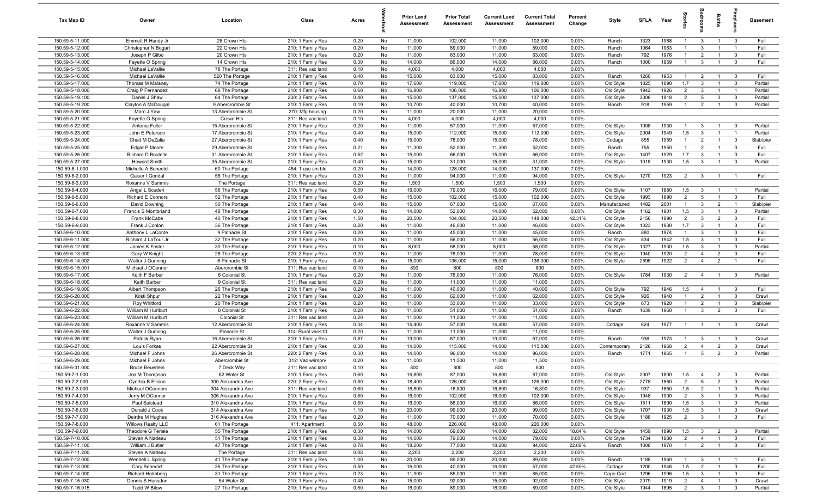| Tax Map ID                         | Owner                                 | Location                              | Class                                  | Acres        |          | <b>Prior Land</b><br>Assessment | <b>Prior Total</b><br>Assessment | <b>Current Land</b><br>Assessment | <b>Current Total</b><br><b>Assessment</b> | Percent<br>Change | Style        | <b>SFLA</b> | Year | g                     |                                | Baths                            | 응                                         | <b>Basement</b> |
|------------------------------------|---------------------------------------|---------------------------------------|----------------------------------------|--------------|----------|---------------------------------|----------------------------------|-----------------------------------|-------------------------------------------|-------------------|--------------|-------------|------|-----------------------|--------------------------------|----------------------------------|-------------------------------------------|-----------------|
| 150.59-5-11.000                    | Emmett R Handy Jr                     | 28 Crown Hts                          | 210: 1 Family Res                      | 0.20         | No       | 11,000                          | 102,000                          | 11,000                            | 102,000                                   | 0.00%             | Ranch        | 1323        | 1968 | $\overline{1}$        | $\mathbf{3}$                   | $\overline{1}$                   | $\overline{0}$                            | Full            |
| 150.59-5-12.000                    | Christopher N Bogart                  | 22 Crown Hts                          | 210: 1 Family Res                      | 0.20         | No       | 11,000                          | 89,000                           | 11,000                            | 89,000                                    | 0.00%             | Ranch        | 1064        | 1963 | $\overline{1}$        | $\mathbf{3}$                   | $\overline{1}$                   | $\overline{1}$                            | Full            |
| 150.59-5-13.000                    | Joseph P Gilbo                        | 20 Crown Hts                          | 210: 1 Family Res                      | 0.20         | No       | 11,000                          | 63,000                           | 11,000                            | 63,000                                    | 0.00%             | Ranch        | 792         | 1976 | $\overline{1}$        | $\overline{2}$                 | $\overline{1}$                   | $\mathbf 0$                               | Full            |
| 150.59-5-14.000                    | Fayette O Spring                      | 14 Crown Hts                          | 210: 1 Family Res                      | 0.30         | No       | 14,000                          | 86,000                           | 14,000                            | 86,000                                    | 0.00%             | Ranch        | 1000        | 1959 | $\overline{1}$        | $\mathbf{3}$                   | $\overline{1}$                   | $\mathbf 0$                               | Full            |
| 150.59-5-15.000                    | Michael LaVallie                      | 78 The Portage                        | 311: Res vac land                      | 0.10         | No       | 4,000                           | 4,000                            | 4,000                             | 4,000                                     | 0.00%             |              |             |      |                       |                                |                                  |                                           |                 |
| 150.59-5-16.000                    | Michael LaVallie                      | 520 The Portage                       | 210: 1 Family Res                      | 0.40         | No       | 15,000                          | 83,000                           | 15,000                            | 83,000                                    | 0.00%             | Ranch        | 1260        | 1953 | $\overline{1}$        | $\overline{2}$                 | $\overline{1}$                   | $\overline{0}$                            | Full            |
| 150.59-5-17.000                    | Thomas M Malaney                      | 74 The Portage                        | 210: 1 Family Res                      | 0.70         | No       | 17,600                          | 119,000                          | 17,600                            | 119,000                                   | 0.00%             | Old Style    | 1825        | 1890 | 1.7                   | $\mathbf{3}$                   | $\overline{1}$                   | $\overline{0}$                            | Partial         |
| 150.59-5-18.000                    | Craig P Fernandez                     | 68 The Portage                        | 210: 1 Family Res                      | 0.60         | No       | 16,800                          | 106,000                          | 16,800                            | 106,000                                   | 0.00%             | Old Style    | 1942        | 1926 | $\overline{2}$        | $\mathbf{3}$                   | $\overline{1}$                   | $\overline{1}$                            | Partial         |
| 150.59-5-19.100                    | Daniel J Shaw                         | 64 The Portage                        | 230: 3 Family Res                      | 0.40         | No       | 15,000                          | 137,000                          | 15,000                            | 137,000                                   | 0.00%             | Old Style    | 3008        | 1918 | $\overline{2}$        | 5                              | $\overline{3}$                   | $\overline{0}$                            | Partial         |
| 150.59-5-19.200                    | Clayton A McDougal<br>Marc J Yaw      | 9 Abercrombie St<br>13 Abercrombie St | 210: 1 Family Res                      | 0.19         | No       | 10,700                          | 40,000                           | 10,700                            | 40,000                                    | 0.00%             | Ranch        | 918         | 1959 | $\overline{1}$        | $\overline{2}$                 | $\overline{1}$                   | $\mathbf{0}$                              | Partial         |
| 150.59-5-20.000<br>150.59-5-21.000 | Fayette O Spring                      | Crown Hts                             | 270: Mfg housing<br>311: Res vac land  | 0.20<br>0.10 | No<br>No | 11,000<br>4,000                 | 20,000<br>4,000                  | 11,000<br>4,000                   | 20,000<br>4,000                           | 0.00%<br>0.00%    |              |             |      |                       |                                |                                  |                                           |                 |
| 150.59-5-22.000                    | Antonia Fuller                        | 15 Abercrombie St                     | 210: 1 Family Res                      | 0.20         | No       | 11,000                          | 57,000                           | 11,000                            | 57,000                                    | 0.00%             | Old Style    | 1008        | 1930 | $\overline{1}$        | $\mathbf{3}$                   | $\overline{1}$                   | $\overline{0}$                            | Partial         |
| 150.59-5-23.000                    | John E Peterson                       | 17 Abercrombie St                     | 210: 1 Family Res                      | 0.40         | No       | 15,000                          | 112,000                          | 15,000                            | 112,000                                   | 0.00%             | Old Style    | 2004        | 1949 | 1.5                   | $\mathbf{3}$                   | $\overline{1}$                   | $\overline{1}$                            | Partial         |
| 150.59-5-24.000                    | Chad M DeZalia                        | 27 Abercrombie St                     | 210: 1 Family Res                      | 0.40         | No       | 15,000                          | 78,000                           | 15,000                            | 78,000                                    | 0.00%             | Cottage      | 855         | 1959 | $\overline{1}$        | $\overline{2}$                 | $\overline{1}$                   | $\overline{0}$                            | Slab/pier       |
| 150.59-5-25.000                    | Edgar P Moore                         | 29 Abercrombie St                     | 210: 1 Family Res                      | 0.21         | No       | 11,300                          | 52,000                           | 11,300                            | 52,000                                    | 0.00%             | Ranch        | 755         | 1950 | $\overline{1}$        | $\overline{2}$                 | $\overline{1}$                   | $\overline{0}$                            | Full            |
| 150.59-5-26.000                    | Richard D Boutelle                    | 31 Abercrombie St                     | 210: 1 Family Res                      | 0.52         | No       | 15,000                          | 66,000                           | 15,000                            | 66,000                                    | 0.00%             | Old Style    | 1407        | 1929 | 1.7                   | $\mathbf{3}$                   | $\overline{1}$                   | $\Omega$                                  | Full            |
| 150.59-5-27.000                    | <b>Howard Smith</b>                   | 35 Abercrombie St                     | 210: 1 Family Res                      | 0.40         | No       | 15,000                          | 31,000                           | 15,000                            | 31,000                                    | 0.00%             | Old Style    | 1018        | 1930 | 1.5                   | $\mathbf{3}$                   | $\overline{1}$                   | $\overline{0}$                            | Partial         |
| 150.59-6-1.000                     | Michelle A Benedict                   | 60 The Portage                        | 484: 1 use sm bld                      | 0.20         | No       | 14,000                          | 128,000                          | 14,000                            | 137,000                                   | 7.03%             |              |             |      |                       |                                |                                  |                                           |                 |
| 150.59-6-2.000                     | Qaiser I Gondal                       | 58 The Portage                        | 210: 1 Family Res                      | 0.20         | No       | 11,000                          | 94,000                           | 11,000                            | 94,000                                    | 0.00%             | Old Style    | 1270        | 1923 | $\overline{2}$        | $\overline{3}$                 | $\overline{1}$                   | $\overline{1}$                            | Full            |
| 150.59-6-3.000                     | Roxanne V Sammis                      | The Portage                           | 311: Res vac land                      | 0.20         | No       | 1,500                           | 1,500                            | 1,500                             | 1,500                                     | 0.00%             |              |             |      |                       |                                |                                  |                                           |                 |
| 150.59-6-4.000                     | Angel L Scuderi                       | 56 The Portage                        | 210: 1 Family Res                      | 0.50         | No       | 16,000                          | 79,000                           | 16,000                            | 79,000                                    | 0.00%             | Old Style    | 1107        | 1880 | 1.5                   | $\mathbf{3}$                   | $\overline{1}$                   | $\overline{1}$                            | Partial         |
| 150.59-6-5.000                     | <b>Richard E Connors</b>              | 52 The Portage                        | 210: 1 Family Res                      | 0.40         | No       | 15,000                          | 102,000                          | 15,000                            | 102,000                                   | 0.00%             | Old Style    | 1993        | 1890 | 2                     | $5\overline{5}$                | $\overline{1}$                   | $\mathbf 0$                               | Full            |
| 150.59-6-6.000                     | David Downing                         | 50 The Portage                        | 210: 1 Family Res                      | 0.40         | No       | 15,000                          | 67,000                           | 15,000                            | 67,000                                    | 0.00%             | Manufactured | 1482        | 2001 | $\overline{1}$        | $\mathbf{3}$                   | $\overline{2}$                   | $\overline{1}$                            | Slab/pier       |
| 150.59-6-7.000                     | Francis S Montbriand                  | 48 The Portage                        | 210: 1 Family Res                      | 0.30         | No       | 14,000                          | 52,000                           | 14,000                            | 52,000                                    | 0.00%             | Old Style    | 1162        | 1901 | 1.5                   | $\mathbf{3}$                   | $\overline{1}$                   | $\mathbf 0$                               | Partial         |
| 150.59-6-8.000                     | Frank McCabe                          | 40 The Portage                        | 210: 1 Family Res                      | 1.50         | No       | 20,500                          | 104,000                          | 20,500                            | 148,000                                   | 42.31%            | Old Style    | 2156        | 1890 | $\overline{2}$        | $5\overline{5}$                | $\overline{2}$                   | $^{\circ}$                                | Full            |
| 150.59-6-9.000                     | Frank J Conlon                        | 36 The Portage                        | 210: 1 Family Res                      | 0.20         | No       | 11,000                          | 46,000                           | 11,000                            | 46,000                                    | 0.00%             | Old Style    | 1023        | 1930 | 1.7                   | $\overline{3}$                 | $\overline{1}$                   | $\mathbf 0$                               | Full            |
| 150.59-6-10.000                    | Anthony L LaConte                     | 9 Pinnacle St                         | 210: 1 Family Res                      | 0.20         | No       | 11,000                          | 45,000                           | 11,000                            | 45,000                                    | 0.00%             | Ranch        | 880         | 1974 | $\overline{1}$        | $\mathbf{3}$                   | $\overline{1}$                   | $\mathbf 0$                               | Full            |
| 150.59-6-11.000                    | Richard J LaTour Jr                   | 32 The Portage                        | 210: 1 Family Res                      | 0.20         | No       | 11,000                          | 56,000                           | 11,000                            | 56,000                                    | 0.00%             | Old Style    | 834         | 1942 | 1.5                   | $\mathbf{3}$                   | $\overline{1}$                   | $\mathbf 0$                               | Full            |
| 150.59-6-12.000                    | James K Foster                        | 30 The Portage                        | 210: 1 Family Res                      | 0.10         | No       | 8,000                           | 58,000                           | 8,000                             | 58,000                                    | 0.00%             | Old Style    | 1327        | 1930 | 1.5                   | $\mathbf{3}$                   | $\overline{1}$                   | $\Omega$                                  | Partial         |
| 150.59-6-13.000                    | Gary W Knight                         | 28 The Portage                        | 220: 2 Family Res                      | 0.20         | No       | 11,000                          | 78,000                           | 11,000                            | 78,000                                    | 0.00%             | Old Style    | 1940        | 1920 | $\overline{2}$        | $\overline{4}$                 | $\overline{2}$                   | $\overline{\mathbf{0}}$                   | Full            |
| 150.59-6-14.002                    | Walter J Gunning                      | 6 Pinnacle St                         | 210: 1 Family Res                      | 0.40         | No       | 15,000                          | 136,000                          | 15,000                            | 136,000                                   | 0.00%             | Old Style    | 2595        | 1922 | $\overline{2}$        | $\overline{4}$                 | $\overline{2}$                   | $\overline{1}$                            | Full            |
| 150.59-6-15.001                    | Michael J OConnor                     | Abercrombie St                        | 311: Res vac land                      | 0.10         | No       | 800                             | 800                              | 800                               | 800                                       | 0.00%             |              |             |      |                       |                                |                                  |                                           |                 |
| 150.59-6-17.000                    | Keith F Barber                        | 6 Colonial St                         | 210: 1 Family Res                      | 0.20         | No       | 11,000                          | 76,000                           | 11,000                            | 76,000                                    | 0.00%             | Old Style    | 1784        | 1930 | $\overline{2}$        | $\overline{4}$                 | $\overline{1}$                   | $\overline{0}$                            | Partial         |
| 150.59-6-18.000<br>150.59-6-19.000 | Keith Barber<br>Albert Thompson       | 9 Colonial St<br>26 The Portage       | 311: Res vac land<br>210: 1 Family Res | 0.20<br>0.20 | No<br>No | 11,000<br>11,000                | 11,000<br>40,000                 | 11,000<br>11,000                  | 11,000<br>40,000                          | 0.00%<br>0.00%    | Old Style    | 792         | 1946 | 1.5                   | $\overline{4}$                 | $\overline{1}$                   | $\mathbf{0}$                              | Full            |
| 150.59-6-20.000                    | Kristi Shpur                          | 22 The Portage                        | 210: 1 Family Res                      | 0.20         | No       | 11,000                          | 62,000                           | 11,000                            | 62,000                                    | 0.00%             | Old Style    | 926         | 1940 | $\mathbf{1}$          | $\overline{2}$                 | $\overline{1}$                   | $\mathbf{0}$                              | Crawl           |
| 150.59-6-21.000                    | Roy Whitford                          | 20 The Portage                        | 210: 1 Family Res                      | 0.20         | No       | 11,000                          | 33,000                           | 11,000                            | 33,000                                    | 0.00%             | Old Style    | 673         | 1920 | $\overline{1}$        | $\overline{2}$                 | $\overline{1}$                   | $\overline{0}$                            | Slab/pier       |
| 150.59-6-22.000                    | William M Hurlburt                    | 8 Colonial St                         | 210: 1 Family Res                      | 0.20         | No       | 11,000                          | 51,000                           | 11,000                            | 51,000                                    | 0.00%             | Ranch        | 1639        | 1960 | $\overline{1}$        | $\mathbf{3}$                   | $\overline{2}$                   | $\mathbf 0$                               | Full            |
| 150.59-6-23.000                    | William M Hurlburt                    | Colonial St                           | 311: Res vac land                      | 0.20         | No       | 11,000                          | 11,000                           | 11,000                            | 11,000                                    | 0.00%             |              |             |      |                       |                                |                                  |                                           |                 |
| 150.59-6-24.000                    | Roxanne V Sammis                      | 12 Abercrombie St                     | 210: 1 Family Res                      | 0.34         | No       | 14,400                          | 57,000                           | 14,400                            | 57,000                                    | 0.00%             | Cottage      | 624         | 1977 | $\overline{1}$        | $\overline{1}$                 | $\overline{1}$                   | $\overline{0}$                            | Crawl           |
| 150.59-6-25.000                    | Walter J Gunning                      | Pinnacle St                           | 314: Rural vac<10                      | 0.20         | No       | 11,000                          | 11,000                           | 11,000                            | 11,000                                    | 0.00%             |              |             |      |                       |                                |                                  |                                           |                 |
| 150.59-6-26.000                    | Patrick Ryan                          | 16 Abercrombie St                     | 210: 1 Family Res                      | 0.87         | No       | 19,000                          | 67,000                           | 19,000                            | 67,000                                    | 0.00%             | Ranch        | 936         | 1973 | $\mathbf{1}$          | $\mathbf{3}$                   | $\overline{1}$                   | $\overline{0}$                            | Crawl           |
| 150.59-6-27.000                    | Louis Forkas                          | 22 Abercrombie St                     | 210: 1 Family Res                      | 0.30         | No       | 14,000                          | 115,000                          | 14,000                            | 115,000                                   | 0.00%             | Contemporary | 2128        | 1968 | $\overline{2}$        | $\overline{4}$                 | $\overline{2}$                   | $\Omega$                                  | Crawl           |
| 150.59-6-28.000                    | Michael F Johns                       | 26 Abercrombie St                     | 220: 2 Family Res                      | 0.30         | No       | 14,000                          | 96,000                           | 14,000                            | 96,000                                    | 0.00%             | Ranch        | 1771        | 1965 | $\overline{1}$        | $5\overline{5}$                | $\overline{2}$                   | $\mathbf 0$                               | Partial         |
| 150.59-6-29.000                    | Michael F Johns                       | Abercrombie St                        | 312: Vac w/imprv                       | 0.20         | No       | 11,000                          | 11,500                           | 11,000                            | 11,500                                    | 0.00%             |              |             |      |                       |                                |                                  |                                           |                 |
| 150.59-6-31.000                    | <b>Bruce Beuerlein</b>                | 7 Deck Way                            | 311: Res vac land                      | 0.10         | No       | 800                             | 800                              | 800                               | 800                                       | 0.00%             |              |             |      |                       |                                |                                  |                                           |                 |
| 150.59-7-1.000                     | Jon M Thompson                        | 62 Water St                           | 210: 1 Family Res                      | 0.60         | No       | 16,800                          | 87,000                           | 16,800                            | 87,000                                    | 0.00%             | Old Style    | 2007        | 1800 | 1.5                   | $\overline{4}$                 | $\overline{2}$                   | $\overline{0}$                            | Partial         |
| 150.59-7-2.000                     | Cynthia B Ellison                     | 300 Alexandria Ave                    | 220: 2 Family Res                      | 0.80         | No       | 18,400                          | 126,000                          | 18,400                            | 126,000                                   | 0.00%             | Old Style    | 2778        | 1860 | $\overline{2}$        | $5\overline{5}$                | $\overline{2}$                   | $\mathbf 0$                               | Partial         |
| 150.59-7-3.000                     | Michael OConnors                      | 304 Alexandria Ave                    | 311: Res vac land                      | 0.60         | No       | 16,800                          | 16,800                           | 16,800                            | 16,800                                    | 0.00%             | Old Style    | 937         | 1850 | 1.5                   | $\overline{2}$                 | $\overline{1}$                   | $\overline{0}$                            | Partial         |
| 150.59-7-4.000                     | Jerry M OConnor                       | 306 Alexandria Ave                    | 210: 1 Family Res                      | 0.50         | No       | 16,000                          | 102,000                          | 16,000                            | 102,000                                   | 0.00%             | Old Style    | 1948        | 1900 | $\overline{2}$        | $\mathbf{3}$                   | $\overline{1}$                   | $\overline{0}$                            | Partial         |
| 150.59-7-5.000                     | Paul Salstead                         | 310 Alexandria Ave                    | 210: 1 Family Res                      | 0.50         | No       | 16,000                          | 86,000                           | 16,000                            | 86,000                                    | 0.00%             | Old Style    | 1511        | 1890 | 1.5                   | $\overline{3}$                 | $\overline{1}$                   | $\overline{0}$                            | Partial         |
| 150.59-7-6.000                     | Donald J Cook                         | 314 Alexandria Ave                    | 210: 1 Family Res                      | 1.10         | No       | 20,000                          | 99,000                           | 20,000                            | 99,000                                    | 0.00%             | Old Style    | 1707        | 1930 | 1.5                   | $\overline{\mathbf{3}}$        | $\overline{1}$                   | $\overline{0}$                            | Crawl           |
| 150.59-7-7.000                     | Deirdre M Hughes                      | 316 Alexandria Ave                    | 210: 1 Family Res                      | 0.20         | No       | 11,000                          | 70,000                           | 11,000                            | 70,000                                    | 0.00%             | Old Style    | 1188        | 1925 | $\overline{2}$        | $\overline{\mathbf{3}}$        | $\overline{1}$                   | $\overline{0}$                            | Full            |
| 150.59-7-8.000<br>150.59-7-9.000   | Willows Realty LLC                    | 61 The Portage<br>55 The Portage      | 411: Apartment                         | 0.50<br>0.30 | No<br>No | 48,000<br>14,000                | 226,000<br>69,000                | 48,000<br>14,000                  | 226,000<br>82,000                         | 0.00%<br>18.84%   | Old Style    | 1459        | 1890 |                       |                                |                                  |                                           | Partial         |
| 150.59-7-10.000                    | Theodore G Teriele<br>Steven A Nadeau | 51 The Portage                        | 210: 1 Family Res<br>210: 1 Family Res | 0.30         | No       | 14,000                          | 79,000                           | 14,000                            | 79,000                                    | 0.00%             | Old Style    | 1734        | 1880 | 1.5<br>$\overline{2}$ | $\mathbf{3}$<br>$\overline{4}$ | $\overline{2}$<br>$\overline{1}$ | $\overline{\mathbf{0}}$<br>$\overline{0}$ | Full            |
| 150.59-7-11.100                    | William J Butler                      | 47 The Portage                        | 210: 1 Family Res                      | 0.78         | No       | 18,200                          | 77,000                           | 18,200                            | 94,000                                    | 22.08%            | Ranch        | 1008        | 1970 | $\overline{1}$        | $\overline{2}$                 | $\overline{1}$                   | $\overline{\mathbf{0}}$                   | Full            |
| 150.59-7-11.200                    | Steven A Nadeau                       | The Portage                           | 311: Res vac land                      | 0.08         | No       | 2,200                           | 2,200                            | 2,200                             | 2,200                                     | 0.00%             |              |             |      |                       |                                |                                  |                                           |                 |
| 150.59-7-12.000                    | Wendell L Spring                      | 41 The Portage                        | 210: 1 Family Res                      | 1.00         | No       | 20,000                          | 89,000                           | 20,000                            | 89,000                                    | 0.00%             | Ranch        | 1188        | 1960 | $\overline{1}$        | $\mathbf{3}$                   | $\overline{1}$                   | $\overline{1}$                            | Full            |
| 150.59-7-13.000                    | Cory Benedict                         | 35 The Portage                        | 210: 1 Family Res                      | 0.50         | No       | 16,000                          | 40,000                           | 16,000                            | 57,000                                    | 42.50%            | Cottage      | 1200        | 1946 | 1.5                   | $\overline{2}$                 | $\overline{1}$                   | $\mathbf 0$                               | Full            |
| 150.59-7-14.000                    | <b>Richard Holmberg</b>               | 31 The Portage                        | 210: 1 Family Res                      | 0.23         | No       | 11,900                          | 85,000                           | 11,900                            | 85,000                                    | 0.00%             | Cape Cod     | 1296        | 1996 | 1.5                   | $\mathbf{3}$                   | $\overline{1}$                   | $\overline{0}$                            | Full            |
| 150.59-7-15.030                    | Dennis S Hunsdon                      | 54 Water St                           | 210: 1 Family Res                      | 0.40         | No       | 15,000                          | 92,000                           | 15,000                            | 92,000                                    | 0.00%             | Old Style    | 2079        | 1919 | $\overline{2}$        | $\overline{4}$                 | $\overline{1}$                   | $\mathbf 0$                               | Crawl           |
| 150.59-7-16.015                    | <b>Todd W Bilow</b>                   | 27 The Portage                        | 210: 1 Family Res                      | 0.50         | No       | 16,000                          | 89,000                           | 16,000                            | 89,000                                    | 0.00%             | Old Style    | 1944        | 1895 | $\overline{2}$        | $\overline{\mathbf{3}}$        | $\overline{1}$                   | $\mathbf 0$                               | Partial         |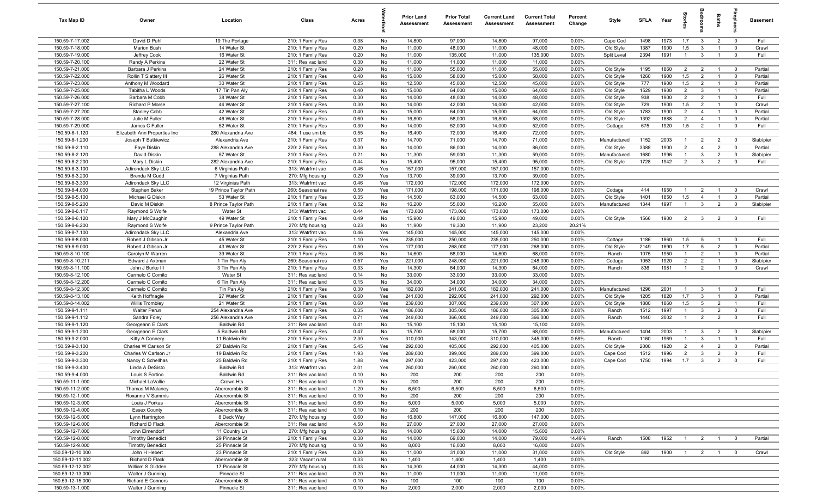| Tax Map ID                        | Owner                                   | Location                             | Class                                  | Acres        |            | <b>Prior Land</b><br>Assessment | <b>Prior Total</b><br>Assessment | <b>Current Land</b><br>Assessment | <b>Current Total</b><br>Assessment | Percent<br>Change | Style                     | <b>SFLA</b>  | Year         | ŝ.                             |                                  | Baths                            |                           | Basement             |
|-----------------------------------|-----------------------------------------|--------------------------------------|----------------------------------------|--------------|------------|---------------------------------|----------------------------------|-----------------------------------|------------------------------------|-------------------|---------------------------|--------------|--------------|--------------------------------|----------------------------------|----------------------------------|---------------------------|----------------------|
| 150.59-7-17.002                   | David D Pahl                            | 19 The Portage                       | 210: 1 Family Res                      | 0.38         | No         | 14,800                          | 97,000                           | 14,800                            | 97,000                             | 0.00%             | Cape Cod                  | 1498         | 1973         | 1.7                            | $\mathbf{3}$                     | $\overline{2}$                   | $\overline{0}$            | Full                 |
| 150.59-7-18.000                   | <b>Marion Bush</b>                      | 14 Water St                          | 210: 1 Family Res                      | 0.20         | No         | 11,000                          | 48,000                           | 11,000                            | 48,000                             | 0.00%             | Old Style                 | 1387         | 1900         | 1.5                            | 3                                | $\overline{1}$                   | $\mathbf 0$               | Crawl                |
| 150.59-7-19.000                   | Jeffrey Cook                            | 16 Water St                          | 210: 1 Family Res                      | 0.20         | No         | 11,000                          | 135,000                          | 11,000                            | 135,000                            | 0.00%             | Split Level               | 2394         | 1991         | $\overline{1}$                 | $\mathbf{3}$                     | $\overline{1}$                   | $\mathbf 0$               | Full                 |
| 150.59-7-20.100                   | Randy A Perkins                         | 22 Water St                          | 311: Res vac land                      | 0.30         | No         | 11,000                          | 11,000                           | 11,000                            | 11,000                             | 0.00%             |                           |              |              |                                |                                  |                                  |                           |                      |
| 150.59-7-21.000                   | Barbara J Perkins                       | 24 Water St                          | 210: 1 Family Res                      | 0.20         | No         | 11,000                          | 55,000                           | 11,000                            | 55,000                             | 0.00%             | Old Style                 | 1195         | 1860         | $\overline{2}$                 | $\overline{2}$                   | $\overline{1}$                   | $\mathbf 0$               | Partial              |
| 150.59-7-22.000                   | Rollin T Slattery III                   | 26 Water St                          | 210: 1 Family Res                      | 0.40         | No         | 15,000                          | 58,000                           | 15,000                            | 58,000                             | 0.00%             | Old Style                 | 1260         | 1900         | 1.5                            | $\overline{2}$                   | $\mathbf{1}$                     | $\mathbf 0$               | Partial              |
| 150.59-7-23.000                   | Anthony M Woodard                       | 30 Water St                          | 210: 1 Family Res                      | 0.25         | No         | 12,500                          | 45,000                           | 12,500                            | 45,000                             | 0.00%             | Old Style                 | 777          | 1900         | 1.5                            | $\overline{2}$                   | $\overline{1}$                   | $^{\circ}$                | Partial              |
| 150.59-7-25.000                   | Tabitha L Woods                         | 17 Tin Pan Aly                       | 210: 1 Family Res                      | 0.40         | No         | 15,000                          | 64,000                           | 15,000                            | 64,000                             | 0.00%             | Old Style                 | 1529         | 1900         | $\overline{2}$                 | 3                                | $\overline{1}$                   | $\overline{1}$            | Partial              |
| 150.59-7-26.000                   | Barbara M Cobb                          | 38 Water St                          | 210: 1 Family Res                      | 0.30         | No         | 14,000                          | 48,000                           | 14,000                            | 48,000                             | 0.00%             | Old Style                 | 938          | 1900         | $\overline{2}$                 | $\overline{2}$                   | $\overline{1}$                   | $\mathbf 0$               | Full                 |
| 150.59-7-27.100                   | Richard P Morse                         | 44 Water St                          | 210: 1 Family Res                      | 0.30         | No         | 14,000                          | 42,000                           | 14,000                            | 42,000                             | 0.00%             | Old Style                 | 729          | 1900         | 1.5                            | $\overline{2}$                   | $\overline{1}$                   | $\mathbf 0$               | Crawl                |
| 150.59-7-27.200                   | Stanley Cobb                            | 42 Water St                          | 210: 1 Family Res                      | 0.40         | No         | 15,000                          | 64,000                           | 15,000                            | 64,000                             | 0.00%             | Old Style                 | 1783         | 1900         | $\overline{2}$                 | $\overline{4}$                   | $\overline{1}$                   | $\overline{0}$            | Partial              |
| 150.59-7-28.000                   | Julie M Fuller                          | 46 Water St                          | 210: 1 Family Res                      | 0.60         | No         | 16,800                          | 58,000                           | 16,800                            | 58,000                             | 0.00%             | Old Style                 | 1392         | 1888         | $\overline{2}$                 | $\overline{4}$                   | $\overline{1}$                   | $\mathbf 0$               | Partial              |
| 150.59-7-29.000<br>150.59-8-1.120 | James C Fuller                          | 52 Water St                          | 210: 1 Family Res                      | 0.30         | No<br>No   | 14,000                          | 52,000                           | 14,000<br>16,400                  | 52,000<br>72,000                   | 0.00%<br>0.00%    | Cottage                   | 675          | 1920         | 1.5                            | $\overline{2}$                   | $\overline{1}$                   | $\overline{0}$            | Full                 |
|                                   | Elizabeth Ann Properties Inc            | 280 Alexandria Ave                   | 484: 1 use sm bld                      | 0.55         |            | 16,400                          | 72,000                           |                                   |                                    |                   |                           |              | 2003         |                                |                                  |                                  |                           |                      |
| 150.59-8-1.200<br>150.59-8-2.110  | Joseph T Butkiewicz<br>Faye Diskin      | Alexandria Ave<br>288 Alexandria Ave | 210: 1 Family Res<br>220: 2 Family Res | 0.37<br>0.30 | No<br>No   | 14,700<br>14,000                | 71,000<br>86,000                 | 14,700<br>14,000                  | 71,000<br>86,000                   | 0.00%<br>0.00%    | Manufactured<br>Old Style | 1152<br>3388 | 1900         | $\mathbf{1}$<br>$\overline{2}$ | $\overline{2}$<br>$\overline{4}$ | $\overline{2}$<br>$\overline{2}$ | $^{\circ}$<br>$\mathbf 0$ | Slab/pier<br>Partial |
| 150.59-8-2.120                    | David Diskin                            | 57 Water St                          | 210: 1 Family Res                      | 0.21         | No         | 11,300                          | 59,000                           | 11,300                            | 59,000                             | 0.00%             | Manufactured              | 1680         | 1996         | $\mathbf{1}$                   | $\mathbf{3}$                     | $\overline{2}$                   | $\mathbf 0$               | Slab/pier            |
| 150.59-8-2.200                    | Mary L Diskin                           | 282 Alexandria Ave                   | 210: 1 Family Res                      | 0.44         | No         | 15,400                          | 95,000                           | 15,400                            | 95,000                             | 0.00%             | Old Style                 | 1728         | 1942         | $\overline{2}$                 | $\mathbf{3}$                     | $\overline{2}$                   | $\mathbf 0$               | Full                 |
| 150.59-8-3.100                    | Adirondack Sky LLC                      | 6 Virginias Path                     | 313: Watrfrnt vac                      | 0.46         | Yes        | 157,000                         | 157,000                          | 157,000                           | 157,000                            | 0.00%             |                           |              |              |                                |                                  |                                  |                           |                      |
| 150.59-8-3.200                    | Brenda M Cudd                           | 7 Virginias Path                     | 270: Mfg housing                       | 0.29         | Yes        | 13,700                          | 39,000                           | 13,700                            | 39,000                             | 0.00%             |                           |              |              |                                |                                  |                                  |                           |                      |
| 150.59-8-3.300                    | Adirondack Sky LLC                      | 12 Virginias Path                    | 313: Watrfrnt vac                      | 0.46         | Yes        | 172,000                         | 172,000                          | 172,000                           | 172,000                            | 0.00%             |                           |              |              |                                |                                  |                                  |                           |                      |
| 150.59-8-4.000                    | Stephen Baker                           | 19 Prince Taylor Path                | 260: Seasonal res                      | 0.50         | Yes        | 171,000                         | 198,000                          | 171,000                           | 198,000                            | 0.00%             | Cottage                   | 414          | 1950         | $\overline{1}$                 | $\overline{2}$                   | $\overline{1}$                   | $\mathbf 0$               | Crawl                |
| 150.59-8-5.100                    | Michael G Diskin                        | 53 Water St                          | 210: 1 Family Res                      | 0.35         | No         | 14,500                          | 63,000                           | 14,500                            | 63,000                             | 0.00%             | Old Style                 | 1401         | 1850         | 1.5                            | $\overline{4}$                   | $\overline{1}$                   | $\mathbf 0$               | Partial              |
| 150.59-8-5.200                    | David M Diskin                          | 8 Prince Taylor Path                 | 210: 1 Family Res                      | 0.52         | No         | 16,200                          | 55,000                           | 16,200                            | 55,000                             | 0.00%             | Manufactured              | 1344         | 1997         | $\overline{1}$                 | $\mathbf{3}$                     | $\overline{2}$                   | $\mathbf 0$               | Slab/pier            |
| 150.59-8-6.117                    | Raymond S Wolfe                         | Water St                             | 313: Watrfrnt vac                      | 0.44         | Yes        | 173,000                         | 173,000                          | 173,000                           | 173,000                            | 0.00%             |                           |              |              |                                |                                  |                                  |                           |                      |
| 150.59-8-6.120                    | Mary J McCaughin                        | 49 Water St                          | 210: 1 Family Res                      | 0.49         | No         | 15,900                          | 49,000                           | 15,900                            | 49,000                             | 0.00%             | Old Style                 | 1566         | 1900         | 2                              | $\mathbf{3}$                     | $\overline{2}$                   | $^{\circ}$                | Full                 |
| 150.59-8-6.200                    | Raymond S Wolfe                         | 9 Prince Taylor Path                 | 270: Mfg housing                       | 0.23         | No         | 11,900                          | 19,300                           | 11,900                            | 23,200                             | 20.21%            |                           |              |              |                                |                                  |                                  |                           |                      |
| 150.59-8-7.100                    | Adirondack Sky LLC                      | Alexandria Ave                       | 313: Watrfrnt vac                      | 0.46         | Yes        | 145,000                         | 145,000                          | 145,000                           | 145,000                            | 0.00%             |                           |              |              |                                |                                  |                                  |                           |                      |
| 150.59-8-8.000                    | Robert J Gibson Jr                      | 45 Water St                          | 210: 1 Family Res                      | 1.10         | Yes        | 235,000                         | 250,000                          | 235,000                           | 250,000                            | 0.00%             | Cottage                   | 1186         | 1860         | 1.5                            | $5\overline{5}$                  | $\mathbf{1}$                     | $\mathbf 0$               | Full                 |
| 150.59-8-9.000                    | Robert J Gibson Jr                      | 43 Water St                          | 220: 2 Family Res                      | 0.50         | Yes        | 177,000                         | 268,000                          | 177,000                           | 268,000                            | 0.00%             | Old Style                 | 2149         | 1890         | 1.7                            | $5\overline{5}$                  | $\overline{2}$                   | $\mathbf 0$               | Partial              |
| 150.59-8-10.100                   | Carolyn M Warren                        | 39 Water St                          | 210: 1 Family Res                      | 0.36         | No         | 14,600                          | 68,000                           | 14,600                            | 68,000                             | 0.00%             | Ranch                     | 1075         | 1950         | $\mathbf{1}$                   | $\overline{2}$                   | $\overline{1}$                   | $\overline{0}$            | Partial              |
| 150.59-8-10.211                   | Edward J Axtman                         | 1 Tin Pan Aly                        | 260: Seasonal res                      | 0.57         | Yes        | 221,000                         | 248,000                          | 221,000                           | 248,000                            | 0.00%             | Cottage                   | 1053         | 1920         | $\overline{2}$                 | $\overline{2}$                   | $\overline{1}$                   | $^{\circ}$                | Slab/pier            |
| 150.59-8-11.100                   | John J Burke III                        | 3 Tin Pan Aly                        | 210: 1 Family Res                      | 0.33         | No         | 14,300                          | 64,000                           | 14,300                            | 64,000                             | 0.00%             | Ranch                     | 836          | 1981         | $\mathbf{1}$                   | $\overline{2}$                   | $\overline{1}$                   | $\mathbf 0$               | Crawl                |
| 150.59-8-12.100                   | Carmelo C Comito                        | Water St                             | 311: Res vac land                      | 0.14         | No         | 33,000                          | 33,000                           | 33,000                            | 33,000                             | 0.00%             |                           |              |              |                                |                                  |                                  |                           |                      |
| 150.59-8-12.200                   | Carmelo C Comito                        | 6 Tin Pan Aly                        | 311: Res vac land                      | 0.15         | No         | 34,000                          | 34,000                           | 34,000                            | 34,000                             | 0.00%             |                           |              |              |                                |                                  |                                  |                           |                      |
| 150.59-8-12.300                   | Carmelo C Comito                        | Tin Pan Aly                          | 210: 1 Family Res                      | 0.30         | Yes        | 182,000                         | 241,000                          | 182,000                           | 241,000                            | 0.00%             | Manufactured              | 1296         | 2001         | $\overline{1}$                 | -3                               | $\overline{1}$                   | $\mathbf 0$               | Full                 |
| 150.59-8-13.100                   | Keith Hoffnagle                         | 27 Water St                          | 210: 1 Family Res                      | 0.60         | Yes        | 241,000                         | 292,000                          | 241,000                           | 292,000                            | 0.00%             | Old Style                 | 1205         | 1820         | 1.7                            | 3                                | $\overline{1}$                   | $\mathbf 0$               | Partial              |
| 150.59-8-14.002                   | <b>Willis Trombley</b>                  | 21 Water St                          | 210: 1 Family Res                      | 0.60         | Yes        | 239,000                         | 307,000                          | 239,000                           | 307,000                            | 0.00%             | Old Style                 | 1880         | 1860         | 1.5                            | $5\overline{5}$                  | $\overline{2}$                   | $\overline{1}$            | Full                 |
| 150.59-9-1.111                    | <b>Walter Perun</b>                     | 254 Alexandria Ave                   | 210: 1 Family Res                      | 0.35         | Yes        | 186,000                         | 305,000                          | 186,000                           | 305,000                            | 0.00%             | Ranch                     | 1512         | 1997         | $\overline{1}$                 | $\mathbf{3}$                     | $\overline{2}$                   | $\mathbf 0$               | Full                 |
| 150.59-9-1.112                    | Sandra Foley                            | 256 Alexandria Ave                   | 210: 1 Family Res                      | 0.71         | Yes        | 249,000                         | 366,000                          | 249,000                           | 366,000                            | 0.00%             | Ranch                     | 1440         | 2002         | $\overline{1}$                 | 2                                | 2                                | $\mathbf 0$               | Full                 |
| 150.59-9-1.120                    | Georgeann E Clark                       | Baldwin Rd                           | 311: Res vac land                      | 0.41         | No         | 15,100                          | 15,100                           | 15,100                            | 15,100                             | 0.00%             |                           |              |              |                                |                                  |                                  |                           |                      |
| 150.59-9-1.200                    | Georgeann E Clark                       | 5 Baldwin Rd                         | 210: 1 Family Res                      | 0.47         | No         | 15,700                          | 68,000                           | 15,700                            | 68,000                             | 0.00%             | Manufactured              | 1404         | 2003         | $\overline{1}$                 | $\mathbf{3}$                     | $\overline{2}$                   | $\overline{0}$            | Slab/pier<br>Full    |
| 150.59-9-2.000<br>150.59-9-3.100  | Kitty A Connery<br>Charles W Carlson Sr | 11 Baldwin Rd<br>27 Baldwin Rd       | 210: 1 Family Res<br>210: 1 Family Res | 2.30<br>5.45 | Yes<br>Yes | 310,000<br>292,000              | 343,000<br>405,000               | 310,000<br>292,000                | 345,000<br>405,000                 | 0.58%<br>0.00%    | Ranch                     | 1160<br>2000 | 1969<br>1920 | $\mathbf{1}$<br>$\overline{2}$ | 3<br>$\overline{4}$              | $\overline{1}$<br>$\overline{2}$ | $\mathbf 0$<br>$^{\circ}$ | Partial              |
| 150.59-9-3.200                    | Charles W Carlson Jr                    | 19 Baldwin Rd                        | 210: 1 Family Res                      | 1.93         | Yes        | 289,000                         | 399,000                          | 289,000                           | 399,000                            | 0.00%             | Old Style<br>Cape Cod     | 1512         | 1996         | $\overline{2}$                 | -3                               | $\overline{2}$                   | $^{\circ}$                | Full                 |
| 150.59-9-3.300                    | Nancy C Schellhas                       | 25 Baldwin Rd                        | 210: 1 Family Res                      | 1.88         | Yes        | 297,000                         | 423,000                          | 297,000                           | 423,000                            | 0.00%             | Cape Cod                  | 1750         | 1994         | 1.7                            | $\mathbf{3}$                     | 2                                | $\mathbf 0$               | Full                 |
| 150.59-9-3.400                    | Linda A DeSisto                         | <b>Baldwin Rd</b>                    | 313: Watrfrnt vac                      | 2.01         | Yes        | 260,000                         | 260,000                          | 260,000                           | 260,000                            | $0.00\%$          |                           |              |              |                                |                                  |                                  |                           |                      |
| 150.59-9-4.000                    | Louis S Fortino                         | Baldwin Rd                           | 311: Res vac land                      | 0.10         | No         | 200                             | 200                              | 200                               | 200                                | 0.00%             |                           |              |              |                                |                                  |                                  |                           |                      |
| 150.59-11-1.000                   | Michael LaVallie                        | Crown Hts                            | 311: Res vac land                      | 0.10         | No         | 200                             | 200                              | 200                               | 200                                | 0.00%             |                           |              |              |                                |                                  |                                  |                           |                      |
| 150.59-11-2.000                   | Thomas M Malaney                        | Abercrombie St                       | 311: Res vac land                      | 1.20         | No         | 6,500                           | 6,500                            | 6,500                             | 6,500                              | 0.00%             |                           |              |              |                                |                                  |                                  |                           |                      |
| 150.59-12-1.000                   | Roxanne V Sammis                        | Abercrombie St                       | 311: Res vac land                      | 0.10         | No         | 200                             | 200                              | 200                               | 200                                | 0.00%             |                           |              |              |                                |                                  |                                  |                           |                      |
| 150.59-12-3.000                   | Louis J Forkas                          | Abercrombie St                       | 311: Res vac land                      | 0.60         | No         | 5,000                           | 5,000                            | 5,000                             | 5,000                              | 0.00%             |                           |              |              |                                |                                  |                                  |                           |                      |
| 150.59-12-4.000                   | <b>Essex County</b>                     | Abercrombie St                       | 311: Res vac land                      | 0.10         | No         | 200                             | 200                              | 200                               | 200                                | 0.00%             |                           |              |              |                                |                                  |                                  |                           |                      |
| 150.59-12-5.000                   | Lynn Harrington                         | 8 Deck Way                           | 270: Mfg housing                       | 0.60         | No         | 16,800                          | 147,000                          | 16,800                            | 147,000                            | 0.00%             |                           |              |              |                                |                                  |                                  |                           |                      |
| 150.59-12-6.000                   | Richard D Flack                         | Abercrombie St                       | 311: Res vac land                      | 4.50         | No         | 27,000                          | 27,000                           | 27,000                            | 27,000                             | 0.00%             |                           |              |              |                                |                                  |                                  |                           |                      |
| 150.59-12-7.000                   | John Elmendorf                          | 11 Country Ln                        | 270: Mfg housing                       | 0.30         | No         | 14,000                          | 15,600                           | 14,000                            | 15,600                             | 0.00%             |                           |              |              |                                |                                  |                                  |                           |                      |
| 150.59-12-8.000                   | <b>Timothy Benedict</b>                 | 29 Pinnacle St                       | 210: 1 Family Res                      | 0.30         | No         | 14,000                          | 69,000                           | 14,000                            | 79,000                             | 14.49%            | Ranch                     | 1508         | 1952         | $\overline{1}$                 |                                  | $2 \qquad 1$                     | $\overline{\mathbf{0}}$   | Partial              |
| 150.59-12-9.000                   | <b>Timothy Benedict</b>                 | 25 Pinnacle St                       | 270: Mfg housing                       | 0.10         | No         | 8,000                           | 16,000                           | 8,000                             | 16,000                             | 0.00%             |                           |              |              |                                |                                  |                                  |                           |                      |
| 150.59-12-10.000                  | John H Hebert                           | 23 Pinnacle St                       | 210: 1 Family Res                      | 0.20         | No         | 11,000                          | 31,000                           | 11,000                            | 31,000                             | 0.00%             | Old Style                 | 892          | 1900         | $\overline{1}$                 |                                  | $2 \qquad 1$                     | $\overline{\mathbf{0}}$   | Crawl                |
| 150.59-12-11.002                  | Richard D Flack                         | Abercrombie St                       | 323: Vacant rural                      | 0.33         | No         | 1,400                           | 1,400                            | 1,400                             | 1,400                              | 0.00%             |                           |              |              |                                |                                  |                                  |                           |                      |
| 150.59-12-12.002                  | William S Glidden                       | 17 Pinnacle St                       | 270: Mfg housing                       | 0.33         | No         | 14,300                          | 44,000                           | 14,300                            | 44,000                             | 0.00%             |                           |              |              |                                |                                  |                                  |                           |                      |
| 150.59-12-13.000                  | Walter J Gunning                        | Pinnacle St                          | 311: Res vac land                      | 0.20         | No         | 11,000                          | 11,000                           | 11,000                            | 11,000                             | 0.00%             |                           |              |              |                                |                                  |                                  |                           |                      |
| 150.59-12-15.000                  | Richard E Connors                       | Abercrombie St                       | 311: Res vac land                      | 0.10         | No         | 100                             | 100                              | 100                               | 100                                | 0.00%             |                           |              |              |                                |                                  |                                  |                           |                      |
| 150.59-13-1.000                   | Walter J Gunning                        | Pinnacle St                          | 311: Res vac land                      | 0.10         | No         | 2,000                           | 2,000                            | 2,000                             | 2,000                              | 0.00%             |                           |              |              |                                |                                  |                                  |                           |                      |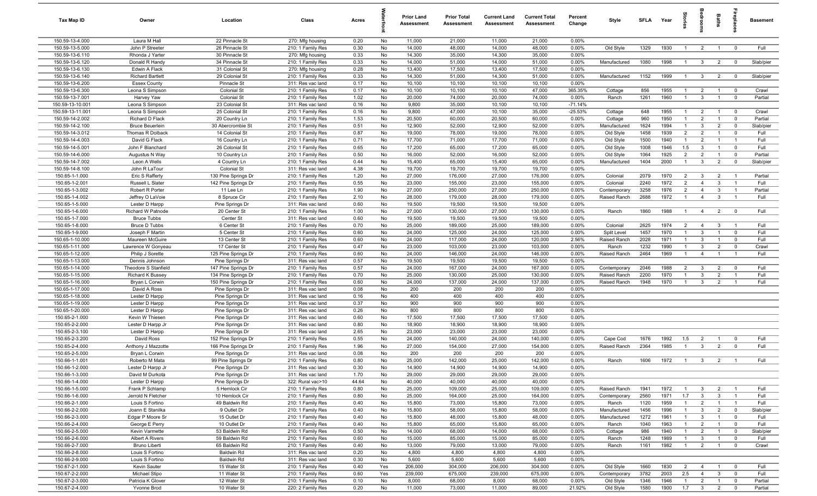| Tax Map ID                          | Owner                                      | Location                               | Class                                  | Acres        |          | <b>Prior Land</b><br>Assessment | <b>Prior Total</b><br><b>Assessment</b> | <b>Current Land</b><br><b>Assessment</b> | <b>Current Total</b><br><b>Assessment</b> | Percent<br>Change  | Style          | <b>SFLA</b>  | Year         | Stories        | droom                          | Baths          | epla                          | <b>Basement</b> |
|-------------------------------------|--------------------------------------------|----------------------------------------|----------------------------------------|--------------|----------|---------------------------------|-----------------------------------------|------------------------------------------|-------------------------------------------|--------------------|----------------|--------------|--------------|----------------|--------------------------------|----------------|-------------------------------|-----------------|
| 150.59-13-4.000                     | Laura M Hall                               | 22 Pinnacle St                         | 270: Mfg housing                       | 0.20         | No       | 11,000                          | 21,000                                  | 11,000                                   | 21,000                                    | 0.00%              |                |              |              |                |                                |                |                               |                 |
| 150.59-13-5.000                     | John P Streeter                            | 26 Pinnacle St                         | 210: 1 Family Res                      | 0.30         | No       | 14,000                          | 48,000                                  | 14,000                                   | 48,000                                    | 0.00%              | Old Style      | 1329         | 1930         | $\overline{1}$ | $\overline{2}$                 | $\overline{1}$ | $\mathbf 0$                   | Full            |
| 150.59-13-6.110                     | Rhonda J Yarter                            | 30 Pinnacle St                         | 270: Mfg housing                       | 0.33         | No       | 14,300                          | 35,000                                  | 14,300                                   | 35,000                                    | 0.00%              |                |              |              |                |                                |                |                               |                 |
| 150.59-13-6.120                     | Donald R Handy                             | 34 Pinnacle St                         | 210: 1 Family Res                      | 0.33         | No       | 14,000                          | 51,000                                  | 14,000                                   | 51,000                                    | 0.00%              | Manufactured   | 1080         | 1998         | $\mathbf{1}$   | $\mathbf{3}$                   | $\overline{2}$ | $\mathbf 0$                   | Slab/pier       |
| 150.59-13-6.130                     | Edwin A Flack                              | 31 Colonial St                         | 270: Mfg housing                       | 0.28         | No       | 13,400                          | 17,500                                  | 13,400                                   | 17,500                                    | 0.00%              |                |              |              |                |                                |                |                               |                 |
| 150.59-13-6.140                     | <b>Richard Bartlett</b>                    | 29 Colonial St                         | 210: 1 Family Res                      | 0.33         | No       | 14,300                          | 51,000                                  | 14,300                                   | 51,000                                    | 0.00%              | Manufactured   | 1152         | 1999         | $\mathbf{1}$   | $\mathbf{3}$                   | $\overline{2}$ | $\overline{0}$                | Slab/pier       |
| 150.59-13-6.200                     | <b>Essex County</b>                        | Pinnacle St                            | 311: Res vac land                      | 0.17         | No       | 10,100                          | 10,100                                  | 10,100                                   | 10,100                                    | 0.00%              |                |              |              |                |                                |                |                               |                 |
| 150.59-13-6.300                     | Leona S Simpson                            | Colonial St                            | 210: 1 Family Res                      | 0.17         | No       | 10,100                          | 10,100                                  | 10,100                                   | 47,000                                    | 365.35%            | Cottage        | 856          | 1955         |                | $\overline{2}$                 |                | $\overline{0}$                | Crawl           |
| 150.59-13-7.001<br>150.59-13-10.001 | Harvey Yaw                                 | Colonial St<br>23 Colonial St          | 210: 1 Family Res                      | 1.02<br>0.16 | No<br>No | 20,000<br>9,800                 | 74,000<br>35,000                        | 20,000<br>10,100                         | 74,000<br>10,100                          | 0.00%<br>$-71.14%$ | Ranch          | 1261         | 1960         | $\mathbf{1}$   | $\mathbf{3}$                   |                | $\overline{0}$                | Partial         |
| 150.59-13-11.001                    | Leona S Simpson<br>Leona S Simpson         | 25 Colonial St                         | 311: Res vac land<br>210: 1 Family Res | 0.16         | No       | 9,800                           | 47,000                                  | 10,100                                   | 35,000                                    | $-25.53%$          | Cottage        | 648          | 1955         | $\overline{1}$ | $\overline{2}$                 | $\overline{1}$ | $\overline{0}$                | Crawl           |
| 150.59-14-2.002                     | Richard D Flack                            | 20 Country Ln                          | 210: 1 Family Res                      | 1.53         | No       | 20,500                          | 60,000                                  | 20,500                                   | 60,000                                    | 0.00%              | Cottage        | 960          | 1950         | $\mathbf{1}$   | $\overline{2}$                 | $\overline{1}$ | $\overline{0}$                | Partial         |
| 150.59-14-2.100                     | <b>Bruce Beuerlein</b>                     | 30 Abercrombie St                      | 210: 1 Family Res                      | 0.51         | No       | 12,900                          | 52,000                                  | 12,900                                   | 52,000                                    | 0.00%              | Manufactured   | 1624         | 1994         | $\overline{1}$ | $\mathbf{3}$                   | $\overline{2}$ | $\overline{0}$                | Slab/pier       |
| 150.59-14-3.012                     | Thomas R Dolback                           | 14 Colonial St                         | 210: 1 Family Res                      | 0.87         | No       | 19,000                          | 78,000                                  | 19,000                                   | 78,000                                    | 0.00%              | Old Style      | 1458         | 1939         | $\overline{2}$ | $\overline{2}$                 | $\overline{1}$ | $\overline{0}$                | Full            |
| 150.59-14-4.003                     | David G Flack                              | 16 Country Ln                          | 210: 1 Family Res                      | 0.71         | No       | 17,700                          | 71,000                                  | 17,700                                   | 71,000                                    | 0.00%              | Old Style      | 1500         | 1940         | $\overline{1}$ | $\overline{2}$                 | $\overline{1}$ | $\overline{1}$                | Full            |
| 150.59-14-5.001                     | John F Blanchard                           | 26 Colonial St                         | 210: 1 Family Res                      | 0.65         | No       | 17,200                          | 65,000                                  | 17,200                                   | 65,000                                    | 0.00%              | Old Style      | 1008         | 1946         | 1.5            | $\mathbf{3}$                   | $\overline{1}$ | $\mathbf 0$                   | Full            |
| 150.59-14-6.000                     | Augustus N Way                             | 10 Country Ln                          | 210: 1 Family Res                      | 0.50         | No       | 16,000                          | 52,000                                  | 16,000                                   | 52,000                                    | 0.00%              | Old Style      | 1064         | 1925         | $\overline{2}$ | $\overline{2}$                 |                | $\mathbf 0$                   | Partial         |
| 150.59-14-7.002                     | Leon A Wells                               | 4 Country Ln                           | 210: 1 Family Res                      | 0.44         | No       | 15,400                          | 65,000                                  | 15,400                                   | 65,000                                    | 0.00%              | Manufactured   | 1404         | 2000         | $\mathbf{1}$   | $\mathbf{3}$                   | 2              | $\overline{0}$                | Slab/pier       |
| 150.59-14-8.100                     | John R LaTour                              | Colonial St                            | 311: Res vac land                      | 4.38         | No       | 19,700                          | 19,700                                  | 19,700                                   | 19,700                                    | 0.00%              |                |              |              |                |                                |                |                               |                 |
| 150.65-1-1.000                      | Eric S Rafferty                            | 130 Pine Springs Dr                    | 210: 1 Family Res                      | 1.20         | No       | 27,000                          | 176,000                                 | 27,000                                   | 176,000                                   | 0.00%              | Colonial       | 2079         | 1970         | $\overline{2}$ | $\overline{3}$                 | $\overline{2}$ | $\overline{\phantom{0}}$      | Partial         |
| 150.65-1-2.001                      | Russell L Slater                           | 142 Pine Springs Dr                    | 210: 1 Family Res                      | 0.55         | No       | 23,000                          | 155,000                                 | 23,000                                   | 155,000                                   | 0.00%              | Colonial       | 2240         | 1972         | $\overline{2}$ | $\overline{4}$                 | $\mathbf{3}$   | $\overline{\phantom{0}}$      | Full            |
| 150.65-1-3.002                      | Robert R Porter                            | 11 Lee Ln                              | 210: 1 Family Res                      | 1.90         | No       | 27,000                          | 250,000                                 | 27,000                                   | 250,000                                   | 0.00%              | Contemporary   | 3258         | 1976         | $\overline{2}$ | $\overline{4}$                 | $\mathbf{3}$   | $\overline{1}$                | Partial         |
| 150.65-1-4.002                      | Jeffrey O LaVoie                           | 8 Spruce Cir                           | 210: 1 Family Res                      | 2.10         | No       | 28,000                          | 179,000                                 | 28,000                                   | 179,000                                   | 0.00%              | Raised Ranch   | 2688         | 1972         | $\overline{1}$ | $\overline{4}$                 | $\mathbf{3}$   | $\overline{1}$                | Full            |
| 150.65-1-5.000                      | Lester D Harpp                             | Pine Springs Dr                        | 311: Res vac land                      | 0.60         | No       | 19,500                          | 19,500                                  | 19,500                                   | 19,500                                    | 0.00%              |                |              |              |                |                                |                |                               |                 |
| 150.65-1-6.000                      | Richard W Patnode                          | 20 Center St                           | 210: 1 Family Res                      | 1.00         | No       | 27,000                          | 130,000                                 | 27,000                                   | 130,000                                   | 0.00%              | Ranch          | 1860         | 1988         | $\overline{1}$ | $\overline{4}$                 | $\overline{2}$ | $\overline{0}$                | Full            |
| 150.65-1-7.000<br>150.65-1-8.000    | <b>Bruce Tubbs</b><br><b>Bruce D Tubbs</b> | Center St<br>6 Center St               | 311: Res vac land<br>210: 1 Family Res | 0.60<br>0.70 | No<br>No | 19,500<br>25,000                | 19,500<br>189,000                       | 19,500<br>25,000                         | 19,500<br>189,000                         | 0.00%<br>0.00%     | Colonial       | 2625         | 1974         | 2              | $\overline{4}$                 | $\mathbf{3}$   | $\overline{1}$                | Full            |
| 150.65-1-9.000                      | Joseph F Martin                            | 5 Center St                            | 210: 1 Family Res                      | 0.60         | No       | 24,000                          | 125,000                                 | 24,000                                   | 125,000                                   | 0.00%              | Split Level    | 1457         | 1970         | $\overline{1}$ | $\mathbf{3}$                   | $\overline{1}$ | $\mathbf 0$                   | Full            |
| 150.65-1-10.000                     | Maureen McGuire                            | 13 Center St                           | 210: 1 Family Res                      | 0.60         | No       | 24,000                          | 117,000                                 | 24,000                                   | 120,000                                   | 2.56%              | Raised Ranch   | 2028         | 1971         | $\mathbf{1}$   | $\mathbf{3}$                   | $\overline{1}$ | $\mathbf 0$                   | Full            |
| 150.65-1-11.000                     | Lawrence W Gonyeau                         | 17 Center St                           | 210: 1 Family Res                      | 0.47         | No       | 23,000                          | 103,000                                 | 23,000                                   | 103,000                                   | 0.00%              | Ranch          | 1232         | 1990         | $\mathbf{1}$   | $\mathbf{3}$                   | $\overline{2}$ | $\overline{0}$                | Crawl           |
| 150.65-1-12.000                     | Philip J Sorette                           | 125 Pine Springs Dr                    | 210: 1 Family Res                      | 0.60         | No       | 24,000                          | 146,000                                 | 24,000                                   | 146,000                                   | 0.00%              | Raised Ranch   | 2464         | 1969         | $\overline{1}$ | $\overline{4}$                 | $\overline{1}$ | $\overline{1}$                | Full            |
| 150.65-1-13.000                     | Dennis Johnson                             | Pine Springs Dr                        | 311: Res vac land                      | 0.57         | No       | 19,500                          | 19,500                                  | 19,500                                   | 19,500                                    | 0.00%              |                |              |              |                |                                |                |                               |                 |
| 150.65-1-14.000                     | Theodore S Stanfield                       | 147 Pine Springs Dr                    | 210: 1 Family Res                      | 0.57         | No       | 24,000                          | 167,000                                 | 24,000                                   | 167,000                                   | 0.00%              | Contemporary   | 2046         | 1988         | $\overline{2}$ | $\mathbf{3}$                   | $\overline{2}$ | $\mathbf 0$                   | Full            |
| 150.65-1-15.000                     | <b>Richard K Bussey</b>                    | 134 Pine Springs Dr                    | 210: 1 Family Res                      | 0.70         | No       | 25,000                          | 130,000                                 | 25,000                                   | 130,000                                   | 0.00%              | Raised Ranch   | 2200         | 1970         | $\overline{1}$ | $\mathbf{3}$                   | $\overline{2}$ | - 1                           | Full            |
| 150.65-1-16.000                     | Bryan L Corwin                             | 150 Pine Springs Dr                    | 210: 1 Family Res                      | 0.60         | No       | 24,000                          | 137,000                                 | 24,000                                   | 137,000                                   | 0.00%              | Raised Ranch   | 1948         | 1970         | $\overline{1}$ | $\mathbf{3}$                   | $\overline{2}$ | $\overline{1}$                | Full            |
| 150.65-1-17.000                     | David A Ross                               | Pine Springs Dr                        | 311: Res vac land                      | 0.08         | No       | 200                             | 200                                     | 200                                      | 200                                       | 0.00%              |                |              |              |                |                                |                |                               |                 |
| 150.65-1-18.000                     | Lester D Harpp                             | Pine Springs Dr                        | 311: Res vac land                      | 0.16         | No       | 400                             | 400                                     | 400                                      | 400                                       | 0.00%              |                |              |              |                |                                |                |                               |                 |
| 150.65-1-19.000                     | Lester D Harpp                             | Pine Springs Dr                        | 311: Res vac land                      | 0.37         | No       | 900                             | 900                                     | 900                                      | 900                                       | 0.00%              |                |              |              |                |                                |                |                               |                 |
| 150.65-1-20.000                     | Lester D Harpp                             | Pine Springs Dr                        | 311: Res vac land                      | 0.26         | No       | 800                             | 800                                     | 800                                      | 800                                       | 0.00%              |                |              |              |                |                                |                |                               |                 |
| 150.65-2-1.000                      | Kevin W Thiesen                            | Pine Springs Dr                        | 311: Res vac land                      | 0.60         | No       | 17,500                          | 17,500                                  | 17,500                                   | 17,500                                    | 0.00%              |                |              |              |                |                                |                |                               |                 |
| 150.65-2-2.000<br>150.65-2-3.100    | Lester D Harpp Jr                          | Pine Springs Dr                        | 311: Res vac land<br>311: Res vac land | 0.80<br>2.65 | No<br>No | 18,900<br>23,000                | 18,900<br>23,000                        | 18,900<br>23,000                         | 18,900<br>23,000                          | 0.00%<br>0.00%     |                |              |              |                |                                |                |                               |                 |
| 150.65-2-3.200                      | Lester D Harpp<br>David Ross               | Pine Springs Dr<br>152 Pine Springs Dr | 210: 1 Family Res                      | 0.55         | No       | 24,000                          | 140,000                                 | 24,000                                   | 140,000                                   | 0.00%              | Cape Cod       | 1676         | 1992         | 1.5            | $\overline{2}$                 | $\mathbf{1}$   | $\mathbf 0$                   | Full            |
| 150.65-2-4.000                      | Anthony J Mazzotte                         | 166 Pine Springs Dr                    | 210: 1 Family Res                      | 1.96         | No       | 27,000                          | 154,000                                 | 27,000                                   | 154,000                                   | 0.00%              | Raised Ranch   | 2364         | 1985         | $\overline{1}$ | $\mathbf{3}$                   | 2              | $\mathbf{0}$                  | Full            |
| 150.65-2-5.000                      | Bryan L Corwin                             | Pine Springs Dr                        | 311: Res vac land                      | 0.08         | No       | 200                             | 200                                     | 200                                      | 200                                       | 0.00%              |                |              |              |                |                                |                |                               |                 |
| 150.66-1-1.001                      | Roberto M Mata                             | 99 Pine Springs Dr                     | 210: 1 Family Res                      | 0.80         | No       | 25,000                          | 142,000                                 | 25,000                                   | 142,000                                   | 0.00%              | Ranch          | 1606         | 1972         | $\overline{1}$ | $\mathbf{3}$                   | $\overline{2}$ | - 1                           | Full            |
| 150.66-1-2.000                      | Lester D Harpp Jr                          | Pine Springs Dr                        | 311: Res vac land                      | 0.30         | No       | 14,900                          | 14,900                                  | 14,900                                   | 14,900                                    | 0.00%              |                |              |              |                |                                |                |                               |                 |
| 150.66-1-3.000                      | David M Durkota                            | Pine Springs Dr                        | 311: Res vac land                      | 1.70         | No       | 29,000                          | 29,000                                  | 29,000                                   | 29,000                                    | 0.00%              |                |              |              |                |                                |                |                               |                 |
| 150.66-1-4.000                      | Lester D Harpp                             | Pine Springs Dr                        | 322: Rural vac>10                      | 44.64        | No       | 40,000                          | 40,000                                  | 40,000                                   | 40,000                                    | 0.00%              |                |              |              |                |                                |                |                               |                 |
| 150.66-1-5.000                      | Frank P Schlamp                            | 5 Hemlock Cir                          | 210: 1 Family Res                      | 0.80         | No       | 25,000                          | 109,000                                 | 25,000                                   | 109,000                                   | 0.00%              | Raised Ranch   | 1941         | 1972         | $\overline{1}$ | $\mathbf{3}$                   | $\overline{2}$ | $\overline{1}$                | Full            |
| 150.66-1-6.000                      | Jerrold N Fletcher                         | 10 Hemlock Cir                         | 210: 1 Family Res                      | 0.80         | No       | 25,000                          | 164,000                                 | 25,000                                   | 164,000                                   | 0.00%              | Contemporary   | 2560         | 1971         | 1.7            | $\mathbf{3}$                   | $\mathbf{3}$   | $\overline{1}$                | Full            |
| 150.66-2-1.000                      | Louis S Fortino                            | 49 Baldwin Rd                          | 210: 1 Family Res                      | 0.40         | No       | 15,800                          | 73,000                                  | 15,800                                   | 73,000                                    | 0.00%              | Ranch          | 1120         | 1959         | $\overline{1}$ | $\overline{2}$                 | $\overline{1}$ | $\overline{1}$                | Full            |
| 150.66-2-2.000                      | Joann E Stanilka                           | 9 Outlet Dr                            | 210: 1 Family Res                      | 0.40         | No       | 15,800                          | 58,000                                  | 15,800                                   | 58,000                                    | 0.00%              | Manufactured   | 1456         | 1996         | $\overline{1}$ | $\mathbf{3}$                   | $\overline{2}$ | $\overline{0}$                | Slab/pier       |
| 150.66-2-3.000                      | Edgar P Moore Sr                           | 15 Outlet Dr                           | 210: 1 Family Res                      | 0.40         | No       | 15,800                          | 48,000                                  | 15,800                                   | 48,000                                    | 0.00%              | Manufactured   | 1272         | 1961         | $\mathbf{1}$   | $\mathbf{3}$                   | $\mathbf{1}$   | $\overline{0}$                | Full            |
| 150.66-2-4.000                      | George E Perry                             | 10 Outlet Dr                           | 210: 1 Family Res                      | 0.40         | No       | 15,800                          | 65,000                                  | 15,800                                   | 65,000                                    | 0.00%              | Ranch          | 1040         | 1963         | $\overline{1}$ | $\overline{2}$                 | $\overline{1}$ | $\overline{0}$                | Full            |
| 150.66-2-5.000                      | Kevin Varmette                             | 53 Baldwin Rd                          | 210: 1 Family Res                      | 0.50         | No       | 14,000                          | 68,000                                  | 14,000                                   | 68,000                                    | 0.00%              | Cottage        | 986          | 1940         | $\mathbf{1}$   | $\overline{2}$                 | $\mathbf{1}$   | $\overline{0}$                | Slab/pier       |
| 150.66-2-6.000<br>150.66-2-7.000    | Albert A Rivers<br>Bruno Liberti           | 59 Baldwin Rd<br>65 Baldwin Rd         | 210: 1 Family Res<br>210: 1 Family Res | 0.60<br>0.40 | No<br>No | 15,000<br>13,000                | 85,000<br>79,000                        | 15,000<br>13,000                         | 85,000<br>79,000                          | 0.00%<br>0.00%     | Ranch<br>Ranch | 1248<br>1161 | 1989<br>1982 |                | $\mathbf{3}$<br>$\overline{2}$ |                | $\mathbf 0$<br>$\overline{0}$ | Full<br>Crawl   |
| 150.66-2-8.000                      | Louis S Fortino                            | <b>Baldwin Rd</b>                      | 311: Res vac land                      | 0.20         | No       | 4,800                           | 4,800                                   | 4,800                                    | 4,800                                     | 0.00%              |                |              |              |                |                                |                |                               |                 |
| 150.66-2-9.000                      | Louis S Fortino                            | <b>Baldwin Rd</b>                      | 311: Res vac land                      | 0.30         | No       | 5,600                           | 5,600                                   | 5,600                                    | 5,600                                     | 0.00%              |                |              |              |                |                                |                |                               |                 |
| 150.67-2-1.000                      | <b>Kevin Sauter</b>                        | 15 Water St                            | 210: 1 Family Res                      | 0.40         | Yes      | 206,000                         | 304,000                                 | 206,000                                  | 304,000                                   | 0.00%              | Old Style      | 1660         | 1830         | $\overline{2}$ | $\overline{4}$                 | $\overline{1}$ | $\overline{0}$                | Full            |
| 150.67-2-2.000                      | Michael Stipo                              | 11 Water St                            | 210: 1 Family Res                      | 0.60         | Yes      | 239,000                         | 675,000                                 | 239,000                                  | 675,000                                   | 0.00%              | Contemporary   | 3782         | 2003         | 2.5            | $\overline{4}$                 | $\mathbf{3}$   | $\overline{0}$                | Full            |
| 150.67-2-3.000                      | Patricia K Glover                          | 12 Water St                            | 210: 1 Family Res                      | 0.10         | No       | 8,000                           | 68,000                                  | 8,000                                    | 68,000                                    | 0.00%              | Old Style      | 1346         | 1946         | $\overline{1}$ | $\overline{2}$                 | $\overline{1}$ | $\overline{0}$                | Partial         |
| 150.67-2-4.000                      | Yvonne Brod                                | 10 Water St                            | 220: 2 Family Res                      | 0.20         | No       | 11,000                          | 73,000                                  | 11,000                                   | 89,000                                    | 21.92%             | Old Style      | 1580         | 1900         | 1.7            | $\mathbf{3}$                   | $\overline{2}$ | $\overline{0}$                | Partial         |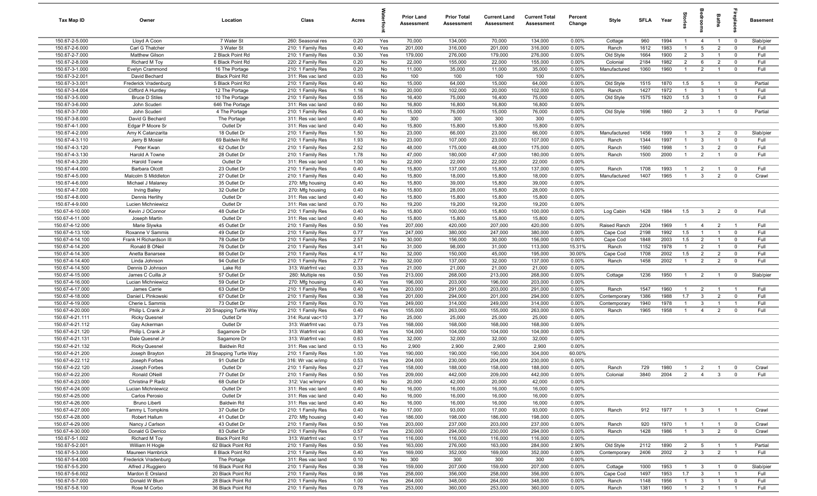| Tax Map ID                         | Owner                               | Location                     | Class                                  | Acres        |            | <b>Prior Land</b><br>Assessment | <b>Prior Total</b><br>Assessment | <b>Current Land</b><br>Assessment | <b>Current Total</b><br>Assessment | Percent<br>Change | Style          | SFI A       | Year         | Stori          | droom                          | Baths          |                                  | <b>Basement</b> |
|------------------------------------|-------------------------------------|------------------------------|----------------------------------------|--------------|------------|---------------------------------|----------------------------------|-----------------------------------|------------------------------------|-------------------|----------------|-------------|--------------|----------------|--------------------------------|----------------|----------------------------------|-----------------|
| 150.67-2-5.000                     | Lloyd A Coon                        | 7 Water St                   | 260: Seasonal res                      | 0.20         | Yes        | 70,000                          | 134,000                          | 70,000                            | 134,000                            | 0.00%             | Cottage        | 960         | 1994         | $\overline{1}$ | $\overline{4}$                 | $\overline{1}$ | $\overline{\mathbf{0}}$          | Slab/pier       |
| 150.67-2-6.000                     | Carl G Thatcher                     | 3 Water St                   | 210: 1 Family Res                      | 0.40         | Yes        | 201,000                         | 316,000                          | 201,000                           | 316,000                            | 0.00%             | Ranch          | 1612        | 1983         | $\overline{1}$ | $5\overline{5}$                | $\overline{2}$ | $\mathbf 0$                      | Full            |
| 150.67-2-7.000                     | Matthew Gilson                      | 2 Black Point Rd             | 210: 1 Family Res                      | 0.30         | Yes        | 179,000                         | 276,000                          | 179,000                           | 276,000                            | 0.00%             | Old Style      | 1664        | 1900         | $\overline{2}$ | $\mathbf{3}$                   | $\overline{1}$ | $\mathbf 0$                      | Full            |
| 150.67-2-8.009                     | Richard M Toy                       | 6 Black Point Rd             | 220: 2 Family Res                      | 0.20         | No         | 22,000                          | 155,000                          | 22,000                            | 155,000                            | 0.00%             | Colonial       | 2184        | 1982         | $\overline{2}$ | 6                              | $\overline{2}$ | $\mathbf 0$                      | Full            |
| 150.67-3-1.000                     | Evelyn Crammond                     | 16 The Portage               | 210: 1 Family Res                      | 0.20         | No         | 11,000                          | 35,000                           | 11,000                            | 35,000                             | 0.00%             | Manufactured   | 1060        | 1960         | $\mathbf{1}$   | $\overline{2}$                 |                | $\mathbf 0$                      | Full            |
| 150.67-3-2.001                     | David Bechard                       | <b>Black Point Rd</b>        | 311: Res vac land                      | 0.03         | No         | 100                             | 100                              | 100                               | 100                                | 0.00%             |                |             |              |                |                                |                |                                  |                 |
| 150.67-3-3.001                     | Frederick Vradenburg                | 5 Black Point Rd             | 210: 1 Family Res                      | 0.40         | No         | 15,000                          | 64,000                           | 15,000                            | 64,000                             | 0.00%             | Old Style      | 1515        | 1870         | 1.5            | - 5                            |                | $\mathbf 0$                      | Partial         |
| 150.67-3-4.004                     | Clifford A Huntley                  | 12 The Portage               | 210: 1 Family Res                      | 1.16         | No         | 20,000                          | 102,000                          | 20,000                            | 102,000                            | 0.00%             | Ranch          | 1427        | 1972         | $\mathbf{1}$   | $\mathbf{3}$                   |                | $\overline{1}$                   | Full            |
| 150.67-3-5.000                     | <b>Bruce D Stiles</b>               | 10 The Portage               | 210: 1 Family Res                      | 0.55         | No         | 16,400                          | 75,000                           | 16,400                            | 75,000                             | 0.00%             | Old Style      | 1575        | 1920         | 1.5            | $\mathbf{3}$                   | $\overline{1}$ | $\overline{0}$                   | Full            |
| 150.67-3-6.000<br>150.67-3-7.000   | John Scuderi                        | 646 The Portage              | 311: Res vac land<br>210: 1 Family Res | 0.60<br>0.40 | No<br>No   | 16,800<br>15,000                | 16,800                           | 16,800<br>15,000                  | 16,800<br>76,000                   | 0.00%<br>0.00%    |                | 1696        | 1860         | $\overline{2}$ | $\overline{\mathbf{3}}$        | $\mathbf{1}$   | $\overline{\mathbf{0}}$          | Partial         |
| 150.67-3-8.000                     | John Scuderi<br>David G Bechard     | 4 The Portage<br>The Portage | 311: Res vac land                      | 0.40         | No         | 300                             | 76,000<br>300                    | 300                               | 300                                | 0.00%             | Old Style      |             |              |                |                                |                |                                  |                 |
| 150.67-4-1.000                     | Edgar P Moore Sr                    | Outlet Dr                    | 311: Res vac land                      | 0.40         | No         | 15,800                          | 15,800                           | 15,800                            | 15,800                             | 0.00%             |                |             |              |                |                                |                |                                  |                 |
| 150.67-4-2.000                     | Amy K Catanzarita                   | 18 Outlet Dr                 | 210: 1 Family Res                      | 1.50         | No         | 23,000                          | 66,000                           | 23,000                            | 66,000                             | 0.00%             | Manufactured   | 1456        | 1999         | $\mathbf{1}$   | $\mathbf{3}$                   | $\overline{2}$ | $\mathbf 0$                      | Slab/pier       |
| 150.67-4-3.110                     | Jerry B Mosier                      | 69 Baldwin Rd                | 210: 1 Family Res                      | 1.93         | No         | 23,000                          | 107,000                          | 23,000                            | 107,000                            | 0.00%             | Ranch          | 1344        | 1997         | $\mathbf{1}$   | $\mathbf{3}$                   | $\overline{1}$ | $\mathbf 0$                      | Full            |
| 150.67-4-3.120                     | Peter Kwan                          | 62 Outlet Dr                 | 210: 1 Family Res                      | 2.52         | No         | 48,000                          | 175,000                          | 48,000                            | 175,000                            | 0.00%             | Ranch          | 1560        | 1998         | $\mathbf{1}$   | $\mathbf{3}$                   | $\overline{2}$ | $\mathbf 0$                      | Full            |
| 150.67-4-3.130                     | Harold A Towne                      | 28 Outlet Dr                 | 210: 1 Family Res                      | 1.78         | No         | 47,000                          | 180,000                          | 47,000                            | 180,000                            | 0.00%             | Ranch          | 1500        | 2000         | $\mathbf{1}$   | $\overline{2}$                 |                | $\mathbf 0$                      | Full            |
| 150.67-4-3.200                     | Harold Towne                        | Outlet Dr                    | 311: Res vac land                      | 1.00         | No         | 22,000                          | 22,000                           | 22,000                            | 22,000                             | 0.00%             |                |             |              |                |                                |                |                                  |                 |
| 150.67-4-4.000                     | Barbara Olcott                      | 23 Outlet Dr                 | 210: 1 Family Res                      | 0.40         | No         | 15,800                          | 137,000                          | 15,800                            | 137,000                            | 0.00%             | Ranch          | 1708        | 1993         | -1             | $\overline{2}$                 |                | $\mathbf 0$                      | Full            |
| 150.67-4-5.000                     | Malcolm S Middleton                 | 27 Outlet Dr                 | 210: 1 Family Res                      | 0.40         | No         | 15,800                          | 18,000                           | 15,800                            | 18,000                             | 0.00%             | Manufactured   | 1407        | 1965         |                | $\mathbf{3}$                   | $\overline{2}$ | $\mathbf 0$                      | Crawl           |
| 150.67-4-6.000                     | Michael J Malaney                   | 35 Outlet Dr                 | 270: Mfg housing                       | 0.40         | No         | 15,800                          | 39,000                           | 15,800                            | 39,000                             | 0.00%             |                |             |              |                |                                |                |                                  |                 |
| 150.67-4-7.000                     | <b>Irving Bailey</b>                | 32 Outlet Dr                 | 270: Mfg housing                       | 0.40         | No         | 15,800                          | 28,000                           | 15,800                            | 28,000                             | 0.00%             |                |             |              |                |                                |                |                                  |                 |
| 150.67-4-8.000                     | Dennis Herlihy                      | Outlet Dr                    | 311: Res vac land                      | 0.40         | No         | 15,800                          | 15,800                           | 15,800                            | 15,800                             | 0.00%             |                |             |              |                |                                |                |                                  |                 |
| 150.67-4-9.000                     | Lucien Michniewicz                  | Outlet Dr                    | 311: Res vac land                      | 0.70         | No         | 19,200                          | 19,200                           | 19,200                            | 19,200                             | 0.00%             |                |             |              |                |                                |                |                                  |                 |
| 150.67-4-10.000                    | Kevin J OConnor                     | 48 Outlet Dr                 | 210: 1 Family Res                      | 0.40         | No         | 15,800                          | 100,000                          | 15,800                            | 100,000                            | 0.00%             | Log Cabin      | 1428        | 1984         | 1.5            | $\mathbf{3}$                   | $\overline{2}$ | $\overline{0}$                   | Full            |
| 150.67-4-11.000                    | Joseph Martin                       | Outlet Dr                    | 311: Res vac land                      | 0.40         | No         | 15,800                          | 15,800                           | 15,800                            | 15,800                             | 0.00%             |                |             |              |                |                                |                |                                  |                 |
| 150.67-4-12.000                    | Marie Slywka                        | 45 Outlet Dr                 | 210: 1 Family Res                      | 0.50         | Yes        | 207,000                         | 420,000                          | 207,000                           | 420,000                            | 0.00%             | Raised Ranch   | 2204        | 1969         | $\overline{1}$ | $\overline{4}$                 | $\overline{2}$ | $\overline{1}$                   | Full            |
| 150.67-4-13.100                    | Roxanne V Sammis                    | 49 Outlet Dr                 | 210: 1 Family Res                      | 0.77         | Yes        | 247,000                         | 380,000                          | 247,000                           | 380,000                            | 0.00%             | Cape Cod       | 2198        | 1992         | 1.5            |                                |                | $\mathbf 0$                      | Full            |
| 150.67-4-14.100                    | Frank H Richardson III              | 78 Outlet Dr                 | 210: 1 Family Res                      | 2.57         | No         | 30,000                          | 156,000                          | 30,000                            | 156,000                            | 0.00%             | Cape Cod       | 1848        | 2003         | 1.5            | $\overline{2}$                 | $\mathbf{1}$   | $\mathbf 0$                      | Full            |
| 150.67-4-14.200                    | Ronald B ONeil                      | 76 Outlet Dr                 | 210: 1 Family Res                      | 3.41         | No         | 31,000                          | 98,000                           | 31,000                            | 113,000                            | 15.31%            | Ranch          | 1152        | 1978         |                | $\overline{2}$                 |                | $\mathbf 0$                      | Full            |
| 150.67-4-14.300                    | Anetta Banarsee                     | 88 Outlet Dr                 | 210: 1 Family Res                      | 4.17         | No         | 32,000                          | 150,000                          | 45,000                            | 195,000                            | 30.00%            | Cape Cod       | 1708        | 2002         | 1.5            | $\overline{2}$                 | $\overline{2}$ | $\overline{0}$                   | Full            |
| 150.67-4-14.400                    | Linda Johnson                       | 94 Outlet Dr                 | 210: 1 Family Res                      | 2.77         | No         | 32,000                          | 137,000                          | 32,000                            | 137,000                            | 0.00%             | Ranch          | 1458        | 2002         |                | $\overline{2}$                 | $\overline{2}$ | $\mathbf 0$                      | Full            |
| 150.67-4-14.500                    | Dennis D Johnson                    | Lake Rd                      | 313: Watrfrnt vac                      | 0.33         | Yes        | 21,000                          | 21,000                           | 21,000                            | 21,000                             | 0.00%             |                |             |              |                |                                |                |                                  |                 |
| 150.67-4-15.000                    | James C Cuilla Jr                   | 57 Outlet Dr                 | 280: Multiple res                      | 0.50         | Yes        | 213,000                         | 268,000                          | 213,000                           | 268,000                            | 0.00%             | Cottage        | 1236        | 1950         | $\overline{1}$ | $\overline{2}$                 | $\overline{1}$ | $\overline{0}$                   | Slab/pier       |
| 150.67-4-16.000<br>150.67-4-17.000 | Lucian Michniewicz<br>James Carrie  | 59 Outlet Dr<br>63 Outlet Dr | 270: Mfg housing<br>210: 1 Family Res  | 0.40<br>0.40 | Yes<br>Yes | 196,000<br>203,000              | 203,000<br>291,000               | 196,000<br>203,000                | 203,000<br>291,000                 | 0.00%<br>0.00%    | Ranch          | 1547        | 1960         | $\overline{1}$ | $\overline{2}$                 | $\overline{1}$ | $\overline{1}$                   | Full            |
| 150.67-4-18.000                    | Daniel L Pinkowski                  | 67 Outlet Dr                 | 210: 1 Family Res                      | 0.38         | Yes        | 201,000                         | 294,000                          | 201,000                           | 294,000                            | 0.00%             | Contemporary   | 1386        | 1988         | 1.7            | $\mathbf{3}$                   | 2              | $\mathbf 0$                      | Full            |
| 150.67-4-19.000                    | Cherie L Sammis                     | 73 Outlet Dr                 | 210: 1 Family Res                      | 0.70         | Yes        | 249,000                         | 314,000                          | 249,000                           | 314,000                            | 0.00%             | Contemporary   | 1940        | 1978         | $\overline{1}$ | $\mathbf{3}$                   | $\overline{1}$ | $\overline{1}$                   | Full            |
| 150.67-4-20.000                    | Philip L Crank Jr                   | 20 Snapping Turtle Way       | 210: 1 Family Res                      | 0.40         | Yes        | 155,000                         | 263,000                          | 155,000                           | 263,000                            | 0.00%             | Ranch          | 1965        | 1958         | $\mathbf{1}$   | $\overline{4}$                 | $\overline{2}$ | $\mathbf 0$                      | Full            |
| 150.67-4-21.111                    | <b>Ricky Quesnel</b>                | Outlet Dr                    | 314: Rural vac<10                      | 3.77         | No         | 25,000                          | 25,000                           | 25,000                            | 25,000                             | 0.00%             |                |             |              |                |                                |                |                                  |                 |
| 150.67-4-21.112                    | Gay Ackerman                        | Outlet Dr                    | 313: Watrfrnt vac                      | 0.73         | Yes        | 168,000                         | 168,000                          | 168,000                           | 168,000                            | 0.00%             |                |             |              |                |                                |                |                                  |                 |
| 150.67-4-21.120                    | Philip L Crank Jr                   | Sagamore Dr                  | 313: Watrfrnt vac                      | 0.80         | Yes        | 104,000                         | 104,000                          | 104,000                           | 104,000                            | 0.00%             |                |             |              |                |                                |                |                                  |                 |
| 150.67-4-21.131                    | Dale Quesnel Jr                     | Sagamore Dr                  | 313: Watrfrnt vac                      | 0.63         | Yes        | 32,000                          | 32,000                           | 32,000                            | 32,000                             | 0.00%             |                |             |              |                |                                |                |                                  |                 |
| 150.67-4-21.132                    | <b>Ricky Quesnel</b>                | <b>Baldwin Rd</b>            | 311: Res vac land                      | 0.13         | No         | 2,900                           | 2,900                            | 2,900                             | 2,900                              | 0.00%             |                |             |              |                |                                |                |                                  |                 |
| 150.67-4-21.200                    | Joseph Brayton                      | 28 Snapping Turtle Way       | 210: 1 Family Res                      | 1.00         | Yes        | 190,000                         | 190,000                          | 190,000                           | 304,000                            | 60.00%            |                |             |              |                |                                |                |                                  |                 |
| 150.67-4-22.112                    | Joseph Forbes                       | 91 Outlet Dr                 | 316: Wr vac w/imp                      | 0.53         | Yes        | 204,000                         | 230,000                          | 204,000                           | 230,000                            | 0.00%             |                |             |              |                |                                |                |                                  |                 |
| 150.67-4-22.120                    | Joseph Forbes                       | Outlet Dr                    | 210: 1 Family Res                      | 0.27         | Yes        | 158,000                         | 188,000                          | 158,000                           | 188,000                            | 0.00%             | Ranch          | 729         | 1980         |                | $\overline{2}$                 |                |                                  | Crawl           |
| 150.67-4-22.200                    | Ronald ONeill                       | 77 Outlet Dr                 | 210: 1 Family Res                      | 0.50         | Yes        | 209,000                         | 442,000                          | 209,000                           | 442,000                            | 0.00%             | Colonial       | 3840        | 2004         |                | 2 4                            | $\mathbf{3}$   | $\overline{\mathbf{0}}$          | Full            |
| 150.67-4-23.000                    | Christina P Radz                    | 68 Outlet Dr                 | 312: Vac w/imprv                       | 0.60         | No         | 20,000                          | 42,000                           | 20,000                            | 42,000                             | 0.00%             |                |             |              |                |                                |                |                                  |                 |
| 150.67-4-24.000                    | Lucian Michniewicz                  | Outlet Dr                    | 311: Res vac land                      | 0.40         | No         | 16,000                          | 16,000                           | 16,000                            | 16,000                             | 0.00%             |                |             |              |                |                                |                |                                  |                 |
| 150.67-4-25.000                    | Carlos Perosio                      | Outlet Dr                    | 311: Res vac land                      | 0.40         | No         | 16,000                          | 16,000                           | 16,000                            | 16,000                             | 0.00%             |                |             |              |                |                                |                |                                  |                 |
| 150.67-4-26.000                    | Bruno Liberti                       | <b>Baldwin Rd</b>            | 311: Res vac land                      | 0.40         | No         | 16,000                          | 16,000                           | 16,000                            | 16,000                             | 0.00%             |                |             |              |                |                                |                |                                  |                 |
| 150.67-4-27.000                    | Tammy L Tompkins                    | 37 Outlet Dr                 | 210: 1 Family Res                      | 0.40         | No         | 17,000                          | 93,000                           | 17,000                            | 93,000                             | 0.00%             | Ranch          | 912         | 1977         | $\overline{1}$ | 3 <sup>3</sup>                 | $\overline{1}$ | $\overline{1}$                   | Crawl           |
| 150.67-4-28.000                    | Robert Hallum                       | 41 Outlet Dr                 | 270: Mfg housing                       | 0.40         | Yes        | 186,000                         | 198,000                          | 186,000                           | 198,000                            | 0.00%             |                |             |              |                |                                |                |                                  |                 |
| 150.67-4-29.000<br>150.67-4-30.000 | Nancy J Carlson<br>Donald G Derrico | 43 Outlet Dr<br>83 Outlet Dr | 210: 1 Family Res<br>210: 1 Family Res | 0.50<br>0.57 | Yes<br>Yes | 203,000<br>230,000              | 237,000<br>294,000               | 203,000<br>230,000                | 237,000<br>294,000                 | 0.00%<br>0.00%    | Ranch<br>Ranch | 920<br>1428 | 1970<br>1986 | $\mathbf{1}$   | $\overline{1}$<br>$\mathbf{3}$ | $\overline{2}$ | $\overline{0}$<br>$\overline{0}$ | Crawl<br>Crawl  |
| 150.67-5-1.002                     | Richard M Toy                       | <b>Black Point Rd</b>        | 313: Watrfrnt vac                      | 0.17         |            | 116,000                         | 116,000                          | 116,000                           | 116,000                            | 0.00%             |                |             |              |                |                                |                |                                  |                 |
| 150.67-5-2.001                     | William H Hogle                     | 62 Black Point Rd            | 210: 1 Family Res                      | 0.50         | Yes<br>Yes | 163,000                         | 276,000                          | 163,000                           | 284,000                            | 2.90%             | Old Style      | 2112        | 1890         | $\overline{2}$ | $5\overline{5}$                |                | $\overline{\phantom{0}}$         | Partial         |
| 150.67-5-3.000                     | Maureen Hambrick                    | 8 Black Point Rd             | 210: 1 Family Res                      | 0.40         | Yes        | 169,000                         | 352,000                          | 169,000                           | 352,000                            | 0.00%             | Contemporary   | 2406        | 2002         | $\overline{2}$ | 3 <sup>3</sup>                 | $\overline{2}$ | $\overline{1}$                   | Full            |
| 150.67-5-4.000                     | Frederick Vradenburg                | The Portage                  | 311: Res vac land                      | 0.10         | No         | 300                             | 300                              | 300                               | 300                                | 0.00%             |                |             |              |                |                                |                |                                  |                 |
| 150.67-5-5.200                     | Alfred J Ruggiero                   | 16 Black Point Rd            | 210: 1 Family Res                      | 0.38         | Yes        | 159,000                         | 207,000                          | 159,000                           | 207,000                            | 0.00%             | Cottage        | 1000        | 1953         | $\overline{1}$ | $\mathbf{3}$                   | $\overline{1}$ | $\overline{\mathbf{0}}$          | Slab/pier       |
| 150.67-5-6.002                     | Mardon E Orsland                    | 20 Black Point Rd            | 210: 1 Family Res                      | 0.98         | Yes        | 258,000                         | 356,000                          | 258,000                           | 356,000                            | 0.00%             | Cape Cod       | 1497        | 1953         | 1.7            | $\overline{\mathbf{3}}$        | $\overline{1}$ | $\overline{1}$                   | Full            |
| 150.67-5-7.000                     | Donald W Blum                       | 28 Black Point Rd            | 210: 1 Family Res                      | 1.00         | Yes        | 264,000                         | 348,000                          | 264,000                           | 348,000                            | 0.00%             | Ranch          | 1148        | 1956         | $\overline{1}$ | $\overline{\mathbf{3}}$        | $\mathbf{1}$   | $\mathbf 0$                      | Full            |
| 150.67-5-8.100                     | Rose M Corbo                        | 36 Black Point Rd            | 210: 1 Family Res                      | 0.78         | Yes        | 253,000                         | 360,000                          | 253,000                           | 360,000                            | 0.00%             | Ranch          | 1381        | 1960         | $\overline{1}$ | $\overline{2}$                 | $\overline{1}$ | $\overline{1}$                   | Full            |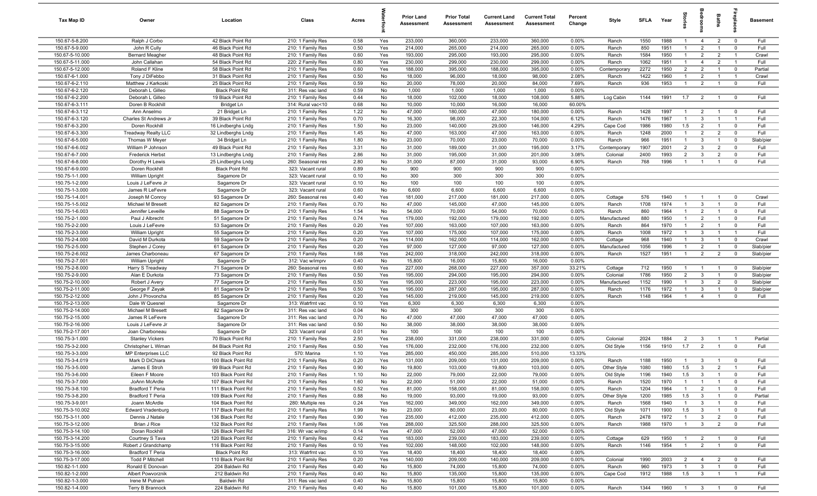| Tax Map ID                         | Owner                                     | Location                                   | Class                                  | Acres        |            | <b>Prior Land</b><br><b>Assessment</b> | <b>Prior Total</b><br>Assessment | <b>Current Land</b><br>Assessment | <b>Current Total</b><br><b>Assessment</b> | Percent<br>Change | Style                | SFLA         | Year         |                                  |                                         | Baths                            |                            | <b>Basement</b>   |
|------------------------------------|-------------------------------------------|--------------------------------------------|----------------------------------------|--------------|------------|----------------------------------------|----------------------------------|-----------------------------------|-------------------------------------------|-------------------|----------------------|--------------|--------------|----------------------------------|-----------------------------------------|----------------------------------|----------------------------|-------------------|
| 150.67-5-8.200                     | Ralph J Corbo                             | 42 Black Point Rd                          | 210: 1 Family Res                      | 0.58         | Yes        | 233,000                                | 360,000                          | 233,000                           | 360,000                                   | 0.00%             | Ranch                | 1550         | 1988         | $\mathbf{1}$                     | $\overline{4}$                          | $\overline{2}$                   | $\overline{0}$             | Full              |
| 150.67-5-9.000                     | John R Cully                              | 46 Black Point Rd                          | 210: 1 Family Res                      | 0.50         | Yes        | 214,000                                | 265,000                          | 214,000                           | 265,000                                   | 0.00%             | Ranch                | 850          | 1951         | $\overline{1}$                   | $\overline{2}$                          |                                  | $\mathbf 0$                | Full              |
| 150.67-5-10.000                    | <b>Bernard Meagher</b>                    | 48 Black Point Rd                          | 210: 1 Family Res                      | 0.60         | Yes        | 193,000                                | 295,000                          | 193,000                           | 295,000                                   | 0.00%             | Ranch                | 1584         | 1950         |                                  | $\overline{2}$                          | $\overline{2}$                   | $\overline{1}$             | Crawl             |
| 150.67-5-11.000                    | John Callahan                             | 54 Black Point Rd                          | 220: 2 Family Res                      | 0.80         | Yes        | 230,000                                | 299,000                          | 230,000                           | 299,000                                   | 0.00%             | Ranch                | 1062         | 1951         | $\mathbf{1}$                     | $\overline{4}$                          | $\overline{2}$                   | $\overline{1}$             | Full              |
| 150.67-5-12.000                    | Roland F Kline                            | 58 Black Point Rd                          | 210: 1 Family Res                      | 0.60         | Yes        | 188,000                                | 395,000                          | 188,000                           | 395,000                                   | 0.00%             | Contemporary         | 2272         | 1950         | $\overline{2}$                   | $\overline{2}$                          |                                  | $\mathbf 0$                | Partial           |
| 150.67-6-1.000                     | Tony J DiFebbo                            | 31 Black Point Rd                          | 210: 1 Family Res                      | 0.50         | No<br>No   | 18,000                                 | 96,000                           | 18,000<br>20,000                  | 98,000                                    | 2.08%<br>7.69%    | Ranch                | 1422         | 1960<br>1953 | $\mathbf{1}$                     | $\overline{2}$<br>$\overline{2}$        | $\mathbf{1}$                     | - 1<br>$\overline{0}$      | Crawl<br>Full     |
| 150.67-6-2.110<br>150.67-6-2.120   | Matthew J Karkoski<br>Deborah L Gilleo    | 25 Black Point Rd<br><b>Black Point Rd</b> | 210: 1 Family Res<br>311: Res vac land | 0.59<br>0.59 | No         | 20,000<br>1,000                        | 78,000<br>1,000                  | 1,000                             | 84,000<br>1,000                           | 0.00%             | Ranch                | 936          |              |                                  |                                         |                                  |                            |                   |
| 150.67-6-2.200                     | Deborah L Gilleo                          | 19 Black Point Rd                          | 210: 1 Family Res                      | 0.44         | No         | 18,000                                 | 102,000                          | 18,000                            | 108,000                                   | 5.88%             | Log Cabin            | 1144         | 1991         | 1.7                              | $\overline{2}$                          | $\overline{1}$                   | $\overline{\mathbf{0}}$    | Full              |
| 150.67-6-3.111                     | Doren B Rockhill                          | Bridget Ln                                 | 314: Rural vac<10                      | 0.68         | No         | 10,000                                 | 10,000                           | 16,000                            | 16,000                                    | 60.00%            |                      |              |              |                                  |                                         |                                  |                            |                   |
| 150.67-6-3.112                     | Ann Anselmo                               | 21 Bridget Ln                              | 210: 1 Family Res                      | 1.22         | No         | 47,000                                 | 180,000                          | 47,000                            | 180,000                                   | 0.00%             | Ranch                | 1428         | 1997         | $\overline{1}$                   | $\overline{2}$                          | $\overline{1}$                   | $\mathbf 0$                | Full              |
| 150.67-6-3.120                     | Charles St Andrews Jr                     | 39 Black Point Rd                          | 210: 1 Family Res                      | 0.70         | No         | 16,300                                 | 98,000                           | 22,300                            | 104,000                                   | 6.12%             | Ranch                | 1476         | 1967         | $\overline{1}$                   | $\mathbf{3}$                            | $\overline{1}$                   | $\overline{1}$             | Full              |
| 150.67-6-3.200                     | Doren Rockhill                            | 16 Lindberghs Lndg                         | 210: 1 Family Res                      | 1.50         | No         | 23,000                                 | 140,000                          | 29,000                            | 146,000                                   | 4.29%             | Cape Cod             | 1986         | 1980         | 1.5                              | $\overline{2}$                          | $\overline{1}$                   | $\mathbf 0$                | Full              |
| 150.67-6-3.300                     | Treadway Realty LLC                       | 32 Lindberghs Lndg                         | 210: 1 Family Res                      | 1.45         | No         | 47,000                                 | 163,000                          | 47,000                            | 163,000                                   | 0.00%             | Ranch                | 1248         | 2000         | $\mathbf{1}$                     | $\overline{2}$                          | $\overline{2}$                   | $\mathbf 0$                | Full              |
| 150.67-6-5.000                     | Thomas W Meyer                            | 34 Bridget Ln                              | 210: 1 Family Res                      | 1.80         | No         | 23,000                                 | 70,000                           | 23,000                            | 70,000                                    | 0.00%             | Ranch                | 966          | 1951         | $\mathbf{1}$                     | $\mathbf{3}$                            |                                  | $\mathbf 0$                | Slab/pier         |
| 150.67-6-6.002                     | William P Johnson                         | 49 Black Point Rd                          | 210: 1 Family Res                      | 3.31         | No         | 31,000                                 | 189,000                          | 31,000                            | 195,000                                   | 3.17%             | Contemporary         | 1907         | 2001         | $\overline{2}$                   | $\mathbf{3}$                            | $\overline{2}$                   | $\mathbf 0$                | Full              |
| 150.67-6-7.000                     | <b>Frederick Herbst</b>                   | 13 Lindberghs Lndg                         | 210: 1 Family Res                      | 2.86         | No         | 31,000                                 | 195,000                          | 31,000                            | 201,000                                   | 3.08%             | Colonial             | 2400         | 1993         | $\overline{2}$                   | $\overline{3}$                          | $\overline{2}$                   | $\mathbf 0$                | Full              |
| 150.67-6-8.000                     | Dorothy H Lewis                           | 25 Lindberghs Lndg                         | 260: Seasonal res                      | 2.80         | No         | 31,000                                 | 87,000                           | 31,000                            | 93,000                                    | 6.90%             | Ranch                | 768          | 1996         | $\mathbf{1}$                     | $\overline{1}$                          |                                  | $^{\circ}$                 | Full              |
| 150.67-6-9.000                     | Doren Rockhill                            | <b>Black Point Rd</b>                      | 323: Vacant rural                      | 0.89         | No         | 900                                    | 900                              | 900                               | 900                                       | 0.00%             |                      |              |              |                                  |                                         |                                  |                            |                   |
| 150.75-1-1.000                     | <b>William Upright</b>                    | Sagamore Dr                                | 323: Vacant rural                      | 0.10         | No         | 300                                    | 300                              | 300                               | 300                                       | 0.00%             |                      |              |              |                                  |                                         |                                  |                            |                   |
| 150.75-1-2.000<br>150.75-1-3.000   | Louis J LeFevre Jr<br>James R LeFevre     | Sagamore Dr<br>Sagamore Dr                 | 323: Vacant rural<br>323: Vacant rural | 0.10<br>0.60 | No<br>No   | 100<br>6,600                           | 100<br>6,600                     | 100<br>6,600                      | 100<br>6,600                              | 0.00%<br>0.00%    |                      |              |              |                                  |                                         |                                  |                            |                   |
| 150.75-1-4.001                     | Joseph M Conroy                           | 93 Sagamore Dr                             | 260: Seasonal res                      | 0.40         | Yes        | 181,000                                | 217,000                          | 181,000                           | 217,000                                   | 0.00%             | Cottage              | 576          | 1940         | $\overline{1}$                   | $\overline{1}$                          | $\overline{1}$                   | $\mathbf 0$                | Crawl             |
| 150.75-1-5.002                     | Michael M Bresett                         | 82 Sagamore Dr                             | 210: 1 Family Res                      | 0.70         | No         | 47,000                                 | 145,000                          | 47,000                            | 145,000                                   | 0.00%             | Ranch                | 1708         | 1974         | $\mathbf{1}$                     | $\mathbf{3}$                            | $\overline{1}$                   | $\mathbf 0$                | Full              |
| 150.75-1-6.003                     | Jennifer Leveille                         | 88 Sagamore Dr                             | 210: 1 Family Res                      | 1.54         | No         | 54,000                                 | 70,000                           | 54,000                            | 70,000                                    | 0.00%             | Ranch                | 860          | 1964         | $\mathbf{1}$                     | $\overline{2}$                          | $\mathbf{1}$                     | $\mathbf 0$                | Full              |
| 150.75-2-1.000                     | Paul J Albrecht                           | 51 Sagamore Dr                             | 210: 1 Family Res                      | 0.74         | Yes        | 179,000                                | 192,000                          | 179,000                           | 192,000                                   | 0.00%             | Manufactured         | 880          | 1950         | $\overline{1}$                   | $\overline{2}$                          |                                  | $\mathbf 0$                | Full              |
| 150.75-2-2.000                     | Louis J LeFevre                           | 53 Sagamore Dr                             | 210: 1 Family Res                      | 0.20         | Yes        | 107,000                                | 163,000                          | 107,000                           | 163,000                                   | 0.00%             | Ranch                | 864          | 1970         | $\mathbf{1}$                     | $\overline{2}$                          | $\mathbf{1}$                     | $\mathbf 0$                | Full              |
| 150.75-2-3.000                     | William Upright                           | 55 Sagamore Dr                             | 210: 1 Family Res                      | 0.20         | Yes        | 107,000                                | 175,000                          | 107,000                           | 175,000                                   | 0.00%             | Ranch                | 1008         | 1972         | $\mathbf{1}$                     | $\overline{3}$                          |                                  | $\overline{1}$             | Full              |
| 150.75-2-4.000                     | David M Durkota                           | 59 Sagamore Dr                             | 210: 1 Family Res                      | 0.20         | Yes        | 114,000                                | 162,000                          | 114,000                           | 162,000                                   | 0.00%             | Cottage              | 968          | 1940         |                                  | 3                                       |                                  | $\mathbf 0$                | Crawl             |
| 150.75-2-5.000                     | Stephen J Corey                           | 61 Sagamore Dr                             | 210: 1 Family Res                      | 0.20         | Yes        | 97,000                                 | 127,000                          | 97,000                            | 127,000                                   | 0.00%             | Manufactured         | 1056         | 1996         |                                  | $\overline{2}$                          |                                  | $\mathbf 0$                | Slab/pier         |
| 150.75-2-6.002                     | James Charboneau                          | 67 Sagamore Dr                             | 210: 1 Family Res                      | 1.68         | Yes        | 242,000                                | 318,000                          | 242,000                           | 318,000                                   | 0.00%             | Ranch                | 1527         | 1951         |                                  | $\overline{2}$                          | $\overline{2}$                   | $\mathbf 0$                | Slab/pier         |
| 150.75-2-7.001                     | William Upright                           | Sagamore Dr                                | 312: Vac w/imprv                       | 0.40         | No         | 15,800                                 | 16,000                           | 15,800                            | 16,000                                    | 0.00%             |                      |              |              |                                  |                                         |                                  |                            |                   |
| 150.75-2-8.000                     | Harry S Treadway                          | 71 Sagamore Dr                             | 260: Seasonal res                      | 0.60         | Yes        | 227,000                                | 268,000                          | 227,000                           | 357,000                                   | 33.21%            | Cottage              | 712          | 1950         | $\overline{1}$                   | $\overline{1}$                          | $\overline{1}$                   | $\mathbf 0$                | Slab/pier         |
| 150.75-2-9.000                     | Alan E Durkota                            | 73 Sagamore Dr                             | 210: 1 Family Res                      | 0.50         | Yes        | 195,000                                | 294,000                          | 195,000                           | 294,000                                   | 0.00%             | Colonial             | 1786         | 1950         | $\overline{2}$                   | $\mathbf{3}$                            | $\overline{1}$                   | $\mathbf 0$                | Slab/pier         |
| 150.75-2-10.000                    | Robert J Avery                            | 77 Sagamore Dr                             | 210: 1 Family Res                      | 0.50         | Yes        | 195,000                                | 223,000                          | 195,000                           | 223,000                                   | 0.00%             | Manufactured         | 1152         | 1990         | $\overline{1}$<br>$\overline{1}$ | $\mathbf{3}$                            | $\overline{2}$<br>$\overline{1}$ | $\overline{0}$             | Slab/pier         |
| 150.75-2-11.000<br>150.75-2-12.000 | George F Zeyak                            | 81 Sagamore Dr                             | 210: 1 Family Res                      | 0.50<br>0.20 | Yes        | 195,000<br>145,000                     | 287,000<br>219,000               | 195,000                           | 287,000<br>219,000                        | 0.00%<br>0.00%    | Ranch<br>Ranch       | 1176<br>1148 | 1972<br>1964 | $\overline{1}$                   | $\mathbf{3}$<br>$\overline{4}$          | $\overline{1}$                   | $\mathbf 0$<br>$\mathbf 0$ | Slab/pier<br>Full |
| 150.75-2-13.000                    | John J Provoncha<br>Dale W Quesnel        | 85 Sagamore Dr<br>Sagamore Dr              | 210: 1 Family Res<br>313: Watrfrnt vac | 0.10         | Yes<br>Yes | 6,300                                  | 6,300                            | 145,000<br>6,300                  | 6,300                                     | 0.00%             |                      |              |              |                                  |                                         |                                  |                            |                   |
| 150.75-2-14.000                    | Michael M Bresett                         | 82 Sagamore Dr                             | 311: Res vac land                      | 0.04         | No         | 300                                    | 300                              | 300                               | 300                                       | 0.00%             |                      |              |              |                                  |                                         |                                  |                            |                   |
| 150.75-2-15.000                    | James R LeFevre                           | Sagamore Dr                                | 311: Res vac land                      | 0.70         | No         | 47,000                                 | 47,000                           | 47,000                            | 47,000                                    | 0.00%             |                      |              |              |                                  |                                         |                                  |                            |                   |
| 150.75-2-16.000                    | Louis J LeFevre Jr                        | Sagamore Dr                                | 311: Res vac land                      | 0.50         | No         | 38,000                                 | 38,000                           | 38,000                            | 38,000                                    | 0.00%             |                      |              |              |                                  |                                         |                                  |                            |                   |
| 150.75-2-17.001                    | Joan Charboneau                           | Sagamore Dr                                | 323: Vacant rural                      | 0.01         | No         | 100                                    | 100                              | 100                               | 100                                       | 0.00%             |                      |              |              |                                  |                                         |                                  |                            |                   |
| 150.75-3-1.000                     | <b>Stanley Vickers</b>                    | 70 Black Point Rd                          | 210: 1 Family Res                      | 2.50         | Yes        | 238,000                                | 331,000                          | 238,000                           | 331,000                                   | 0.00%             | Colonial             | 2024         | 1884         | $\overline{2}$                   | $\mathbf{3}$                            |                                  | - 1                        | Partial           |
| 150.75-3-2.000                     | Christopher L Wiman                       | 84 Black Point Rd                          | 210: 1 Family Res                      | 0.50         | Yes        | 176,000                                | 232,000                          | 176,000                           | 232,000                                   | 0.00%             | Old Style            | 1156         | 1910         | 1.7                              | $\overline{2}$                          |                                  | $^{\circ}$                 | Full              |
| 150.75-3-3.000                     | MP Enterprises LLC                        | 92 Black Point Rd                          | 570: Marina                            | 1.10         | Yes        | 285,000                                | 450,000                          | 285,000                           | 510,000                                   | 13.33%            |                      |              |              |                                  |                                         |                                  |                            |                   |
| 150.75-3-4.019                     | Mark D DiChiara                           | 100 Black Point Rd                         | 210: 1 Family Res                      | 0.20         | Yes        | 131,000                                | 209,000                          | 131,000                           | 209,000                                   | 0.00%             | Ranch                | 1188         | 1950         | $\overline{1}$                   | $\mathbf{3}$                            |                                  | $\mathbf 0$                | Full              |
| 150.75-3-5.000                     | James E Stroh                             | 99 Black Point Rd                          | 210: 1 Family Res                      | 0.90         | No         | 19,800                                 | 103,000                          | 19,800                            | 103,000                                   | 0.00%             | Other Style          | 1080         | 1980         | 1.5                              | $\mathbf{3}$                            | $\overline{2}$                   |                            | Full              |
| 150.75-3-6.000                     | Eileen F Moore                            | 103 Black Point Rd                         | 210: 1 Family Res                      | 1.10         | No         | 22,000                                 | 79,000                           | 22,000                            | 79,000                                    | 0.00%             | Old Style            | 1196         | 1940         | 1.5                              | $\mathbf{3}$                            | $\overline{1}$                   | $\overline{0}$             | Full              |
| 150.75-3-7.000                     | JoAnn McArdle                             | 107 Black Point Rd                         | 210: 1 Family Res                      | 1.60         | No         | 22,000                                 | 51,000                           | 22,000                            | 51,000                                    | 0.00%             | Ranch                | 1520         | 1970         | $\overline{1}$                   | $\overline{1}$                          | $\overline{1}$                   | $\mathbf 0$                | Full              |
| 150.75-3-8.100                     | <b>Bradford T Peria</b>                   | 111 Black Point Rd                         | 210: 1 Family Res                      | 0.52         | Yes        | 81,000                                 | 158,000                          | 81,000                            | 158,000                                   | 0.00%             | Ranch                | 1204         | 1964         | $\overline{1}$                   | $\overline{2}$                          | $\overline{1}$                   | $\mathbf 0$                | Full              |
| 150.75-3-8.200<br>150.75-3-9.001   | Bradford T Peria                          | 109 Black Point Rd<br>104 Black Point Rd   | 210: 1 Family Res<br>280: Multiple res | 0.88<br>0.24 | No<br>Yes  | 19,000<br>162,000                      | 93,000<br>349,000                | 19,000<br>162,000                 | 93,000<br>349,000                         | 0.00%<br>0.00%    | Other Style<br>Ranch | 1200         | 1985<br>1940 | 1.5<br>$\overline{1}$            | $\overline{\mathbf{3}}$<br>$\mathbf{3}$ | $\overline{1}$<br>$\mathbf{1}$   | $\mathbf 0$<br>$\mathbf 0$ | Partial<br>Full   |
| 150.75-3-10.002                    | Joann McArdle<br><b>Edward Vradenburg</b> | 117 Black Point Rd                         | 210: 1 Family Res                      | 1.99         | No         | 23,000                                 | 80,000                           | 23,000                            | 80,000                                    | 0.00%             | Old Style            | 1568<br>1071 | 1900         | 1.5                              | $\mathbf{3}$                            | $\mathbf{1}$                     | $\overline{0}$             | Full              |
| 150.75-3-11.000                    | Dennis J Natale                           | 136 Black Point Rd                         | 210: 1 Family Res                      | 0.90         | Yes        | 235,000                                | 412,000                          | 235,000                           | 412,000                                   | 0.00%             | Ranch                | 2478         | 1972         | $\mathbf{1}$                     | $\mathbf{3}$                            | $\overline{2}$                   | $\mathbf 0$                | Full              |
| 150.75-3-12.000                    | Brian J Rice                              | 132 Black Point Rd                         | 210: 1 Family Res                      | 1.06         | Yes        | 288,000                                | 325,500                          | 288,000                           | 325,500                                   | 0.00%             | Ranch                | 1988         | 1970         | $\overline{1}$                   | $\mathbf{3}$                            | $\overline{2}$                   | $\mathbf 0$                | Full              |
| 150.75-3-14.100                    | Doran Rockhill                            | 126 Black Point Rd                         | 316: Wr vac w/imp                      | 0.14         | Yes        | 47,000                                 | 52,000                           | 47,000                            | 52,000                                    | 0.00%             |                      |              |              |                                  |                                         |                                  |                            |                   |
| 150.75-3-14.200                    | Courtney S Tava                           | 120 Black Point Rd                         | 210: 1 Family Res                      | 0.42         | Yes        | 183,000                                | 239,000                          | 183,000                           | 239,000                                   | 0.00%             | Cottage              | 629          | 1950         |                                  | $\overline{2}$                          | $\overline{1}$                   | $\overline{\mathbf{0}}$    | Full              |
| 150.75-3-15.000                    | Robert J Grandchamp                       | 116 Black Point Rd                         | 210: 1 Family Res                      | 0.10         | Yes        | 102,000                                | 148,000                          | 102,000                           | 148,000                                   | 0.00%             | Ranch                | 1146         | 1954         | $\overline{1}$                   | $\overline{2}$                          | $\overline{1}$                   | $\overline{0}$             | Full              |
| 150.75-3-16.000                    | <b>Bradford T Peria</b>                   | <b>Black Point Rd</b>                      | 313: Watrfrnt vac                      | 0.10         | Yes        | 18,400                                 | 18,400                           | 18,400                            | 18,400                                    | 0.00%             |                      |              |              |                                  |                                         |                                  |                            |                   |
| 150.75-3-17.000                    | <b>Todd P Mitchell</b>                    | 110 Black Point Rd                         | 210: 1 Family Res                      | 0.20         | Yes        | 140,000                                | 209,000                          | 140,000                           | 209,000                                   | 0.00%             | Colonial             | 1990         | 2003         | $\overline{2}$                   | $\overline{4}$                          | $\overline{2}$                   | $\overline{0}$             | Full              |
| 150.82-1-1.000                     | Ronald E Donovan                          | 204 Baldwin Rd                             | 210: 1 Family Res                      | 0.40         | No         | 15,800                                 | 74,000                           | 15,800                            | 74,000                                    | 0.00%             | Ranch                | 960          | 1973         | $\overline{1}$                   | $\mathbf{3}$                            | $\mathbf{1}$                     | $\mathbf 0$                | Full              |
| 150.82-1-2.000                     | Albert Powvorznik                         | 212 Baldwin Rd                             | 210: 1 Family Res                      | 0.40         | No         | 15,800                                 | 135,000                          | 15,800                            | 135,000                                   | 0.00%             | Cape Cod             | 1912         | 1988         | 1.5                              | $\overline{\mathbf{3}}$                 | $\overline{1}$                   | $\overline{1}$             | Full              |
| 150.82-1-3.000                     | Irene M Putnam                            | <b>Baldwin Rd</b>                          | 311: Res vac land                      | 0.40         | No         | 15,800                                 | 15,800                           | 15,800                            | 15,800                                    | 0.00%             |                      |              |              |                                  |                                         |                                  |                            |                   |
| 150.82-1-4.000                     | Terry B Brannock                          | 224 Baldwin Rd                             | 210: 1 Family Res                      | 0.40         | No         | 15,800                                 | 101,000                          | 15,800                            | 101,000                                   | 0.00%             | Ranch                | 1344         | 1960         |                                  | $1 \quad 3 \quad 1$                     |                                  | $\overline{\mathbf{0}}$    | Full              |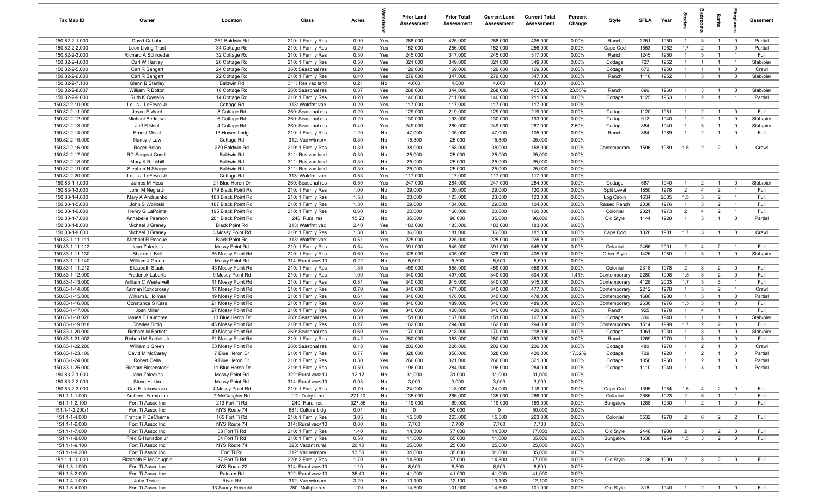| Tax Map ID                         | Owner                                | Location                                 | Class                                  | Acres        |            | <b>Prior Land</b><br>Assessment | <b>Prior Total</b><br>Assessment | <b>Current Land</b><br>Assessment | <b>Current Total</b><br>Assessment | Percent<br>Change | Style                        | SFI A        | Year         | $\frac{1}{2}$                    |                              | Baths                            |                                  | Basement             |
|------------------------------------|--------------------------------------|------------------------------------------|----------------------------------------|--------------|------------|---------------------------------|----------------------------------|-----------------------------------|------------------------------------|-------------------|------------------------------|--------------|--------------|----------------------------------|------------------------------|----------------------------------|----------------------------------|----------------------|
| 150.82-2-1.000                     | David Cababe                         | 251 Baldwin Rd                           | 210: 1 Family Res                      | 0.90         | Yes        | 288,000                         | 425,000                          | 288,000                           | 425,000                            | $0.00\%$          | Ranch                        | 2251         | 1950         | $\overline{1}$                   | $\mathbf{3}$                 | $\overline{1}$                   | $\overline{\mathbf{0}}$          | Partial              |
| 150.82-2-2.000                     | Leon Living Trust                    | 34 Cottage Rd                            | 210: 1 Family Res                      | 0.20         | Yes        | 152,000                         | 256,000                          | 152,000                           | 256,000                            | 0.00%             | Cape Cod                     | 1553         | 1962         | 1.7                              | $\overline{2}$               | $\overline{1}$                   | $\mathbf 0$                      | Partial              |
| 150.82-2-3.000                     | Richard A Schroeder                  | 32 Cottage Rd                            | 210: 1 Family Res                      | 0.30         | Yes        | 245,000                         | 317,000                          | 245,000                           | 317,000                            | 0.00%             | Ranch                        | 1245         | 1950         | $\mathbf{1}$                     | $\mathbf{3}$                 | $\overline{1}$                   | $\overline{1}$                   | Full                 |
| 150.82-2-4.000                     | Carl W Hartley                       | 26 Cottage Rd                            | 210: 1 Family Res                      | 0.50         | Yes        | 321,000                         | 349,000                          | 321,000                           | 349,000                            | 0.00%             | Cottage                      | 727          | 1952         | $\mathbf{1}$                     | $\overline{1}$               | $\overline{1}$                   | $\overline{1}$                   | Slab/pier            |
| 150.82-2-5.000                     | Carl R Bangert                       | 24 Cottage Rd                            | 260: Seasonal res                      | 0.20         | Yes        | 129,000                         | 169,000                          | 129,000                           | 169,000                            | 0.00%             | Cottage                      | 672          | 1950         | $\mathbf{1}$                     | $\overline{1}$               | $\overline{1}$                   | $\mathbf 0$                      | Crawl                |
| 150.82-2-6.000                     | Carl R Bangert                       | 22 Cottage Rd                            | 210: 1 Family Res                      | 0.40         | Yes        | 279,000                         | 347,000                          | 279,000                           | 347,000                            | 0.00%             | Ranch                        | 1116         | 1952         | $\mathbf{1}$                     | $\mathbf{3}$                 |                                  | $\mathbf 0$                      | Slab/pier            |
| 150.82-2-7.100                     | Glenn B Stanley                      | <b>Baldwin Rd</b>                        | 311: Res vac land                      | 0.21         | No<br>Yes  | 4,600<br>268,000                | 4,600                            | 4,600                             | 4,600<br>425,000                   | 0.00%             |                              | 896          | 1960         |                                  |                              |                                  |                                  |                      |
| 150.82-2-8.007<br>150.82-2-9.000   | William R Bolton<br>Ruth K Costello  | 16 Cottage Rd                            | 260: Seasonal res                      | 0.37<br>0.20 | Yes        | 140,000                         | 344,000<br>211,000               | 268,000<br>140,000                | 211,000                            | 23.55%<br>0.00%   | Ranch                        | 1125         | 1953         | $\mathbf{1}$<br>$\mathbf{1}$     | -3<br>$\overline{2}$         | $\overline{1}$<br>$\overline{1}$ | $\mathbf 0$<br>$\overline{1}$    | Slab/pier<br>Partial |
| 150.82-2-10.000                    | Louis J LeFevre Jr                   | 14 Cottage Rd<br>Cottage Rd              | 210: 1 Family Res<br>313: Watrfrnt vac | 0.20         | Yes        | 117,000                         | 117,000                          | 117,000                           | 117,000                            | 0.00%             | Cottage                      |              |              |                                  |                              |                                  |                                  |                      |
| 150.82-2-11.000                    | Joyce E Ward                         | 8 Cottage Rd                             | 260: Seasonal res                      | 0.20         | Yes        | 129,000                         | 219,000                          | 129,000                           | 219,000                            | 0.00%             | Cottage                      | 1120         | 1951         | $\overline{1}$                   | $\overline{2}$               | $\overline{1}$                   | $\overline{0}$                   | Full                 |
| 150.82-2-12.000                    | Michael Beddows                      | 6 Cottage Rd                             | 260: Seasonal res                      | 0.20         | Yes        | 130,000                         | 193,000                          | 130,000                           | 193,000                            | 0.00%             | Cottage                      | 912          | 1940         | $\overline{1}$                   | $\overline{2}$               | $\overline{1}$                   | $\mathbf 0$                      | Slab/pier            |
| 150.82-2-13.000                    | Jeff R Noel                          | 4 Cottage Rd                             | 260: Seasonal res                      | 0.40         | Yes        | 249,000                         | 280,000                          | 249,000                           | 287,000                            | 2.50%             | Cottage                      | 864          | 1940         | $\overline{1}$                   | $\mathbf{3}$                 | $\overline{1}$                   | $\mathbf 0$                      | Slab/pier            |
| 150.82-2-14.000                    | <b>Ernest Mossl</b>                  | 13 Howes Lndg                            | 210: 1 Family Res                      | 1.20         | No         | 47,000                          | 105,000                          | 47,000                            | 105,000                            | 0.00%             | Ranch                        | 864          | 1989         | $\overline{1}$                   | $\overline{2}$               | $\overline{1}$                   | $\mathbf 0$                      | Full                 |
| 150.82-2-15.000                    | Nancy J Law                          | Cottage Rd                               | 312: Vac w/imprv                       | 0.30         | No         | 15,300                          | 25,000                           | 15,300                            | 25,000                             | 0.00%             |                              |              |              |                                  |                              |                                  |                                  |                      |
| 150.82-2-16.000                    | Roger Bolon                          | 279 Baldwin Rd                           | 210: 1 Family Res                      | 0.30         | No         | 38,000                          | 158,000                          | 38,000                            | 158,000                            | 0.00%             | Contemporary                 | 1596         | 1989         | 1.5                              | $\overline{2}$               | $\overline{2}$                   | $\mathbf 0$                      | Crawl                |
| 150.82-2-17.000                    | <b>RD Sargent Condit</b>             | <b>Baldwin Rd</b>                        | 311: Res vac land                      | 0.30         | No         | 25,000                          | 25,000                           | 25,000                            | 25,000                             | 0.00%             |                              |              |              |                                  |                              |                                  |                                  |                      |
| 150.82-2-18.000                    | Mary K Rockhill                      | <b>Baldwin Rd</b>                        | 311: Res vac land                      | 0.30         | No         | 25,000                          | 25,000                           | 25,000                            | 25,000                             | 0.00%             |                              |              |              |                                  |                              |                                  |                                  |                      |
| 150.82-2-19.000                    | Stephen N Sharpe                     | <b>Baldwin Rd</b>                        | 311: Res vac land                      | 0.30         | No         | 25,000                          | 25,000                           | 25,000                            | 25,000                             | 0.00%             |                              |              |              |                                  |                              |                                  |                                  |                      |
| 150.82-2-20.000                    | Louis J LeFevre Jr                   | Cottage Rd                               | 313: Watrfrnt vac                      | 0.53         | Yes        | 117,000                         | 117,000                          | 117,000                           | 117,000                            | 0.00%             |                              |              |              |                                  |                              |                                  |                                  |                      |
| 150.83-1-1.000                     | James M Hess                         | 21 Blue Heron Dr                         | 260: Seasonal res                      | 0.50         | Yes        | 247,000                         | 284,000                          | 247,000                           | 284,000                            | 0.00%             | Cottage                      | 667          | 1940         | $\overline{1}$                   | $\overline{2}$               | $\overline{1}$                   | $\mathbf 0$                      | Slab/pier            |
| 150.83-1-3.000                     | John M Negra Jr                      | 179 Black Point Rd<br>183 Black Point Rd | 210: 1 Family Res                      | 1.00<br>1.58 | No<br>No   | 29,000<br>23,000                | 120,000                          | 29,000                            | 120,000                            | 0.00%             | Split Level                  | 1850<br>1634 | 1978<br>2005 | $\overline{2}$                   | $\overline{4}$               | $\overline{2}$                   | $\overline{1}$<br>$\overline{1}$ | Full<br>Full         |
| 150.83-1-4.000<br>150.83-1-5.000   | Mary A Andrushko<br>John S Wolinski  | 187 Black Point Rd                       | 210: 1 Family Res<br>210: 1 Family Res | 1.30         | No         | 29,000                          | 123,000<br>104,000               | 23,000<br>29,000                  | 123,000<br>104,000                 | 0.00%<br>0.00%    | Log Cabin<br>Raised Ranch    | 2038         | 1976         | 1.5<br>$\overline{1}$            | $\mathbf{3}$<br>$\mathbf{3}$ | $\overline{2}$<br>$\overline{2}$ | $\overline{1}$                   | Full                 |
| 150.83-1-6.000                     | Henry G LaPointe                     | 195 Black Point Rd                       | 210: 1 Family Res                      | 0.60         | No         | 20,000                          | 160,000                          | 20,000                            | 160,000                            | 0.00%             | Colonial                     | 2321         | 1973         | $\overline{2}$                   | $\overline{4}$               | $\overline{2}$                   | $\overline{1}$                   | Full                 |
| 150.83-1-7.000                     | Annabelle Pearson                    | 201 Black Point Rd                       | 240: Rural res                         | 15.20        | No         | 35,000                          | 96,000                           | 35,000                            | 96,000                             | 0.00%             | Old Style                    | 1144         | 1928         | $\overline{1}$                   | $\mathbf{3}$                 | $\overline{1}$                   | $\overline{0}$                   | Partial              |
| 150.83-1-8.000                     | Michael J Graney                     | <b>Black Point Rd</b>                    | 313: Watrfrnt vac                      | 2.40         | Yes        | 183,000                         | 183,000                          | 183,000                           | 183,000                            | 0.00%             |                              |              |              |                                  |                              |                                  |                                  |                      |
| 150.83-1-9.000                     | Michael J Graney                     | 3 Mossy Point Rd                         | 210: 1 Family Res                      | 1.30         | No         | 36,000                          | 181,000                          | 36,000                            | 181,000                            | 0.00%             | Cape Cod                     | 1826         | 1981         | 1.7                              | $\mathbf{3}$                 | $\overline{1}$                   | $\mathbf 0$                      | Crawl                |
| 150.83-1-11.111                    | Michael R Rocque                     | <b>Black Point Rd</b>                    | 313: Watrfrnt vac                      | 0.51         | Yes        | 225,000                         | 225,000                          | 225,000                           | 225,000                            | 0.00%             |                              |              |              |                                  |                              |                                  |                                  |                      |
| 150.83-1-11.112                    | Jean Zaleckas                        | Mossy Point Rd                           | 210: 1 Family Res                      | 0.54         | Yes        | 391,000                         | 645,000                          | 391,000                           | 645,000                            | 0.00%             | Colonial                     | 2456         | 2001         | $\overline{2}$                   | $\overline{4}$               | $\overline{2}$                   | $\overline{1}$                   | Full                 |
| 150.83-1-11.130                    | Sharon L Bell                        | 35 Mossy Point Rd                        | 210: 1 Family Res                      | 0.60         | Yes        | 328,000                         | 405,000                          | 328,000                           | 405,000                            | 0.00%             | Other Style                  | 1426         | 1980         | $\overline{1}$                   | $\mathbf{3}$                 | $\overline{1}$                   | $\mathbf 0$                      | Slab/pier            |
| 150.83-1-11.140                    | William J Green                      | Mossy Point Rd                           | 314: Rural vac<10                      | 0.22         | No         | 5,500                           | 5,500                            | 5,500                             | 5,500                              | 0.00%             |                              |              |              |                                  |                              |                                  |                                  |                      |
| 150.83-1-11.212                    | Elizabeth Staats                     | 43 Mossy Point Rd                        | 210: 1 Family Res                      | 1.35         | Yes        | 459,000                         | 558,000                          | 459,000                           | 558,000                            | 0.00%             | Colonial                     | 2318         | 1978         | $\overline{2}$                   | $\mathbf{3}$                 | $\overline{2}$                   | $\overline{0}$                   | Full                 |
| 150.83-1-12.000                    | Frederick Luberto                    | 9 Mossy Point Rd                         | 210: 1 Family Res                      | 1.00         | Yes        | 340,000                         | 497,000                          | 340,000                           | 504,000                            | 1.41%             | Contemporary                 | 2280         | 1998         | 1.5                              | $\mathbf{3}$                 | $\overline{2}$                   | $\mathbf 0$                      | Full                 |
| 150.83-1-13.000                    | William C Westervelt                 | 11 Mossy Point Rd                        | 210: 1 Family Res                      | 0.81         | Yes        | 340,000                         | 915,000                          | 340,000                           | 915,000                            | 0.00%             | Contemporary                 | 4128         | 2003         | 1.7                              | $\mathbf{3}$                 | $\mathbf{3}$                     | $\overline{1}$                   | Full                 |
| 150.83-1-14.000<br>150.83-1-15.000 | Kalman Kondorossy                    | 17 Mossy Point Rd                        | 210: 1 Family Res                      | 0.70<br>0.61 | Yes        | 340,000<br>340,000              | 477,000                          | 340,000                           | 477,000                            | 0.00%<br>0.00%    | Contemporary                 | 2212<br>1686 | 1978<br>1980 | $\overline{1}$<br>$\overline{1}$ | 3<br>3                       | $\overline{2}$<br>$\overline{1}$ | $\overline{1}$<br>$\mathbf 0$    | Crawl<br>Partial     |
| 150.83-1-16.000                    | William L Holmes<br>Constance S Kass | 19 Mossy Point Rd<br>21 Mossy Point Rd   | 210: 1 Family Res<br>210: 1 Family Res | 0.60         | Yes<br>Yes | 340,000                         | 478,000<br>489,000               | 340,000<br>340,000                | 478,000<br>489,000                 | 0.00%             | Contemporary<br>Contemporary | 2636         | 1976         | 1.5                              | $\mathbf{3}$                 | $\overline{1}$                   | $\mathbf 0$                      | Full                 |
| 150.83-1-17.000                    | Joan Miller                          | 27 Mossy Point Rd                        | 210: 1 Family Res                      | 0.60         | Yes        | 340,000                         | 420,000                          | 340,000                           | 420,000                            | 0.00%             | Ranch                        | 925          | 1978         | $\mathbf{1}$                     | $\overline{4}$               | $\overline{1}$                   | $\overline{1}$                   | Full                 |
| 150.83-1-18.026                    | James E Laundree                     | 13 Blue Heron Dr                         | 260: Seasonal res                      | 0.30         | Yes        | 151,000                         | 167,000                          | 151,000                           | 167,000                            | 0.00%             | Cottage                      | 336          | 1940         | $\mathbf{1}$                     | $\overline{1}$               | $\overline{1}$                   | $\mathbf 0$                      | Slab/pier            |
| 150.83-1-19.018                    | <b>Charles Dittig</b>                | 45 Mossy Point Rd                        | 210: 1 Family Res                      | 0.27         | Yes        | 162,000                         | 294,000                          | 162,000                           | 294,000                            | 0.00%             | Contemporary                 | 1514         | 1999         | 1.7                              | $\overline{2}$               | $\overline{2}$                   | $\mathbf 0$                      | Full                 |
| 150.83-1-20.000                    | Richard M Bartlett                   | 49 Mossy Point Rd                        | 260: Seasonal res                      | 0.60         | Yes        | 170,000                         | 218,000                          | 170,000                           | 218,000                            | 0.00%             | Cottage                      | 1061         | 1930         | $\mathbf{1}$                     | $\mathbf{3}$                 | $\overline{1}$                   | $\mathbf 0$                      | Slab/pier            |
| 150.83-1-21.002                    | Richard M Bartlett Jr                | 51 Mossy Point Rd                        | 210: 1 Family Res                      | 0.42         | Yes        | 280,000                         | 383,000                          | 280,000                           | 383,000                            | 0.00%             | Ranch                        | 1269         | 1970         | $\mathbf{1}$                     | 3                            | $\mathbf{1}$                     | $\mathbf 0$                      | Full                 |
| 150.83-1-22.200                    | William J Green                      | 53 Mossy Point Rd                        | 260: Seasonal res                      | 0.18         | Yes        | 202,000                         | 226,000                          | 202,000                           | 226,000                            | 0.00%             | Cottage                      | 480          | 1970         | $\mathbf{1}$                     | $\overline{2}$               | $\overline{1}$                   | $\mathbf 0$                      | Crawl                |
| 150.83-1-23.100                    | David M McCarey                      | 7 Blue Heron Dr                          | 210: 1 Family Res                      | 0.77         | Yes        | 328,000                         | 358,000                          | 328,000                           | 420,000                            | 17.32%            | Cottage                      | 729          | 1920         | $\mathbf{1}$                     | $\overline{2}$               | $\mathbf{1}$                     | $^{\circ}$                       | Partial              |
| 150.83-1-24.000                    | Robert Cella                         | 9 Blue Heron Dr                          | 210: 1 Family Res                      | 0.30         | Yes        | 266,000                         | 321,000                          | 266,000                           | 321,000                            | 0.00%             | Cottage                      | 1056         | 1950         | $\mathbf{1}$                     | $\overline{2}$               | $\overline{1}$                   | $\mathbf 0$                      | Partial              |
| 150.83-1-25.000                    | <b>Richard Birkenstock</b>           | 11 Blue Heron Dr                         | 210: 1 Family Res                      | 0.50         | Yes        | 196,000                         | 284,000                          | 196,000                           | 284,000                            | 0.00%             | Cottage                      | 1110         | 1940         | $\overline{1}$                   | $\mathbf{R}$                 | $\overline{1}$                   |                                  | Partial              |
| 150.83-2-1.000                     | Jean Zaleckas<br>Steve Hakim         | Mossy Point Rd                           | 322: Rural vac>10                      | 12.12        | No         | 31,000                          | 31,000                           | 31,000                            | 31,000                             | 0.00%             |                              |              |              |                                  |                              |                                  |                                  |                      |
| 150.83-2-2.000<br>150.83-2-3.000   | Carl E Jakowenko                     | Mossy Point Rd<br>4 Mossy Point Rd       | 314: Rural vac<10<br>210: 1 Family Res | 0.93<br>0.70 | No<br>No   | 3,000<br>24,000                 | 3,000<br>118,000                 | 3,000<br>24,000                   | 3,000<br>118,000                   | 0.00%<br>0.00%    | Cape Cod                     | 1395         | 1984         | 1.5                              | $\overline{4}$               | $\overline{2}$                   | $\overline{0}$                   | Full                 |
| 151.1-1-1.000                      | Amherst Farms Inc                    | 7 McCaughin Rd                           | 112: Dairy farm                        | 271.10       | No         | 135,000                         | 266,000                          | 135,000                           | 266,000                            | 0.00%             | Colonial                     | 2586         | 1923         | $\overline{2}$                   | $5\overline{)}$              | $\overline{1}$                   | $\overline{1}$                   | Full                 |
| 151.1-1-2.100                      | Fort Ti Assoc Inc                    | 213 Fort Ti Rd                           | 240: Rural res                         | 327.55       | No         | 119,000                         | 169,000                          | 119,000                           | 169,000                            | 0.00%             | Bungalow                     | 1288         | 1930         | $\mathbf{1}$                     | $\overline{2}$               | $\overline{1}$                   | $\mathbf 0$                      | Full                 |
| 151.1-1-2.200/1                    | Fort Ti Assoc Inc                    | NYS Route 74                             | 681: Culture bldg                      | 0.01         | No         | $\mathbf 0$                     | 50,000                           | $\mathbf 0$                       | 50,000                             | 0.00%             |                              |              |              |                                  |                              |                                  |                                  |                      |
| 151.1-1-4.000                      | Francis P DeChame                    | 165 Fort Ti Rd                           | 210: 1 Family Res                      | 3.05         | No         | 15,500                          | 263,000                          | 15,500                            | 263,000                            | 0.00%             | Colonial                     | 3532         | 1970         | $\overline{2}$                   | 6                            | 2                                | $\overline{2}$                   | Full                 |
| 151.1-1-6.000                      | Fort Ti Assoc Inc                    | NYS Route 74                             | 314: Rural vac<10                      | 0.80         | No         | 7,700                           | 7,700                            | 7,700                             | 7,700                              | 0.00%             |                              |              |              |                                  |                              |                                  |                                  |                      |
| 151.1-1-7.000                      | Fort Ti Assoc Inc                    | 88 Fort Ti Rd                            | 210: 1 Family Res                      | 1.40         | No         | 14,300                          | 77,000                           | 14,300                            | 77,000                             | 0.00%             | Old Style                    | 2448         | 1930         | $\overline{2}$                   | 5                            | $\overline{2}$                   | $\overline{0}$                   | Full                 |
| 151.1-1-8.000                      | Fred G Hunsdon Jr                    | 84 Fort Ti Rd                            | 210: 1 Family Res                      | 0.50         | No         | 11,000                          | 65,000                           | 11,000                            | 65,000                             | 0.00%             | Bungalow                     | 1638         | 1964         | 1.5                              | $\overline{\mathbf{3}}$      | $\overline{2}$                   | $\overline{0}$                   | Full                 |
| 151.1-1-9.100                      | Fort Ti Assoc Inc                    | NYS Route 74                             | 323: Vacant rural                      | 20.40        | No         | 25,000                          | 25,000                           | 25,000                            | 25,000                             | 0.00%             |                              |              |              |                                  |                              |                                  |                                  |                      |
| 151.1-1-9.200                      | Fort Ti Assoc Inc                    | Fort Ti Rd                               | 312: Vac w/imprv                       | 13.50        | No         | 31,000                          | 35,000                           | 31,000                            | 35,000                             | 0.00%             |                              |              |              |                                  |                              |                                  |                                  |                      |
| 151.1-1-10.000                     | Elizabeth E McCaughin                | 37 Fort Ti Rd                            | 220: 2 Family Res                      | 1.70         | No         | 14,500                          | 77,000                           | 14,500                            | 77,000                             | 0.00%             | Old Style                    | 2136         | 1909         | $2 \t 3$                         |                              | $\overline{2}$                   | $\overline{0}$                   | Full                 |
| 151.1-3-1.000                      | Fort Ti Assoc Inc                    | NYS Route 22                             | 314: Rural vac<10                      | 1.10         | No         | 8,500                           | 8,500                            | 8,500                             | 8,500                              | 0.00%             |                              |              |              |                                  |                              |                                  |                                  |                      |
| 151.1-3-2.000                      | Fort Ti Assoc Inc                    | Putnam Rd                                | 322: Rural vac>10                      | 35.40        | No         | 41,000                          | 41,000                           | 41,000                            | 41,000                             | 0.00%             |                              |              |              |                                  |                              |                                  |                                  |                      |
| 151.1-4-1.000<br>151.1-5-4.000     | John Teriele<br>Fort Ti Assoc Inc    | River Rd<br>13 Sandy Redoubt             | 312: Vac w/imprv<br>280: Multiple res  | 3.20<br>1.70 | No<br>No   | 10,100<br>14,500                | 12,100<br>101,000                | 10,100<br>14,500                  | 12,100<br>101,000                  | 0.00%<br>0.00%    | Old Style                    | 816          | 1940 1 2 1 0 |                                  |                              |                                  |                                  | Full                 |
|                                    |                                      |                                          |                                        |              |            |                                 |                                  |                                   |                                    |                   |                              |              |              |                                  |                              |                                  |                                  |                      |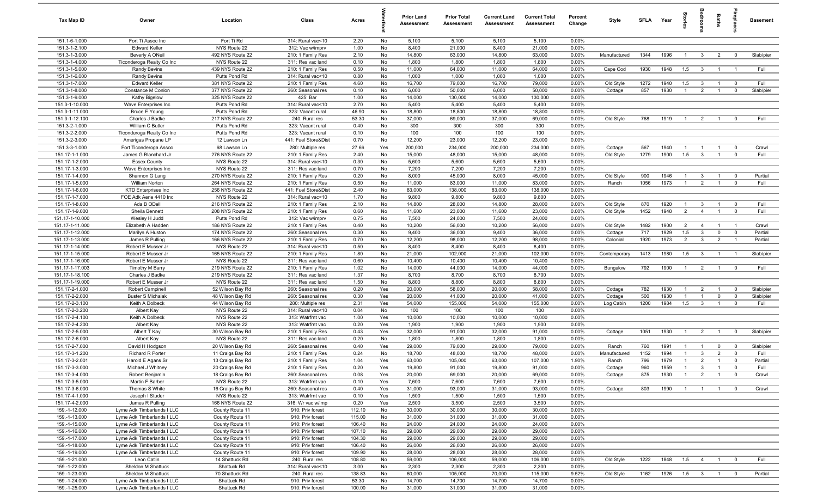| Tax Map ID                       | Owner                                                    | Location                             | Class                                  | Acres            |            | <b>Prior Land</b><br>Assessment | <b>Prior Total</b><br>Assessment | <b>Current Land</b><br>Assessment | <b>Current Total</b><br><b>Assessment</b> | Percent<br>Change | Style                  | SFI A       | Year         | <b>Stories</b>      | droom                          | Baths                          | epla                       | <b>Basement</b> |
|----------------------------------|----------------------------------------------------------|--------------------------------------|----------------------------------------|------------------|------------|---------------------------------|----------------------------------|-----------------------------------|-------------------------------------------|-------------------|------------------------|-------------|--------------|---------------------|--------------------------------|--------------------------------|----------------------------|-----------------|
| 151.1-6-1.000                    | Fort Ti Assoc Inc                                        | Fort Ti Rd                           | 314: Rural vac<10                      | 2.20             | No         | 5,100                           | 5,100                            | 5,100                             | 5,100                                     | 0.00%             |                        |             |              |                     |                                |                                |                            |                 |
| 151.3-1-2.100                    | <b>Edward Keller</b>                                     | NYS Route 22                         | 312: Vac w/imprv                       | 1.00             | No         | 8,400                           | 21,000                           | 8,400                             | 21,000                                    | 0.00%             |                        |             |              |                     |                                |                                |                            |                 |
| 151.3-1-3.000                    | Beverly A ONeil                                          | 492 NYS Route 22                     | 210: 1 Family Res                      | 2.10             | No         | 14,800                          | 63,000                           | 14,800                            | 63,000                                    | 0.00%             | Manufactured           | 1344        | 1996         | $\overline{1}$      | $\mathbf{3}$                   | $\overline{2}$                 | $\mathbf 0$                | Slab/pier       |
| 151.3-1-4.000                    | Ticonderoga Realty Co Inc                                | NYS Route 22                         | 311: Res vac land                      | 0.10             | No         | 1,800                           | 1,800                            | 1,800                             | 1,800                                     | 0.00%             |                        |             |              |                     |                                |                                |                            |                 |
| 151.3-1-5.000                    | Randy Bevins                                             | 439 NYS Route 22                     | 210: 1 Family Res                      | 0.50             | No         | 11,000                          | 64,000                           | 11,000                            | 64,000                                    | 0.00%             | Cape Cod               | 1930        | 1948         | 1.5                 | $\overline{\mathbf{3}}$        | $\overline{1}$                 | $\overline{1}$             | Full            |
| 151.3-1-6.000<br>151.3-1-7.000   | Randy Bevins<br><b>Edward Keller</b>                     | Putts Pond Rd<br>381 NYS Route 22    | 314: Rural vac<10<br>210: 1 Family Res | 0.80<br>4.60     | No<br>No   | 1,000<br>16,700                 | 1,000<br>79,000                  | 1,000<br>16,700                   | 1,000<br>79,000                           | 0.00%<br>0.00%    | Old Style              | 1272        | 1940         | 1.5                 | $\mathbf{3}$                   | $\overline{1}$                 | $\mathbf 0$                | Full            |
| 151.3-1-8.000                    | Constance M Conlon                                       | 377 NYS Route 22                     | 260: Seasonal res                      | 0.10             | No         | 6,000                           | 50,000                           | 6,000                             | 50,000                                    | 0.00%             | Cottage                | 857         | 1930         |                     | $\overline{2}$                 |                                | $\mathbf 0$                | Slab/pier       |
| 151.3-1-9.000                    | Kathy Bigelow                                            | 325 NYS Route 22                     | 425: Bar                               | 1.00             | No         | 14,000                          | 130,000                          | 14,000                            | 130,000                                   | 0.00%             |                        |             |              |                     |                                |                                |                            |                 |
| 151.3-1-10.000                   | Wave Enterprises Inc                                     | Putts Pond Rd                        | 314: Rural vac<10                      | 2.70             | No         | 5,400                           | 5,400                            | 5,400                             | 5,400                                     | 0.00%             |                        |             |              |                     |                                |                                |                            |                 |
| 151.3-1-11.000                   | Bruce E Young                                            | Putts Pond Rd                        | 323: Vacant rural                      | 46.90            | No         | 18,800                          | 18,800                           | 18,800                            | 18,800                                    | 0.00%             |                        |             |              |                     |                                |                                |                            |                 |
| 151.3-1-12.100                   | Charles J Badke                                          | 217 NYS Route 22                     | 240: Rural res                         | 53.30            | No         | 37,000                          | 69,000                           | 37,000                            | 69,000                                    | 0.00%             | Old Style              | 768         | 1919         | $\overline{1}$      | $\overline{2}$                 | $\overline{1}$                 | $\mathbf 0$                | Full            |
| 151.3-2-1.000                    | William C Butler                                         | Putts Pond Rd                        | 323: Vacant rural                      | 0.40             | No         | 300                             | 300                              | 300                               | 300                                       | 0.00%             |                        |             |              |                     |                                |                                |                            |                 |
| 151.3-2-2.000                    | Ticonderoga Realty Co Inc                                | Putts Pond Rd                        | 323: Vacant rural                      | 0.10             | No         | 100                             | 100                              | 100                               | 100                                       | 0.00%             |                        |             |              |                     |                                |                                |                            |                 |
| 151.3-2-3.000                    | Amerigas Propane LP                                      | 12 Lawson Ln                         | 441: Fuel Store&Dist                   | 0.70             | No         | 12,200                          | 23,000                           | 12,200                            | 23,000                                    | 0.00%             |                        |             |              |                     |                                |                                |                            |                 |
| 151.3-3-1.000                    | Fort Ticonderoga Assoc                                   | 68 Lawson Ln                         | 280: Multiple res                      | 27.66            | Yes        | 200,000                         | 234,000                          | 200,000                           | 234,000                                   | 0.00%             | Cottage                | 567         | 1940         | $\mathbf{1}$        |                                |                                | $\mathbf 0$                | Crawl           |
| 151.17-1-1.000                   | James G Blanchard Jr                                     | 276 NYS Route 22                     | 210: 1 Family Res                      | 2.40             | No         | 15,000                          | 48,000                           | 15,000                            | 48,000                                    | 0.00%             | Old Style              | 1279        | 1900         | 1.5                 | $\mathbf{3}$                   |                                | $\mathbf 0$                | Full            |
| 151.17-1-2.000                   | <b>Essex County</b>                                      | NYS Route 22                         | 314: Rural vac<10                      | 0.30             | No         | 5,600                           | 5,600                            | 5,600                             | 5,600                                     | 0.00%             |                        |             |              |                     |                                |                                |                            |                 |
| 151.17-1-3.000                   | Wave Enterprises Inc                                     | NYS Route 22                         | 311: Res vac land                      | 0.70             | No         | 7,200                           | 7,200                            | 7,200                             | 7,200                                     | 0.00%             |                        |             |              |                     |                                |                                |                            |                 |
| 151.17-1-4.000                   | Shannon G Lang                                           | 270 NYS Route 22                     | 210: 1 Family Res                      | 0.20             | No         | 8,000                           | 45,000                           | 8,000                             | 45,000                                    | 0.00%             | Old Style              | 900         | 1946         |                     | $\mathbf{3}$                   |                                | $\mathbf 0$                | Partial         |
| 151.17-1-5.000                   | William Norton                                           | 264 NYS Route 22                     | 210: 1 Family Res                      | 0.50             | No         | 11,000                          | 83,000                           | 11,000                            | 83,000                                    | 0.00%             | Ranch                  | 1056        | 1973         |                     | $\overline{2}$                 |                                | $\mathbf 0$                | Full            |
| 151.17-1-6.000                   | <b>KTD Enterprises Inc</b>                               | 256 NYS Route 22                     | 441: Fuel Store&Dist                   | 2.40             | No         | 83,000                          | 138,000                          | 83,000                            | 138,000                                   | 0.00%             |                        |             |              |                     |                                |                                |                            |                 |
| 151.17-1-7.000                   | FOE Adk Aerie 4410 Inc                                   | NYS Route 22                         | 314: Rural vac<10                      | 1.70             | No         | 9,800                           | 9,800                            | 9,800                             | 9,800                                     | 0.00%             |                        |             |              |                     |                                |                                |                            |                 |
| 151.17-1-8.000<br>151.17-1-9.000 | Ada B ODell<br>Sheila Bennett                            | 216 NYS Route 22<br>208 NYS Route 22 | 210: 1 Family Res<br>210: 1 Family Res | 2.10<br>0.60     | No<br>No   | 14,800<br>11,600                | 28,000<br>23,000                 | 14,800<br>11,600                  | 28,000<br>23,000                          | 0.00%<br>0.00%    | Old Style<br>Old Style | 870<br>1452 | 1920<br>1948 | $\overline{1}$<br>2 | $\mathbf{3}$<br>$\overline{4}$ | $\mathbf{1}$<br>$\overline{1}$ | $\mathbf 0$<br>$\mathbf 0$ | Full<br>Full    |
| 151.17-1-10.000                  | Wesley H Judd                                            | Putts Pond Rd                        | 312: Vac w/imprv                       | 0.75             | No         | 7,500                           | 24,000                           | 7,500                             | 24,000                                    | 0.00%             |                        |             |              |                     |                                |                                |                            |                 |
| 151.17-1-11.000                  | Elizabeth A Hadden                                       | 186 NYS Route 22                     | 210: 1 Family Res                      | 0.40             | No         | 10,200                          | 56,000                           | 10,200                            | 56,000                                    | 0.00%             | Old Style              | 1482        | 1900         | $\overline{2}$      | $\overline{4}$                 | $\overline{1}$                 | $\overline{1}$             | Crawl           |
| 151.17-1-12.000                  | Marilyn A Huston                                         | 174 NYS Route 22                     | 260: Seasonal res                      | 0.30             | No         | 9,400                           | 36,000                           | 9,400                             | 36,000                                    | 0.00%             | Cottage                | 717         | 1929         | 1.5                 | $\mathbf{3}$                   | $\mathbf 0$                    | $\overline{0}$             | Partial         |
| 151.17-1-13.000                  | James R Pulling                                          | 166 NYS Route 22                     | 210: 1 Family Res                      | 0.70             | No         | 12,200                          | 98,000                           | 12,200                            | 98,000                                    | 0.00%             | Colonial               | 1920        | 1973         | 2                   | $\mathbf{3}$                   | 2                              | $\overline{1}$             | Partial         |
| 151.17-1-14.000                  | Robert E Musser Jr                                       | NYS Route 22                         | 314: Rural vac<10                      | 0.50             | No         | 8,400                           | 8,400                            | 8,400                             | 8,400                                     | 0.00%             |                        |             |              |                     |                                |                                |                            |                 |
| 151.17-1-15.000                  | Robert E Musser Jr                                       | 165 NYS Route 22                     | 210: 1 Family Res                      | 1.80             | No         | 21,000                          | 102,000                          | 21,000                            | 102,000                                   | 0.00%             | Contemporary           | 1413        | 1980         | 1.5                 | $\overline{\mathbf{3}}$        | $\overline{1}$                 | $\overline{1}$             | Slab/pier       |
| 151.17-1-16.000                  | Robert E Musser Jr                                       | NYS Route 22                         | 311: Res vac land                      | 0.60             | No         | 10,400                          | 10,400                           | 10,400                            | 10,400                                    | 0.00%             |                        |             |              |                     |                                |                                |                            |                 |
| 151.17-1-17.003                  | <b>Timothy M Barry</b>                                   | 219 NYS Route 22                     | 210: 1 Family Res                      | 1.02             | No         | 14,000                          | 44,000                           | 14,000                            | 44,000                                    | 0.00%             | Bungalow               | 792         | 1900         | $\overline{1}$      | $\overline{2}$                 |                                | $\mathbf 0$                | Full            |
| 151.17-1-18.100                  | Charles J Badke                                          | 219 NYS Route 22                     | 311: Res vac land                      | 1.37             | No         | 8,700                           | 8,700                            | 8,700                             | 8,700                                     | 0.00%             |                        |             |              |                     |                                |                                |                            |                 |
| 151.17-1-19.000                  | Robert E Musser Jr                                       | NYS Route 22                         | 311: Res vac land                      | 1.50             | No         | 8,800                           | 8,800                            | 8,800                             | 8,800                                     | 0.00%             |                        |             |              |                     |                                |                                |                            |                 |
| 151.17-2-1.000                   | Robert Campinell                                         | 52 Wilson Bay Rd                     | 260: Seasonal res                      | 0.20             | Yes        | 20,000                          | 58,000                           | 20,000                            | 58,000                                    | 0.00%             | Cottage                | 782         | 1930         | $\overline{1}$      | $\overline{2}$                 | $\overline{1}$                 | $\overline{0}$             | Slab/pier       |
| 151.17-2-2.000                   | <b>Buster S Michalak</b>                                 | 48 Wilson Bay Rd                     | 260: Seasonal res                      | 0.30             | Yes        | 20,000                          | 41,000                           | 20,000                            | 41,000                                    | 0.00%             | Cottage                | 500         | 1930         | $\mathbf{1}$        | $\overline{1}$                 | $\mathbf 0$                    | $\mathbf 0$                | Slab/pier       |
| 151.17-2-3.100                   | Keith A Dolbeck                                          | 44 Wilson Bay Rd                     | 280: Multiple res                      | 2.31             | Yes        | 54,000                          | 155,000                          | 54,000                            | 155,000                                   | 0.00%             | Log Cabin              | 1200        | 1984         | 1.5                 | $\overline{\mathbf{3}}$        | $\overline{1}$                 | $\mathbf 0$                | Full            |
| 151.17-2-3.200                   | Albert Kay                                               | NYS Route 22                         | 314: Rural vac<10                      | 0.04             | No         | 100                             | 100                              | 100                               | 100                                       | 0.00%             |                        |             |              |                     |                                |                                |                            |                 |
| 151.17-2-4.100                   | Keith A Dolbeck                                          | NYS Route 22                         | 313: Watrfrnt vac                      | 1.00             | Yes        | 10,000                          | 10,000                           | 10,000                            | 10,000                                    | 0.00%             |                        |             |              |                     |                                |                                |                            |                 |
| 151.17-2-4.200<br>151.17-2-5.000 | Albert Kay<br>Albert T Kay                               | NYS Route 22<br>30 Wilson Bay Rd     | 313: Watrfrnt vac<br>210: 1 Family Res | 0.20<br>0.43     | Yes<br>Yes | 1,900<br>32,000                 | 1,900<br>91,000                  | 1,900<br>32,000                   | 1,900<br>91,000                           | 0.00%<br>0.00%    | Cottage                | 1051        | 1930         | $\overline{1}$      | $\overline{2}$                 | $\overline{1}$                 | $\overline{0}$             | Slab/pier       |
| 151.17-2-6.000                   | Albert Kay                                               | NYS Route 22                         | 311: Res vac land                      | 0.20             | No         | 1,800                           | 1,800                            | 1,800                             | 1,800                                     | 0.00%             |                        |             |              |                     |                                |                                |                            |                 |
| 151.17-2-7.000                   | David H Hodgson                                          | 20 Wilson Bay Rd                     | 260: Seasonal res                      | 0.40             | Yes        | 29,000                          | 79,000                           | 29,000                            | 79,000                                    | 0.00%             | Ranch                  | 760         | 1991         | $\mathbf{1}$        | $\overline{1}$                 | $\mathbf 0$                    | $\mathbf 0$                | Slab/pier       |
| 151.17-3-1.200                   | Richard R Porter                                         | 11 Craigs Bay Rd                     | 210: 1 Family Res                      | 0.24             | No         | 18,700                          | 48,000                           | 18,700                            | 48,000                                    | 0.00%             | Manufactured           | 1152        | 1994         |                     | 3                              | $\overline{2}$                 | $\Omega$                   | Full            |
| 151.17-3-2.001                   | Harold E Agans Sr                                        | 13 Craigs Bay Rd                     | 210: 1 Family Res                      | 1.04             | Yes        | 63,000                          | 105,000                          | 63,000                            | 107,000                                   | 1.90%             | Ranch                  | 796         | 1979         | $\mathbf{1}$        | $\overline{2}$                 |                                | $^{\circ}$                 | Partial         |
| 151.17-3-3.000                   | Michael J Whitney                                        | 20 Craigs Bay Rd                     | 210: 1 Family Res                      | 0.20             | Yes        | 19,800                          | 91,000                           | 19,800                            | 91,000                                    | 0.00%             | Cottage                | 960         | 1959         |                     | 3                              |                                | $\mathbf 0$                | Full            |
| 151.17-3-4.000                   | Robert Benjamin                                          | 18 Craigs Bay Rd                     | 260: Seasonal res                      | 0.08             | Yes        | 20,000                          | 69,000                           | 20,000                            | 69,000                                    | 0.00%             | Cottage                | 875         | 1930         | $\overline{1}$      | $\overline{2}$                 | $\overline{1}$                 | $\overline{\mathbf{0}}$    | Crawl           |
| 151.17-3-5.000                   | Martin F Barber                                          | NYS Route 22                         | 313: Watrfrnt vac                      | 0.10             | Yes        | 7,600                           | 7,600                            | 7,600                             | 7,600                                     | 0.00%             |                        |             |              |                     |                                |                                |                            |                 |
| 151.17-3-6.000                   | Thomas S White                                           | 16 Craigs Bay Rd                     | 260: Seasonal res                      | 0.40             | Yes        | 31,000                          | 93,000                           | 31,000                            | 93,000                                    | 0.00%             | Cottage                | 803         | 1990         | $\overline{1}$      | $\overline{1}$                 | $\overline{1}$                 | $\overline{0}$             | Crawl           |
| 151.17-4-1.000                   | Joseph I Studer                                          | NYS Route 22                         | 313: Watrfrnt vac                      | 0.10             | Yes        | 1,500                           | 1,500                            | 1,500                             | 1,500                                     | 0.00%             |                        |             |              |                     |                                |                                |                            |                 |
| 151.17-4-2.000                   | James R Pulling                                          | 166 NYS Route 22                     | 316: Wr vac w/imp                      | 0.20             | Yes        | 2,500                           | 3,500                            | 2,500                             | 3,500                                     | 0.00%             |                        |             |              |                     |                                |                                |                            |                 |
| 159.-1-12.000                    | Lyme Adk Timberlands I LLC                               | County Route 11                      | 910: Priv forest                       | 112.10           | No         | 30,000                          | 30,000                           | 30,000                            | 30,000                                    | 0.00%             |                        |             |              |                     |                                |                                |                            |                 |
| 159.-1-13.000                    | Lyme Adk Timberlands I LLC                               | County Route 11                      | 910: Priv forest                       | 115.00           | No         | 31,000                          | 31,000                           | 31,000                            | 31,000                                    | 0.00%             |                        |             |              |                     |                                |                                |                            |                 |
| 159.-1-15.000                    | Lyme Adk Timberlands I LLC                               | County Route 11                      | 910: Priv forest                       | 106.40           | No         | 24,000                          | 24,000                           | 24,000                            | 24,000                                    | 0.00%             |                        |             |              |                     |                                |                                |                            |                 |
| 159.-1-16.000                    | Lyme Adk Timberlands I LLC                               | County Route 11                      | 910: Priv forest                       | 107.10           | No         | 29,000                          | 29,000                           | 29,000                            | 29,000                                    | 0.00%             |                        |             |              |                     |                                |                                |                            |                 |
| 159.-1-17.000<br>159.-1-18.000   | Lyme Adk Timberlands I LLC<br>Lyme Adk Timberlands I LLC | County Route 11<br>County Route 11   | 910: Priv forest<br>910: Priv forest   | 104.30<br>106.40 | No<br>No   | 29,000<br>26,000                | 29,000<br>26,000                 | 29,000<br>26,000                  | 29,000<br>26,000                          | 0.00%<br>0.00%    |                        |             |              |                     |                                |                                |                            |                 |
| 159.-1-19.000                    | Lyme Adk Timberlands I LLC                               | County Route 11                      | 910: Priv forest                       | 109.90           | No         | 28,000                          | 28,000                           | 28,000                            | 28,000                                    | 0.00%             |                        |             |              |                     |                                |                                |                            |                 |
| 159.-1-21.000                    | Leon Catlin                                              | 14 Shattuck Rd                       | 240: Rural res                         | 108.80           | No         | 59,000                          | 106,000                          | 59,000                            | 106,000                                   | 0.00%             | Old Style              | 1222        | 1848         | 1.5                 | $\overline{4}$                 | $\overline{1}$                 | $\overline{\mathbf{0}}$    | Full            |
| 159.-1-22.000                    | Sheldon M Shattuck                                       | Shattuck Rd                          | 314: Rural vac<10                      | 3.00             | No         | 2,300                           | 2,300                            | 2,300                             | 2,300                                     | 0.00%             |                        |             |              |                     |                                |                                |                            |                 |
| 159.-1-23.000                    | Sheldon M Shattuck                                       | 70 Shattuck Rd                       | 240: Rural res                         | 138.83           | No         | 60,000                          | 105,000                          | 70,000                            | 115,000                                   | 9.52%             | Old Style              | 1162        | 1926         | 1.5                 | $\overline{\mathbf{3}}$        | $\overline{1}$                 | $\overline{\mathbf{0}}$    | Partial         |
| 159.-1-24.000                    | Lyme Adk Timberlands I LLC                               | Shattuck Rd                          | 910: Priv forest                       | 53.30            | No         | 14,700                          | 14,700                           | 14,700                            | 14,700                                    | 0.00%             |                        |             |              |                     |                                |                                |                            |                 |
| 159.-1-25.000                    | Lyme Adk Timberlands I LLC                               | Shattuck Rd                          | 910: Priv forest                       | 100.00           | No         | 31,000                          | 31,000                           | 31,000                            | 31,000                                    | 0.00%             |                        |             |              |                     |                                |                                |                            |                 |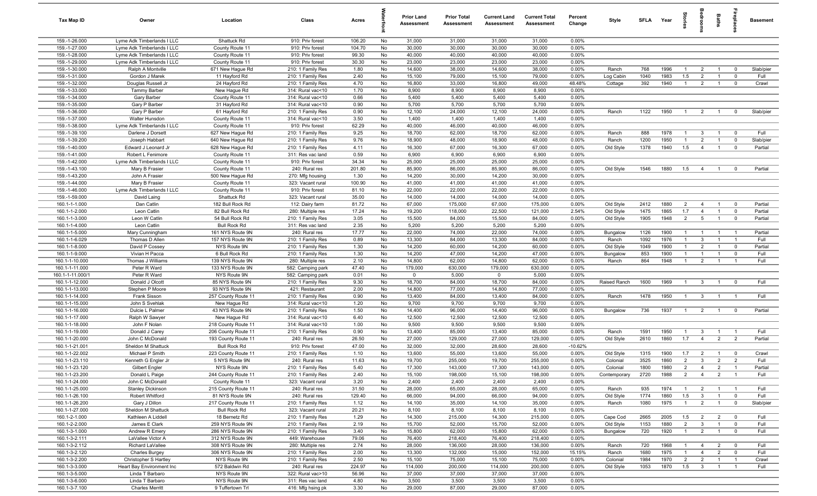| Tax Map ID                       | Owner                                              | Location                             | Class                                  | Acres           |           | <b>Prior Land</b><br>Assessment | <b>Prior Total</b><br>Assessment | <b>Current Land</b><br><b>Assessment</b> | <b>Current Total</b><br><b>Assessment</b> | Percent<br>Change | Style                 | SFLA         | Year         | $rac{1}{2}$           | edroo                          | Baths                            | epla                                      | <b>Basement</b> |
|----------------------------------|----------------------------------------------------|--------------------------------------|----------------------------------------|-----------------|-----------|---------------------------------|----------------------------------|------------------------------------------|-------------------------------------------|-------------------|-----------------------|--------------|--------------|-----------------------|--------------------------------|----------------------------------|-------------------------------------------|-----------------|
| 159.-1-26.000                    | Lyme Adk Timberlands I LLC                         | Shattuck Rd                          | 910: Priv forest                       | 106.20          | No        | 31,000                          | 31,000                           | 31,000                                   | 31,000                                    | 0.00%             |                       |              |              |                       |                                |                                  |                                           |                 |
| 159.-1-27.000                    | Lyme Adk Timberlands I LLC                         | County Route 11                      | 910: Priv forest                       | 104.70          | No        | 30,000                          | 30,000                           | 30,000                                   | 30,000                                    | 0.00%             |                       |              |              |                       |                                |                                  |                                           |                 |
| 159.-1-28.000                    | Lyme Adk Timberlands I LLC                         | County Route 11                      | 910: Priv forest                       | 99.30           | No        | 40,000                          | 40,000                           | 40,000                                   | 40,000                                    | 0.00%             |                       |              |              |                       |                                |                                  |                                           |                 |
| 159.-1-29.000<br>159.-1-30.000   | Lyme Adk Timberlands I LLC<br>Ralph A Montville    | County Route 11                      | 910: Priv forest                       | 30.30<br>1.80   | No<br>No  | 23,000                          | 23,000                           | 23,000<br>14,600                         | 23,000<br>38,000                          | 0.00%<br>0.00%    |                       | 768          | 1996         | $\overline{1}$        | $\overline{2}$                 | $\overline{1}$                   | $\overline{0}$                            | Slab/pier       |
| 159.-1-31.000                    | Gordon J Marek                                     | 671 New Hague Rd<br>11 Hayford Rd    | 210: 1 Family Res<br>210: 1 Family Res | 2.40            | No        | 14,600<br>15,100                | 38,000<br>79,000                 | 15,100                                   | 79,000                                    | 0.00%             | Ranch<br>Log Cabin    | 1040         | 1983         | 1.5                   | $\overline{2}$                 | $\overline{1}$                   | $\mathbf{0}$                              | Full            |
| 159.-1-32.000                    | Douglas Russell Jr                                 | 24 Hayford Rd                        | 210: 1 Family Res                      | 4.70            | No        | 16,800                          | 33,000                           | 16,800                                   | 49,000                                    | 48.48%            | Cottage               | 392          | 1940         | $\mathbf{1}$          | $\overline{2}$                 | $\overline{1}$                   | $\overline{\mathbf{0}}$                   | Crawl           |
| 159.-1-33.000                    | Tammy Barber                                       | New Hague Rd                         | 314: Rural vac<10                      | 1.70            | No        | 8,900                           | 8,900                            | 8,900                                    | 8,900                                     | 0.00%             |                       |              |              |                       |                                |                                  |                                           |                 |
| 159.-1-34.000                    | Gary Barber                                        | County Route 11                      | 314: Rural vac<10                      | 0.66            | No        | 5,400                           | 5,400                            | 5,400                                    | 5,400                                     | 0.00%             |                       |              |              |                       |                                |                                  |                                           |                 |
| 159.-1-35.000                    | Gary P Barber                                      | 31 Hayford Rd                        | 314: Rural vac<10                      | 0.90            | No        | 5,700                           | 5,700                            | 5,700                                    | 5,700                                     | 0.00%             |                       |              |              |                       |                                |                                  |                                           |                 |
| 159.-1-36.000                    | Gary P Barber                                      | 61 Hayford Rd                        | 210: 1 Family Res                      | 0.90            | No        | 12,100                          | 24,000                           | 12,100                                   | 24,000                                    | 0.00%             | Ranch                 | 1122         | 1950         | $\overline{1}$        | $\overline{2}$                 | $\overline{1}$                   | $^{\circ}$                                | Slab/pier       |
| 159.-1-37.000                    | Walter Hunsdon                                     | County Route 11                      | 314: Rural vac<10                      | 3.50            | No        | 1,400                           | 1,400                            | 1,400                                    | 1,400                                     | 0.00%             |                       |              |              |                       |                                |                                  |                                           |                 |
| 159.-1-38.000                    | Lyme Adk Timberlands I LLC                         | County Route 11                      | 910: Priv forest                       | 62.29           | No        | 40,000                          | 46,000                           | 40,000                                   | 46,000                                    | 0.00%             |                       |              |              |                       |                                |                                  |                                           |                 |
| 159.-1-39.100                    | Darlene J Dorsett                                  | 627 New Hague Rd                     | 210: 1 Family Res                      | 9.25            | No        | 18,700                          | 62,000                           | 18,700                                   | 62,000                                    | 0.00%             | Ranch                 | 888          | 1978         | $\overline{1}$        | 3                              | $\overline{1}$                   | $\overline{0}$                            | Full            |
| 159.-1-39.200                    | Joseph Habbart                                     | 640 New Hague Rd                     | 210: 1 Family Res                      | 9.76            | No        | 18,900                          | 48,000                           | 18,900                                   | 48,000                                    | 0.00%             | Ranch                 | 1200         | 1950         | $\mathbf{1}$          | $\overline{2}$                 | $\overline{1}$                   | $\mathbf 0$                               | Slab/pier       |
| 159.-1-40.000                    | Edward J Leonard Jr                                | 628 New Hague Rd                     | 210: 1 Family Res                      | 4.11            | No        | 16,300                          | 67,000                           | 16,300                                   | 67,000                                    | 0.00%             | Old Style             | 1378         | 1940         | 1.5                   | $\overline{4}$                 | $\overline{1}$                   | $^{\circ}$                                | Partial         |
| 159.-1-41.000                    | Robert L Fenimore                                  | County Route 11                      | 311: Res vac land                      | 0.59            | No        | 6,900                           | 6,900                            | 6,900                                    | 6,900                                     | 0.00%<br>0.00%    |                       |              |              |                       |                                |                                  |                                           |                 |
| 159.-1-42.000<br>159.-1-43.100   | Lyme Adk Timberlands I LLC<br>Mary B Frasier       | County Route 11<br>County Route 11   | 910: Priv forest<br>240: Rural res     | 34.34<br>201.80 | No<br>No  | 25,000<br>85,900                | 25,000<br>86,000                 | 25,000<br>85,900                         | 25,000<br>86,000                          | 0.00%             | Old Style             | 1546         | 1880         | 1.5                   | $\overline{4}$                 | $\overline{1}$                   | $\overline{\mathbf{0}}$                   | Partial         |
| 159.-1-43.200                    | John A Frasier                                     | 500 New Hague Rd                     | 270: Mfg housing                       | 1.30            | No        | 14,200                          | 30,000                           | 14,200                                   | 30,000                                    | 0.00%             |                       |              |              |                       |                                |                                  |                                           |                 |
| 159.-1-44.000                    | Mary B Frasier                                     | County Route 11                      | 323: Vacant rural                      | 100.90          | No        | 41,000                          | 41,000                           | 41,000                                   | 41,000                                    | 0.00%             |                       |              |              |                       |                                |                                  |                                           |                 |
| 159.-1-46.000                    | Lyme Adk Timberlands I LLC                         | County Route 11                      | 910: Priv forest                       | 81.10           | No        | 22,000                          | 22,000                           | 22,000                                   | 22,000                                    | 0.00%             |                       |              |              |                       |                                |                                  |                                           |                 |
| 159.-1-59.000                    | David Laing                                        | Shattuck Rd                          | 323: Vacant rural                      | 35.00           | No        | 14,000                          | 14,000                           | 14,000                                   | 14,000                                    | 0.00%             |                       |              |              |                       |                                |                                  |                                           |                 |
| 160.1-1-1.000                    | Dan Catlin                                         | 182 Bull Rock Rd                     | 112: Dairy farm                        | 81.72           | No        | 67,000                          | 175,000                          | 67,000                                   | 175,000                                   | 0.00%             | Old Style             | 2412         | 1880         | $\overline{2}$        | $\overline{4}$                 | $\overline{1}$                   | $^{\circ}$                                | Partial         |
| 160.1-1-2.000                    | Leon Catlin                                        | 82 Bull Rock Rd                      | 280: Multiple res                      | 17.24           | No        | 19,200                          | 118,000                          | 22,500                                   | 121,000                                   | 2.54%             | Old Style             | 1475         | 1865         | 1.7                   | $\overline{4}$                 | $\overline{1}$                   | $\overline{0}$                            | Partial         |
| 160.1-1-3.000                    | Leon W Catlin                                      | 54 Bull Rock Rd                      | 210: 1 Family Res                      | 3.05            | No        | 15,500                          | 84,000                           | 15,500                                   | 84,000                                    | 0.00%             | Old Style             | 1905         | 1948         | $\overline{2}$        | 5                              | $\overline{1}$                   | $\mathbf 0$                               | Partial         |
| 160.1-1-4.000                    | Leon Catlin                                        | <b>Bull Rock Rd</b>                  | 311: Res vac land                      | 2.35            | No        | 5,200                           | 5,200                            | 5,200                                    | 5,200                                     | 0.00%             |                       |              |              |                       |                                |                                  |                                           |                 |
| 160.1-1-5.000                    | Mary Cunningham                                    | 161 NYS Route 9N                     | 240: Rural res                         | 17.77           | No        | 22,000                          | 74,000                           | 22,000                                   | 74,000                                    | 0.00%             | Bungalow              | 1126         | 1900         | $\overline{1}$        | $\overline{1}$                 | -1                               |                                           | Partial         |
| 160.1-1-6.029                    | Thomas D Allen                                     | 157 NYS Route 9N                     | 210: 1 Family Res                      | 0.89            | No        | 13,300                          | 84,000                           | 13,300                                   | 84,000                                    | 0.00%             | Ranch                 | 1092         | 1976         | $\mathbf{1}$          | $\mathbf{3}$                   | $\mathbf{1}$                     | $\overline{1}$                            | Full            |
| 160.1-1-8.000                    | David P Cossey                                     | NYS Route 9N                         | 210: 1 Family Res                      | 1.30            | No        | 14,200                          | 60,000                           | 14,200                                   | 60,000                                    | 0.00%             | Old Style             | 1049         | 1900         | $\mathbf{1}$          | $\overline{2}$                 | $\overline{1}$                   | $\mathbf{0}$                              | Partial         |
| 160.1-1-9.000                    | Vivian H Pacca                                     | 6 Bull Rock Rd                       | 210: 1 Family Res                      | 1.30            | No        | 14,200                          | 47,000                           | 14,200                                   | 47,000                                    | 0.00%             | Bungalow              | 853          | 1900         | $\mathbf{1}$          | $\overline{1}$                 | $\overline{1}$                   | $\mathbf 0$<br>$\overline{1}$             | Full            |
| 160.1-1-10.000<br>160.1-1-11.000 | Thomas J Williams<br>Peter R Ward                  | 139 NYS Route 9N<br>133 NYS Route 9N | 280: Multiple res<br>582: Camping park | 2.10<br>47.40   | No<br>No  | 14,800<br>179,000               | 62,000<br>630,000                | 14,800<br>179,000                        | 62,000<br>630,000                         | 0.00%<br>0.00%    | Ranch                 | 864          | 1948         | $\overline{1}$        | $\overline{2}$                 | $\overline{1}$                   |                                           | Full            |
| 160.1-1-11.000/1                 | Peter R Ward                                       | NYS Route 9N                         | 582: Camping park                      | 0.01            | No        | $\mathbf 0$                     | 5,000                            | $\mathbf 0$                              | 5,000                                     | 0.00%             |                       |              |              |                       |                                |                                  |                                           |                 |
| 160.1-1-12.000                   | Donald J Olcott                                    | 85 NYS Route 9N                      | 210: 1 Family Res                      | 9.30            | No        | 18,700                          | 84,000                           | 18,700                                   | 84,000                                    | 0.00%             | Raised Ranch          | 1600         | 1969         | $\overline{1}$        | $\mathbf{3}$                   | $\overline{1}$                   | $^{\circ}$                                | Full            |
| 160.1-1-13.000                   | Stephen P Moore                                    | 93 NYS Route 9N                      | 421: Restaurant                        | 2.00            | No        | 14,800                          | 77,000                           | 14,800                                   | 77,000                                    | 0.00%             |                       |              |              |                       |                                |                                  |                                           |                 |
| 160.1-1-14.000                   | Frank Sisson                                       | 257 County Route 11                  | 210: 1 Family Res                      | 0.90            | No        | 13,400                          | 84,000                           | 13,400                                   | 84,000                                    | 0.00%             | Ranch                 | 1478         | 1950         | $\overline{1}$        | $\mathbf{3}$                   | $\overline{1}$                   | $\overline{1}$                            | Full            |
| 160.1-1-15.000                   | John S Svehlak                                     | New Hague Rd                         | 314: Rural vac<10                      | 1.20            | No        | 9,700                           | 9,700                            | 9,700                                    | 9,700                                     | 0.00%             |                       |              |              |                       |                                |                                  |                                           |                 |
| 160.1-1-16.000                   | Dulcie L Palmer                                    | 43 NYS Route 9N                      | 210: 1 Family Res                      | 1.50            | No        | 14,400                          | 96,000                           | 14,400                                   | 96,000                                    | 0.00%             | Bungalow              | 736          | 1937         | $\overline{1}$        | $\overline{2}$                 | $\overline{1}$                   | $\overline{0}$                            | Partial         |
| 160.1-1-17.000                   | Ralph W Sawyer                                     | New Hague Rd                         | 314: Rural vac<10                      | 6.40            | No        | 12,500                          | 12,500                           | 12,500                                   | 12,500                                    | 0.00%             |                       |              |              |                       |                                |                                  |                                           |                 |
| 160.1-1-18.000                   | John F Nolan                                       | 218 County Route 11                  | 314: Rural vac<10                      | 1.00            | No        | 9,500                           | 9,500                            | 9,500                                    | 9,500                                     | 0.00%             |                       |              |              |                       |                                |                                  |                                           |                 |
| 160.1-1-19.000                   | Donald J Carey                                     | 206 County Route 11                  | 210: 1 Family Res                      | 0.90            | No        | 13,400                          | 85,000                           | 13,400                                   | 85,000                                    | 0.00%             | Ranch                 | 1591         | 1950         | $\overline{1}$        | $\mathbf{3}$                   | $\overline{1}$                   | $\overline{1}$                            | Full            |
| 160.1-1-20.000                   | John C McDonald                                    | 193 County Route 11                  | 240: Rural res                         | 26.50           | No        | 27,000                          | 129,000                          | 27,000                                   | 129,000                                   | 0.00%             | Old Style             | 2610         | 1860         | 1.7                   | $\overline{4}$                 | $\overline{2}$                   | $\overline{2}$                            | Partial         |
| 160.1-1-21.001                   | Sheldon M Shattuck                                 | <b>Bull Rock Rd</b>                  | 910: Priv forest                       | 47.00           | No        | 32,000                          | 32,000                           | 28,600                                   | 28,600                                    | $-10.62%$         |                       |              |              |                       |                                |                                  |                                           |                 |
| 160.1-1-22.002                   | Michael P Smith                                    | 223 County Route 11                  | 210: 1 Family Res                      | 1.10            | No        | 13,600                          | 55,000                           | 13,600                                   | 55,000                                    | 0.00%             | Old Style             | 1315<br>3525 | 1900         | 1.7<br>$\overline{2}$ | $\overline{2}$<br>$\mathbf{3}$ | $\overline{1}$<br>$\overline{2}$ | $\overline{\mathbf{0}}$<br>$\overline{2}$ | Crawl<br>Full   |
| 160.1-1-23.110<br>160.1-1-23.120 | Kenneth G Engler Jr<br>Gilbert Engler              | 5 NYS Route 9N<br>NYS Route 9N       | 240: Rural res<br>210: 1 Family Res    | 11.63<br>5.40   | No<br>No. | 19,700<br>17,300                | 255,000<br>143,000               | 19,700<br>17,300                         | 255,000<br>143,000                        | 0.00%<br>0.00%    | Colonial<br>Colonial  | 1800         | 1860<br>1980 | 2                     | $\overline{4}$                 | $\overline{2}$                   |                                           | Partial         |
| 160.1-1-23.200                   | Donald L Paige                                     | 244 County Route 11                  | 210: 1 Family Res                      | 2.40            | No        | 15,100                          | 198,000                          | 15,100                                   | 198,000                                   | 0.00%             | Contemporary          | 2720         | 1988         | $\overline{2}$        | $\overline{4}$                 | $\overline{2}$                   | $\overline{1}$                            | Full            |
| 160.1-1-24.000                   | John C McDonald                                    | County Route 11                      | 323: Vacant rural                      | 3.20            | No        | 2,400                           | 2,400                            | 2,400                                    | 2,400                                     | 0.00%             |                       |              |              |                       |                                |                                  |                                           |                 |
| 160.1-1-25.000                   | <b>Stanley Dickinson</b>                           | 215 County Route 11                  | 240: Rural res                         | 31.50           | No        | 28,000                          | 65,000                           | 28,000                                   | 65,000                                    | 0.00%             | Ranch                 | 935          | 1974         | $\overline{1}$        | $\overline{2}$                 | $\overline{1}$                   | $\overline{1}$                            | Full            |
| 160.1-1-26.100                   | Robert Whitford                                    | 81 NYS Route 9N                      | 240: Rural res                         | 129.40          | No        | 66,000                          | 94,000                           | 66,000                                   | 94,000                                    | 0.00%             | Old Style             | 1774         | 1860         | 1.5                   | $\mathbf{3}$                   | $\overline{1}$                   | $\mathbf 0$                               | Full            |
| 160.1-1-26.200                   | Gary J Dillon                                      | 217 County Route 11                  | 210: 1 Family Res                      | 1.12            | No        | 14,100                          | 35,000                           | 14,100                                   | 35,000                                    | 0.00%             | Ranch                 | 1080         | 1975         | $\overline{1}$        | $\overline{2}$                 | $\overline{1}$                   | $\overline{0}$                            | Slab/pier       |
| 160.1-1-27.000                   | Sheldon M Shattuck                                 | <b>Bull Rock Rd</b>                  | 323: Vacant rural                      | 20.21           | No        | 8,100                           | 8,100                            | 8,100                                    | 8,100                                     | 0.00%             |                       |              |              |                       |                                |                                  |                                           |                 |
| 160.1-2-1.000                    | Kathleen A Liddell                                 | 18 Bernetz Rd                        | 210: 1 Family Res                      | 1.29            | No        | 14,300                          | 215,000                          | 14,300                                   | 215,000                                   | 0.00%             | Cape Cod              | 2665         | 2005         | 1.5                   | $\overline{2}$                 | $\overline{2}$                   | $\overline{\mathbf{0}}$                   | Full            |
| 160.1-2-2.000                    | James E Clark                                      | 259 NYS Route 9N                     | 210: 1 Family Res                      | 2.19            | No        | 15,700                          | 52,000                           | 15,700                                   | 52,000                                    | 0.00%             | Old Style             | 1153         | 1880         | $\overline{2}$        | $\mathbf{3}$                   | $\overline{1}$                   | $\overline{\mathbf{0}}$                   | Full            |
| 160.1-3-1.000                    | Andrew R Emery                                     | 286 NYS Route 9N                     | 210: 1 Family Res                      | 3.40            | No        | 15,800                          | 62,000                           | 15,800                                   | 62,000                                    | 0.00%             | Bungalow              | 720          | 1920         | $\mathbf{1}$          | $\overline{2}$                 | $\overline{1}$                   | $\overline{0}$                            | Full            |
| 160.1-3-2.111                    | LaVallee Victor A                                  | 312 NYS Route 9N                     | 449: Warehouse                         | 79.06           | No        | 76,400                          | 218,400                          | 76,400                                   | 218,400                                   | 0.00%             |                       |              |              |                       |                                |                                  |                                           |                 |
| 160.1-3-2.112                    | Richard LaVallee                                   | 308 NYS Route 9N                     | 280: Multiple res                      | 2.74            | No        | 28,000                          | 136,000                          | 28,000                                   | 136,000                                   | 0.00%             | Ranch                 | 720          | 1968         | $\overline{1}$        | $\overline{4}$                 | $\overline{2}$                   | $\overline{\mathbf{0}}$                   | Full            |
| 160.1-3-2.120                    | <b>Charles Burgey</b>                              | 306 NYS Route 9N                     | 210: 1 Family Res                      | 2.00            | No        | 13,300                          | 132,000                          | 15,000                                   | 152,000                                   | 15.15%            | Ranch                 | 1680         | 1975         | $\overline{1}$        | $\overline{4}$                 | $\overline{2}$                   | $\overline{0}$                            | Full            |
| 160.1-3-2.200<br>160.1-3-3.000   | Christopher S Hartley<br>Heart Bay Environment Inc | NYS Route 9N<br>572 Baldwin Rd       | 210: 1 Family Res<br>240: Rural res    | 2.50<br>224.97  | No<br>No  | 15,100<br>114,000               | 75,000<br>200,000                | 15,100<br>114,000                        | 75,000<br>200,000                         | 0.00%<br>0.00%    | Colonial<br>Old Style | 1984<br>1053 | 1970<br>1870 | $\overline{2}$<br>1.5 | $\overline{2}$<br>$\mathbf{3}$ | $\overline{1}$<br>$\overline{1}$ | $\overline{1}$<br>$\overline{1}$          | Crawl<br>Full   |
| 160.1-3-5.000                    | Linda T Barbaro                                    | NYS Route 9N                         | 322: Rural vac>10                      | 56.96           | No        | 37,000                          | 37,000                           | 37,000                                   | 37,000                                    | 0.00%             |                       |              |              |                       |                                |                                  |                                           |                 |
| 160.1-3-6.000                    | Linda T Barbaro                                    | NYS Route 9N                         | 311: Res vac land                      | 4.80            | No        | 3,500                           | 3,500                            | 3,500                                    | 3,500                                     | 0.00%             |                       |              |              |                       |                                |                                  |                                           |                 |
| 160.1-3-7.100                    | <b>Charles Merritt</b>                             | 9 Tuffertown Trl                     | 416: Mfg hsing pk                      | 3.30            | No        | 29,000                          | 87,000                           | 29,000                                   | 87,000                                    | 0.00%             |                       |              |              |                       |                                |                                  |                                           |                 |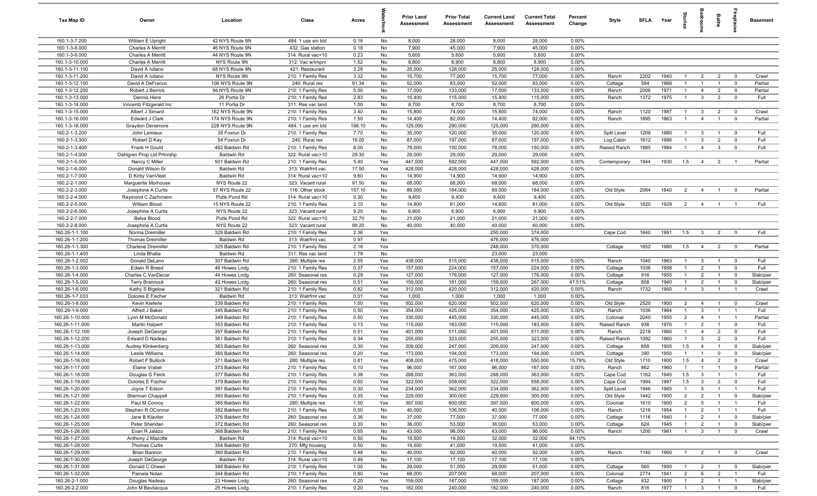| Tax Map ID                         | Owner                                    | Location                            | Class                                  | Acres           |            | <b>Prior Land</b><br><b>Assessment</b> | <b>Prior Total</b><br>Assessment | <b>Current Land</b><br>Assessment | <b>Current Total</b><br><b>Assessment</b> | Percent<br>Change | Style                | SFI A        | Year         |                                  |                                           | Baths                            |                                  | <b>Basement</b>   |
|------------------------------------|------------------------------------------|-------------------------------------|----------------------------------------|-----------------|------------|----------------------------------------|----------------------------------|-----------------------------------|-------------------------------------------|-------------------|----------------------|--------------|--------------|----------------------------------|-------------------------------------------|----------------------------------|----------------------------------|-------------------|
| 160.1-3-7.200                      | William E Upright                        | 42 NYS Route 9N                     | 484: 1 use sm bld                      | 0.16            | No         | 8,000                                  | 28,000                           | 8,000                             | 28,000                                    | 0.00%             |                      |              |              |                                  |                                           |                                  |                                  |                   |
| 160.1-3-8.000                      | <b>Charles A Merritt</b>                 | 46 NYS Route 9N                     | 432: Gas station                       | 0.18            | No         | 7,900                                  | 45,000                           | 7,900                             | 45,000                                    | 0.00%             |                      |              |              |                                  |                                           |                                  |                                  |                   |
| 160.1-3-9.000                      | <b>Charles A Merritt</b>                 | 44 NYS Route 9N                     | 314: Rural vac<10                      | 0.23            | No         | 5,600                                  | 5,600                            | 5,600                             | 5,600                                     | 0.00%             |                      |              |              |                                  |                                           |                                  |                                  |                   |
| 160.1-3-10.000                     | <b>Charles A Merritt</b>                 | NYS Route 9N                        | 312: Vac w/imprv                       | 1.52            | No         | 8,800                                  | 8,900                            | 8,800                             | 8,900                                     | 0.00%             |                      |              |              |                                  |                                           |                                  |                                  |                   |
| 160.1-3-11.100                     | David A Iuliano                          | 68 NYS Route 9N                     | 421: Restaurant                        | 3.28            | No         | 25,000                                 | 128,000                          | 25,000                            | 128,000                                   | 0.00%             |                      |              |              |                                  |                                           |                                  |                                  |                   |
| 160.1-3-11.200                     | David A Iuliano                          | NYS Route 9N                        | 210: 1 Family Res<br>240: Rural res    | 3.32            | No<br>No   | 15,700                                 | 77,000                           | 15,700                            | 77,000                                    | 0.00%<br>0.00%    | Ranch                | 2202<br>584  | 1940<br>1968 | $\mathbf{1}$                     | $\overline{2}$<br>$\mathbf{1}$            | $\overline{2}$<br>$\overline{1}$ | $\mathbf 0$                      | Crawl<br>Partial  |
| 160.1-3-12.100<br>160.1-3-12.200   | David A DeFranco<br>Robert J Berrick     | 106 NYS Route 9N<br>94 NYS Route 9N | 210: 1 Family Res                      | 91.34<br>5.00   | No         | 52,000<br>17,000                       | 83,000<br>133,000                | 52,000<br>17,000                  | 83,000<br>133,000                         | 0.00%             | Cottage<br>Ranch     | 2006         | 1971         | $\overline{1}$                   | $\overline{4}$                            | $\overline{2}$                   | $\mathbf 0$<br>$\overline{0}$    | Partial           |
| 160.1-3-13.000                     | Dennis Hens                              | 26 Portia Dr                        | 210: 1 Family Res                      | 2.83            | No         | 15,400                                 | 115,000                          | 15,400                            | 115,000                                   | 0.00%             | Ranch                | 1372         | 1975         | $\overline{1}$                   | $\mathbf{3}$                              | $\overline{2}$                   | $\overline{\mathbf{0}}$          | Full              |
| 160.1-3-14.000                     | Vincentz Fitzgerald Inc                  | 11 Portia Dr                        | 311: Res vac land                      | 1.00            | No         | 8,700                                  | 8,700                            | 8,700                             | 8,700                                     | 0.00%             |                      |              |              |                                  |                                           |                                  |                                  |                   |
| 160.1-3-15.000                     | Albert J Simard                          | 162 NYS Route 9N                    | 210: 1 Family Res                      | 3.40            | No         | 15,800                                 | 74,000                           | 15,800                            | 74,000                                    | 0.00%             | Ranch                | 1120         | 1987         | $\overline{1}$                   | $\mathbf{3}$                              | $\overline{2}$                   | $\mathbf 0$                      | Crawl             |
| 160.1-3-16.000                     | <b>Edward J Clark</b>                    | 174 NYS Route 9N                    | 210: 1 Family Res                      | 1.50            | No         | 14,400                                 | 82,000                           | 14,400                            | 82,000                                    | 0.00%             | Ranch                | 1895         | 1963         | $\overline{1}$                   | $\overline{4}$                            | $\overline{1}$                   | $\overline{0}$                   | Partial           |
| 160.1-3-18.000                     | Graydon Densmore                         | 228 NYS Route 9N                    | 484: 1 use sm bld                      | 198.10          | No         | 125,000                                | 290,000                          | 125,000                           | 290,000                                   | 0.00%             |                      |              |              |                                  |                                           |                                  |                                  |                   |
| 160.2-1-3.200                      | John Lemieux                             | 35 Foxrun Dr                        | 210: 1 Family Res                      | 7.70            | No         | 35,000                                 | 120,000                          | 35,000                            | 120,000                                   | 0.00%             | Split Level          | 1209         | 1980         | -1                               | $\mathbf{3}$                              | -1                               | $\mathbf 0$                      | Full              |
| 160.2-1-3.300                      | Robert D Kay                             | 54 Foxrun Dr                        | 240: Rural res                         | 16.00           | No         | 87,000                                 | 197,000                          | 87,000                            | 197,000                                   | 0.00%             | Log Cabin            | 1612         | 1986         | $\mathbf{1}$                     | $\mathbf{3}$                              | $\overline{2}$                   | $\mathbf 0$                      | Full              |
| 160.2-1-3.400                      | Frank H Gould                            | 462 Baldwin Rd                      | 210: 1 Family Res                      | 8.00            | No         | 78,000                                 | 150,000                          | 78,000                            | 150,000                                   | 0.00%             | Raised Ranch         | 1885         | 1984         | $\mathbf{1}$                     | $\overline{4}$                            | $\mathbf{3}$                     | $\mathbf 0$                      | Full              |
| 160.2-1-4.000                      | Dahlgren Prop Ltd Prtnrshp               | <b>Baldwin Rd</b>                   | 322: Rural vac>10                      | 29.30           | No         | 29,000                                 | 29,000                           | 29,000                            | 29,000                                    | 0.00%             |                      |              |              |                                  |                                           |                                  |                                  |                   |
| 160.2-1-5.000                      | Nancy C Miller                           | 501 Baldwin Rd                      | 210: 1 Family Res                      | 5.40            | Yes        | 447,000                                | 592,000                          | 447,000                           | 592,000                                   | 0.00%             | Contemporary         | 1944         | 1930         | 1.5                              | $\overline{4}$                            | $\overline{2}$                   | - 1                              | Partial           |
| 160.2-1-6.000                      | Donald Wilson Sr                         | <b>Baldwin Rd</b>                   | 313: Watrfrnt vac                      | 17.50           | Yes        | 428,000                                | 428,000                          | 428,000                           | 428,000                                   | 0.00%             |                      |              |              |                                  |                                           |                                  |                                  |                   |
| 160.2-1-7.000                      | D Kirby VanVleet                         | Baldwin Rd                          | 314: Rural vac<10                      | 9.60            | No         | 14,900                                 | 14,900                           | 14,900                            | 14,900                                    | 0.00%             |                      |              |              |                                  |                                           |                                  |                                  |                   |
| 160.2-2-1.000<br>160.2-2-3.000     | Marquerite Morhouse                      | NYS Route 22<br>57 NYS Route 22     | 323: Vacant rural<br>116: Other stock  | 91.50<br>157.10 | No<br>No   | 68,000<br>89,000                       | 68,000<br>184,000                | 68,000<br>89,000                  | 68,000<br>184,000                         | 0.00%<br>0.00%    | Old Style            | 2064         | 1840         | $\overline{2}$                   | $\overline{4}$                            | $\mathbf{1}$                     | $\overline{\mathbf{0}}$          | Partial           |
| 160.2-2-4.000                      | Josephine A Curtis<br>Raymond C Zachmann | Putts Pond Rd                       | 314: Rural vac<10                      | 0.30            | No         | 9,400                                  | 9,400                            | 9,400                             | 9,400                                     | 0.00%             |                      |              |              |                                  |                                           |                                  |                                  |                   |
| 160.2-2-5.000                      | William Blood                            | 15 NYS Route 22                     | 210: 1 Family Res                      | 2.10            | No         | 14,800                                 | 81,000                           | 14,800                            | 81,000                                    | 0.00%             | Old Style            | 1820         | 1929         | $\overline{2}$                   | $\overline{4}$                            | $\overline{1}$                   | - 1                              | Full              |
| 160.2-2-6.000                      | Josephine A Curtis                       | NYS Route 22                        | 323: Vacant rural                      | 9.20            | No         | 6,900                                  | 6,900                            | 6,900                             | 6,900                                     | 0.00%             |                      |              |              |                                  |                                           |                                  |                                  |                   |
| 160.2-2-7.000                      | Belva Blood                              | Putts Pond Rd                       | 322: Rural vac>10                      | 32.70           | No         | 21,000                                 | 21,000                           | 21,000                            | 21,000                                    | 0.00%             |                      |              |              |                                  |                                           |                                  |                                  |                   |
| 160.2-2-8.000                      | Josephine A Curtis                       | NYS Route 22                        | 323: Vacant rural                      | 99.20           | No         | 40,000                                 | 40,000                           | 40,000                            | 40,000                                    | 0.00%             |                      |              |              |                                  |                                           |                                  |                                  |                   |
| 160.26-1-1.100                     | Norma Dreimiller                         | 329 Baldwin Rd                      | 210: 1 Family Res                      | 2.36            | Yes        |                                        |                                  | 250,000                           | 374,000                                   |                   | Cape Cod             | 1640         | 1991         | 1.5                              | $\mathbf{3}$                              | $\overline{2}$                   | $\mathbf 0$                      | Full              |
| 160.26-1-1.200                     | <b>Thomas Dreimiller</b>                 | <b>Baldwin Rd</b>                   | 313: Watrfrnt vac                      | 0.97            | No         |                                        |                                  | 476,000                           | 476,000                                   |                   |                      |              |              |                                  |                                           |                                  |                                  |                   |
| 160.26-1-1.300                     | <b>Charlene Dreimiller</b>               | 325 Baldwin Rd                      | 210: 1 Family Res                      | 2.16            | Yes        |                                        |                                  | 248,000                           | 370,000                                   |                   | Cottage              | 1852         | 1980         | 1.5                              | $\overline{4}$                            | $\overline{2}$                   | $\mathbf 0$                      | Partial           |
| 160.26-1-1.400                     | Linda Bhatia                             | <b>Baldwin Rd</b>                   | 311: Res vac land                      | 1.79            | No         |                                        |                                  | 23,000                            | 23,000                                    |                   |                      |              |              |                                  |                                           |                                  |                                  |                   |
| 160.26-1-2.002                     | Donald DeLano                            | 307 Baldwin Rd                      | 280: Multiple res                      | 2.55            | Yes        | 438,000                                | 515,000                          | 438,000                           | 515,000                                   | 0.00%             | Ranch                | 1040         | 1963         | $\overline{1}$                   | $\mathbf{3}$                              | $\overline{1}$                   | $\overline{0}$                   | Full              |
| 160.26-1-3.000                     | Edwin R Breed                            | 46 Howes Lndg                       | 210: 1 Family Res                      | 0.37            | Yes        | 157,000                                | 224,000                          | 157,000                           | 224,000                                   | 0.00%             | Cottage              | 1036         | 1958         | $\overline{1}$                   | $\overline{2}$                            | $\overline{1}$                   | $\mathbf 0$                      | Full              |
| 160.26-1-4.000                     | Charles C VanDecar                       | 44 Howes Lndg                       | 260: Seasonal res                      | 0.29            | Yes        | 127,000                                | 176,000                          | 127,000                           | 176,000                                   | 0.00%             | Cottage              | 916          | 1955         | $\overline{1}$                   | $\overline{2}$                            | $\overline{1}$                   | $\overline{0}$                   | Slab/pier         |
| 160.26-1-5.000                     | <b>Terry Brannock</b>                    | 42 Howes Lndg                       | 260: Seasonal res                      | 0.51            | Yes        | 159,000                                | 181,000                          | 159,000                           | 267,000                                   | 47.51%            | Cottage              | 858          | 1940         | $\overline{1}$                   | $\overline{2}$                            | $\overline{1}$<br>$\overline{1}$ | $\mathbf 0$<br>$\overline{1}$    | Slab/pier         |
| 160.26-1-6.000<br>160.26-1-7.033   | Kathy S Bigelow<br>Dolores E Fischer     | 321 Baldwin Rd<br><b>Baldwin Rd</b> | 210: 1 Family Res<br>313: Watrfrnt vac | 0.82<br>0.01    | Yes<br>Yes | 312,000<br>1,000                       | 420,000<br>1,000                 | 312,000<br>1,000                  | 420,000<br>1,000                          | 0.00%<br>0.00%    | Ranch                | 1732         | 1950         | $\overline{1}$                   | $\mathbf{3}$                              |                                  |                                  | Crawl             |
| 160.26-1-8.000                     | Kevin Kieferle                           | 339 Baldwin Rd                      | 210: 1 Family Res                      | 1.50            | Yes        | 502,000                                | 620,000                          | 502,000                           | 620,000                                   | 0.00%             | Old Style            | 2520         | 1900         | $\overline{2}$                   | $\overline{4}$                            | $\mathbf{1}$                     | $\overline{0}$                   | Crawl             |
| 160.26-1-9.000                     | Alfred J Baker                           | 345 Baldwin Rd                      | 210: 1 Family Res                      | 0.50            | Yes        | 354,000                                | 425,000                          | 354,000                           | 425,000                                   | 0.00%             | Ranch                | 1036         | 1964         | $\mathbf{1}$                     | $\mathbf{3}$                              |                                  | $\overline{\phantom{0}}$         | Full              |
| 160.26-1-10.000                    | Lynn M McDonald                          | 349 Baldwin Rd                      | 210: 1 Family Res                      | 0.50            | Yes        | 330,000                                | 445,000                          | 330,000                           | 445,000                                   | 0.00%             | Colonial             | 2040         | 1955         | $\overline{2}$                   | $\overline{4}$                            | $\mathbf{1}$                     | $\overline{1}$                   | Partial           |
| 160.26-1-11.000                    | <b>Martin Halpert</b>                    | 353 Baldwin Rd                      | 210: 1 Family Res                      | 0.13            | Yes        | 115,000                                | 183,000                          | 115,000                           | 183,000                                   | 0.00%             | Raised Ranch         | 936          | 1970         | $\mathbf{1}$                     | $\overline{2}$                            |                                  | $\mathbf 0$                      | Full              |
| 160.26-1-12.100                    | Joseph DeGeorge                          | 357 Baldwin Rd                      | 210: 1 Family Res                      | 0.51            | Yes        | 401,000                                | 511,000                          | 401,000                           | 511,000                                   | 0.00%             | Ranch                | 2218         | 1960         | -1                               | $\overline{4}$                            | $\overline{2}$                   | $\mathbf 0$                      | Full              |
| 160.26-1-12.200                    | Edward D Nadeau                          | 361 Baldwin Rd                      | 210: 1 Family Res                      | 0.34            | Yes        | 255,000                                | 323,000                          | 255,000                           | 323,000                                   | 0.00%             | Raised Ranch         | 1092         | 1960         |                                  | $\mathbf{3}$                              | $\overline{2}$                   | $^{\circ}$                       | Full              |
| 160.26-1-13.000                    | Audrey Klinkenberg                       | 363 Baldwin Rd                      | 260: Seasonal res                      | 0.30            | Yes        | 209,000                                | 247,000                          | 209,000                           | 247,000                                   | 0.00%             | Cottage              | 658          | 1905         | 1.5                              | $\overline{4}$                            |                                  | $\mathbf 0$                      | Slab/pier         |
| 160.26-1-14.000                    | Leslie Williams                          | 365 Baldwin Rd                      | 260: Seasonal res                      | 0.20            | Yes        | 173,000                                | 194,000                          | 173,000                           | 194,000                                   | 0.00%             | Cottage              | 390          | 1950         |                                  |                                           | $\mathbf 0$                      | $\mathbf{0}$                     | Slab/pier         |
| 160.26-1-16.000                    | Robert F Bullock                         | 371 Baldwin Rd                      | 280: Multiple res                      | 0.81            | Yes        | 408,000                                | 475,000                          | 418,000                           | 550,000                                   | 15.79%            | Old Style            | 1710         | 1900         | 1.5                              | $\overline{4}$                            | $\overline{2}$                   | $\mathbf 0$                      | Crawl             |
| 160.26-1-17.000                    | Elaine Vrabel                            | 373 Baldwin Rd                      | 210: 1 Family Res                      | 0.10            | Yes        | 96,000                                 | 167,000                          | 96,000                            | 167,000                                   | 0.00%             | Ranch                | 862          | 1960         | $\overline{1}$                   | $\overline{1}$                            |                                  | 0                                | Partial           |
| 160.26-1-18.000<br>160.26-1-19.000 | Douglas G Feick<br>Dolores E Fischer     | 377 Baldwin Rd<br>379 Baldwin Rd    | 210: 1 Family Res<br>210: 1 Family Res | 0.38<br>0.60    | Yes<br>Yes | 288,000<br>322,000                     | 363,000<br>558,000               | 288,000<br>322,000                | 363,000<br>558,000                        | 0.00%<br>0.00%    | Cape Cod<br>Cape Cod | 1162<br>1994 | 1945<br>1987 | 1.5<br>1.5                       | $\overline{\mathbf{3}}$<br>$\mathbf{3}$   | $\overline{1}$<br>$\overline{2}$ | $\overline{1}$<br>$\mathbf 0$    | Full<br>Full      |
| 160.26-1-20.000                    | Joyce T Edson                            | 391 Baldwin Rd                      | 210: 1 Family Res                      | 0.30            | Yes        | 234,000                                | 362,000                          | 234,000                           | 362,000                                   | 0.00%             | Split Level          | 1946         | 1965         | $\mathbf{1}$                     | $5\overline{)}$                           | $\overline{1}$                   | $\overline{1}$                   | Full              |
| 160.26-1-21.000                    | Sherman Chappell                         | 393 Baldwin Rd                      | 210: 1 Family Res                      | 0.35            | Yes        | 229,000                                | 300,000                          | 229,000                           | 300,000                                   | 0.00%             | Old Style            | 1442         | 1900         | $\overline{2}$                   | $\overline{2}$                            | $\overline{1}$                   | $\overline{0}$                   | Slab/pier         |
| 160.26-1-22.000                    | Paul M Conroy                            | 385 Baldwin Rd                      | 280: Multiple res                      | 1.50            | Yes        | 397,000                                | 600,000                          | 397,000                           | 600,000                                   | 0.00%             | Colonial             | 1610         | 1900         | $\overline{2}$                   | $5\overline{)}$                           | $\mathbf{1}$                     | $\overline{1}$                   | Full              |
| 160.26-1-23.000                    | Stephen R OConnor                        | 382 Baldwin Rd                      | 210: 1 Family Res                      | 0.50            | No         | 40,000                                 | 106,000                          | 40,000                            | 106,000                                   | 0.00%             | Ranch                | 1216         | 1954         | $\mathbf{1}$                     | $\overline{2}$                            | $\overline{1}$                   | $\overline{1}$                   | Full              |
| 160.26-1-24.000                    | Jane B Klaviter                          | 376 Baldwin Rd                      | 260: Seasonal res                      | 0.36            | No         | 37,000                                 | 77,000                           | 37,000                            | 77,000                                    | 0.00%             | Cottage              | 1116         | 1940         |                                  | $\overline{2}$                            |                                  | $\mathbf 0$                      | Slab/pier         |
| 160.26-1-25.000                    | Peter Sheridan                           | 372 Baldwin Rd                      | 260: Seasonal res                      | 0.30            | No         | 36,000                                 | 53,000                           | 36,000                            | 53,000                                    | 0.00%             | Cottage              | 624          | 1945         |                                  | $\overline{2}$                            | $\mathbf{1}$                     | $\mathbf 0$                      | Slab/pier         |
| 160.26-1-26.000                    | Evan R Jalazo                            | 368 Baldwin Rd                      | 210: 1 Family Res                      | 0.65            | No         | 43,000                                 | 96,000                           | 43,000                            | 96,000                                    | 0.00%             | Ranch                | 1200         | 1961         |                                  | $\mathbf{3}$                              | $\mathbf{1}$                     | $\mathbf 0$                      | Crawl             |
| 160.26-1-27.000                    | Anthony J Mazotte                        | <b>Baldwin Rd</b>                   | 314: Rural vac<10                      | 0.50            | No         | 19,500                                 | 19,500                           | 32,000                            | 32,000                                    | 64.10%            |                      |              |              |                                  |                                           |                                  |                                  |                   |
| 160.26-1-28.000                    | Thomas Curtis                            | 354 Baldwin Rd                      | 270: Mfg housing                       | 0.50            | No         | 19,500                                 | 41,000                           | 19,500                            | 41,000                                    | 0.00%             |                      |              |              |                                  |                                           |                                  |                                  |                   |
| 160.26-1-29.000                    | <b>Brian Bannon</b>                      | 360 Baldwin Rd                      | 210: 1 Family Res                      | 0.48            | No         | 40,000                                 | 92,000                           | 40,000                            | 92,000                                    | 0.00%             | Ranch                | 1140         | 1960         | $\overline{1}$                   | $\overline{2}$                            | $\overline{1}$                   | $\overline{\mathbf{0}}$          | Crawl             |
| 160.26-1-30.000                    | Joseph DeGeorge                          | <b>Baldwin Rd</b>                   | 314: Rural vac<10                      | 0.46            | No         | 17,100                                 | 17,100                           | 17,100                            | 17,100                                    | 0.00%             |                      |              |              |                                  |                                           |                                  |                                  |                   |
| 160.26-1-31.000                    | Donald C Gheen                           | 348 Baldwin Rd                      | 210: 1 Family Res                      | 1.00            | No         | 29,000                                 | 51,000                           | 29,000                            | 51,000                                    | 0.00%             | Cottage              | 560          | 1950         | $\overline{1}$                   | $\overline{2}$                            | $\overline{1}$                   | $\mathbf 0$                      | Slab/pier         |
| 160.26-1-32.000                    | Pamela Nolan                             | 344 Baldwin Rd                      | 210: 1 Family Res                      | 0.80            | Yes        | 68,000                                 | 207,000                          | 68,000                            | 207,000                                   | 0.00%             | Colonial             | 2774         | 1941         | $\overline{2}$                   | 6                                         | $\overline{2}$                   | $\overline{1}$                   | Full              |
| 160.26-2-1.000<br>160.26-2-2.000   | Douglas Nadeau<br>John M Bevilacqua      | 23 Howes Lndg<br>25 Howes Lndg      | 260: Seasonal res<br>210: 1 Family Res | 0.20<br>0.20    | Yes<br>Yes | 159,000<br>182,000                     | 187,000<br>240,000               | 159,000<br>182,000                | 187,000<br>240,000                        | 0.00%<br>0.00%    | Cottage<br>Ranch     | 832<br>816   | 1900<br>1977 | $\overline{1}$<br>$\overline{1}$ | $\overline{2}$<br>$\overline{\mathbf{3}}$ | $\overline{1}$<br>$\overline{1}$ | $\overline{1}$<br>$\overline{0}$ | Slab/pier<br>Full |
|                                    |                                          |                                     |                                        |                 |            |                                        |                                  |                                   |                                           |                   |                      |              |              |                                  |                                           |                                  |                                  |                   |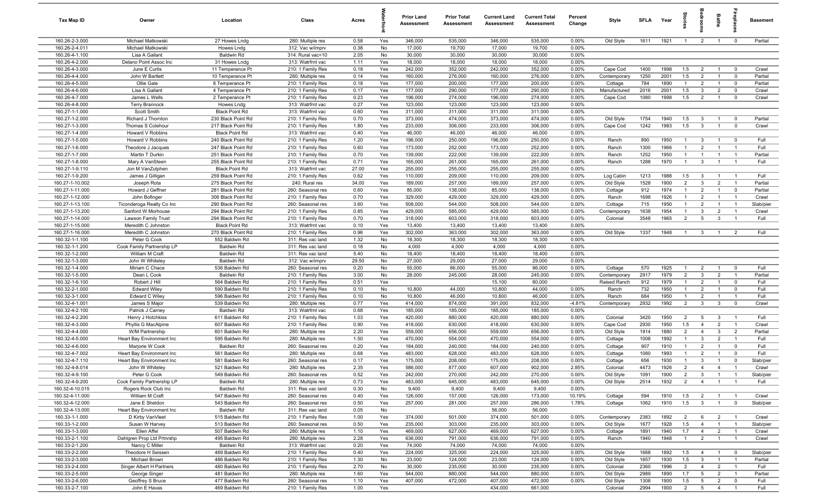| Tax Map ID                        | Owner                                      | Location                                 | Class                                  | Acres         |            | <b>Prior Land</b><br>Assessment | <b>Prior Total</b><br>Assessment | <b>Current Land</b><br>Assessment | <b>Current Total</b><br>Assessment | Percent<br>Change | Style                   | <b>SFLA</b>  | Year         | $\frac{1}{2}$                    |                                           | Baths                            |                                  | <b>Basement</b>    |
|-----------------------------------|--------------------------------------------|------------------------------------------|----------------------------------------|---------------|------------|---------------------------------|----------------------------------|-----------------------------------|------------------------------------|-------------------|-------------------------|--------------|--------------|----------------------------------|-------------------------------------------|----------------------------------|----------------------------------|--------------------|
| 160.26-2-3.000                    | Michael Matkowski                          | 27 Howes Lndg                            | 280: Multiple res                      | 0.58          | Yes        | 346,000                         | 535,000                          | 346,000                           | 535,000                            | 0.00%             | Old Style               | 1611         | 1921         | $\overline{1}$                   | $\overline{2}$                            | $\overline{1}$                   | $\overline{0}$                   | Partial            |
| 160.26-2-4.011                    | Michael Matkowski                          | Howes Lndg                               | 312: Vac w/imprv                       | 0.38          | No         | 17,000                          | 19,700                           | 17,000                            | 19,700                             | 0.00%             |                         |              |              |                                  |                                           |                                  |                                  |                    |
| 160.26-4-1.100                    | Lisa A Gallant                             | <b>Baldwin Rd</b>                        | 314: Rural vac<10                      | 2.05          | No         | 30,000                          | 30,000                           | 30,000                            | 30,000                             | 0.00%             |                         |              |              |                                  |                                           |                                  |                                  |                    |
| 160.26-4-2.000                    | Delano Point Assoc Inc                     | 31 Howes Lndg                            | 313: Watrfrnt vac                      | 1.11          | Yes        | 18,000                          | 18,000                           | 18,000                            | 18,000                             | 0.00%             |                         |              |              |                                  |                                           |                                  |                                  |                    |
| 160.26-4-3.000                    | June E Curtis                              | 11 Temperance Pt                         | 210: 1 Family Res                      | 0.18          | Yes        | 242,000                         | 352,000                          | 242,000                           | 352,000                            | 0.00%             | Cape Cod                | 1400         | 1998         | 1.5                              | $\overline{2}$                            | $\overline{1}$                   | $\overline{0}$                   | Crawl              |
| 160.26-4-4.000                    | John W Bartlett                            | 10 Temperance Pt                         | 280: Multiple res                      | 0.14          | Yes        | 160,000                         | 276,000                          | 160,000                           | 276,000                            | 0.00%             | Contemporary            | 1250         | 2001         | 1.5<br>$\mathbf{1}$              | $\overline{2}$<br>$\overline{2}$          | $\mathbf{1}$                     | $\mathbf 0$                      | Partial            |
| 160.26-4-5.000<br>160.26-4-6.000  | Ollie Gale<br>Lisa A Gallant               | 8 Temperance Pt<br>4 Temperance Pt       | 210: 1 Family Res<br>210: 1 Family Res | 0.18<br>0.17  | Yes<br>Yes | 177,000<br>177,000              | 200,000<br>290,000               | 177,000<br>177,000                | 200,000<br>290,000                 | 0.00%<br>0.00%    | Cottage<br>Manufactured | 784<br>2016  | 1890<br>2001 | 1.5                              | -3                                        | $\overline{1}$<br>$\overline{2}$ | $^{\circ}$<br>$\mathbf 0$        | Partial<br>Crawl   |
| 160.26-4-7.000                    | James L Wells                              | 2 Temperance Pt                          | 210: 1 Family Res                      | 0.23          | Yes        | 196,000                         | 274,000                          | 196,000                           | 274,000                            | 0.00%             | Cape Cod                | 1080         | 1998         | 1.5                              | $\overline{2}$                            | $\overline{1}$                   | $\mathbf 0$                      | Crawl              |
| 160.26-4-8.000                    | <b>Terry Brannock</b>                      | Howes Lndg                               | 313: Watrfrnt vac                      | 0.27          | Yes        | 123,000                         | 123,000                          | 123,000                           | 123,000                            | 0.00%             |                         |              |              |                                  |                                           |                                  |                                  |                    |
| 160.27-1-1.000                    | Scott Smith                                | <b>Black Point Rd</b>                    | 313: Watrfrnt vac                      | 0.60          | Yes        | 311,000                         | 311,000                          | 311,000                           | 311,000                            | 0.00%             |                         |              |              |                                  |                                           |                                  |                                  |                    |
| 160.27-1-2.000                    | Richard J Thornton                         | 230 Black Point Rd                       | 210: 1 Family Res                      | 0.70          | Yes        | 373,000                         | 474,000                          | 373,000                           | 474,000                            | 0.00%             | Old Style               | 1754         | 1940         | 1.5                              | $\mathbf{3}$                              | $\overline{1}$                   | $\overline{0}$                   | Partial            |
| 160.27-1-3.000                    | Thomas S Colehour                          | 217 Black Point Rd                       | 210: 1 Family Res                      | 1.80          | Yes        | 233,000                         | 306,000                          | 233,000                           | 306,000                            | 0.00%             | Cape Cod                | 1242         | 1983         | 1.5                              | $\mathbf{3}$                              | $\overline{1}$                   | $\overline{0}$                   | Crawl              |
| 160.27-1-4.000                    | Howard V Robbins                           | <b>Black Point Rd</b>                    | 313: Watrfrnt vac                      | 0.40          | Yes        | 46,000                          | 46,000                           | 46,000                            | 46,000                             | 0.00%             |                         |              |              |                                  |                                           |                                  |                                  |                    |
| 160.27-1-5.000                    | Howard V Robbins                           | 240 Black Point Rd                       | 210: 1 Family Res                      | 1.20          | Yes        | 196,000                         | 250,000                          | 196,000                           | 250,000                            | 0.00%             | Ranch                   | 890          | 1950         | $\overline{1}$                   | $\mathbf{3}$                              | $\overline{1}$                   | $^{\circ}$                       | Full               |
| 160.27-1-6.000                    | Theodore J Jacques                         | 247 Black Point Rd                       | 210: 1 Family Res                      | 0.60          | Yes        | 173,000                         | 252,000                          | 173,000                           | 252,000                            | 0.00%             | Ranch                   | 1300         | 1966         | $\mathbf{1}$                     | $\overline{2}$                            | $\overline{1}$                   | $\overline{1}$                   | Full               |
| 160.27-1-7.000                    | Martin T Durkin                            | 251 Black Point Rd                       | 210: 1 Family Res                      | 0.70          | Yes        | 139,000                         | 222,000                          | 139,000                           | 222,000                            | 0.00%             | Ranch                   | 1252         | 1950         | $\mathbf{1}$                     | $\overline{1}$                            | $\overline{1}$                   | $\overline{1}$                   | Partial            |
| 160.27-1-8.000                    | Mary A VanSteen                            | 255 Black Point Rd                       | 210: 1 Family Res                      | 0.71          | Yes        | 165,000                         | 261,000                          | 165,000                           | 261,000                            | 0.00%             | Ranch                   | 1288         | 1970         | $\overline{1}$                   | $\mathbf{3}$                              | $\overline{1}$                   | $\overline{1}$                   | Full               |
| 160.27-1-9.110                    | Jon M VanZutphen                           | <b>Black Point Rd</b>                    | 313: Watrfrnt vac                      | 27.00         | Yes        | 255,000                         | 255,000                          | 255,000                           | 255,000                            | 0.00%             |                         |              |              |                                  |                                           |                                  |                                  |                    |
| 160.27-1-9.200<br>160.27-1-10.002 | James J Gilligan                           | 259 Black Point Rd                       | 210: 1 Family Res                      | 0.62          | Yes        | 110,000                         | 209,000                          | 110,000                           | 209,000                            | 0.00%             | Log Cabin               | 1213         | 1988         | 1.5                              | $\mathbf{3}$                              | $\overline{1}$                   | $\overline{1}$                   | Full               |
| 160.27-1-11.000                   | Joseph Rota<br>Howard J Geffner            | 275 Black Point Rd<br>281 Black Point Rd | 240: Rural res<br>260: Seasonal res    | 34.00<br>0.60 | Yes<br>Yes | 189,000<br>85,000               | 257,000<br>138,000               | 189,000<br>85,000                 | 257,000<br>138,000                 | 0.00%<br>0.00%    | Old Style<br>Cottage    | 1528<br>912  | 1900<br>1974 | $\overline{2}$<br>$\overline{1}$ | $\mathbf{3}$<br>$\overline{2}$            | $\overline{2}$<br>$\overline{1}$ | $\overline{1}$<br>$\overline{0}$ | Partial<br>Partial |
| 160.27-1-12.000                   | John Bofinger                              | 306 Black Point Rd                       | 210: 1 Family Res                      | 0.70          | Yes        | 329,000                         | 429,000                          | 329,000                           | 429,000                            | 0.00%             | Ranch                   | 1698         | 1926         | $\mathbf{1}$                     | $\overline{2}$                            | $\overline{1}$                   | $\overline{1}$                   | Crawl              |
| 160.27-1-13.100                   | Ticonderoga Realty Co Inc                  | 290 Black Point Rd                       | 260: Seasonal res                      | 3.60          | Yes        | 508,000                         | 544,000                          | 508,000                           | 544,000                            | 0.00%             | Cottage                 | 715          | 1950         | $\mathbf{1}$                     | $\overline{2}$                            | $\overline{1}$                   | $\overline{1}$                   | Slab/pier          |
| 160.27-1-13.200                   | Sanford W Morhouse                         | 294 Black Point Rd                       | 210: 1 Family Res                      | 0.85          | Yes        | 429,000                         | 585,000                          | 429,000                           | 585,000                            | 0.00%             | Contemporary            | 1638         | 1954         | $\overline{1}$                   | 3                                         | $\overline{2}$                   | $\overline{1}$                   | Crawl              |
| 160.27-1-14.000                   | Lawson Family Trust                        | 294 Black Point Rd                       | 210: 1 Family Res                      | 0.70          | Yes        | 318,000                         | 603,000                          | 318,000                           | 603,000                            | 0.00%             | Colonial                | 3548         | 1965         | 2                                | $5\overline{5}$                           | $\mathbf{3}$                     | $\overline{1}$                   | Full               |
| 160.27-1-15.000                   | Meredith C Johnston                        | <b>Black Point Rd</b>                    | 313: Watrfrnt vac                      | 0.10          | Yes        | 13,400                          | 13,400                           | 13,400                            | 13,400                             | 0.00%             |                         |              |              |                                  |                                           |                                  |                                  |                    |
| 160.27-1-16.000                   | Meredith C Johnston                        | 270 Black Point Rd                       | 210: 1 Family Res                      | 0.96          | Yes        | 302,000                         | 363,000                          | 302,000                           | 363,000                            | 0.00%             | Old Style               | 1337         | 1948         | $\overline{1}$                   | $\mathbf{3}$                              | $\overline{1}$                   | 2                                | Full               |
| 160.32-1-1.100                    | Peter G Cook                               | 552 Baldwin Rd                           | 311: Res vac land                      | 1.32          | No         | 18,300                          | 18,300                           | 18,300                            | 18,300                             | 0.00%             |                         |              |              |                                  |                                           |                                  |                                  |                    |
| 160.32-1-1.200                    | Cook Family Partnership LP                 | <b>Baldwin Rd</b>                        | 311: Res vac land                      | 0.18          | No         | 4,000                           | 4,000                            | 4,000                             | 4,000                              | 0.00%             |                         |              |              |                                  |                                           |                                  |                                  |                    |
| 160.32-1-2.000                    | William M Craft                            | <b>Baldwin Rd</b>                        | 311: Res vac land                      | 5.40          | No         | 18,400                          | 18,400                           | 18,400                            | 18,400                             | 0.00%             |                         |              |              |                                  |                                           |                                  |                                  |                    |
| 160.32-1-3.000                    | John W Whiteley                            | Baldwin Rd                               | 312: Vac w/imprv                       | 29.50         | No         | 27,000                          | 29,000                           | 27,000                            | 29,000                             | 0.00%             |                         |              |              |                                  |                                           |                                  |                                  |                    |
| 160.32-1-4.000                    | Miriam C Chace                             | 536 Baldwin Rd                           | 260: Seasonal res                      | 0.20          | No         | 55,000                          | 86,000                           | 55,000                            | 86,000                             | 0.00%             | Cottage                 | 570          | 1925         | $\mathbf{1}$                     | $\overline{2}$                            | $\overline{1}$                   | $\mathbf 0$                      | Full               |
| 160.32-1-5.000                    | Dean L Cook                                | <b>Baldwin Rd</b><br>564 Baldwin Rd      | 210: 1 Family Res                      | 3.00          | No         | 28,000                          | 245,000                          | 28,000                            | 245,000                            | 0.00%             | Contemporary            | 2917<br>912  | 1979<br>1979 | $\overline{2}$<br>$\overline{1}$ | $\mathbf{3}$<br>$\overline{2}$            | $\overline{2}$<br>$\overline{1}$ | $\overline{1}$                   | Partial<br>Full    |
| 160.32-1-6.100<br>160.32-2-1.000  | Robert J Hill<br><b>Edward Wiley</b>       | 590 Baldwin Rd                           | 210: 1 Family Res<br>210: 1 Family Res | 0.51<br>0.10  | Yes<br>No  | 10,800                          | 44,000                           | 15,100<br>10,800                  | 80,000<br>44,000                   | 0.00%             | Raised Ranch<br>Ranch   | 732          | 1950         | $\overline{1}$                   | $\overline{2}$                            | $\overline{1}$                   | $\mathbf 0$<br>$\mathbf 0$       | Full               |
| 160.32-3-1.000                    | Edward C Wiley                             | 596 Baldwin Rd                           | 210: 1 Family Res                      | 0.10          | No         | 10,800                          | 46,000                           | 10,800                            | 46,000                             | 0.00%             | Ranch                   | 684          | 1950         | $\overline{1}$                   | $\overline{2}$                            | $\overline{1}$                   | $\overline{1}$                   | Full               |
| 160.32-4-1.001                    | James S Major                              | 539 Baldwin Rd                           | 280: Multiple res                      | 0.77          | Yes        | 414,000                         | 874,000                          | 391,000                           | 832,000                            | $-4.81%$          | Contemporary            | 2932         | 1992         | $\overline{2}$                   | $\mathbf{3}$                              | $\mathbf{3}$                     | $^{\circ}$                       | Crawl              |
| 160.32-4-2.100                    | Patrick J Carney                           | Baldwin Rd                               | 313: Watrfrnt vac                      | 0.68          | Yes        | 185,000                         | 185,000                          | 185,000                           | 185,000                            | 0.00%             |                         |              |              |                                  |                                           |                                  |                                  |                    |
| 160.32-4-2.200                    | Henry J Hotchkiss                          | 611 Baldwin Rd                           | 210: 1 Family Res                      | 1.03          | Yes        | 420,000                         | 880,000                          | 420,000                           | 880,000                            | 0.00%             | Colonial                | 3420         | 1950         | $\overline{2}$                   | 5                                         | $\mathbf{3}$                     | $\overline{1}$                   | Full               |
| 160.32-4-3.000                    | Phyllis G MacAlpine                        | 607 Baldwin Rd                           | 210: 1 Family Res                      | 0.90          | Yes        | 418,000                         | 630,000                          | 418,000                           | 630,000                            | 0.00%             | Cape Cod                | 2930         | 1950         | 1.5                              | $\overline{4}$                            | $\overline{2}$                   | $\overline{1}$                   | Crawl              |
| 160.32-4-4.000                    | W/M Partnership                            | 601 Baldwin Rd                           | 280: Multiple res                      | 2.20          | Yes        | 559,000                         | 656,000                          | 559,000                           | 656,000                            | 0.00%             | Old Style               | 1914         | 1880         | $\overline{2}$                   | $\overline{4}$                            | $\mathbf{3}$                     | $\overline{2}$                   | Partial            |
| 160.32-4-5.000                    | Heart Bay Environment Inc                  | 595 Baldwin Rd                           | 280: Multiple res                      | 1.50          | Yes        | 470,000                         | 554,000                          | 470,000                           | 554,000                            | 0.00%             | Cottage                 | 1008         | 1992         | $\mathbf{1}$                     | 3                                         | $\overline{2}$                   | $\overline{1}$                   | Full               |
| 160.32-4-6.000                    | Marjorie W Cook                            | Baldwin Rd                               | 260: Seasonal res                      | 0.20          | Yes        | 184,000                         | 240,000                          | 184,000                           | 240,000                            | 0.00%             | Cottage                 | 907          | 1910         | $\mathbf{1}$                     | $\overline{2}$                            | $\mathbf{1}$                     | $\mathbf 0$                      | Full               |
| 160.32-4-7.002                    | Heart Bay Environment Inc                  | 561 Baldwin Rd                           | 280: Multiple res                      | 0.68          | Yes        | 483,000                         | 628,000                          | 483,000                           | 628,000                            | 0.00%             | Cottage                 | 1080         | 1993         |                                  | $\overline{2}$                            | $\mathbf{1}$                     | $^{\circ}$                       | Full               |
| 160.32-4-7.110<br>160.32-4-8.014  | Heart Bay Environment Inc                  | 581 Baldwin Rd                           | 260: Seasonal res                      | 0.17          | Yes        | 175,000                         | 208,000                          | 175,000                           | 208,000                            | 0.00%             | Cottage                 | 656          | 1930         | $\mathbf{1}$                     | $\mathbf{3}$                              | $\overline{1}$                   | $\mathbf 0$                      | Slab/pier          |
|                                   | John W Whiteley                            | 521 Baldwin Rd                           | 280: Multiple res                      | 2.35          | Yes        | 586,000                         | 877,000                          | 607,000                           | 902,000                            | 2.85%<br>0.00%    | Colonial                | 4473         | 1926         | $\overline{2}$                   | 4                                         | $\overline{4}$<br>$\overline{1}$ |                                  | Crawl              |
| 160.32-4-9.100<br>160.32-4-9.200  | Peter G Cook<br>Cook Family Partnership LP | 549 Baldwin Rd<br><b>Baldwin Rd</b>      | 260: Seasonal res<br>280: Multiple res | 0.52<br>0.73  | Yes<br>Yes | 242,000<br>483,000              | 270,000<br>645,000               | 242,000<br>483,000                | 270,000<br>645,000                 | 0.00%             | Old Style<br>Old Style  | 1091<br>2514 | 1900<br>1932 | $\overline{2}$<br>2              | $\overline{\mathbf{3}}$<br>$\overline{4}$ | $\mathbf{1}$                     | $\overline{1}$<br>$\overline{1}$ | Slab/pier<br>Full  |
| 160.32-4-10.015                   | Rogers Rock Club Inc                       | <b>Baldwin Rd</b>                        | 311: Res vac land                      | 0.30          | No         | 9,400                           | 9,400                            | 9,400                             | 9,400                              | 0.00%             |                         |              |              |                                  |                                           |                                  |                                  |                    |
| 160.32-4-11.000                   | William M Craft                            | 547 Baldwin Rd                           | 260: Seasonal res                      | 0.40          | Yes        | 126,000                         | 157,000                          | 126,000                           | 173,000                            | 10.19%            | Cottage                 | 594          | 1910         | 1.5                              | $\overline{2}$                            | $\overline{1}$                   | $\overline{1}$                   | Crawl              |
| 160.32-4-12.000                   | Jane E Sheldon                             | 543 Baldwin Rd                           | 260: Seasonal res                      | 0.50          | Yes        | 257,000                         | 281,000                          | 257,000                           | 286,000                            | 1.78%             | Cottage                 | 1062         | 1910         | 1.5                              | $\mathbf{3}$                              | $\mathbf{1}$                     | $\overline{0}$                   | Slab/pier          |
| 160.32-4-13.000                   | Heart Bay Environment Inc                  | <b>Baldwin Rd</b>                        | 311: Res vac land                      | 0.05          | No         |                                 |                                  | 56,000                            | 56,000                             |                   |                         |              |              |                                  |                                           |                                  |                                  |                    |
| 160.33-1-1.000                    | D Kirby VanVleet                           | 515 Baldwin Rd                           | 210: 1 Family Res                      | 1.00          | Yes        | 374,000                         | 501,000                          | 374,000                           | 501,000                            | 0.00%             | Contemporary            | 2383         | 1892         | $\overline{2}$                   | 6                                         | $\overline{2}$                   | $\overline{1}$                   | Crawl              |
| 160.33-1-2.000                    | Susan W Harvey                             | 513 Baldwin Rd                           | 260: Seasonal res                      | 0.50          | Yes        | 235,000                         | 303,000                          | 235,000                           | 303,000                            | 0.00%             | Old Style               | 1677         | 1928         | 1.5                              | $\overline{4}$                            | $\mathbf{1}$                     | $\overline{1}$                   | Slab/pier          |
| 160.33-1-3.000                    | Ellen Affel                                | 507 Baldwin Rd                           | 280: Multiple res                      | 1.10          | Yes        | 469,000                         | 627,000                          | 469,000                           | 627,000                            | 0.00%             | Cottage                 | 1891         | 1940         | 1.7                              | $\overline{4}$                            | $\overline{2}$                   | $\overline{1}$                   | Crawl              |
| 160.33-2-1.100                    | Dahlgren Prop Ltd Prtnrshp                 | 495 Baldwin Rd                           | 280: Multiple res                      | 2.28          | Yes        | 636,000                         | 791,000                          | 636,000                           | 791,000                            | 0.00%             | Ranch                   | 1940         | 1948         | $\overline{1}$                   | $\overline{2}$                            | $\overline{1}$                   | $\overline{1}$                   | Crawl              |
| 160.33-2-1.200                    | Nancy C Miller                             | <b>Baldwin Rd</b>                        | 313: Watrfrnt vac                      | 0.20          | Yes        | 74,000                          | 74,000                           | 74,000                            | 74,000                             | 0.00%             |                         |              |              |                                  |                                           |                                  |                                  |                    |
| 160.33-2-2.000                    | Theodore H Seissen                         | 489 Baldwin Rd                           | 210: 1 Family Res                      | 0.40          | Yes        | 224,000                         | 325,000                          | 224,000                           | 325,000                            | 0.00%             | Old Style               | 1668         | 1892         | 1.5                              | $\overline{4}$                            | $\overline{1}$                   | $\overline{0}$                   | Slab/pier          |
| 160.33-2-3.000                    | Michael Brown                              | 486 Baldwin Rd                           | 210: 1 Family Res                      | 1.30          | No         | 23,000                          | 124,000                          | 23,000                            | 124,000                            | 0.00%             | Old Style               | 1657         | 1930         | 1.5                              | $\mathbf{3}$                              | $\overline{1}$                   | $\overline{1}$                   | Partial            |
| 160.33-2-4.000                    | Singer Albert H Partners                   | 480 Baldwin Rd                           | 210: 1 Family Res                      | 2.70          | No         | 30,000                          | 235,000                          | 30,000                            | 235,000                            | 0.00%             | Colonial                | 2360         | 1996         | $\overline{2}$                   | $\overline{4}$                            | $\overline{2}$                   | $\overline{1}$                   | Full               |
| 160.33-2-5.000<br>160.33-2-6.000  | George Singer<br>Geoffrey S Bruce          | 481 Baldwin Rd<br>477 Baldwin Rd         | 280: Multiple res<br>260: Seasonal res | 1.60          | Yes<br>Yes | 544,000<br>407,000              | 880,000<br>472,000               | 544,000<br>407,000                | 880,000<br>472,000                 | 0.00%<br>0.00%    | Old Style               | 2989         | 1890<br>1900 | 1.7<br>1.5                       | $5\overline{)}$<br>$5^{\circ}$            | $\overline{2}$<br>$\overline{2}$ | $\overline{1}$                   | Partial<br>Full    |
| 160.33-2-7.100                    | John E Havas                               | 469 Baldwin Rd                           | 210: 1 Family Res                      | 1.10<br>1.00  | Yes        |                                 |                                  | 434,000                           | 661,000                            |                   | Old Style<br>Colonial   | 1308<br>2994 | 1900         | $\overline{2}$                   | $5\overline{5}$                           | $\overline{4}$                   | $\overline{0}$<br>$\overline{1}$ | Full               |
|                                   |                                            |                                          |                                        |               |            |                                 |                                  |                                   |                                    |                   |                         |              |              |                                  |                                           |                                  |                                  |                    |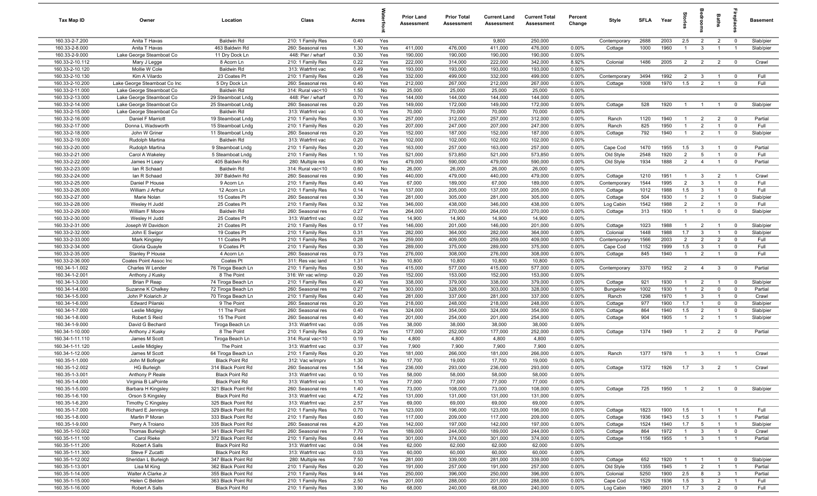| Tax Map ID                         | Owner                                                    | Location                                    | Class                                  | Acres        |            | <b>Prior Land</b><br>Assessment | <b>Prior Total</b><br>Assessment | <b>Current Land</b><br>Assessment | <b>Current Total</b><br><b>Assessment</b> | Percent<br>Change | Style                   | SFLA         | Year         |                                  |                                | <b>Baths</b>                     |                                  | <b>Basement</b>    |
|------------------------------------|----------------------------------------------------------|---------------------------------------------|----------------------------------------|--------------|------------|---------------------------------|----------------------------------|-----------------------------------|-------------------------------------------|-------------------|-------------------------|--------------|--------------|----------------------------------|--------------------------------|----------------------------------|----------------------------------|--------------------|
| 160.33-2-7.200                     | Anita T Havas                                            | <b>Baldwin Rd</b>                           | 210: 1 Family Res                      | 0.40         | Yes        |                                 |                                  | 9,800                             | 250,000                                   |                   | Contemporary            | 2688         | 2003         | 2.5                              | $\overline{2}$                 | $\overline{2}$                   | $\overline{0}$                   | Slab/pier          |
| 160.33-2-8.000                     | Anita T Havas                                            | 463 Baldwin Rd                              | 260: Seasonal res                      | 1.30         | Yes        | 411,000                         | 476,000                          | 411,000                           | 476,000                                   | 0.00%             | Cottage                 | 1000         | 1960         | $\overline{1}$                   | $\mathbf{3}$                   |                                  | $\overline{1}$                   | Slab/pier          |
| 160.33-2-9.000                     | Lake George Steamboat Co                                 | 11 Dry Dock Ln                              | 448: Pier / wharf                      | 0.30         | Yes        | 190,000                         | 190,000                          | 190,000                           | 190,000                                   | 0.00%             |                         |              |              |                                  |                                |                                  |                                  |                    |
| 160.33-2-10.112                    | Mary J Legge                                             | 8 Acorn Ln                                  | 210: 1 Family Res                      | 0.22         | Yes        | 222,000                         | 314,000                          | 222,000                           | 342,000                                   | 8.92%             | Colonial                | 1486         | 2005         | $\overline{2}$                   | $\overline{2}$                 | $\overline{2}$                   | $\overline{0}$                   | Crawl              |
| 160.33-2-10.120                    | Mollie W Cole                                            | <b>Baldwin Rd</b>                           | 313: Watrfrnt vac                      | 0.49         | Yes        | 193,000                         | 193,000                          | 193,000                           | 193,000                                   | 0.00%             |                         |              |              |                                  |                                |                                  |                                  |                    |
| 160.33-2-10.130                    | Kim A Vilardo                                            | 23 Coates Pt                                | 210: 1 Family Res                      | 0.26         | Yes<br>Yes | 332,000<br>212,000              | 499,000                          | 332,000                           | 499,000                                   | 0.00%<br>0.00%    | Contemporary            | 3494         | 1992<br>1970 | $\overline{2}$                   | $\mathbf{3}$<br>$\overline{2}$ | $\mathbf{1}$                     | $\mathbf 0$<br>$\overline{0}$    | Full<br>Full       |
| 160.33-2-10.200<br>160.33-2-11.000 | Lake George Steamboat Co Inc<br>Lake George Steamboat Co | 5 Dry Dock Ln<br><b>Baldwin Rd</b>          | 260: Seasonal res<br>314: Rural vac<10 | 0.40<br>1.50 | No         | 25,000                          | 267,000<br>25,000                | 212,000<br>25,000                 | 267,000<br>25,000                         | 0.00%             | Cottage                 | 1008         |              | 1.5                              |                                |                                  |                                  |                    |
| 160.33-2-13.000                    | Lake George Steamboat Co                                 | 29 Steamboat Lndg                           | 448: Pier / wharf                      | 0.70         | Yes        | 144,000                         | 144,000                          | 144,000                           | 144,000                                   | 0.00%             |                         |              |              |                                  |                                |                                  |                                  |                    |
| 160.33-2-14.000                    | Lake George Steamboat Co                                 | 25 Steamboat Lndg                           | 260: Seasonal res                      | 0.20         | Yes        | 149,000                         | 172,000                          | 149,000                           | 172,000                                   | 0.00%             | Cottage                 | 528          | 1920         | $\overline{1}$                   | $\overline{1}$                 | $\overline{1}$                   | $\overline{0}$                   | Slab/pier          |
| 160.33-2-15.000                    | Lake George Steamboat Co                                 | <b>Baldwin Rd</b>                           | 313: Watrfrnt vac                      | 0.10         | Yes        | 70,000                          | 70,000                           | 70,000                            | 70,000                                    | 0.00%             |                         |              |              |                                  |                                |                                  |                                  |                    |
| 160.33-2-16.000                    | Daniel F Marriott                                        | 19 Steamboat Lndg                           | 210: 1 Family Res                      | 0.30         | Yes        | 257,000                         | 312,000                          | 257,000                           | 312,000                                   | 0.00%             | Ranch                   | 1120         | 1940         | $\overline{1}$                   | $\overline{2}$                 | $\overline{2}$                   | $\overline{0}$                   | Partial            |
| 160.33-2-17.000                    | Donna L Wadsworth                                        | 15 Steamboat Lndg                           | 210: 1 Family Res                      | 0.20         | Yes        | 207,000                         | 247,000                          | 207,000                           | 247,000                                   | 0.00%             | Ranch                   | 825          | 1950         | $\overline{1}$                   | $\overline{2}$                 | $\overline{1}$                   | $\overline{0}$                   | Full               |
| 160.33-2-18.000                    | John W Griner                                            | 11 Steamboat Lndg                           | 260: Seasonal res                      | 0.20         | Yes        | 152,000                         | 187,000                          | 152,000                           | 187,000                                   | 0.00%             | Cottage                 | 792          | 1940         | $\overline{1}$                   | $\overline{2}$                 | $\overline{1}$                   | $\overline{0}$                   | Slab/pier          |
| 160.33-2-19.000                    | Rudolph Martina                                          | <b>Baldwin Rd</b>                           | 313: Watrfrnt vac                      | 0.20         | Yes        | 102,000                         | 102,000                          | 102,000                           | 102,000                                   | 0.00%             |                         |              |              |                                  |                                |                                  |                                  |                    |
| 160.33-2-20.000                    | Rudolph Martina                                          | 9 Steamboat Lndg                            | 210: 1 Family Res                      | 0.20         | Yes        | 163,000                         | 257,000                          | 163,000                           | 257,000                                   | 0.00%             | Cape Cod                | 1470         | 1955         | 1.5                              | $\overline{3}$                 |                                  | $\mathbf 0$                      | Partial            |
| 160.33-2-21.000                    | Carol A Wakeley                                          | 5 Steamboat Lndg                            | 210: 1 Family Res                      | 1.10         | Yes        | 521,000                         | 573,850                          | 521,000                           | 573,850                                   | 0.00%             | Old Style               | 2548         | 1920         | $\overline{2}$                   | $5\overline{5}$                |                                  | $\mathbf 0$                      | Full               |
| 160.33-2-22.000                    | James H Leary                                            | 405 Baldwin Rd                              | 280: Multiple res                      | 0.90         | Yes        | 479,000                         | 590,000                          | 479,000                           | 590,000                                   | 0.00%             | Old Style               | 1934         | 1888         | $\overline{2}$                   | $\overline{4}$                 | $\overline{1}$                   | $\mathbf 0$                      | Partial            |
| 160.33-2-23.000                    | lan R Schaad                                             | <b>Baldwin Rd</b>                           | 314: Rural vac<10                      | 0.60         | No         | 26,000                          | 26,000                           | 26,000                            | 26,000                                    | 0.00%             |                         |              |              |                                  |                                |                                  |                                  |                    |
| 160.33-2-24.000<br>160.33-2-25.000 | lan R Schaad                                             | 397 Baldwin Rd                              | 260: Seasonal res<br>210: 1 Family Res | 0.90         | Yes<br>Yes | 440,000                         | 479,000                          | 440,000                           | 479,000<br>189,000                        | 0.00%             | Cottage                 | 1210         | 1951<br>1995 | $\overline{1}$<br>$\overline{2}$ | $\mathbf{3}$<br>$\mathbf{3}$   | $\overline{2}$<br>$\overline{1}$ | $\overline{1}$<br>$\overline{0}$ | Crawl<br>Full      |
| 160.33-2-26.000                    | Daniel P House<br>William J Arthur                       | 9 Acorn Ln<br>12 Acorn Ln                   | 210: 1 Family Res                      | 0.40<br>0.14 | Yes        | 67,000<br>137,000               | 189,000<br>205,000               | 67,000<br>137,000                 | 205,000                                   | 0.00%<br>0.00%    | Contemporary<br>Cottage | 1544<br>1012 | 1988         | 1.5                              | $\mathbf{3}$                   | $\overline{1}$                   | $\overline{0}$                   | Full               |
| 160.33-2-27.000                    | Marie Nolan                                              | 15 Coates Pt                                | 260: Seasonal res                      | 0.30         | Yes        | 281,000                         | 305,000                          | 281,000                           | 305,000                                   | 0.00%             | Cottage                 | 504          | 1930         | $\overline{1}$                   | $\overline{2}$                 | $\overline{1}$                   | $\overline{0}$                   | Slab/pier          |
| 160.33-2-28.000                    | Wesley H Judd                                            | 25 Coates Pt                                | 210: 1 Family Res                      | 0.32         | Yes        | 346,000                         | 438,000                          | 346,000                           | 438,000                                   | 0.00%             | Log Cabin               | 1542         | 1988         | $\overline{2}$                   | $\overline{2}$                 | $\overline{1}$                   | $\overline{0}$                   | Full               |
| 160.33-2-29.000                    | William F Moore                                          | <b>Baldwin Rd</b>                           | 260: Seasonal res                      | 0.27         | Yes        | 264,000                         | 270,000                          | 264,000                           | 270,000                                   | 0.00%             | Cottage                 | 313          | 1930         | $\overline{1}$                   | $\overline{1}$                 | $\mathbf 0$                      | $\overline{0}$                   | Slab/pier          |
| 160.33-2-30.000                    | Wesley H Judd                                            | 25 Coates Pt                                | 313: Watrfrnt vac                      | 0.02         | Yes        | 14,900                          | 14,900                           | 14,900                            | 14,900                                    | 0.00%             |                         |              |              |                                  |                                |                                  |                                  |                    |
| 160.33-2-31.000                    | Joseph W Davidson                                        | 21 Coates Pt                                | 210: 1 Family Res                      | 0.17         | Yes        | 146,000                         | 201,000                          | 146,000                           | 201,000                                   | 0.00%             | Cottage                 | 1023         | 1988         | $\mathbf{1}$                     | $\overline{2}$                 | $\overline{1}$                   | $\overline{0}$                   | Slab/pier          |
| 160.33-2-32.000                    | John E Swigor                                            | 19 Coates Pt                                | 210: 1 Family Res                      | 0.31         | Yes        | 282,000                         | 364,000                          | 282,000                           | 364,000                                   | 0.00%             | Colonial                | 1448         | 1988         | 1.7                              | $\mathbf{3}$                   | $\overline{1}$                   | $\mathbf 0$                      | Slab/pier          |
| 160.33-2-33.000                    | Mark Kingsley                                            | 11 Coates Pt                                | 210: 1 Family Res                      | 0.28         | Yes        | 259,000                         | 409,000                          | 259,000                           | 409,000                                   | 0.00%             | Contemporary            | 1566         | 2003         | 2                                | 2                              | $\overline{2}$                   | $\mathbf{0}$                     | Full               |
| 160.33-2-34.000                    | Gloria Quayle                                            | 9 Coates Pt                                 | 210: 1 Family Res                      | 0.30         | Yes        | 289,000                         | 375,000                          | 289,000                           | 375,000                                   | 0.00%             | Cape Cod                | 1152         | 1999         | 1.5                              | $\mathbf{3}$                   |                                  | $\Omega$                         | Full               |
| 160.33-2-35.000                    | Stanley P House                                          | 4 Acorn Ln                                  | 260: Seasonal res                      | 0.73         | Yes        | 276,000                         | 308,000                          | 276,000                           | 308,000                                   | 0.00%             | Cottage                 | 845          | 1940         | $\overline{1}$                   | $\overline{2}$                 |                                  | $\mathbf 0$                      | Full               |
| 160.33-2-36.000                    | Coates Point Assoc Inc                                   | Coates Pt                                   | 311: Res vac land                      | 1.31         | No         | 10,800                          | 10,800                           | 10,800                            | 10,800                                    | 0.00%             |                         |              |              |                                  |                                |                                  |                                  |                    |
| 160.34-1-1.002                     | Charles W Lender                                         | 76 Tiroga Beach Ln                          | 210: 1 Family Res                      | 0.50         | Yes        | 415,000                         | 577,000                          | 415,000                           | 577,000                                   | 0.00%             | Contemporary            | 3370         | 1952         | $\overline{2}$                   | $\overline{4}$                 | $\mathbf{3}$                     | $\overline{\mathbf{0}}$          | Partial            |
| 160.34-1-2.001<br>160.34-1-3.000   | Anthony J Kusky<br>Brian P Reap                          | 8 The Point                                 | 316: Wr vac w/imp<br>210: 1 Family Res | 0.20<br>0.40 | Yes<br>Yes | 152,000<br>338,000              | 153,000<br>379,000               | 152,000<br>338,000                | 153,000<br>379,000                        | 0.00%<br>0.00%    |                         | 921          | 1930         | $\overline{1}$                   | $\overline{2}$                 | $\overline{1}$                   | $\overline{0}$                   | Slab/pier          |
| 160.34-1-4.000                     | Suzanne K Chalkey                                        | 74 Tiroga Beach Ln<br>72 Tiroga Beach Ln    | 260: Seasonal res                      | 0.27         | Yes        | 303,000                         | 328,000                          | 303,000                           | 328,000                                   | 0.00%             | Cottage<br>Bungalow     | 1002         | 1930         | $\overline{1}$                   | $\overline{2}$                 | $\mathbf{0}$                     | $\overline{0}$                   | Partial            |
| 160.34-1-5.000                     | John P Kolarich Jr                                       | 70 Tiroga Beach Ln                          | 210: 1 Family Res                      | 0.40         | Yes        | 281,000                         | 337,000                          | 281,000                           | 337,000                                   | 0.00%             | Ranch                   | 1298         | 1970         | $\overline{1}$                   | $\mathbf{3}$                   | $\overline{1}$                   | $\overline{0}$                   | Crawl              |
| 160.34-1-6.000                     | Edward Pilarski                                          | 9 The Point                                 | 260: Seasonal res                      | 0.20         | Yes        | 218,000                         | 248,000                          | 218,000                           | 248,000                                   | 0.00%             | Cottage                 | 977          | 1900         | 1.7                              | $\overline{1}$                 | $\mathbf 0$                      | $\mathbf 0$                      | Slab/pier          |
| 160.34-1-7.000                     | Leslie Midgley                                           | 11 The Point                                | 260: Seasonal res                      | 0.40         | Yes        | 324,000                         | 354,000                          | 324,000                           | 354,000                                   | 0.00%             | Cottage                 | 864          | 1940         | 1.5                              | $\overline{2}$                 | -1                               | $\mathbf 0$                      | Slab/pier          |
| 160.34-1-8.000                     | Robert S Reid                                            | 15 The Point                                | 260: Seasonal res                      | 0.40         | Yes        | 201,000                         | 254,000                          | 201,000                           | 254,000                                   | 0.00%             | Cottage                 | 904          | 1905         | $\mathbf{1}$                     | $\overline{2}$                 | $\mathbf{1}$                     | $\overline{1}$                   | Slab/pier          |
| 160.34-1-9.000                     | David G Bechard                                          | Tiroga Beach Ln                             | 313: Watrfrnt vac                      | 0.05         | Yes        | 38,000                          | 38,000                           | 38,000                            | 38,000                                    | 0.00%             |                         |              |              |                                  |                                |                                  |                                  |                    |
| 160.34-1-10.000                    | Anthony J Kusky                                          | 8 The Point                                 | 210: 1 Family Res                      | 0.20         | Yes        | 177,000                         | 252,000                          | 177,000                           | 252,000                                   | 0.00%             | Cottage                 | 1374         | 1949         | $\overline{1}$                   | $\overline{2}$                 | $\overline{2}$                   | $\mathbf 0$                      | Partial            |
| 160.34-1-11.110                    | James M Scott                                            | Tiroga Beach Ln                             | 314: Rural vac<10                      | 0.19         | No         | 4,800                           | 4,800                            | 4,800                             | 4,800                                     | 0.00%             |                         |              |              |                                  |                                |                                  |                                  |                    |
| 160.34-1-11.120                    | Leslie Midgley                                           | The Point                                   | 313: Watrfrnt vac                      | 0.37         | Yes        | 7,900                           | 7,900                            | 7,900                             | 7,900                                     | 0.00%             |                         |              |              |                                  |                                |                                  |                                  |                    |
| 160.34-1-12.000                    | James M Scott                                            | 64 Tiroga Beach Ln                          | 210: 1 Family Res                      | 0.20         | Yes        | 181,000                         | 266,000                          | 181,000                           | 266,000                                   | 0.00%             | Ranch                   | 1377         | 1978         | $\overline{1}$                   | $\mathbf{3}$                   |                                  | - 1                              | Crawl              |
| 160.35-1-1.000<br>160.35-1-2.002   | John M Bofinger                                          | <b>Black Point Rd</b><br>314 Black Point Rd | 312: Vac w/imprv                       | 1.30<br>1.54 | No         | 17,700<br>236,000               | 19,000                           | 17,700                            | 19,000                                    | 0.00%             |                         |              |              |                                  |                                | $\mathcal{P}$                    |                                  |                    |
| 160.35-1-3.001                     | HG Burleigh<br>Anthony P Reale                           | <b>Black Point Rd</b>                       | 260: Seasonal res<br>313: Watrfrnt vac | 0.10         | Yes<br>Yes | 58,000                          | 293,000<br>58,000                | 236,000<br>58,000                 | 293,000<br>58,000                         | 0.00%<br>0.00%    | Cottage                 | 1372         | 1926         | $1.7 \t3$                        |                                |                                  |                                  | Crawl              |
| 160.35-1-4.000                     | Virginia B LaPointe                                      | <b>Black Point Rd</b>                       | 313: Watrfrnt vac                      | 1.10         | Yes        | 77,000                          | 77,000                           | 77,000                            | 77,000                                    | 0.00%             |                         |              |              |                                  |                                |                                  |                                  |                    |
| 160.35-1-5.000                     | Barbara H Kingsley                                       | 321 Black Point Rd                          | 260: Seasonal res                      | 1.40         | Yes        | 73,000                          | 108,000                          | 73,000                            | 108,000                                   | 0.00%             | Cottage                 | 725          | 1950         | $\overline{1}$                   | $\overline{2}$                 | $\overline{1}$                   | $\overline{0}$                   | Slab/pier          |
| 160.35-1-6.100                     | Orson S Kingsley                                         | <b>Black Point Rd</b>                       | 313: Watrfrnt vac                      | 4.72         | Yes        | 131,000                         | 131,000                          | 131,000                           | 131,000                                   | 0.00%             |                         |              |              |                                  |                                |                                  |                                  |                    |
| 160.35-1-6.200                     | Timothy C Kingsley                                       | 325 Black Point Rd                          | 313: Watrfrnt vac                      | 2.57         | Yes        | 69,000                          | 69,000                           | 69,000                            | 69,000                                    | 0.00%             |                         |              |              |                                  |                                |                                  |                                  |                    |
| 160.35-1-7.000                     | Richard E Jennings                                       | 329 Black Point Rd                          | 210: 1 Family Res                      | 0.70         | Yes        | 123,000                         | 196,000                          | 123,000                           | 196,000                                   | 0.00%             | Cottage                 | 1823         | 1900         | 1.5                              | $\overline{1}$                 | $\overline{1}$                   | $\overline{1}$                   | Full               |
| 160.35-1-8.000                     | Martin P Moran                                           | 333 Black Point Rd                          | 210: 1 Family Res                      | 0.60         | Yes        | 117,000                         | 209,000                          | 117,000                           | 209,000                                   | 0.00%             | Cottage                 | 1936         | 1943         | 1.5                              | $\overline{\mathbf{3}}$        |                                  | $\overline{1}$                   | Partial            |
| 160.35-1-9.000                     | Perry A Troiano                                          | 335 Black Point Rd                          | 260: Seasonal res                      | 4.20         | Yes        | 142,000                         | 197,000                          | 142,000                           | 197,000                                   | 0.00%             | Cottage                 | 1524         | 1940         | 1.7                              | $5\overline{5}$                | $\overline{1}$                   | $\overline{1}$                   | Slab/pier          |
| 160.35-1-10.002                    | <b>Thomas Burleigh</b>                                   | 341 Black Point Rd                          | 260: Seasonal res                      | 7.70         | Yes        | 189,000                         | 244,000                          | 189,000                           | 244,000                                   | 0.00%             | Cottage                 | 864          | 1972         | $\mathbf{1}$                     | $\mathbf{3}$                   |                                  | $\mathbf 0$                      | Crawl              |
| 160.35-1-11.100                    | Carol Rieke                                              | 372 Black Point Rd                          | 210: 1 Family Res                      | 0.44         | Yes        | 301,000                         | 374,000                          | 301,000                           | 374,000                                   | 0.00%             | Cottage                 | 1156         | 1955         | $\overline{1}$                   | $\overline{\mathbf{3}}$        | $\overline{1}$                   | $\overline{1}$                   | Partial            |
| 160.35-1-11.200                    | Robert A Salls                                           | <b>Black Point Rd</b>                       | 313: Watrfrnt vac                      | 0.04         | Yes        | 62,000                          | 62,000                           | 62,000                            | 62,000                                    | 0.00%             |                         |              |              |                                  |                                |                                  |                                  |                    |
| 160.35-1-11.300                    | Steve F Zucatti                                          | <b>Black Point Rd</b>                       | 313: Watrfrnt vac                      | 0.03         | Yes        | 60,000                          | 60,000                           | 60,000                            | 60,000                                    | 0.00%             |                         |              |              |                                  |                                |                                  |                                  |                    |
| 160.35-1-12.002                    | Sheridan L Burleigh                                      | 347 Black Point Rd                          | 280: Multiple res                      | 7.50         | Yes        | 281,000                         | 339,000                          | 281,000                           | 339,000                                   | 0.00%             | Cottage                 | 652          | 1920         | $\overline{1}$                   | $\overline{1}$                 | $\overline{1}$                   | $\overline{\mathbf{0}}$          | Slab/pier          |
| 160.35-1-13.001<br>160.35-1-14.000 | Lisa M King<br>Walter A Clarke Jr                        | 362 Black Point Rd<br>355 Black Point Rd    | 210: 1 Family Res<br>210: 1 Family Res | 0.20<br>9.44 | Yes<br>Yes | 191,000<br>250,000              | 257,000<br>396,000               | 191,000<br>250,000                | 257,000<br>396,000                        | 0.00%<br>0.00%    | Old Style<br>Colonial   | 1355<br>5250 | 1945<br>1900 | $\overline{1}$<br>2.5            | $\overline{2}$<br>8            | $\mathbf{1}$<br>$\mathbf{3}$     | $\overline{1}$<br>$\overline{1}$ | Partial<br>Partial |
| 160.35-1-15.000                    | Helen C Belden                                           | 363 Black Point Rd                          | 210: 1 Family Res                      | 2.50         | Yes        | 201,000                         | 288,000                          | 201,000                           | 288,000                                   | 0.00%             | Cape Cod                | 1529         | 1936         | 1.5                              | $\overline{\mathbf{3}}$        | $\overline{2}$                   | $\overline{1}$                   | Full               |
| 160.35-1-16.000                    | Robert A Salls                                           | <b>Black Point Rd</b>                       | 210: 1 Family Res                      | 3.90         | No         | 68,000                          | 240,000                          | 68,000                            | 240,000                                   | 0.00%             | Log Cabin               | 1960         | 2001         | 1.7                              | $\overline{\mathbf{3}}$        | $\overline{2}$                   | $\overline{0}$                   | Full               |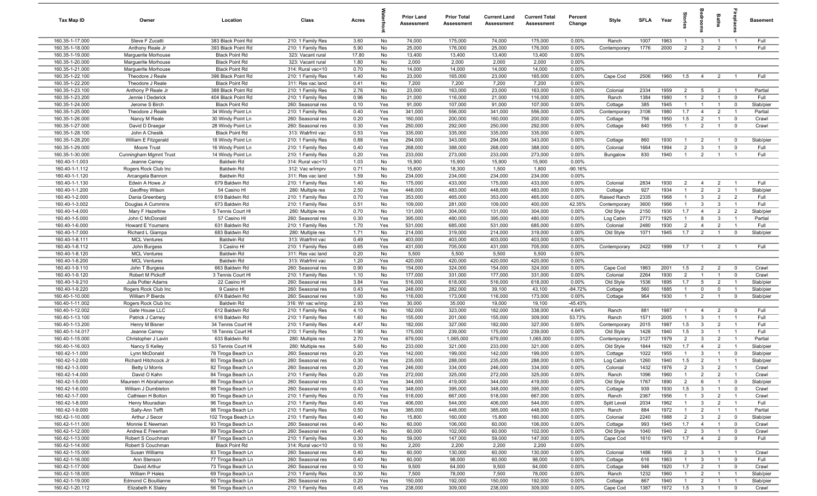| Tax Map ID                         | Owner                                  | Location                                   | Class                                  | Acres        |            | <b>Prior Land</b><br>Assessment | <b>Prior Total</b><br>Assessment | <b>Current Land</b><br>Assessment | <b>Current Total</b><br>Assessment | Percent<br>Change | Style            | SFLA        | Year         | Stori                 | groom                            | Baths                            |                                  | <b>Basement</b>        |
|------------------------------------|----------------------------------------|--------------------------------------------|----------------------------------------|--------------|------------|---------------------------------|----------------------------------|-----------------------------------|------------------------------------|-------------------|------------------|-------------|--------------|-----------------------|----------------------------------|----------------------------------|----------------------------------|------------------------|
| 160.35-1-17.000                    | Steve F Zucatti                        | 383 Black Point Rd                         | 210: 1 Family Res                      | 3.60         | No         | 74,000                          | 175,000                          | 74,000                            | 175,000                            | $0.00\%$          | Ranch            | 1007        | 1963         | $\overline{1}$        | $\mathbf{3}$                     | $\overline{1}$                   | $\overline{1}$                   | Full                   |
| 160.35-1-18.000                    | Anthony Reale Jr                       | 393 Black Point Rd                         | 210: 1 Family Res                      | 5.90         | No         | 25,000                          | 176,000                          | 25,000                            | 176,000                            | 0.00%             | Contemporary     | 1776        | 2000         | 2                     | $\overline{2}$                   | $\overline{2}$                   | $\overline{1}$                   | Full                   |
| 160.35-1-19.000                    | Marguerite Morhouse                    | <b>Black Point Rd</b>                      | 323: Vacant rural                      | 17.80        | No         | 13,400                          | 13,400                           | 13,400                            | 13,400                             | 0.00%             |                  |             |              |                       |                                  |                                  |                                  |                        |
| 160.35-1-20.000                    | Marquerite Morhouse                    | <b>Black Point Rd</b>                      | 323: Vacant rural                      | 1.80         | No         | 2,000                           | 2,000                            | 2,000                             | 2,000                              | 0.00%             |                  |             |              |                       |                                  |                                  |                                  |                        |
| 160.35-1-21.000                    | Marguerite Morhouse                    | <b>Black Point Rd</b>                      | 314: Rural vac<10                      | 0.70         | No         | 14,000                          | 14,000                           | 14,000                            | 14,000                             | 0.00%             |                  |             |              |                       |                                  |                                  |                                  |                        |
| 160.35-1-22.100                    | Theodore J Reale                       | 396 Black Point Rd                         | 210: 1 Family Res                      | 1.40         | No         | 23,000                          | 165,000                          | 23,000                            | 165,000                            | 0.00%             | Cape Cod         | 2506        | 1960         | 1.5                   | $\overline{4}$                   | $\overline{2}$                   |                                  | Full                   |
| 160.35-1-22.200                    | Theodore J Reale                       | <b>Black Point Rd</b>                      | 311: Res vac land                      | 0.41         | No         | 7,200                           | 7,200                            | 7,200                             | 7,200                              | 0.00%             |                  |             |              |                       |                                  |                                  |                                  |                        |
| 160.35-1-23.100                    | Anthony P Reale Jr                     | 388 Black Point Rd                         | 210: 1 Family Res                      | 2.76         | No         | 23,000                          | 163,000                          | 23,000                            | 163,000                            | 0.00%             | Colonial         | 2334        | 1959         | $\overline{2}$        | $5\overline{5}$                  | $\overline{2}$                   | $\overline{1}$                   | Partial                |
| 160.35-1-23.200                    | Jennie I Dederick                      | 404 Black Point Rd                         | 210: 1 Family Res                      | 0.96         | No         | 21,000                          | 116,000                          | 21,000                            | 116,000                            | 0.00%             | Ranch            | 1384        | 1980         | $\mathbf{1}$          | 2                                | $\overline{1}$                   | $\overline{0}$                   | Full                   |
| 160.35-1-24.000                    | Jerome S Birch                         | <b>Black Point Rd</b>                      | 260: Seasonal res                      | 0.10         | Yes        | 91,000                          | 107,000                          | 91,000                            | 107,000                            | 0.00%             | Cottage          | 385         | 1945         | $\mathbf{1}$          | $\overline{1}$                   | $\overline{1}$                   | $\overline{0}$                   | Slab/pier              |
| 160.35-1-25.000                    | Theodore J Reale                       | 34 Windy Point Ln                          | 210: 1 Family Res                      | 0.40         | Yes        | 341,000                         | 556,000                          | 341,000                           | 556,000                            | 0.00%             | Contemporary     | 3106        | 1980         | 1.7                   | $\overline{4}$                   | $\overline{2}$                   | $\overline{1}$                   | Partial                |
| 160.35-1-26.000                    | Nancy M Reale                          | 30 Windy Point Ln                          | 260: Seasonal res                      | 0.20         | Yes        | 160,000                         | 200,000                          | 160,000                           | 200,000                            | 0.00%             | Cottage          | 756         | 1950         | 1.5<br>$\overline{1}$ | $\overline{2}$                   | $\overline{1}$<br>$\overline{1}$ | $\overline{0}$                   | Crawl                  |
| 160.35-1-27.000<br>160.35-1-28.100 | David D Draegar<br>John A Cheslik      | 28 Windy Point Ln<br><b>Black Point Rd</b> | 260: Seasonal res<br>313: Watrfrnt vac | 0.30<br>0.53 | Yes<br>Yes | 250,000<br>335,000              | 292,000<br>335,000               | 250,000<br>335,000                | 292,000<br>335,000                 | 0.00%<br>0.00%    | Cottage          | 840         | 1955         |                       | $\overline{2}$                   |                                  | $\overline{0}$                   | Crawl                  |
| 160.35-1-28.200                    | William E Fitzgerald                   | 18 Windy Point Ln                          | 210: 1 Family Res                      | 0.88         | Yes        | 294,000                         | 343,000                          | 294,000                           | 343,000                            | 0.00%             | Cottage          | 860         | 1930         | -1                    | 2                                |                                  | $\mathbf 0$                      | Slab/pier              |
| 160.35-1-29.000                    | Moore Trust                            | 16 Windy Point Ln                          | 210: 1 Family Res                      | 0.40         | Yes        | 268,000                         | 388,000                          | 268,000                           | 388,000                            | 0.00%             | Colonial         | 1664        | 1994         | $\overline{2}$        | $\mathbf{3}$                     | $\mathbf{1}$                     | $\mathbf 0$                      | Full                   |
| 160.35-1-30.000                    | Cunningham Mgmnt Trust                 | 14 Windy Point Ln                          | 210: 1 Family Res                      | 0.20         | Yes        | 233,000                         | 273,000                          | 233,000                           | 273,000                            | 0.00%             | Bungalow         | 830         | 1940         | $\overline{1}$        | $\overline{2}$                   |                                  | $\overline{1}$                   | Full                   |
| 160.40-1-1.003                     | Jeanne Carney                          | <b>Baldwin Rd</b>                          | 314: Rural vac<10                      | 1.03         | No         | 15,900                          | 15,900                           | 15,900                            | 15,900                             | 0.00%             |                  |             |              |                       |                                  |                                  |                                  |                        |
| 160.40-1-1.112                     | Rogers Rock Club Inc                   | <b>Baldwin Rd</b>                          | 312: Vac w/imprv                       | 0.71         | No         | 15,600                          | 18,300                           | 1,500                             | 1,800                              | $-90.16%$         |                  |             |              |                       |                                  |                                  |                                  |                        |
| 160.40-1-1.120                     | Arcangela Bannon                       | <b>Baldwin Rd</b>                          | 311: Res vac land                      | 1.59         | No         | 234,000                         | 234,000                          | 234,000                           | 234,000                            | 0.00%             |                  |             |              |                       |                                  |                                  |                                  |                        |
| 160.40-1-1.130                     | Edwin A Howe Jr                        | 679 Baldwin Rd                             | 210: 1 Family Res                      | 1.40         | No         | 175,000                         | 433,000                          | 175,000                           | 433,000                            | 0.00%             | Colonial         | 2834        | 1930         | 2                     | $\overline{4}$                   | $\overline{2}$                   | $\overline{1}$                   | Full                   |
| 160.40-1-1.200                     | Geoffrey Wilson                        | 54 Casino HI                               | 280: Multiple res                      | 2.50         | Yes        | 448,000                         | 483,000                          | 448,000                           | 483,000                            | 0.00%             | Cottage          | 927         | 1934         | $\overline{1}$        | $\overline{2}$                   | $\overline{2}$                   | $\overline{1}$                   | Slab/pier              |
| 160.40-1-2.000                     | Dania Greenberg                        | 619 Baldwin Rd                             | 210: 1 Family Res                      | 0.70         | Yes        | 353,000                         | 465,000                          | 353,000                           | 465,000                            | 0.00%             | Raised Ranch     | 2335        | 1968         | $\overline{1}$        | $\mathbf{3}$                     | $\overline{2}$                   | $\overline{2}$                   | Full                   |
| 160.40-1-3.002                     | Douglas A Cummins                      | 673 Baldwin Rd                             | 210: 1 Family Res                      | 0.51         | No         | 109,000                         | 281,000                          | 109,000                           | 400,000                            | 42.35%            | Contemporary     | 3600        | 1966         | $\overline{1}$        | $\mathbf{3}$                     | $\mathbf{3}$                     | $\overline{1}$                   | Full                   |
| 160.40-1-4.000                     | Mary F Hazeltine                       | 5 Tennis Court HI                          | 280: Multiple res                      | 0.70         | No         | 131,000                         | 304,000                          | 131,000                           | 304,000                            | 0.00%             | Old Style        | 2150        | 1930         | 1.7                   | $\overline{4}$                   | $\overline{2}$                   | $\overline{2}$                   | Slab/pier              |
| 160.40-1-5.000                     | John C McDonald                        | 57 Casino HI                               | 260: Seasonal res                      | 0.30         | Yes        | 395,000                         | 480,000                          | 395,000                           | 480,000                            | 0.00%             | Log Cabin        | 2773        | 1925         | $\overline{1}$        | 8                                | $\mathbf{3}$                     | $\overline{1}$                   | Partial                |
| 160.40-1-6.000                     | Howard E Youmans                       | 631 Baldwin Rd                             | 210: 1 Family Res                      | 1.70         | Yes        | 531,000                         | 685,000                          | 531,000                           | 685,000                            | 0.00%             | Colonial         | 2480        | 1930         | $\overline{2}$        | $\overline{4}$                   | $\overline{2}$                   | $\overline{1}$                   | Full                   |
| 160.40-1-7.000                     | Richard L Giampa                       | 683 Baldwin Rd                             | 280: Multiple res                      | 1.71         | No         | 214,000                         | 319,000                          | 214,000                           | 319,000                            | 0.00%             | Old Style        | 1071        | 1945         | 1.7                   | $\overline{2}$                   | $\overline{1}$                   | $\mathbf 0$                      | Slab/pier              |
| 160.40-1-8.111                     | <b>MCL Ventures</b>                    | <b>Baldwin Rd</b>                          | 313: Watrfrnt vac                      | 0.49         | Yes        | 403,000                         | 403,000                          | 403,000                           | 403,000                            | 0.00%             |                  |             |              |                       |                                  |                                  |                                  |                        |
| 160.40-1-8.112                     | John Burgess                           | 3 Casino HI                                | 210: 1 Family Res                      | 0.65         | Yes        | 431,000                         | 705,000                          | 431,000                           | 705,000                            | 0.00%             | Contemporary     | 2422        | 1999         | 1.7                   | $\overline{1}$                   | $\overline{2}$                   | $\overline{1}$                   | Full                   |
| 160.40-1-8.120                     | <b>MCL Ventures</b>                    | <b>Baldwin Rd</b>                          | 311: Res vac land                      | 0.20         | No         | 5,500                           | 5,500                            | 5,500                             | 5,500                              | 0.00%             |                  |             |              |                       |                                  |                                  |                                  |                        |
| 160.40-1-8.200                     | <b>MCL Ventures</b>                    | <b>Baldwin Rd</b>                          | 313: Watrfrnt vac                      | 1.20         | Yes        | 420,000                         | 420,000                          | 420,000                           | 420,000                            | 0.00%             |                  |             |              |                       |                                  |                                  |                                  |                        |
| 160.40-1-9.110                     | John T Burgess                         | 663 Baldwin Rd                             | 260: Seasonal res                      | 0.90         | No         | 154,000                         | 324,000                          | 154,000                           | 324,000                            | 0.00%             | Cape Cod         | 1863        | 2001         | 1.5                   | $\overline{2}$                   | $\overline{2}$                   | $\overline{0}$                   | Crawl                  |
| 160.40-1-9.120                     | Robert M Pickoff                       | 3 Tennis Court HI                          | 210: 1 Family Res                      | 1.10         | No         | 177,000                         | 331,000                          | 177,000                           | 331,000                            | 0.00%             | Colonial         | 2264        | 1930         | $\overline{2}$        | $\overline{1}$                   | $\overline{1}$                   | $\overline{0}$                   | Crawl                  |
| 160.40-1-9.210                     | Julia Potter Adams                     | 22 Casino HI                               | 260: Seasonal res                      | 3.84         | Yes        | 516,000                         | 618,000                          | 516,000                           | 618,000                            | 0.00%             | Old Style        | 1536        | 1895         | 1.7                   | 5                                | $\overline{2}$                   | $\overline{1}$                   | Slab/pier              |
| 160.40-1-9.220                     | Rogers Rock Club Inc                   | 9 Casino HI                                | 260: Seasonal res                      | 0.43         | Yes        | 248,000                         | 282,000                          | 39,100                            | 43,100                             | $-84.72%$         | Cottage          | 560         | 1885         | $\overline{1}$        | $\mathbf 0$                      | $\mathbf{0}$                     | $\overline{1}$                   | Slab/pier              |
| 160.40-1-10.000                    | William P Bierds                       | 674 Baldwin Rd                             | 260: Seasonal res                      | 1.00         | No         | 116,000                         | 173,000                          | 116,000                           | 173,000                            | 0.00%             | Cottage          | 964         | 1930         | $\overline{1}$        | $\overline{2}$                   | $\overline{1}$                   | $\overline{0}$                   | Slab/pier              |
| 160.40-1-11.002                    | Rogers Rock Club Inc<br>Gate House LLC | <b>Baldwin Rd</b>                          | 316: Wr vac w/imp                      | 2.93         | Yes        | 30,000                          | 35,000                           | 19,000                            | 19,100                             | $-45.43%$         |                  |             |              | $\overline{1}$        |                                  |                                  |                                  | Full                   |
| 160.40-1-12.002<br>160.40-1-13.100 | Patrick J Carney                       | 612 Baldwin Rd<br>616 Baldwin Rd           | 210: 1 Family Res<br>210: 1 Family Res | 4.10<br>1.60 | No<br>No   | 182,000<br>155,000              | 323,000<br>201,000               | 182,000<br>155,000                | 338,000<br>309,000                 | 4.64%<br>53.73%   | Ranch<br>Ranch   | 881<br>1571 | 1987<br>2005 | $\mathbf{1}$          | 4<br>$\mathbf{3}$                | $\overline{2}$                   | $\mathbf 0$<br>$\overline{1}$    | Full                   |
| 160.40-1-13.200                    | Henry M Bisner                         | 34 Tennis Court HI                         | 210: 1 Family Res                      | 4.47         | No         | 182,000                         | 327,000                          | 182,000                           | 327,000                            | 0.00%             | Contemporary     | 2015        | 1987         | 1.5                   | $\mathbf{3}$                     | $\overline{2}$                   | $\overline{1}$                   | Full                   |
| 160.40-1-14.017                    | Jeanne Carney                          | 18 Tennis Court HI                         | 210: 1 Family Res                      | 1.90         | No         | 175,000                         | 239,000                          | 175,000                           | 239,000                            | 0.00%             | Old Style        | 1428        | 1940         | 1.5                   | $\overline{3}$                   |                                  | $\overline{1}$                   | Full                   |
| 160.40-1-15.000                    | Christopher J Lavin                    | 633 Baldwin Rd                             | 280: Multiple res                      | 2.70         | Yes        | 679,000                         | 1,065,000                        | 679,000                           | 1,065,000                          | 0.00%             | Contemporary     | 3127        | 1979         | $\overline{2}$        | $\overline{3}$                   | $\overline{2}$                   | $\overline{1}$                   | Partial                |
| 160.40-1-16.003                    | Nancy S Kelley                         | 53 Tennis Court HI                         | 280: Multiple res                      | 5.60         | No         | 233,000                         | 321,000                          | 233,000                           | 321,000                            | 0.00%             | Old Style        | 1844        | 1920         | 1.7                   | $\overline{4}$                   | $\overline{2}$                   | $\overline{1}$                   | Slab/pier              |
| 160.42-1-1.000                     | Lynn McDonald                          | 78 Tiroga Beach Ln                         | 260: Seasonal res                      | 0.20         | Yes        | 142,000                         | 199,000                          | 142,000                           | 199,000                            | 0.00%             | Cottage          | 1022        | 1955         |                       | $\mathbf{3}$                     |                                  | $^{\circ}$                       | Slab/pier              |
| 160.42-1-2.000                     | <b>Richard Hitchcock Jr</b>            | 80 Tiroga Beach Ln                         | 260: Seasonal res                      | 0.30         | Yes        | 235,000                         | 288,000                          | 235,000                           | 288,000                            | 0.00%             | Log Cabin        | 1260        | 1940         | 1.5                   | $\overline{2}$                   |                                  | $\overline{\phantom{0}}$         | Slab/pier              |
| 160.42-1-3.000                     | Betty U Morris                         | 82 Tiroga Beach Ln                         | 260: Seasonal res                      | 0.20         | Yes        | 246,000                         | 334,000                          | 246,000                           | 334,000                            | 0.00%             | Colonial         | 1432        | 1976         | $\overline{2}$        | $\mathbf{3}$                     | $\overline{2}$                   |                                  | Crawl                  |
| 160.42-1-4.000                     | David O Kahn                           | 84 Tiroga Beach Ln                         | 210: 1 Family Res                      | 0.20         | Yes        | 272,000                         | 325,000                          | 272,000                           | 325,000                            | 0.00%             | Ranch            | 1096        | 1960         | $\overline{1}$        | $\overline{2}$                   | $\overline{2}$                   | $\overline{1}$                   | Crawl                  |
| 160.42-1-5.000                     | Maureen H Abrahamson                   | 86 Tiroga Beach Ln                         | 260: Seasonal res                      | 0.33         | Yes        | 344,000                         | 419,000                          | 344,000                           | 419,000                            | 0.00%             | Old Style        | 1767        | 1890         | $\overline{2}$        | 6                                | $\overline{1}$                   | $\overline{0}$                   | Slab/pier              |
| 160.42-1-6.000                     | William J Dumbleton                    | 88 Tiroga Beach Ln                         | 260: Seasonal res                      | 0.40         | Yes        | 348,000                         | 395,000                          | 348,000                           | 395,000                            | 0.00%             | Cottage          | 939         | 1930         | 1.5                   | $\overline{3}$                   | $\mathbf{1}$                     | $\overline{0}$                   | Crawl                  |
| 160.42-1-7.000                     | Cathleen H Bolton                      | 90 Tiroga Beach Ln                         | 210: 1 Family Res                      | 0.70         | Yes        | 518,000                         | 667,000                          | 518,000                           | 667,000                            | 0.00%             | Ranch            | 2367        | 1956         | $\overline{1}$        | $\mathbf{3}$                     | $\overline{2}$                   | $\overline{1}$                   | Crawl                  |
| 160.42-1-8.000                     | Henry Mouradian                        | 96 Tiroga Beach Ln                         | 210: 1 Family Res                      | 0.40         | Yes        | 406,000                         | 544,000                          | 406,000                           | 544,000                            | 0.00%             | Split Level      | 2034        | 1962         | $\mathbf{1}$          | $\mathbf{3}$                     | $\overline{2}$                   | $\overline{1}$                   | Full                   |
| 160.42-1-9.000                     | Sally-Ann Tefft                        | 98 Tiroga Beach Ln                         | 210: 1 Family Res                      | 0.50         | Yes        | 385,000                         | 448,000                          | 385,000                           | 448,000                            | 0.00%             | Ranch            | 884         | 1972         | $\mathbf{1}$          | $\overline{2}$                   | $\mathbf{1}$                     | $\overline{1}$                   | Partial                |
| 160.42-1-10.000                    | Arthur J Secor                         | 102 Tiroga Beach Ln                        | 210: 1 Family Res                      | 0.40         | No         | 15,800                          | 160,000                          | 15,800                            | 160,000                            | 0.00%             | Colonial         | 2240        | 1988         | $\overline{2}$        | $\mathbf{3}$                     | $\overline{2}$                   | $\overline{0}$                   | Slab/pier              |
| 160.42-1-11.000                    | Monnie E Newman                        | 93 Tiroga Beach Ln                         | 260: Seasonal res                      | 0.40         | No         | 60,000                          | 106,000                          | 60,000                            | 106,000                            | 0.00%             | Cottage          | 993         | 1945         | 1.7                   | $\overline{4}$                   | $\overline{1}$                   | $\overline{0}$                   | Crawl                  |
| 160.42-1-12.000                    | Andrea E Freeman                       | 89 Tiroga Beach Ln                         | 260: Seasonal res                      | 0.40         | No         | 60,000                          | 102,000                          | 60,000                            | 102,000                            | 0.00%             | Old Style        | 1040        | 1940         | $\overline{2}$        | $\mathbf{3}$                     |                                  | $\overline{0}$                   | Crawl                  |
| 160.42-1-13.000                    | Robert S Couchman                      | 87 Tiroga Beach Ln                         | 210: 1 Family Res                      | 0.30         | No         | 59,000                          | 147,000                          | 59,000                            | 147,000                            | 0.00%             | Cape Cod         | 1610        | 1970         | 1.7                   | $\overline{4}$                   | $\overline{2}$                   | $\overline{0}$                   | Full                   |
| 160.42-1-14.000                    | Robert S Couchman                      | <b>Black Point Rd</b>                      | 314: Rural vac<10                      | 0.10         | No         | 2,200                           | 2,200                            | 2,200                             | 2,200                              | 0.00%             |                  |             |              |                       |                                  |                                  |                                  |                        |
| 160.42-1-15.000                    | Susan Williams                         | 83 Tiroga Beach Ln                         | 260: Seasonal res                      | 0.40         | No         | 60,000                          | 130,000                          | 60,000                            | 130,000                            | 0.00%             | Colonial         | 1486        | 1956         | $\overline{2}$        | $\overline{3}$                   | $\overline{1}$                   | $\overline{\phantom{0}}$         | Crawl                  |
| 160.42-1-16.000                    | Ann Stenson                            | 77 Tiroga Beach Ln                         | 260: Seasonal res                      | 0.40         | No         | 60,000                          | 98,000                           | 60,000                            | 98,000                             | 0.00%             | Cottage          | 616         | 1963         |                       | $\mathbf{3}$                     | $\overline{1}$                   | $\overline{0}$                   | Full                   |
| 160.42-1-17.000                    | David Arthur                           | 73 Tiroga Beach Ln                         | 260: Seasonal res                      | 0.10         | No         | 9,500                           | 64,000                           | 9,500                             | 64,000                             | 0.00%             | Cottage          | 946         | 1920<br>1960 | 1.7<br>$\overline{1}$ | $\overline{2}$                   | $\overline{1}$<br>$\overline{1}$ | $\overline{0}$<br>$\overline{1}$ | Crawl                  |
| 160.42-1-18.000<br>160.42-1-19.000 | William P Hales<br>Edmond C Boullianne | 69 Tiroga Beach Ln<br>60 Tiroga Beach Ln   | 210: 1 Family Res<br>260: Seasonal res | 0.30<br>0.20 | No<br>Yes  | 7,500<br>150,000                | 78,000<br>192,000                | 7,500<br>150,000                  | 78,000<br>192,000                  | 0.00%<br>0.00%    | Ranch<br>Cottage | 1232<br>867 | 1940         | $\overline{1}$        | $\overline{2}$<br>$\overline{2}$ | $\overline{1}$                   | $\overline{1}$                   | Slab/pier<br>Slab/pier |
| 160.42-1-20.112                    | Elizabeth K Staley                     | 56 Tiroga Beach Ln                         | 210: 1 Family Res                      | 0.45         | Yes        | 238,000                         | 309,000                          | 238,000                           | 309,000                            | 0.00%             | Cape Cod         | 1387        | 1972         | 1.5                   | $\mathbf{3}$                     | $\overline{1}$                   | $\overline{0}$                   | Crawl                  |